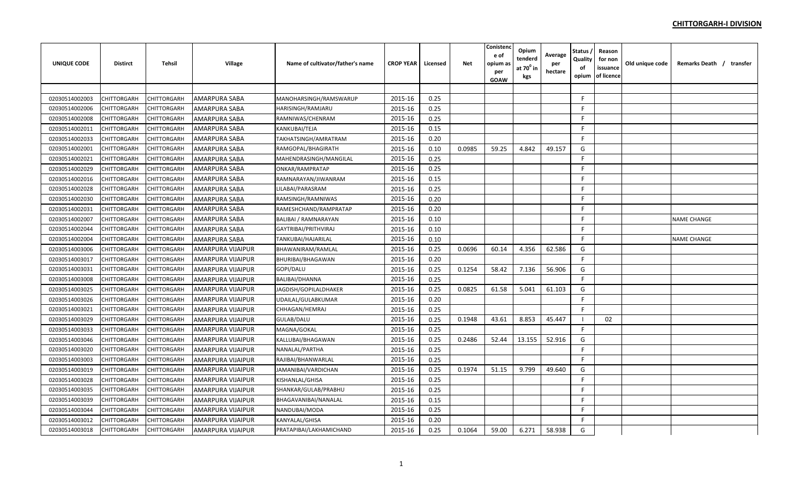| <b>UNIQUE CODE</b> | <b>Distirct</b>    | <b>Tehsil</b>      | Village                  | Name of cultivator/father's name | <b>CROP YEAR</b> | Licensed | <b>Net</b> | Conistenc<br>e of<br>opium as<br>per<br><b>GOAW</b> | Opium<br>tenderd<br>at 70 <sup>°</sup> in<br>kgs | Average<br>per<br>hectare | Status<br>Quality<br>of<br>opium | Reason<br>for non<br>issuance<br>of licence | Old unique code | Remarks Death / transfer |
|--------------------|--------------------|--------------------|--------------------------|----------------------------------|------------------|----------|------------|-----------------------------------------------------|--------------------------------------------------|---------------------------|----------------------------------|---------------------------------------------|-----------------|--------------------------|
|                    |                    |                    |                          |                                  |                  |          |            |                                                     |                                                  |                           |                                  |                                             |                 |                          |
| 02030514002003     | CHITTORGARH        | <b>CHITTORGARH</b> | AMARPURA SABA            | MANOHARSINGH/RAMSWARUP           | 2015-16          | 0.25     |            |                                                     |                                                  |                           | F                                |                                             |                 |                          |
| 02030514002006     | CHITTORGARH        | <b>CHITTORGARH</b> | <b>AMARPURA SABA</b>     | <b>HARISINGH/RAMJARU</b>         | 2015-16          | 0.25     |            |                                                     |                                                  |                           | F                                |                                             |                 |                          |
| 02030514002008     | CHITTORGARH        | <b>CHITTORGARH</b> | <b>AMARPURA SABA</b>     | RAMNIWAS/CHENRAM                 | 2015-16          | 0.25     |            |                                                     |                                                  |                           | F                                |                                             |                 |                          |
| 02030514002011     | CHITTORGARH        | CHITTORGARH        | <b>AMARPURA SABA</b>     | KANKUBAI/TEJA                    | 2015-16          | 0.15     |            |                                                     |                                                  |                           | F.                               |                                             |                 |                          |
| 02030514002033     | <b>CHITTORGARH</b> | CHITTORGARH        | AMARPURA SABA            | TAKHATSINGH/AMRATRAM             | 2015-16          | 0.20     |            |                                                     |                                                  |                           | F.                               |                                             |                 |                          |
| 02030514002001     | CHITTORGARH        | CHITTORGARH        | AMARPURA SABA            | RAMGOPAL/BHAGIRATH               | 2015-16          | 0.10     | 0.0985     | 59.25                                               | 4.842                                            | 49.157                    | G                                |                                             |                 |                          |
| 02030514002021     | CHITTORGARH        | CHITTORGARH        | AMARPURA SABA            | MAHENDRASINGH/MANGILAL           | 2015-16          | 0.25     |            |                                                     |                                                  |                           | E                                |                                             |                 |                          |
| 02030514002029     | CHITTORGARH        | <b>CHITTORGARH</b> | AMARPURA SABA            | ONKAR/RAMPRATAP                  | 2015-16          | 0.25     |            |                                                     |                                                  |                           | F.                               |                                             |                 |                          |
| 02030514002016     | CHITTORGARH        | CHITTORGARH        | <b>AMARPURA SABA</b>     | RAMNARAYAN/JIWANRAM              | 2015-16          | 0.15     |            |                                                     |                                                  |                           | F                                |                                             |                 |                          |
| 02030514002028     | <b>CHITTORGARH</b> | <b>CHITTORGARH</b> | <b>AMARPURA SABA</b>     | LILABAI/PARASRAM                 | 2015-16          | 0.25     |            |                                                     |                                                  |                           | F.                               |                                             |                 |                          |
| 02030514002030     | CHITTORGARH        | <b>CHITTORGARH</b> | AMARPURA SABA            | RAMSINGH/RAMNIWAS                | 2015-16          | 0.20     |            |                                                     |                                                  |                           | F.                               |                                             |                 |                          |
| 02030514002031     | CHITTORGARH        | CHITTORGARH        | AMARPURA SABA            | RAMESHCHAND/RAMPRATAP            | 2015-16          | 0.20     |            |                                                     |                                                  |                           | F.                               |                                             |                 |                          |
| 02030514002007     | CHITTORGARH        | <b>CHITTORGARH</b> | AMARPURA SABA            | <b>BALIBAI / RAMNARAYAN</b>      | 2015-16          | 0.10     |            |                                                     |                                                  |                           | F                                |                                             |                 | <b>NAME CHANGE</b>       |
| 02030514002044     | CHITTORGARH        | CHITTORGARH        | AMARPURA SABA            | GAYTRIBAI/PRITHVIRAJ             | 2015-16          | 0.10     |            |                                                     |                                                  |                           | F                                |                                             |                 |                          |
| 02030514002004     | CHITTORGARH        | <b>CHITTORGARH</b> | <b>AMARPURA SABA</b>     | <b>TANKUBAI/HAJARILAL</b>        | 2015-16          | 0.10     |            |                                                     |                                                  |                           | F.                               |                                             |                 | <b>NAME CHANGE</b>       |
| 02030514003006     | <b>CHITTORGARH</b> | <b>CHITTORGARH</b> | <b>AMARPURA VIJAIPUR</b> | BHAWANIRAM/RAMLAL                | 2015-16          | 0.25     | 0.0696     | 60.14                                               | 4.356                                            | 62.586                    | G                                |                                             |                 |                          |
| 02030514003017     | CHITTORGARH        | CHITTORGARH        | AMARPURA VIJAIPUR        | BHURIBAI/BHAGAWAN                | 2015-16          | 0.20     |            |                                                     |                                                  |                           | F.                               |                                             |                 |                          |
| 02030514003031     | CHITTORGARH        | CHITTORGARH        | AMARPURA VIJAIPUR        | GOPI/DALU                        | 2015-16          | 0.25     | 0.1254     | 58.42                                               | 7.136                                            | 56.906                    | G                                |                                             |                 |                          |
| 02030514003008     | CHITTORGARH        | CHITTORGARH        | AMARPURA VIJAIPUR        | BALIBAI/DHANNA                   | 2015-16          | 0.25     |            |                                                     |                                                  |                           | F.                               |                                             |                 |                          |
| 02030514003025     | CHITTORGARH        | CHITTORGARH        | <b>AMARPURA VIJAIPUR</b> | JAGDISH/GOPILALDHAKER            | 2015-16          | 0.25     | 0.0825     | 61.58                                               | 5.041                                            | 61.103                    | G                                |                                             |                 |                          |
| 02030514003026     | CHITTORGARH        | <b>CHITTORGARH</b> | <b>AMARPURA VIJAIPUR</b> | UDAILAL/GULABKUMAR               | 2015-16          | 0.20     |            |                                                     |                                                  |                           | F                                |                                             |                 |                          |
| 02030514003021     | <b>CHITTORGARH</b> | <b>CHITTORGARH</b> | <b>AMARPURA VIJAIPUR</b> | CHHAGAN/HEMRAJ                   | 2015-16          | 0.25     |            |                                                     |                                                  |                           | F.                               |                                             |                 |                          |
| 02030514003029     | CHITTORGARH        | CHITTORGARH        | AMARPURA VIJAIPUR        | GULAB/DALU                       | 2015-16          | 0.25     | 0.1948     | 43.61                                               | 8.853                                            | 45.447                    | - 1                              | 02                                          |                 |                          |
| 02030514003033     | <b>CHITTORGARH</b> | <b>CHITTORGARH</b> | <b>AMARPURA VIJAIPUR</b> | MAGNA/GOKAL                      | 2015-16          | 0.25     |            |                                                     |                                                  |                           | F                                |                                             |                 |                          |
| 02030514003046     | CHITTORGARH        | <b>CHITTORGARH</b> | AMARPURA VIJAIPUR        | KALLUBAI/BHAGAWAN                | 2015-16          | 0.25     | 0.2486     | 52.44                                               | 13.155                                           | 52.916                    | G                                |                                             |                 |                          |
| 02030514003020     | CHITTORGARH        | CHITTORGARH        | AMARPURA VIJAIPUR        | NANALAL/PARTHA                   | 2015-16          | 0.25     |            |                                                     |                                                  |                           | F                                |                                             |                 |                          |
| 02030514003003     | CHITTORGARH        | <b>CHITTORGARH</b> | AMARPURA VIJAIPUR        | RAJIBAI/BHANWARLAL               | 2015-16          | 0.25     |            |                                                     |                                                  |                           | F.                               |                                             |                 |                          |
| 02030514003019     | CHITTORGARH        | CHITTORGARH        | AMARPURA VIJAIPUR        | JAMANIBAI/VARDICHAN              | 2015-16          | 0.25     | 0.1974     | 51.15                                               | 9.799                                            | 49.640                    | G                                |                                             |                 |                          |
| 02030514003028     | CHITTORGARH        | CHITTORGARH        | AMARPURA VIJAIPUR        | KISHANLAL/GHISA                  | 2015-16          | 0.25     |            |                                                     |                                                  |                           | F.                               |                                             |                 |                          |
| 02030514003035     | CHITTORGARH        | <b>CHITTORGARH</b> | AMARPURA VIJAIPUR        | SHANKAR/GULAB/PRABHU             | 2015-16          | 0.25     |            |                                                     |                                                  |                           | F                                |                                             |                 |                          |
| 02030514003039     | CHITTORGARH        | CHITTORGARH        | <b>AMARPURA VIJAIPUR</b> | BHAGAVANIBAI/NANALAL             | 2015-16          | 0.15     |            |                                                     |                                                  |                           | F                                |                                             |                 |                          |
| 02030514003044     | CHITTORGARH        | <b>CHITTORGARH</b> | <b>AMARPURA VIJAIPUR</b> | NANDUBAI/MODA                    | 2015-16          | 0.25     |            |                                                     |                                                  |                           | -F                               |                                             |                 |                          |
| 02030514003012     | CHITTORGARH        | <b>CHITTORGARH</b> | <b>AMARPURA VIJAIPUR</b> | <b>KANYALAL/GHISA</b>            | 2015-16          | 0.20     |            |                                                     |                                                  |                           | F.                               |                                             |                 |                          |
| 02030514003018     | CHITTORGARH        | <b>CHITTORGARH</b> | AMARPURA VIJAIPUR        | PRATAPIBAI/LAKHAMICHAND          | 2015-16          | 0.25     | 0.1064     | 59.00                                               | 6.271                                            | 58.938                    | G                                |                                             |                 |                          |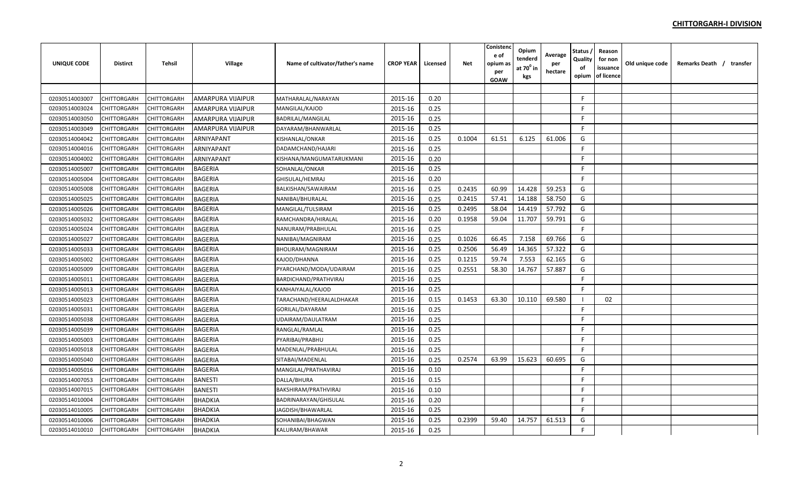| <b>UNIQUE CODE</b> | <b>Distirct</b> | <b>Tehsil</b> | Village                  | Name of cultivator/father's name | <b>CROP YEAR</b> | Licensed | <b>Net</b> | Conistend<br>e of<br>opium as<br>per<br><b>GOAW</b> | Opium<br>tenderd<br>at $70^0$ in<br>kgs | Average<br>per<br>hectare | <b>Status</b><br>Quality<br>of<br>opium | Reason<br>for non<br>issuance<br>of licence | Old unique code | Remarks Death / transfer |
|--------------------|-----------------|---------------|--------------------------|----------------------------------|------------------|----------|------------|-----------------------------------------------------|-----------------------------------------|---------------------------|-----------------------------------------|---------------------------------------------|-----------------|--------------------------|
|                    |                 |               |                          |                                  |                  |          |            |                                                     |                                         |                           |                                         |                                             |                 |                          |
| 02030514003007     | CHITTORGARH     | CHITTORGARH   | <b>AMARPURA VIJAIPUR</b> | MATHARALAL/NARAYAN               | 2015-16          | 0.20     |            |                                                     |                                         |                           | F.                                      |                                             |                 |                          |
| 02030514003024     | CHITTORGARH     | CHITTORGARH   | AMARPURA VIJAIPUR        | MANGILAL/KAJOD                   | 2015-16          | 0.25     |            |                                                     |                                         |                           | F.                                      |                                             |                 |                          |
| 02030514003050     | CHITTORGARH     | CHITTORGARH   | <b>AMARPURA VIJAIPUR</b> | BADRILAL/MANGILAL                | 2015-16          | 0.25     |            |                                                     |                                         |                           | F.                                      |                                             |                 |                          |
| 02030514003049     | CHITTORGARH     | CHITTORGARH   | AMARPURA VIJAIPUR        | DAYARAM/BHANWARLAL               | 2015-16          | 0.25     |            |                                                     |                                         |                           | F                                       |                                             |                 |                          |
| 02030514004042     | CHITTORGARH     | CHITTORGARH   | <b>ARNIYAPANT</b>        | KISHANLAL/ONKAR                  | 2015-16          | 0.25     | 0.1004     | 61.51                                               | 6.125                                   | 61.006                    | G                                       |                                             |                 |                          |
| 02030514004016     | CHITTORGARH     | CHITTORGARH   | ARNIYAPANT               | DADAMCHAND/HAJARI                | 2015-16          | 0.25     |            |                                                     |                                         |                           | F                                       |                                             |                 |                          |
| 02030514004002     | CHITTORGARH     | CHITTORGARH   | ARNIYAPANT               | KISHANA/MANGUMATARUKMANI         | 2015-16          | 0.20     |            |                                                     |                                         |                           | F.                                      |                                             |                 |                          |
| 02030514005007     | CHITTORGARH     | CHITTORGARH   | <b>BAGERIA</b>           | SOHANLAL/ONKAR                   | 2015-16          | 0.25     |            |                                                     |                                         |                           | F.                                      |                                             |                 |                          |
| 02030514005004     | CHITTORGARH     | CHITTORGARH   | <b>BAGERIA</b>           | GHISULAL/HEMRAJ                  | 2015-16          | 0.20     |            |                                                     |                                         |                           | F.                                      |                                             |                 |                          |
| 02030514005008     | CHITTORGARH     | CHITTORGARH   | <b>BAGERIA</b>           | BALKISHAN/SAWAIRAM               | 2015-16          | 0.25     | 0.2435     | 60.99                                               | 14.428                                  | 59.253                    | G                                       |                                             |                 |                          |
| 02030514005025     | CHITTORGARH     | CHITTORGARH   | <b>BAGERIA</b>           | NANIBAI/BHURALAL                 | 2015-16          | 0.25     | 0.2415     | 57.41                                               | 14.188                                  | 58.750                    | G                                       |                                             |                 |                          |
| 02030514005026     | CHITTORGARH     | CHITTORGARH   | <b>BAGERIA</b>           | MANGILAL/TULSIRAM                | 2015-16          | 0.25     | 0.2495     | 58.04                                               | 14.419                                  | 57.792                    | G                                       |                                             |                 |                          |
| 02030514005032     | CHITTORGARH     | CHITTORGARH   | <b>BAGERIA</b>           | RAMCHANDRA/HIRALAL               | 2015-16          | 0.20     | 0.1958     | 59.04                                               | 11.707                                  | 59.791                    | G                                       |                                             |                 |                          |
| 02030514005024     | CHITTORGARH     | CHITTORGARH   | <b>BAGERIA</b>           | NANURAM/PRABHULAL                | 2015-16          | 0.25     |            |                                                     |                                         |                           | F.                                      |                                             |                 |                          |
| 02030514005027     | CHITTORGARH     | CHITTORGARH   | <b>BAGERIA</b>           | NANIBAI/MAGNIRAM                 | 2015-16          | 0.25     | 0.1026     | 66.45                                               | 7.158                                   | 69.766                    | G                                       |                                             |                 |                          |
| 02030514005033     | CHITTORGARH     | CHITTORGARH   | <b>BAGERIA</b>           | BHOLIRAM/MAGNIRAM                | 2015-16          | 0.25     | 0.2506     | 56.49                                               | 14.365                                  | 57.322                    | G                                       |                                             |                 |                          |
| 02030514005002     | CHITTORGARH     | CHITTORGARH   | <b>BAGERIA</b>           | KAJOD/DHANNA                     | 2015-16          | 0.25     | 0.1215     | 59.74                                               | 7.553                                   | 62.165                    | G                                       |                                             |                 |                          |
| 02030514005009     | CHITTORGARH     | CHITTORGARH   | <b>BAGERIA</b>           | PYARCHAND/MODA/UDAIRAM           | 2015-16          | 0.25     | 0.2551     | 58.30                                               | 14.767                                  | 57.887                    | G                                       |                                             |                 |                          |
| 02030514005011     | CHITTORGARH     | CHITTORGARH   | <b>BAGERIA</b>           | BARDICHAND/PRATHVIRAJ            | 2015-16          | 0.25     |            |                                                     |                                         |                           | F.                                      |                                             |                 |                          |
| 02030514005013     | CHITTORGARH     | CHITTORGARH   | <b>BAGERIA</b>           | KANHAIYALAL/KAJOD                | 2015-16          | 0.25     |            |                                                     |                                         |                           | F.                                      |                                             |                 |                          |
| 02030514005023     | CHITTORGARH     | CHITTORGARH   | <b>BAGERIA</b>           | TARACHAND/HEERALALDHAKAR         | 2015-16          | 0.15     | 0.1453     | 63.30                                               | 10.110                                  | 69.580                    |                                         | 02                                          |                 |                          |
| 02030514005031     | CHITTORGARH     | CHITTORGARH   | <b>BAGERIA</b>           | GORILAL/DAYARAM                  | 2015-16          | 0.25     |            |                                                     |                                         |                           | F                                       |                                             |                 |                          |
| 02030514005038     | CHITTORGARH     | CHITTORGARH   | <b>BAGERIA</b>           | UDAIRAM/DAULATRAM                | 2015-16          | 0.25     |            |                                                     |                                         |                           | F                                       |                                             |                 |                          |
| 02030514005039     | CHITTORGARH     | CHITTORGARH   | <b>BAGERIA</b>           | RANGLAL/RAMLAL                   | 2015-16          | 0.25     |            |                                                     |                                         |                           | F.                                      |                                             |                 |                          |
| 02030514005003     | CHITTORGARH     | CHITTORGARH   | <b>BAGERIA</b>           | PYARIBAI/PRABHU                  | 2015-16          | 0.25     |            |                                                     |                                         |                           | F.                                      |                                             |                 |                          |
| 02030514005018     | CHITTORGARH     | CHITTORGARH   | <b>BAGERIA</b>           | MADENLAL/PRABHULAL               | 2015-16          | 0.25     |            |                                                     |                                         |                           | F.                                      |                                             |                 |                          |
| 02030514005040     | CHITTORGARH     | CHITTORGARH   | <b>BAGERIA</b>           | SITABAI/MADENLAL                 | 2015-16          | 0.25     | 0.2574     | 63.99                                               | 15.623                                  | 60.695                    | G                                       |                                             |                 |                          |
| 02030514005016     | CHITTORGARH     | CHITTORGARH   | <b>BAGERIA</b>           | MANGILAL/PRATHAVIRAJ             | 2015-16          | 0.10     |            |                                                     |                                         |                           | F                                       |                                             |                 |                          |
| 02030514007053     | CHITTORGARH     | CHITTORGARH   | <b>BANESTI</b>           | DALLA/BHURA                      | 2015-16          | 0.15     |            |                                                     |                                         |                           | F.                                      |                                             |                 |                          |
| 02030514007015     | CHITTORGARH     | CHITTORGARH   | <b>BANESTI</b>           | BAKSHIRAM/PRATHVIRAJ             | 2015-16          | 0.10     |            |                                                     |                                         |                           | F.                                      |                                             |                 |                          |
| 02030514010004     | CHITTORGARH     | CHITTORGARH   | <b>BHADKIA</b>           | BADRINARAYAN/GHISULAL            | 2015-16          | 0.20     |            |                                                     |                                         |                           | F.                                      |                                             |                 |                          |
| 02030514010005     | CHITTORGARH     | CHITTORGARH   | <b>BHADKIA</b>           | JAGDISH/BHAWARLAL                | 2015-16          | 0.25     |            |                                                     |                                         |                           | F.                                      |                                             |                 |                          |
| 02030514010006     | CHITTORGARH     | CHITTORGARH   | <b>BHADKIA</b>           | SOHANIBAI/BHAGWAN                | 2015-16          | 0.25     | 0.2399     | 59.40                                               | 14.757                                  | 61.513                    | G                                       |                                             |                 |                          |
| 02030514010010     | CHITTORGARH     | CHITTORGARH   | <b>BHADKIA</b>           | KALURAM/BHAWAR                   | 2015-16          | 0.25     |            |                                                     |                                         |                           | F                                       |                                             |                 |                          |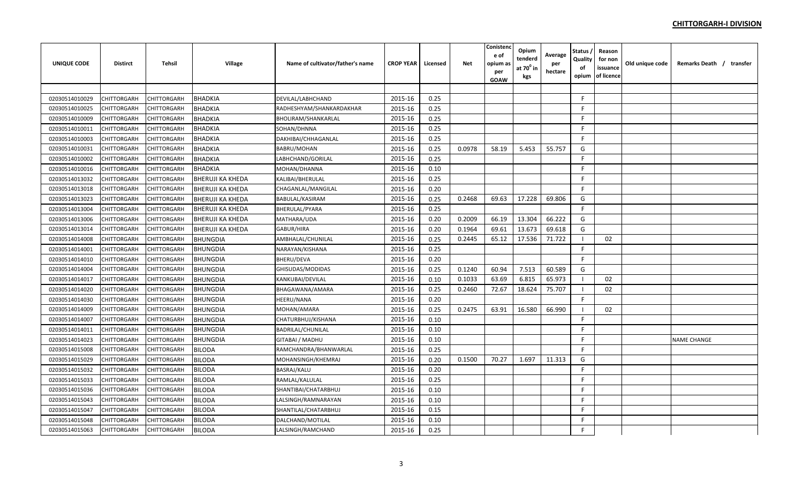| <b>UNIQUE CODE</b> | <b>Distirct</b> | <b>Tehsil</b> | Village                 | Name of cultivator/father's name | <b>CROP YEAR</b> | Licensed | <b>Net</b> | Conistend<br>e of<br>opium a:<br>per<br>GOAW | Opium<br>tenderd<br>at $70^0$ in<br>kgs | Average<br>per<br>hectare | <b>Status</b><br>Quality<br>of<br>opium | Reason<br>for non<br>issuance<br>of licence | Old unique code | Remarks Death / transfer |
|--------------------|-----------------|---------------|-------------------------|----------------------------------|------------------|----------|------------|----------------------------------------------|-----------------------------------------|---------------------------|-----------------------------------------|---------------------------------------------|-----------------|--------------------------|
|                    |                 |               |                         |                                  |                  |          |            |                                              |                                         |                           |                                         |                                             |                 |                          |
| 02030514010029     | CHITTORGARH     | CHITTORGARH   | <b>BHADKIA</b>          | DEVILAL/LABHCHAND                | 2015-16          | 0.25     |            |                                              |                                         |                           | F.                                      |                                             |                 |                          |
| 02030514010025     | CHITTORGARH     | CHITTORGARH   | <b>BHADKIA</b>          | RADHESHYAM/SHANKARDAKHAR         | 2015-16          | 0.25     |            |                                              |                                         |                           | F.                                      |                                             |                 |                          |
| 02030514010009     | CHITTORGARH     | CHITTORGARH   | <b>BHADKIA</b>          | BHOLIRAM/SHANKARLAL              | 2015-16          | 0.25     |            |                                              |                                         |                           | F.                                      |                                             |                 |                          |
| 02030514010011     | CHITTORGARH     | CHITTORGARH   | <b>BHADKIA</b>          | SOHAN/DHNNA                      | 2015-16          | 0.25     |            |                                              |                                         |                           | F                                       |                                             |                 |                          |
| 02030514010003     | CHITTORGARH     | CHITTORGARH   | <b>BHADKIA</b>          | DAKHIBAI/CHHAGANLAL              | 2015-16          | 0.25     |            |                                              |                                         |                           | F.                                      |                                             |                 |                          |
| 02030514010031     | CHITTORGARH     | CHITTORGARH   | <b>BHADKIA</b>          | BABRU/MOHAN                      | 2015-16          | 0.25     | 0.0978     | 58.19                                        | 5.453                                   | 55.757                    | G                                       |                                             |                 |                          |
| 02030514010002     | CHITTORGARH     | CHITTORGARH   | <b>BHADKIA</b>          | LABHCHAND/GORILAL                | 2015-16          | 0.25     |            |                                              |                                         |                           | E                                       |                                             |                 |                          |
| 02030514010016     | CHITTORGARH     | CHITTORGARH   | <b>BHADKIA</b>          | MOHAN/DHANNA                     | 2015-16          | 0.10     |            |                                              |                                         |                           | F.                                      |                                             |                 |                          |
| 02030514013032     | CHITTORGARH     | CHITTORGARH   | <b>BHERUJI KA KHEDA</b> | KALIBAI/BHERULAL                 | 2015-16          | 0.25     |            |                                              |                                         |                           | F.                                      |                                             |                 |                          |
| 02030514013018     | CHITTORGARH     | CHITTORGARH   | <b>BHERUJI KA KHEDA</b> | CHAGANLAL/MANGILAL               | 2015-16          | 0.20     |            |                                              |                                         |                           | F                                       |                                             |                 |                          |
| 02030514013023     | CHITTORGARH     | CHITTORGARH   | <b>BHERUJI KA KHEDA</b> | BABULAL/KASIRAM                  | 2015-16          | 0.25     | 0.2468     | 69.63                                        | 17.228                                  | 69.806                    | G                                       |                                             |                 |                          |
| 02030514013004     | CHITTORGARH     | CHITTORGARH   | BHERUJI KA KHEDA        | BHERULAL/PYARA                   | 2015-16          | 0.25     |            |                                              |                                         |                           | E                                       |                                             |                 |                          |
| 02030514013006     | CHITTORGARH     | CHITTORGARH   | <b>BHERUJI KA KHEDA</b> | MATHARA/UDA                      | 2015-16          | 0.20     | 0.2009     | 66.19                                        | 13.304                                  | 66.222                    | G                                       |                                             |                 |                          |
| 02030514013014     | CHITTORGARH     | CHITTORGARH   | <b>BHERUJI KA KHEDA</b> | GABUR/HIRA                       | 2015-16          | 0.20     | 0.1964     | 69.61                                        | 13.673                                  | 69.618                    | G                                       |                                             |                 |                          |
| 02030514014008     | CHITTORGARH     | CHITTORGARH   | <b>BHUNGDIA</b>         | AMBHALAL/CHUNILAL                | 2015-16          | 0.25     | 0.2445     | 65.12                                        | 17.536                                  | 71.722                    |                                         | 02                                          |                 |                          |
| 02030514014001     | CHITTORGARH     | CHITTORGARH   | <b>BHUNGDIA</b>         | NARAYAN/KISHANA                  | 2015-16          | 0.25     |            |                                              |                                         |                           | F.                                      |                                             |                 |                          |
| 02030514014010     | CHITTORGARH     | CHITTORGARH   | <b>BHUNGDIA</b>         | BHERU/DEVA                       | 2015-16          | 0.20     |            |                                              |                                         |                           | F.                                      |                                             |                 |                          |
| 02030514014004     | CHITTORGARH     | CHITTORGARH   | <b>BHUNGDIA</b>         | GHISUDAS/MODIDAS                 | 2015-16          | 0.25     | 0.1240     | 60.94                                        | 7.513                                   | 60.589                    | G                                       |                                             |                 |                          |
| 02030514014017     | CHITTORGARH     | CHITTORGARH   | <b>BHUNGDIA</b>         | KANKUBAI/DEVILAL                 | 2015-16          | 0.10     | 0.1033     | 63.69                                        | 6.815                                   | 65.973                    |                                         | 02                                          |                 |                          |
| 02030514014020     | CHITTORGARH     | CHITTORGARH   | <b>BHUNGDIA</b>         | BHAGAWANA/AMARA                  | 2015-16          | 0.25     | 0.2460     | 72.67                                        | 18.624                                  | 75.707                    | - 1                                     | 02                                          |                 |                          |
| 02030514014030     | CHITTORGARH     | CHITTORGARH   | <b>BHUNGDIA</b>         | HEERU/NANA                       | 2015-16          | 0.20     |            |                                              |                                         |                           | F.                                      |                                             |                 |                          |
| 02030514014009     | CHITTORGARH     | CHITTORGARH   | <b>BHUNGDIA</b>         | MOHAN/AMARA                      | 2015-16          | 0.25     | 0.2475     | 63.91                                        | 16.580                                  | 66.990                    | - 1                                     | 02                                          |                 |                          |
| 02030514014007     | CHITTORGARH     | CHITTORGARH   | <b>BHUNGDIA</b>         | CHATURBHUJ/KISHANA               | 2015-16          | 0.10     |            |                                              |                                         |                           | F                                       |                                             |                 |                          |
| 02030514014011     | CHITTORGARH     | CHITTORGARH   | <b>BHUNGDIA</b>         | BADRILAL/CHUNILAL                | 2015-16          | 0.10     |            |                                              |                                         |                           | F.                                      |                                             |                 |                          |
| 02030514014023     | CHITTORGARH     | CHITTORGARH   | <b>BHUNGDIA</b>         | GITABAI / MADHU                  | 2015-16          | 0.10     |            |                                              |                                         |                           | F.                                      |                                             |                 | <b>NAME CHANGE</b>       |
| 02030514015008     | CHITTORGARH     | CHITTORGARH   | <b>BILODA</b>           | RAMCHANDRA/BHANWARLAL            | 2015-16          | 0.25     |            |                                              |                                         |                           | F.                                      |                                             |                 |                          |
| 02030514015029     | CHITTORGARH     | CHITTORGARH   | <b>BILODA</b>           | MOHANSINGH/KHEMRAJ               | 2015-16          | 0.20     | 0.1500     | 70.27                                        | 1.697                                   | 11.313                    | G                                       |                                             |                 |                          |
| 02030514015032     | CHITTORGARH     | CHITTORGARH   | <b>BILODA</b>           | BASRAJ/KALU                      | 2015-16          | 0.20     |            |                                              |                                         |                           | F                                       |                                             |                 |                          |
| 02030514015033     | CHITTORGARH     | CHITTORGARH   | <b>BILODA</b>           | RAMLAL/KALULAL                   | 2015-16          | 0.25     |            |                                              |                                         |                           | F.                                      |                                             |                 |                          |
| 02030514015036     | CHITTORGARH     | CHITTORGARH   | <b>BILODA</b>           | SHANTIBAI/CHATARBHUJ             | 2015-16          | 0.10     |            |                                              |                                         |                           | F.                                      |                                             |                 |                          |
| 02030514015043     | CHITTORGARH     | CHITTORGARH   | <b>BILODA</b>           | LALSINGH/RAMNARAYAN              | 2015-16          | 0.10     |            |                                              |                                         |                           | F.                                      |                                             |                 |                          |
| 02030514015047     | CHITTORGARH     | CHITTORGARH   | <b>BILODA</b>           | SHANTILAL/CHATARBHUJ             | 2015-16          | 0.15     |            |                                              |                                         |                           | F.                                      |                                             |                 |                          |
| 02030514015048     | CHITTORGARH     | CHITTORGARH   | <b>BILODA</b>           | DALCHAND/MOTILAL                 | 2015-16          | 0.10     |            |                                              |                                         |                           | F.                                      |                                             |                 |                          |
| 02030514015063     | CHITTORGARH     | CHITTORGARH   | <b>BILODA</b>           | LALSINGH/RAMCHAND                | 2015-16          | 0.25     |            |                                              |                                         |                           | F                                       |                                             |                 |                          |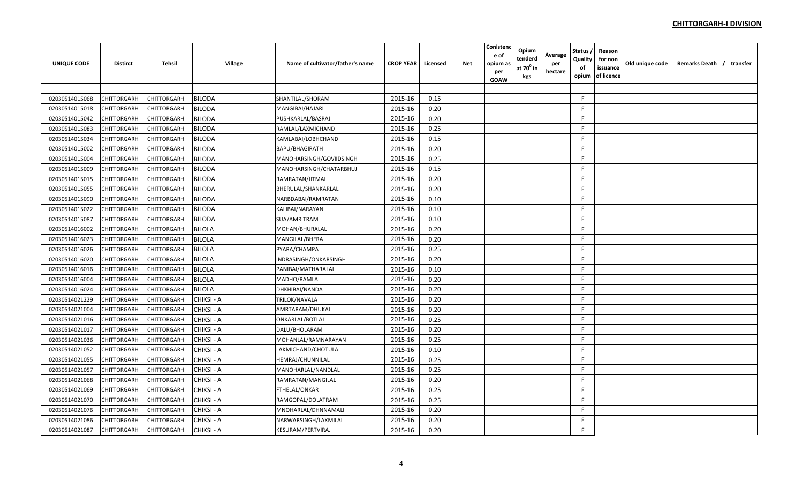| <b>UNIQUE CODE</b> | <b>Distirct</b> | <b>Tehsil</b> | Village       | Name of cultivator/father's name | <b>CROP YEAR</b> | Licensed | <b>Net</b> | Conistenc<br>e of<br>opium as<br>per<br><b>GOAW</b> | Opium<br>tenderd<br>at 70 <sup>°</sup> in<br>kgs | Average<br>per<br>hectare | Status<br>Quality<br>of<br>opium | Reason<br>for non<br>issuance<br>of licence | Old unique code | Remarks Death / transfer |
|--------------------|-----------------|---------------|---------------|----------------------------------|------------------|----------|------------|-----------------------------------------------------|--------------------------------------------------|---------------------------|----------------------------------|---------------------------------------------|-----------------|--------------------------|
|                    |                 |               |               |                                  |                  |          |            |                                                     |                                                  |                           |                                  |                                             |                 |                          |
| 02030514015068     | CHITTORGARH     | CHITTORGARH   | <b>BILODA</b> | SHANTILAL/SHORAM                 | 2015-16          | 0.15     |            |                                                     |                                                  |                           | E                                |                                             |                 |                          |
| 02030514015018     | CHITTORGARH     | CHITTORGARH   | <b>BILODA</b> | MANGIBAI/HAJARI                  | 2015-16          | 0.20     |            |                                                     |                                                  |                           | F.                               |                                             |                 |                          |
| 02030514015042     | CHITTORGARH     | CHITTORGARH   | <b>BILODA</b> | PUSHKARLAL/BASRAJ                | 2015-16          | 0.20     |            |                                                     |                                                  |                           | F.                               |                                             |                 |                          |
| 02030514015083     | CHITTORGARH     | CHITTORGARH   | <b>BILODA</b> | RAMLAL/LAXMICHAND                | 2015-16          | 0.25     |            |                                                     |                                                  |                           | F                                |                                             |                 |                          |
| 02030514015034     | CHITTORGARH     | CHITTORGARH   | <b>BILODA</b> | KAMLABAI/LOBHCHAND               | 2015-16          | 0.15     |            |                                                     |                                                  |                           | E                                |                                             |                 |                          |
| 02030514015002     | CHITTORGARH     | CHITTORGARH   | <b>BILODA</b> | BAPU/BHAGIRATH                   | 2015-16          | 0.20     |            |                                                     |                                                  |                           | F.                               |                                             |                 |                          |
| 02030514015004     | CHITTORGARH     | CHITTORGARH   | <b>BILODA</b> | MANOHARSINGH/GOVIIDSINGH         | 2015-16          | 0.25     |            |                                                     |                                                  |                           | E                                |                                             |                 |                          |
| 02030514015009     | CHITTORGARH     | CHITTORGARH   | <b>BILODA</b> | MANOHARSINGH/CHATARBHUJ          | 2015-16          | 0.15     |            |                                                     |                                                  |                           | F.                               |                                             |                 |                          |
| 02030514015015     | CHITTORGARH     | CHITTORGARH   | <b>BILODA</b> | RAMRATAN/JITMAL                  | 2015-16          | 0.20     |            |                                                     |                                                  |                           | E                                |                                             |                 |                          |
| 02030514015055     | CHITTORGARH     | CHITTORGARH   | <b>BILODA</b> | BHERULAL/SHANKARLAL              | 2015-16          | 0.20     |            |                                                     |                                                  |                           | E                                |                                             |                 |                          |
| 02030514015090     | CHITTORGARH     | CHITTORGARH   | <b>BILODA</b> | NARBDABAI/RAMRATAN               | 2015-16          | 0.10     |            |                                                     |                                                  |                           | F                                |                                             |                 |                          |
| 02030514015022     | CHITTORGARH     | CHITTORGARH   | <b>BILODA</b> | KALIBAI/NARAYAN                  | 2015-16          | 0.10     |            |                                                     |                                                  |                           | E                                |                                             |                 |                          |
| 02030514015087     | CHITTORGARH     | CHITTORGARH   | <b>BILODA</b> | SUA/AMRITRAM                     | 2015-16          | 0.10     |            |                                                     |                                                  |                           | F                                |                                             |                 |                          |
| 02030514016002     | CHITTORGARH     | CHITTORGARH   | <b>BILOLA</b> | MOHAN/BHURALAL                   | 2015-16          | 0.20     |            |                                                     |                                                  |                           | F.                               |                                             |                 |                          |
| 02030514016023     | CHITTORGARH     | CHITTORGARH   | <b>BILOLA</b> | MANGILAL/BHERA                   | 2015-16          | 0.20     |            |                                                     |                                                  |                           | F                                |                                             |                 |                          |
| 02030514016026     | CHITTORGARH     | CHITTORGARH   | <b>BILOLA</b> | PYARA/CHAMPA                     | 2015-16          | 0.25     |            |                                                     |                                                  |                           | F                                |                                             |                 |                          |
| 02030514016020     | CHITTORGARH     | CHITTORGARH   | <b>BILOLA</b> | INDRASINGH/ONKARSINGH            | 2015-16          | 0.20     |            |                                                     |                                                  |                           | F                                |                                             |                 |                          |
| 02030514016016     | CHITTORGARH     | CHITTORGARH   | <b>BILOLA</b> | PANIBAI/MATHARALAL               | 2015-16          | 0.10     |            |                                                     |                                                  |                           | F                                |                                             |                 |                          |
| 02030514016004     | CHITTORGARH     | CHITTORGARH   | <b>BILOLA</b> | MADHO/RAMLAL                     | 2015-16          | 0.20     |            |                                                     |                                                  |                           | E                                |                                             |                 |                          |
| 02030514016024     | CHITTORGARH     | CHITTORGARH   | <b>BILOLA</b> | DHKHIBAI/NANDA                   | 2015-16          | 0.20     |            |                                                     |                                                  |                           | F                                |                                             |                 |                          |
| 02030514021229     | CHITTORGARH     | CHITTORGARH   | CHIKSI - A    | TRILOK/NAVALA                    | 2015-16          | 0.20     |            |                                                     |                                                  |                           | F                                |                                             |                 |                          |
| 02030514021004     | CHITTORGARH     | CHITTORGARH   | CHIKSI - A    | AMRTARAM/DHUKAL                  | 2015-16          | 0.20     |            |                                                     |                                                  |                           | F.                               |                                             |                 |                          |
| 02030514021016     | CHITTORGARH     | CHITTORGARH   | CHIKSI - A    | ONKARLAL/BOTLAL                  | 2015-16          | 0.25     |            |                                                     |                                                  |                           | E                                |                                             |                 |                          |
| 02030514021017     | CHITTORGARH     | CHITTORGARH   | CHIKSI - A    | DALU/BHOLARAM                    | 2015-16          | 0.20     |            |                                                     |                                                  |                           | E                                |                                             |                 |                          |
| 02030514021036     | CHITTORGARH     | CHITTORGARH   | CHIKSI - A    | MOHANLAL/RAMNARAYAN              | 2015-16          | 0.25     |            |                                                     |                                                  |                           | F.                               |                                             |                 |                          |
| 02030514021052     | CHITTORGARH     | CHITTORGARH   | CHIKSI - A    | LAKMICHAND/CHOTULAL              | 2015-16          | 0.10     |            |                                                     |                                                  |                           | F.                               |                                             |                 |                          |
| 02030514021055     | CHITTORGARH     | CHITTORGARH   | CHIKSI - A    | HEMRAJ/CHUNNILAL                 | 2015-16          | 0.25     |            |                                                     |                                                  |                           | F                                |                                             |                 |                          |
| 02030514021057     | CHITTORGARH     | CHITTORGARH   | CHIKSI - A    | MANOHARLAL/NANDLAL               | 2015-16          | 0.25     |            |                                                     |                                                  |                           | F.                               |                                             |                 |                          |
| 02030514021068     | CHITTORGARH     | CHITTORGARH   | CHIKSI - A    | RAMRATAN/MANGILAL                | 2015-16          | 0.20     |            |                                                     |                                                  |                           | F.                               |                                             |                 |                          |
| 02030514021069     | CHITTORGARH     | CHITTORGARH   | CHIKSI - A    | FTHELAL/ONKAR                    | 2015-16          | 0.25     |            |                                                     |                                                  |                           | F.                               |                                             |                 |                          |
| 02030514021070     | CHITTORGARH     | CHITTORGARH   | CHIKSI - A    | RAMGOPAL/DOLATRAM                | 2015-16          | 0.25     |            |                                                     |                                                  |                           | F.                               |                                             |                 |                          |
| 02030514021076     | CHITTORGARH     | CHITTORGARH   | CHIKSI - A    | MNOHARLAL/DHNNAMALI              | 2015-16          | 0.20     |            |                                                     |                                                  |                           | F                                |                                             |                 |                          |
| 02030514021086     | CHITTORGARH     | CHITTORGARH   | CHIKSI - A    | NARWARSINGH/LAXMILAL             | 2015-16          | 0.20     |            |                                                     |                                                  |                           | F                                |                                             |                 |                          |
| 02030514021087     | CHITTORGARH     | CHITTORGARH   | CHIKSI - A    | KESURAM/PERTVIRAJ                | 2015-16          | 0.20     |            |                                                     |                                                  |                           | F                                |                                             |                 |                          |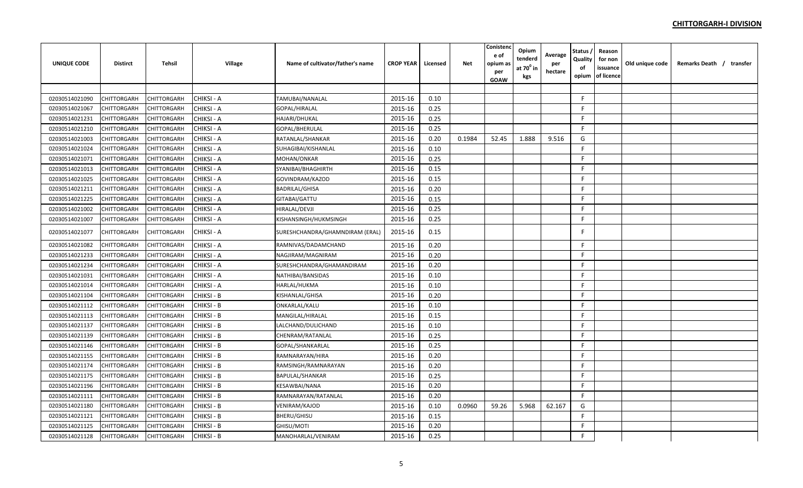| <b>UNIQUE CODE</b> | <b>Distirct</b> | <b>Tehsil</b> | Village           | Name of cultivator/father's name | <b>CROP YEAR</b> | Licensed | Net    | Conisten<br>e of<br>opium as<br>per | Opium<br>tenderd<br>at $70^0$ in | Average<br>per<br>hectare | Status<br>Quality<br>οf | Reason<br>for non<br>issuance<br>of licence | Old unique code | Remarks Death / transfer |
|--------------------|-----------------|---------------|-------------------|----------------------------------|------------------|----------|--------|-------------------------------------|----------------------------------|---------------------------|-------------------------|---------------------------------------------|-----------------|--------------------------|
|                    |                 |               |                   |                                  |                  |          |        | GOAW                                | kgs                              |                           | opium                   |                                             |                 |                          |
|                    |                 |               |                   |                                  |                  |          |        |                                     |                                  |                           |                         |                                             |                 |                          |
| 02030514021090     | CHITTORGARH     | CHITTORGARH   | CHIKSI - A        | TAMUBAI/NANALAL                  | 2015-16          | 0.10     |        |                                     |                                  |                           | F                       |                                             |                 |                          |
| 02030514021067     | CHITTORGARH     | CHITTORGARH   | CHIKSI - A        | GOPAL/HIRALAL                    | 2015-16          | 0.25     |        |                                     |                                  |                           | F.                      |                                             |                 |                          |
| 02030514021231     | CHITTORGARH     | CHITTORGARH   | CHIKSI - A        | HAJARI/DHUKAL                    | 2015-16          | 0.25     |        |                                     |                                  |                           | F.                      |                                             |                 |                          |
| 02030514021210     | CHITTORGARH     | CHITTORGARH   | CHIKSI - A        | GOPAL/BHERULAL                   | 2015-16          | 0.25     |        |                                     |                                  |                           | F.                      |                                             |                 |                          |
| 02030514021003     | CHITTORGARH     | CHITTORGARH   | CHIKSI - A        | RATANLAL/SHANKAR                 | 2015-16          | 0.20     | 0.1984 | 52.45                               | 1.888                            | 9.516                     | G                       |                                             |                 |                          |
| 02030514021024     | CHITTORGARH     | CHITTORGARH   | CHIKSI - A        | SUHAGIBAI/KISHANLAL              | 2015-16          | 0.10     |        |                                     |                                  |                           | F.                      |                                             |                 |                          |
| 02030514021071     | CHITTORGARH     | CHITTORGARH   | CHIKSI - A        | MOHAN/ONKAR                      | 2015-16          | 0.25     |        |                                     |                                  |                           | F                       |                                             |                 |                          |
| 02030514021013     | CHITTORGARH     | CHITTORGARH   | CHIKSI - A        | SYANIBAI/BHAGHIRTH               | 2015-16          | 0.15     |        |                                     |                                  |                           | F                       |                                             |                 |                          |
| 02030514021025     | CHITTORGARH     | CHITTORGARH   | CHIKSI - A        | GOVINDRAM/KAZOD                  | 2015-16          | 0.15     |        |                                     |                                  |                           | F                       |                                             |                 |                          |
| 02030514021211     | CHITTORGARH     | CHITTORGARH   | CHIKSI - A        | <b>BADRILAL/GHISA</b>            | 2015-16          | 0.20     |        |                                     |                                  |                           | F.                      |                                             |                 |                          |
| 02030514021225     | CHITTORGARH     | CHITTORGARH   | CHIKSI - A        | GITABAI/GATTU                    | 2015-16          | 0.15     |        |                                     |                                  |                           | F                       |                                             |                 |                          |
| 02030514021002     | CHITTORGARH     | CHITTORGARH   | CHIKSI - A        | HIRALAL/DEVJI                    | 2015-16          | 0.25     |        |                                     |                                  |                           | F                       |                                             |                 |                          |
| 02030514021007     | CHITTORGARH     | CHITTORGARH   | CHIKSI - A        | KISHANSINGH/HUKMSINGH            | 2015-16          | 0.25     |        |                                     |                                  |                           | F.                      |                                             |                 |                          |
| 02030514021077     | CHITTORGARH     | CHITTORGARH   | CHIKSI - A        | SURESHCHANDRA/GHAMNDIRAM (ERAL)  | 2015-16          | 0.15     |        |                                     |                                  |                           | F                       |                                             |                 |                          |
| 02030514021082     | CHITTORGARH     | CHITTORGARH   | CHIKSI - A        | RAMNIVAS/DADAMCHAND              | 2015-16          | 0.20     |        |                                     |                                  |                           | F.                      |                                             |                 |                          |
| 02030514021233     | CHITTORGARH     | CHITTORGARH   | CHIKSI - A        | NAGJIRAM/MAGNIRAM                | 2015-16          | 0.20     |        |                                     |                                  |                           | F.                      |                                             |                 |                          |
| 02030514021234     | CHITTORGARH     | CHITTORGARH   | CHIKSI - A        | SURESHCHANDRA/GHAMANDIRAM        | 2015-16          | 0.20     |        |                                     |                                  |                           | F.                      |                                             |                 |                          |
| 02030514021031     | CHITTORGARH     | CHITTORGARH   | CHIKSI - A        | NATHIBAI/BANSIDAS                | 2015-16          | 0.10     |        |                                     |                                  |                           | F.                      |                                             |                 |                          |
| 02030514021014     | CHITTORGARH     | CHITTORGARH   | CHIKSI - A        | HARLAL/HUKMA                     | 2015-16          | 0.10     |        |                                     |                                  |                           | F                       |                                             |                 |                          |
| 02030514021104     | CHITTORGARH     | CHITTORGARH   | CHIKSI - B        | KISHANLAL/GHISA                  | 2015-16          | 0.20     |        |                                     |                                  |                           | F.                      |                                             |                 |                          |
| 02030514021112     | CHITTORGARH     | CHITTORGARH   | CHIKSI - B        | ONKARLAL/KALU                    | 2015-16          | 0.10     |        |                                     |                                  |                           | F                       |                                             |                 |                          |
| 02030514021113     | CHITTORGARH     | CHITTORGARH   | CHIKSI - B        | MANGILAL/HIRALAL                 | 2015-16          | 0.15     |        |                                     |                                  |                           | F.                      |                                             |                 |                          |
| 02030514021137     | CHITTORGARH     | CHITTORGARH   | <b>CHIKSI - B</b> | LALCHAND/DULICHAND               | 2015-16          | 0.10     |        |                                     |                                  |                           | F                       |                                             |                 |                          |
| 02030514021139     | CHITTORGARH     | CHITTORGARH   | CHIKSI - B        | CHENRAM/RATANLAL                 | 2015-16          | 0.25     |        |                                     |                                  |                           | F                       |                                             |                 |                          |
| 02030514021146     | CHITTORGARH     | CHITTORGARH   | CHIKSI - B        | GOPAL/SHANKARLAL                 | 2015-16          | 0.25     |        |                                     |                                  |                           | F                       |                                             |                 |                          |
| 02030514021155     | CHITTORGARH     | CHITTORGARH   | CHIKSI - B        | RAMNARAYAN/HIRA                  | 2015-16          | 0.20     |        |                                     |                                  |                           | F.                      |                                             |                 |                          |
| 02030514021174     | CHITTORGARH     | CHITTORGARH   | CHIKSI - B        | RAMSINGH/RAMNARAYAN              | 2015-16          | 0.20     |        |                                     |                                  |                           | F.                      |                                             |                 |                          |
| 02030514021175     | CHITTORGARH     | CHITTORGARH   | CHIKSI - B        | BAPULAL/SHANKAR                  | 2015-16          | 0.25     |        |                                     |                                  |                           | F.                      |                                             |                 |                          |
| 02030514021196     | CHITTORGARH     | CHITTORGARH   | CHIKSI - B        | KESAWBAI/NANA                    | 2015-16          | 0.20     |        |                                     |                                  |                           | F                       |                                             |                 |                          |
| 02030514021111     | CHITTORGARH     | CHITTORGARH   | CHIKSI - B        | RAMNARAYAN/RATANLAL              | 2015-16          | 0.20     |        |                                     |                                  |                           | F.                      |                                             |                 |                          |
| 02030514021180     | CHITTORGARH     | CHITTORGARH   | CHIKSI - B        | VENIRAM/KAJOD                    | 2015-16          | 0.10     | 0.0960 | 59.26                               | 5.968                            | 62.167                    | G                       |                                             |                 |                          |
| 02030514021121     | CHITTORGARH     | CHITTORGARH   | CHIKSI - B        | BHERU/GHISU                      | 2015-16          | 0.15     |        |                                     |                                  |                           | F.                      |                                             |                 |                          |
| 02030514021125     | CHITTORGARH     | CHITTORGARH   | CHIKSI - B        | GHISU/MOTI                       | 2015-16          | 0.20     |        |                                     |                                  |                           | F.                      |                                             |                 |                          |
| 02030514021128     | CHITTORGARH     | CHITTORGARH   | CHIKSI - B        | MANOHARLAL/VENIRAM               | 2015-16          | 0.25     |        |                                     |                                  |                           | F                       |                                             |                 |                          |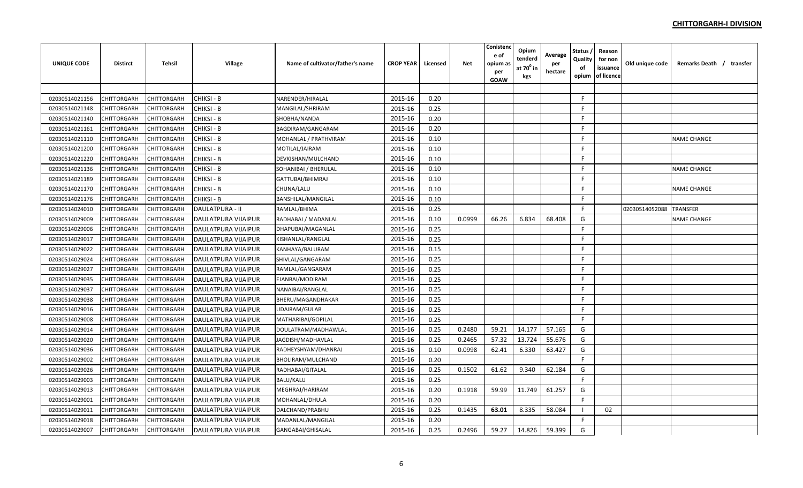| <b>UNIQUE CODE</b> | <b>Distirct</b>    | <b>Tehsil</b>      | <b>Village</b>             | Name of cultivator/father's name | <b>CROP YEAR</b> | Licensed | <b>Net</b> | Conistenc<br>e of<br>opium as<br>per<br><b>GOAW</b> | Opium<br>tenderd<br>at $70^0$ in<br>kgs | Average<br>per<br>hectare | Status<br>Quality<br>of<br>opium | Reason<br>for non<br>issuance<br>of licence | Old unique code | Remarks Death / transfer |  |
|--------------------|--------------------|--------------------|----------------------------|----------------------------------|------------------|----------|------------|-----------------------------------------------------|-----------------------------------------|---------------------------|----------------------------------|---------------------------------------------|-----------------|--------------------------|--|
|                    |                    |                    |                            |                                  |                  |          |            |                                                     |                                         |                           |                                  |                                             |                 |                          |  |
| 02030514021156     | CHITTORGARH        | <b>CHITTORGARH</b> | CHIKSI - B                 | NARENDER/HIRALAL                 | 2015-16          | 0.20     |            |                                                     |                                         |                           | $\mathsf{F}$                     |                                             |                 |                          |  |
| 02030514021148     | CHITTORGARH        | CHITTORGARH        | CHIKSI - B                 | MANGILAL/SHRIRAM                 | 2015-16          | 0.25     |            |                                                     |                                         |                           | F.                               |                                             |                 |                          |  |
| 02030514021140     | CHITTORGARH        | <b>CHITTORGARH</b> | <b>CHIKSI - B</b>          | SHOBHA/NANDA                     | 2015-16          | 0.20     |            |                                                     |                                         |                           | F                                |                                             |                 |                          |  |
| 02030514021161     | CHITTORGARH        | CHITTORGARH        | CHIKSI - B                 | BAGDIRAM/GANGARAM                | 2015-16          | 0.20     |            |                                                     |                                         |                           | F                                |                                             |                 |                          |  |
| 02030514021110     | CHITTORGARH        | <b>CHITTORGARH</b> | CHIKSI - B                 | MOHANLAL / PRATHVIRAM            | 2015-16          | 0.10     |            |                                                     |                                         |                           | F                                |                                             |                 | <b>NAME CHANGE</b>       |  |
| 02030514021200     | CHITTORGARH        | CHITTORGARH        | CHIKSI - B                 | MOTILAL/JAIRAM                   | 2015-16          | 0.10     |            |                                                     |                                         |                           | F.                               |                                             |                 |                          |  |
| 02030514021220     | CHITTORGARH        | CHITTORGARH        | CHIKSI - B                 | DEVKISHAN/MULCHAND               | 2015-16          | 0.10     |            |                                                     |                                         |                           | E                                |                                             |                 |                          |  |
| 02030514021136     | CHITTORGARH        | <b>CHITTORGARH</b> | CHIKSI - B                 | SOHANIBAI / BHERULAL             | 2015-16          | 0.10     |            |                                                     |                                         |                           | E                                |                                             |                 | <b>NAME CHANGE</b>       |  |
| 02030514021189     | CHITTORGARH        | <b>CHITTORGARH</b> | CHIKSI - B                 | GATTUBAI/BHIMRAJ                 | 2015-16          | 0.10     |            |                                                     |                                         |                           | F                                |                                             |                 |                          |  |
| 02030514021170     | CHITTORGARH        | <b>CHITTORGARH</b> | CHIKSI - B                 | CHUNA/LALU                       | 2015-16          | 0.10     |            |                                                     |                                         |                           | F.                               |                                             |                 | <b>NAME CHANGE</b>       |  |
| 02030514021176     | CHITTORGARH        | <b>CHITTORGARH</b> | CHIKSI - B                 | <b>BANSHILAL/MANGILAL</b>        | 2015-16          | 0.10     |            |                                                     |                                         |                           | F                                |                                             |                 |                          |  |
| 02030514024010     | CHITTORGARH        | <b>CHITTORGARH</b> | <b>DAULATPURA - II</b>     | RAMLAL/BHIMA                     | 2015-16          | 0.25     |            |                                                     |                                         |                           | E                                |                                             | 02030514052088  | <b>TRANSFER</b>          |  |
| 02030514029009     | CHITTORGARH        | CHITTORGARH        | <b>DAULATPURA VIJAIPUR</b> | RADHABAI / MADANLAL              | 2015-16          | 0.10     | 0.0999     | 66.26                                               | 6.834                                   | 68.408                    | G                                |                                             |                 | <b>NAME CHANGE</b>       |  |
| 02030514029006     | CHITTORGARH        | <b>CHITTORGARH</b> | <b>DAULATPURA VIJAIPUR</b> | DHAPUBAI/MAGANLAL                | 2015-16          | 0.25     |            |                                                     |                                         |                           | F                                |                                             |                 |                          |  |
| 02030514029017     | CHITTORGARH        | <b>CHITTORGARH</b> | <b>DAULATPURA VIJAIPUR</b> | KISHANLAL/RANGLAL                | 2015-16          | 0.25     |            |                                                     |                                         |                           | F.                               |                                             |                 |                          |  |
| 02030514029022     | CHITTORGARH        | CHITTORGARH        | <b>DAULATPURA VIJAIPUR</b> | KANHAYA/BALURAM                  | 2015-16          | 0.15     |            |                                                     |                                         |                           | F                                |                                             |                 |                          |  |
| 02030514029024     | CHITTORGARH        | <b>CHITTORGARH</b> | <b>DAULATPURA VIJAIPUR</b> | SHIVLAL/GANGARAM                 | 2015-16          | 0.25     |            |                                                     |                                         |                           | F.                               |                                             |                 |                          |  |
| 02030514029027     | CHITTORGARH        | CHITTORGARH        | DAULATPURA VIJAIPUR        | RAMLAL/GANGARAM                  | 2015-16          | 0.25     |            |                                                     |                                         |                           | F                                |                                             |                 |                          |  |
| 02030514029035     | CHITTORGARH        | CHITTORGARH        | DAULATPURA VIJAIPUR        | EJANBAI/MODIRAM                  | 2015-16          | 0.25     |            |                                                     |                                         |                           | E                                |                                             |                 |                          |  |
| 02030514029037     | CHITTORGARH        | CHITTORGARH        | DAULATPURA VIJAIPUR        | NANAIBAI/RANGLAL                 | 2015-16          | 0.25     |            |                                                     |                                         |                           | F.                               |                                             |                 |                          |  |
| 02030514029038     | CHITTORGARH        | <b>CHITTORGARH</b> | <b>DAULATPURA VIJAIPUR</b> | BHERU/MAGANDHAKAR                | 2015-16          | 0.25     |            |                                                     |                                         |                           | F                                |                                             |                 |                          |  |
| 02030514029016     | CHITTORGARH        | CHITTORGARH        | <b>DAULATPURA VIJAIPUR</b> | <b>UDAIRAM/GULAB</b>             | 2015-16          | 0.25     |            |                                                     |                                         |                           | F                                |                                             |                 |                          |  |
| 02030514029008     | CHITTORGARH        | <b>CHITTORGARH</b> | DAULATPURA VIJAIPUR        | MATHARIBAI/GOPILAL               | 2015-16          | 0.25     |            |                                                     |                                         |                           | F.                               |                                             |                 |                          |  |
| 02030514029014     | CHITTORGARH        | <b>CHITTORGARH</b> | <b>DAULATPURA VIJAIPUR</b> | DOULATRAM/MADHAWLAL              | 2015-16          | 0.25     | 0.2480     | 59.21                                               | 14.177                                  | 57.165                    | G                                |                                             |                 |                          |  |
| 02030514029020     | CHITTORGARH        | CHITTORGARH        | DAULATPURA VIJAIPUR        | JAGDISH/MADHAVLAL                | 2015-16          | 0.25     | 0.2465     | 57.32                                               | 13.724                                  | 55.676                    | G                                |                                             |                 |                          |  |
| 02030514029036     | CHITTORGARH        | CHITTORGARH        | <b>DAULATPURA VIJAIPUR</b> | RADHEYSHYAM/DHANRAJ              | 2015-16          | 0.10     | 0.0998     | 62.41                                               | 6.330                                   | 63.427                    | G                                |                                             |                 |                          |  |
| 02030514029002     | CHITTORGARH        | CHITTORGARH        | <b>DAULATPURA VIJAIPUR</b> | BHOLIRAM/MULCHAND                | 2015-16          | 0.20     |            |                                                     |                                         |                           | F                                |                                             |                 |                          |  |
| 02030514029026     | CHITTORGARH        | CHITTORGARH        | <b>DAULATPURA VIJAIPUR</b> | RADHABAI/GITALAL                 | 2015-16          | 0.25     | 0.1502     | 61.62                                               | 9.340                                   | 62.184                    | G                                |                                             |                 |                          |  |
| 02030514029003     | <b>CHITTORGARH</b> | <b>CHITTORGARH</b> | <b>DAULATPURA VIJAIPUR</b> | BALU/KALU                        | 2015-16          | 0.25     |            |                                                     |                                         |                           | F.                               |                                             |                 |                          |  |
| 02030514029013     | CHITTORGARH        | CHITTORGARH        | DAULATPURA VIJAIPUR        | MEGHRAJ/HARIRAM                  | 2015-16          | 0.20     | 0.1918     | 59.99                                               | 11.749                                  | 61.257                    | G                                |                                             |                 |                          |  |
| 02030514029001     | CHITTORGARH        | <b>CHITTORGARH</b> | DAULATPURA VIJAIPUR        | MOHANLAL/DHULA                   | 2015-16          | 0.20     |            |                                                     |                                         |                           | F.                               |                                             |                 |                          |  |
| 02030514029011     | CHITTORGARH        | <b>CHITTORGARH</b> | DAULATPURA VIJAIPUR        | DALCHAND/PRABHU                  | 2015-16          | 0.25     | 0.1435     | 63.01                                               | 8.335                                   | 58.084                    |                                  | 02                                          |                 |                          |  |
| 02030514029018     | CHITTORGARH        | CHITTORGARH        | DAULATPURA VIJAIPUR        | MADANLAL/MANGILAL                | 2015-16          | 0.20     |            |                                                     |                                         |                           | E                                |                                             |                 |                          |  |
| 02030514029007     | <b>CHITTORGARH</b> | <b>CHITTORGARH</b> | DAULATPURA VIJAIPUR        | GANGABAI/GHISALAL                | 2015-16          | 0.25     | 0.2496     | 59.27                                               | 14.826                                  | 59.399                    | G                                |                                             |                 |                          |  |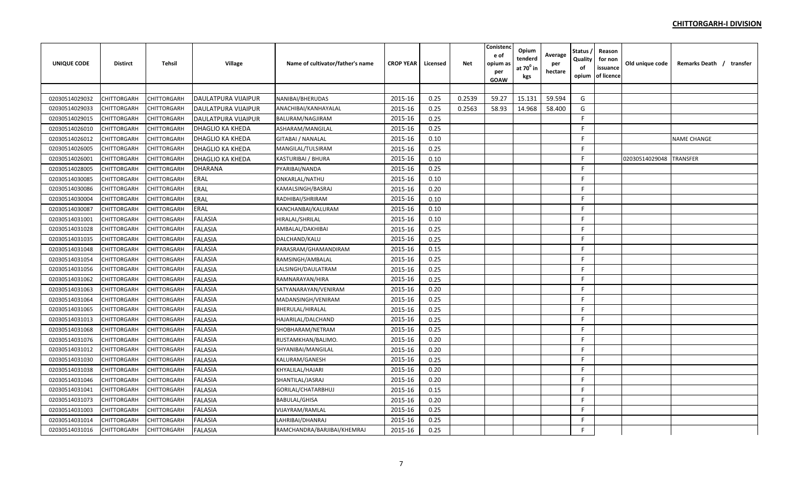| <b>UNIQUE CODE</b> | <b>Distirct</b>    | <b>Tehsil</b> | Village             | Name of cultivator/father's name | <b>CROP YEAR</b> | Licensed | Net    | Conistenc<br>e of<br>opium a:<br>per<br>GOAW | Opium<br>tenderd<br>at $70^0$ in<br>kgs | Average<br>per<br>hectare | Status<br>Quality<br>of<br>opium | Reason<br>for non<br>issuance<br>of licence | Old unique code | Remarks Death / transfer |  |
|--------------------|--------------------|---------------|---------------------|----------------------------------|------------------|----------|--------|----------------------------------------------|-----------------------------------------|---------------------------|----------------------------------|---------------------------------------------|-----------------|--------------------------|--|
|                    |                    |               |                     |                                  |                  |          |        |                                              |                                         |                           |                                  |                                             |                 |                          |  |
| 02030514029032     | CHITTORGARH        | CHITTORGARH   | DAULATPURA VIJAIPUR | NANIBAI/BHERUDAS                 | 2015-16          | 0.25     | 0.2539 | 59.27                                        | 15.131                                  | 59.594                    | G                                |                                             |                 |                          |  |
| 02030514029033     | CHITTORGARH        | CHITTORGARH   | DAULATPURA VIJAIPUR | ANACHIBAI/KANHAYALAL             | 2015-16          | 0.25     | 0.2563 | 58.93                                        | 14.968                                  | 58.400                    | G                                |                                             |                 |                          |  |
| 02030514029015     | CHITTORGARH        | CHITTORGARH   | DAULATPURA VIJAIPUR | BALURAM/NAGJIRAM                 | 2015-16          | 0.25     |        |                                              |                                         |                           | F                                |                                             |                 |                          |  |
| 02030514026010     | CHITTORGARH        | CHITTORGARH   | DHAGLIO KA KHEDA    | ASHARAM/MANGILAL                 | 2015-16          | 0.25     |        |                                              |                                         |                           | F                                |                                             |                 |                          |  |
| 02030514026012     | CHITTORGARH        | CHITTORGARH   | DHAGLIO KA KHEDA    | <b>GITABAI / NANALAL</b>         | 2015-16          | 0.10     |        |                                              |                                         |                           | F.                               |                                             |                 | <b>NAME CHANGE</b>       |  |
| 02030514026005     | CHITTORGARH        | CHITTORGARH   | DHAGLIO KA KHEDA    | MANGILAL/TULSIRAM                | 2015-16          | 0.25     |        |                                              |                                         |                           | F.                               |                                             |                 |                          |  |
| 02030514026001     | CHITTORGARH        | CHITTORGARH   | DHAGLIO KA KHEDA    | KASTURIBAI / BHURA               | 2015-16          | 0.10     |        |                                              |                                         |                           | F                                |                                             | 02030514029048  | <b>TRANSFER</b>          |  |
| 02030514028005     | CHITTORGARH        | CHITTORGARH   | <b>DHARANA</b>      | PYARIBAI/NANDA                   | 2015-16          | 0.25     |        |                                              |                                         |                           | F                                |                                             |                 |                          |  |
| 02030514030085     | CHITTORGARH        | CHITTORGARH   | <b>ERAL</b>         | ONKARLAL/NATHU                   | 2015-16          | 0.10     |        |                                              |                                         |                           | F                                |                                             |                 |                          |  |
| 02030514030086     | CHITTORGARH        | CHITTORGARH   | ERAL                | KAMALSINGH/BASRAJ                | 2015-16          | 0.20     |        |                                              |                                         |                           | F                                |                                             |                 |                          |  |
| 02030514030004     | CHITTORGARH        | CHITTORGARH   | <b>ERAL</b>         | RADHIBAI/SHRIRAM                 | 2015-16          | 0.10     |        |                                              |                                         |                           | F.                               |                                             |                 |                          |  |
| 02030514030087     | CHITTORGARH        | CHITTORGARH   | <b>ERAL</b>         | KANCHANBAI/KALURAM               | 2015-16          | 0.10     |        |                                              |                                         |                           | F                                |                                             |                 |                          |  |
| 02030514031001     | CHITTORGARH        | CHITTORGARH   | <b>FALASIA</b>      | HIRALAL/SHRILAL                  | 2015-16          | 0.10     |        |                                              |                                         |                           | F                                |                                             |                 |                          |  |
| 02030514031028     | CHITTORGARH        | CHITTORGARH   | <b>FALASIA</b>      | AMBALAL/DAKHIBAI                 | 2015-16          | 0.25     |        |                                              |                                         |                           | F                                |                                             |                 |                          |  |
| 02030514031035     | CHITTORGARH        | CHITTORGARH   | <b>FALASIA</b>      | DALCHAND/KALU                    | 2015-16          | 0.25     |        |                                              |                                         |                           | F                                |                                             |                 |                          |  |
| 02030514031048     | CHITTORGARH        | CHITTORGARH   | <b>FALASIA</b>      | PARASRAM/GHAMANDIRAM             | 2015-16          | 0.15     |        |                                              |                                         |                           | F                                |                                             |                 |                          |  |
| 02030514031054     | CHITTORGARH        | CHITTORGARH   | <b>FALASIA</b>      | RAMSINGH/AMBALAL                 | 2015-16          | 0.25     |        |                                              |                                         |                           | F.                               |                                             |                 |                          |  |
| 02030514031056     | CHITTORGARH        | CHITTORGARH   | <b>FALASIA</b>      | LALSINGH/DAULATRAM               | 2015-16          | 0.25     |        |                                              |                                         |                           | F                                |                                             |                 |                          |  |
| 02030514031062     | CHITTORGARH        | CHITTORGARH   | <b>FALASIA</b>      | RAMNARAYAN/HIRA                  | 2015-16          | 0.25     |        |                                              |                                         |                           | F                                |                                             |                 |                          |  |
| 02030514031063     | CHITTORGARH        | CHITTORGARH   | <b>FALASIA</b>      | SATYANARAYAN/VENIRAM             | 2015-16          | 0.20     |        |                                              |                                         |                           | F                                |                                             |                 |                          |  |
| 02030514031064     | CHITTORGARH        | CHITTORGARH   | <b>FALASIA</b>      | MADANSINGH/VENIRAM               | 2015-16          | 0.25     |        |                                              |                                         |                           | F                                |                                             |                 |                          |  |
| 02030514031065     | CHITTORGARH        | CHITTORGARH   | <b>FALASIA</b>      | BHERULAL/HIRALAL                 | 2015-16          | 0.25     |        |                                              |                                         |                           | F                                |                                             |                 |                          |  |
| 02030514031013     | CHITTORGARH        | CHITTORGARH   | <b>FALASIA</b>      | HAJARILAL/DALCHAND               | 2015-16          | 0.25     |        |                                              |                                         |                           | F.                               |                                             |                 |                          |  |
| 02030514031068     | CHITTORGARH        | CHITTORGARH   | <b>FALASIA</b>      | SHOBHARAM/NETRAM                 | 2015-16          | 0.25     |        |                                              |                                         |                           | F                                |                                             |                 |                          |  |
| 02030514031076     | CHITTORGARH        | CHITTORGARH   | <b>FALASIA</b>      | RUSTAMKHAN/BALIMO.               | 2015-16          | 0.20     |        |                                              |                                         |                           | F                                |                                             |                 |                          |  |
| 02030514031012     | CHITTORGARH        | CHITTORGARH   | <b>FALASIA</b>      | SHYANIBAI/MANGILAL               | 2015-16          | 0.20     |        |                                              |                                         |                           | F                                |                                             |                 |                          |  |
| 02030514031030     | CHITTORGARH        | CHITTORGARH   | <b>FALASIA</b>      | KALURAM/GANESH                   | 2015-16          | 0.25     |        |                                              |                                         |                           | F                                |                                             |                 |                          |  |
| 02030514031038     | CHITTORGARH        | CHITTORGARH   | <b>FALASIA</b>      | KHYALILAL/HAJARI                 | 2015-16          | 0.20     |        |                                              |                                         |                           | F.                               |                                             |                 |                          |  |
| 02030514031046     | CHITTORGARH        | CHITTORGARH   | <b>FALASIA</b>      | SHANTILAL/JASRAJ                 | 2015-16          | 0.20     |        |                                              |                                         |                           | F.                               |                                             |                 |                          |  |
| 02030514031041     | CHITTORGARH        | CHITTORGARH   | <b>FALASIA</b>      | GORILAL/CHATARBHUJ               | 2015-16          | 0.15     |        |                                              |                                         |                           | F                                |                                             |                 |                          |  |
| 02030514031073     | CHITTORGARH        | CHITTORGARH   | <b>FALASIA</b>      | BABULAL/GHISA                    | 2015-16          | 0.20     |        |                                              |                                         |                           | Е                                |                                             |                 |                          |  |
| 02030514031003     | CHITTORGARH        | CHITTORGARH   | <b>FALASIA</b>      | VIJAYRAM/RAMLAL                  | 2015-16          | 0.25     |        |                                              |                                         |                           | F                                |                                             |                 |                          |  |
| 02030514031014     | CHITTORGARH        | CHITTORGARH   | <b>FALASIA</b>      | LAHRIBAI/DHANRAJ                 | 2015-16          | 0.25     |        |                                              |                                         |                           | F                                |                                             |                 |                          |  |
| 02030514031016     | <b>CHITTORGARH</b> | CHITTORGARH   | <b>FALASIA</b>      | RAMCHANDRA/BARJIBAI/KHEMRAJ      | 2015-16          | 0.25     |        |                                              |                                         |                           | F.                               |                                             |                 |                          |  |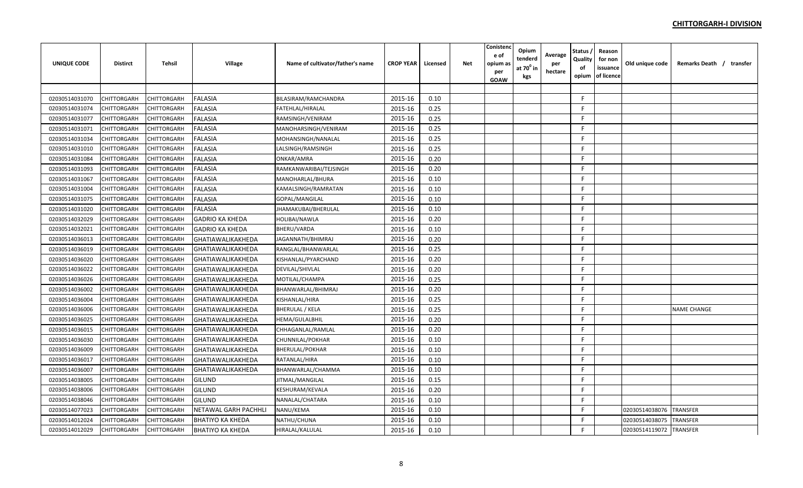| <b>UNIQUE CODE</b> | <b>Distirct</b>    | <b>Tehsil</b>      | Village                  | Name of cultivator/father's name | <b>CROP YEAR</b> | Licensed | <b>Net</b> | Conistenc<br>e of<br>opium as<br>per<br><b>GOAW</b> | Opium<br>tenderd<br>at 70º in<br>kgs | Average<br>per<br>hectare | Status ,<br>Quality<br>оf<br>opium | Reason<br>for non<br>issuance<br>of licence | Old unique code | Remarks Death / transfer |
|--------------------|--------------------|--------------------|--------------------------|----------------------------------|------------------|----------|------------|-----------------------------------------------------|--------------------------------------|---------------------------|------------------------------------|---------------------------------------------|-----------------|--------------------------|
|                    |                    |                    |                          |                                  |                  |          |            |                                                     |                                      |                           |                                    |                                             |                 |                          |
| 02030514031070     | <b>CHITTORGARH</b> | CHITTORGARH        | <b>FALASIA</b>           | BILASIRAM/RAMCHANDRA             | 2015-16          | 0.10     |            |                                                     |                                      |                           | F.                                 |                                             |                 |                          |
| 02030514031074     | <b>CHITTORGARH</b> | CHITTORGARH        | <b>FALASIA</b>           | FATEHLAL/HIRALAL                 | 2015-16          | 0.25     |            |                                                     |                                      |                           | F.                                 |                                             |                 |                          |
| 02030514031077     | <b>CHITTORGARH</b> | CHITTORGARH        | <b>FALASIA</b>           | RAMSINGH/VENIRAM                 | 2015-16          | 0.25     |            |                                                     |                                      |                           | F.                                 |                                             |                 |                          |
| 02030514031071     | <b>CHITTORGARH</b> | CHITTORGARH        | <b>FALASIA</b>           | MANOHARSINGH/VENIRAM             | 2015-16          | 0.25     |            |                                                     |                                      |                           | F.                                 |                                             |                 |                          |
| 02030514031034     | <b>CHITTORGARH</b> | CHITTORGARH        | <b>FALASIA</b>           | MOHANSINGH/NANALAL               | 2015-16          | 0.25     |            |                                                     |                                      |                           | F.                                 |                                             |                 |                          |
| 02030514031010     | <b>CHITTORGARH</b> | CHITTORGARH        | <b>FALASIA</b>           | LALSINGH/RAMSINGH                | 2015-16          | 0.25     |            |                                                     |                                      |                           | F.                                 |                                             |                 |                          |
| 02030514031084     | CHITTORGARH        | CHITTORGARH        | <b>FALASIA</b>           | ONKAR/AMRA                       | 2015-16          | 0.20     |            |                                                     |                                      |                           | F.                                 |                                             |                 |                          |
| 02030514031093     | <b>CHITTORGARH</b> | CHITTORGARH        | <b>FALASIA</b>           | RAMKANWARIBAI/TEJSINGH           | 2015-16          | 0.20     |            |                                                     |                                      |                           | F.                                 |                                             |                 |                          |
| 02030514031067     | <b>CHITTORGARH</b> | CHITTORGARH        | <b>FALASIA</b>           | MANOHARLAL/BHURA                 | 2015-16          | 0.10     |            |                                                     |                                      |                           | F.                                 |                                             |                 |                          |
| 02030514031004     | CHITTORGARH        | CHITTORGARH        | <b>FALASIA</b>           | KAMALSINGH/RAMRATAN              | 2015-16          | 0.10     |            |                                                     |                                      |                           | F.                                 |                                             |                 |                          |
| 02030514031075     | <b>CHITTORGARH</b> | CHITTORGARH        | <b>FALASIA</b>           | GOPAL/MANGILAL                   | 2015-16          | 0.10     |            |                                                     |                                      |                           | F.                                 |                                             |                 |                          |
| 02030514031020     | <b>CHITTORGARH</b> | CHITTORGARH        | <b>FALASIA</b>           | JHAMAKUBAI/BHERULAL              | 2015-16          | 0.10     |            |                                                     |                                      |                           | F                                  |                                             |                 |                          |
| 02030514032029     | <b>CHITTORGARH</b> | CHITTORGARH        | <b>GADRIO KA KHEDA</b>   | HOLIBAI/NAWLA                    | 2015-16          | 0.20     |            |                                                     |                                      |                           | F.                                 |                                             |                 |                          |
| 02030514032021     | <b>CHITTORGARH</b> | CHITTORGARH        | <b>GADRIO KA KHEDA</b>   | BHERU/VARDA                      | 2015-16          | 0.10     |            |                                                     |                                      |                           | F.                                 |                                             |                 |                          |
| 02030514036013     | CHITTORGARH        | CHITTORGARH        | GHATIAWALIKAKHEDA        | JAGANNATH/BHIMRAJ                | 2015-16          | 0.20     |            |                                                     |                                      |                           | F.                                 |                                             |                 |                          |
| 02030514036019     | <b>CHITTORGARH</b> | CHITTORGARH        | GHATIAWALIKAKHEDA        | RANGLAL/BHANWARLAL               | 2015-16          | 0.25     |            |                                                     |                                      |                           | F.                                 |                                             |                 |                          |
| 02030514036020     | <b>CHITTORGARH</b> | CHITTORGARH        | <b>GHATIAWALIKAKHEDA</b> | KISHANLAL/PYARCHAND              | 2015-16          | 0.20     |            |                                                     |                                      |                           | F.                                 |                                             |                 |                          |
| 02030514036022     | <b>CHITTORGARH</b> | CHITTORGARH        | GHATIAWALIKAKHEDA        | DEVILAL/SHIVLAL                  | 2015-16          | 0.20     |            |                                                     |                                      |                           | F.                                 |                                             |                 |                          |
| 02030514036026     | <b>CHITTORGARH</b> | CHITTORGARH        | GHATIAWALIKAKHEDA        | MOTILAL/CHAMPA                   | 2015-16          | 0.25     |            |                                                     |                                      |                           | F.                                 |                                             |                 |                          |
| 02030514036002     | <b>CHITTORGARH</b> | CHITTORGARH        | GHATIAWALIKAKHEDA        | BHANWARLAL/BHIMRAJ               | 2015-16          | 0.20     |            |                                                     |                                      |                           | F.                                 |                                             |                 |                          |
| 02030514036004     | CHITTORGARH        | CHITTORGARH        | <b>GHATIAWALIKAKHEDA</b> | KISHANLAL/HIRA                   | 2015-16          | 0.25     |            |                                                     |                                      |                           | F.                                 |                                             |                 |                          |
| 02030514036006     | <b>CHITTORGARH</b> | CHITTORGARH        | <b>GHATIAWALIKAKHEDA</b> | <b>BHERULAL / KELA</b>           | 2015-16          | 0.25     |            |                                                     |                                      |                           | F.                                 |                                             |                 | <b>NAME CHANGE</b>       |
| 02030514036025     | <b>CHITTORGARH</b> | CHITTORGARH        | <b>GHATIAWALIKAKHEDA</b> | HEMA/GULALBHIL                   | 2015-16          | 0.20     |            |                                                     |                                      |                           | F.                                 |                                             |                 |                          |
| 02030514036015     | <b>CHITTORGARH</b> | CHITTORGARH        | <b>GHATIAWALIKAKHEDA</b> | CHHAGANLAL/RAMLAL                | 2015-16          | 0.20     |            |                                                     |                                      |                           | F.                                 |                                             |                 |                          |
| 02030514036030     | <b>CHITTORGARH</b> | CHITTORGARH        | <b>GHATIAWALIKAKHEDA</b> | CHUNNILAL/POKHAR                 | 2015-16          | 0.10     |            |                                                     |                                      |                           | F.                                 |                                             |                 |                          |
| 02030514036009     | CHITTORGARH        | CHITTORGARH        | GHATIAWALIKAKHEDA        | BHERULAL/POKHAR                  | 2015-16          | 0.10     |            |                                                     |                                      |                           | F.                                 |                                             |                 |                          |
| 02030514036017     | <b>CHITTORGARH</b> | CHITTORGARH        | <b>GHATIAWALIKAKHEDA</b> | RATANLAL/HIRA                    | 2015-16          | 0.10     |            |                                                     |                                      |                           | F.                                 |                                             |                 |                          |
| 02030514036007     | <b>CHITTORGARH</b> | CHITTORGARH        | <b>GHATIAWALIKAKHEDA</b> | BHANWARLAL/CHAMMA                | 2015-16          | 0.10     |            |                                                     |                                      |                           | F.                                 |                                             |                 |                          |
| 02030514038005     | <b>CHITTORGARH</b> | CHITTORGARH        | GILUND                   | JITMAL/MANGILAL                  | 2015-16          | 0.15     |            |                                                     |                                      |                           | F.                                 |                                             |                 |                          |
| 02030514038006     | CHITTORGARH        | CHITTORGARH        | GILUND                   | KESHURAM/KEVALA                  | 2015-16          | 0.20     |            |                                                     |                                      |                           | F.                                 |                                             |                 |                          |
| 02030514038046     | <b>CHITTORGARH</b> | CHITTORGARH        | <b>GILUND</b>            | NANALAL/CHATARA                  | 2015-16          | 0.10     |            |                                                     |                                      |                           | F.                                 |                                             |                 |                          |
| 02030514077023     | CHITTORGARH        | CHITTORGARH        | NETAWAL GARH PACHHLI     | NANU/KEMA                        | 2015-16          | 0.10     |            |                                                     |                                      |                           | F.                                 |                                             | 02030514038076  | <b>TRANSFER</b>          |
| 02030514012024     | CHITTORGARH        | <b>CHITTORGARH</b> | <b>BHATIYO KA KHEDA</b>  | NATHU/CHUNA                      | 2015-16          | 0.10     |            |                                                     |                                      |                           | F.                                 |                                             | 02030514038075  | <b>TRANSFER</b>          |
| 02030514012029     | <b>CHITTORGARH</b> | <b>CHITTORGARH</b> | <b>BHATIYO KA KHEDA</b>  | HIRALAL/KALULAL                  | 2015-16          | 0.10     |            |                                                     |                                      |                           | F.                                 |                                             | 02030514119072  | <b>TRANSFER</b>          |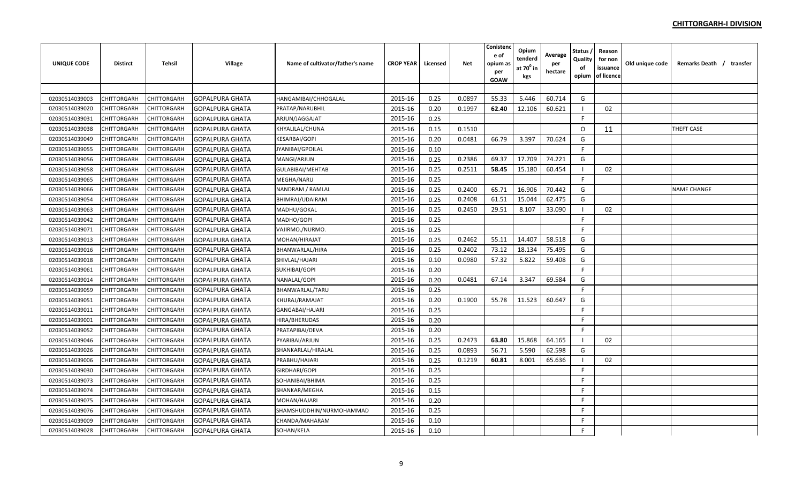| <b>UNIQUE CODE</b> | <b>Distirct</b>    | <b>Tehsil</b> | Village                | Name of cultivator/father's name | <b>CROP YEAR</b> | Licensed | <b>Net</b> | Conistenc<br>e of<br>opium as<br>per<br><b>GOAW</b> | Opium<br>tenderd<br>at 70º in<br>kgs | Average<br>per<br>hectare | Status /<br>Quality<br>оf<br>opium | Reason<br>for non<br>issuance<br>of licence | Old unique code | Remarks Death / transfer |
|--------------------|--------------------|---------------|------------------------|----------------------------------|------------------|----------|------------|-----------------------------------------------------|--------------------------------------|---------------------------|------------------------------------|---------------------------------------------|-----------------|--------------------------|
|                    |                    |               |                        |                                  |                  |          |            |                                                     |                                      |                           |                                    |                                             |                 |                          |
| 02030514039003     | <b>CHITTORGARH</b> | CHITTORGARH   | <b>GOPALPURA GHATA</b> | HANGAMIBAI/CHHOGALAL             | 2015-16          | 0.25     | 0.0897     | 55.33                                               | 5.446                                | 60.714                    | G                                  |                                             |                 |                          |
| 02030514039020     | CHITTORGARH        | CHITTORGARH   | <b>GOPALPURA GHATA</b> | PRATAP/NARUBHIL                  | 2015-16          | 0.20     | 0.1997     | 62.40                                               | 12.106                               | 60.621                    | - 1                                | 02                                          |                 |                          |
| 02030514039031     | CHITTORGARH        | CHITTORGARH   | <b>GOPALPURA GHATA</b> | ARJUN/JAGGAJAT                   | 2015-16          | 0.25     |            |                                                     |                                      |                           | E                                  |                                             |                 |                          |
| 02030514039038     | CHITTORGARH        | CHITTORGARH   | <b>GOPALPURA GHATA</b> | KHYALILAL/CHUNA                  | 2015-16          | 0.15     | 0.1510     |                                                     |                                      |                           | $\circ$                            | 11                                          |                 | THEFT CASE               |
| 02030514039049     | CHITTORGARH        | CHITTORGARH   | <b>GOPALPURA GHATA</b> | <b>KESARBAI/GOPI</b>             | 2015-16          | 0.20     | 0.0481     | 66.79                                               | 3.397                                | 70.624                    | G                                  |                                             |                 |                          |
| 02030514039055     | CHITTORGARH        | CHITTORGARH   | <b>GOPALPURA GHATA</b> | JYANIBAI/GPOILAL                 | 2015-16          | 0.10     |            |                                                     |                                      |                           | F                                  |                                             |                 |                          |
| 02030514039056     | CHITTORGARH        | CHITTORGARH   | <b>GOPALPURA GHATA</b> | MANGI/ARJUN                      | 2015-16          | 0.25     | 0.2386     | 69.37                                               | 17.709                               | 74.221                    | G                                  |                                             |                 |                          |
| 02030514039058     | CHITTORGARH        | CHITTORGARH   | <b>GOPALPURA GHATA</b> | GULABIBAI/MEHTAB                 | 2015-16          | 0.25     | 0.2511     | 58.45                                               | 15.180                               | 60.454                    |                                    | 02                                          |                 |                          |
| 02030514039065     | CHITTORGARH        | CHITTORGARH   | <b>GOPALPURA GHATA</b> | <b>MEGHA/NARU</b>                | 2015-16          | 0.25     |            |                                                     |                                      |                           | -F                                 |                                             |                 |                          |
| 02030514039066     | CHITTORGARH        | CHITTORGARH   | <b>GOPALPURA GHATA</b> | NANDRAM / RAMLAL                 | 2015-16          | 0.25     | 0.2400     | 65.71                                               | 16.906                               | 70.442                    | G                                  |                                             |                 | <b>NAME CHANGE</b>       |
| 02030514039054     | CHITTORGARH        | CHITTORGARH   | <b>GOPALPURA GHATA</b> | BHIMRAJ/UDAIRAM                  | 2015-16          | 0.25     | 0.2408     | 61.51                                               | 15.044                               | 62.475                    | G                                  |                                             |                 |                          |
| 02030514039063     | CHITTORGARH        | CHITTORGARH   | <b>GOPALPURA GHATA</b> | MADHU/GOKAL                      | 2015-16          | 0.25     | 0.2450     | 29.51                                               | 8.107                                | 33.090                    | - 1                                | 02                                          |                 |                          |
| 02030514039042     | CHITTORGARH        | CHITTORGARH   | <b>GOPALPURA GHATA</b> | MADHO/GOPI                       | 2015-16          | 0.25     |            |                                                     |                                      |                           | F.                                 |                                             |                 |                          |
| 02030514039071     | CHITTORGARH        | CHITTORGARH   | GOPALPURA GHATA        | VAJIRMO./NURMO.                  | 2015-16          | 0.25     |            |                                                     |                                      |                           | F                                  |                                             |                 |                          |
| 02030514039013     | CHITTORGARH        | CHITTORGARH   | <b>GOPALPURA GHATA</b> | MOHAN/HIRAJAT                    | 2015-16          | 0.25     | 0.2462     | 55.11                                               | 14.407                               | 58.518                    | G                                  |                                             |                 |                          |
| 02030514039016     | CHITTORGARH        | CHITTORGARH   | <b>GOPALPURA GHATA</b> | BHANWARLAL/HIRA                  | 2015-16          | 0.25     | 0.2402     | 73.12                                               | 18.134                               | 75.495                    | G                                  |                                             |                 |                          |
| 02030514039018     | CHITTORGARH        | CHITTORGARH   | <b>GOPALPURA GHATA</b> | SHIVLAL/HAJARI                   | 2015-16          | 0.10     | 0.0980     | 57.32                                               | 5.822                                | 59.408                    | G                                  |                                             |                 |                          |
| 02030514039061     | CHITTORGARH        | CHITTORGARH   | <b>GOPALPURA GHATA</b> | SUKHIBAI/GOPI                    | 2015-16          | 0.20     |            |                                                     |                                      |                           | F                                  |                                             |                 |                          |
| 02030514039014     | CHITTORGARH        | CHITTORGARH   | <b>GOPALPURA GHATA</b> | NANALAL/GOPI                     | 2015-16          | 0.20     | 0.0481     | 67.14                                               | 3.347                                | 69.584                    | G                                  |                                             |                 |                          |
| 02030514039059     | CHITTORGARH        | CHITTORGARH   | <b>GOPALPURA GHATA</b> | BHANWARLAL/TARU                  | 2015-16          | 0.25     |            |                                                     |                                      |                           | F.                                 |                                             |                 |                          |
| 02030514039051     | CHITTORGARH        | CHITTORGARH   | <b>GOPALPURA GHATA</b> | KHURAJ/RAMAJAT                   | 2015-16          | 0.20     | 0.1900     | 55.78                                               | 11.523                               | 60.647                    | G                                  |                                             |                 |                          |
| 02030514039011     | CHITTORGARH        | CHITTORGARH   | <b>GOPALPURA GHATA</b> | GANGABAI/HAJARI                  | 2015-16          | 0.25     |            |                                                     |                                      |                           | F                                  |                                             |                 |                          |
| 02030514039001     | CHITTORGARH        | CHITTORGARH   | <b>GOPALPURA GHATA</b> | <b>HIRA/BHERUDAS</b>             | 2015-16          | 0.20     |            |                                                     |                                      |                           | F                                  |                                             |                 |                          |
| 02030514039052     | CHITTORGARH        | CHITTORGARH   | <b>GOPALPURA GHATA</b> | PRATAPIBAI/DEVA                  | 2015-16          | 0.20     |            |                                                     |                                      |                           | F.                                 |                                             |                 |                          |
| 02030514039046     | CHITTORGARH        | CHITTORGARH   | <b>GOPALPURA GHATA</b> | PYARIBAI/ARJUN                   | 2015-16          | 0.25     | 0.2473     | 63.80                                               | 15.868                               | 64.165                    | - 1                                | 02                                          |                 |                          |
| 02030514039026     | CHITTORGARH        | CHITTORGARH   | <b>GOPALPURA GHATA</b> | SHANKARLAL/HIRALAL               | 2015-16          | 0.25     | 0.0893     | 56.71                                               | 5.590                                | 62.598                    | G                                  |                                             |                 |                          |
| 02030514039006     | CHITTORGARH        | CHITTORGARH   | <b>GOPALPURA GHATA</b> | PRABHU/HAJARI                    | 2015-16          | 0.25     | 0.1219     | 60.81                                               | 8.001                                | 65.636                    | - 1                                | 02                                          |                 |                          |
| 02030514039030     | CHITTORGARH        | CHITTORGARH   | <b>GOPALPURA GHATA</b> | GIRDHARI/GOPI                    | 2015-16          | 0.25     |            |                                                     |                                      |                           | -F                                 |                                             |                 |                          |
| 02030514039073     | CHITTORGARH        | CHITTORGARH   | <b>GOPALPURA GHATA</b> | SOHANIBAI/BHIMA                  | 2015-16          | 0.25     |            |                                                     |                                      |                           | -F                                 |                                             |                 |                          |
| 02030514039074     | CHITTORGARH        | CHITTORGARH   | <b>GOPALPURA GHATA</b> | SHANKAR/MEGHA                    | 2015-16          | 0.15     |            |                                                     |                                      |                           | F.                                 |                                             |                 |                          |
| 02030514039075     | CHITTORGARH        | CHITTORGARH   | <b>GOPALPURA GHATA</b> | MOHAN/HAJARI                     | 2015-16          | 0.20     |            |                                                     |                                      |                           | -F                                 |                                             |                 |                          |
| 02030514039076     | CHITTORGARH        | CHITTORGARH   | <b>GOPALPURA GHATA</b> | SHAMSHUDDHIN/NURMOHAMMAD         | 2015-16          | 0.25     |            |                                                     |                                      |                           | F.                                 |                                             |                 |                          |
| 02030514039009     | CHITTORGARH        | CHITTORGARH   | <b>GOPALPURA GHATA</b> | CHANDA/MAHARAM                   | 2015-16          | 0.10     |            |                                                     |                                      |                           | -F                                 |                                             |                 |                          |
| 02030514039028     | <b>CHITTORGARH</b> | CHITTORGARH   | <b>GOPALPURA GHATA</b> | SOHAN/KELA                       | 2015-16          | 0.10     |            |                                                     |                                      |                           | F                                  |                                             |                 |                          |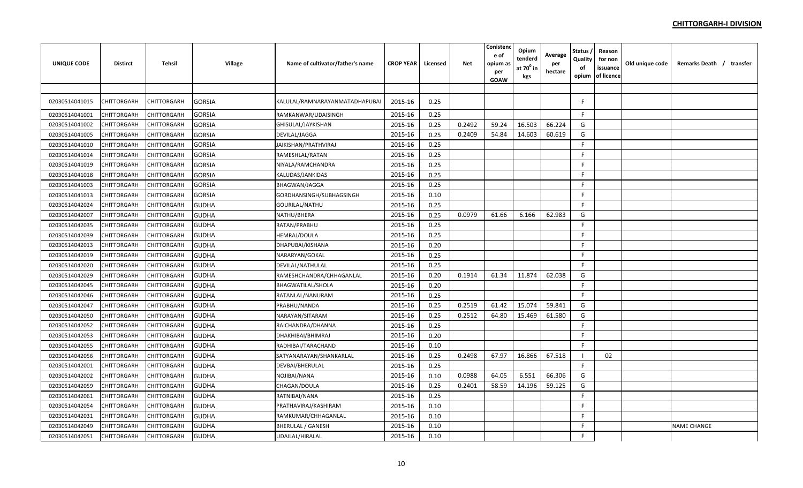| <b>UNIQUE CODE</b> | <b>Distirct</b> | Tehsil      | <b>Village</b> | Name of cultivator/father's name | <b>CROP YEAR</b> | Licensed | <b>Net</b> | Conisten<br>e of<br>opium a:<br>per<br>GOAW | Opium<br>tenderd<br>at $70^\circ$ in<br>kgs | Average<br>per<br>hectare | <b>Status</b><br>Quality<br>of<br>opium | Reason<br>for non<br>issuance<br>of licence | Old unique code | Remarks Death / transfer |
|--------------------|-----------------|-------------|----------------|----------------------------------|------------------|----------|------------|---------------------------------------------|---------------------------------------------|---------------------------|-----------------------------------------|---------------------------------------------|-----------------|--------------------------|
|                    |                 |             |                |                                  |                  |          |            |                                             |                                             |                           |                                         |                                             |                 |                          |
| 02030514041015     | CHITTORGARH     | CHITTORGARH | <b>GORSIA</b>  | KALULAL/RAMNARAYANMATADHAPUBAI   | 2015-16          | 0.25     |            |                                             |                                             |                           | F                                       |                                             |                 |                          |
| 02030514041001     | CHITTORGARH     | CHITTORGARH | <b>GORSIA</b>  | RAMKANWAR/UDAISINGH              | 2015-16          | 0.25     |            |                                             |                                             |                           | F.                                      |                                             |                 |                          |
| 02030514041002     | CHITTORGARH     | CHITTORGARH | <b>GORSIA</b>  | GHISULAL/JAYKISHAN               | 2015-16          | 0.25     | 0.2492     | 59.24                                       | 16.503                                      | 66.224                    | G                                       |                                             |                 |                          |
| 02030514041005     | CHITTORGARH     | CHITTORGARH | <b>GORSIA</b>  | DEVILAL/JAGGA                    | 2015-16          | 0.25     | 0.2409     | 54.84                                       | 14.603                                      | 60.619                    | G                                       |                                             |                 |                          |
| 02030514041010     | CHITTORGARH     | CHITTORGARH | <b>GORSIA</b>  | JAIKISHAN/PRATHVIRAJ             | 2015-16          | 0.25     |            |                                             |                                             |                           | F.                                      |                                             |                 |                          |
| 02030514041014     | CHITTORGARH     | CHITTORGARH | <b>GORSIA</b>  | RAMESHLAL/RATAN                  | 2015-16          | 0.25     |            |                                             |                                             |                           | F.                                      |                                             |                 |                          |
| 02030514041019     | CHITTORGARH     | CHITTORGARH | <b>GORSIA</b>  | NIYALA/RAMCHANDRA                | 2015-16          | 0.25     |            |                                             |                                             |                           | F.                                      |                                             |                 |                          |
| 02030514041018     | CHITTORGARH     | CHITTORGARH | <b>GORSIA</b>  | KALUDAS/JANKIDAS                 | 2015-16          | 0.25     |            |                                             |                                             |                           | F.                                      |                                             |                 |                          |
| 02030514041003     | CHITTORGARH     | CHITTORGARH | <b>GORSIA</b>  | BHAGWAN/JAGGA                    | 2015-16          | 0.25     |            |                                             |                                             |                           | F.                                      |                                             |                 |                          |
| 02030514041013     | CHITTORGARH     | CHITTORGARH | <b>GORSIA</b>  | GORDHANSINGH/SUBHAGSINGH         | 2015-16          | 0.10     |            |                                             |                                             |                           | F.                                      |                                             |                 |                          |
| 02030514042024     | CHITTORGARH     | CHITTORGARH | <b>GUDHA</b>   | GOURILAL/NATHU                   | 2015-16          | 0.25     |            |                                             |                                             |                           | F.                                      |                                             |                 |                          |
| 02030514042007     | CHITTORGARH     | CHITTORGARH | <b>GUDHA</b>   | NATHU/BHERA                      | 2015-16          | 0.25     | 0.0979     | 61.66                                       | 6.166                                       | 62.983                    | G                                       |                                             |                 |                          |
| 02030514042035     | CHITTORGARH     | CHITTORGARH | <b>GUDHA</b>   | RATAN/PRABHU                     | 2015-16          | 0.25     |            |                                             |                                             |                           | F.                                      |                                             |                 |                          |
| 02030514042039     | CHITTORGARH     | CHITTORGARH | <b>GUDHA</b>   | HEMRAJ/DOULA                     | 2015-16          | 0.25     |            |                                             |                                             |                           | F.                                      |                                             |                 |                          |
| 02030514042013     | CHITTORGARH     | CHITTORGARH | <b>GUDHA</b>   | DHAPUBAI/KISHANA                 | 2015-16          | 0.20     |            |                                             |                                             |                           | F.                                      |                                             |                 |                          |
| 02030514042019     | CHITTORGARH     | CHITTORGARH | <b>GUDHA</b>   | NARARYAN/GOKAL                   | 2015-16          | 0.25     |            |                                             |                                             |                           | F                                       |                                             |                 |                          |
| 02030514042020     | CHITTORGARH     | CHITTORGARH | <b>GUDHA</b>   | DEVILAL/NATHULAL                 | 2015-16          | 0.25     |            |                                             |                                             |                           | F                                       |                                             |                 |                          |
| 02030514042029     | CHITTORGARH     | CHITTORGARH | <b>GUDHA</b>   | RAMESHCHANDRA/CHHAGANLAL         | 2015-16          | 0.20     | 0.1914     | 61.34                                       | 11.874                                      | 62.038                    | G                                       |                                             |                 |                          |
| 02030514042045     | CHITTORGARH     | CHITTORGARH | <b>GUDHA</b>   | BHAGWATILAL/SHOLA                | 2015-16          | 0.20     |            |                                             |                                             |                           | F.                                      |                                             |                 |                          |
| 02030514042046     | CHITTORGARH     | CHITTORGARH | <b>GUDHA</b>   | RATANLAL/NANURAM                 | 2015-16          | 0.25     |            |                                             |                                             |                           | F                                       |                                             |                 |                          |
| 02030514042047     | CHITTORGARH     | CHITTORGARH | <b>GUDHA</b>   | PRABHU/NANDA                     | 2015-16          | 0.25     | 0.2519     | 61.42                                       | 15.074                                      | 59.841                    | G                                       |                                             |                 |                          |
| 02030514042050     | CHITTORGARH     | CHITTORGARH | <b>GUDHA</b>   | NARAYAN/SITARAM                  | 2015-16          | 0.25     | 0.2512     | 64.80                                       | 15.469                                      | 61.580                    | G                                       |                                             |                 |                          |
| 02030514042052     | CHITTORGARH     | CHITTORGARH | <b>GUDHA</b>   | RAICHANDRA/DHANNA                | 2015-16          | 0.25     |            |                                             |                                             |                           | F.                                      |                                             |                 |                          |
| 02030514042053     | CHITTORGARH     | CHITTORGARH | <b>GUDHA</b>   | DHAKHIBAI/BHIMRAJ                | 2015-16          | 0.20     |            |                                             |                                             |                           | F                                       |                                             |                 |                          |
| 02030514042055     | CHITTORGARH     | CHITTORGARH | <b>GUDHA</b>   | RADHIBAI/TARACHAND               | 2015-16          | 0.10     |            |                                             |                                             |                           | F.                                      |                                             |                 |                          |
| 02030514042056     | CHITTORGARH     | CHITTORGARH | <b>GUDHA</b>   | SATYANARAYAN/SHANKARLAL          | 2015-16          | 0.25     | 0.2498     | 67.97                                       | 16.866                                      | 67.518                    |                                         | 02                                          |                 |                          |
| 02030514042001     | CHITTORGARH     | CHITTORGARH | <b>GUDHA</b>   | DEVBAI/BHERULAL                  | 2015-16          | 0.25     |            |                                             |                                             |                           | F.                                      |                                             |                 |                          |
| 02030514042002     | CHITTORGARH     | CHITTORGARH | <b>GUDHA</b>   | NOJIBAI/NANA                     | 2015-16          | 0.10     | 0.0988     | 64.05                                       | 6.551                                       | 66.306                    | G                                       |                                             |                 |                          |
| 02030514042059     | CHITTORGARH     | CHITTORGARH | <b>GUDHA</b>   | CHAGAN/DOULA                     | 2015-16          | 0.25     | 0.2401     | 58.59                                       | 14.196                                      | 59.125                    | G                                       |                                             |                 |                          |
| 02030514042061     | CHITTORGARH     | CHITTORGARH | <b>GUDHA</b>   | RATNIBAI/NANA                    | 2015-16          | 0.25     |            |                                             |                                             |                           | F.                                      |                                             |                 |                          |
| 02030514042054     | CHITTORGARH     | CHITTORGARH | <b>GUDHA</b>   | PRATHAVIRAJ/KASHIRAM             | 2015-16          | 0.10     |            |                                             |                                             |                           | F.                                      |                                             |                 |                          |
| 02030514042031     | CHITTORGARH     | CHITTORGARH | <b>GUDHA</b>   | RAMKUMAR/CHHAGANLAL              | 2015-16          | 0.10     |            |                                             |                                             |                           | F.                                      |                                             |                 |                          |
| 02030514042049     | CHITTORGARH     | CHITTORGARH | <b>GUDHA</b>   | <b>BHERULAL / GANESH</b>         | 2015-16          | 0.10     |            |                                             |                                             |                           | F.                                      |                                             |                 | <b>NAME CHANGE</b>       |
| 02030514042051     | CHITTORGARH     | CHITTORGARH | <b>GUDHA</b>   | UDAILAL/HIRALAL                  | 2015-16          | 0.10     |            |                                             |                                             |                           | F.                                      |                                             |                 |                          |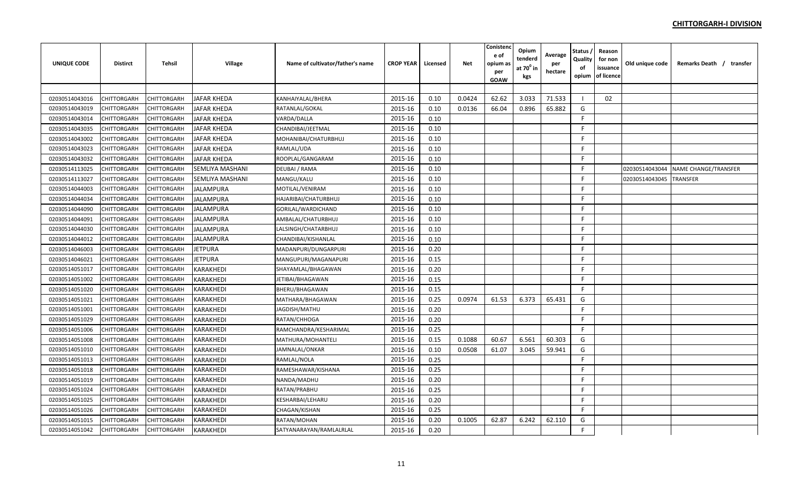| <b>UNIQUE CODE</b> | <b>Distirct</b>    | <b>Tehsil</b>      | Village                | Name of cultivator/father's name | <b>CROP YEAR</b> | Licensed | <b>Net</b> | Conistenc<br>e of<br>opium as<br>per<br><b>GOAW</b> | Opium<br>tenderd<br>at 70 <sup>°</sup> in<br>kgs | Average<br>per<br>hectare | Status<br>Quality<br>of<br>opium | Reason<br>for non<br>issuance<br>of licence | Old unique code | Remarks Death / transfer |
|--------------------|--------------------|--------------------|------------------------|----------------------------------|------------------|----------|------------|-----------------------------------------------------|--------------------------------------------------|---------------------------|----------------------------------|---------------------------------------------|-----------------|--------------------------|
|                    |                    |                    |                        |                                  |                  |          |            |                                                     |                                                  |                           |                                  |                                             |                 |                          |
| 02030514043016     | CHITTORGARH        | CHITTORGARH        | <b>JAFAR KHEDA</b>     | KANHAIYALAL/BHERA                | 2015-16          | 0.10     | 0.0424     | 62.62                                               | 3.033                                            | 71.533                    |                                  | 02                                          |                 |                          |
| 02030514043019     | CHITTORGARH        | <b>CHITTORGARH</b> | <b>JAFAR KHEDA</b>     | RATANLAL/GOKAL                   | 2015-16          | 0.10     | 0.0136     | 66.04                                               | 0.896                                            | 65.882                    | G                                |                                             |                 |                          |
| 02030514043014     | CHITTORGARH        | CHITTORGARH        | <b>JAFAR KHEDA</b>     | VARDA/DALLA                      | 2015-16          | 0.10     |            |                                                     |                                                  |                           | F                                |                                             |                 |                          |
| 02030514043035     | CHITTORGARH        | CHITTORGARH        | <b>JAFAR KHEDA</b>     | CHANDIBAI/JEETMAL                | 2015-16          | 0.10     |            |                                                     |                                                  |                           | F.                               |                                             |                 |                          |
| 02030514043002     | CHITTORGARH        | CHITTORGARH        | <b>JAFAR KHEDA</b>     | MOHANIBAI/CHATURBHUJ             | 2015-16          | 0.10     |            |                                                     |                                                  |                           | E                                |                                             |                 |                          |
| 02030514043023     | CHITTORGARH        | CHITTORGARH        | <b>JAFAR KHEDA</b>     | RAMLAL/UDA                       | 2015-16          | 0.10     |            |                                                     |                                                  |                           | F.                               |                                             |                 |                          |
| 02030514043032     | CHITTORGARH        | CHITTORGARH        | <b>JAFAR KHEDA</b>     | ROOPLAL/GANGARAM                 | 2015-16          | 0.10     |            |                                                     |                                                  |                           | F.                               |                                             |                 |                          |
| 02030514113025     | CHITTORGARH        | <b>CHITTORGARH</b> | SEMLIYA MASHANI        | DEUBAI / RAMA                    | 2015-16          | 0.10     |            |                                                     |                                                  |                           | F                                |                                             | 02030514043044  | NAME CHANGE/TRANSFER     |
| 02030514113027     | CHITTORGARH        | CHITTORGARH        | <b>SEMLIYA MASHANI</b> | MANGU/KALU                       | 2015-16          | 0.10     |            |                                                     |                                                  |                           | F                                |                                             | 02030514043045  | <b>TRANSFER</b>          |
| 02030514044003     | CHITTORGARH        | <b>CHITTORGARH</b> | <b>JALAMPURA</b>       | MOTILAL/VENIRAM                  | 2015-16          | 0.10     |            |                                                     |                                                  |                           | F.                               |                                             |                 |                          |
| 02030514044034     | CHITTORGARH        | <b>CHITTORGARH</b> | <b>JALAMPURA</b>       | HAJARIBAI/CHATURBHUJ             | 2015-16          | 0.10     |            |                                                     |                                                  |                           | E                                |                                             |                 |                          |
| 02030514044090     | CHITTORGARH        | <b>CHITTORGARH</b> | <b>JALAMPURA</b>       | GORILAL/WARDICHAND               | 2015-16          | 0.10     |            |                                                     |                                                  |                           | F.                               |                                             |                 |                          |
| 02030514044091     | CHITTORGARH        | <b>CHITTORGARH</b> | <b>JALAMPURA</b>       | AMBALAL/CHATURBHUJ               | 2015-16          | 0.10     |            |                                                     |                                                  |                           | F                                |                                             |                 |                          |
| 02030514044030     | CHITTORGARH        | CHITTORGARH        | <b>JALAMPURA</b>       | LALSINGH/CHATARBHUJ              | 2015-16          | 0.10     |            |                                                     |                                                  |                           | F                                |                                             |                 |                          |
| 02030514044012     | CHITTORGARH        | CHITTORGARH        | <b>JALAMPURA</b>       | CHANDIBAI/KISHANLAL              | 2015-16          | 0.10     |            |                                                     |                                                  |                           | F                                |                                             |                 |                          |
| 02030514046003     | CHITTORGARH        | <b>CHITTORGARH</b> | <b>JETPURA</b>         | MADANPURI/DUNGARPURI             | 2015-16          | 0.20     |            |                                                     |                                                  |                           | F                                |                                             |                 |                          |
| 02030514046021     | CHITTORGARH        | CHITTORGARH        | <b>JETPURA</b>         | MANGUPURI/MAGANAPURI             | 2015-16          | 0.15     |            |                                                     |                                                  |                           | F                                |                                             |                 |                          |
| 02030514051017     | CHITTORGARH        | CHITTORGARH        | KARAKHEDI              | SHAYAMLAL/BHAGAWAN               | 2015-16          | 0.20     |            |                                                     |                                                  |                           | E                                |                                             |                 |                          |
| 02030514051002     | CHITTORGARH        | CHITTORGARH        | KARAKHEDI              | JETIBAI/BHAGAWAN                 | 2015-16          | 0.15     |            |                                                     |                                                  |                           | F                                |                                             |                 |                          |
| 02030514051020     | CHITTORGARH        | <b>CHITTORGARH</b> | KARAKHEDI              | BHERU/BHAGAWAN                   | 2015-16          | 0.15     |            |                                                     |                                                  |                           | E                                |                                             |                 |                          |
| 02030514051021     | CHITTORGARH        | <b>CHITTORGARH</b> | KARAKHEDI              | MATHARA/BHAGAWAN                 | 2015-16          | 0.25     | 0.0974     | 61.53                                               | 6.373                                            | 65.431                    | G                                |                                             |                 |                          |
| 02030514051001     | CHITTORGARH        | <b>CHITTORGARH</b> | KARAKHEDI              | JAGDISH/MATHU                    | 2015-16          | 0.20     |            |                                                     |                                                  |                           | F.                               |                                             |                 |                          |
| 02030514051029     | CHITTORGARH        | <b>CHITTORGARH</b> | KARAKHEDI              | RATAN/CHHOGA                     | 2015-16          | 0.20     |            |                                                     |                                                  |                           | F.                               |                                             |                 |                          |
| 02030514051006     | CHITTORGARH        | CHITTORGARH        | KARAKHEDI              | RAMCHANDRA/KESHARIMAL            | 2015-16          | 0.25     |            |                                                     |                                                  |                           | F                                |                                             |                 |                          |
| 02030514051008     | CHITTORGARH        | CHITTORGARH        | KARAKHEDI              | MATHURA/MOHANTELI                | 2015-16          | 0.15     | 0.1088     | 60.67                                               | 6.561                                            | 60.303                    | G                                |                                             |                 |                          |
| 02030514051010     | CHITTORGARH        | CHITTORGARH        | <b>KARAKHEDI</b>       | JAMNALAL/ONKAR                   | 2015-16          | 0.10     | 0.0508     | 61.07                                               | 3.045                                            | 59.941                    | G                                |                                             |                 |                          |
| 02030514051013     | CHITTORGARH        | CHITTORGARH        | <b>KARAKHEDI</b>       | RAMLAL/NOLA                      | 2015-16          | 0.25     |            |                                                     |                                                  |                           | F                                |                                             |                 |                          |
| 02030514051018     | CHITTORGARH        | CHITTORGARH        | KARAKHEDI              | RAMESHAWAR/KISHANA               | 2015-16          | 0.25     |            |                                                     |                                                  |                           | F                                |                                             |                 |                          |
| 02030514051019     | CHITTORGARH        | CHITTORGARH        | KARAKHEDI              | NANDA/MADHU                      | 2015-16          | 0.20     |            |                                                     |                                                  |                           | F.                               |                                             |                 |                          |
| 02030514051024     | CHITTORGARH        | CHITTORGARH        | KARAKHEDI              | RATAN/PRABHU                     | 2015-16          | 0.25     |            |                                                     |                                                  |                           | F.                               |                                             |                 |                          |
| 02030514051025     | CHITTORGARH        | <b>CHITTORGARH</b> | KARAKHEDI              | KESHARBAI/LEHARU                 | 2015-16          | 0.20     |            |                                                     |                                                  |                           | F.                               |                                             |                 |                          |
| 02030514051026     | CHITTORGARH        | CHITTORGARH        | KARAKHEDI              | <b>CHAGAN/KISHAN</b>             | 2015-16          | 0.25     |            |                                                     |                                                  |                           | F.                               |                                             |                 |                          |
| 02030514051015     | CHITTORGARH        | <b>CHITTORGARH</b> | KARAKHEDI              | RATAN/MOHAN                      | 2015-16          | 0.20     | 0.1005     | 62.87                                               | 6.242                                            | 62.110                    | G                                |                                             |                 |                          |
| 02030514051042     | <b>CHITTORGARH</b> | <b>CHITTORGARH</b> | <b>KARAKHEDI</b>       | SATYANARAYAN/RAMLALRLAL          | 2015-16          | 0.20     |            |                                                     |                                                  |                           | F.                               |                                             |                 |                          |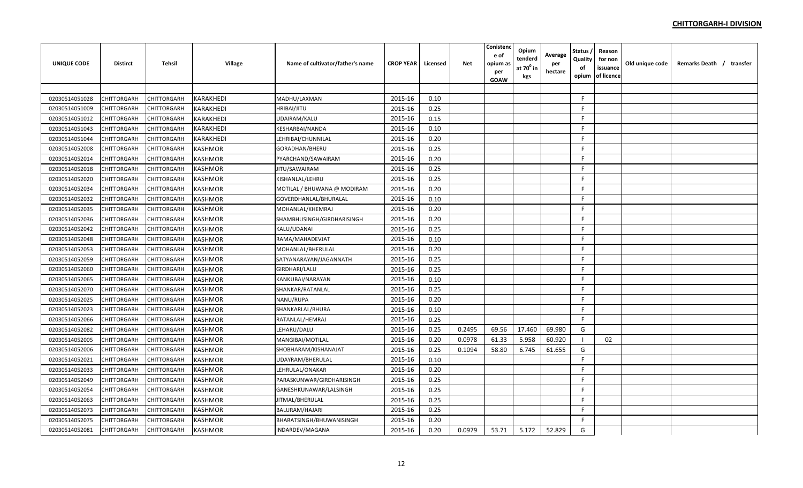| <b>UNIQUE CODE</b> | <b>Distirct</b> | <b>Tehsil</b> | Village          | Name of cultivator/father's name | <b>CROP YEAR</b> | Licensed | <b>Net</b> | Conistend<br>e of<br>opium a:<br>per<br>GOAW | Opium<br>tenderd<br>at $70^0$ in<br>kgs | Average<br>per<br>hectare | <b>Status</b><br>Quality<br>of<br>opium | Reason<br>for non<br>issuance<br>of licence | Old unique code | Remarks Death / transfer |
|--------------------|-----------------|---------------|------------------|----------------------------------|------------------|----------|------------|----------------------------------------------|-----------------------------------------|---------------------------|-----------------------------------------|---------------------------------------------|-----------------|--------------------------|
|                    |                 |               |                  |                                  |                  |          |            |                                              |                                         |                           |                                         |                                             |                 |                          |
| 02030514051028     | CHITTORGARH     | CHITTORGARH   | <b>KARAKHEDI</b> | MADHU/LAXMAN                     | 2015-16          | 0.10     |            |                                              |                                         |                           | F.                                      |                                             |                 |                          |
| 02030514051009     | CHITTORGARH     | CHITTORGARH   | KARAKHEDI        | <b>HRIBAI/JITU</b>               | 2015-16          | 0.25     |            |                                              |                                         |                           | F.                                      |                                             |                 |                          |
| 02030514051012     | CHITTORGARH     | CHITTORGARH   | <b>KARAKHEDI</b> | UDAIRAM/KALU                     | 2015-16          | 0.15     |            |                                              |                                         |                           | F.                                      |                                             |                 |                          |
| 02030514051043     | CHITTORGARH     | CHITTORGARH   | KARAKHEDI        | <b>CESHARBAI/NANDA</b>           | 2015-16          | 0.10     |            |                                              |                                         |                           | F.                                      |                                             |                 |                          |
| 02030514051044     | CHITTORGARH     | CHITTORGARH   | KARAKHEDI        | LEHRIBAI/CHUNNILAL               | 2015-16          | 0.20     |            |                                              |                                         |                           | F.                                      |                                             |                 |                          |
| 02030514052008     | CHITTORGARH     | CHITTORGARH   | <b>KASHMOR</b>   | GORADHAN/BHERU                   | 2015-16          | 0.25     |            |                                              |                                         |                           | F.                                      |                                             |                 |                          |
| 02030514052014     | CHITTORGARH     | CHITTORGARH   | KASHMOR          | PYARCHAND/SAWAIRAM               | 2015-16          | 0.20     |            |                                              |                                         |                           | F.                                      |                                             |                 |                          |
| 02030514052018     | CHITTORGARH     | CHITTORGARH   | KASHMOR          | JITU/SAWAIRAM                    | 2015-16          | 0.25     |            |                                              |                                         |                           | F.                                      |                                             |                 |                          |
| 02030514052020     | CHITTORGARH     | CHITTORGARH   | <b>KASHMOR</b>   | KISHANLAL/LEHRU                  | 2015-16          | 0.25     |            |                                              |                                         |                           | F.                                      |                                             |                 |                          |
| 02030514052034     | CHITTORGARH     | CHITTORGARH   | <b>KASHMOR</b>   | MOTILAL / BHUWANA @ MODIRAM      | 2015-16          | 0.20     |            |                                              |                                         |                           | F.                                      |                                             |                 |                          |
| 02030514052032     | CHITTORGARH     | CHITTORGARH   | <b>KASHMOR</b>   | GOVERDHANLAL/BHURALAL            | 2015-16          | 0.10     |            |                                              |                                         |                           | F                                       |                                             |                 |                          |
| 02030514052035     | CHITTORGARH     | CHITTORGARH   | <b>KASHMOR</b>   | MOHANLAL/KHEMRAJ                 | 2015-16          | 0.20     |            |                                              |                                         |                           | F.                                      |                                             |                 |                          |
| 02030514052036     | CHITTORGARH     | CHITTORGARH   | <b>KASHMOR</b>   | SHAMBHUSINGH/GIRDHARISINGH       | 2015-16          | 0.20     |            |                                              |                                         |                           | F.                                      |                                             |                 |                          |
| 02030514052042     | CHITTORGARH     | CHITTORGARH   | <b>KASHMOR</b>   | KALU/UDANAI                      | 2015-16          | 0.25     |            |                                              |                                         |                           | F.                                      |                                             |                 |                          |
| 02030514052048     | CHITTORGARH     | CHITTORGARH   | <b>KASHMOR</b>   | RAMA/MAHADEVJAT                  | 2015-16          | 0.10     |            |                                              |                                         |                           | F.                                      |                                             |                 |                          |
| 02030514052053     | CHITTORGARH     | CHITTORGARH   | <b>KASHMOR</b>   | MOHANLAL/BHERULAL                | 2015-16          | 0.20     |            |                                              |                                         |                           | F.                                      |                                             |                 |                          |
| 02030514052059     | CHITTORGARH     | CHITTORGARH   | <b>KASHMOR</b>   | SATYANARAYAN/JAGANNATH           | 2015-16          | 0.25     |            |                                              |                                         |                           | F.                                      |                                             |                 |                          |
| 02030514052060     | CHITTORGARH     | CHITTORGARH   | KASHMOR          | GIRDHARI/LALU                    | 2015-16          | 0.25     |            |                                              |                                         |                           | F.                                      |                                             |                 |                          |
| 02030514052065     | CHITTORGARH     | CHITTORGARH   | KASHMOR          | KANKUBAI/NARAYAN                 | 2015-16          | 0.10     |            |                                              |                                         |                           | F.                                      |                                             |                 |                          |
| 02030514052070     | CHITTORGARH     | CHITTORGARH   | <b>KASHMOR</b>   | SHANKAR/RATANLAL                 | 2015-16          | 0.25     |            |                                              |                                         |                           | F.                                      |                                             |                 |                          |
| 02030514052025     | CHITTORGARH     | CHITTORGARH   | <b>KASHMOR</b>   | NANU/RUPA                        | 2015-16          | 0.20     |            |                                              |                                         |                           | F.                                      |                                             |                 |                          |
| 02030514052023     | CHITTORGARH     | CHITTORGARH   | <b>KASHMOR</b>   | SHANKARLAL/BHURA                 | 2015-16          | 0.10     |            |                                              |                                         |                           | F.                                      |                                             |                 |                          |
| 02030514052066     | CHITTORGARH     | CHITTORGARH   | <b>KASHMOR</b>   | RATANLAL/HEMRAJ                  | 2015-16          | 0.25     |            |                                              |                                         |                           | F.                                      |                                             |                 |                          |
| 02030514052082     | CHITTORGARH     | CHITTORGARH   | KASHMOR          | LEHARU/DALU                      | 2015-16          | 0.25     | 0.2495     | 69.56                                        | 17.460                                  | 69.980                    | G                                       |                                             |                 |                          |
| 02030514052005     | CHITTORGARH     | CHITTORGARH   | <b>KASHMOR</b>   | MANGIBAI/MOTILAL                 | 2015-16          | 0.20     | 0.0978     | 61.33                                        | 5.958                                   | 60.920                    |                                         | 02                                          |                 |                          |
| 02030514052006     | CHITTORGARH     | CHITTORGARH   | <b>KASHMOR</b>   | SHOBHARAM/KISHANAJAT             | 2015-16          | 0.25     | 0.1094     | 58.80                                        | 6.745                                   | 61.655                    | G                                       |                                             |                 |                          |
| 02030514052021     | CHITTORGARH     | CHITTORGARH   | <b>KASHMOR</b>   | UDAYRAM/BHERULAL                 | 2015-16          | 0.10     |            |                                              |                                         |                           | F.                                      |                                             |                 |                          |
| 02030514052033     | CHITTORGARH     | CHITTORGARH   | <b>KASHMOR</b>   | LEHRULAL/ONAKAR                  | 2015-16          | 0.20     |            |                                              |                                         |                           | F.                                      |                                             |                 |                          |
| 02030514052049     | CHITTORGARH     | CHITTORGARH   | <b>KASHMOR</b>   | PARASKUNWAR/GIRDHARISINGH        | 2015-16          | 0.25     |            |                                              |                                         |                           | F.                                      |                                             |                 |                          |
| 02030514052054     | CHITTORGARH     | CHITTORGARH   | KASHMOR          | GANESHKUNAWAR/LALSINGH           | 2015-16          | 0.25     |            |                                              |                                         |                           | F.                                      |                                             |                 |                          |
| 02030514052063     | CHITTORGARH     | CHITTORGARH   | <b>KASHMOR</b>   | JITMAL/BHERULAL                  | 2015-16          | 0.25     |            |                                              |                                         |                           | F.                                      |                                             |                 |                          |
| 02030514052073     | CHITTORGARH     | CHITTORGARH   | <b>KASHMOR</b>   | BALURAM/HAJARI                   | 2015-16          | 0.25     |            |                                              |                                         |                           | F.                                      |                                             |                 |                          |
| 02030514052075     | CHITTORGARH     | CHITTORGARH   | <b>KASHMOR</b>   | BHARATSINGH/BHUWANISINGH         | 2015-16          | 0.20     |            |                                              |                                         |                           | F.                                      |                                             |                 |                          |
| 02030514052081     | CHITTORGARH     | CHITTORGARH   | <b>KASHMOR</b>   | INDARDEV/MAGANA                  | 2015-16          | 0.20     | 0.0979     | 53.71                                        | 5.172                                   | 52.829                    | G                                       |                                             |                 |                          |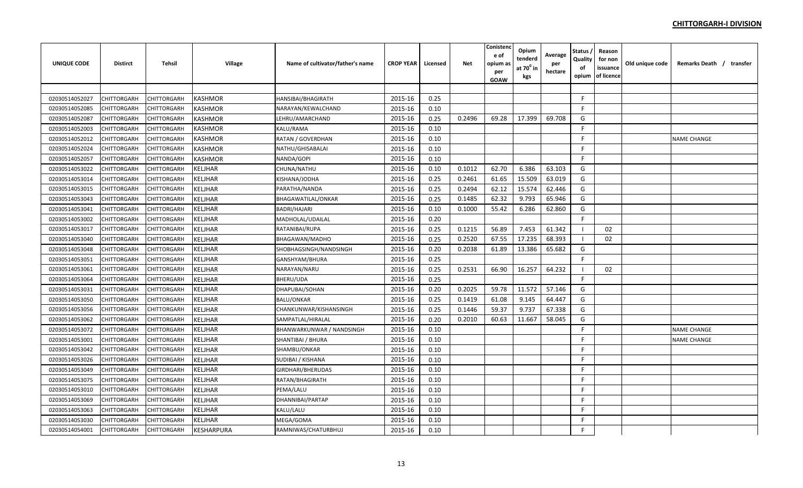| <b>UNIQUE CODE</b> | <b>Distirct</b> | <b>Tehsil</b> | Village           | Name of cultivator/father's name | <b>CROP YEAR</b> | Licensed | Net    | Conistenc<br>e of<br>opium a:<br>per<br>GOAW | Opium<br>tenderd<br>at $70^\circ$ in<br>kgs | Average<br>per<br>hectare | Status<br>Quality<br>of<br>opium | Reason<br>for non<br>issuance<br>of licence | Old unique code | Remarks Death / transfer |  |
|--------------------|-----------------|---------------|-------------------|----------------------------------|------------------|----------|--------|----------------------------------------------|---------------------------------------------|---------------------------|----------------------------------|---------------------------------------------|-----------------|--------------------------|--|
|                    |                 |               |                   |                                  |                  |          |        |                                              |                                             |                           |                                  |                                             |                 |                          |  |
| 02030514052027     | CHITTORGARH     | CHITTORGARH   | <b>KASHMOR</b>    | HANSIBAI/BHAGIRATH               | 2015-16          | 0.25     |        |                                              |                                             |                           | F.                               |                                             |                 |                          |  |
| 02030514052085     | CHITTORGARH     | CHITTORGARH   | KASHMOR           | NARAYAN/KEWALCHAND               | 2015-16          | 0.10     |        |                                              |                                             |                           | F                                |                                             |                 |                          |  |
| 02030514052087     | CHITTORGARH     | CHITTORGARH   | <b>KASHMOR</b>    | LEHRU/AMARCHAND                  | 2015-16          | 0.25     | 0.2496 | 69.28                                        | 17.399                                      | 69.708                    | G                                |                                             |                 |                          |  |
| 02030514052003     | CHITTORGARH     | CHITTORGARH   | <b>KASHMOR</b>    | KALU/RAMA                        | 2015-16          | 0.10     |        |                                              |                                             |                           | F                                |                                             |                 |                          |  |
| 02030514052012     | CHITTORGARH     | CHITTORGARH   | <b>KASHMOR</b>    | RATAN / GOVERDHAN                | 2015-16          | 0.10     |        |                                              |                                             |                           | F.                               |                                             |                 | <b>NAME CHANGE</b>       |  |
| 02030514052024     | CHITTORGARH     | CHITTORGARH   | <b>KASHMOR</b>    | NATHU/GHISABALAI                 | 2015-16          | 0.10     |        |                                              |                                             |                           | F.                               |                                             |                 |                          |  |
| 02030514052057     | CHITTORGARH     | CHITTORGARH   | KASHMOR           | NANDA/GOPI                       | 2015-16          | 0.10     |        |                                              |                                             |                           | F                                |                                             |                 |                          |  |
| 02030514053022     | CHITTORGARH     | CHITTORGARH   | <b>KELJHAR</b>    | CHUNA/NATHU                      | 2015-16          | 0.10     | 0.1012 | 62.70                                        | 6.386                                       | 63.103                    | G                                |                                             |                 |                          |  |
| 02030514053014     | CHITTORGARH     | CHITTORGARH   | <b>KELJHAR</b>    | KISHANA/JODHA                    | 2015-16          | 0.25     | 0.2461 | 61.65                                        | 15.509                                      | 63.019                    | G                                |                                             |                 |                          |  |
| 02030514053015     | CHITTORGARH     | CHITTORGARH   | <b>KELJHAR</b>    | PARATHA/NANDA                    | 2015-16          | 0.25     | 0.2494 | 62.12                                        | 15.574                                      | 62.446                    | G                                |                                             |                 |                          |  |
| 02030514053043     | CHITTORGARH     | CHITTORGARH   | <b>KELJHAR</b>    | BHAGAWATILAL/ONKAR               | 2015-16          | 0.25     | 0.1485 | 62.32                                        | 9.793                                       | 65.946                    | G                                |                                             |                 |                          |  |
| 02030514053041     | CHITTORGARH     | CHITTORGARH   | KELJHAR           | BADRI/HAJARI                     | 2015-16          | 0.10     | 0.1000 | 55.42                                        | 6.286                                       | 62.860                    | G                                |                                             |                 |                          |  |
| 02030514053002     | CHITTORGARH     | CHITTORGARH   | <b>KELJHAR</b>    | MADHOLAL/UDAILAL                 | 2015-16          | 0.20     |        |                                              |                                             |                           | F                                |                                             |                 |                          |  |
| 02030514053017     | CHITTORGARH     | CHITTORGARH   | <b>KELJHAR</b>    | RATANIBAI/RUPA                   | 2015-16          | 0.25     | 0.1215 | 56.89                                        | 7.453                                       | 61.342                    |                                  | 02                                          |                 |                          |  |
| 02030514053040     | CHITTORGARH     | CHITTORGARH   | <b>KELJHAR</b>    | BHAGAWAN/MADHO                   | 2015-16          | 0.25     | 0.2520 | 67.55                                        | 17.235                                      | 68.393                    |                                  | 02                                          |                 |                          |  |
| 02030514053048     | CHITTORGARH     | CHITTORGARH   | <b>KELJHAR</b>    | SHOBHAGSINGH/NANDSINGH           | 2015-16          | 0.20     | 0.2038 | 61.89                                        | 13.386                                      | 65.682                    | G                                |                                             |                 |                          |  |
| 02030514053051     | CHITTORGARH     | CHITTORGARH   | KELJHAR           | GANSHYAM/BHURA                   | 2015-16          | 0.25     |        |                                              |                                             |                           | F.                               |                                             |                 |                          |  |
| 02030514053061     | CHITTORGARH     | CHITTORGARH   | KELJHAR           | NARAYAN/NARU                     | 2015-16          | 0.25     | 0.2531 | 66.90                                        | 16.257                                      | 64.232                    | - 1                              | 02                                          |                 |                          |  |
| 02030514053064     | CHITTORGARH     | CHITTORGARH   | <b>KELJHAR</b>    | BHERU/UDA                        | 2015-16          | 0.25     |        |                                              |                                             |                           | F                                |                                             |                 |                          |  |
| 02030514053031     | CHITTORGARH     | CHITTORGARH   | <b>KELJHAR</b>    | DHAPUBAI/SOHAN                   | 2015-16          | 0.20     | 0.2025 | 59.78                                        | 11.572                                      | 57.146                    | G                                |                                             |                 |                          |  |
| 02030514053050     | CHITTORGARH     | CHITTORGARH   | <b>KELJHAR</b>    | <b>BALU/ONKAR</b>                | 2015-16          | 0.25     | 0.1419 | 61.08                                        | 9.145                                       | 64.447                    | G                                |                                             |                 |                          |  |
| 02030514053056     | CHITTORGARH     | CHITTORGARH   | <b>KELJHAR</b>    | CHANKUNWAR/KISHANSINGH           | 2015-16          | 0.25     | 0.1446 | 59.37                                        | 9.737                                       | 67.338                    | G                                |                                             |                 |                          |  |
| 02030514053062     | CHITTORGARH     | CHITTORGARH   | <b>KELJHAR</b>    | SAMPATLAL/HIRALAL                | 2015-16          | 0.20     | 0.2010 | 60.63                                        | 11.667                                      | 58.045                    | G                                |                                             |                 |                          |  |
| 02030514053072     | CHITTORGARH     | CHITTORGARH   | <b>KELJHAR</b>    | BHANWARKUNWAR / NANDSINGH        | 2015-16          | 0.10     |        |                                              |                                             |                           | F                                |                                             |                 | <b>NAME CHANGE</b>       |  |
| 02030514053001     | CHITTORGARH     | CHITTORGARH   | <b>KELJHAR</b>    | SHANTIBAI / BHURA                | 2015-16          | 0.10     |        |                                              |                                             |                           | F                                |                                             |                 | <b>NAME CHANGE</b>       |  |
| 02030514053042     | CHITTORGARH     | CHITTORGARH   | <b>KELJHAR</b>    | SHAMBU/ONKAR                     | 2015-16          | 0.10     |        |                                              |                                             |                           | F                                |                                             |                 |                          |  |
| 02030514053026     | CHITTORGARH     | CHITTORGARH   | KELJHAR           | SUDIBAI / KISHANA                | 2015-16          | 0.10     |        |                                              |                                             |                           | F.                               |                                             |                 |                          |  |
| 02030514053049     | CHITTORGARH     | CHITTORGARH   | KELJHAR           | GIRDHARI/BHERUDAS                | 2015-16          | 0.10     |        |                                              |                                             |                           | F.                               |                                             |                 |                          |  |
| 02030514053075     | CHITTORGARH     | CHITTORGARH   | KELJHAR           | RATAN/BHAGIRATH                  | 2015-16          | 0.10     |        |                                              |                                             |                           | F.                               |                                             |                 |                          |  |
| 02030514053010     | CHITTORGARH     | CHITTORGARH   | KELJHAR           | PEMA/LALU                        | 2015-16          | 0.10     |        |                                              |                                             |                           | F                                |                                             |                 |                          |  |
| 02030514053069     | CHITTORGARH     | CHITTORGARH   | <b>KELJHAR</b>    | DHANNIBAI/PARTAP                 | 2015-16          | 0.10     |        |                                              |                                             |                           | F                                |                                             |                 |                          |  |
| 02030514053063     | CHITTORGARH     | CHITTORGARH   | <b>KELJHAR</b>    | KALU/LALU                        | 2015-16          | 0.10     |        |                                              |                                             |                           | F.                               |                                             |                 |                          |  |
| 02030514053030     | CHITTORGARH     | CHITTORGARH   | KELJHAR           | MEGA/GOMA                        | 2015-16          | 0.10     |        |                                              |                                             |                           | F                                |                                             |                 |                          |  |
| 02030514054001     | CHITTORGARH     | CHITTORGARH   | <b>KESHARPURA</b> | RAMNIWAS/CHATURBHUJ              | 2015-16          | 0.10     |        |                                              |                                             |                           | F                                |                                             |                 |                          |  |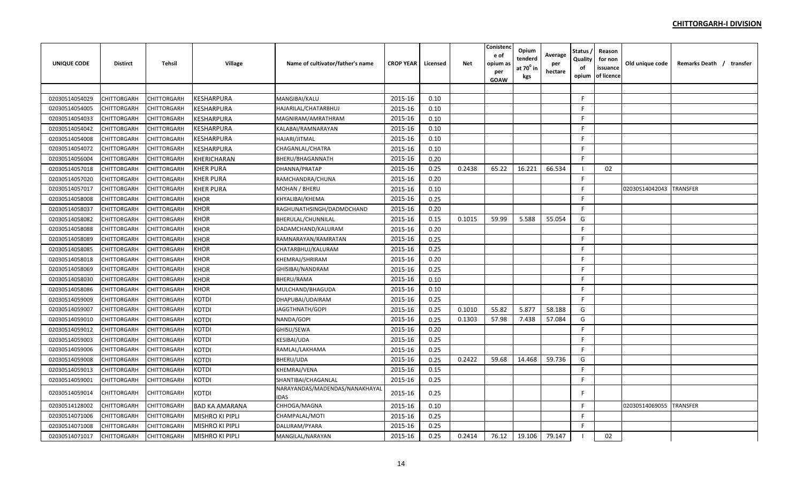| <b>UNIQUE CODE</b> | <b>Distirct</b> | Tehsil      | Village                | Name of cultivator/father's name       | <b>CROP YEAR</b> | Licensed | Net    | Conisten<br>e of<br>opium as<br>per<br>GOAW | Opium<br>tenderd<br>at 70 <sup>0</sup> in<br>kgs | Average<br>per<br>hectare | Status<br>Quality<br>οf<br>opium | Reason<br>for non<br>issuance<br>of licence | Old unique code | Remarks Death / transfer |
|--------------------|-----------------|-------------|------------------------|----------------------------------------|------------------|----------|--------|---------------------------------------------|--------------------------------------------------|---------------------------|----------------------------------|---------------------------------------------|-----------------|--------------------------|
|                    |                 |             |                        |                                        |                  |          |        |                                             |                                                  |                           |                                  |                                             |                 |                          |
| 02030514054029     | CHITTORGARH     | CHITTORGARH | <b>KESHARPURA</b>      | MANGIBAI/KALU                          | 2015-16          | 0.10     |        |                                             |                                                  |                           | F.                               |                                             |                 |                          |
| 02030514054005     | CHITTORGARH     | CHITTORGARH | KESHARPURA             | HAJARILAL/CHATARBHUJ                   | 2015-16          | 0.10     |        |                                             |                                                  |                           | F                                |                                             |                 |                          |
| 02030514054033     | CHITTORGARH     | CHITTORGARH | KESHARPURA             | MAGNIRAM/AMRATHRAM                     | 2015-16          | 0.10     |        |                                             |                                                  |                           | F.                               |                                             |                 |                          |
| 02030514054042     | CHITTORGARH     | CHITTORGARH | KESHARPURA             | KALABAI/RAMNARAYAN                     | 2015-16          | 0.10     |        |                                             |                                                  |                           | F                                |                                             |                 |                          |
| 02030514054008     | CHITTORGARH     | CHITTORGARH | <b>KESHARPURA</b>      | HAJARI/JITMAL                          | 2015-16          | 0.10     |        |                                             |                                                  |                           | F                                |                                             |                 |                          |
| 02030514054072     | CHITTORGARH     | CHITTORGARH | <b>KESHARPURA</b>      | CHAGANLAL/CHATRA                       | 2015-16          | 0.10     |        |                                             |                                                  |                           | F                                |                                             |                 |                          |
| 02030514056004     | CHITTORGARH     | CHITTORGARH | KHERICHARAN            | BHERU/BHAGANNATH                       | 2015-16          | 0.20     |        |                                             |                                                  |                           | F.                               |                                             |                 |                          |
| 02030514057018     | CHITTORGARH     | CHITTORGARH | <b>KHER PURA</b>       | DHANNA/PRATAP                          | 2015-16          | 0.25     | 0.2438 | 65.22                                       | 16.221                                           | 66.534                    | -1                               | 02                                          |                 |                          |
| 02030514057020     | CHITTORGARH     | CHITTORGARH | <b>KHER PURA</b>       | RAMCHANDRA/CHUNA                       | 2015-16          | 0.20     |        |                                             |                                                  |                           | F                                |                                             |                 |                          |
| 02030514057017     | CHITTORGARH     | CHITTORGARH | <b>KHER PURA</b>       | MOHAN / BHERU                          | 2015-16          | 0.10     |        |                                             |                                                  |                           | F                                |                                             | 02030514042043  | <b>TRANSFER</b>          |
| 02030514058008     | CHITTORGARH     | CHITTORGARH | <b>KHOR</b>            | KHYALIBAI/KHEMA                        | 2015-16          | 0.25     |        |                                             |                                                  |                           | F.                               |                                             |                 |                          |
| 02030514058037     | CHITTORGARH     | CHITTORGARH | <b>KHOR</b>            | RAGHUNATHSINGH/DADMDCHAND              | 2015-16          | 0.20     |        |                                             |                                                  |                           | F.                               |                                             |                 |                          |
| 02030514058082     | CHITTORGARH     | CHITTORGARH | <b>KHOR</b>            | BHERULAL/CHUNNILAL                     | 2015-16          | 0.15     | 0.1015 | 59.99                                       | 5.588                                            | 55.054                    | G                                |                                             |                 |                          |
| 02030514058088     | CHITTORGARH     | CHITTORGARH | <b>KHOR</b>            | DADAMCHAND/KALURAM                     | 2015-16          | 0.20     |        |                                             |                                                  |                           | F                                |                                             |                 |                          |
| 02030514058089     | CHITTORGARH     | CHITTORGARH | <b>KHOR</b>            | RAMNARAYAN/RAMRATAN                    | 2015-16          | 0.25     |        |                                             |                                                  |                           | F                                |                                             |                 |                          |
| 02030514058085     | CHITTORGARH     | CHITTORGARH | <b>KHOR</b>            | CHATARBHUJ/KALURAM                     | 2015-16          | 0.25     |        |                                             |                                                  |                           | F                                |                                             |                 |                          |
| 02030514058018     | CHITTORGARH     | CHITTORGARH | <b>KHOR</b>            | KHEMRAJ/SHRIRAM                        | 2015-16          | 0.20     |        |                                             |                                                  |                           | F                                |                                             |                 |                          |
| 02030514058069     | CHITTORGARH     | CHITTORGARH | <b>KHOR</b>            | GHISIBAI/NANDRAM                       | 2015-16          | 0.25     |        |                                             |                                                  |                           | F                                |                                             |                 |                          |
| 02030514058030     | CHITTORGARH     | CHITTORGARH | <b>KHOR</b>            | BHERU/RAMA                             | 2015-16          | 0.10     |        |                                             |                                                  |                           | F                                |                                             |                 |                          |
| 02030514058086     | CHITTORGARH     | CHITTORGARH | KHOR                   | MULCHAND/BHAGUDA                       | 2015-16          | 0.10     |        |                                             |                                                  |                           | F                                |                                             |                 |                          |
| 02030514059009     | CHITTORGARH     | CHITTORGARH | <b>KOTDI</b>           | DHAPUBAI/UDAIRAM                       | 2015-16          | 0.25     |        |                                             |                                                  |                           | F                                |                                             |                 |                          |
| 02030514059007     | CHITTORGARH     | CHITTORGARH | <b>KOTDI</b>           | JAGGTHNATH/GOPI                        | 2015-16          | 0.25     | 0.1010 | 55.82                                       | 5.877                                            | 58.188                    | G                                |                                             |                 |                          |
| 02030514059010     | CHITTORGARH     | CHITTORGARH | <b>KOTDI</b>           | NANDA/GOPI                             | 2015-16          | 0.25     | 0.1303 | 57.98                                       | 7.438                                            | 57.084                    | G                                |                                             |                 |                          |
| 02030514059012     | CHITTORGARH     | CHITTORGARH | <b>KOTDI</b>           | GHISU/SEWA                             | 2015-16          | 0.20     |        |                                             |                                                  |                           | F.                               |                                             |                 |                          |
| 02030514059003     | CHITTORGARH     | CHITTORGARH | <b>KOTDI</b>           | KESIBAI/UDA                            | 2015-16          | 0.25     |        |                                             |                                                  |                           | F                                |                                             |                 |                          |
| 02030514059006     | CHITTORGARH     | CHITTORGARH | <b>KOTDI</b>           | RAMLAL/LAKHAMA                         | 2015-16          | 0.25     |        |                                             |                                                  |                           | F                                |                                             |                 |                          |
| 02030514059008     | CHITTORGARH     | CHITTORGARH | <b>KOTDI</b>           | BHERU/UDA                              | 2015-16          | 0.25     | 0.2422 | 59.68                                       | 14.468                                           | 59.736                    | G                                |                                             |                 |                          |
| 02030514059013     | CHITTORGARH     | CHITTORGARH | KOTDI                  | KHEMRAJ/VENA                           | 2015-16          | 0.15     |        |                                             |                                                  |                           | F.                               |                                             |                 |                          |
| 02030514059001     | CHITTORGARH     | CHITTORGARH | <b>KOTDI</b>           | SHANTIBAI/CHAGANLAL                    | 2015-16          | 0.25     |        |                                             |                                                  |                           | F.                               |                                             |                 |                          |
| 02030514059014     | CHITTORGARH     | CHITTORGARH | <b>KOTDI</b>           | NARAYANDAS/MADENDAS/NANAKHAYAI<br>IDAS | 2015-16          | 0.25     |        |                                             |                                                  |                           | F                                |                                             |                 |                          |
| 02030514128002     | CHITTORGARH     | CHITTORGARH | <b>BAD KA AMARANA</b>  | CHHOGA/MAGNA                           | 2015-16          | 0.10     |        |                                             |                                                  |                           | F                                |                                             | 02030514069055  | <b>TRANSFER</b>          |
| 02030514071006     | CHITTORGARH     | CHITTORGARH | <b>MISHRO KI PIPLI</b> | CHAMPALAL/MOTI                         | 2015-16          | 0.25     |        |                                             |                                                  |                           | F                                |                                             |                 |                          |
| 02030514071008     | CHITTORGARH     | CHITTORGARH | <b>MISHRO KI PIPLI</b> | DALURAM/PYARA                          | 2015-16          | 0.25     |        |                                             |                                                  |                           | F                                |                                             |                 |                          |
| 02030514071017     | CHITTORGARH     | CHITTORGARH | <b>MISHRO KI PIPLI</b> | MANGILAL/NARAYAN                       | 2015-16          | 0.25     | 0.2414 | 76.12                                       | 19.106                                           | 79.147                    |                                  | 02                                          |                 |                          |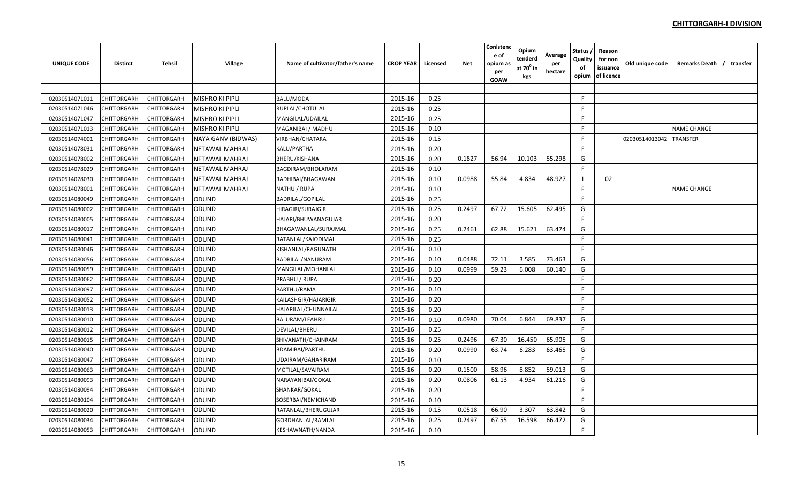| <b>UNIQUE CODE</b> | <b>Distirct</b>    | <b>Tehsil</b>      | <b>Village</b>         | Name of cultivator/father's name | <b>CROP YEAR</b> | Licensed | <b>Net</b> | Conistenc<br>e of<br>opium as<br>per<br><b>GOAW</b> | Opium<br>tenderd<br>at 70 <sup>°</sup> in<br>kgs | Average<br>per<br>hectare | Status<br>Quality<br>of<br>opium | Reason<br>for non<br>issuance<br>of licence | Old unique code | Remarks Death / transfer |  |
|--------------------|--------------------|--------------------|------------------------|----------------------------------|------------------|----------|------------|-----------------------------------------------------|--------------------------------------------------|---------------------------|----------------------------------|---------------------------------------------|-----------------|--------------------------|--|
|                    |                    |                    |                        |                                  |                  |          |            |                                                     |                                                  |                           |                                  |                                             |                 |                          |  |
| 02030514071011     | CHITTORGARH        | CHITTORGARH        | <b>MISHRO KI PIPLI</b> | BALU/MODA                        | 2015-16          | 0.25     |            |                                                     |                                                  |                           | $\mathsf{F}$                     |                                             |                 |                          |  |
| 02030514071046     | CHITTORGARH        | <b>CHITTORGARH</b> | MISHRO KI PIPLI        | RUPLAL/CHOTULAL                  | 2015-16          | 0.25     |            |                                                     |                                                  |                           | F                                |                                             |                 |                          |  |
| 02030514071047     | CHITTORGARH        | <b>CHITTORGARH</b> | <b>MISHRO KI PIPLI</b> | MANGILAL/UDAILAL                 | 2015-16          | 0.25     |            |                                                     |                                                  |                           | F                                |                                             |                 |                          |  |
| 02030514071013     | CHITTORGARH        | CHITTORGARH        | <b>MISHRO KI PIPLI</b> | MAGANIBAI / MADHU                | 2015-16          | 0.10     |            |                                                     |                                                  |                           | F.                               |                                             |                 | <b>NAME CHANGE</b>       |  |
| 02030514074001     | <b>CHITTORGARH</b> | <b>CHITTORGARH</b> | NAYA GANV (BIDWAS)     | <b>VIRBHAN/CHATARA</b>           | 2015-16          | 0.15     |            |                                                     |                                                  |                           | E                                |                                             | 02030514013042  | <b>TRANSFER</b>          |  |
| 02030514078031     | CHITTORGARH        | CHITTORGARH        | NETAWAL MAHRAJ         | KALU/PARTHA                      | 2015-16          | 0.20     |            |                                                     |                                                  |                           | F.                               |                                             |                 |                          |  |
| 02030514078002     | CHITTORGARH        | CHITTORGARH        | NETAWAL MAHRAJ         | BHERU/KISHANA                    | 2015-16          | 0.20     | 0.1827     | 56.94                                               | 10.103                                           | 55.298                    | G                                |                                             |                 |                          |  |
| 02030514078029     | <b>CHITTORGARH</b> | <b>CHITTORGARH</b> | NETAWAL MAHRAJ         | BAGDIRAM/BHOLARAM                | 2015-16          | 0.10     |            |                                                     |                                                  |                           | F.                               |                                             |                 |                          |  |
| 02030514078030     | CHITTORGARH        | <b>CHITTORGARH</b> | <b>NETAWAL MAHRAJ</b>  | RADHIBAI/BHAGAWAN                | 2015-16          | 0.10     | 0.0988     | 55.84                                               | 4.834                                            | 48.927                    |                                  | 02                                          |                 |                          |  |
| 02030514078001     | CHITTORGARH        | CHITTORGARH        | NETAWAL MAHRAJ         | NATHU / RUPA                     | 2015-16          | 0.10     |            |                                                     |                                                  |                           | F.                               |                                             |                 | <b>NAME CHANGE</b>       |  |
| 02030514080049     | CHITTORGARH        | <b>CHITTORGARH</b> | <b>ODUND</b>           | <b>BADRILAL/GOPILAL</b>          | 2015-16          | 0.25     |            |                                                     |                                                  |                           | F.                               |                                             |                 |                          |  |
| 02030514080002     | CHITTORGARH        | <b>CHITTORGARH</b> | <b>ODUND</b>           | <b>HIRAGIRI/SURAJGIRI</b>        | 2015-16          | 0.25     | 0.2497     | 67.72                                               | 15.605                                           | 62.495                    | G                                |                                             |                 |                          |  |
| 02030514080005     | CHITTORGARH        | CHITTORGARH        | <b>ODUND</b>           | HAJARI/BHUWANAGUJAR              | 2015-16          | 0.20     |            |                                                     |                                                  |                           | F                                |                                             |                 |                          |  |
| 02030514080017     | CHITTORGARH        | CHITTORGARH        | ODUND                  | BHAGAWANLAL/SURAJMAL             | 2015-16          | 0.25     | 0.2461     | 62.88                                               | 15.621                                           | 63.474                    | G                                |                                             |                 |                          |  |
| 02030514080041     | CHITTORGARH        | CHITTORGARH        | ODUND                  | RATANLAL/KAJODIMAL               | 2015-16          | 0.25     |            |                                                     |                                                  |                           | F                                |                                             |                 |                          |  |
| 02030514080046     | <b>CHITTORGARH</b> | CHITTORGARH        | <b>ODUND</b>           | KISHANLAL/RAGUNATH               | 2015-16          | 0.10     |            |                                                     |                                                  |                           | F.                               |                                             |                 |                          |  |
| 02030514080056     | CHITTORGARH        | CHITTORGARH        | <b>ODUND</b>           | <b>BADRILAL/NANURAM</b>          | 2015-16          | 0.10     | 0.0488     | 72.11                                               | 3.585                                            | 73.463                    | G                                |                                             |                 |                          |  |
| 02030514080059     | CHITTORGARH        | CHITTORGARH        | <b>ODUND</b>           | MANGILAL/MOHANLAL                | 2015-16          | 0.10     | 0.0999     | 59.23                                               | 6.008                                            | 60.140                    | G                                |                                             |                 |                          |  |
| 02030514080062     | CHITTORGARH        | CHITTORGARH        | ODUND                  | PRABHU / RUPA                    | 2015-16          | 0.20     |            |                                                     |                                                  |                           | F                                |                                             |                 |                          |  |
| 02030514080097     | CHITTORGARH        | <b>CHITTORGARH</b> | ODUND                  | PARTHU/RAMA                      | 2015-16          | 0.10     |            |                                                     |                                                  |                           | E                                |                                             |                 |                          |  |
| 02030514080052     | CHITTORGARH        | CHITTORGARH        | ODUND                  | KAILASHGIR/HAJARIGIR             | 2015-16          | 0.20     |            |                                                     |                                                  |                           | F.                               |                                             |                 |                          |  |
| 02030514080013     | <b>CHITTORGARH</b> | <b>CHITTORGARH</b> | ODUND                  | HAJARILAL/CHUNNAILAL             | 2015-16          | 0.20     |            |                                                     |                                                  |                           | F.                               |                                             |                 |                          |  |
| 02030514080010     | CHITTORGARH        | <b>CHITTORGARH</b> | ODUND                  | BALURAM/LEAHRU                   | 2015-16          | 0.10     | 0.0980     | 70.04                                               | 6.844                                            | 69.837                    | G                                |                                             |                 |                          |  |
| 02030514080012     | CHITTORGARH        | CHITTORGARH        | ODUND                  | DEVILAL/BHERU                    | 2015-16          | 0.25     |            |                                                     |                                                  |                           | $\mathsf{F}$                     |                                             |                 |                          |  |
| 02030514080015     | CHITTORGARH        | <b>CHITTORGARH</b> | ODUND                  | SHIVANATH/CHAINRAM               | 2015-16          | 0.25     | 0.2496     | 67.30                                               | 16.450                                           | 65.905                    | G                                |                                             |                 |                          |  |
| 02030514080040     | CHITTORGARH        | CHITTORGARH        | ODUND                  | <b>BDAMIBAI/PARTHU</b>           | 2015-16          | 0.20     | 0.0990     | 63.74                                               | 6.283                                            | 63.465                    | G                                |                                             |                 |                          |  |
| 02030514080047     | CHITTORGARH        | CHITTORGARH        | ODUND                  | UDAIRAM/GAHARIRAM                | 2015-16          | 0.10     |            |                                                     |                                                  |                           | F.                               |                                             |                 |                          |  |
| 02030514080063     | CHITTORGARH        | CHITTORGARH        | ODUND                  | MOTILAL/SAVAIRAM                 | 2015-16          | 0.20     | 0.1500     | 58.96                                               | 8.852                                            | 59.013                    | G                                |                                             |                 |                          |  |
| 02030514080093     | CHITTORGARH        | CHITTORGARH        | ODUND                  | NARAYANIBAI/GOKAL                | 2015-16          | 0.20     | 0.0806     | 61.13                                               | 4.934                                            | 61.216                    | G                                |                                             |                 |                          |  |
| 02030514080094     | CHITTORGARH        | CHITTORGARH        | <b>ODUND</b>           | SHANKAR/GOKAL                    | 2015-16          | 0.20     |            |                                                     |                                                  |                           | F.                               |                                             |                 |                          |  |
| 02030514080104     | CHITTORGARH        | <b>CHITTORGARH</b> | ODUND                  | SOSERBAI/NEMICHAND               | 2015-16          | 0.10     |            |                                                     |                                                  |                           | -F                               |                                             |                 |                          |  |
| 02030514080020     | CHITTORGARH        | CHITTORGARH        | ODUND                  | RATANLAL/BHERUGUJAR              | 2015-16          | 0.15     | 0.0518     | 66.90                                               | 3.307                                            | 63.842                    | G                                |                                             |                 |                          |  |
| 02030514080034     | CHITTORGARH        | <b>CHITTORGARH</b> | ODUND                  | GORDHANLAL/RAMLAL                | 2015-16          | 0.25     | 0.2497     | 67.55                                               | 16.598                                           | 66.472                    | G                                |                                             |                 |                          |  |
| 02030514080053     | <b>CHITTORGARH</b> | <b>CHITTORGARH</b> | ODUND                  | <b>KESHAWNATH/NANDA</b>          | 2015-16          | 0.10     |            |                                                     |                                                  |                           | F.                               |                                             |                 |                          |  |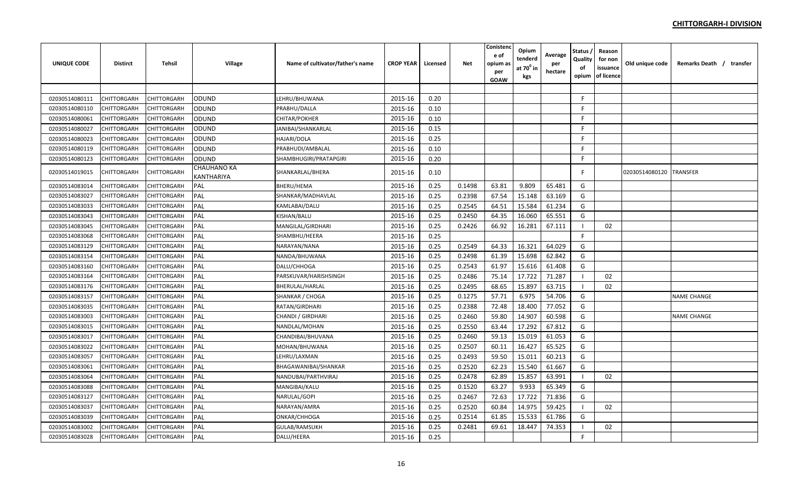| <b>UNIQUE CODE</b> | <b>Distirct</b> | <b>Tehsil</b> | Village                   | Name of cultivator/father's name | <b>CROP YEAR</b> | Licensed | <b>Net</b> | Conisteno<br>e of<br>opium a:<br>per<br>GOAW | Opium<br>tenderd<br>at $70^\circ$ in<br>kgs | Average<br>per<br>hectare | Status<br>Quality<br>of<br>opium | Reason<br>for non<br>issuance<br>of licence | Old unique code | Remarks Death / transfer |
|--------------------|-----------------|---------------|---------------------------|----------------------------------|------------------|----------|------------|----------------------------------------------|---------------------------------------------|---------------------------|----------------------------------|---------------------------------------------|-----------------|--------------------------|
|                    |                 |               |                           |                                  |                  |          |            |                                              |                                             |                           |                                  |                                             |                 |                          |
| 02030514080111     | CHITTORGARH     | CHITTORGARH   | ODUND                     | LEHRU/BHUWANA                    | 2015-16          | 0.20     |            |                                              |                                             |                           | F.                               |                                             |                 |                          |
| 02030514080110     | CHITTORGARH     | CHITTORGARH   | ODUND                     | PRABHU/DALLA                     | 2015-16          | 0.10     |            |                                              |                                             |                           | F.                               |                                             |                 |                          |
| 02030514080061     | CHITTORGARH     | CHITTORGARH   | ODUND                     | CHITAR/POKHER                    | 2015-16          | 0.10     |            |                                              |                                             |                           | F.                               |                                             |                 |                          |
| 02030514080027     | CHITTORGARH     | CHITTORGARH   | ODUND                     | JANIBAI/SHANKARLAL               | 2015-16          | 0.15     |            |                                              |                                             |                           | F.                               |                                             |                 |                          |
| 02030514080023     | CHITTORGARH     | CHITTORGARH   | ODUND                     | HAJARI/DOLA                      | 2015-16          | 0.25     |            |                                              |                                             |                           | F.                               |                                             |                 |                          |
| 02030514080119     | CHITTORGARH     | CHITTORGARH   | ODUND                     | PRABHUDI/AMBALAL                 | 2015-16          | 0.10     |            |                                              |                                             |                           | F.                               |                                             |                 |                          |
| 02030514080123     | CHITTORGARH     | CHITTORGARH   | <b>ODUND</b>              | SHAMBHUGIRI/PRATAPGIRI           | 2015-16          | 0.20     |            |                                              |                                             |                           | F.                               |                                             |                 |                          |
| 02030514019015     | CHITTORGARH     | CHITTORGARH   | CHAUHANO KA<br>KANTHARIYA | SHANKARLAL/BHERA                 | 2015-16          | 0.10     |            |                                              |                                             |                           | F                                |                                             | 02030514080120  | <b>TRANSFER</b>          |
| 02030514083014     | CHITTORGARH     | CHITTORGARH   | PAL                       | BHERU/HEMA                       | 2015-16          | 0.25     | 0.1498     | 63.81                                        | 9.809                                       | 65.481                    | G                                |                                             |                 |                          |
| 02030514083027     | CHITTORGARH     | CHITTORGARH   | PAL                       | SHANKAR/MADHAVLAL                | 2015-16          | 0.25     | 0.2398     | 67.54                                        | 15.148                                      | 63.169                    | G                                |                                             |                 |                          |
| 02030514083033     | CHITTORGARH     | CHITTORGARH   | PAL                       | KAMLABAI/DALU                    | 2015-16          | 0.25     | 0.2545     | 64.51                                        | 15.584                                      | 61.234                    | G                                |                                             |                 |                          |
| 02030514083043     | CHITTORGARH     | CHITTORGARH   | PAL                       | KISHAN/BALU                      | 2015-16          | 0.25     | 0.2450     | 64.35                                        | 16.060                                      | 65.551                    | G                                |                                             |                 |                          |
| 02030514083045     | CHITTORGARH     | CHITTORGARH   | PAL                       | MANGILAL/GIRDHARI                | 2015-16          | 0.25     | 0.2426     | 66.92                                        | 16.281                                      | 67.111                    | - 1                              | 02                                          |                 |                          |
| 02030514083068     | CHITTORGARH     | CHITTORGARH   | PAL                       | SHAMBHU/HEERA                    | 2015-16          | 0.25     |            |                                              |                                             |                           | F.                               |                                             |                 |                          |
| 02030514083129     | CHITTORGARH     | CHITTORGARH   | PAL                       | NARAYAN/NANA                     | 2015-16          | 0.25     | 0.2549     | 64.33                                        | 16.321                                      | 64.029                    | G                                |                                             |                 |                          |
| 02030514083154     | CHITTORGARH     | CHITTORGARH   | PAL                       | NANDA/BHUWANA                    | 2015-16          | 0.25     | 0.2498     | 61.39                                        | 15.698                                      | 62.842                    | G                                |                                             |                 |                          |
| 02030514083160     | CHITTORGARH     | CHITTORGARH   | PAL                       | DALU/CHHOGA                      | 2015-16          | 0.25     | 0.2543     | 61.97                                        | 15.616                                      | 61.408                    | G                                |                                             |                 |                          |
| 02030514083164     | CHITTORGARH     | CHITTORGARH   | PAL                       | PARSKUVAR/HARISHSINGH            | 2015-16          | 0.25     | 0.2486     | 75.14                                        | 17.722                                      | 71.287                    | - 1                              | 02                                          |                 |                          |
| 02030514083176     | CHITTORGARH     | CHITTORGARH   | PAL                       | BHERULAL/HARLAL                  | 2015-16          | 0.25     | 0.2495     | 68.65                                        | 15.897                                      | 63.715                    | - 1                              | 02                                          |                 |                          |
| 02030514083157     | CHITTORGARH     | CHITTORGARH   | PAL                       | SHANKAR / CHOGA                  | 2015-16          | 0.25     | 0.1275     | 57.71                                        | 6.975                                       | 54.706                    | G                                |                                             |                 | <b>NAME CHANGE</b>       |
| 02030514083035     | CHITTORGARH     | CHITTORGARH   | PAL                       | RATAN/GIRDHARI                   | 2015-16          | 0.25     | 0.2388     | 72.48                                        | 18.400                                      | 77.052                    | G                                |                                             |                 |                          |
| 02030514083003     | CHITTORGARH     | CHITTORGARH   | PAL                       | CHANDI / GIRDHARI                | 2015-16          | 0.25     | 0.2460     | 59.80                                        | 14.907                                      | 60.598                    | G                                |                                             |                 | <b>NAME CHANGE</b>       |
| 02030514083015     | CHITTORGARH     | CHITTORGARH   | PAL                       | NANDLAL/MOHAN                    | 2015-16          | 0.25     | 0.2550     | 63.44                                        | 17.292                                      | 67.812                    | G                                |                                             |                 |                          |
| 02030514083017     | CHITTORGARH     | CHITTORGARH   | PAL                       | CHANDIBAI/BHUVANA                | 2015-16          | 0.25     | 0.2460     | 59.13                                        | 15.019                                      | 61.053                    | G                                |                                             |                 |                          |
| 02030514083022     | CHITTORGARH     | CHITTORGARH   | PAL                       | MOHAN/BHUWANA                    | 2015-16          | 0.25     | 0.2507     | 60.11                                        | 16.427                                      | 65.525                    | G                                |                                             |                 |                          |
| 02030514083057     | CHITTORGARH     | CHITTORGARH   | PAL                       | LEHRU/LAXMAN                     | 2015-16          | 0.25     | 0.2493     | 59.50                                        | 15.011                                      | 60.213                    | G                                |                                             |                 |                          |
| 02030514083061     | CHITTORGARH     | CHITTORGARH   | PAL                       | BHAGAWANIBAI/SHANKAR             | 2015-16          | 0.25     | 0.2520     | 62.23                                        | 15.540                                      | 61.667                    | G                                |                                             |                 |                          |
| 02030514083064     | CHITTORGARH     | CHITTORGARH   | PAL                       | NANDUBAI/PARTHVIRAJ              | 2015-16          | 0.25     | 0.2478     | 62.89                                        | 15.857                                      | 63.991                    | - 1                              | 02                                          |                 |                          |
| 02030514083088     | CHITTORGARH     | CHITTORGARH   | PAL                       | MANGIBAI/KALU                    | 2015-16          | 0.25     | 0.1520     | 63.27                                        | 9.933                                       | 65.349                    | G                                |                                             |                 |                          |
| 02030514083127     | CHITTORGARH     | CHITTORGARH   | PAL                       | NARULAL/GOPI                     | 2015-16          | 0.25     | 0.2467     | 72.63                                        | 17.722                                      | 71.836                    | G                                |                                             |                 |                          |
| 02030514083037     | CHITTORGARH     | CHITTORGARH   | PAL                       | NARAYAN/AMRA                     | 2015-16          | 0.25     | 0.2520     | 60.84                                        | 14.975                                      | 59.425                    |                                  | 02                                          |                 |                          |
| 02030514083039     | CHITTORGARH     | CHITTORGARH   | PAL                       | ONKAR/CHHOGA                     | 2015-16          | 0.25     | 0.2514     | 61.85                                        | 15.533                                      | 61.786                    | G                                |                                             |                 |                          |
| 02030514083002     | CHITTORGARH     | CHITTORGARH   | PAL                       | GULAB/RAMSUKH                    | 2015-16          | 0.25     | 0.2481     | 69.61                                        | 18.447                                      | 74.353                    |                                  | 02                                          |                 |                          |
| 02030514083028     | CHITTORGARH     | CHITTORGARH   | PAL                       | DALU/HEERA                       | 2015-16          | 0.25     |            |                                              |                                             |                           | F.                               |                                             |                 |                          |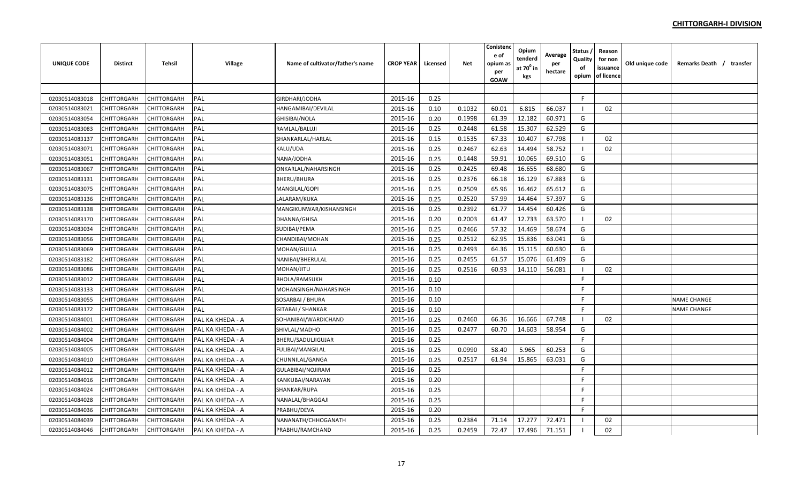| <b>UNIQUE CODE</b> | <b>Distirct</b> | <b>Tehsil</b> | Village          | Name of cultivator/father's name | <b>CROP YEAR</b> | Licensed | Net    | Conistenc<br>e of<br>opium a:<br>per<br>GOAW | Opium<br>tenderd<br>at $70^0$ in<br>kgs | Average<br>per<br>hectare | Status<br>Quality<br>of<br>opium | Reason<br>for non<br>issuance<br>of licence | Old unique code | Remarks Death / transfer |  |
|--------------------|-----------------|---------------|------------------|----------------------------------|------------------|----------|--------|----------------------------------------------|-----------------------------------------|---------------------------|----------------------------------|---------------------------------------------|-----------------|--------------------------|--|
|                    |                 |               |                  |                                  |                  |          |        |                                              |                                         |                           |                                  |                                             |                 |                          |  |
| 02030514083018     | CHITTORGARH     | CHITTORGARH   | PAL              | GIRDHARI/JODHA                   | 2015-16          | 0.25     |        |                                              |                                         |                           | F.                               |                                             |                 |                          |  |
| 02030514083021     | CHITTORGARH     | CHITTORGARH   | PAL              | HANGAMIBAI/DEVILAL               | 2015-16          | 0.10     | 0.1032 | 60.01                                        | 6.815                                   | 66.037                    | - 1                              | 02                                          |                 |                          |  |
| 02030514083054     | CHITTORGARH     | CHITTORGARH   | PAL              | GHISIBAI/NOLA                    | 2015-16          | 0.20     | 0.1998 | 61.39                                        | 12.182                                  | 60.971                    | G                                |                                             |                 |                          |  |
| 02030514083083     | CHITTORGARH     | CHITTORGARH   | PAL              | RAMLAL/BALUJI                    | 2015-16          | 0.25     | 0.2448 | 61.58                                        | 15.307                                  | 62.529                    | G                                |                                             |                 |                          |  |
| 02030514083137     | CHITTORGARH     | CHITTORGARH   | PAL              | SHANKARLAL/HARLAL                | 2015-16          | 0.15     | 0.1535 | 67.33                                        | 10.407                                  | 67.798                    |                                  | 02                                          |                 |                          |  |
| 02030514083071     | CHITTORGARH     | CHITTORGARH   | PAL              | KALU/UDA                         | 2015-16          | 0.25     | 0.2467 | 62.63                                        | 14.494                                  | 58.752                    | -1                               | 02                                          |                 |                          |  |
| 02030514083051     | CHITTORGARH     | CHITTORGARH   | PAL              | NANA/JODHA                       | 2015-16          | 0.25     | 0.1448 | 59.91                                        | 10.065                                  | 69.510                    | G                                |                                             |                 |                          |  |
| 02030514083067     | CHITTORGARH     | CHITTORGARH   | PAL              | ONKARLAL/NAHARSINGH              | 2015-16          | 0.25     | 0.2425 | 69.48                                        | 16.655                                  | 68.680                    | G                                |                                             |                 |                          |  |
| 02030514083131     | CHITTORGARH     | CHITTORGARH   | PAL              | BHERU/BHURA                      | 2015-16          | 0.25     | 0.2376 | 66.18                                        | 16.129                                  | 67.883                    | G                                |                                             |                 |                          |  |
| 02030514083075     | CHITTORGARH     | CHITTORGARH   | PAL              | MANGILAL/GOPI                    | 2015-16          | 0.25     | 0.2509 | 65.96                                        | 16.462                                  | 65.612                    | G                                |                                             |                 |                          |  |
| 02030514083136     | CHITTORGARH     | CHITTORGARH   | PAL              | LALARAM/KUKA                     | 2015-16          | 0.25     | 0.2520 | 57.99                                        | 14.464                                  | 57.397                    | G                                |                                             |                 |                          |  |
| 02030514083138     | CHITTORGARH     | CHITTORGARH   | PAL              | MANGIKUNWAR/KISHANSINGH          | 2015-16          | 0.25     | 0.2392 | 61.77                                        | 14.454                                  | 60.426                    | G                                |                                             |                 |                          |  |
| 02030514083170     | CHITTORGARH     | CHITTORGARH   | PAL              | DHANNA/GHISA                     | 2015-16          | 0.20     | 0.2003 | 61.47                                        | 12.733                                  | 63.570                    | -1                               | 02                                          |                 |                          |  |
| 02030514083034     | CHITTORGARH     | CHITTORGARH   | PAL              | SUDIBAI/PEMA                     | 2015-16          | 0.25     | 0.2466 | 57.32                                        | 14.469                                  | 58.674                    | G                                |                                             |                 |                          |  |
| 02030514083056     | CHITTORGARH     | CHITTORGARH   | PAL              | CHANDIBAI/MOHAN                  | 2015-16          | 0.25     | 0.2512 | 62.95                                        | 15.836                                  | 63.041                    | G                                |                                             |                 |                          |  |
| 02030514083069     | CHITTORGARH     | CHITTORGARH   | PAL              | MOHAN/GULLA                      | 2015-16          | 0.25     | 0.2493 | 64.36                                        | 15.115                                  | 60.630                    | G                                |                                             |                 |                          |  |
| 02030514083182     | CHITTORGARH     | CHITTORGARH   | PAL              | NANIBAI/BHERULAL                 | 2015-16          | 0.25     | 0.2455 | 61.57                                        | 15.076                                  | 61.409                    | G                                |                                             |                 |                          |  |
| 02030514083086     | CHITTORGARH     | CHITTORGARH   | PAL              | MOHAN/JITU                       | 2015-16          | 0.25     | 0.2516 | 60.93                                        | 14.110                                  | 56.081                    | -1                               | 02                                          |                 |                          |  |
| 02030514083012     | CHITTORGARH     | CHITTORGARH   | PAL              | BHOLA/RAMSUKH                    | 2015-16          | 0.10     |        |                                              |                                         |                           | F                                |                                             |                 |                          |  |
| 02030514083133     | CHITTORGARH     | CHITTORGARH   | PAL              | MOHANSINGH/NAHARSINGH            | 2015-16          | 0.10     |        |                                              |                                         |                           | F                                |                                             |                 |                          |  |
| 02030514083055     | CHITTORGARH     | CHITTORGARH   | PAL              | SOSARBAI / BHURA                 | 2015-16          | 0.10     |        |                                              |                                         |                           | F                                |                                             |                 | <b>NAME CHANGE</b>       |  |
| 02030514083172     | CHITTORGARH     | CHITTORGARH   | PAL              | GITABAI / SHANKAR                | 2015-16          | 0.10     |        |                                              |                                         |                           | F.                               |                                             |                 | <b>NAME CHANGE</b>       |  |
| 02030514084001     | CHITTORGARH     | CHITTORGARH   | PAL KA KHEDA - A | SOHANIBAI/WARDICHAND             | 2015-16          | 0.25     | 0.2460 | 66.36                                        | 16.666                                  | 67.748                    | -1                               | 02                                          |                 |                          |  |
| 02030514084002     | CHITTORGARH     | CHITTORGARH   | PAL KA KHEDA - A | SHIVLAL/MADHO                    | 2015-16          | 0.25     | 0.2477 | 60.70                                        | 14.603                                  | 58.954                    | G                                |                                             |                 |                          |  |
| 02030514084004     | CHITTORGARH     | CHITTORGARH   | PAL KA KHEDA - A | BHERU/SADULJIGUJAR               | 2015-16          | 0.25     |        |                                              |                                         |                           | F                                |                                             |                 |                          |  |
| 02030514084005     | CHITTORGARH     | CHITTORGARH   | PAL KA KHEDA - A | FULIBAI/MANGILAL                 | 2015-16          | 0.25     | 0.0990 | 58.40                                        | 5.965                                   | 60.253                    | G                                |                                             |                 |                          |  |
| 02030514084010     | CHITTORGARH     | CHITTORGARH   | PAL KA KHEDA - A | CHUNNILAL/GANGA                  | 2015-16          | 0.25     | 0.2517 | 61.94                                        | 15.865                                  | 63.031                    | G                                |                                             |                 |                          |  |
| 02030514084012     | CHITTORGARH     | CHITTORGARH   | PAL KA KHEDA - A | GULABIBAI/NOJIRAM                | 2015-16          | 0.25     |        |                                              |                                         |                           | F                                |                                             |                 |                          |  |
| 02030514084016     | CHITTORGARH     | CHITTORGARH   | PAL KA KHEDA - A | KANKUBAI/NARAYAN                 | 2015-16          | 0.20     |        |                                              |                                         |                           | F                                |                                             |                 |                          |  |
| 02030514084024     | CHITTORGARH     | CHITTORGARH   | PAL KA KHEDA - A | SHANKAR/RUPA                     | 2015-16          | 0.25     |        |                                              |                                         |                           | F                                |                                             |                 |                          |  |
| 02030514084028     | CHITTORGARH     | CHITTORGARH   | PAL KA KHEDA - A | NANALAL/BHAGGAJI                 | 2015-16          | 0.25     |        |                                              |                                         |                           | F                                |                                             |                 |                          |  |
| 02030514084036     | CHITTORGARH     | CHITTORGARH   | PAL KA KHEDA - A | PRABHU/DEVA                      | 2015-16          | 0.20     |        |                                              |                                         |                           | F                                |                                             |                 |                          |  |
| 02030514084039     | CHITTORGARH     | CHITTORGARH   | PAL KA KHEDA - A | NANANATH/CHHOGANATH              | 2015-16          | 0.25     | 0.2384 | 71.14                                        | 17.277                                  | 72.471                    |                                  | 02                                          |                 |                          |  |
| 02030514084046     | CHITTORGARH     | CHITTORGARH   | PAL KA KHEDA - A | PRABHU/RAMCHAND                  | 2015-16          | 0.25     | 0.2459 | 72.47                                        | 17.496                                  | 71.151                    |                                  | 02                                          |                 |                          |  |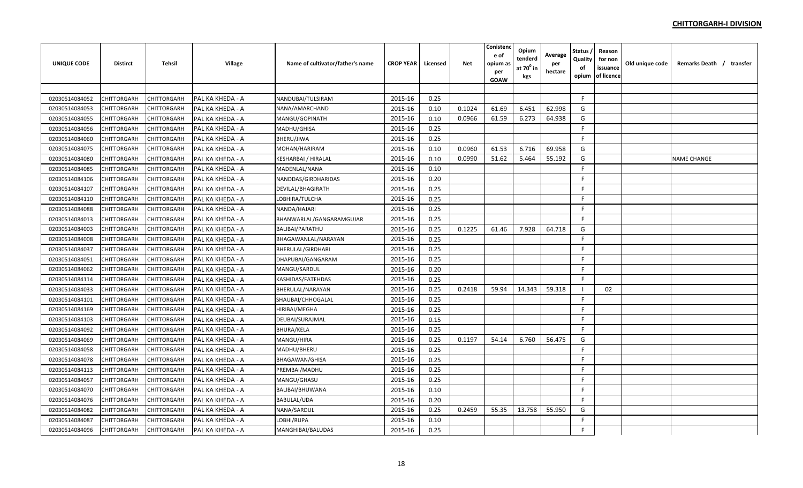| <b>UNIQUE CODE</b> | <b>Distirct</b>    | <b>Tehsil</b>      | Village          | Name of cultivator/father's name | <b>CROP YEAR</b> | Licensed | <b>Net</b> | Conistenc<br>e of<br>opium as<br>per<br><b>GOAW</b> | Opium<br>tenderd<br>at $70^0$ in<br>kgs | Average<br>per<br>hectare | Status<br>Quality<br>of<br>opium | Reason<br>for non<br>issuance<br>of licence | Old unique code | Remarks Death / transfer |  |
|--------------------|--------------------|--------------------|------------------|----------------------------------|------------------|----------|------------|-----------------------------------------------------|-----------------------------------------|---------------------------|----------------------------------|---------------------------------------------|-----------------|--------------------------|--|
|                    |                    |                    |                  |                                  |                  |          |            |                                                     |                                         |                           |                                  |                                             |                 |                          |  |
| 02030514084052     | CHITTORGARH        | <b>CHITTORGARH</b> | PAL KA KHEDA - A | NANDUBAI/TULSIRAM                | 2015-16          | 0.25     |            |                                                     |                                         |                           | F.                               |                                             |                 |                          |  |
| 02030514084053     | CHITTORGARH        | CHITTORGARH        | PAL KA KHEDA - A | NANA/AMARCHAND                   | 2015-16          | 0.10     | 0.1024     | 61.69                                               | 6.451                                   | 62.998                    | G                                |                                             |                 |                          |  |
| 02030514084055     | CHITTORGARH        | <b>CHITTORGARH</b> | PAL KA KHEDA - A | MANGU/GOPINATH                   | 2015-16          | 0.10     | 0.0966     | 61.59                                               | 6.273                                   | 64.938                    | G                                |                                             |                 |                          |  |
| 02030514084056     | CHITTORGARH        | CHITTORGARH        | PAL KA KHEDA - A | MADHU/GHISA                      | 2015-16          | 0.25     |            |                                                     |                                         |                           | F                                |                                             |                 |                          |  |
| 02030514084060     | <b>CHITTORGARH</b> | <b>CHITTORGARH</b> | PAL KA KHEDA - A | BHERU/JIWA                       | 2015-16          | 0.25     |            |                                                     |                                         |                           | F                                |                                             |                 |                          |  |
| 02030514084075     | CHITTORGARH        | CHITTORGARH        | PAL KA KHEDA - A | MOHAN/HARIRAM                    | 2015-16          | 0.10     | 0.0960     | 61.53                                               | 6.716                                   | 69.958                    | G                                |                                             |                 |                          |  |
| 02030514084080     | CHITTORGARH        | CHITTORGARH        | PAL KA KHEDA - A | KESHARBAI / HIRALAL              | 2015-16          | 0.10     | 0.0990     | 51.62                                               | 5.464                                   | 55.192                    | G                                |                                             |                 | <b>NAME CHANGE</b>       |  |
| 02030514084085     | CHITTORGARH        | <b>CHITTORGARH</b> | PAL KA KHEDA - A | MADENLAL/NANA                    | 2015-16          | 0.10     |            |                                                     |                                         |                           | E                                |                                             |                 |                          |  |
| 02030514084106     | CHITTORGARH        | <b>CHITTORGARH</b> | PAL KA KHEDA - A | NANDDAS/GIRDHARIDAS              | 2015-16          | 0.20     |            |                                                     |                                         |                           | E                                |                                             |                 |                          |  |
| 02030514084107     | CHITTORGARH        | <b>CHITTORGARH</b> | PAL KA KHEDA - A | DEVILAL/BHAGIRATH                | 2015-16          | 0.25     |            |                                                     |                                         |                           | F.                               |                                             |                 |                          |  |
| 02030514084110     | CHITTORGARH        | <b>CHITTORGARH</b> | PAL KA KHEDA - A | LOBHIRA/TULCHA                   | 2015-16          | 0.25     |            |                                                     |                                         |                           | F                                |                                             |                 |                          |  |
| 02030514084088     | CHITTORGARH        | <b>CHITTORGARH</b> | PAL KA KHEDA - A | NANDA/HAJARI                     | 2015-16          | 0.25     |            |                                                     |                                         |                           | F                                |                                             |                 |                          |  |
| 02030514084013     | CHITTORGARH        | CHITTORGARH        | PAL KA KHEDA - A | BHANWARLAL/GANGARAMGUJAR         | 2015-16          | 0.25     |            |                                                     |                                         |                           | F.                               |                                             |                 |                          |  |
| 02030514084003     | CHITTORGARH        | <b>CHITTORGARH</b> | PAL KA KHEDA - A | <b>BALIBAI/PARATHU</b>           | 2015-16          | 0.25     | 0.1225     | 61.46                                               | 7.928                                   | 64.718                    | G                                |                                             |                 |                          |  |
| 02030514084008     | CHITTORGARH        | <b>CHITTORGARH</b> | PAL KA KHEDA - A | BHAGAWANLAL/NARAYAN              | 2015-16          | 0.25     |            |                                                     |                                         |                           | F                                |                                             |                 |                          |  |
| 02030514084037     | CHITTORGARH        | CHITTORGARH        | PAL KA KHEDA - A | BHERULAL/GIRDHARI                | 2015-16          | 0.25     |            |                                                     |                                         |                           | F                                |                                             |                 |                          |  |
| 02030514084051     | <b>CHITTORGARH</b> | <b>CHITTORGARH</b> | PAL KA KHEDA - A | DHAPUBAI/GANGARAM                | 2015-16          | 0.25     |            |                                                     |                                         |                           | F.                               |                                             |                 |                          |  |
| 02030514084062     | CHITTORGARH        | CHITTORGARH        | PAL KA KHEDA - A | MANGU/SARDUL                     | 2015-16          | 0.20     |            |                                                     |                                         |                           | E                                |                                             |                 |                          |  |
| 02030514084114     | CHITTORGARH        | CHITTORGARH        | PAL KA KHEDA - A | KASHIDAS/FATEHDAS                | 2015-16          | 0.25     |            |                                                     |                                         |                           | F.                               |                                             |                 |                          |  |
| 02030514084033     | CHITTORGARH        | <b>CHITTORGARH</b> | PAL KA KHEDA - A | BHERULAL/NARAYAN                 | 2015-16          | 0.25     | 0.2418     | 59.94                                               | 14.343                                  | 59.318                    |                                  | 02                                          |                 |                          |  |
| 02030514084101     | CHITTORGARH        | <b>CHITTORGARH</b> | PAL KA KHEDA - A | SHAUBAI/CHHOGALAL                | 2015-16          | 0.25     |            |                                                     |                                         |                           | E                                |                                             |                 |                          |  |
| 02030514084169     | CHITTORGARH        | CHITTORGARH        | PAL KA KHEDA - A | <b>HIRIBAI/MEGHA</b>             | 2015-16          | 0.25     |            |                                                     |                                         |                           | F                                |                                             |                 |                          |  |
| 02030514084103     | CHITTORGARH        | <b>CHITTORGARH</b> | PAL KA KHEDA - A | DEUBAI/SURAJMAL                  | 2015-16          | 0.15     |            |                                                     |                                         |                           | F.                               |                                             |                 |                          |  |
| 02030514084092     | CHITTORGARH        | <b>CHITTORGARH</b> | PAL KA KHEDA - A | <b>BHURA/KELA</b>                | 2015-16          | 0.25     |            |                                                     |                                         |                           | F                                |                                             |                 |                          |  |
| 02030514084069     | CHITTORGARH        | CHITTORGARH        | PAL KA KHEDA - A | MANGU/HIRA                       | 2015-16          | 0.25     | 0.1197     | 54.14                                               | 6.760                                   | 56.475                    | G                                |                                             |                 |                          |  |
| 02030514084058     | CHITTORGARH        | <b>CHITTORGARH</b> | PAL KA KHEDA - A | MADHU/BHERU                      | 2015-16          | 0.25     |            |                                                     |                                         |                           | F                                |                                             |                 |                          |  |
| 02030514084078     | CHITTORGARH        | CHITTORGARH        | PAL KA KHEDA - A | <b>BHAGAWAN/GHISA</b>            | 2015-16          | 0.25     |            |                                                     |                                         |                           | F.                               |                                             |                 |                          |  |
| 02030514084113     | CHITTORGARH        | <b>CHITTORGARH</b> | PAL KA KHEDA - A | PREMBAI/MADHU                    | 2015-16          | 0.25     |            |                                                     |                                         |                           | F.                               |                                             |                 |                          |  |
| 02030514084057     | <b>CHITTORGARH</b> | <b>CHITTORGARH</b> | PAL KA KHEDA - A | MANGU/GHASU                      | 2015-16          | 0.25     |            |                                                     |                                         |                           | F                                |                                             |                 |                          |  |
| 02030514084070     | CHITTORGARH        | CHITTORGARH        | PAL KA KHEDA - A | BALIBAI/BHUWANA                  | 2015-16          | 0.10     |            |                                                     |                                         |                           | F.                               |                                             |                 |                          |  |
| 02030514084076     | CHITTORGARH        | <b>CHITTORGARH</b> | PAL KA KHEDA - A | BABULAL/UDA                      | 2015-16          | 0.20     |            |                                                     |                                         |                           | F.                               |                                             |                 |                          |  |
| 02030514084082     | CHITTORGARH        | <b>CHITTORGARH</b> | PAL KA KHEDA - A | NANA/SARDUL                      | 2015-16          | 0.25     | 0.2459     | 55.35                                               | 13.758                                  | 55.950                    | G                                |                                             |                 |                          |  |
| 02030514084087     | CHITTORGARH        | CHITTORGARH        | PAL KA KHEDA - A | LOBHI/RUPA                       | 2015-16          | 0.10     |            |                                                     |                                         |                           | F.                               |                                             |                 |                          |  |
| 02030514084096     | <b>CHITTORGARH</b> | <b>CHITTORGARH</b> | PAL KA KHEDA - A | MANGHIBAI/BALUDAS                | 2015-16          | 0.25     |            |                                                     |                                         |                           | F                                |                                             |                 |                          |  |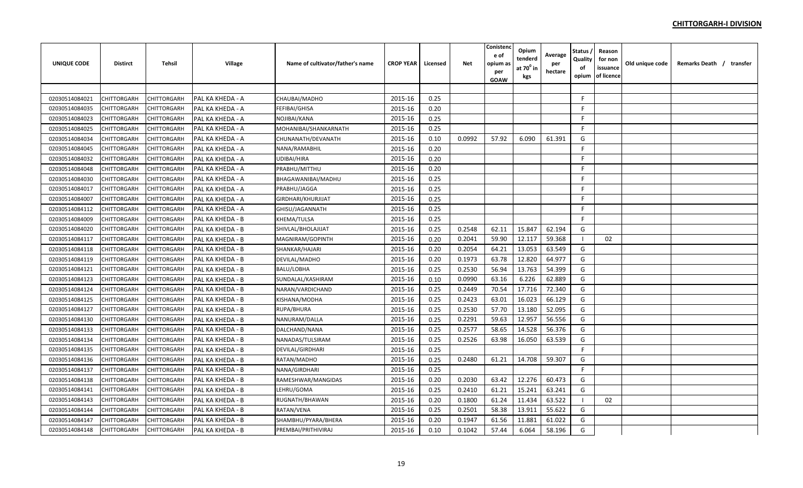| UNIQUE CODE    | <b>Distirct</b>    | <b>Tehsil</b> | Village          | Name of cultivator/father's name | <b>CROP YEAR</b> | Licensed | Net    | Conistenc<br>e of<br>opium a:<br>per<br>GOAW | Opium<br>tenderd<br>at $70^0$ in<br>kgs | Average<br>per<br>hectare | Status<br>Quality<br>of<br>opium | Reason<br>for non<br>issuance<br>of licence | Old unique code | Remarks Death / transfer |  |
|----------------|--------------------|---------------|------------------|----------------------------------|------------------|----------|--------|----------------------------------------------|-----------------------------------------|---------------------------|----------------------------------|---------------------------------------------|-----------------|--------------------------|--|
|                |                    |               |                  |                                  |                  |          |        |                                              |                                         |                           |                                  |                                             |                 |                          |  |
| 02030514084021 | CHITTORGARH        | CHITTORGARH   | PAL KA KHEDA - A | CHAUBAI/MADHO                    | 2015-16          | 0.25     |        |                                              |                                         |                           | F.                               |                                             |                 |                          |  |
| 02030514084035 | CHITTORGARH        | CHITTORGARH   | PAL KA KHEDA - A | FEFIBAI/GHISA                    | 2015-16          | 0.20     |        |                                              |                                         |                           | F                                |                                             |                 |                          |  |
| 02030514084023 | CHITTORGARH        | CHITTORGARH   | PAL KA KHEDA - A | NOJIBAI/KANA                     | 2015-16          | 0.25     |        |                                              |                                         |                           | F                                |                                             |                 |                          |  |
| 02030514084025 | CHITTORGARH        | CHITTORGARH   | PAL KA KHEDA - A | MOHANIBAI/SHANKARNATH            | 2015-16          | 0.25     |        |                                              |                                         |                           | F.                               |                                             |                 |                          |  |
| 02030514084034 | CHITTORGARH        | CHITTORGARH   | PAL KA KHEDA - A | CHUNANATH/DEVANATH               | 2015-16          | 0.10     | 0.0992 | 57.92                                        | 6.090                                   | 61.391                    | G                                |                                             |                 |                          |  |
| 02030514084045 | CHITTORGARH        | CHITTORGARH   | PAL KA KHEDA - A | NANA/RAMABHIL                    | 2015-16          | 0.20     |        |                                              |                                         |                           | F.                               |                                             |                 |                          |  |
| 02030514084032 | CHITTORGARH        | CHITTORGARH   | PAL KA KHEDA - A | UDIBAI/HIRA                      | 2015-16          | 0.20     |        |                                              |                                         |                           | F                                |                                             |                 |                          |  |
| 02030514084048 | CHITTORGARH        | CHITTORGARH   | PAL KA KHEDA - A | PRABHU/MITTHU                    | 2015-16          | 0.20     |        |                                              |                                         |                           | F                                |                                             |                 |                          |  |
| 02030514084030 | CHITTORGARH        | CHITTORGARH   | PAL KA KHEDA - A | BHAGAWANIBAI/MADHU               | 2015-16          | 0.25     |        |                                              |                                         |                           | F                                |                                             |                 |                          |  |
| 02030514084017 | CHITTORGARH        | CHITTORGARH   | PAL KA KHEDA - A | PRABHU/JAGGA                     | 2015-16          | 0.25     |        |                                              |                                         |                           | F.                               |                                             |                 |                          |  |
| 02030514084007 | CHITTORGARH        | CHITTORGARH   | PAL KA KHEDA - A | GIRDHARI/KHURJIJAT               | 2015-16          | 0.25     |        |                                              |                                         |                           | F.                               |                                             |                 |                          |  |
| 02030514084112 | CHITTORGARH        | CHITTORGARH   | PAL KA KHEDA - A | GHISU/JAGANNATH                  | 2015-16          | 0.25     |        |                                              |                                         |                           | F                                |                                             |                 |                          |  |
| 02030514084009 | CHITTORGARH        | CHITTORGARH   | PAL KA KHEDA - B | KHEMA/TULSA                      | 2015-16          | 0.25     |        |                                              |                                         |                           | F                                |                                             |                 |                          |  |
| 02030514084020 | CHITTORGARH        | CHITTORGARH   | PAL KA KHEDA - B | SHIVLAL/BHOLAJIJAT               | 2015-16          | 0.25     | 0.2548 | 62.11                                        | 15.847                                  | 62.194                    | G                                |                                             |                 |                          |  |
| 02030514084117 | CHITTORGARH        | CHITTORGARH   | PAL KA KHEDA - B | MAGNIRAM/GOPINTH                 | 2015-16          | 0.20     | 0.2041 | 59.90                                        | 12.117                                  | 59.368                    | - 1                              | 02                                          |                 |                          |  |
| 02030514084118 | CHITTORGARH        | CHITTORGARH   | PAL KA KHEDA - B | SHANKAR/HAJARI                   | 2015-16          | 0.20     | 0.2054 | 64.21                                        | 13.053                                  | 63.549                    | G                                |                                             |                 |                          |  |
| 02030514084119 | CHITTORGARH        | CHITTORGARH   | PAL KA KHEDA - B | DEVILAL/MADHO                    | 2015-16          | 0.20     | 0.1973 | 63.78                                        | 12.820                                  | 64.977                    | G                                |                                             |                 |                          |  |
| 02030514084121 | CHITTORGARH        | CHITTORGARH   | PAL KA KHEDA - B | BALU/LOBHA                       | 2015-16          | 0.25     | 0.2530 | 56.94                                        | 13.763                                  | 54.399                    | G                                |                                             |                 |                          |  |
| 02030514084123 | CHITTORGARH        | CHITTORGARH   | PAL KA KHEDA - B | SUNDALAL/KASHIRAM                | 2015-16          | 0.10     | 0.0990 | 63.16                                        | 6.226                                   | 62.889                    | G                                |                                             |                 |                          |  |
| 02030514084124 | CHITTORGARH        | CHITTORGARH   | PAL KA KHEDA - B | NARAN/VARDICHAND                 | 2015-16          | 0.25     | 0.2449 | 70.54                                        | 17.716                                  | 72.340                    | G                                |                                             |                 |                          |  |
| 02030514084125 | CHITTORGARH        | CHITTORGARH   | PAL KA KHEDA - B | KISHANA/MODHA                    | 2015-16          | 0.25     | 0.2423 | 63.01                                        | 16.023                                  | 66.129                    | G                                |                                             |                 |                          |  |
| 02030514084127 | <b>CHITTORGARH</b> | CHITTORGARH   | PAL KA KHEDA - B | RUPA/BHURA                       | 2015-16          | 0.25     | 0.2530 | 57.70                                        | 13.180                                  | 52.095                    | G                                |                                             |                 |                          |  |
| 02030514084130 | CHITTORGARH        | CHITTORGARH   | PAL KA KHEDA - B | NANURAM/DALLA                    | 2015-16          | 0.25     | 0.2291 | 59.63                                        | 12.957                                  | 56.556                    | G                                |                                             |                 |                          |  |
| 02030514084133 | CHITTORGARH        | CHITTORGARH   | PAL KA KHEDA - B | DALCHAND/NANA                    | 2015-16          | 0.25     | 0.2577 | 58.65                                        | 14.528                                  | 56.376                    | G                                |                                             |                 |                          |  |
| 02030514084134 | CHITTORGARH        | CHITTORGARH   | PAL KA KHEDA - B | NANADAS/TULSIRAM                 | 2015-16          | 0.25     | 0.2526 | 63.98                                        | 16.050                                  | 63.539                    | G                                |                                             |                 |                          |  |
| 02030514084135 | CHITTORGARH        | CHITTORGARH   | PAL KA KHEDA - B | DEVILAL/GIRDHARI                 | 2015-16          | 0.25     |        |                                              |                                         |                           | F                                |                                             |                 |                          |  |
| 02030514084136 | CHITTORGARH        | CHITTORGARH   | PAL KA KHEDA - B | RATAN/MADHO                      | 2015-16          | 0.25     | 0.2480 | 61.21                                        | 14.708                                  | 59.307                    | G                                |                                             |                 |                          |  |
| 02030514084137 | CHITTORGARH        | CHITTORGARH   | PAL KA KHEDA - B | NANA/GIRDHARI                    | 2015-16          | 0.25     |        |                                              |                                         |                           | F.                               |                                             |                 |                          |  |
| 02030514084138 | CHITTORGARH        | CHITTORGARH   | PAL KA KHEDA - B | RAMESHWAR/MANGIDAS               | 2015-16          | 0.20     | 0.2030 | 63.42                                        | 12.276                                  | 60.473                    | G                                |                                             |                 |                          |  |
| 02030514084141 | CHITTORGARH        | CHITTORGARH   | PAL KA KHEDA - B | LEHRU/GOMA                       | 2015-16          | 0.25     | 0.2410 | 61.21                                        | 15.241                                  | 63.241                    | G                                |                                             |                 |                          |  |
| 02030514084143 | CHITTORGARH        | CHITTORGARH   | PAL KA KHEDA - B | RUGNATH/BHAWAN                   | 2015-16          | 0.20     | 0.1800 | 61.24                                        | 11.434                                  | 63.522                    |                                  | 02                                          |                 |                          |  |
| 02030514084144 | CHITTORGARH        | CHITTORGARH   | PAL KA KHEDA - B | RATAN/VENA                       | 2015-16          | 0.25     | 0.2501 | 58.38                                        | 13.911                                  | 55.622                    | G                                |                                             |                 |                          |  |
| 02030514084147 | CHITTORGARH        | CHITTORGARH   | PAL KA KHEDA - B | SHAMBHU/PYARA/BHERA              | 2015-16          | 0.20     | 0.1947 | 61.56                                        | 11.881                                  | 61.022                    | G                                |                                             |                 |                          |  |
| 02030514084148 | CHITTORGARH        | CHITTORGARH   | PAL KA KHEDA - B | PREMBAI/PRITHIVIRAJ              | 2015-16          | 0.10     | 0.1042 | 57.44                                        | 6.064                                   | 58.196                    | G                                |                                             |                 |                          |  |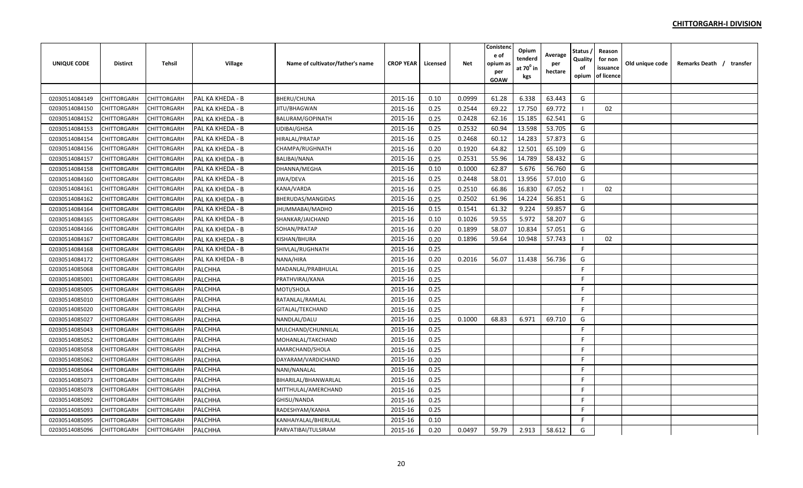| <b>UNIQUE CODE</b> | <b>Distirct</b> | <b>Tehsil</b> | Village          | Name of cultivator/father's name | <b>CROP YEAR</b> | Licensed | <b>Net</b> | Conistenc<br>e of<br>opium as<br>per<br>GOAW | Opium<br>tenderd<br>at $70^{\circ}$ in<br>kgs | Average<br>per<br>hectare | <b>Status</b><br>Quality<br>οf<br>opium | Reason<br>for non<br>issuance<br>of licence | Old unique code | Remarks Death / transfer |
|--------------------|-----------------|---------------|------------------|----------------------------------|------------------|----------|------------|----------------------------------------------|-----------------------------------------------|---------------------------|-----------------------------------------|---------------------------------------------|-----------------|--------------------------|
|                    |                 |               |                  |                                  |                  |          |            |                                              |                                               |                           |                                         |                                             |                 |                          |
| 02030514084149     | CHITTORGARH     | CHITTORGARH   | PAL KA KHEDA - B | <b>BHERU/CHUNA</b>               | 2015-16          | 0.10     | 0.0999     | 61.28                                        | 6.338                                         | 63.443                    | G                                       |                                             |                 |                          |
| 02030514084150     | CHITTORGARH     | CHITTORGARH   | PAL KA KHEDA - B | JITU/BHAGWAN                     | 2015-16          | 0.25     | 0.2544     | 69.22                                        | 17.750                                        | 69.772                    |                                         | 02                                          |                 |                          |
| 02030514084152     | CHITTORGARH     | CHITTORGARH   | PAL KA KHEDA - B | BALURAM/GOPINATH                 | 2015-16          | 0.25     | 0.2428     | 62.16                                        | 15.185                                        | 62.541                    | G                                       |                                             |                 |                          |
| 02030514084153     | CHITTORGARH     | CHITTORGARH   | PAL KA KHEDA - B | UDIBAI/GHISA                     | 2015-16          | 0.25     | 0.2532     | 60.94                                        | 13.598                                        | 53.705                    | G                                       |                                             |                 |                          |
| 02030514084154     | CHITTORGARH     | CHITTORGARH   | PAL KA KHEDA - B | HIRALAL/PRATAP                   | 2015-16          | 0.25     | 0.2468     | 60.12                                        | 14.283                                        | 57.873                    | G                                       |                                             |                 |                          |
| 02030514084156     | CHITTORGARH     | CHITTORGARH   | PAL KA KHEDA - B | CHAMPA/RUGHNATH                  | 2015-16          | 0.20     | 0.1920     | 64.82                                        | 12.501                                        | 65.109                    | G                                       |                                             |                 |                          |
| 02030514084157     | CHITTORGARH     | CHITTORGARH   | PAL KA KHEDA - B | BALIBAI/NANA                     | 2015-16          | 0.25     | 0.2531     | 55.96                                        | 14.789                                        | 58.432                    | G                                       |                                             |                 |                          |
| 02030514084158     | CHITTORGARH     | CHITTORGARH   | PAL KA KHEDA - B | DHANNA/MEGHA                     | 2015-16          | 0.10     | 0.1000     | 62.87                                        | 5.676                                         | 56.760                    | G                                       |                                             |                 |                          |
| 02030514084160     | CHITTORGARH     | CHITTORGARH   | PAL KA KHEDA - B | JIWA/DEVA                        | 2015-16          | 0.25     | 0.2448     | 58.01                                        | 13.956                                        | 57.010                    | G                                       |                                             |                 |                          |
| 02030514084161     | CHITTORGARH     | CHITTORGARH   | PAL KA KHEDA - B | KANA/VARDA                       | 2015-16          | 0.25     | 0.2510     | 66.86                                        | 16.830                                        | 67.052                    | - 1                                     | 02                                          |                 |                          |
| 02030514084162     | CHITTORGARH     | CHITTORGARH   | PAL KA KHEDA - B | BHERUDAS/MANGIDAS                | 2015-16          | 0.25     | 0.2502     | 61.96                                        | 14.224                                        | 56.851                    | G                                       |                                             |                 |                          |
| 02030514084164     | CHITTORGARH     | CHITTORGARH   | PAL KA KHEDA - B | JHUMMABAI/MADHO                  | 2015-16          | 0.15     | 0.1541     | 61.32                                        | 9.224                                         | 59.857                    | G                                       |                                             |                 |                          |
| 02030514084165     | CHITTORGARH     | CHITTORGARH   | PAL KA KHEDA - B | SHANKAR/JAICHAND                 | 2015-16          | 0.10     | 0.1026     | 59.55                                        | 5.972                                         | 58.207                    | G                                       |                                             |                 |                          |
| 02030514084166     | CHITTORGARH     | CHITTORGARH   | PAL KA KHEDA - B | SOHAN/PRATAP                     | 2015-16          | 0.20     | 0.1899     | 58.07                                        | 10.834                                        | 57.051                    | G                                       |                                             |                 |                          |
| 02030514084167     | CHITTORGARH     | CHITTORGARH   | PAL KA KHEDA - B | KISHAN/BHURA                     | 2015-16          | 0.20     | 0.1896     | 59.64                                        | 10.948                                        | 57.743                    |                                         | 02                                          |                 |                          |
| 02030514084168     | CHITTORGARH     | CHITTORGARH   | PAL KA KHEDA - B | SHIVLAL/RUGHNATH                 | 2015-16          | 0.25     |            |                                              |                                               |                           | F.                                      |                                             |                 |                          |
| 02030514084172     | CHITTORGARH     | CHITTORGARH   | PAL KA KHEDA - B | NANA/HIRA                        | 2015-16          | 0.20     | 0.2016     | 56.07                                        | 11.438                                        | 56.736                    | G                                       |                                             |                 |                          |
| 02030514085068     | CHITTORGARH     | CHITTORGARH   | PALCHHA          | MADANLAL/PRABHULAL               | 2015-16          | 0.25     |            |                                              |                                               |                           | F.                                      |                                             |                 |                          |
| 02030514085001     | CHITTORGARH     | CHITTORGARH   | PALCHHA          | PRATHVIRAJ/KANA                  | 2015-16          | 0.25     |            |                                              |                                               |                           | F.                                      |                                             |                 |                          |
| 02030514085005     | CHITTORGARH     | CHITTORGARH   | PALCHHA          | MOTI/SHOLA                       | 2015-16          | 0.25     |            |                                              |                                               |                           | F.                                      |                                             |                 |                          |
| 02030514085010     | CHITTORGARH     | CHITTORGARH   | PALCHHA          | RATANLAL/RAMLAL                  | 2015-16          | 0.25     |            |                                              |                                               |                           | F.                                      |                                             |                 |                          |
| 02030514085020     | CHITTORGARH     | CHITTORGARH   | PALCHHA          | GITALAL/TEKCHAND                 | 2015-16          | 0.25     |            |                                              |                                               |                           | F                                       |                                             |                 |                          |
| 02030514085027     | CHITTORGARH     | CHITTORGARH   | PALCHHA          | NANDLAL/DALU                     | 2015-16          | 0.25     | 0.1000     | 68.83                                        | 6.971                                         | 69.710                    | G                                       |                                             |                 |                          |
| 02030514085043     | CHITTORGARH     | CHITTORGARH   | PALCHHA          | MULCHAND/CHUNNILAL               | 2015-16          | 0.25     |            |                                              |                                               |                           | F.                                      |                                             |                 |                          |
| 02030514085052     | CHITTORGARH     | CHITTORGARH   | PALCHHA          | MOHANLAL/TAKCHAND                | 2015-16          | 0.25     |            |                                              |                                               |                           | F.                                      |                                             |                 |                          |
| 02030514085058     | CHITTORGARH     | CHITTORGARH   | PALCHHA          | AMARCHAND/SHOLA                  | 2015-16          | 0.25     |            |                                              |                                               |                           | F.                                      |                                             |                 |                          |
| 02030514085062     | CHITTORGARH     | CHITTORGARH   | PALCHHA          | DAYARAM/VARDICHAND               | 2015-16          | 0.20     |            |                                              |                                               |                           | F                                       |                                             |                 |                          |
| 02030514085064     | CHITTORGARH     | CHITTORGARH   | PALCHHA          | NANI/NANALAL                     | 2015-16          | 0.25     |            |                                              |                                               |                           | F                                       |                                             |                 |                          |
| 02030514085073     | CHITTORGARH     | CHITTORGARH   | PALCHHA          | BIHARILAL/BHANWARLAL             | 2015-16          | 0.25     |            |                                              |                                               |                           | F                                       |                                             |                 |                          |
| 02030514085078     | CHITTORGARH     | CHITTORGARH   | PALCHHA          | MITTHULAL/AMERCHAND              | 2015-16          | 0.25     |            |                                              |                                               |                           | F.                                      |                                             |                 |                          |
| 02030514085092     | CHITTORGARH     | CHITTORGARH   | PALCHHA          | GHISU/NANDA                      | 2015-16          | 0.25     |            |                                              |                                               |                           | F.                                      |                                             |                 |                          |
| 02030514085093     | CHITTORGARH     | CHITTORGARH   | PALCHHA          | RADESHYAM/KANHA                  | 2015-16          | 0.25     |            |                                              |                                               |                           | F.                                      |                                             |                 |                          |
| 02030514085095     | CHITTORGARH     | CHITTORGARH   | PALCHHA          | KANHAIYALAL/BHERULAL             | 2015-16          | 0.10     |            |                                              |                                               |                           | F.                                      |                                             |                 |                          |
| 02030514085096     | CHITTORGARH     | CHITTORGARH   | PALCHHA          | PARVATIBAI/TULSIRAM              | 2015-16          | 0.20     | 0.0497     | 59.79                                        | 2.913                                         | 58.612                    | G                                       |                                             |                 |                          |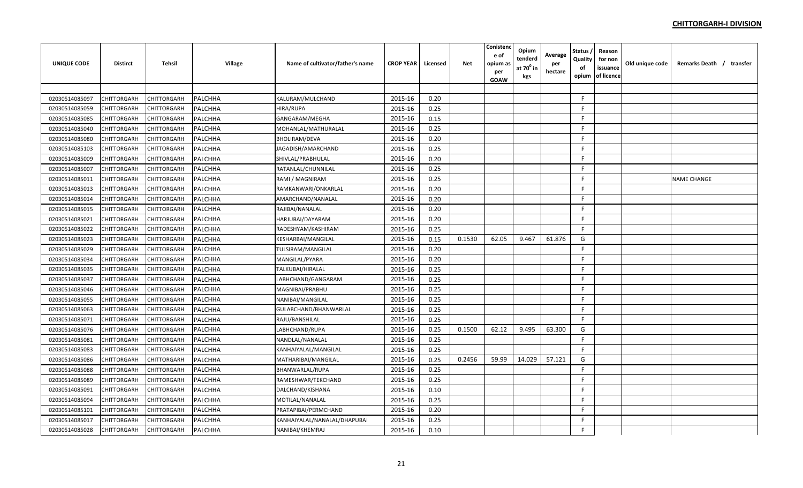| <b>UNIQUE CODE</b> | <b>Distirct</b>    | <b>Tehsil</b> | Village        | Name of cultivator/father's name | <b>CROP YEAR</b> | Licensed | <b>Net</b> | Conistend<br>e of<br>opium a:<br>per<br>GOAW | Opium<br>tenderd<br>at $70^0$ in<br>kgs | Average<br>per<br>hectare | <b>Status</b><br>Quality<br>of<br>opium | Reason<br>for non<br>issuance<br>of licence | Old unique code | Remarks Death / transfer |
|--------------------|--------------------|---------------|----------------|----------------------------------|------------------|----------|------------|----------------------------------------------|-----------------------------------------|---------------------------|-----------------------------------------|---------------------------------------------|-----------------|--------------------------|
|                    |                    |               |                |                                  |                  |          |            |                                              |                                         |                           |                                         |                                             |                 |                          |
| 02030514085097     | CHITTORGARH        | CHITTORGARH   | PALCHHA        | KALURAM/MULCHAND                 | 2015-16          | 0.20     |            |                                              |                                         |                           | F.                                      |                                             |                 |                          |
| 02030514085059     | CHITTORGARH        | CHITTORGARH   | PALCHHA        | HIRA/RUPA                        | 2015-16          | 0.25     |            |                                              |                                         |                           | F.                                      |                                             |                 |                          |
| 02030514085085     | CHITTORGARH        | CHITTORGARH   | PALCHHA        | GANGARAM/MEGHA                   | 2015-16          | 0.15     |            |                                              |                                         |                           | F.                                      |                                             |                 |                          |
| 02030514085040     | CHITTORGARH        | CHITTORGARH   | PALCHHA        | MOHANLAL/MATHURALAL              | 2015-16          | 0.25     |            |                                              |                                         |                           | F                                       |                                             |                 |                          |
| 02030514085080     | CHITTORGARH        | CHITTORGARH   | <b>PALCHHA</b> | BHOLIRAM/DEVA                    | 2015-16          | 0.20     |            |                                              |                                         |                           | F.                                      |                                             |                 |                          |
| 02030514085103     | CHITTORGARH        | CHITTORGARH   | PALCHHA        | JAGADISH/AMARCHAND               | 2015-16          | 0.25     |            |                                              |                                         |                           | E                                       |                                             |                 |                          |
| 02030514085009     | CHITTORGARH        | CHITTORGARH   | PALCHHA        | SHIVLAL/PRABHULAL                | 2015-16          | 0.20     |            |                                              |                                         |                           | F.                                      |                                             |                 |                          |
| 02030514085007     | CHITTORGARH        | CHITTORGARH   | PALCHHA        | RATANLAL/CHUNNILAL               | 2015-16          | 0.25     |            |                                              |                                         |                           | F.                                      |                                             |                 |                          |
| 02030514085011     | CHITTORGARH        | CHITTORGARH   | PALCHHA        | RAMI / MAGNIRAM                  | 2015-16          | 0.25     |            |                                              |                                         |                           | F.                                      |                                             |                 | <b>NAME CHANGE</b>       |
| 02030514085013     | CHITTORGARH        | CHITTORGARH   | PALCHHA        | RAMKANWARI/ONKARLAL              | 2015-16          | 0.20     |            |                                              |                                         |                           | F.                                      |                                             |                 |                          |
| 02030514085014     | CHITTORGARH        | CHITTORGARH   | PALCHHA        | AMARCHAND/NANALAL                | 2015-16          | 0.20     |            |                                              |                                         |                           | F.                                      |                                             |                 |                          |
| 02030514085015     | CHITTORGARH        | CHITTORGARH   | PALCHHA        | RAJIBAI/NANALAL                  | 2015-16          | 0.20     |            |                                              |                                         |                           | F.                                      |                                             |                 |                          |
| 02030514085021     | CHITTORGARH        | CHITTORGARH   | PALCHHA        | HARJUBAI/DAYARAM                 | 2015-16          | 0.20     |            |                                              |                                         |                           | F.                                      |                                             |                 |                          |
| 02030514085022     | CHITTORGARH        | CHITTORGARH   | <b>PALCHHA</b> | RADESHYAM/KASHIRAM               | 2015-16          | 0.25     |            |                                              |                                         |                           | F.                                      |                                             |                 |                          |
| 02030514085023     | CHITTORGARH        | CHITTORGARH   | <b>PALCHHA</b> | KESHARBAI/MANGILAL               | 2015-16          | 0.15     | 0.1530     | 62.05                                        | 9.467                                   | 61.876                    | G                                       |                                             |                 |                          |
| 02030514085029     | CHITTORGARH        | CHITTORGARH   | <b>PALCHHA</b> | TULSIRAM/MANGILAL                | 2015-16          | 0.20     |            |                                              |                                         |                           | F.                                      |                                             |                 |                          |
| 02030514085034     | CHITTORGARH        | CHITTORGARH   | PALCHHA        | MANGILAL/PYARA                   | 2015-16          | 0.20     |            |                                              |                                         |                           | F.                                      |                                             |                 |                          |
| 02030514085035     | CHITTORGARH        | CHITTORGARH   | PALCHHA        | TALKUBAI/HIRALAL                 | 2015-16          | 0.25     |            |                                              |                                         |                           | F.                                      |                                             |                 |                          |
| 02030514085037     | CHITTORGARH        | CHITTORGARH   | PALCHHA        | LABHCHAND/GANGARAM               | 2015-16          | 0.25     |            |                                              |                                         |                           | F.                                      |                                             |                 |                          |
| 02030514085046     | CHITTORGARH        | CHITTORGARH   | PALCHHA        | MAGNIBAI/PRABHU                  | 2015-16          | 0.25     |            |                                              |                                         |                           | F.                                      |                                             |                 |                          |
| 02030514085055     | CHITTORGARH        | CHITTORGARH   | PALCHHA        | NANIBAI/MANGILAL                 | 2015-16          | 0.25     |            |                                              |                                         |                           | F.                                      |                                             |                 |                          |
| 02030514085063     | <b>CHITTORGARH</b> | CHITTORGARH   | PALCHHA        | GULABCHAND/BHANWARLAL            | 2015-16          | 0.25     |            |                                              |                                         |                           | F                                       |                                             |                 |                          |
| 02030514085071     | CHITTORGARH        | CHITTORGARH   | PALCHHA        | RAJU/BANSHILAL                   | 2015-16          | 0.25     |            |                                              |                                         |                           | E                                       |                                             |                 |                          |
| 02030514085076     | CHITTORGARH        | CHITTORGARH   | PALCHHA        | LABHCHAND/RUPA                   | 2015-16          | 0.25     | 0.1500     | 62.12                                        | 9.495                                   | 63.300                    | G                                       |                                             |                 |                          |
| 02030514085081     | CHITTORGARH        | CHITTORGARH   | PALCHHA        | NANDLAL/NANALAL                  | 2015-16          | 0.25     |            |                                              |                                         |                           | E                                       |                                             |                 |                          |
| 02030514085083     | CHITTORGARH        | CHITTORGARH   | PALCHHA        | KANHAIYALAL/MANGILAL             | 2015-16          | 0.25     |            |                                              |                                         |                           | F.                                      |                                             |                 |                          |
| 02030514085086     | CHITTORGARH        | CHITTORGARH   | PALCHHA        | MATHARIBAI/MANGILAL              | 2015-16          | 0.25     | 0.2456     | 59.99                                        | 14.029                                  | 57.121                    | G                                       |                                             |                 |                          |
| 02030514085088     | CHITTORGARH        | CHITTORGARH   | PALCHHA        | BHANWARLAL/RUPA                  | 2015-16          | 0.25     |            |                                              |                                         |                           | F                                       |                                             |                 |                          |
| 02030514085089     | CHITTORGARH        | CHITTORGARH   | PALCHHA        | RAMESHWAR/TEKCHAND               | 2015-16          | 0.25     |            |                                              |                                         |                           | F.                                      |                                             |                 |                          |
| 02030514085091     | CHITTORGARH        | CHITTORGARH   | <b>PALCHHA</b> | DALCHAND/KISHANA                 | 2015-16          | 0.10     |            |                                              |                                         |                           | F.                                      |                                             |                 |                          |
| 02030514085094     | CHITTORGARH        | CHITTORGARH   | PALCHHA        | MOTILAL/NANALAL                  | 2015-16          | 0.25     |            |                                              |                                         |                           | F.                                      |                                             |                 |                          |
| 02030514085101     | CHITTORGARH        | CHITTORGARH   | PALCHHA        | PRATAPIBAI/PERMCHAND             | 2015-16          | 0.20     |            |                                              |                                         |                           | F.                                      |                                             |                 |                          |
| 02030514085017     | CHITTORGARH        | CHITTORGARH   | PALCHHA        | KANHAIYALAL/NANALAL/DHAPUBAI     | 2015-16          | 0.25     |            |                                              |                                         |                           | F.                                      |                                             |                 |                          |
| 02030514085028     | CHITTORGARH        | CHITTORGARH   | PALCHHA        | NANIBAI/KHEMRAJ                  | 2015-16          | 0.10     |            |                                              |                                         |                           | F                                       |                                             |                 |                          |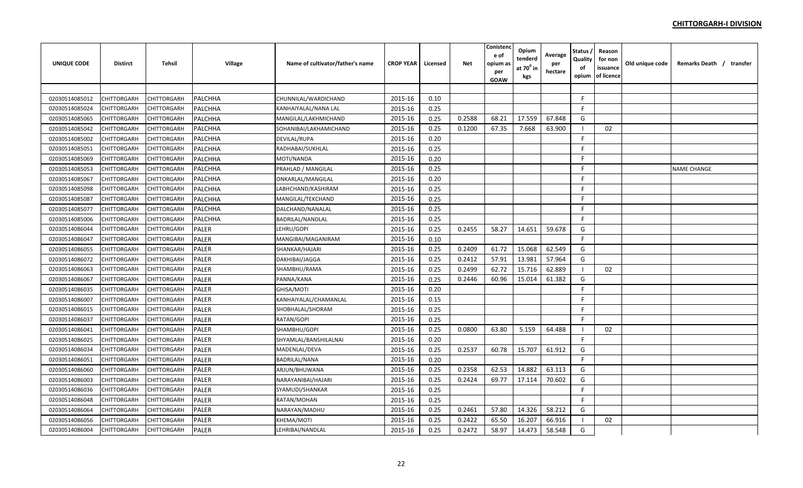| <b>UNIQUE CODE</b> | <b>Distirct</b>    | <b>Tehsil</b> | Village      | Name of cultivator/father's name | <b>CROP YEAR</b> | Licensed | Net    | Conistenc<br>e of<br>opium a:<br>per<br>GOAW | Opium<br>tenderd<br>at $70^\circ$ in<br>kgs | Average<br>per<br>hectare | Status<br>Quality<br>of<br>opium | Reason<br>for non<br>issuance<br>of licence | Old unique code | Remarks Death / transfer |  |
|--------------------|--------------------|---------------|--------------|----------------------------------|------------------|----------|--------|----------------------------------------------|---------------------------------------------|---------------------------|----------------------------------|---------------------------------------------|-----------------|--------------------------|--|
|                    |                    |               |              |                                  |                  |          |        |                                              |                                             |                           |                                  |                                             |                 |                          |  |
| 02030514085012     | CHITTORGARH        | CHITTORGARH   | PALCHHA      | CHUNNILAL/WARDICHAND             | 2015-16          | 0.10     |        |                                              |                                             |                           | F.                               |                                             |                 |                          |  |
| 02030514085024     | CHITTORGARH        | CHITTORGARH   | PALCHHA      | KANHAIYALAL/NANA LAL             | 2015-16          | 0.25     |        |                                              |                                             |                           | F                                |                                             |                 |                          |  |
| 02030514085065     | CHITTORGARH        | CHITTORGARH   | PALCHHA      | MANGILAL/LAKHMICHAND             | 2015-16          | 0.25     | 0.2588 | 68.21                                        | 17.559                                      | 67.848                    | G                                |                                             |                 |                          |  |
| 02030514085042     | CHITTORGARH        | CHITTORGARH   | PALCHHA      | SOHANIBAI/LAKHAMICHAND           | 2015-16          | 0.25     | 0.1200 | 67.35                                        | 7.668                                       | 63.900                    | -1                               | 02                                          |                 |                          |  |
| 02030514085002     | CHITTORGARH        | CHITTORGARH   | PALCHHA      | DEVILAL/RUPA                     | 2015-16          | 0.20     |        |                                              |                                             |                           | F.                               |                                             |                 |                          |  |
| 02030514085051     | CHITTORGARH        | CHITTORGARH   | PALCHHA      | RADHABAI/SUKHLAL                 | 2015-16          | 0.25     |        |                                              |                                             |                           | F.                               |                                             |                 |                          |  |
| 02030514085069     | CHITTORGARH        | CHITTORGARH   | PALCHHA      | MOTI/NANDA                       | 2015-16          | 0.20     |        |                                              |                                             |                           | F                                |                                             |                 |                          |  |
| 02030514085053     | CHITTORGARH        | CHITTORGARH   | PALCHHA      | PRAHLAD / MANGILAL               | 2015-16          | 0.25     |        |                                              |                                             |                           | F                                |                                             |                 | <b>NAME CHANGE</b>       |  |
| 02030514085067     | CHITTORGARH        | CHITTORGARH   | PALCHHA      | ONKARLAL/MANGILAL                | 2015-16          | 0.20     |        |                                              |                                             |                           | F                                |                                             |                 |                          |  |
| 02030514085098     | CHITTORGARH        | CHITTORGARH   | PALCHHA      | LABHCHAND/KASHIRAM               | 2015-16          | 0.25     |        |                                              |                                             |                           | F.                               |                                             |                 |                          |  |
| 02030514085087     | CHITTORGARH        | CHITTORGARH   | PALCHHA      | MANGILAL/TEKCHAND                | 2015-16          | 0.25     |        |                                              |                                             |                           | F.                               |                                             |                 |                          |  |
| 02030514085077     | CHITTORGARH        | CHITTORGARH   | PALCHHA      | DALCHAND/NANALAL                 | 2015-16          | 0.25     |        |                                              |                                             |                           | F                                |                                             |                 |                          |  |
| 02030514085006     | CHITTORGARH        | CHITTORGARH   | PALCHHA      | BADRILAL/NANDLAL                 | 2015-16          | 0.25     |        |                                              |                                             |                           | F                                |                                             |                 |                          |  |
| 02030514086044     | CHITTORGARH        | CHITTORGARH   | <b>PALER</b> | LEHRU/GOPI                       | 2015-16          | 0.25     | 0.2455 | 58.27                                        | 14.651                                      | 59.678                    | G                                |                                             |                 |                          |  |
| 02030514086047     | CHITTORGARH        | CHITTORGARH   | PALER        | MANGIBAI/MAGANIRAM               | 2015-16          | 0.10     |        |                                              |                                             |                           | F                                |                                             |                 |                          |  |
| 02030514086055     | CHITTORGARH        | CHITTORGARH   | <b>PALER</b> | SHANKAR/HAJARI                   | 2015-16          | 0.25     | 0.2409 | 61.72                                        | 15.068                                      | 62.549                    | G                                |                                             |                 |                          |  |
| 02030514086072     | CHITTORGARH        | CHITTORGARH   | <b>PALER</b> | DAKHIBAI/JAGGA                   | 2015-16          | 0.25     | 0.2412 | 57.91                                        | 13.981                                      | 57.964                    | G                                |                                             |                 |                          |  |
| 02030514086063     | CHITTORGARH        | CHITTORGARH   | PALER        | SHAMBHU/RAMA                     | 2015-16          | 0.25     | 0.2499 | 62.72                                        | 15.716                                      | 62.889                    | -1                               | 02                                          |                 |                          |  |
| 02030514086067     | CHITTORGARH        | CHITTORGARH   | <b>PALER</b> | PANNA/KANA                       | 2015-16          | 0.25     | 0.2446 | 60.96                                        | 15.014                                      | 61.382                    | G                                |                                             |                 |                          |  |
| 02030514086035     | CHITTORGARH        | CHITTORGARH   | <b>PALER</b> | GHISA/MOTI                       | 2015-16          | 0.20     |        |                                              |                                             |                           | F.                               |                                             |                 |                          |  |
| 02030514086007     | CHITTORGARH        | CHITTORGARH   | <b>PALER</b> | KANHAIYALAL/CHAMANLAL            | 2015-16          | 0.15     |        |                                              |                                             |                           | F                                |                                             |                 |                          |  |
| 02030514086015     | <b>CHITTORGARH</b> | CHITTORGARH   | <b>PALER</b> | SHOBHALAL/SHORAM                 | 2015-16          | 0.25     |        |                                              |                                             |                           | F.                               |                                             |                 |                          |  |
| 02030514086037     | CHITTORGARH        | CHITTORGARH   | <b>PALER</b> | RATAN/GOPI                       | 2015-16          | 0.25     |        |                                              |                                             |                           | F.                               |                                             |                 |                          |  |
| 02030514086041     | CHITTORGARH        | CHITTORGARH   | <b>PALER</b> | SHAMBHU/GOPI                     | 2015-16          | 0.25     | 0.0800 | 63.80                                        | 5.159                                       | 64.488                    | - 1                              | 02                                          |                 |                          |  |
| 02030514086025     | CHITTORGARH        | CHITTORGARH   | <b>PALER</b> | SHYAMLAL/BANSHILALNAI            | 2015-16          | 0.20     |        |                                              |                                             |                           | F                                |                                             |                 |                          |  |
| 02030514086034     | CHITTORGARH        | CHITTORGARH   | <b>PALER</b> | MADENLAL/DEVA                    | 2015-16          | 0.25     | 0.2537 | 60.78                                        | 15.707                                      | 61.912                    | G                                |                                             |                 |                          |  |
| 02030514086051     | CHITTORGARH        | CHITTORGARH   | <b>PALER</b> | BADRILAL/NANA                    | 2015-16          | 0.20     |        |                                              |                                             |                           | F.                               |                                             |                 |                          |  |
| 02030514086060     | CHITTORGARH        | CHITTORGARH   | <b>PALER</b> | ARJUN/BHUWANA                    | 2015-16          | 0.25     | 0.2358 | 62.53                                        | 14.882                                      | 63.113                    | G                                |                                             |                 |                          |  |
| 02030514086003     | CHITTORGARH        | CHITTORGARH   | <b>PALER</b> | NARAYANIBAI/HAJARI               | 2015-16          | 0.25     | 0.2424 | 69.77                                        | 17.114                                      | 70.602                    | G                                |                                             |                 |                          |  |
| 02030514086036     | CHITTORGARH        | CHITTORGARH   | <b>PALER</b> | SYAMUDI/SHANKAR                  | 2015-16          | 0.25     |        |                                              |                                             |                           | F                                |                                             |                 |                          |  |
| 02030514086048     | CHITTORGARH        | CHITTORGARH   | <b>PALER</b> | RATAN/MOHAN                      | 2015-16          | 0.25     |        |                                              |                                             |                           | F                                |                                             |                 |                          |  |
| 02030514086064     | CHITTORGARH        | CHITTORGARH   | <b>PALER</b> | NARAYAN/MADHU                    | 2015-16          | 0.25     | 0.2461 | 57.80                                        | 14.326                                      | 58.212                    | G                                |                                             |                 |                          |  |
| 02030514086056     | CHITTORGARH        | CHITTORGARH   | <b>PALER</b> | KHEMA/MOTI                       | 2015-16          | 0.25     | 0.2422 | 65.50                                        | 16.207                                      | 66.916                    | - 1                              | 02                                          |                 |                          |  |
| 02030514086004     | CHITTORGARH        | CHITTORGARH   | <b>PALER</b> | LEHRIBAI/NANDLAL                 | 2015-16          | 0.25     | 0.2472 | 58.97                                        | 14.473                                      | 58.548                    | G                                |                                             |                 |                          |  |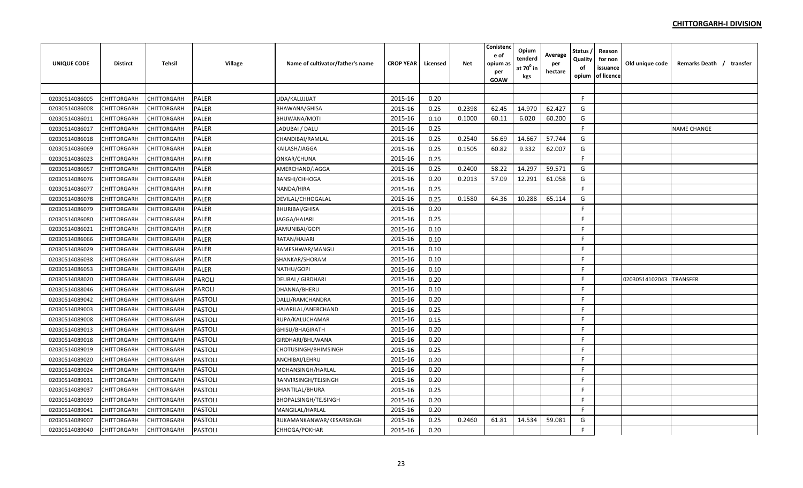| UNIQUE CODE    | <b>Distirct</b> | <b>Tehsil</b> | Village        | Name of cultivator/father's name | <b>CROP YEAR</b> | Licensed | Net    | Conistenc<br>e of<br>opium a:<br>per<br>GOAW | Opium<br>tenderd<br>at $70^0$ in<br>kgs | Average<br>per<br>hectare | Status<br>Quality<br>of<br>opium | Reason<br>for non<br>issuance<br>of licence | Old unique code | Remarks Death / transfer |  |
|----------------|-----------------|---------------|----------------|----------------------------------|------------------|----------|--------|----------------------------------------------|-----------------------------------------|---------------------------|----------------------------------|---------------------------------------------|-----------------|--------------------------|--|
|                |                 |               |                |                                  |                  |          |        |                                              |                                         |                           |                                  |                                             |                 |                          |  |
| 02030514086005 | CHITTORGARH     | CHITTORGARH   | <b>PALER</b>   | UDA/KALUJIJAT                    | 2015-16          | 0.20     |        |                                              |                                         |                           | F.                               |                                             |                 |                          |  |
| 02030514086008 | CHITTORGARH     | CHITTORGARH   | <b>PALER</b>   | BHAWANA/GHISA                    | 2015-16          | 0.25     | 0.2398 | 62.45                                        | 14.970                                  | 62.427                    | G                                |                                             |                 |                          |  |
| 02030514086011 | CHITTORGARH     | CHITTORGARH   | <b>PALER</b>   | BHUWANA/MOTI                     | 2015-16          | 0.10     | 0.1000 | 60.11                                        | 6.020                                   | 60.200                    | G                                |                                             |                 |                          |  |
| 02030514086017 | CHITTORGARH     | CHITTORGARH   | <b>PALER</b>   | LADUBAI / DALU                   | 2015-16          | 0.25     |        |                                              |                                         |                           | F                                |                                             |                 | <b>NAME CHANGE</b>       |  |
| 02030514086018 | CHITTORGARH     | CHITTORGARH   | PALER          | CHANDIBAI/RAMLAL                 | 2015-16          | 0.25     | 0.2540 | 56.69                                        | 14.667                                  | 57.744                    | G                                |                                             |                 |                          |  |
| 02030514086069 | CHITTORGARH     | CHITTORGARH   | PALER          | KAILASH/JAGGA                    | 2015-16          | 0.25     | 0.1505 | 60.82                                        | 9.332                                   | 62.007                    | G                                |                                             |                 |                          |  |
| 02030514086023 | CHITTORGARH     | CHITTORGARH   | PALER          | ONKAR/CHUNA                      | 2015-16          | 0.25     |        |                                              |                                         |                           | F.                               |                                             |                 |                          |  |
| 02030514086057 | CHITTORGARH     | CHITTORGARH   | <b>PALER</b>   | AMERCHAND/JAGGA                  | 2015-16          | 0.25     | 0.2400 | 58.22                                        | 14.297                                  | 59.571                    | G                                |                                             |                 |                          |  |
| 02030514086076 | CHITTORGARH     | CHITTORGARH   | <b>PALER</b>   | BANSHI/CHHOGA                    | 2015-16          | 0.20     | 0.2013 | 57.09                                        | 12.291                                  | 61.058                    | G                                |                                             |                 |                          |  |
| 02030514086077 | CHITTORGARH     | CHITTORGARH   | <b>PALER</b>   | NANDA/HIRA                       | 2015-16          | 0.25     |        |                                              |                                         |                           | F.                               |                                             |                 |                          |  |
| 02030514086078 | CHITTORGARH     | CHITTORGARH   | <b>PALER</b>   | DEVILAL/CHHOGALAL                | 2015-16          | 0.25     | 0.1580 | 64.36                                        | 10.288                                  | 65.114                    | G                                |                                             |                 |                          |  |
| 02030514086079 | CHITTORGARH     | CHITTORGARH   | <b>PALER</b>   | <b>BHURIBAI/GHISA</b>            | 2015-16          | 0.20     |        |                                              |                                         |                           | F.                               |                                             |                 |                          |  |
| 02030514086080 | CHITTORGARH     | CHITTORGARH   | <b>PALER</b>   | JAGGA/HAJARI                     | 2015-16          | 0.25     |        |                                              |                                         |                           | F                                |                                             |                 |                          |  |
| 02030514086021 | CHITTORGARH     | CHITTORGARH   | <b>PALER</b>   | JAMUNIBAI/GOPI                   | 2015-16          | 0.10     |        |                                              |                                         |                           | F                                |                                             |                 |                          |  |
| 02030514086066 | CHITTORGARH     | CHITTORGARH   | <b>PALER</b>   | RATAN/HAJARI                     | 2015-16          | 0.10     |        |                                              |                                         |                           | F                                |                                             |                 |                          |  |
| 02030514086029 | CHITTORGARH     | CHITTORGARH   | <b>PALER</b>   | RAMESHWAR/MANGU                  | 2015-16          | 0.10     |        |                                              |                                         |                           | F.                               |                                             |                 |                          |  |
| 02030514086038 | CHITTORGARH     | CHITTORGARH   | <b>PALER</b>   | SHANKAR/SHORAM                   | 2015-16          | 0.10     |        |                                              |                                         |                           | F                                |                                             |                 |                          |  |
| 02030514086053 | CHITTORGARH     | CHITTORGARH   | PALER          | NATHU/GOPI                       | 2015-16          | 0.10     |        |                                              |                                         |                           | F.                               |                                             |                 |                          |  |
| 02030514088020 | CHITTORGARH     | CHITTORGARH   | PAROLI         | DEUBAI / GIRDHARI                | 2015-16          | 0.20     |        |                                              |                                         |                           | F                                |                                             | 02030514102043  | <b>TRANSFER</b>          |  |
| 02030514088046 | CHITTORGARH     | CHITTORGARH   | PAROLI         | DHANNA/BHERU                     | 2015-16          | 0.10     |        |                                              |                                         |                           | F                                |                                             |                 |                          |  |
| 02030514089042 | CHITTORGARH     | CHITTORGARH   | <b>PASTOLI</b> | DALLI/RAMCHANDRA                 | 2015-16          | 0.20     |        |                                              |                                         |                           | F                                |                                             |                 |                          |  |
| 02030514089003 | CHITTORGARH     | CHITTORGARH   | <b>PASTOLI</b> | HAJARILAL/ANERCHAND              | 2015-16          | 0.25     |        |                                              |                                         |                           | F.                               |                                             |                 |                          |  |
| 02030514089008 | CHITTORGARH     | CHITTORGARH   | <b>PASTOLI</b> | RUPA/KALUCHAMAR                  | 2015-16          | 0.15     |        |                                              |                                         |                           | F                                |                                             |                 |                          |  |
| 02030514089013 | CHITTORGARH     | CHITTORGARH   | <b>PASTOLI</b> | GHISU/BHAGIRATH                  | 2015-16          | 0.20     |        |                                              |                                         |                           | F                                |                                             |                 |                          |  |
| 02030514089018 | CHITTORGARH     | CHITTORGARH   | <b>PASTOLI</b> | GIRDHARI/BHUWANA                 | 2015-16          | 0.20     |        |                                              |                                         |                           | F                                |                                             |                 |                          |  |
| 02030514089019 | CHITTORGARH     | CHITTORGARH   | <b>PASTOLI</b> | CHOTUSINGH/BHIMSINGH             | 2015-16          | 0.25     |        |                                              |                                         |                           | F                                |                                             |                 |                          |  |
| 02030514089020 | CHITTORGARH     | CHITTORGARH   | <b>PASTOLI</b> | ANCHIBAI/LEHRU                   | 2015-16          | 0.20     |        |                                              |                                         |                           | F                                |                                             |                 |                          |  |
| 02030514089024 | CHITTORGARH     | CHITTORGARH   | <b>PASTOLI</b> | MOHANSINGH/HARLAL                | 2015-16          | 0.20     |        |                                              |                                         |                           | F.                               |                                             |                 |                          |  |
| 02030514089031 | CHITTORGARH     | CHITTORGARH   | <b>PASTOLI</b> | RANVIRSINGH/TEJSINGH             | 2015-16          | 0.20     |        |                                              |                                         |                           | F                                |                                             |                 |                          |  |
| 02030514089037 | CHITTORGARH     | CHITTORGARH   | <b>PASTOLI</b> | SHANTILAL/BHURA                  | 2015-16          | 0.25     |        |                                              |                                         |                           | F                                |                                             |                 |                          |  |
| 02030514089039 | CHITTORGARH     | CHITTORGARH   | <b>PASTOLI</b> | BHOPALSINGH/TEJSINGH             | 2015-16          | 0.20     |        |                                              |                                         |                           | F                                |                                             |                 |                          |  |
| 02030514089041 | CHITTORGARH     | CHITTORGARH   | <b>PASTOLI</b> | MANGILAL/HARLAL                  | 2015-16          | 0.20     |        |                                              |                                         |                           | F                                |                                             |                 |                          |  |
| 02030514089007 | CHITTORGARH     | CHITTORGARH   | <b>PASTOLI</b> | RUKAMANKANWAR/KESARSINGH         | 2015-16          | 0.25     | 0.2460 | 61.81                                        | 14.534                                  | 59.081                    | G                                |                                             |                 |                          |  |
| 02030514089040 | CHITTORGARH     | CHITTORGARH   | <b>PASTOLI</b> | CHHOGA/POKHAR                    | 2015-16          | 0.20     |        |                                              |                                         |                           | F.                               |                                             |                 |                          |  |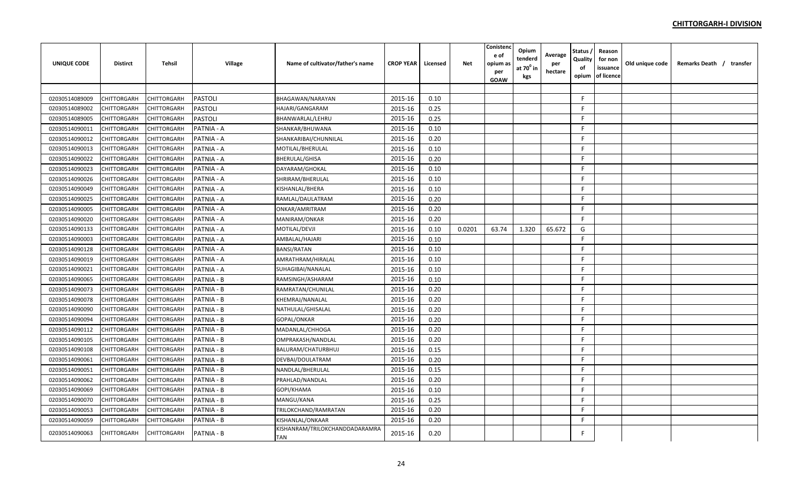| <b>UNIQUE CODE</b> | Distirct           | Tehsil      | Village        | Name of cultivator/father's name      | <b>CROP YEAR</b> | Licensed | Net    | Conistenc<br>e of<br>opium as<br>per<br>GOAW | Opium<br>tenderd<br>at $70^0$ in<br>kgs | Average<br>per<br>hectare | <b>Status</b><br>Quality<br>of<br>opium | Reason<br>for non<br>issuance<br>of licence | Old unique code | Remarks Death / transfer |
|--------------------|--------------------|-------------|----------------|---------------------------------------|------------------|----------|--------|----------------------------------------------|-----------------------------------------|---------------------------|-----------------------------------------|---------------------------------------------|-----------------|--------------------------|
|                    |                    |             |                |                                       |                  |          |        |                                              |                                         |                           |                                         |                                             |                 |                          |
| 02030514089009     | CHITTORGARH        | CHITTORGARH | <b>PASTOLI</b> | BHAGAWAN/NARAYAN                      | 2015-16          | 0.10     |        |                                              |                                         |                           | F.                                      |                                             |                 |                          |
| 02030514089002     | CHITTORGARH        | CHITTORGARH | <b>PASTOLI</b> | HAJARI/GANGARAM                       | 2015-16          | 0.25     |        |                                              |                                         |                           | F.                                      |                                             |                 |                          |
| 02030514089005     | CHITTORGARH        | CHITTORGARH | <b>PASTOLI</b> | BHANWARLAL/LEHRU                      | 2015-16          | 0.25     |        |                                              |                                         |                           | F.                                      |                                             |                 |                          |
| 02030514090011     | CHITTORGARH        | CHITTORGARH | PATNIA - A     | SHANKAR/BHUWANA                       | 2015-16          | 0.10     |        |                                              |                                         |                           | F.                                      |                                             |                 |                          |
| 02030514090012     | CHITTORGARH        | CHITTORGARH | PATNIA - A     | SHANKARIBAI/CHUNNILAL                 | 2015-16          | 0.20     |        |                                              |                                         |                           | F.                                      |                                             |                 |                          |
| 02030514090013     | CHITTORGARH        | CHITTORGARH | PATNIA - A     | MOTILAL/BHERULAL                      | 2015-16          | 0.10     |        |                                              |                                         |                           | F.                                      |                                             |                 |                          |
| 02030514090022     | CHITTORGARH        | CHITTORGARH | PATNIA - A     | BHERULAL/GHISA                        | 2015-16          | 0.20     |        |                                              |                                         |                           | E                                       |                                             |                 |                          |
| 02030514090023     | CHITTORGARH        | CHITTORGARH | PATNIA - A     | DAYARAM/GHOKAL                        | 2015-16          | 0.10     |        |                                              |                                         |                           | E                                       |                                             |                 |                          |
| 02030514090026     | CHITTORGARH        | CHITTORGARH | PATNIA - A     | SHRIRAM/BHERULAL                      | 2015-16          | 0.10     |        |                                              |                                         |                           | F.                                      |                                             |                 |                          |
| 02030514090049     | CHITTORGARH        | CHITTORGARH | PATNIA - A     | KISHANLAL/BHERA                       | 2015-16          | 0.10     |        |                                              |                                         |                           | F.                                      |                                             |                 |                          |
| 02030514090025     | CHITTORGARH        | CHITTORGARH | PATNIA - A     | RAMLAL/DAULATRAM                      | 2015-16          | 0.20     |        |                                              |                                         |                           | F.                                      |                                             |                 |                          |
| 02030514090005     | CHITTORGARH        | CHITTORGARH | PATNIA - A     | ONKAR/AMRITRAM                        | 2015-16          | 0.20     |        |                                              |                                         |                           | F.                                      |                                             |                 |                          |
| 02030514090020     | CHITTORGARH        | CHITTORGARH | PATNIA - A     | MANIRAM/ONKAR                         | 2015-16          | 0.20     |        |                                              |                                         |                           | F.                                      |                                             |                 |                          |
| 02030514090133     | CHITTORGARH        | CHITTORGARH | PATNIA - A     | MOTILAL/DEVJI                         | 2015-16          | 0.10     | 0.0201 | 63.74                                        | 1.320                                   | 65.672                    | G                                       |                                             |                 |                          |
| 02030514090003     | <b>CHITTORGARH</b> | CHITTORGARH | PATNIA - A     | AMBALAL/HAJARI                        | 2015-16          | 0.10     |        |                                              |                                         |                           | F                                       |                                             |                 |                          |
| 02030514090128     | CHITTORGARH        | CHITTORGARH | PATNIA - A     | BANSI/RATAN                           | 2015-16          | 0.10     |        |                                              |                                         |                           | E                                       |                                             |                 |                          |
| 02030514090019     | CHITTORGARH        | CHITTORGARH | PATNIA - A     | AMRATHRAM/HIRALAL                     | 2015-16          | 0.10     |        |                                              |                                         |                           | E                                       |                                             |                 |                          |
| 02030514090021     | CHITTORGARH        | CHITTORGARH | PATNIA - A     | SUHAGIBAI/NANALAL                     | 2015-16          | 0.10     |        |                                              |                                         |                           | F                                       |                                             |                 |                          |
| 02030514090065     | CHITTORGARH        | CHITTORGARH | PATNIA - B     | RAMSINGH/ASHARAM                      | 2015-16          | 0.10     |        |                                              |                                         |                           | F.                                      |                                             |                 |                          |
| 02030514090073     | CHITTORGARH        | CHITTORGARH | PATNIA - B     | RAMRATAN/CHUNILAL                     | 2015-16          | 0.20     |        |                                              |                                         |                           | F                                       |                                             |                 |                          |
| 02030514090078     | CHITTORGARH        | CHITTORGARH | PATNIA - B     | KHEMRAJ/NANALAL                       | 2015-16          | 0.20     |        |                                              |                                         |                           | F.                                      |                                             |                 |                          |
| 02030514090090     | CHITTORGARH        | CHITTORGARH | PATNIA - B     | NATHULAL/GHISALAL                     | 2015-16          | 0.20     |        |                                              |                                         |                           | E                                       |                                             |                 |                          |
| 02030514090094     | CHITTORGARH        | CHITTORGARH | PATNIA - B     | GOPAL/ONKAR                           | 2015-16          | 0.20     |        |                                              |                                         |                           | F.                                      |                                             |                 |                          |
| 02030514090112     | CHITTORGARH        | CHITTORGARH | PATNIA - B     | MADANLAL/CHHOGA                       | 2015-16          | 0.20     |        |                                              |                                         |                           | F                                       |                                             |                 |                          |
| 02030514090105     | CHITTORGARH        | CHITTORGARH | PATNIA - B     | OMPRAKASH/NANDLAL                     | 2015-16          | 0.20     |        |                                              |                                         |                           | F.                                      |                                             |                 |                          |
| 02030514090108     | CHITTORGARH        | CHITTORGARH | PATNIA - B     | BALURAM/CHATURBHUJ                    | 2015-16          | 0.15     |        |                                              |                                         |                           | F.                                      |                                             |                 |                          |
| 02030514090061     | CHITTORGARH        | CHITTORGARH | PATNIA - B     | DEVBAI/DOULATRAM                      | 2015-16          | 0.20     |        |                                              |                                         |                           | F.                                      |                                             |                 |                          |
| 02030514090051     | CHITTORGARH        | CHITTORGARH | PATNIA - B     | NANDLAL/BHERULAL                      | 2015-16          | 0.15     |        |                                              |                                         |                           | F.                                      |                                             |                 |                          |
| 02030514090062     | CHITTORGARH        | CHITTORGARH | PATNIA - B     | PRAHLAD/NANDLAL                       | 2015-16          | 0.20     |        |                                              |                                         |                           | F.                                      |                                             |                 |                          |
| 02030514090069     | CHITTORGARH        | CHITTORGARH | PATNIA - B     | GOPI/KHAMA                            | 2015-16          | 0.10     |        |                                              |                                         |                           | F.                                      |                                             |                 |                          |
| 02030514090070     | CHITTORGARH        | CHITTORGARH | PATNIA - B     | MANGU/KANA                            | 2015-16          | 0.25     |        |                                              |                                         |                           | F.                                      |                                             |                 |                          |
| 02030514090053     | CHITTORGARH        | CHITTORGARH | PATNIA - B     | TRILOKCHAND/RAMRATAN                  | 2015-16          | 0.20     |        |                                              |                                         |                           | F                                       |                                             |                 |                          |
| 02030514090059     | CHITTORGARH        | CHITTORGARH | PATNIA - B     | KISHANLAL/ONKAAR                      | 2015-16          | 0.20     |        |                                              |                                         |                           | F.                                      |                                             |                 |                          |
| 02030514090063     | CHITTORGARH        | CHITTORGARH | PATNIA - B     | KISHANRAM/TRILOKCHANDDADARAMRA<br>TAN | 2015-16          | 0.20     |        |                                              |                                         |                           | F                                       |                                             |                 |                          |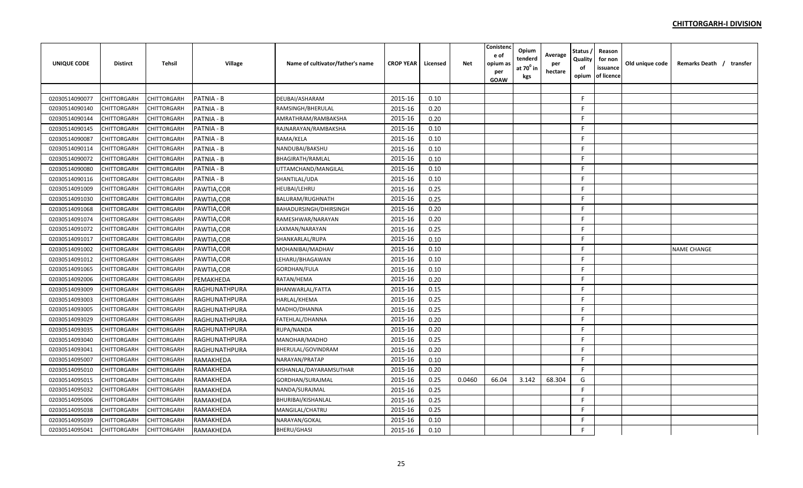| <b>UNIQUE CODE</b> | <b>Distirct</b>    | <b>Tehsil</b> | <b>Village</b> | Name of cultivator/father's name | <b>CROP YEAR</b> | Licensed | <b>Net</b> | Conisteno<br>e of<br>opium as<br>per<br><b>GOAW</b> | Opium<br>tenderd<br>at $70^0$ in<br>kgs | Average<br>per<br>hectare | Status ,<br>Quality<br>of<br>opium | Reason<br>for non<br>issuance<br>of licence | Old unique code | Remarks Death / transfer |
|--------------------|--------------------|---------------|----------------|----------------------------------|------------------|----------|------------|-----------------------------------------------------|-----------------------------------------|---------------------------|------------------------------------|---------------------------------------------|-----------------|--------------------------|
|                    |                    |               |                |                                  |                  |          |            |                                                     |                                         |                           |                                    |                                             |                 |                          |
| 02030514090077     | <b>CHITTORGARH</b> | CHITTORGARH   | PATNIA - B     | DEUBAI/ASHARAM                   | 2015-16          | 0.10     |            |                                                     |                                         |                           | F                                  |                                             |                 |                          |
| 02030514090140     | CHITTORGARH        | CHITTORGARH   | PATNIA - B     | RAMSINGH/BHERULAL                | 2015-16          | 0.20     |            |                                                     |                                         |                           | F.                                 |                                             |                 |                          |
| 02030514090144     | <b>CHITTORGARH</b> | CHITTORGARH   | PATNIA - B     | AMRATHRAM/RAMBAKSHA              | 2015-16          | 0.20     |            |                                                     |                                         |                           | F.                                 |                                             |                 |                          |
| 02030514090145     | CHITTORGARH        | CHITTORGARH   | PATNIA - B     | RAJNARAYAN/RAMBAKSHA             | 2015-16          | 0.10     |            |                                                     |                                         |                           | F.                                 |                                             |                 |                          |
| 02030514090087     | <b>CHITTORGARH</b> | CHITTORGARH   | PATNIA - B     | RAMA/KELA                        | 2015-16          | 0.10     |            |                                                     |                                         |                           | F.                                 |                                             |                 |                          |
| 02030514090114     | <b>CHITTORGARH</b> | CHITTORGARH   | PATNIA - B     | NANDUBAI/BAKSHU                  | 2015-16          | 0.10     |            |                                                     |                                         |                           | F.                                 |                                             |                 |                          |
| 02030514090072     | CHITTORGARH        | CHITTORGARH   | PATNIA - B     | BHAGIRATH/RAMLAL                 | 2015-16          | 0.10     |            |                                                     |                                         |                           | F.                                 |                                             |                 |                          |
| 02030514090080     | <b>CHITTORGARH</b> | CHITTORGARH   | PATNIA - B     | UTTAMCHAND/MANGILAL              | 2015-16          | 0.10     |            |                                                     |                                         |                           | F.                                 |                                             |                 |                          |
| 02030514090116     | CHITTORGARH        | CHITTORGARH   | PATNIA - B     | SHANTILAL/UDA                    | 2015-16          | 0.10     |            |                                                     |                                         |                           | F.                                 |                                             |                 |                          |
| 02030514091009     | <b>CHITTORGARH</b> | CHITTORGARH   | PAWTIA,COR     | HEUBAI/LEHRU                     | 2015-16          | 0.25     |            |                                                     |                                         |                           | F.                                 |                                             |                 |                          |
| 02030514091030     | <b>CHITTORGARH</b> | CHITTORGARH   | PAWTIA, COR    | BALURAM/RUGHNATH                 | 2015-16          | 0.25     |            |                                                     |                                         |                           | F.                                 |                                             |                 |                          |
| 02030514091068     | <b>CHITTORGARH</b> | CHITTORGARH   | PAWTIA, COR    | BAHADURSINGH/DHIRSINGH           | 2015-16          | 0.20     |            |                                                     |                                         |                           | F.                                 |                                             |                 |                          |
| 02030514091074     | CHITTORGARH        | CHITTORGARH   | PAWTIA, COR    | RAMESHWAR/NARAYAN                | 2015-16          | 0.20     |            |                                                     |                                         |                           | F.                                 |                                             |                 |                          |
| 02030514091072     | <b>CHITTORGARH</b> | CHITTORGARH   | PAWTIA, COR    | LAXMAN/NARAYAN                   | 2015-16          | 0.25     |            |                                                     |                                         |                           | F.                                 |                                             |                 |                          |
| 02030514091017     | <b>CHITTORGARH</b> | CHITTORGARH   | PAWTIA, COR    | SHANKARLAL/RUPA                  | 2015-16          | 0.10     |            |                                                     |                                         |                           | F.                                 |                                             |                 |                          |
| 02030514091002     | <b>CHITTORGARH</b> | CHITTORGARH   | PAWTIA, COR    | MOHANIBAI/MADHAV                 | 2015-16          | 0.10     |            |                                                     |                                         |                           | F.                                 |                                             |                 | <b>NAME CHANGE</b>       |
| 02030514091012     | <b>CHITTORGARH</b> | CHITTORGARH   | PAWTIA,COR     | LEHARU/BHAGAWAN                  | 2015-16          | 0.10     |            |                                                     |                                         |                           | F                                  |                                             |                 |                          |
| 02030514091065     | <b>CHITTORGARH</b> | CHITTORGARH   | PAWTIA,COR     | GORDHAN/FULA                     | 2015-16          | 0.10     |            |                                                     |                                         |                           | F.                                 |                                             |                 |                          |
| 02030514092006     | <b>CHITTORGARH</b> | CHITTORGARH   | PEMAKHEDA      | RATAN/HEMA                       | 2015-16          | 0.20     |            |                                                     |                                         |                           | F.                                 |                                             |                 |                          |
| 02030514093009     | CHITTORGARH        | CHITTORGARH   | RAGHUNATHPURA  | BHANWARLAL/FATTA                 | 2015-16          | 0.15     |            |                                                     |                                         |                           | F.                                 |                                             |                 |                          |
| 02030514093003     | <b>CHITTORGARH</b> | CHITTORGARH   | RAGHUNATHPURA  | HARLAL/KHEMA                     | 2015-16          | 0.25     |            |                                                     |                                         |                           | F.                                 |                                             |                 |                          |
| 02030514093005     | <b>CHITTORGARH</b> | CHITTORGARH   | RAGHUNATHPURA  | MADHO/DHANNA                     | 2015-16          | 0.25     |            |                                                     |                                         |                           | F.                                 |                                             |                 |                          |
| 02030514093029     | CHITTORGARH        | CHITTORGARH   | RAGHUNATHPURA  | FATEHLAL/DHANNA                  | 2015-16          | 0.20     |            |                                                     |                                         |                           | F.                                 |                                             |                 |                          |
| 02030514093035     | CHITTORGARH        | CHITTORGARH   | RAGHUNATHPURA  | RUPA/NANDA                       | 2015-16          | 0.20     |            |                                                     |                                         |                           | F.                                 |                                             |                 |                          |
| 02030514093040     | <b>CHITTORGARH</b> | CHITTORGARH   | RAGHUNATHPURA  | MANOHAR/MADHO                    | 2015-16          | 0.25     |            |                                                     |                                         |                           | F.                                 |                                             |                 |                          |
| 02030514093041     | <b>CHITTORGARH</b> | CHITTORGARH   | RAGHUNATHPURA  | BHERULAL/GOVINDRAM               | 2015-16          | 0.20     |            |                                                     |                                         |                           | F.                                 |                                             |                 |                          |
| 02030514095007     | <b>CHITTORGARH</b> | CHITTORGARH   | RAMAKHEDA      | NARAYAN/PRATAP                   | 2015-16          | 0.10     |            |                                                     |                                         |                           | F                                  |                                             |                 |                          |
| 02030514095010     | <b>CHITTORGARH</b> | CHITTORGARH   | RAMAKHEDA      | KISHANLAL/DAYARAMSUTHAR          | 2015-16          | 0.20     |            |                                                     |                                         |                           | F                                  |                                             |                 |                          |
| 02030514095015     | <b>CHITTORGARH</b> | CHITTORGARH   | RAMAKHEDA      | GORDHAN/SURAJMAL                 | 2015-16          | 0.25     | 0.0460     | 66.04                                               | 3.142                                   | 68.304                    | G                                  |                                             |                 |                          |
| 02030514095032     | <b>CHITTORGARH</b> | CHITTORGARH   | RAMAKHEDA      | NANDA/SURAJMAL                   | 2015-16          | 0.25     |            |                                                     |                                         |                           | F.                                 |                                             |                 |                          |
| 02030514095006     | CHITTORGARH        | CHITTORGARH   | RAMAKHEDA      | BHURIBAI/KISHANLAL               | 2015-16          | 0.25     |            |                                                     |                                         |                           | F.                                 |                                             |                 |                          |
| 02030514095038     | CHITTORGARH        | CHITTORGARH   | RAMAKHEDA      | MANGILAL/CHATRU                  | 2015-16          | 0.25     |            |                                                     |                                         |                           | F.                                 |                                             |                 |                          |
| 02030514095039     | CHITTORGARH        | CHITTORGARH   | RAMAKHEDA      | NARAYAN/GOKAL                    | 2015-16          | 0.10     |            |                                                     |                                         |                           | F.                                 |                                             |                 |                          |
| 02030514095041     | <b>CHITTORGARH</b> | CHITTORGARH   | RAMAKHEDA      | BHERU/GHASI                      | 2015-16          | 0.10     |            |                                                     |                                         |                           | F                                  |                                             |                 |                          |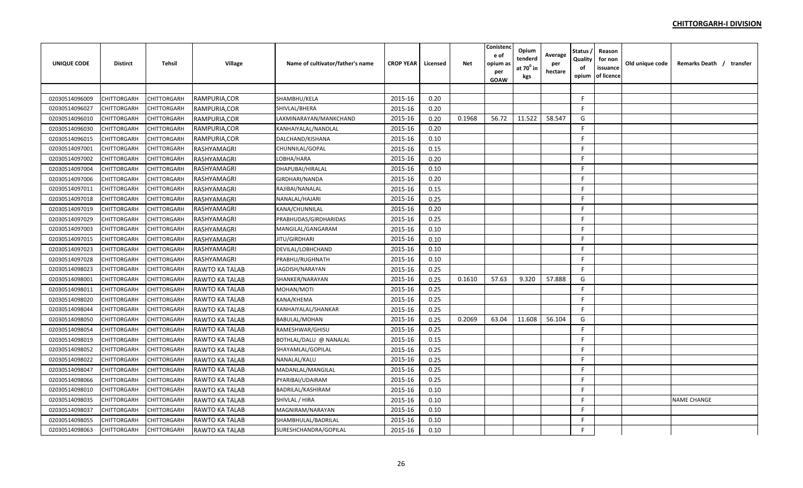| <b>UNIQUE CODE</b> | <b>Distirct</b>    | <b>Tehsil</b>      | Village               | Name of cultivator/father's name | <b>CROP YEAR</b> | Licensed | <b>Net</b> | Conistenc<br>e of<br>opium as<br>per<br><b>GOAW</b> | Opium<br>tenderd<br>at $70^0$ in<br>kgs | Average<br>per<br>hectare | Status<br>Quality<br>of<br>opium | Reason<br>for non<br>issuance<br>of licence | Old unique code | Remarks Death / transfer |  |
|--------------------|--------------------|--------------------|-----------------------|----------------------------------|------------------|----------|------------|-----------------------------------------------------|-----------------------------------------|---------------------------|----------------------------------|---------------------------------------------|-----------------|--------------------------|--|
|                    |                    |                    |                       |                                  |                  |          |            |                                                     |                                         |                           |                                  |                                             |                 |                          |  |
| 02030514096009     | CHITTORGARH        | <b>CHITTORGARH</b> | RAMPURIA, COR         | SHAMBHU/KELA                     | 2015-16          | 0.20     |            |                                                     |                                         |                           | -F                               |                                             |                 |                          |  |
| 02030514096027     | CHITTORGARH        | CHITTORGARH        | RAMPURIA, COR         | SHIVLAL/BHERA                    | 2015-16          | 0.20     |            |                                                     |                                         |                           | -F                               |                                             |                 |                          |  |
| 02030514096010     | CHITTORGARH        | <b>CHITTORGARH</b> | RAMPURIA, COR         | LAXMINARAYAN/MANKCHAND           | 2015-16          | 0.20     | 0.1968     | 56.72                                               | 11.522                                  | 58.547                    | G                                |                                             |                 |                          |  |
| 02030514096030     | CHITTORGARH        | CHITTORGARH        | RAMPURIA, COR         | KANHAIYALAL/NANDLAL              | 2015-16          | 0.20     |            |                                                     |                                         |                           | F                                |                                             |                 |                          |  |
| 02030514096015     | <b>CHITTORGARH</b> | <b>CHITTORGARH</b> | RAMPURIA, COR         | DALCHAND/KISHANA                 | 2015-16          | 0.10     |            |                                                     |                                         |                           | F                                |                                             |                 |                          |  |
| 02030514097001     | CHITTORGARH        | CHITTORGARH        | RASHYAMAGRI           | CHUNNILAL/GOPAL                  | 2015-16          | 0.15     |            |                                                     |                                         |                           | F.                               |                                             |                 |                          |  |
| 02030514097002     | CHITTORGARH        | CHITTORGARH        | RASHYAMAGRI           | LOBHA/HARA                       | 2015-16          | 0.20     |            |                                                     |                                         |                           | F.                               |                                             |                 |                          |  |
| 02030514097004     | CHITTORGARH        | <b>CHITTORGARH</b> | RASHYAMAGRI           | DHAPUBAI/HIRALAL                 | 2015-16          | 0.10     |            |                                                     |                                         |                           | E                                |                                             |                 |                          |  |
| 02030514097006     | CHITTORGARH        | <b>CHITTORGARH</b> | RASHYAMAGRI           | GIRDHARI/NANDA                   | 2015-16          | 0.20     |            |                                                     |                                         |                           | F                                |                                             |                 |                          |  |
| 02030514097011     | CHITTORGARH        | CHITTORGARH        | RASHYAMAGRI           | RAJIBAI/NANALAL                  | 2015-16          | 0.15     |            |                                                     |                                         |                           | F.                               |                                             |                 |                          |  |
| 02030514097018     | CHITTORGARH        | <b>CHITTORGARH</b> | RASHYAMAGRI           | NANALAL/HAJARI                   | 2015-16          | 0.25     |            |                                                     |                                         |                           | F                                |                                             |                 |                          |  |
| 02030514097019     | CHITTORGARH        | <b>CHITTORGARH</b> | RASHYAMAGRI           | KANA/CHUNNILAL                   | 2015-16          | 0.20     |            |                                                     |                                         |                           | F                                |                                             |                 |                          |  |
| 02030514097029     | CHITTORGARH        | CHITTORGARH        | RASHYAMAGRI           | PRABHUDAS/GIRDHARIDAS            | 2015-16          | 0.25     |            |                                                     |                                         |                           | E                                |                                             |                 |                          |  |
| 02030514097003     | CHITTORGARH        | <b>CHITTORGARH</b> | RASHYAMAGRI           | MANGILAL/GANGARAM                | 2015-16          | 0.10     |            |                                                     |                                         |                           | F                                |                                             |                 |                          |  |
| 02030514097015     | CHITTORGARH        | <b>CHITTORGARH</b> | RASHYAMAGRI           | JITU/GIRDHARI                    | 2015-16          | 0.10     |            |                                                     |                                         |                           | F.                               |                                             |                 |                          |  |
| 02030514097023     | CHITTORGARH        | CHITTORGARH        | RASHYAMAGRI           | DEVILAL/LOBHCHAND                | 2015-16          | 0.10     |            |                                                     |                                         |                           | F                                |                                             |                 |                          |  |
| 02030514097028     | <b>CHITTORGARH</b> | <b>CHITTORGARH</b> | RASHYAMAGRI           | PRABHU/RUGHNATH                  | 2015-16          | 0.10     |            |                                                     |                                         |                           | F.                               |                                             |                 |                          |  |
| 02030514098023     | CHITTORGARH        | CHITTORGARH        | <b>RAWTO KA TALAB</b> | JAGDISH/NARAYAN                  | 2015-16          | 0.25     |            |                                                     |                                         |                           | E                                |                                             |                 |                          |  |
| 02030514098001     | CHITTORGARH        | CHITTORGARH        | RAWTO KA TALAB        | SHANKER/NARAYAN                  | 2015-16          | 0.25     | 0.1610     | 57.63                                               | 9.320                                   | 57.888                    | G                                |                                             |                 |                          |  |
| 02030514098011     | CHITTORGARH        | <b>CHITTORGARH</b> | <b>RAWTO KA TALAB</b> | MOHAN/MOTI                       | 2015-16          | 0.25     |            |                                                     |                                         |                           | E                                |                                             |                 |                          |  |
| 02030514098020     | CHITTORGARH        | <b>CHITTORGARH</b> | <b>RAWTO KA TALAB</b> | KANA/KHEMA                       | 2015-16          | 0.25     |            |                                                     |                                         |                           | F                                |                                             |                 |                          |  |
| 02030514098044     | CHITTORGARH        | CHITTORGARH        | <b>RAWTO KA TALAB</b> | KANHAIYALAL/SHANKAR              | 2015-16          | 0.25     |            |                                                     |                                         |                           | F                                |                                             |                 |                          |  |
| 02030514098050     | <b>CHITTORGARH</b> | <b>CHITTORGARH</b> | <b>RAWTO KA TALAB</b> | <b>BABULAL/MOHAN</b>             | 2015-16          | 0.25     | 0.2069     | 63.04                                               | 11.608                                  | 56.104                    | G                                |                                             |                 |                          |  |
| 02030514098054     | CHITTORGARH        | <b>CHITTORGARH</b> | <b>RAWTO KA TALAB</b> | RAMESHWAR/GHISU                  | 2015-16          | 0.25     |            |                                                     |                                         |                           | E                                |                                             |                 |                          |  |
| 02030514098019     | CHITTORGARH        | CHITTORGARH        | <b>RAWTO KA TALAB</b> | BOTHLAL/DALU @ NANALAL           | 2015-16          | 0.15     |            |                                                     |                                         |                           | F                                |                                             |                 |                          |  |
| 02030514098052     | CHITTORGARH        | <b>CHITTORGARH</b> | <b>RAWTO KA TALAB</b> | SHAYAMLAL/GOPILAL                | 2015-16          | 0.25     |            |                                                     |                                         |                           | F                                |                                             |                 |                          |  |
| 02030514098022     | CHITTORGARH        | CHITTORGARH        | <b>RAWTO KA TALAB</b> | NANALAL/KALU                     | 2015-16          | 0.25     |            |                                                     |                                         |                           | F.                               |                                             |                 |                          |  |
| 02030514098047     | CHITTORGARH        | <b>CHITTORGARH</b> | <b>RAWTO KA TALAB</b> | MADANLAL/MANGILAL                | 2015-16          | 0.25     |            |                                                     |                                         |                           | F.                               |                                             |                 |                          |  |
| 02030514098066     | <b>CHITTORGARH</b> | CHITTORGARH        | RAWTO KA TALAB        | PYARIBAI/UDAIRAM                 | 2015-16          | 0.25     |            |                                                     |                                         |                           | F                                |                                             |                 |                          |  |
| 02030514098010     | CHITTORGARH        | CHITTORGARH        | <b>RAWTO KA TALAB</b> | <b>BADRILAL/KASHIRAM</b>         | 2015-16          | 0.10     |            |                                                     |                                         |                           | F.                               |                                             |                 |                          |  |
| 02030514098035     | CHITTORGARH        | <b>CHITTORGARH</b> | RAWTO KA TALAB        | SHIVLAL / HIRA                   | 2015-16          | 0.10     |            |                                                     |                                         |                           | F.                               |                                             |                 | <b>NAME CHANGE</b>       |  |
| 02030514098037     | CHITTORGARH        | CHITTORGARH        | RAWTO KA TALAB        | MAGNIRAM/NARAYAN                 | 2015-16          | 0.10     |            |                                                     |                                         |                           | F                                |                                             |                 |                          |  |
| 02030514098055     | CHITTORGARH        | CHITTORGARH        | RAWTO KA TALAB        | SHAMBHULAL/BADRILAL              | 2015-16          | 0.10     |            |                                                     |                                         |                           | F                                |                                             |                 |                          |  |
| 02030514098063     | <b>CHITTORGARH</b> | <b>CHITTORGARH</b> | <b>RAWTO KA TALAB</b> | SURESHCHANDRA/GOPILAL            | 2015-16          | 0.10     |            |                                                     |                                         |                           | F                                |                                             |                 |                          |  |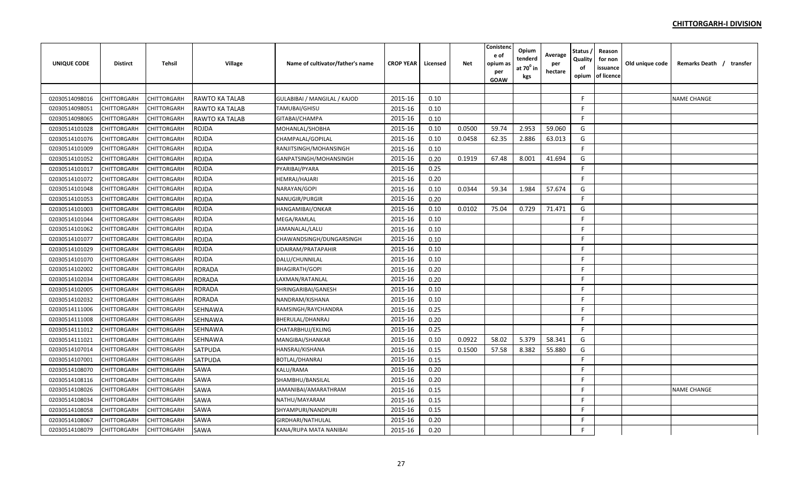| <b>UNIQUE CODE</b> | <b>Distirct</b> | <b>Tehsil</b> | Village               | Name of cultivator/father's name | <b>CROP YEAR</b> | Licensed | <b>Net</b> | Conistend<br>e of<br>opium a:<br>per<br>GOAW | Opium<br>tenderd<br>at $70^0$ in<br>kgs | Average<br>per<br>hectare | <b>Status</b><br>Quality<br>of<br>opium | Reason<br>for non<br>issuance<br>of licence | Old unique code | Remarks Death / transfer |
|--------------------|-----------------|---------------|-----------------------|----------------------------------|------------------|----------|------------|----------------------------------------------|-----------------------------------------|---------------------------|-----------------------------------------|---------------------------------------------|-----------------|--------------------------|
|                    |                 |               |                       |                                  |                  |          |            |                                              |                                         |                           |                                         |                                             |                 |                          |
| 02030514098016     | CHITTORGARH     | CHITTORGARH   | <b>RAWTO KA TALAB</b> | GULABIBAI / MANGILAL / KAJOD     | 2015-16          | 0.10     |            |                                              |                                         |                           | F.                                      |                                             |                 | <b>NAME CHANGE</b>       |
| 02030514098051     | CHITTORGARH     | CHITTORGARH   | RAWTO KA TALAB        | TAMUBAI/GHISU                    | 2015-16          | 0.10     |            |                                              |                                         |                           | F.                                      |                                             |                 |                          |
| 02030514098065     | CHITTORGARH     | CHITTORGARH   | RAWTO KA TALAB        | GITABAI/CHAMPA                   | 2015-16          | 0.10     |            |                                              |                                         |                           | F.                                      |                                             |                 |                          |
| 02030514101028     | CHITTORGARH     | CHITTORGARH   | <b>ROJDA</b>          | MOHANLAL/SHOBHA                  | 2015-16          | 0.10     | 0.0500     | 59.74                                        | 2.953                                   | 59.060                    | G                                       |                                             |                 |                          |
| 02030514101076     | CHITTORGARH     | CHITTORGARH   | <b>ROJDA</b>          | CHAMPALAL/GOPILAL                | 2015-16          | 0.10     | 0.0458     | 62.35                                        | 2.886                                   | 63.013                    | G                                       |                                             |                 |                          |
| 02030514101009     | CHITTORGARH     | CHITTORGARH   | <b>ROJDA</b>          | RANJITSINGH/MOHANSINGH           | 2015-16          | 0.10     |            |                                              |                                         |                           | F.                                      |                                             |                 |                          |
| 02030514101052     | CHITTORGARH     | CHITTORGARH   | <b>ROJDA</b>          | GANPATSINGH/MOHANSINGH           | 2015-16          | 0.20     | 0.1919     | 67.48                                        | 8.001                                   | 41.694                    | G                                       |                                             |                 |                          |
| 02030514101017     | CHITTORGARH     | CHITTORGARH   | <b>ROJDA</b>          | PYARIBAI/PYARA                   | 2015-16          | 0.25     |            |                                              |                                         |                           | F.                                      |                                             |                 |                          |
| 02030514101072     | CHITTORGARH     | CHITTORGARH   | <b>ROJDA</b>          | HEMRAJ/HAJARI                    | 2015-16          | 0.20     |            |                                              |                                         |                           | F.                                      |                                             |                 |                          |
| 02030514101048     | CHITTORGARH     | CHITTORGARH   | <b>ROJDA</b>          | NARAYAN/GOPI                     | 2015-16          | 0.10     | 0.0344     | 59.34                                        | 1.984                                   | 57.674                    | G                                       |                                             |                 |                          |
| 02030514101053     | CHITTORGARH     | CHITTORGARH   | <b>ROJDA</b>          | NANUGIR/PURGIR                   | 2015-16          | 0.20     |            |                                              |                                         |                           | F.                                      |                                             |                 |                          |
| 02030514101003     | CHITTORGARH     | CHITTORGARH   | <b>ROJDA</b>          | HANGAMIBAI/ONKAR                 | 2015-16          | 0.10     | 0.0102     | 75.04                                        | 0.729                                   | 71.471                    | G                                       |                                             |                 |                          |
| 02030514101044     | CHITTORGARH     | CHITTORGARH   | <b>ROJDA</b>          | MEGA/RAMLAL                      | 2015-16          | 0.10     |            |                                              |                                         |                           | F.                                      |                                             |                 |                          |
| 02030514101062     | CHITTORGARH     | CHITTORGARH   | <b>ROJDA</b>          | JAMANALAL/LALU                   | 2015-16          | 0.10     |            |                                              |                                         |                           | F.                                      |                                             |                 |                          |
| 02030514101077     | CHITTORGARH     | CHITTORGARH   | <b>ROJDA</b>          | CHAWANDSINGH/DUNGARSINGH         | 2015-16          | 0.10     |            |                                              |                                         |                           | F.                                      |                                             |                 |                          |
| 02030514101029     | CHITTORGARH     | CHITTORGARH   | <b>ROJDA</b>          | UDAIRAM/PRATAPAHIR               | 2015-16          | 0.10     |            |                                              |                                         |                           | F.                                      |                                             |                 |                          |
| 02030514101070     | CHITTORGARH     | CHITTORGARH   | <b>ROJDA</b>          | DALU/CHUNNILAL                   | 2015-16          | 0.10     |            |                                              |                                         |                           | F.                                      |                                             |                 |                          |
| 02030514102002     | CHITTORGARH     | CHITTORGARH   | <b>RORADA</b>         | BHAGIRATH/GOPI                   | 2015-16          | 0.20     |            |                                              |                                         |                           | F.                                      |                                             |                 |                          |
| 02030514102034     | CHITTORGARH     | CHITTORGARH   | <b>RORADA</b>         | LAXMAN/RATANLAL                  | 2015-16          | 0.20     |            |                                              |                                         |                           | F.                                      |                                             |                 |                          |
| 02030514102005     | CHITTORGARH     | CHITTORGARH   | <b>RORADA</b>         | SHRINGARIBAI/GANESH              | 2015-16          | 0.10     |            |                                              |                                         |                           | F.                                      |                                             |                 |                          |
| 02030514102032     | CHITTORGARH     | CHITTORGARH   | <b>RORADA</b>         | NANDRAM/KISHANA                  | 2015-16          | 0.10     |            |                                              |                                         |                           | F.                                      |                                             |                 |                          |
| 02030514111006     | CHITTORGARH     | CHITTORGARH   | <b>SEHNAWA</b>        | RAMSINGH/RAYCHANDRA              | 2015-16          | 0.25     |            |                                              |                                         |                           | F.                                      |                                             |                 |                          |
| 02030514111008     | CHITTORGARH     | CHITTORGARH   | <b>SEHNAWA</b>        | BHERULAL/DHANRAJ                 | 2015-16          | 0.20     |            |                                              |                                         |                           | F.                                      |                                             |                 |                          |
| 02030514111012     | CHITTORGARH     | CHITTORGARH   | <b>SEHNAWA</b>        | CHATARBHUJ/EKLING                | 2015-16          | 0.25     |            |                                              |                                         |                           | F.                                      |                                             |                 |                          |
| 02030514111021     | CHITTORGARH     | CHITTORGARH   | <b>SEHNAWA</b>        | MANGIBAI/SHANKAR                 | 2015-16          | 0.10     | 0.0922     | 58.02                                        | 5.379                                   | 58.341                    | G                                       |                                             |                 |                          |
| 02030514107014     | CHITTORGARH     | CHITTORGARH   | <b>SATPUDA</b>        | HANSRAJ/KISHANA                  | 2015-16          | 0.15     | 0.1500     | 57.58                                        | 8.382                                   | 55.880                    | G                                       |                                             |                 |                          |
| 02030514107001     | CHITTORGARH     | CHITTORGARH   | <b>SATPUDA</b>        | BOTLAL/DHANRAJ                   | 2015-16          | 0.15     |            |                                              |                                         |                           | F.                                      |                                             |                 |                          |
| 02030514108070     | CHITTORGARH     | CHITTORGARH   | <b>SAWA</b>           | KALU/RAMA                        | 2015-16          | 0.20     |            |                                              |                                         |                           | F.                                      |                                             |                 |                          |
| 02030514108116     | CHITTORGARH     | CHITTORGARH   | <b>SAWA</b>           | SHAMBHU/BANSILAL                 | 2015-16          | 0.20     |            |                                              |                                         |                           | F.                                      |                                             |                 |                          |
| 02030514108026     | CHITTORGARH     | CHITTORGARH   | SAWA                  | IAMANIBAI/AMARATHRAM             | 2015-16          | 0.15     |            |                                              |                                         |                           | F.                                      |                                             |                 | <b>NAME CHANGE</b>       |
| 02030514108034     | CHITTORGARH     | CHITTORGARH   | <b>SAWA</b>           | NATHU/MAYARAM                    | 2015-16          | 0.15     |            |                                              |                                         |                           | F.                                      |                                             |                 |                          |
| 02030514108058     | CHITTORGARH     | CHITTORGARH   | SAWA                  | SHYAMPURI/NANDPURI               | 2015-16          | 0.15     |            |                                              |                                         |                           | F.                                      |                                             |                 |                          |
| 02030514108067     | CHITTORGARH     | CHITTORGARH   | <b>SAWA</b>           | GIRDHARI/NATHULAL                | 2015-16          | 0.20     |            |                                              |                                         |                           | F.                                      |                                             |                 |                          |
| 02030514108079     | CHITTORGARH     | CHITTORGARH   | SAWA                  | KANA/RUPA MATA NANIBAI           | 2015-16          | 0.20     |            |                                              |                                         |                           | F.                                      |                                             |                 |                          |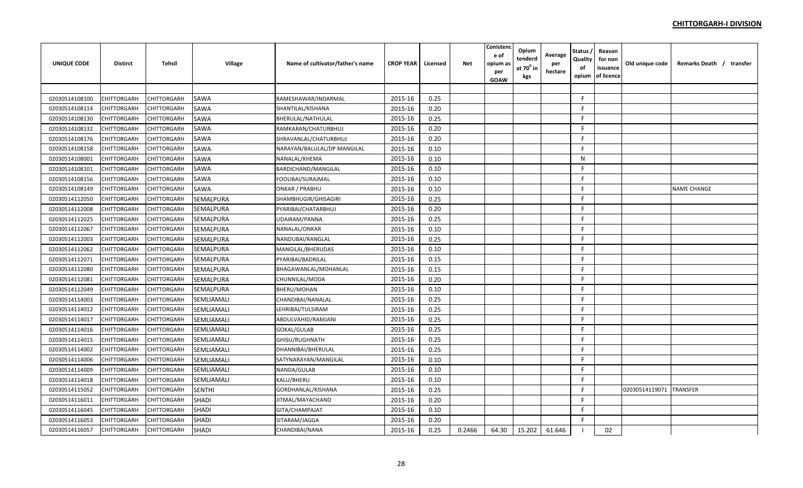| <b>UNIQUE CODE</b> | <b>Distirct</b> | <b>Tehsil</b> | Village          | Name of cultivator/father's name | <b>CROP YEAR</b> | Licensed | <b>Net</b> | Conistend<br>e of<br>opium a:<br>per<br>GOAW | Opium<br>tenderd<br>at $70^0$ in<br>kgs | Average<br>per<br>hectare | <b>Status</b><br>Quality<br>of<br>opium | Reason<br>for non<br>issuance<br>of licence | Old unique code | Remarks Death / transfer |
|--------------------|-----------------|---------------|------------------|----------------------------------|------------------|----------|------------|----------------------------------------------|-----------------------------------------|---------------------------|-----------------------------------------|---------------------------------------------|-----------------|--------------------------|
|                    |                 |               |                  |                                  |                  |          |            |                                              |                                         |                           |                                         |                                             |                 |                          |
| 02030514108100     | CHITTORGARH     | CHITTORGARH   | SAWA             | RAMESHAWAR/INDARMAL              | 2015-16          | 0.25     |            |                                              |                                         |                           | F.                                      |                                             |                 |                          |
| 02030514108114     | CHITTORGARH     | CHITTORGARH   | <b>SAWA</b>      | SHANTILAL/KISHANA                | 2015-16          | 0.20     |            |                                              |                                         |                           | F.                                      |                                             |                 |                          |
| 02030514108130     | CHITTORGARH     | CHITTORGARH   | SAWA             | BHERULAL/NATHULAL                | 2015-16          | 0.25     |            |                                              |                                         |                           | F.                                      |                                             |                 |                          |
| 02030514108132     | CHITTORGARH     | CHITTORGARH   | SAWA             | RAMKARAN/CHATURBHUJ              | 2015-16          | 0.20     |            |                                              |                                         |                           | F.                                      |                                             |                 |                          |
| 02030514108176     | CHITTORGARH     | CHITTORGARH   | SAWA             | SHRAVANLAL/CHATURBHUJ            | 2015-16          | 0.20     |            |                                              |                                         |                           | F.                                      |                                             |                 |                          |
| 02030514108158     | CHITTORGARH     | CHITTORGARH   | SAWA             | NARAYAN/BALULAL/DP MANGILAL      | 2015-16          | 0.10     |            |                                              |                                         |                           | F.                                      |                                             |                 |                          |
| 02030514108001     | CHITTORGARH     | CHITTORGARH   | SAWA             | NANALAL/KHEMA                    | 2015-16          | 0.10     |            |                                              |                                         |                           | N                                       |                                             |                 |                          |
| 02030514108101     | CHITTORGARH     | CHITTORGARH   | SAWA             | BARDICHAND/MANGILAL              | 2015-16          | 0.10     |            |                                              |                                         |                           | F.                                      |                                             |                 |                          |
| 02030514108156     | CHITTORGARH     | CHITTORGARH   | SAWA             | FOOLIBAI/SURAJMAL                | 2015-16          | 0.10     |            |                                              |                                         |                           | F.                                      |                                             |                 |                          |
| 02030514108149     | CHITTORGARH     | CHITTORGARH   | SAWA             | ONKAR / PRABHU                   | 2015-16          | 0.10     |            |                                              |                                         |                           | F.                                      |                                             |                 | <b>NAME CHANGE</b>       |
| 02030514112050     | CHITTORGARH     | CHITTORGARH   | SEMALPURA        | SHAMBHUGIR/GHISAGIRI             | 2015-16          | 0.25     |            |                                              |                                         |                           | F.                                      |                                             |                 |                          |
| 02030514112008     | CHITTORGARH     | CHITTORGARH   | SEMALPURA        | PYARIBAI/CHATARBHUJ              | 2015-16          | 0.20     |            |                                              |                                         |                           | F                                       |                                             |                 |                          |
| 02030514112025     | CHITTORGARH     | CHITTORGARH   | SEMALPURA        | UDAIRAM/PANNA                    | 2015-16          | 0.25     |            |                                              |                                         |                           | F.                                      |                                             |                 |                          |
| 02030514112067     | CHITTORGARH     | CHITTORGARH   | SEMALPURA        | NANALAL/ONKAR                    | 2015-16          | 0.10     |            |                                              |                                         |                           | F.                                      |                                             |                 |                          |
| 02030514112003     | CHITTORGARH     | CHITTORGARH   | SEMALPURA        | NANDUBAI/RANGLAL                 | 2015-16          | 0.25     |            |                                              |                                         |                           | F.                                      |                                             |                 |                          |
| 02030514112062     | CHITTORGARH     | CHITTORGARH   | SEMALPURA        | MANGILAL/BHERUDAS                | 2015-16          | 0.10     |            |                                              |                                         |                           | F.                                      |                                             |                 |                          |
| 02030514112071     | CHITTORGARH     | CHITTORGARH   | SEMALPURA        | PYARIBAI/BADRILAL                | 2015-16          | 0.15     |            |                                              |                                         |                           | F.                                      |                                             |                 |                          |
| 02030514112080     | CHITTORGARH     | CHITTORGARH   | <b>SEMALPURA</b> | BHAGAWANLAL/MOHANLAL             | 2015-16          | 0.15     |            |                                              |                                         |                           | F                                       |                                             |                 |                          |
| 02030514112081     | CHITTORGARH     | CHITTORGARH   | <b>SEMALPURA</b> | CHUNNILAL/MODA                   | 2015-16          | 0.20     |            |                                              |                                         |                           | F.                                      |                                             |                 |                          |
| 02030514112049     | CHITTORGARH     | CHITTORGARH   | SEMALPURA        | BHERU/MOHAN                      | 2015-16          | 0.10     |            |                                              |                                         |                           | F.                                      |                                             |                 |                          |
| 02030514114003     | CHITTORGARH     | CHITTORGARH   | SEMLIAMALI       | CHANDIBAI/NANALAL                | 2015-16          | 0.25     |            |                                              |                                         |                           | F.                                      |                                             |                 |                          |
| 02030514114012     | CHITTORGARH     | CHITTORGARH   | SEMLIAMALI       | LEHRIBAI/TULSIRAM                | 2015-16          | 0.25     |            |                                              |                                         |                           | F.                                      |                                             |                 |                          |
| 02030514114017     | CHITTORGARH     | CHITTORGARH   | SEMLIAMALI       | ABDULVAHID/RAMJANI               | 2015-16          | 0.25     |            |                                              |                                         |                           | F                                       |                                             |                 |                          |
| 02030514114016     | CHITTORGARH     | CHITTORGARH   | SEMLIAMALI       | GOKAL/GULAB                      | 2015-16          | 0.25     |            |                                              |                                         |                           | F.                                      |                                             |                 |                          |
| 02030514114015     | CHITTORGARH     | CHITTORGARH   | SEMLIAMALI       | GHISU/RUGHNATH                   | 2015-16          | 0.25     |            |                                              |                                         |                           | F                                       |                                             |                 |                          |
| 02030514114002     | CHITTORGARH     | CHITTORGARH   | SEMLIAMALI       | DHANNIBAI/BHERULAL               | 2015-16          | 0.25     |            |                                              |                                         |                           | F.                                      |                                             |                 |                          |
| 02030514114006     | CHITTORGARH     | CHITTORGARH   | SEMLIAMALI       | SATYNARAYAN/MANGILAL             | 2015-16          | 0.10     |            |                                              |                                         |                           | F.                                      |                                             |                 |                          |
| 02030514114009     | CHITTORGARH     | CHITTORGARH   | SEMLIAMALI       | NANDA/GULAB                      | 2015-16          | 0.10     |            |                                              |                                         |                           | F.                                      |                                             |                 |                          |
| 02030514114018     | CHITTORGARH     | CHITTORGARH   | SEMLIAMALI       | KALU/BHERU                       | 2015-16          | 0.10     |            |                                              |                                         |                           | F                                       |                                             |                 |                          |
| 02030514115052     | CHITTORGARH     | CHITTORGARH   | <b>SENTHI</b>    | GORDHANLAL/KISHANA               | 2015-16          | 0.25     |            |                                              |                                         |                           | F.                                      |                                             | 02030514119071  | <b>TRANSFER</b>          |
| 02030514116011     | CHITTORGARH     | CHITTORGARH   | <b>SHADI</b>     | JITMAL/MAYACHAND                 | 2015-16          | 0.20     |            |                                              |                                         |                           | F.                                      |                                             |                 |                          |
| 02030514116045     | CHITTORGARH     | CHITTORGARH   | <b>SHADI</b>     | GITA/CHAMPAJAT                   | 2015-16          | 0.10     |            |                                              |                                         |                           | F.                                      |                                             |                 |                          |
| 02030514116053     | CHITTORGARH     | CHITTORGARH   | <b>SHADI</b>     | SITARAM/JAGGA                    | 2015-16          | 0.20     |            |                                              |                                         |                           | F.                                      |                                             |                 |                          |
| 02030514116057     | CHITTORGARH     | CHITTORGARH   | <b>SHADI</b>     | CHANDIBAI/NANA                   | 2015-16          | 0.25     | 0.2466     | 64.30                                        | 15.202                                  | 61.646                    |                                         | 02                                          |                 |                          |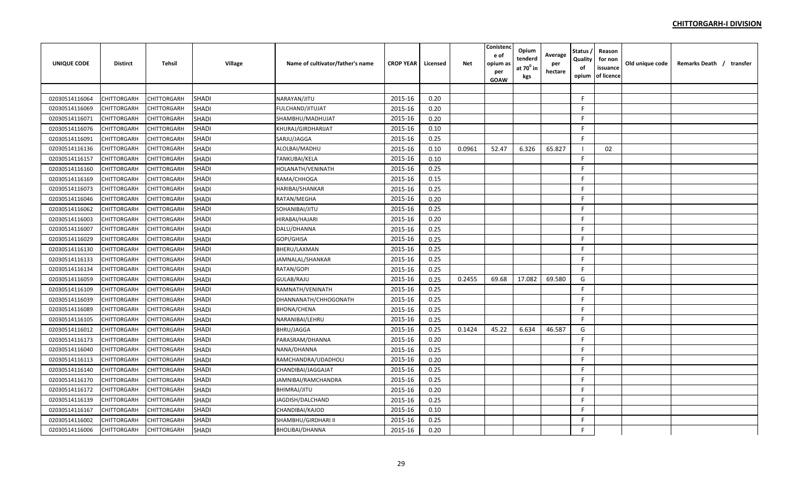| <b>UNIQUE CODE</b> | <b>Distirct</b>    | <b>Tehsil</b> | Village      | Name of cultivator/father's name | <b>CROP YEAR</b> | Licensed | Net    | Conistenc<br>e of<br>opium a:<br>per<br>GOAW | Opium<br>tenderd<br>at $70^\circ$ in<br>kgs | Average<br>per<br>hectare | Status<br>Quality<br>of<br>opium | Reason<br>for non<br>issuance<br>of licence | Old unique code | Remarks Death / transfer |  |
|--------------------|--------------------|---------------|--------------|----------------------------------|------------------|----------|--------|----------------------------------------------|---------------------------------------------|---------------------------|----------------------------------|---------------------------------------------|-----------------|--------------------------|--|
|                    |                    |               |              |                                  |                  |          |        |                                              |                                             |                           |                                  |                                             |                 |                          |  |
| 02030514116064     | CHITTORGARH        | CHITTORGARH   | <b>SHADI</b> | NARAYAN/JITU                     | 2015-16          | 0.20     |        |                                              |                                             |                           | F.                               |                                             |                 |                          |  |
| 02030514116069     | CHITTORGARH        | CHITTORGARH   | <b>SHADI</b> | FULCHAND/JITUJAT                 | 2015-16          | 0.20     |        |                                              |                                             |                           | F                                |                                             |                 |                          |  |
| 02030514116071     | CHITTORGARH        | CHITTORGARH   | <b>SHADI</b> | SHAMBHU/MADHUJAT                 | 2015-16          | 0.20     |        |                                              |                                             |                           | F                                |                                             |                 |                          |  |
| 02030514116076     | CHITTORGARH        | CHITTORGARH   | <b>SHADI</b> | KHURAJ/GIRDHARIJAT               | 2015-16          | 0.10     |        |                                              |                                             |                           | F.                               |                                             |                 |                          |  |
| 02030514116091     | CHITTORGARH        | CHITTORGARH   | <b>SHADI</b> | SARJU/JAGGA                      | 2015-16          | 0.25     |        |                                              |                                             |                           | F.                               |                                             |                 |                          |  |
| 02030514116136     | CHITTORGARH        | CHITTORGARH   | <b>SHADI</b> | ALOLBAI/MADHU                    | 2015-16          | 0.10     | 0.0961 | 52.47                                        | 6.326                                       | 65.827                    | -1                               | 02                                          |                 |                          |  |
| 02030514116157     | CHITTORGARH        | CHITTORGARH   | <b>SHADI</b> | TANKUBAI/KELA                    | 2015-16          | 0.10     |        |                                              |                                             |                           | F.                               |                                             |                 |                          |  |
| 02030514116160     | CHITTORGARH        | CHITTORGARH   | <b>SHADI</b> | HOLANATH/VENINATH                | 2015-16          | 0.25     |        |                                              |                                             |                           | F                                |                                             |                 |                          |  |
| 02030514116169     | CHITTORGARH        | CHITTORGARH   | <b>SHADI</b> | RAMA/CHHOGA                      | 2015-16          | 0.15     |        |                                              |                                             |                           | F                                |                                             |                 |                          |  |
| 02030514116073     | CHITTORGARH        | CHITTORGARH   | <b>SHADI</b> | HARIBAI/SHANKAR                  | 2015-16          | 0.25     |        |                                              |                                             |                           | F.                               |                                             |                 |                          |  |
| 02030514116046     | CHITTORGARH        | CHITTORGARH   | <b>SHADI</b> | RATAN/MEGHA                      | 2015-16          | 0.20     |        |                                              |                                             |                           | F.                               |                                             |                 |                          |  |
| 02030514116062     | CHITTORGARH        | CHITTORGARH   | <b>SHADI</b> | SOHANIBAI/JITU                   | 2015-16          | 0.25     |        |                                              |                                             |                           | F                                |                                             |                 |                          |  |
| 02030514116003     | CHITTORGARH        | CHITTORGARH   | <b>SHADI</b> | HIRABAI/HAJARI                   | 2015-16          | 0.20     |        |                                              |                                             |                           | F                                |                                             |                 |                          |  |
| 02030514116007     | CHITTORGARH        | CHITTORGARH   | <b>SHADI</b> | DALU/DHANNA                      | 2015-16          | 0.25     |        |                                              |                                             |                           | F                                |                                             |                 |                          |  |
| 02030514116029     | CHITTORGARH        | CHITTORGARH   | <b>SHADI</b> | GOPI/GHISA                       | 2015-16          | 0.25     |        |                                              |                                             |                           | F                                |                                             |                 |                          |  |
| 02030514116130     | CHITTORGARH        | CHITTORGARH   | <b>SHADI</b> | BHERU/LAXMAN                     | 2015-16          | 0.25     |        |                                              |                                             |                           | F.                               |                                             |                 |                          |  |
| 02030514116133     | CHITTORGARH        | CHITTORGARH   | <b>SHADI</b> | JAMNALAL/SHANKAR                 | 2015-16          | 0.25     |        |                                              |                                             |                           | F.                               |                                             |                 |                          |  |
| 02030514116134     | CHITTORGARH        | CHITTORGARH   | <b>SHADI</b> | RATAN/GOPI                       | 2015-16          | 0.25     |        |                                              |                                             |                           | F.                               |                                             |                 |                          |  |
| 02030514116059     | CHITTORGARH        | CHITTORGARH   | <b>SHADI</b> | GULAB/RAJU                       | 2015-16          | 0.25     | 0.2455 | 69.68                                        | 17.082                                      | 69.580                    | G                                |                                             |                 |                          |  |
| 02030514116109     | CHITTORGARH        | CHITTORGARH   | <b>SHADI</b> | RAMNATH/VENINATH                 | 2015-16          | 0.25     |        |                                              |                                             |                           | F.                               |                                             |                 |                          |  |
| 02030514116039     | CHITTORGARH        | CHITTORGARH   | <b>SHADI</b> | DHANNANATH/CHHOGONATH            | 2015-16          | 0.25     |        |                                              |                                             |                           | F                                |                                             |                 |                          |  |
| 02030514116089     | <b>CHITTORGARH</b> | CHITTORGARH   | <b>SHADI</b> | BHONA/CHENA                      | 2015-16          | 0.25     |        |                                              |                                             |                           | F.                               |                                             |                 |                          |  |
| 02030514116105     | CHITTORGARH        | CHITTORGARH   | <b>SHADI</b> | NARANIBAI/LEHRU                  | 2015-16          | 0.25     |        |                                              |                                             |                           | F.                               |                                             |                 |                          |  |
| 02030514116012     | CHITTORGARH        | CHITTORGARH   | <b>SHADI</b> | BHRU/JAGGA                       | 2015-16          | 0.25     | 0.1424 | 45.22                                        | 6.634                                       | 46.587                    | G                                |                                             |                 |                          |  |
| 02030514116173     | CHITTORGARH        | CHITTORGARH   | <b>SHADI</b> | PARASRAM/DHANNA                  | 2015-16          | 0.20     |        |                                              |                                             |                           | F                                |                                             |                 |                          |  |
| 02030514116040     | CHITTORGARH        | CHITTORGARH   | <b>SHADI</b> | NANA/DHANNA                      | 2015-16          | 0.25     |        |                                              |                                             |                           | F                                |                                             |                 |                          |  |
| 02030514116113     | CHITTORGARH        | CHITTORGARH   | <b>SHADI</b> | RAMCHANDRA/UDADHOLI              | 2015-16          | 0.20     |        |                                              |                                             |                           | F.                               |                                             |                 |                          |  |
| 02030514116140     | CHITTORGARH        | CHITTORGARH   | <b>SHADI</b> | CHANDIBAI/JAGGAJAT               | 2015-16          | 0.25     |        |                                              |                                             |                           | F.                               |                                             |                 |                          |  |
| 02030514116170     | CHITTORGARH        | CHITTORGARH   | <b>SHADI</b> | JAMNIBAI/RAMCHANDRA              | 2015-16          | 0.25     |        |                                              |                                             |                           | F.                               |                                             |                 |                          |  |
| 02030514116172     | CHITTORGARH        | CHITTORGARH   | <b>SHADI</b> | BHIMRAJ/JITU                     | 2015-16          | 0.20     |        |                                              |                                             |                           | F                                |                                             |                 |                          |  |
| 02030514116139     | CHITTORGARH        | CHITTORGARH   | <b>SHADI</b> | JAGDISH/DALCHAND                 | 2015-16          | 0.25     |        |                                              |                                             |                           | F                                |                                             |                 |                          |  |
| 02030514116167     | CHITTORGARH        | CHITTORGARH   | <b>SHADI</b> | CHANDIBAI/KAJOD                  | 2015-16          | 0.10     |        |                                              |                                             |                           | F.                               |                                             |                 |                          |  |
| 02030514116002     | CHITTORGARH        | CHITTORGARH   | <b>SHADI</b> | SHAMBHU/GIRDHARI II              | 2015-16          | 0.25     |        |                                              |                                             |                           | F                                |                                             |                 |                          |  |
| 02030514116006     | CHITTORGARH        | CHITTORGARH   | <b>SHADI</b> | BHOLIBAI/DHANNA                  | 2015-16          | 0.20     |        |                                              |                                             |                           | F                                |                                             |                 |                          |  |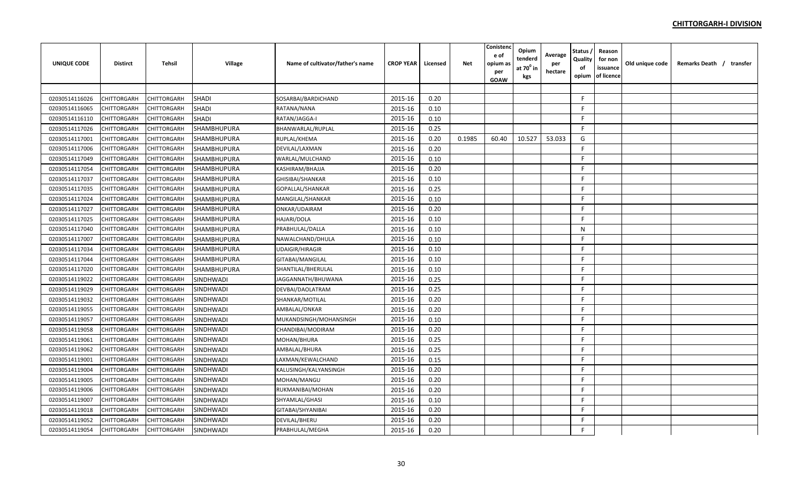| <b>UNIQUE CODE</b> | <b>Distirct</b> | <b>Tehsil</b> | Village            | Name of cultivator/father's name | <b>CROP YEAR</b> | Licensed | <b>Net</b> | Conistend<br>e of<br>opium a:<br>per<br>GOAW | Opium<br>tenderd<br>at $70^0$ in<br>kgs | Average<br>per<br>hectare | <b>Status</b><br>Quality<br>of<br>opium | Reason<br>for non<br>issuance<br>of licence | Old unique code | Remarks Death / transfer |
|--------------------|-----------------|---------------|--------------------|----------------------------------|------------------|----------|------------|----------------------------------------------|-----------------------------------------|---------------------------|-----------------------------------------|---------------------------------------------|-----------------|--------------------------|
|                    |                 |               |                    |                                  |                  |          |            |                                              |                                         |                           |                                         |                                             |                 |                          |
| 02030514116026     | CHITTORGARH     | CHITTORGARH   | <b>SHADI</b>       | SOSARBAI/BARDICHAND              | 2015-16          | 0.20     |            |                                              |                                         |                           | F.                                      |                                             |                 |                          |
| 02030514116065     | CHITTORGARH     | CHITTORGARH   | <b>SHADI</b>       | RATANA/NANA                      | 2015-16          | 0.10     |            |                                              |                                         |                           | F.                                      |                                             |                 |                          |
| 02030514116110     | CHITTORGARH     | CHITTORGARH   | <b>SHADI</b>       | RATAN/JAGGA-I                    | 2015-16          | 0.10     |            |                                              |                                         |                           | F.                                      |                                             |                 |                          |
| 02030514117026     | CHITTORGARH     | CHITTORGARH   | SHAMBHUPURA        | BHANWARLAL/RUPLAL                | 2015-16          | 0.25     |            |                                              |                                         |                           | F.                                      |                                             |                 |                          |
| 02030514117001     | CHITTORGARH     | CHITTORGARH   | <b>SHAMBHUPURA</b> | RUPLAL/KHEMA                     | 2015-16          | 0.20     | 0.1985     | 60.40                                        | 10.527                                  | 53.033                    | G                                       |                                             |                 |                          |
| 02030514117006     | CHITTORGARH     | CHITTORGARH   | SHAMBHUPURA        | DEVILAL/LAXMAN                   | 2015-16          | 0.20     |            |                                              |                                         |                           | F.                                      |                                             |                 |                          |
| 02030514117049     | CHITTORGARH     | CHITTORGARH   | SHAMBHUPURA        | WARLAL/MULCHAND                  | 2015-16          | 0.10     |            |                                              |                                         |                           | F.                                      |                                             |                 |                          |
| 02030514117054     | CHITTORGARH     | CHITTORGARH   | SHAMBHUPURA        | KASHIRAM/BHAJJA                  | 2015-16          | 0.20     |            |                                              |                                         |                           | F.                                      |                                             |                 |                          |
| 02030514117037     | CHITTORGARH     | CHITTORGARH   | SHAMBHUPURA        | GHISIBAI/SHANKAR                 | 2015-16          | 0.10     |            |                                              |                                         |                           | F.                                      |                                             |                 |                          |
| 02030514117035     | CHITTORGARH     | CHITTORGARH   | SHAMBHUPURA        | GOPALLAL/SHANKAR                 | 2015-16          | 0.25     |            |                                              |                                         |                           | F.                                      |                                             |                 |                          |
| 02030514117024     | CHITTORGARH     | CHITTORGARH   | SHAMBHUPURA        | MANGILAL/SHANKAR                 | 2015-16          | 0.10     |            |                                              |                                         |                           | F                                       |                                             |                 |                          |
| 02030514117027     | CHITTORGARH     | CHITTORGARH   | SHAMBHUPURA        | ONKAR/UDAIRAM                    | 2015-16          | 0.20     |            |                                              |                                         |                           | F.                                      |                                             |                 |                          |
| 02030514117025     | CHITTORGARH     | CHITTORGARH   | SHAMBHUPURA        | HAJARI/DOLA                      | 2015-16          | 0.10     |            |                                              |                                         |                           | F.                                      |                                             |                 |                          |
| 02030514117040     | CHITTORGARH     | CHITTORGARH   | SHAMBHUPURA        | PRABHULAL/DALLA                  | 2015-16          | 0.10     |            |                                              |                                         |                           | N                                       |                                             |                 |                          |
| 02030514117007     | CHITTORGARH     | CHITTORGARH   | SHAMBHUPURA        | NAWALCHAND/DHULA                 | 2015-16          | 0.10     |            |                                              |                                         |                           | F.                                      |                                             |                 |                          |
| 02030514117034     | CHITTORGARH     | CHITTORGARH   | SHAMBHUPURA        | UDAIGIR/HIRAGIR                  | 2015-16          | 0.10     |            |                                              |                                         |                           | F.                                      |                                             |                 |                          |
| 02030514117044     | CHITTORGARH     | CHITTORGARH   | SHAMBHUPURA        | GITABAI/MANGILAL                 | 2015-16          | 0.10     |            |                                              |                                         |                           | F                                       |                                             |                 |                          |
| 02030514117020     | CHITTORGARH     | CHITTORGARH   | SHAMBHUPURA        | SHANTILAL/BHERULAL               | 2015-16          | 0.10     |            |                                              |                                         |                           | F.                                      |                                             |                 |                          |
| 02030514119022     | CHITTORGARH     | CHITTORGARH   | SINDHWADI          | IAGGANNATH/BHUWANA               | 2015-16          | 0.25     |            |                                              |                                         |                           | F.                                      |                                             |                 |                          |
| 02030514119029     | CHITTORGARH     | CHITTORGARH   | SINDHWADI          | DEVBAI/DAOLATRAM                 | 2015-16          | 0.25     |            |                                              |                                         |                           | F.                                      |                                             |                 |                          |
| 02030514119032     | CHITTORGARH     | CHITTORGARH   | SINDHWADI          | SHANKAR/MOTILAL                  | 2015-16          | 0.20     |            |                                              |                                         |                           | F.                                      |                                             |                 |                          |
| 02030514119055     | CHITTORGARH     | CHITTORGARH   | SINDHWADI          | AMBALAL/ONKAR                    | 2015-16          | 0.20     |            |                                              |                                         |                           | F.                                      |                                             |                 |                          |
| 02030514119057     | CHITTORGARH     | CHITTORGARH   | SINDHWADI          | MUKANDSINGH/MOHANSINGH           | 2015-16          | 0.10     |            |                                              |                                         |                           | F.                                      |                                             |                 |                          |
| 02030514119058     | CHITTORGARH     | CHITTORGARH   | SINDHWADI          | CHANDIBAI/MODIRAM                | 2015-16          | 0.20     |            |                                              |                                         |                           | F.                                      |                                             |                 |                          |
| 02030514119061     | CHITTORGARH     | CHITTORGARH   | SINDHWADI          | MOHAN/BHURA                      | 2015-16          | 0.25     |            |                                              |                                         |                           | F.                                      |                                             |                 |                          |
| 02030514119062     | CHITTORGARH     | CHITTORGARH   | <b>SINDHWADI</b>   | AMBALAL/BHURA                    | 2015-16          | 0.25     |            |                                              |                                         |                           | F.                                      |                                             |                 |                          |
| 02030514119001     | CHITTORGARH     | CHITTORGARH   | <b>SINDHWADI</b>   | LAXMAN/KEWALCHAND                | 2015-16          | 0.15     |            |                                              |                                         |                           | F.                                      |                                             |                 |                          |
| 02030514119004     | CHITTORGARH     | CHITTORGARH   | SINDHWADI          | KALUSINGH/KALYANSINGH            | 2015-16          | 0.20     |            |                                              |                                         |                           | F.                                      |                                             |                 |                          |
| 02030514119005     | CHITTORGARH     | CHITTORGARH   | SINDHWADI          | MOHAN/MANGU                      | 2015-16          | 0.20     |            |                                              |                                         |                           | F.                                      |                                             |                 |                          |
| 02030514119006     | CHITTORGARH     | CHITTORGARH   | <b>SINDHWADI</b>   | RUKMANIBAI/MOHAN                 | 2015-16          | 0.20     |            |                                              |                                         |                           | F.                                      |                                             |                 |                          |
| 02030514119007     | CHITTORGARH     | CHITTORGARH   | SINDHWADI          | SHYAMLAL/GHASI                   | 2015-16          | 0.10     |            |                                              |                                         |                           | F.                                      |                                             |                 |                          |
| 02030514119018     | CHITTORGARH     | CHITTORGARH   | <b>SINDHWADI</b>   | GITABAI/SHYANIBAI                | 2015-16          | 0.20     |            |                                              |                                         |                           | F.                                      |                                             |                 |                          |
| 02030514119052     | CHITTORGARH     | CHITTORGARH   | SINDHWADI          | DEVILAL/BHERU                    | 2015-16          | 0.20     |            |                                              |                                         |                           | F.                                      |                                             |                 |                          |
| 02030514119054     | CHITTORGARH     | CHITTORGARH   | <b>SINDHWADI</b>   | PRABHULAL/MEGHA                  | 2015-16          | 0.20     |            |                                              |                                         |                           | F.                                      |                                             |                 |                          |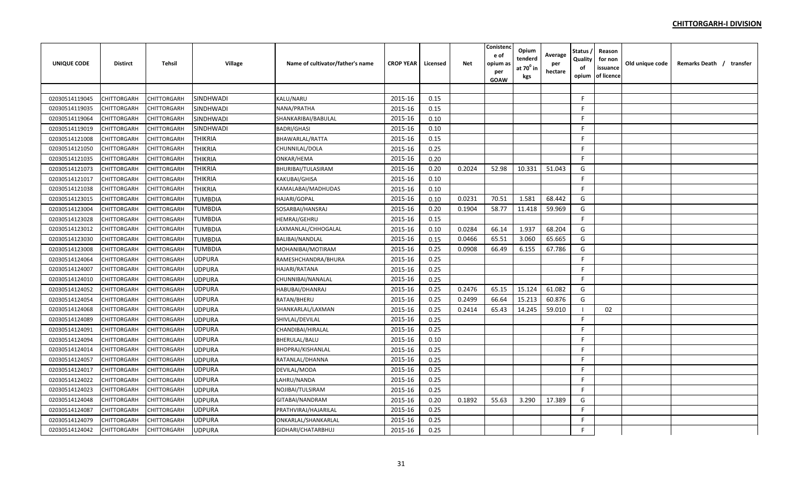| <b>UNIQUE CODE</b> | <b>Distirct</b> | <b>Tehsil</b> | Village          | Name of cultivator/father's name | <b>CROP YEAR</b> | Licensed | Net    | Conistenc<br>e of<br>opium a:<br>per<br>GOAW | Opium<br>tenderd<br>at $70^\circ$ in<br>kgs | Average<br>per<br>hectare | Status<br>Quality<br>of<br>opium | Reason<br>for non<br>issuance<br>of licence | Old unique code | Remarks Death / transfer |  |
|--------------------|-----------------|---------------|------------------|----------------------------------|------------------|----------|--------|----------------------------------------------|---------------------------------------------|---------------------------|----------------------------------|---------------------------------------------|-----------------|--------------------------|--|
|                    |                 |               |                  |                                  |                  |          |        |                                              |                                             |                           |                                  |                                             |                 |                          |  |
| 02030514119045     | CHITTORGARH     | CHITTORGARH   | <b>SINDHWADI</b> | KALU/NARU                        | 2015-16          | 0.15     |        |                                              |                                             |                           | F.                               |                                             |                 |                          |  |
| 02030514119035     | CHITTORGARH     | CHITTORGARH   | SINDHWADI        | NANA/PRATHA                      | 2015-16          | 0.15     |        |                                              |                                             |                           | F                                |                                             |                 |                          |  |
| 02030514119064     | CHITTORGARH     | CHITTORGARH   | SINDHWADI        | SHANKARIBAI/BABULAL              | 2015-16          | 0.10     |        |                                              |                                             |                           | F                                |                                             |                 |                          |  |
| 02030514119019     | CHITTORGARH     | CHITTORGARH   | SINDHWADI        | <b>BADRI/GHASI</b>               | 2015-16          | 0.10     |        |                                              |                                             |                           | F.                               |                                             |                 |                          |  |
| 02030514121008     | CHITTORGARH     | CHITTORGARH   | <b>THIKRIA</b>   | BHAWARLAL/RATTA                  | 2015-16          | 0.15     |        |                                              |                                             |                           | F.                               |                                             |                 |                          |  |
| 02030514121050     | CHITTORGARH     | CHITTORGARH   | <b>THIKRIA</b>   | CHUNNILAL/DOLA                   | 2015-16          | 0.25     |        |                                              |                                             |                           | F.                               |                                             |                 |                          |  |
| 02030514121035     | CHITTORGARH     | CHITTORGARH   | <b>THIKRIA</b>   | ONKAR/HEMA                       | 2015-16          | 0.20     |        |                                              |                                             |                           | F                                |                                             |                 |                          |  |
| 02030514121073     | CHITTORGARH     | CHITTORGARH   | <b>THIKRIA</b>   | BHURIBAI/TULASIRAM               | 2015-16          | 0.20     | 0.2024 | 52.98                                        | 10.331                                      | 51.043                    | G                                |                                             |                 |                          |  |
| 02030514121017     | CHITTORGARH     | CHITTORGARH   | <b>THIKRIA</b>   | KAKUBAI/GHISA                    | 2015-16          | 0.10     |        |                                              |                                             |                           | F                                |                                             |                 |                          |  |
| 02030514121038     | CHITTORGARH     | CHITTORGARH   | <b>THIKRIA</b>   | KAMALABAI/MADHUDAS               | 2015-16          | 0.10     |        |                                              |                                             |                           | F.                               |                                             |                 |                          |  |
| 02030514123015     | CHITTORGARH     | CHITTORGARH   | <b>TUMBDIA</b>   | HAJARI/GOPAL                     | 2015-16          | 0.10     | 0.0231 | 70.51                                        | 1.581                                       | 68.442                    | G                                |                                             |                 |                          |  |
| 02030514123004     | CHITTORGARH     | CHITTORGARH   | TUMBDIA          | SOSARBAI/HANSRAJ                 | 2015-16          | 0.20     | 0.1904 | 58.77                                        | 11.418                                      | 59.969                    | G                                |                                             |                 |                          |  |
| 02030514123028     | CHITTORGARH     | CHITTORGARH   | <b>TUMBDIA</b>   | HEMRAJ/GEHRU                     | 2015-16          | 0.15     |        |                                              |                                             |                           | F                                |                                             |                 |                          |  |
| 02030514123012     | CHITTORGARH     | CHITTORGARH   | <b>TUMBDIA</b>   | LAXMANLAL/CHHOGALAL              | 2015-16          | 0.10     | 0.0284 | 66.14                                        | 1.937                                       | 68.204                    | G                                |                                             |                 |                          |  |
| 02030514123030     | CHITTORGARH     | CHITTORGARH   | <b>TUMBDIA</b>   | BALIBAI/NANDLAL                  | 2015-16          | 0.15     | 0.0466 | 65.51                                        | 3.060                                       | 65.665                    | G                                |                                             |                 |                          |  |
| 02030514123008     | CHITTORGARH     | CHITTORGARH   | <b>TUMBDIA</b>   | MOHANIBAI/MOTIRAM                | 2015-16          | 0.25     | 0.0908 | 66.49                                        | 6.155                                       | 67.786                    | G                                |                                             |                 |                          |  |
| 02030514124064     | CHITTORGARH     | CHITTORGARH   | <b>UDPURA</b>    | RAMESHCHANDRA/BHURA              | 2015-16          | 0.25     |        |                                              |                                             |                           | F.                               |                                             |                 |                          |  |
| 02030514124007     | CHITTORGARH     | CHITTORGARH   | <b>UDPURA</b>    | HAJARI/RATANA                    | 2015-16          | 0.25     |        |                                              |                                             |                           | F.                               |                                             |                 |                          |  |
| 02030514124010     | CHITTORGARH     | CHITTORGARH   | <b>UDPURA</b>    | CHUNNIBAI/NANALAL                | 2015-16          | 0.25     |        |                                              |                                             |                           | F                                |                                             |                 |                          |  |
| 02030514124052     | CHITTORGARH     | CHITTORGARH   | <b>UDPURA</b>    | HABUBAI/DHANRAJ                  | 2015-16          | 0.25     | 0.2476 | 65.15                                        | 15.124                                      | 61.082                    | G                                |                                             |                 |                          |  |
| 02030514124054     | CHITTORGARH     | CHITTORGARH   | <b>UDPURA</b>    | RATAN/BHERU                      | 2015-16          | 0.25     | 0.2499 | 66.64                                        | 15.213                                      | 60.876                    | G                                |                                             |                 |                          |  |
| 02030514124068     | CHITTORGARH     | CHITTORGARH   | <b>UDPURA</b>    | SHANKARLAL/LAXMAN                | 2015-16          | 0.25     | 0.2414 | 65.43                                        | 14.245                                      | 59.010                    | - 1                              | 02                                          |                 |                          |  |
| 02030514124089     | CHITTORGARH     | CHITTORGARH   | <b>UDPURA</b>    | SHIVLAL/DEVILAL                  | 2015-16          | 0.25     |        |                                              |                                             |                           | F.                               |                                             |                 |                          |  |
| 02030514124091     | CHITTORGARH     | CHITTORGARH   | <b>UDPURA</b>    | CHANDIBAI/HIRALAL                | 2015-16          | 0.25     |        |                                              |                                             |                           | F                                |                                             |                 |                          |  |
| 02030514124094     | CHITTORGARH     | CHITTORGARH   | <b>UDPURA</b>    | BHERULAL/BALU                    | 2015-16          | 0.10     |        |                                              |                                             |                           | F                                |                                             |                 |                          |  |
| 02030514124014     | CHITTORGARH     | CHITTORGARH   | <b>UDPURA</b>    | BHOPRAJ/KISHANLAL                | 2015-16          | 0.25     |        |                                              |                                             |                           | F                                |                                             |                 |                          |  |
| 02030514124057     | CHITTORGARH     | CHITTORGARH   | <b>UDPURA</b>    | RATANLAL/DHANNA                  | 2015-16          | 0.25     |        |                                              |                                             |                           | F.                               |                                             |                 |                          |  |
| 02030514124017     | CHITTORGARH     | CHITTORGARH   | <b>UDPURA</b>    | DEVILAL/MODA                     | 2015-16          | 0.25     |        |                                              |                                             |                           | F.                               |                                             |                 |                          |  |
| 02030514124022     | CHITTORGARH     | CHITTORGARH   | <b>UDPURA</b>    | LAHRU/NANDA                      | 2015-16          | 0.25     |        |                                              |                                             |                           | F.                               |                                             |                 |                          |  |
| 02030514124023     | CHITTORGARH     | CHITTORGARH   | <b>UDPURA</b>    | NOJIBAI/TULSIRAM                 | 2015-16          | 0.25     |        |                                              |                                             |                           | F                                |                                             |                 |                          |  |
| 02030514124048     | CHITTORGARH     | CHITTORGARH   | <b>UDPURA</b>    | GITABAI/NANDRAM                  | 2015-16          | 0.20     | 0.1892 | 55.63                                        | 3.290                                       | 17.389                    | G                                |                                             |                 |                          |  |
| 02030514124087     | CHITTORGARH     | CHITTORGARH   | <b>UDPURA</b>    | PRATHVIRAJ/HAJARILAL             | 2015-16          | 0.25     |        |                                              |                                             |                           | F.                               |                                             |                 |                          |  |
| 02030514124079     | CHITTORGARH     | CHITTORGARH   | <b>UDPURA</b>    | ONKARLAL/SHANKARLAL              | 2015-16          | 0.25     |        |                                              |                                             |                           | F                                |                                             |                 |                          |  |
| 02030514124042     | CHITTORGARH     | CHITTORGARH   | <b>UDPURA</b>    | GIDHARI/CHATARBHUJ               | 2015-16          | 0.25     |        |                                              |                                             |                           | F                                |                                             |                 |                          |  |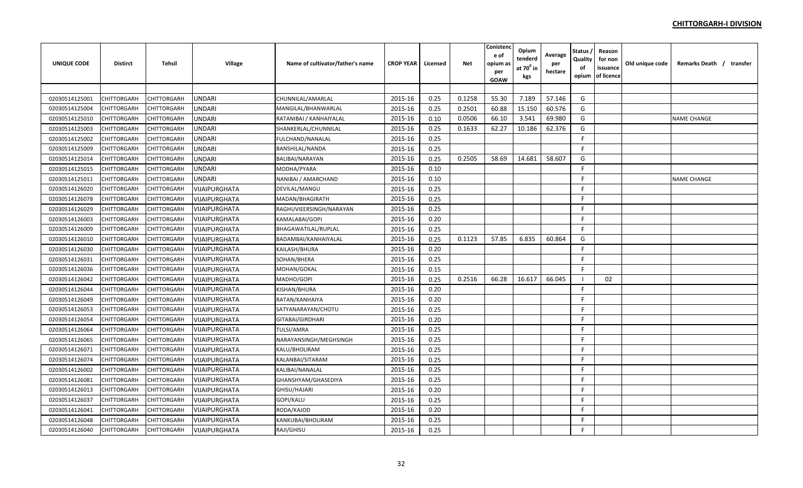| UNIQUE CODE    | <b>Distirct</b>    | Tehsil             | Village              | Name of cultivator/father's name | <b>CROP YEAR</b> | Licensed | <b>Net</b> | Conistenc<br>e of<br>opium as<br>per<br><b>GOAW</b> | Opium<br>tenderd<br>at $70^0$ in<br>kgs | Average<br>per<br>hectare | Status ,<br>Quality<br>of<br>opium | Reason<br>for non<br>issuance<br>of licence | Old unique code | Remarks Death / transfer |  |
|----------------|--------------------|--------------------|----------------------|----------------------------------|------------------|----------|------------|-----------------------------------------------------|-----------------------------------------|---------------------------|------------------------------------|---------------------------------------------|-----------------|--------------------------|--|
|                |                    |                    |                      |                                  |                  |          |            |                                                     |                                         |                           |                                    |                                             |                 |                          |  |
| 02030514125001 | CHITTORGARH        | <b>CHITTORGARH</b> | <b>UNDARI</b>        | CHUNNILAL/AMARLAL                | 2015-16          | 0.25     | 0.1258     | 55.30                                               | 7.189                                   | 57.146                    | G                                  |                                             |                 |                          |  |
| 02030514125004 | CHITTORGARH        | <b>CHITTORGARH</b> | <b>UNDARI</b>        | MANGILAL/BHANWARLAL              | 2015-16          | 0.25     | 0.2501     | 60.88                                               | 15.150                                  | 60.576                    | G                                  |                                             |                 |                          |  |
| 02030514125010 | CHITTORGARH        | CHITTORGARH        | <b>UNDARI</b>        | RATANIBAI / KANHAIYALAL          | 2015-16          | 0.10     | 0.0506     | 66.10                                               | 3.541                                   | 69.980                    | G                                  |                                             |                 | <b>NAME CHANGE</b>       |  |
| 02030514125003 | CHITTORGARH        | <b>CHITTORGARH</b> | <b>UNDARI</b>        | SHANKERLAL/CHUNNILAL             | 2015-16          | 0.25     | 0.1633     | 62.27                                               | 10.186                                  | 62.376                    | G                                  |                                             |                 |                          |  |
| 02030514125002 | <b>CHITTORGARH</b> | <b>CHITTORGARH</b> | <b>UNDARI</b>        | FULCHAND/NANALAL                 | 2015-16          | 0.25     |            |                                                     |                                         |                           | F                                  |                                             |                 |                          |  |
| 02030514125009 | CHITTORGARH        | CHITTORGARH        | <b>UNDARI</b>        | <b>BANSHILAL/NANDA</b>           | 2015-16          | 0.25     |            |                                                     |                                         |                           | F.                                 |                                             |                 |                          |  |
| 02030514125014 | CHITTORGARH        | CHITTORGARH        | <b>UNDARI</b>        | BALIBAI/NARAYAN                  | 2015-16          | 0.25     | 0.2505     | 58.69                                               | 14.681                                  | 58.607                    | G                                  |                                             |                 |                          |  |
| 02030514125015 | <b>CHITTORGARH</b> | <b>CHITTORGARH</b> | <b>UNDARI</b>        | MODHA/PYARA                      | 2015-16          | 0.10     |            |                                                     |                                         |                           | F.                                 |                                             |                 |                          |  |
| 02030514125011 | <b>CHITTORGARH</b> | CHITTORGARH        | <b>UNDARI</b>        | NANIBAI / AMARCHAND              | 2015-16          | 0.10     |            |                                                     |                                         |                           | F.                                 |                                             |                 | <b>NAME CHANGE</b>       |  |
| 02030514126020 | CHITTORGARH        | <b>CHITTORGARH</b> | VIJAIPURGHATA        | DEVILAL/MANGU                    | 2015-16          | 0.25     |            |                                                     |                                         |                           | F.                                 |                                             |                 |                          |  |
| 02030514126078 | CHITTORGARH        | <b>CHITTORGARH</b> | VIJAIPURGHATA        | MADAN/BHAGIRATH                  | 2015-16          | 0.25     |            |                                                     |                                         |                           | E                                  |                                             |                 |                          |  |
| 02030514126029 | CHITTORGARH        | <b>CHITTORGARH</b> | VIJAIPURGHATA        | RAGHUVIEERSINGH/NARAYAN          | 2015-16          | 0.25     |            |                                                     |                                         |                           | F.                                 |                                             |                 |                          |  |
| 02030514126003 | CHITTORGARH        | CHITTORGARH        | VIJAIPURGHATA        | KAMALABAI/GOPI                   | 2015-16          | 0.20     |            |                                                     |                                         |                           | F.                                 |                                             |                 |                          |  |
| 02030514126009 | CHITTORGARH        | <b>CHITTORGARH</b> | VIJAIPURGHATA        | BHAGAWATILAL/RUPLAL              | 2015-16          | 0.25     |            |                                                     |                                         |                           | F                                  |                                             |                 |                          |  |
| 02030514126010 | CHITTORGARH        | CHITTORGARH        | VIJAIPURGHATA        | BADAMBAI/KANHAIYALAL             | 2015-16          | 0.25     | 0.1123     | 57.85                                               | 6.835                                   | 60.864                    | G                                  |                                             |                 |                          |  |
| 02030514126030 | CHITTORGARH        | CHITTORGARH        | VIJAIPURGHATA        | KAILASH/BHURA                    | 2015-16          | 0.20     |            |                                                     |                                         |                           | F                                  |                                             |                 |                          |  |
| 02030514126031 | CHITTORGARH        | <b>CHITTORGARH</b> | VIJAIPURGHATA        | SOHAN/BHERA                      | 2015-16          | 0.25     |            |                                                     |                                         |                           | F.                                 |                                             |                 |                          |  |
| 02030514126036 | CHITTORGARH        | CHITTORGARH        | VIJAIPURGHATA        | MOHAN/GOKAL                      | 2015-16          | 0.15     |            |                                                     |                                         |                           | F.                                 |                                             |                 |                          |  |
| 02030514126042 | CHITTORGARH        | CHITTORGARH        | VIJAIPURGHATA        | MADHO/GOPI                       | 2015-16          | 0.25     | 0.2516     | 66.28                                               | 16.617                                  | 66.045                    | - 1                                | 02                                          |                 |                          |  |
| 02030514126044 | CHITTORGARH        | <b>CHITTORGARH</b> | VIJAIPURGHATA        | KISHAN/BHURA                     | 2015-16          | 0.20     |            |                                                     |                                         |                           | F.                                 |                                             |                 |                          |  |
| 02030514126049 | CHITTORGARH        | CHITTORGARH        | VIJAIPURGHATA        | RATAN/KANHAIYA                   | 2015-16          | 0.20     |            |                                                     |                                         |                           | F                                  |                                             |                 |                          |  |
| 02030514126053 | CHITTORGARH        | CHITTORGARH        | VIJAIPURGHATA        | SATYANARAYAN/CHOTU               | 2015-16          | 0.25     |            |                                                     |                                         |                           | F.                                 |                                             |                 |                          |  |
| 02030514126054 | <b>CHITTORGARH</b> | <b>CHITTORGARH</b> | VIJAIPURGHATA        | GITABAI/GIRDHARI                 | 2015-16          | 0.20     |            |                                                     |                                         |                           | F.                                 |                                             |                 |                          |  |
| 02030514126064 | <b>CHITTORGARH</b> | <b>CHITTORGARH</b> | VIJAIPURGHATA        | <b>TULSI/AMRA</b>                | 2015-16          | 0.25     |            |                                                     |                                         |                           | F.                                 |                                             |                 |                          |  |
| 02030514126065 | CHITTORGARH        | CHITTORGARH        | VIJAIPURGHATA        | NARAYANSINGH/MEGHSINGH           | 2015-16          | 0.25     |            |                                                     |                                         |                           | F.                                 |                                             |                 |                          |  |
| 02030514126071 | CHITTORGARH        | <b>CHITTORGARH</b> | VIJAIPURGHATA        | KALU/BHOLIRAM                    | 2015-16          | 0.25     |            |                                                     |                                         |                           | F                                  |                                             |                 |                          |  |
| 02030514126074 | CHITTORGARH        | <b>CHITTORGARH</b> | VIJAIPURGHATA        | KALANBAI/SITARAM                 | 2015-16          | 0.25     |            |                                                     |                                         |                           | F                                  |                                             |                 |                          |  |
| 02030514126002 | CHITTORGARH        | <b>CHITTORGARH</b> | <b>VIJAIPURGHATA</b> | KALIBAI/NANALAL                  | 2015-16          | 0.25     |            |                                                     |                                         |                           | F.                                 |                                             |                 |                          |  |
| 02030514126081 | <b>CHITTORGARH</b> | <b>CHITTORGARH</b> | VIJAIPURGHATA        | GHANSHYAM/GHASEDIYA              | 2015-16          | 0.25     |            |                                                     |                                         |                           | F.                                 |                                             |                 |                          |  |
| 02030514126013 | CHITTORGARH        | CHITTORGARH        | <b>VIJAIPURGHATA</b> | GHISU/HAJARI                     | 2015-16          | 0.20     |            |                                                     |                                         |                           | F.                                 |                                             |                 |                          |  |
| 02030514126037 | CHITTORGARH        | CHITTORGARH        | VIJAIPURGHATA        | GOPI/KALU                        | 2015-16          | 0.25     |            |                                                     |                                         |                           | F.                                 |                                             |                 |                          |  |
| 02030514126041 | CHITTORGARH        | <b>CHITTORGARH</b> | VIJAIPURGHATA        | RODA/KAJOD                       | 2015-16          | 0.20     |            |                                                     |                                         |                           | F.                                 |                                             |                 |                          |  |
| 02030514126048 | CHITTORGARH        | <b>CHITTORGARH</b> | VIJAIPURGHATA        | KANKUBAI/BHOLIRAM                | 2015-16          | 0.25     |            |                                                     |                                         |                           | F                                  |                                             |                 |                          |  |
| 02030514126040 | <b>CHITTORGARH</b> | <b>CHITTORGARH</b> | VIJAIPURGHATA        | RAJI/GHISU                       | 2015-16          | 0.25     |            |                                                     |                                         |                           | F                                  |                                             |                 |                          |  |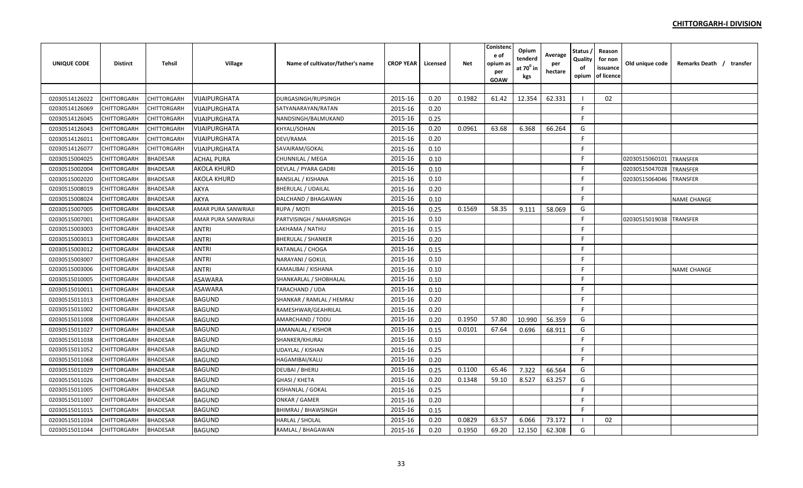| <b>UNIQUE CODE</b> | <b>Distirct</b>    | <b>Tehsil</b>   | Village              | Name of cultivator/father's name | <b>CROP YEAR</b> | Licensed | Net    | Conistend<br>e of<br>opium a:<br>per<br>GOAW | Opium<br>tenderd<br>at $70^0$ in<br>kgs | Average<br>per<br>hectare | <b>Status</b><br>Quality<br>of<br>opium | Reason<br>for non<br>issuance<br>of licence | Old unique code | Remarks Death / transfer |
|--------------------|--------------------|-----------------|----------------------|----------------------------------|------------------|----------|--------|----------------------------------------------|-----------------------------------------|---------------------------|-----------------------------------------|---------------------------------------------|-----------------|--------------------------|
|                    |                    |                 |                      |                                  |                  |          |        |                                              |                                         |                           |                                         |                                             |                 |                          |
| 02030514126022     | <b>CHITTORGARH</b> | CHITTORGARH     | VIJAIPURGHATA        | DURGASINGH/RUPSINGH              | 2015-16          | 0.20     | 0.1982 | 61.42                                        | 12.354                                  | 62.331                    | - 1                                     | 02                                          |                 |                          |
| 02030514126069     | CHITTORGARH        | CHITTORGARH     | VIJAIPURGHATA        | SATYANARAYAN/RATAN               | 2015-16          | 0.20     |        |                                              |                                         |                           | F.                                      |                                             |                 |                          |
| 02030514126045     | CHITTORGARH        | CHITTORGARH     | VIJAIPURGHATA        | NANDSINGH/BALMUKAND              | 2015-16          | 0.25     |        |                                              |                                         |                           | F.                                      |                                             |                 |                          |
| 02030514126043     | CHITTORGARH        | CHITTORGARH     | VIJAIPURGHATA        | KHYALI/SOHAN                     | 2015-16          | 0.20     | 0.0961 | 63.68                                        | 6.368                                   | 66.264                    | G                                       |                                             |                 |                          |
| 02030514126011     | <b>CHITTORGARH</b> | CHITTORGARH     | <b>VIJAIPURGHATA</b> | DEVI/RAMA                        | 2015-16          | 0.20     |        |                                              |                                         |                           | F                                       |                                             |                 |                          |
| 02030514126077     | CHITTORGARH        | CHITTORGARH     | <b>VIJAIPURGHATA</b> | SAVAIRAM/GOKAL                   | 2015-16          | 0.10     |        |                                              |                                         |                           | F.                                      |                                             |                 |                          |
| 02030515004025     | CHITTORGARH        | <b>BHADESAR</b> | ACHAL PURA           | CHUNNILAL / MEGA                 | 2015-16          | 0.10     |        |                                              |                                         |                           | F.                                      |                                             | 02030515060101  | <b>TRANSFER</b>          |
| 02030515002004     | <b>CHITTORGARH</b> | <b>BHADESAR</b> | AKOLA KHURD          | DEVLAL / PYARA GADRI             | 2015-16          | 0.10     |        |                                              |                                         |                           | F.                                      |                                             | 02030515047028  | <b>TRANSFER</b>          |
| 02030515002020     | CHITTORGARH        | <b>BHADESAR</b> | AKOLA KHURD          | <b>BANSILAL / KISHANA</b>        | 2015-16          | 0.10     |        |                                              |                                         |                           | F                                       |                                             | 02030515064046  | <b>TRANSFER</b>          |
| 02030515008019     | <b>CHITTORGARH</b> | <b>BHADESAR</b> | <b>AKYA</b>          | <b>BHERULAL / UDAILAL</b>        | 2015-16          | 0.20     |        |                                              |                                         |                           | F.                                      |                                             |                 |                          |
| 02030515008024     | <b>CHITTORGARH</b> | <b>BHADESAR</b> | <b>AKYA</b>          | DALCHAND / BHAGAWAN              | 2015-16          | 0.10     |        |                                              |                                         |                           | F.                                      |                                             |                 | <b>NAME CHANGE</b>       |
| 02030515007005     | CHITTORGARH        | <b>BHADESAR</b> | AMAR PURA SANWRIAJI  | RUPA / MOTI                      | 2015-16          | 0.25     | 0.1569 | 58.35                                        | 9.111                                   | 58.069                    | G                                       |                                             |                 |                          |
| 02030515007001     | <b>CHITTORGARH</b> | <b>BHADESAR</b> | AMAR PURA SANWRIAJI  | PARTVISINGH / NAHARSINGH         | 2015-16          | 0.10     |        |                                              |                                         |                           | F.                                      |                                             | 02030515019038  | <b>TRANSFER</b>          |
| 02030515003003     | CHITTORGARH        | <b>BHADESAR</b> | <b>ANTRI</b>         | LAKHAMA / NATHU                  | 2015-16          | 0.15     |        |                                              |                                         |                           | F.                                      |                                             |                 |                          |
| 02030515003013     | CHITTORGARH        | <b>BHADESAR</b> | <b>ANTRI</b>         | <b>BHERULAL / SHANKER</b>        | 2015-16          | 0.20     |        |                                              |                                         |                           | F.                                      |                                             |                 |                          |
| 02030515003012     | <b>CHITTORGARH</b> | <b>BHADESAR</b> | <b>ANTRI</b>         | RATANLAL / CHOGA                 | 2015-16          | 0.15     |        |                                              |                                         |                           | F.                                      |                                             |                 |                          |
| 02030515003007     | <b>CHITTORGARH</b> | <b>BHADESAR</b> | <b>ANTRI</b>         | NARAYANI / GOKUL                 | 2015-16          | 0.10     |        |                                              |                                         |                           | F.                                      |                                             |                 |                          |
| 02030515003006     | CHITTORGARH        | <b>BHADESAR</b> | <b>ANTRI</b>         | KAMALIBAI / KISHANA              | 2015-16          | 0.10     |        |                                              |                                         |                           | F.                                      |                                             |                 | <b>NAME CHANGE</b>       |
| 02030515010005     | CHITTORGARH        | <b>BHADESAR</b> | <b>ASAWARA</b>       | SHANKARLAL / SHOBHALAL           | 2015-16          | 0.10     |        |                                              |                                         |                           | F.                                      |                                             |                 |                          |
| 02030515010011     | CHITTORGARH        | <b>BHADESAR</b> | <b>ASAWARA</b>       | TARACHAND / UDA                  | 2015-16          | 0.10     |        |                                              |                                         |                           | F.                                      |                                             |                 |                          |
| 02030515011013     | CHITTORGARH        | <b>BHADESAR</b> | <b>BAGUND</b>        | SHANKAR / RAMLAL / HEMRAJ        | 2015-16          | 0.20     |        |                                              |                                         |                           | F.                                      |                                             |                 |                          |
| 02030515011002     | CHITTORGARH        | <b>BHADESAR</b> | <b>BAGUND</b>        | RAMESHWAR/GEAHRILAL              | 2015-16          | 0.20     |        |                                              |                                         |                           | F                                       |                                             |                 |                          |
| 02030515011008     | CHITTORGARH        | <b>BHADESAR</b> | <b>BAGUND</b>        | AMARCHAND / TODU                 | 2015-16          | 0.20     | 0.1950 | 57.80                                        | 10.990                                  | 56.359                    | G                                       |                                             |                 |                          |
| 02030515011027     | CHITTORGARH        | <b>BHADESAR</b> | <b>BAGUND</b>        | JAMANALAL / KISHOR               | 2015-16          | 0.15     | 0.0101 | 67.64                                        | 0.696                                   | 68.911                    | G                                       |                                             |                 |                          |
| 02030515011038     | CHITTORGARH        | <b>BHADESAR</b> | <b>BAGUND</b>        | SHANKER/KHURAJ                   | 2015-16          | 0.10     |        |                                              |                                         |                           | F                                       |                                             |                 |                          |
| 02030515011052     | CHITTORGARH        | <b>BHADESAR</b> | <b>BAGUND</b>        | UDAYLAL / KISHAN                 | 2015-16          | 0.25     |        |                                              |                                         |                           | F.                                      |                                             |                 |                          |
| 02030515011068     | <b>CHITTORGARH</b> | <b>BHADESAR</b> | <b>BAGUND</b>        | HAGAMIBAI/KALU                   | 2015-16          | 0.20     |        |                                              |                                         |                           | F.                                      |                                             |                 |                          |
| 02030515011029     | <b>CHITTORGARH</b> | <b>BHADESAR</b> | <b>BAGUND</b>        | DEUBAI / BHERU                   | 2015-16          | 0.25     | 0.1100 | 65.46                                        | 7.322                                   | 66.564                    | G                                       |                                             |                 |                          |
| 02030515011026     | CHITTORGARH        | <b>BHADESAR</b> | <b>BAGUND</b>        | GHASI / KHETA                    | 2015-16          | 0.20     | 0.1348 | 59.10                                        | 8.527                                   | 63.257                    | G                                       |                                             |                 |                          |
| 02030515011005     | <b>CHITTORGARH</b> | <b>BHADESAR</b> | <b>BAGUND</b>        | KISHANLAL / GOKAL                | 2015-16          | 0.25     |        |                                              |                                         |                           | F.                                      |                                             |                 |                          |
| 02030515011007     | CHITTORGARH        | <b>BHADESAR</b> | <b>BAGUND</b>        | ONKAR / GAMER                    | 2015-16          | 0.20     |        |                                              |                                         |                           | F.                                      |                                             |                 |                          |
| 02030515011015     | CHITTORGARH        | <b>BHADESAR</b> | <b>BAGUND</b>        | <b>BHIMRAJ / BHAWSINGH</b>       | 2015-16          | 0.15     |        |                                              |                                         |                           | F.                                      |                                             |                 |                          |
| 02030515011034     | CHITTORGARH        | <b>BHADESAR</b> | <b>BAGUND</b>        | HARLAL / SHOLAL                  | 2015-16          | 0.20     | 0.0829 | 63.57                                        | 6.066                                   | 73.172                    | $\blacksquare$                          | 02                                          |                 |                          |
| 02030515011044     | <b>CHITTORGARH</b> | <b>BHADESAR</b> | <b>BAGUND</b>        | RAMLAL / BHAGAWAN                | 2015-16          | 0.20     | 0.1950 | 69.20                                        | 12.150                                  | 62.308                    | G                                       |                                             |                 |                          |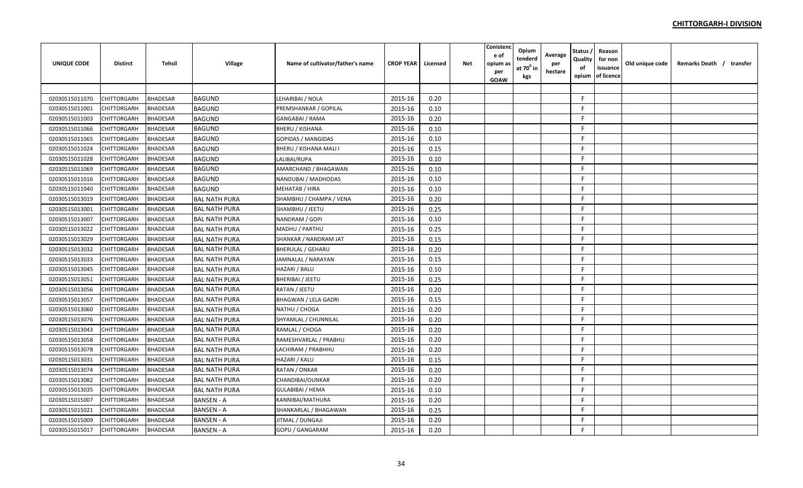| <b>UNIQUE CODE</b> | <b>Distirct</b>    | <b>Tehsil</b>   | <b>Village</b>       | Name of cultivator/father's name | <b>CROP YEAR</b> | Licensed | <b>Net</b> | Conistenc<br>e of<br>opium as<br>per<br><b>GOAW</b> | Opium<br>tenderd<br>at 70º in<br>kgs | Average<br>per<br>hectare | Status ,<br>Quality<br>оf<br>opium | Reason<br>for non<br>issuance<br>of licence | Old unique code | Remarks Death / transfer |
|--------------------|--------------------|-----------------|----------------------|----------------------------------|------------------|----------|------------|-----------------------------------------------------|--------------------------------------|---------------------------|------------------------------------|---------------------------------------------|-----------------|--------------------------|
|                    |                    |                 |                      |                                  |                  |          |            |                                                     |                                      |                           |                                    |                                             |                 |                          |
| 02030515011070     | <b>CHITTORGARH</b> | <b>BHADESAR</b> | <b>BAGUND</b>        | LEHARIBAI / NOLA                 | 2015-16          | 0.20     |            |                                                     |                                      |                           | F.                                 |                                             |                 |                          |
| 02030515011001     | <b>CHITTORGARH</b> | <b>BHADESAR</b> | <b>BAGUND</b>        | PREMSHANKAR / GOPILAL            | 2015-16          | 0.10     |            |                                                     |                                      |                           | F.                                 |                                             |                 |                          |
| 02030515011003     | <b>CHITTORGARH</b> | <b>BHADESAR</b> | <b>BAGUND</b>        | GANGABAI / RAMA                  | 2015-16          | 0.20     |            |                                                     |                                      |                           | F.                                 |                                             |                 |                          |
| 02030515011066     | <b>CHITTORGARH</b> | <b>BHADESAR</b> | <b>BAGUND</b>        | BHERU / KISHANA                  | 2015-16          | 0.10     |            |                                                     |                                      |                           | F.                                 |                                             |                 |                          |
| 02030515011065     | <b>CHITTORGARH</b> | <b>BHADESAR</b> | <b>BAGUND</b>        | <b>GOPIDAS / MANGIDAS</b>        | 2015-16          | 0.10     |            |                                                     |                                      |                           | F.                                 |                                             |                 |                          |
| 02030515011024     | CHITTORGARH        | <b>BHADESAR</b> | <b>BAGUND</b>        | BHERU / KISHANA MALI I           | 2015-16          | 0.15     |            |                                                     |                                      |                           | F.                                 |                                             |                 |                          |
| 02030515011028     | CHITTORGARH        | BHADESAR        | <b>BAGUND</b>        | LALIBAI/RUPA                     | 2015-16          | 0.10     |            |                                                     |                                      |                           | F.                                 |                                             |                 |                          |
| 02030515011069     | CHITTORGARH        | <b>BHADESAR</b> | <b>BAGUND</b>        | AMARCHAND / BHAGAWAN             | 2015-16          | 0.10     |            |                                                     |                                      |                           | F.                                 |                                             |                 |                          |
| 02030515011016     | CHITTORGARH        | <b>BHADESAR</b> | <b>BAGUND</b>        | NANDUBAI / MADHODAS              | 2015-16          | 0.10     |            |                                                     |                                      |                           | F                                  |                                             |                 |                          |
| 02030515011040     | CHITTORGARH        | <b>BHADESAR</b> | <b>BAGUND</b>        | MEHATAB / HIRA                   | 2015-16          | 0.10     |            |                                                     |                                      |                           | F.                                 |                                             |                 |                          |
| 02030515013019     | CHITTORGARH        | <b>BHADESAR</b> | <b>BAL NATH PURA</b> | SHAMBHU / CHAMPA / VENA          | 2015-16          | 0.20     |            |                                                     |                                      |                           | F                                  |                                             |                 |                          |
| 02030515013001     | CHITTORGARH        | <b>BHADESAR</b> | <b>BAL NATH PURA</b> | SHAMBHU / JEETU                  | 2015-16          | 0.25     |            |                                                     |                                      |                           | F                                  |                                             |                 |                          |
| 02030515013007     | CHITTORGARH        | <b>BHADESAR</b> | <b>BAL NATH PURA</b> | NANDRAM / GOPI                   | 2015-16          | 0.10     |            |                                                     |                                      |                           | F                                  |                                             |                 |                          |
| 02030515013022     | CHITTORGARH        | <b>BHADESAR</b> | <b>BAL NATH PURA</b> | MADHU / PARTHU                   | 2015-16          | 0.25     |            |                                                     |                                      |                           | F.                                 |                                             |                 |                          |
| 02030515013029     | <b>CHITTORGARH</b> | <b>BHADESAR</b> | <b>BAL NATH PURA</b> | SHANKAR / NANDRAM JAT            | 2015-16          | 0.15     |            |                                                     |                                      |                           | F.                                 |                                             |                 |                          |
| 02030515013032     | CHITTORGARH        | <b>BHADESAR</b> | <b>BAL NATH PURA</b> | BHERULAL / GEHARU                | 2015-16          | 0.20     |            |                                                     |                                      |                           | F.                                 |                                             |                 |                          |
| 02030515013033     | <b>CHITTORGARH</b> | <b>BHADESAR</b> | <b>BAL NATH PURA</b> | JAMNALAL / NARAYAN               | 2015-16          | 0.15     |            |                                                     |                                      |                           | F                                  |                                             |                 |                          |
| 02030515013045     | <b>CHITTORGARH</b> | BHADESAR        | <b>BAL NATH PURA</b> | HAZARI / BALU                    | 2015-16          | 0.10     |            |                                                     |                                      |                           | F.                                 |                                             |                 |                          |
| 02030515013051     | CHITTORGARH        | <b>BHADESAR</b> | <b>BAL NATH PURA</b> | BHERIBAI / JEETU                 | 2015-16          | 0.25     |            |                                                     |                                      |                           | F.                                 |                                             |                 |                          |
| 02030515013056     | <b>CHITTORGARH</b> | <b>BHADESAR</b> | <b>BAL NATH PURA</b> | RATAN / JEETU                    | 2015-16          | 0.20     |            |                                                     |                                      |                           | F.                                 |                                             |                 |                          |
| 02030515013057     | <b>CHITTORGARH</b> | <b>BHADESAR</b> | <b>BAL NATH PURA</b> | BHAGWAN / LELA GADRI             | 2015-16          | 0.15     |            |                                                     |                                      |                           | F.                                 |                                             |                 |                          |
| 02030515013060     | <b>CHITTORGARH</b> | <b>BHADESAR</b> | <b>BAL NATH PURA</b> | NATHU / CHOGA                    | 2015-16          | 0.20     |            |                                                     |                                      |                           | F.                                 |                                             |                 |                          |
| 02030515013076     | <b>CHITTORGARH</b> | <b>BHADESAR</b> | <b>BAL NATH PURA</b> | SHYAMLAL / CHUNNILAL             | 2015-16          | 0.20     |            |                                                     |                                      |                           | F                                  |                                             |                 |                          |
| 02030515013043     | <b>CHITTORGARH</b> | <b>BHADESAR</b> | <b>BAL NATH PURA</b> | RAMLAL / CHOGA                   | 2015-16          | 0.20     |            |                                                     |                                      |                           | F                                  |                                             |                 |                          |
| 02030515013058     | <b>CHITTORGARH</b> | <b>BHADESAR</b> | <b>BAL NATH PURA</b> | RAMESHVARLAL / PRABHU            | 2015-16          | 0.20     |            |                                                     |                                      |                           | F.                                 |                                             |                 |                          |
| 02030515013078     | CHITTORGARH        | <b>BHADESAR</b> | <b>BAL NATH PURA</b> | LACHIRAM / PRABHHU               | 2015-16          | 0.20     |            |                                                     |                                      |                           | F.                                 |                                             |                 |                          |
| 02030515013031     | <b>CHITTORGARH</b> | <b>BHADESAR</b> | <b>BAL NATH PURA</b> | HAZARI / KALU                    | 2015-16          | 0.15     |            |                                                     |                                      |                           | F.                                 |                                             |                 |                          |
| 02030515013074     | <b>CHITTORGARH</b> | <b>BHADESAR</b> | <b>BAL NATH PURA</b> | RATAN / ONKAR                    | 2015-16          | 0.20     |            |                                                     |                                      |                           | F.                                 |                                             |                 |                          |
| 02030515013082     | CHITTORGARH        | BHADESAR        | <b>BAL NATH PURA</b> | CHANDIBAI/OUNKAR                 | 2015-16          | 0.20     |            |                                                     |                                      |                           | F.                                 |                                             |                 |                          |
| 02030515013035     | <b>CHITTORGARH</b> | <b>BHADESAR</b> | <b>BAL NATH PURA</b> | GULABIBAI / HEMA                 | 2015-16          | 0.10     |            |                                                     |                                      |                           | F.                                 |                                             |                 |                          |
| 02030515015007     | <b>CHITTORGARH</b> | <b>BHADESAR</b> | <b>BANSEN - A</b>    | KANNIBAI/MATHURA                 | 2015-16          | 0.20     |            |                                                     |                                      |                           | F.                                 |                                             |                 |                          |
| 02030515015021     | CHITTORGARH        | <b>BHADESAR</b> | <b>BANSEN - A</b>    | SHANKARLAL / BHAGAWAN            | 2015-16          | 0.25     |            |                                                     |                                      |                           | F.                                 |                                             |                 |                          |
| 02030515015009     | <b>CHITTORGARH</b> | <b>BHADESAR</b> | <b>BANSEN - A</b>    | JITMAL / DUNGAJI                 | 2015-16          | 0.20     |            |                                                     |                                      |                           | F.                                 |                                             |                 |                          |
| 02030515015017     | <b>CHITTORGARH</b> | <b>BHADESAR</b> | <b>BANSEN - A</b>    | GOPU / GANGARAM                  | 2015-16          | 0.20     |            |                                                     |                                      |                           | F.                                 |                                             |                 |                          |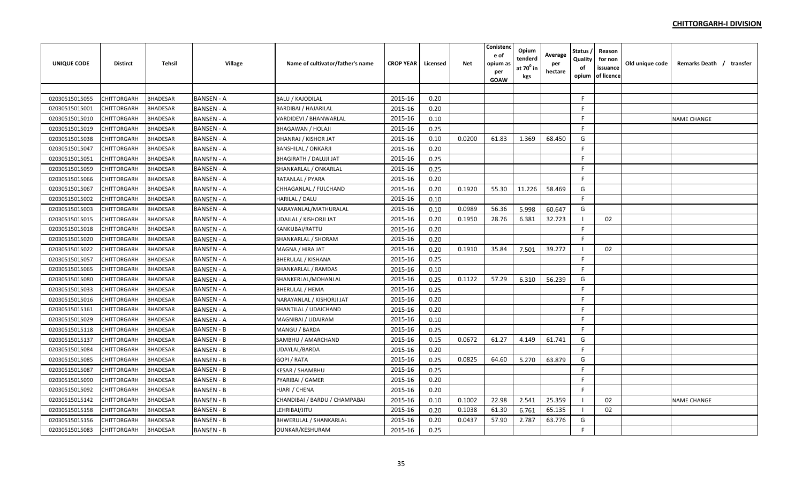| <b>UNIQUE CODE</b> | <b>Distirct</b>    | <b>Tehsil</b>   | Village           | Name of cultivator/father's name | <b>CROP YEAR</b> | Licensed | Net    | Conistend<br>e of<br>opium a:<br>per<br>GOAW | Opium<br>tenderd<br>at $70^0$ in<br>kgs | Average<br>per<br>hectare | <b>Status</b><br>Quality<br>of<br>opium | Reason<br>for non<br>issuance<br>of licence | Old unique code | Remarks Death / transfer |
|--------------------|--------------------|-----------------|-------------------|----------------------------------|------------------|----------|--------|----------------------------------------------|-----------------------------------------|---------------------------|-----------------------------------------|---------------------------------------------|-----------------|--------------------------|
|                    |                    |                 |                   |                                  |                  |          |        |                                              |                                         |                           |                                         |                                             |                 |                          |
| 02030515015055     | CHITTORGARH        | <b>BHADESAR</b> | <b>BANSEN - A</b> | <b>BALU / KAJODILAL</b>          | 2015-16          | 0.20     |        |                                              |                                         |                           | F.                                      |                                             |                 |                          |
| 02030515015001     | CHITTORGARH        | <b>BHADESAR</b> | <b>BANSEN - A</b> | <b>BARDIBAI / HAJARILAL</b>      | 2015-16          | 0.20     |        |                                              |                                         |                           | F.                                      |                                             |                 |                          |
| 02030515015010     | CHITTORGARH        | <b>BHADESAR</b> | <b>BANSEN - A</b> | VARDIDEVI / BHANWARLAL           | 2015-16          | 0.10     |        |                                              |                                         |                           | F                                       |                                             |                 | <b>NAME CHANGE</b>       |
| 02030515015019     | CHITTORGARH        | <b>BHADESAR</b> | <b>BANSEN - A</b> | <b>BHAGAWAN / HOLAJI</b>         | 2015-16          | 0.25     |        |                                              |                                         |                           | F.                                      |                                             |                 |                          |
| 02030515015038     | <b>CHITTORGARH</b> | <b>BHADESAR</b> | <b>BANSEN - A</b> | DHANRAJ / KISHOR JAT             | 2015-16          | 0.10     | 0.0200 | 61.83                                        | 1.369                                   | 68.450                    | G                                       |                                             |                 |                          |
| 02030515015047     | <b>CHITTORGARH</b> | <b>BHADESAR</b> | <b>BANSEN - A</b> | <b>BANSHILAL / ONKARJI</b>       | 2015-16          | 0.20     |        |                                              |                                         |                           | F.                                      |                                             |                 |                          |
| 02030515015051     | CHITTORGARH        | <b>BHADESAR</b> | <b>BANSEN - A</b> | <b>BHAGIRATH / DALUJI JAT</b>    | 2015-16          | 0.25     |        |                                              |                                         |                           | F.                                      |                                             |                 |                          |
| 02030515015059     | <b>CHITTORGARH</b> | <b>BHADESAR</b> | <b>BANSEN - A</b> | SHANKARLAL / ONKARLAL            | 2015-16          | 0.25     |        |                                              |                                         |                           | F.                                      |                                             |                 |                          |
| 02030515015066     | CHITTORGARH        | <b>BHADESAR</b> | <b>BANSEN - A</b> | RATANLAL / PYARA                 | 2015-16          | 0.20     |        |                                              |                                         |                           | F.                                      |                                             |                 |                          |
| 02030515015067     | CHITTORGARH        | <b>BHADESAR</b> | <b>BANSEN - A</b> | CHHAGANLAL / FULCHAND            | 2015-16          | 0.20     | 0.1920 | 55.30                                        | 11.226                                  | 58.469                    | G                                       |                                             |                 |                          |
| 02030515015002     | <b>CHITTORGARH</b> | <b>BHADESAR</b> | <b>BANSEN - A</b> | HARILAL / DALU                   | 2015-16          | 0.10     |        |                                              |                                         |                           | F                                       |                                             |                 |                          |
| 02030515015003     | <b>CHITTORGARH</b> | <b>BHADESAR</b> | <b>BANSEN - A</b> | NARAYANLAL/MATHURALAL            | 2015-16          | 0.10     | 0.0989 | 56.36                                        | 5.998                                   | 60.647                    | G                                       |                                             |                 |                          |
| 02030515015015     | CHITTORGARH        | <b>BHADESAR</b> | <b>BANSEN - A</b> | UDAILAL / KISHORJI JAT           | 2015-16          | 0.20     | 0.1950 | 28.76                                        | 6.381                                   | 32.723                    | - 1                                     | 02                                          |                 |                          |
| 02030515015018     | CHITTORGARH        | <b>BHADESAR</b> | <b>BANSEN - A</b> | KANKUBAI/RATTU                   | 2015-16          | 0.20     |        |                                              |                                         |                           | F.                                      |                                             |                 |                          |
| 02030515015020     | <b>CHITTORGARH</b> | <b>BHADESAR</b> | <b>BANSEN - A</b> | SHANKARLAL / SHORAM              | 2015-16          | 0.20     |        |                                              |                                         |                           | F.                                      |                                             |                 |                          |
| 02030515015022     | CHITTORGARH        | <b>BHADESAR</b> | <b>BANSEN - A</b> | MAGNA / HIRA JAT                 | 2015-16          | 0.20     | 0.1910 | 35.84                                        | 7.501                                   | 39.272                    | - 1                                     | 02                                          |                 |                          |
| 02030515015057     | <b>CHITTORGARH</b> | <b>BHADESAR</b> | <b>BANSEN - A</b> | <b>BHERULAL / KISHANA</b>        | 2015-16          | 0.25     |        |                                              |                                         |                           | F                                       |                                             |                 |                          |
| 02030515015065     | CHITTORGARH        | <b>BHADESAR</b> | <b>BANSEN - A</b> | SHANKARLAL / RAMDAS              | 2015-16          | 0.10     |        |                                              |                                         |                           | F.                                      |                                             |                 |                          |
| 02030515015080     | CHITTORGARH        | <b>BHADESAR</b> | <b>BANSEN - A</b> | SHANKERLAL/MOHANLAL              | 2015-16          | 0.25     | 0.1122 | 57.29                                        | 6.310                                   | 56.239                    | G                                       |                                             |                 |                          |
| 02030515015033     | CHITTORGARH        | <b>BHADESAR</b> | <b>BANSEN - A</b> | <b>BHERULAL / HEMA</b>           | 2015-16          | 0.25     |        |                                              |                                         |                           | E                                       |                                             |                 |                          |
| 02030515015016     | <b>CHITTORGARH</b> | <b>BHADESAR</b> | <b>BANSEN - A</b> | NARAYANLAL / KISHORJI JAT        | 2015-16          | 0.20     |        |                                              |                                         |                           | F.                                      |                                             |                 |                          |
| 02030515015161     | <b>CHITTORGARH</b> | <b>BHADESAR</b> | <b>BANSEN - A</b> | SHANTILAL / UDAICHAND            | 2015-16          | 0.20     |        |                                              |                                         |                           | E                                       |                                             |                 |                          |
| 02030515015029     | CHITTORGARH        | <b>BHADESAR</b> | <b>BANSEN - A</b> | MAGNIBAI / UDAIRAM               | 2015-16          | 0.10     |        |                                              |                                         |                           | E                                       |                                             |                 |                          |
| 02030515015118     | CHITTORGARH        | <b>BHADESAR</b> | <b>BANSEN - B</b> | MANGU / BARDA                    | 2015-16          | 0.25     |        |                                              |                                         |                           | E                                       |                                             |                 |                          |
| 02030515015137     | <b>CHITTORGARH</b> | <b>BHADESAR</b> | <b>BANSEN - B</b> | SAMBHU / AMARCHAND               | 2015-16          | 0.15     | 0.0672 | 61.27                                        | 4.149                                   | 61.741                    | G                                       |                                             |                 |                          |
| 02030515015084     | CHITTORGARH        | <b>BHADESAR</b> | <b>BANSEN - B</b> | UDAYLAL/BARDA                    | 2015-16          | 0.20     |        |                                              |                                         |                           | F.                                      |                                             |                 |                          |
| 02030515015085     | <b>CHITTORGARH</b> | <b>BHADESAR</b> | <b>BANSEN - B</b> | GOPI / RATA                      | 2015-16          | 0.25     | 0.0825 | 64.60                                        | 5.270                                   | 63.879                    | G                                       |                                             |                 |                          |
| 02030515015087     | <b>CHITTORGARH</b> | <b>BHADESAR</b> | <b>BANSEN - B</b> | KESAR / SHAMBHU                  | 2015-16          | 0.25     |        |                                              |                                         |                           | F                                       |                                             |                 |                          |
| 02030515015090     | CHITTORGARH        | <b>BHADESAR</b> | <b>BANSEN - B</b> | PYARIBAI / GAMER                 | 2015-16          | 0.20     |        |                                              |                                         |                           | F.                                      |                                             |                 |                          |
| 02030515015092     | CHITTORGARH        | <b>BHADESAR</b> | <b>BANSEN - B</b> | HJARI / CHENA                    | 2015-16          | 0.20     |        |                                              |                                         |                           | F.                                      |                                             |                 |                          |
| 02030515015142     | CHITTORGARH        | <b>BHADESAR</b> | <b>BANSEN - B</b> | CHANDIBAI / BARDU / CHAMPABAI    | 2015-16          | 0.10     | 0.1002 | 22.98                                        | 2.541                                   | 25.359                    | - 1                                     | 02                                          |                 | <b>NAME CHANGE</b>       |
| 02030515015158     | CHITTORGARH        | <b>BHADESAR</b> | <b>BANSEN - B</b> | LEHRIBAI/JITU                    | 2015-16          | 0.20     | 0.1038 | 61.30                                        | 6.761                                   | 65.135                    | - 1                                     | 02                                          |                 |                          |
| 02030515015156     | CHITTORGARH        | <b>BHADESAR</b> | <b>BANSEN - B</b> | <b>BHWERULAL / SHANKARLAL</b>    | 2015-16          | 0.20     | 0.0437 | 57.90                                        | 2.787                                   | 63.776                    | G                                       |                                             |                 |                          |
| 02030515015083     | <b>CHITTORGARH</b> | <b>BHADESAR</b> | <b>BANSEN - B</b> | OUNKAR/KESHURAM                  | 2015-16          | 0.25     |        |                                              |                                         |                           | E                                       |                                             |                 |                          |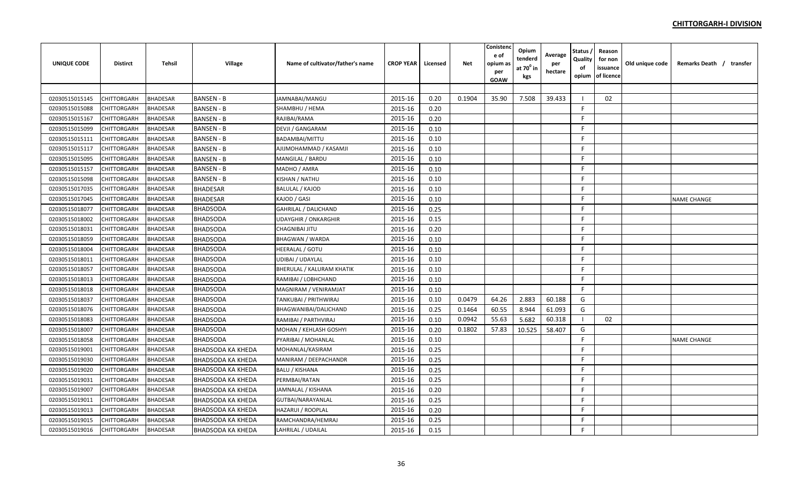| <b>UNIQUE CODE</b> | <b>Distirct</b>    | Tehsil          | Village                  | Name of cultivator/father's name | <b>CROP YEAR</b> | Licensed | <b>Net</b> | Conistenc<br>e of<br>opium as<br>per<br><b>GOAW</b> | Opium<br>tenderd<br>at $70^0$ in<br>kgs | Average<br>per<br>hectare | Status<br>Quality<br>of<br>opium | Reason<br>for non<br>issuance<br>of licence | Old unique code | Remarks Death / transfer |  |
|--------------------|--------------------|-----------------|--------------------------|----------------------------------|------------------|----------|------------|-----------------------------------------------------|-----------------------------------------|---------------------------|----------------------------------|---------------------------------------------|-----------------|--------------------------|--|
|                    |                    |                 |                          |                                  |                  |          |            |                                                     |                                         |                           |                                  |                                             |                 |                          |  |
| 02030515015145     | CHITTORGARH        | <b>BHADESAR</b> | <b>BANSEN - B</b>        | JAMNABAI/MANGU                   | 2015-16          | 0.20     | 0.1904     | 35.90                                               | 7.508                                   | 39.433                    |                                  | 02                                          |                 |                          |  |
| 02030515015088     | CHITTORGARH        | <b>BHADESAR</b> | <b>BANSEN - B</b>        | SHAMBHU / HEMA                   | 2015-16          | 0.20     |            |                                                     |                                         |                           | F.                               |                                             |                 |                          |  |
| 02030515015167     | CHITTORGARH        | <b>BHADESAR</b> | <b>BANSEN - B</b>        | RAJIBAI/RAMA                     | 2015-16          | 0.20     |            |                                                     |                                         |                           | F                                |                                             |                 |                          |  |
| 02030515015099     | CHITTORGARH        | <b>BHADESAR</b> | <b>BANSEN - B</b>        | <b>DEVJI / GANGARAM</b>          | 2015-16          | 0.10     |            |                                                     |                                         |                           | F                                |                                             |                 |                          |  |
| 02030515015111     | <b>CHITTORGARH</b> | <b>BHADESAR</b> | <b>BANSEN - B</b>        | BADAMBAI/MITTU                   | 2015-16          | 0.10     |            |                                                     |                                         |                           | F                                |                                             |                 |                          |  |
| 02030515015117     | <b>CHITTORGARH</b> | <b>BHADESAR</b> | <b>BANSEN - B</b>        | AJIJMOHAMMAD / KASAMJI           | 2015-16          | 0.10     |            |                                                     |                                         |                           | F.                               |                                             |                 |                          |  |
| 02030515015095     | CHITTORGARH        | <b>BHADESAR</b> | BANSEN - B               | MANGILAL / BARDU                 | 2015-16          | 0.10     |            |                                                     |                                         |                           | E                                |                                             |                 |                          |  |
| 02030515015157     | CHITTORGARH        | <b>BHADESAR</b> | <b>BANSEN - B</b>        | MADHO / AMRA                     | 2015-16          | 0.10     |            |                                                     |                                         |                           | E                                |                                             |                 |                          |  |
| 02030515015098     | CHITTORGARH        | <b>BHADESAR</b> | <b>BANSEN - B</b>        | KISHAN / NATHU                   | 2015-16          | 0.10     |            |                                                     |                                         |                           | F                                |                                             |                 |                          |  |
| 02030515017035     | CHITTORGARH        | <b>BHADESAR</b> | <b>BHADESAR</b>          | <b>BALULAL / KAJOD</b>           | 2015-16          | 0.10     |            |                                                     |                                         |                           | F.                               |                                             |                 |                          |  |
| 02030515017045     | CHITTORGARH        | <b>BHADESAR</b> | <b>BHADESAR</b>          | KAJOD / GASI                     | 2015-16          | 0.10     |            |                                                     |                                         |                           | F                                |                                             |                 | <b>NAME CHANGE</b>       |  |
| 02030515018077     | CHITTORGARH        | <b>BHADESAR</b> | <b>BHADSODA</b>          | <b>GAHRILAL / DALICHAND</b>      | 2015-16          | 0.25     |            |                                                     |                                         |                           | F                                |                                             |                 |                          |  |
| 02030515018002     | CHITTORGARH        | <b>BHADESAR</b> | <b>BHADSODA</b>          | <b>UDAYGHIR / ONKARGHIR</b>      | 2015-16          | 0.15     |            |                                                     |                                         |                           | E                                |                                             |                 |                          |  |
| 02030515018031     | CHITTORGARH        | <b>BHADESAR</b> | <b>BHADSODA</b>          | <b>CHAGNIBAI JITU</b>            | 2015-16          | 0.20     |            |                                                     |                                         |                           | F                                |                                             |                 |                          |  |
| 02030515018059     | CHITTORGARH        | <b>BHADESAR</b> | <b>BHADSODA</b>          | <b>BHAGWAN / WARDA</b>           | 2015-16          | 0.10     |            |                                                     |                                         |                           | F.                               |                                             |                 |                          |  |
| 02030515018004     | CHITTORGARH        | <b>BHADESAR</b> | <b>BHADSODA</b>          | <b>HEERALAL / GOTU</b>           | 2015-16          | 0.10     |            |                                                     |                                         |                           | F                                |                                             |                 |                          |  |
| 02030515018011     | <b>CHITTORGARH</b> | <b>BHADESAR</b> | <b>BHADSODA</b>          | <b>UDIBAI / UDAYLAL</b>          | 2015-16          | 0.10     |            |                                                     |                                         |                           | F.                               |                                             |                 |                          |  |
| 02030515018057     | CHITTORGARH        | <b>BHADESAR</b> | <b>BHADSODA</b>          | BHERULAL / KALURAM KHATIK        | 2015-16          | 0.10     |            |                                                     |                                         |                           | F                                |                                             |                 |                          |  |
| 02030515018013     | CHITTORGARH        | <b>BHADESAR</b> | <b>BHADSODA</b>          | RAMIBAI / LOBHCHAND              | 2015-16          | 0.10     |            |                                                     |                                         |                           | F.                               |                                             |                 |                          |  |
| 02030515018018     | CHITTORGARH        | <b>BHADESAR</b> | <b>BHADSODA</b>          | MAGNIRAM / VENIRAMJAT            | 2015-16          | 0.10     |            |                                                     |                                         |                           | F.                               |                                             |                 |                          |  |
| 02030515018037     | CHITTORGARH        | <b>BHADESAR</b> | <b>BHADSODA</b>          | TANKUBAI / PRITHWIRAJ            | 2015-16          | 0.10     | 0.0479     | 64.26                                               | 2.883                                   | 60.188                    | G                                |                                             |                 |                          |  |
| 02030515018076     | CHITTORGARH        | <b>BHADESAR</b> | <b>BHADSODA</b>          | BHAGWANIBAI/DALICHAND            | 2015-16          | 0.25     | 0.1464     | 60.55                                               | 8.944                                   | 61.093                    | G                                |                                             |                 |                          |  |
| 02030515018083     | CHITTORGARH        | <b>BHADESAR</b> | <b>BHADSODA</b>          | RAMIBAI / PARTHVIRAJ             | 2015-16          | 0.10     | 0.0942     | 55.63                                               | 5.682                                   | 60.318                    | $\blacksquare$                   | 02                                          |                 |                          |  |
| 02030515018007     | CHITTORGARH        | <b>BHADESAR</b> | <b>BHADSODA</b>          | MOHAN / KEHLASH GOSHYI           | 2015-16          | 0.20     | 0.1802     | 57.83                                               | 10.525                                  | 58.407                    | G                                |                                             |                 |                          |  |
| 02030515018058     | CHITTORGARH        | <b>BHADESAR</b> | <b>BHADSODA</b>          | PYARIBAI / MOHANLAL              | 2015-16          | 0.10     |            |                                                     |                                         |                           | F                                |                                             |                 | <b>NAME CHANGE</b>       |  |
| 02030515019001     | CHITTORGARH        | <b>BHADESAR</b> | <b>BHADSODA KA KHEDA</b> | MOHANLAL/KASIRAM                 | 2015-16          | 0.25     |            |                                                     |                                         |                           | F                                |                                             |                 |                          |  |
| 02030515019030     | CHITTORGARH        | <b>BHADESAR</b> | <b>BHADSODA KA KHEDA</b> | MANIRAM / DEEPACHANDR            | 2015-16          | 0.25     |            |                                                     |                                         |                           | F.                               |                                             |                 |                          |  |
| 02030515019020     | CHITTORGARH        | <b>BHADESAR</b> | <b>BHADSODA KA KHEDA</b> | <b>BALU / KISHANA</b>            | 2015-16          | 0.25     |            |                                                     |                                         |                           | F.                               |                                             |                 |                          |  |
| 02030515019031     | <b>CHITTORGARH</b> | <b>BHADESAR</b> | <b>BHADSODA KA KHEDA</b> | PERMBAI/RATAN                    | 2015-16          | 0.25     |            |                                                     |                                         |                           | F                                |                                             |                 |                          |  |
| 02030515019007     | CHITTORGARH        | <b>BHADESAR</b> | <b>BHADSODA KA KHEDA</b> | JAMNALAL / KISHANA               | 2015-16          | 0.20     |            |                                                     |                                         |                           | F.                               |                                             |                 |                          |  |
| 02030515019011     | CHITTORGARH        | <b>BHADESAR</b> | <b>BHADSODA KA KHEDA</b> | GUTBAI/NARAYANLAL                | 2015-16          | 0.25     |            |                                                     |                                         |                           | F.                               |                                             |                 |                          |  |
| 02030515019013     | CHITTORGARH        | <b>BHADESAR</b> | BHADSODA KA KHEDA        | <b>HAZARUI / ROOPLAL</b>         | 2015-16          | 0.20     |            |                                                     |                                         |                           | F                                |                                             |                 |                          |  |
| 02030515019015     | CHITTORGARH        | <b>BHADESAR</b> | <b>BHADSODA KA KHEDA</b> | RAMCHANDRA/HEMRAJ                | 2015-16          | 0.25     |            |                                                     |                                         |                           | F                                |                                             |                 |                          |  |
| 02030515019016     | <b>CHITTORGARH</b> | <b>BHADESAR</b> | <b>BHADSODA KA KHEDA</b> | LAHRILAL / UDAILAL               | 2015-16          | 0.15     |            |                                                     |                                         |                           | F                                |                                             |                 |                          |  |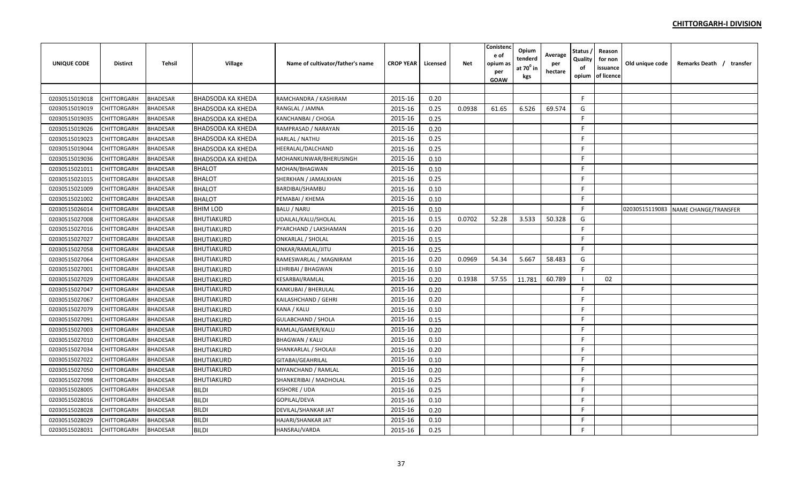| <b>UNIQUE CODE</b> | <b>Distirct</b>    | Tehsil          | Village                  | Name of cultivator/father's name | <b>CROP YEAR</b> | Licensed | <b>Net</b> | Conistenc<br>e of<br>opium as<br>per<br><b>GOAW</b> | Opium<br>tenderd<br>at 70 <sup>0</sup> in<br>kgs | Average<br>per<br>hectare | Status<br>Quality<br>of<br>opium | Reason<br>for non<br>issuance<br>of licence | Old unique code | Remarks Death / transfer            |
|--------------------|--------------------|-----------------|--------------------------|----------------------------------|------------------|----------|------------|-----------------------------------------------------|--------------------------------------------------|---------------------------|----------------------------------|---------------------------------------------|-----------------|-------------------------------------|
|                    |                    |                 |                          |                                  |                  |          |            |                                                     |                                                  |                           |                                  |                                             |                 |                                     |
| 02030515019018     | CHITTORGARH        | <b>BHADESAR</b> | <b>BHADSODA KA KHEDA</b> | RAMCHANDRA / KASHIRAM            | 2015-16          | 0.20     |            |                                                     |                                                  |                           | F.                               |                                             |                 |                                     |
| 02030515019019     | CHITTORGARH        | <b>BHADESAR</b> | <b>BHADSODA KA KHEDA</b> | RANGLAL / JAMNA                  | 2015-16          | 0.25     | 0.0938     | 61.65                                               | 6.526                                            | 69.574                    | G                                |                                             |                 |                                     |
| 02030515019035     | CHITTORGARH        | <b>BHADESAR</b> | <b>BHADSODA KA KHEDA</b> | <b>KANCHANBAI / CHOGA</b>        | 2015-16          | 0.25     |            |                                                     |                                                  |                           | F                                |                                             |                 |                                     |
| 02030515019026     | CHITTORGARH        | <b>BHADESAR</b> | BHADSODA KA KHEDA        | RAMPRASAD / NARAYAN              | 2015-16          | 0.20     |            |                                                     |                                                  |                           | E                                |                                             |                 |                                     |
| 02030515019023     | <b>CHITTORGARH</b> | <b>BHADESAR</b> | <b>BHADSODA KA KHEDA</b> | <b>HARLAL / NATHU</b>            | 2015-16          | 0.25     |            |                                                     |                                                  |                           | F                                |                                             |                 |                                     |
| 02030515019044     | <b>CHITTORGARH</b> | <b>BHADESAR</b> | <b>BHADSODA KA KHEDA</b> | HEERALAL/DALCHAND                | 2015-16          | 0.25     |            |                                                     |                                                  |                           | F.                               |                                             |                 |                                     |
| 02030515019036     | CHITTORGARH        | <b>BHADESAR</b> | BHADSODA KA KHEDA        | MOHANKUNWAR/BHERUSINGH           | 2015-16          | 0.10     |            |                                                     |                                                  |                           | E                                |                                             |                 |                                     |
| 02030515021011     | CHITTORGARH        | <b>BHADESAR</b> | <b>BHALOT</b>            | MOHAN/BHAGWAN                    | 2015-16          | 0.10     |            |                                                     |                                                  |                           | E                                |                                             |                 |                                     |
| 02030515021015     | <b>CHITTORGARH</b> | <b>BHADESAR</b> | <b>BHALOT</b>            | SHERKHAN / JAMALKHAN             | 2015-16          | 0.25     |            |                                                     |                                                  |                           | F                                |                                             |                 |                                     |
| 02030515021009     | CHITTORGARH        | <b>BHADESAR</b> | <b>BHALOT</b>            | BARDIBAI/SHAMBU                  | 2015-16          | 0.10     |            |                                                     |                                                  |                           | F.                               |                                             |                 |                                     |
| 02030515021002     | CHITTORGARH        | <b>BHADESAR</b> | <b>BHALOT</b>            | PEMABAI / KHEMA                  | 2015-16          | 0.10     |            |                                                     |                                                  |                           | F                                |                                             |                 |                                     |
| 02030515026014     | CHITTORGARH        | <b>BHADESAR</b> | <b>BHIM LOD</b>          | <b>BALU / NARU</b>               | 2015-16          | 0.10     |            |                                                     |                                                  |                           | E                                |                                             |                 | 02030515119083 NAME CHANGE/TRANSFER |
| 02030515027008     | CHITTORGARH        | <b>BHADESAR</b> | <b>BHUTIAKURD</b>        | UDAILAL/KALU/SHOLAL              | 2015-16          | 0.15     | 0.0702     | 52.28                                               | 3.533                                            | 50.328                    | G                                |                                             |                 |                                     |
| 02030515027016     | CHITTORGARH        | <b>BHADESAR</b> | <b>BHUTIAKURD</b>        | PYARCHAND / LAKSHAMAN            | 2015-16          | 0.20     |            |                                                     |                                                  |                           | F                                |                                             |                 |                                     |
| 02030515027027     | <b>CHITTORGARH</b> | <b>BHADESAR</b> | <b>BHUTIAKURD</b>        | <b>ONKARLAL / SHOLAL</b>         | 2015-16          | 0.15     |            |                                                     |                                                  |                           | F                                |                                             |                 |                                     |
| 02030515027058     | CHITTORGARH        | <b>BHADESAR</b> | <b>BHUTIAKURD</b>        | ONKAR/RAMLAL/JITU                | 2015-16          | 0.25     |            |                                                     |                                                  |                           | F                                |                                             |                 |                                     |
| 02030515027064     | <b>CHITTORGARH</b> | <b>BHADESAR</b> | <b>BHUTIAKURD</b>        | RAMESWARLAL / MAGNIRAM           | 2015-16          | 0.20     | 0.0969     | 54.34                                               | 5.667                                            | 58.483                    | G                                |                                             |                 |                                     |
| 02030515027001     | CHITTORGARH        | <b>BHADESAR</b> | <b>BHUTIAKURD</b>        | LEHRIBAI / BHAGWAN               | 2015-16          | 0.10     |            |                                                     |                                                  |                           | F                                |                                             |                 |                                     |
| 02030515027029     | CHITTORGARH        | <b>BHADESAR</b> | <b>BHUTIAKURD</b>        | KESARBAI/RAMLAL                  | 2015-16          | 0.20     | 0.1938     | 57.55                                               | 11.781                                           | 60.789                    |                                  | 02                                          |                 |                                     |
| 02030515027047     | CHITTORGARH        | <b>BHADESAR</b> | <b>BHUTIAKURD</b>        | KANKUBAI / BHERULAL              | 2015-16          | 0.20     |            |                                                     |                                                  |                           | E                                |                                             |                 |                                     |
| 02030515027067     | CHITTORGARH        | <b>BHADESAR</b> | <b>BHUTIAKURD</b>        | KAILASHCHAND / GEHRI             | 2015-16          | 0.20     |            |                                                     |                                                  |                           | E                                |                                             |                 |                                     |
| 02030515027079     | CHITTORGARH        | <b>BHADESAR</b> | <b>BHUTIAKURD</b>        | KANA / KALU                      | 2015-16          | 0.10     |            |                                                     |                                                  |                           | F                                |                                             |                 |                                     |
| 02030515027091     | <b>CHITTORGARH</b> | <b>BHADESAR</b> | <b>BHUTIAKURD</b>        | <b>GULABCHAND / SHOLA</b>        | 2015-16          | 0.15     |            |                                                     |                                                  |                           | F.                               |                                             |                 |                                     |
| 02030515027003     | CHITTORGARH        | <b>BHADESAR</b> | <b>BHUTIAKURD</b>        | RAMLAL/GAMER/KALU                | 2015-16          | 0.20     |            |                                                     |                                                  |                           | F.                               |                                             |                 |                                     |
| 02030515027010     | CHITTORGARH        | <b>BHADESAR</b> | <b>BHUTIAKURD</b>        | <b>BHAGWAN / KALU</b>            | 2015-16          | 0.10     |            |                                                     |                                                  |                           | F                                |                                             |                 |                                     |
| 02030515027034     | CHITTORGARH        | <b>BHADESAR</b> | <b>BHUTIAKURD</b>        | SHANKARLAL / SHOLAJI             | 2015-16          | 0.20     |            |                                                     |                                                  |                           | F                                |                                             |                 |                                     |
| 02030515027022     | CHITTORGARH        | <b>BHADESAR</b> | <b>BHUTIAKURD</b>        | GITABAI/GEAHRILAL                | 2015-16          | 0.10     |            |                                                     |                                                  |                           | F                                |                                             |                 |                                     |
| 02030515027050     | <b>CHITTORGARH</b> | <b>BHADESAR</b> | <b>BHUTIAKURD</b>        | MIYANCHAND / RAMLAL              | 2015-16          | 0.20     |            |                                                     |                                                  |                           | F.                               |                                             |                 |                                     |
| 02030515027098     | <b>CHITTORGARH</b> | <b>BHADESAR</b> | <b>BHUTIAKURD</b>        | SHANKERIBAI / MADHOLAL           | 2015-16          | 0.25     |            |                                                     |                                                  |                           | F                                |                                             |                 |                                     |
| 02030515028005     | CHITTORGARH        | <b>BHADESAR</b> | <b>BILDI</b>             | KISHORE / UDA                    | 2015-16          | 0.25     |            |                                                     |                                                  |                           | F.                               |                                             |                 |                                     |
| 02030515028016     | CHITTORGARH        | <b>BHADESAR</b> | <b>BILDI</b>             | GOPILAL/DEVA                     | 2015-16          | 0.10     |            |                                                     |                                                  |                           | F.                               |                                             |                 |                                     |
| 02030515028028     | CHITTORGARH        | <b>BHADESAR</b> | <b>BILDI</b>             | DEVILAL/SHANKAR JAT              | 2015-16          | 0.20     |            |                                                     |                                                  |                           | F                                |                                             |                 |                                     |
| 02030515028029     | CHITTORGARH        | <b>BHADESAR</b> | <b>BILDI</b>             | <b>HAJARI/SHANKAR JAT</b>        | 2015-16          | 0.10     |            |                                                     |                                                  |                           | F                                |                                             |                 |                                     |
| 02030515028031     | <b>CHITTORGARH</b> | <b>BHADESAR</b> | <b>BILDI</b>             | <b>HANSRAJ/VARDA</b>             | 2015-16          | 0.25     |            |                                                     |                                                  |                           | F                                |                                             |                 |                                     |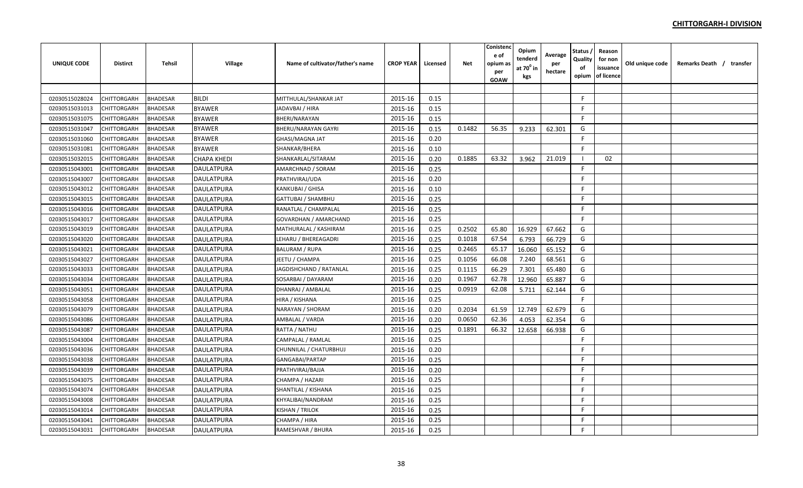| <b>UNIQUE CODE</b> | <b>Distirct</b>    | <b>Tehsil</b>   | Village           | Name of cultivator/father's name | <b>CROP YEAR</b> | Licensed | Net    | Conistend<br>e of<br>opium a:<br>per<br>GOAW | Opium<br>tenderd<br>at $70^0$ in<br>kgs | Average<br>per<br>hectare | <b>Status</b><br>Quality<br>of<br>opium | Reason<br>for non<br>issuance<br>of licence | Old unique code | Remarks Death / transfer |
|--------------------|--------------------|-----------------|-------------------|----------------------------------|------------------|----------|--------|----------------------------------------------|-----------------------------------------|---------------------------|-----------------------------------------|---------------------------------------------|-----------------|--------------------------|
|                    |                    |                 |                   |                                  |                  |          |        |                                              |                                         |                           |                                         |                                             |                 |                          |
| 02030515028024     | CHITTORGARH        | <b>BHADESAR</b> | <b>BILDI</b>      | MITTHULAL/SHANKAR JAT            | 2015-16          | 0.15     |        |                                              |                                         |                           | F.                                      |                                             |                 |                          |
| 02030515031013     | CHITTORGARH        | <b>BHADESAR</b> | <b>BYAWER</b>     | JADAVBAI / HIRA                  | 2015-16          | 0.15     |        |                                              |                                         |                           | F.                                      |                                             |                 |                          |
| 02030515031075     | CHITTORGARH        | <b>BHADESAR</b> | <b>BYAWER</b>     | BHERI/NARAYAN                    | 2015-16          | 0.15     |        |                                              |                                         |                           | F.                                      |                                             |                 |                          |
| 02030515031047     | CHITTORGARH        | <b>BHADESAR</b> | <b>BYAWER</b>     | <b>BHERU/NARAYAN GAYRI</b>       | 2015-16          | 0.15     | 0.1482 | 56.35                                        | 9.233                                   | 62.301                    | G                                       |                                             |                 |                          |
| 02030515031060     | <b>CHITTORGARH</b> | <b>BHADESAR</b> | <b>BYAWER</b>     | <b>GHASI/MAGNA JAT</b>           | 2015-16          | 0.20     |        |                                              |                                         |                           | F                                       |                                             |                 |                          |
| 02030515031081     | <b>CHITTORGARH</b> | <b>BHADESAR</b> | <b>BYAWER</b>     | SHANKAR/BHERA                    | 2015-16          | 0.10     |        |                                              |                                         |                           | F.                                      |                                             |                 |                          |
| 02030515032015     | CHITTORGARH        | <b>BHADESAR</b> | CHAPA KHEDI       | SHANKARLAL/SITARAM               | 2015-16          | 0.20     | 0.1885 | 63.32                                        | 3.962                                   | 21.019                    |                                         | 02                                          |                 |                          |
| 02030515043001     | CHITTORGARH        | <b>BHADESAR</b> | <b>DAULATPURA</b> | AMARCHNAD / SORAM                | 2015-16          | 0.25     |        |                                              |                                         |                           | F.                                      |                                             |                 |                          |
| 02030515043007     | CHITTORGARH        | <b>BHADESAR</b> | <b>DAULATPURA</b> | PRATHVIRAJ/UDA                   | 2015-16          | 0.20     |        |                                              |                                         |                           | F.                                      |                                             |                 |                          |
| 02030515043012     | CHITTORGARH        | <b>BHADESAR</b> | <b>DAULATPURA</b> | KANKUBAI / GHISA                 | 2015-16          | 0.10     |        |                                              |                                         |                           | F.                                      |                                             |                 |                          |
| 02030515043015     | CHITTORGARH        | <b>BHADESAR</b> | DAULATPURA        | <b>GATTUBAI / SHAMBHU</b>        | 2015-16          | 0.25     |        |                                              |                                         |                           | F                                       |                                             |                 |                          |
| 02030515043016     | CHITTORGARH        | <b>BHADESAR</b> | DAULATPURA        | RANATLAL / CHAMPALAL             | 2015-16          | 0.25     |        |                                              |                                         |                           | F.                                      |                                             |                 |                          |
| 02030515043017     | CHITTORGARH        | <b>BHADESAR</b> | <b>DAULATPURA</b> | GOVARDHAN / AMARCHAND            | 2015-16          | 0.25     |        |                                              |                                         |                           | F.                                      |                                             |                 |                          |
| 02030515043019     | CHITTORGARH        | <b>BHADESAR</b> | <b>DAULATPURA</b> | MATHURALAL / KASHIRAM            | 2015-16          | 0.25     | 0.2502 | 65.80                                        | 16.929                                  | 67.662                    | G                                       |                                             |                 |                          |
| 02030515043020     | <b>CHITTORGARH</b> | <b>BHADESAR</b> | <b>DAULATPURA</b> | LEHARU / BHEREAGADRI             | 2015-16          | 0.25     | 0.1018 | 67.54                                        | 6.793                                   | 66.729                    | G                                       |                                             |                 |                          |
| 02030515043021     | CHITTORGARH        | <b>BHADESAR</b> | <b>DAULATPURA</b> | <b>BALURAM / RUPA</b>            | 2015-16          | 0.25     | 0.2465 | 65.17                                        | 16.060                                  | 65.152                    | G                                       |                                             |                 |                          |
| 02030515043027     | <b>CHITTORGARH</b> | <b>BHADESAR</b> | DAULATPURA        | JEETU / CHAMPA                   | 2015-16          | 0.25     | 0.1056 | 66.08                                        | 7.240                                   | 68.561                    | G                                       |                                             |                 |                          |
| 02030515043033     | CHITTORGARH        | <b>BHADESAR</b> | DAULATPURA        | JAGDISHCHAND / RATANLAL          | 2015-16          | 0.25     | 0.1115 | 66.29                                        | 7.301                                   | 65.480                    | G                                       |                                             |                 |                          |
| 02030515043034     | <b>CHITTORGARH</b> | <b>BHADESAR</b> | <b>DAULATPURA</b> | SOSARBAI / DAYARAM               | 2015-16          | 0.20     | 0.1967 | 62.78                                        | 12.960                                  | 65.887                    | G                                       |                                             |                 |                          |
| 02030515043051     | <b>CHITTORGARH</b> | <b>BHADESAR</b> | DAULATPURA        | DHANRAJ / AMBALAL                | 2015-16          | 0.25     | 0.0919 | 62.08                                        | 5.711                                   | 62.144                    | G                                       |                                             |                 |                          |
| 02030515043058     | <b>CHITTORGARH</b> | <b>BHADESAR</b> | <b>DAULATPURA</b> | HIRA / KISHANA                   | 2015-16          | 0.25     |        |                                              |                                         |                           | F                                       |                                             |                 |                          |
| 02030515043079     | <b>CHITTORGARH</b> | <b>BHADESAR</b> | DAULATPURA        | NARAYAN / SHORAM                 | 2015-16          | 0.20     | 0.2034 | 61.59                                        | 12.749                                  | 62.679                    | G                                       |                                             |                 |                          |
| 02030515043086     | CHITTORGARH        | <b>BHADESAR</b> | DAULATPURA        | AMBALAL / VARDA                  | 2015-16          | 0.20     | 0.0650 | 62.36                                        | 4.053                                   | 62.354                    | G                                       |                                             |                 |                          |
| 02030515043087     | CHITTORGARH        | <b>BHADESAR</b> | <b>DAULATPURA</b> | RATTA / NATHU                    | 2015-16          | 0.25     | 0.1891 | 66.32                                        | 12.658                                  | 66.938                    | G                                       |                                             |                 |                          |
| 02030515043004     | CHITTORGARH        | <b>BHADESAR</b> | DAULATPURA        | CAMPALAL / RAMLAL                | 2015-16          | 0.25     |        |                                              |                                         |                           | F                                       |                                             |                 |                          |
| 02030515043036     | CHITTORGARH        | <b>BHADESAR</b> | <b>DAULATPURA</b> | CHUNNILAL / CHATURBHUJ           | 2015-16          | 0.20     |        |                                              |                                         |                           | F.                                      |                                             |                 |                          |
| 02030515043038     | <b>CHITTORGARH</b> | <b>BHADESAR</b> | <b>DAULATPURA</b> | GANGABAI/PARTAP                  | 2015-16          | 0.25     |        |                                              |                                         |                           | F.                                      |                                             |                 |                          |
| 02030515043039     | <b>CHITTORGARH</b> | <b>BHADESAR</b> | DAULATPURA        | PRATHVIRAJ/BAJJA                 | 2015-16          | 0.20     |        |                                              |                                         |                           | F                                       |                                             |                 |                          |
| 02030515043075     | CHITTORGARH        | <b>BHADESAR</b> | DAULATPURA        | CHAMPA / HAZARI                  | 2015-16          | 0.25     |        |                                              |                                         |                           | F.                                      |                                             |                 |                          |
| 02030515043074     | CHITTORGARH        | <b>BHADESAR</b> | DAULATPURA        | SHANTILAL / KISHANA              | 2015-16          | 0.25     |        |                                              |                                         |                           | F.                                      |                                             |                 |                          |
| 02030515043008     | CHITTORGARH        | <b>BHADESAR</b> | DAULATPURA        | KHYALIBAI/NANDRAM                | 2015-16          | 0.25     |        |                                              |                                         |                           | F.                                      |                                             |                 |                          |
| 02030515043014     | CHITTORGARH        | <b>BHADESAR</b> | DAULATPURA        | KISHAN / TRILOK                  | 2015-16          | 0.25     |        |                                              |                                         |                           | F.                                      |                                             |                 |                          |
| 02030515043041     | <b>CHITTORGARH</b> | <b>BHADESAR</b> | DAULATPURA        | CHAMPA / HIRA                    | 2015-16          | 0.25     |        |                                              |                                         |                           | F.                                      |                                             |                 |                          |
| 02030515043031     | <b>CHITTORGARH</b> | <b>BHADESAR</b> | <b>DAULATPURA</b> | RAMESHVAR / BHURA                | 2015-16          | 0.25     |        |                                              |                                         |                           | F                                       |                                             |                 |                          |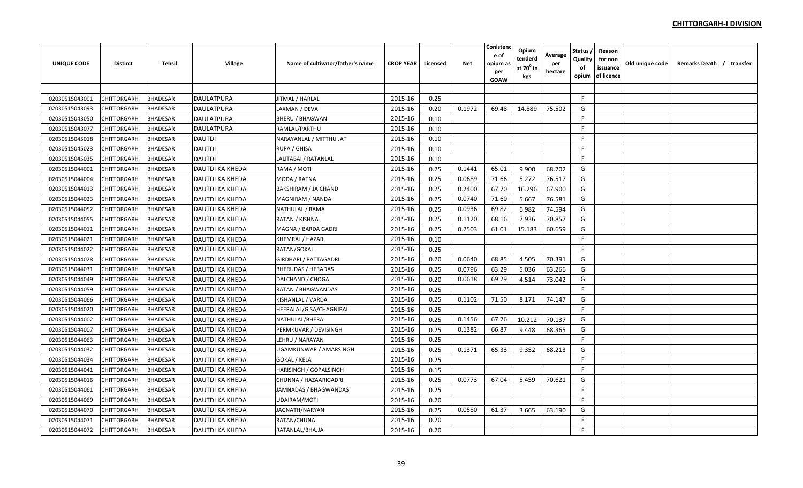| <b>UNIQUE CODE</b> | <b>Distirct</b>    | Tehsil          | Village                | Name of cultivator/father's name | <b>CROP YEAR</b> | Licensed | <b>Net</b> | Conistenc<br>e of<br>opium as<br>per<br><b>GOAW</b> | Opium<br>tenderd<br>at $70^0$ in<br>kgs | Average<br>per<br>hectare | Status<br>Quality<br>of<br>opium | Reason<br>for non<br>issuance<br>of licence | Old unique code | Remarks Death / transfer |  |
|--------------------|--------------------|-----------------|------------------------|----------------------------------|------------------|----------|------------|-----------------------------------------------------|-----------------------------------------|---------------------------|----------------------------------|---------------------------------------------|-----------------|--------------------------|--|
|                    |                    |                 |                        |                                  |                  |          |            |                                                     |                                         |                           |                                  |                                             |                 |                          |  |
| 02030515043091     | CHITTORGARH        | <b>BHADESAR</b> | <b>DAULATPURA</b>      | JITMAL / HARLAL                  | 2015-16          | 0.25     |            |                                                     |                                         |                           | F.                               |                                             |                 |                          |  |
| 02030515043093     | CHITTORGARH        | <b>BHADESAR</b> | <b>DAULATPURA</b>      | LAXMAN / DEVA                    | 2015-16          | 0.20     | 0.1972     | 69.48                                               | 14.889                                  | 75.502                    | G                                |                                             |                 |                          |  |
| 02030515043050     | CHITTORGARH        | <b>BHADESAR</b> | <b>DAULATPURA</b>      | <b>BHERU / BHAGWAN</b>           | 2015-16          | 0.10     |            |                                                     |                                         |                           | F                                |                                             |                 |                          |  |
| 02030515043077     | CHITTORGARH        | <b>BHADESAR</b> | <b>DAULATPURA</b>      | RAMLAL/PARTHU                    | 2015-16          | 0.10     |            |                                                     |                                         |                           | F                                |                                             |                 |                          |  |
| 02030515045018     | <b>CHITTORGARH</b> | <b>BHADESAR</b> | <b>DAUTDI</b>          | NARAYANLAL / MITTHU JAT          | 2015-16          | 0.10     |            |                                                     |                                         |                           | F                                |                                             |                 |                          |  |
| 02030515045023     | CHITTORGARH        | <b>BHADESAR</b> | <b>DAUTDI</b>          | RUPA / GHISA                     | 2015-16          | 0.10     |            |                                                     |                                         |                           | F.                               |                                             |                 |                          |  |
| 02030515045035     | CHITTORGARH        | <b>BHADESAR</b> | <b>DAUTDI</b>          | LALITABAI / RATANLAL             | 2015-16          | 0.10     |            |                                                     |                                         |                           | F.                               |                                             |                 |                          |  |
| 02030515044001     | CHITTORGARH        | <b>BHADESAR</b> | <b>DAUTDI KA KHEDA</b> | RAMA / MOTI                      | 2015-16          | 0.25     | 0.1441     | 65.01                                               | 9.900                                   | 68.702                    | G                                |                                             |                 |                          |  |
| 02030515044004     | CHITTORGARH        | <b>BHADESAR</b> | <b>DAUTDI KA KHEDA</b> | MODA / RATNA                     | 2015-16          | 0.25     | 0.0689     | 71.66                                               | 5.272                                   | 76.517                    | G                                |                                             |                 |                          |  |
| 02030515044013     | CHITTORGARH        | <b>BHADESAR</b> | <b>DAUTDI KA KHEDA</b> | <b>BAKSHIRAM / JAICHAND</b>      | 2015-16          | 0.25     | 0.2400     | 67.70                                               | 16.296                                  | 67.900                    | G                                |                                             |                 |                          |  |
| 02030515044023     | <b>CHITTORGARH</b> | <b>BHADESAR</b> | <b>DAUTDI KA KHEDA</b> | MAGNIRAM / NANDA                 | 2015-16          | 0.25     | 0.0740     | 71.60                                               | 5.667                                   | 76.581                    | G                                |                                             |                 |                          |  |
| 02030515044052     | CHITTORGARH        | <b>BHADESAR</b> | <b>DAUTDI KA KHEDA</b> | NATHULAL / RAMA                  | 2015-16          | 0.25     | 0.0936     | 69.82                                               | 6.982                                   | 74.594                    | G                                |                                             |                 |                          |  |
| 02030515044055     | CHITTORGARH        | <b>BHADESAR</b> | <b>DAUTDI KA KHEDA</b> | RATAN / KISHNA                   | 2015-16          | 0.25     | 0.1120     | 68.16                                               | 7.936                                   | 70.857                    | G                                |                                             |                 |                          |  |
| 02030515044011     | CHITTORGARH        | <b>BHADESAR</b> | <b>DAUTDI KA KHEDA</b> | MAGNA / BARDA GADRI              | 2015-16          | 0.25     | 0.2503     | 61.01                                               | 15.183                                  | 60.659                    | G                                |                                             |                 |                          |  |
| 02030515044021     | CHITTORGARH        | <b>BHADESAR</b> | <b>DAUTDI KA KHEDA</b> | KHEMRAJ / HAZARI                 | 2015-16          | 0.10     |            |                                                     |                                         |                           | F                                |                                             |                 |                          |  |
| 02030515044022     | CHITTORGARH        | <b>BHADESAR</b> | DAUTDI KA KHEDA        | RATAN/GOKAL                      | 2015-16          | 0.25     |            |                                                     |                                         |                           | F                                |                                             |                 |                          |  |
| 02030515044028     | <b>CHITTORGARH</b> | <b>BHADESAR</b> | <b>DAUTDI KA KHEDA</b> | <b>GIRDHARI / RATTAGADRI</b>     | 2015-16          | 0.20     | 0.0640     | 68.85                                               | 4.505                                   | 70.391                    | G                                |                                             |                 |                          |  |
| 02030515044031     | CHITTORGARH        | <b>BHADESAR</b> | DAUTDI KA KHEDA        | <b>BHERUDAS / HERADAS</b>        | 2015-16          | 0.25     | 0.0796     | 63.29                                               | 5.036                                   | 63.266                    | G                                |                                             |                 |                          |  |
| 02030515044049     | CHITTORGARH        | <b>BHADESAR</b> | DAUTDI KA KHEDA        | DALCHAND / CHOGA                 | 2015-16          | 0.20     | 0.0618     | 69.29                                               | 4.514                                   | 73.042                    | G                                |                                             |                 |                          |  |
| 02030515044059     | CHITTORGARH        | <b>BHADESAR</b> | DAUTDI KA KHEDA        | <b>RATAN / BHAGWANDAS</b>        | 2015-16          | 0.25     |            |                                                     |                                         |                           | F.                               |                                             |                 |                          |  |
| 02030515044066     | CHITTORGARH        | <b>BHADESAR</b> | <b>DAUTDI KA KHEDA</b> | KISHANLAL / VARDA                | 2015-16          | 0.25     | 0.1102     | 71.50                                               | 8.171                                   | 74.147                    | G                                |                                             |                 |                          |  |
| 02030515044020     | CHITTORGARH        | <b>BHADESAR</b> | <b>DAUTDI KA KHEDA</b> | HEERALAL/GISA/CHAGNIBAI          | 2015-16          | 0.25     |            |                                                     |                                         |                           | F.                               |                                             |                 |                          |  |
| 02030515044002     | <b>CHITTORGARH</b> | <b>BHADESAR</b> | <b>DAUTDI KA KHEDA</b> | NATHULAL/BHERA                   | 2015-16          | 0.25     | 0.1456     | 67.76                                               | 10.212                                  | 70.137                    | G                                |                                             |                 |                          |  |
| 02030515044007     | <b>CHITTORGARH</b> | <b>BHADESAR</b> | DAUTDI KA KHEDA        | PERMKUVAR / DEVISINGH            | 2015-16          | 0.25     | 0.1382     | 66.87                                               | 9.448                                   | 68.365                    | G                                |                                             |                 |                          |  |
| 02030515044063     | CHITTORGARH        | <b>BHADESAR</b> | <b>DAUTDI KA KHEDA</b> | LEHRU / NARAYAN                  | 2015-16          | 0.25     |            |                                                     |                                         |                           | F                                |                                             |                 |                          |  |
| 02030515044032     | CHITTORGARH        | <b>BHADESAR</b> | <b>DAUTDI KA KHEDA</b> | <b>UGAMKUNWAR / AMARSINGH</b>    | 2015-16          | 0.25     | 0.1371     | 65.33                                               | 9.352                                   | 68.213                    | G                                |                                             |                 |                          |  |
| 02030515044034     | CHITTORGARH        | <b>BHADESAR</b> | DAUTDI KA KHEDA        | <b>GOKAL / KELA</b>              | 2015-16          | 0.25     |            |                                                     |                                         |                           | F                                |                                             |                 |                          |  |
| 02030515044041     | CHITTORGARH        | <b>BHADESAR</b> | <b>DAUTDI KA KHEDA</b> | <b>HARISINGH / GOPALSINGH</b>    | 2015-16          | 0.15     |            |                                                     |                                         |                           | F.                               |                                             |                 |                          |  |
| 02030515044016     | <b>CHITTORGARH</b> | <b>BHADESAR</b> | DAUTDI KA KHEDA        | CHUNNA / HAZAARIGADRI            | 2015-16          | 0.25     | 0.0773     | 67.04                                               | 5.459                                   | 70.621                    | G                                |                                             |                 |                          |  |
| 02030515044061     | CHITTORGARH        | <b>BHADESAR</b> | DAUTDI KA KHEDA        | JAMNADAS / BHAGWANDAS            | 2015-16          | 0.25     |            |                                                     |                                         |                           | F.                               |                                             |                 |                          |  |
| 02030515044069     | CHITTORGARH        | <b>BHADESAR</b> | <b>DAUTDI KA KHEDA</b> | UDAIRAM/MOTI                     | 2015-16          | 0.20     |            |                                                     |                                         |                           | F.                               |                                             |                 |                          |  |
| 02030515044070     | CHITTORGARH        | <b>BHADESAR</b> | <b>DAUTDI KA KHEDA</b> | JAGNATH/NARYAN                   | 2015-16          | 0.25     | 0.0580     | 61.37                                               | 3.665                                   | 63.190                    | G                                |                                             |                 |                          |  |
| 02030515044071     | CHITTORGARH        | <b>BHADESAR</b> | DAUTDI KA KHEDA        | RATAN/CHUNA                      | 2015-16          | 0.20     |            |                                                     |                                         |                           | F                                |                                             |                 |                          |  |
| 02030515044072     | <b>CHITTORGARH</b> | <b>BHADESAR</b> | <b>DAUTDI KA KHEDA</b> | RATANLAL/BHAJJA                  | 2015-16          | 0.20     |            |                                                     |                                         |                           | F                                |                                             |                 |                          |  |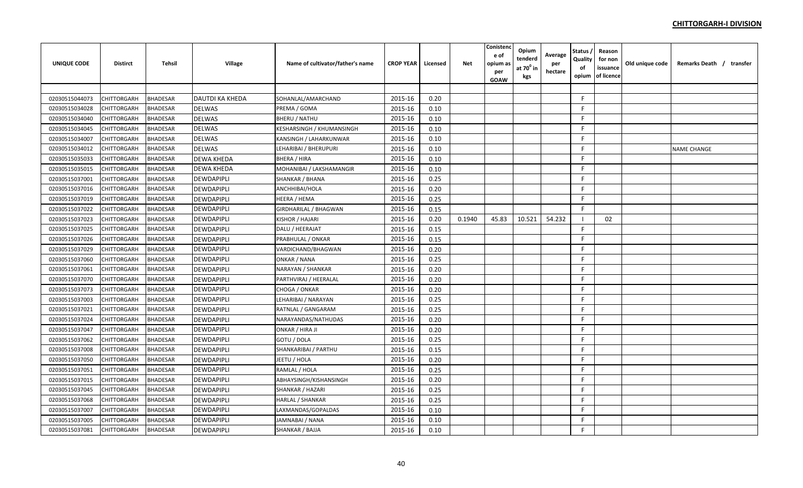| <b>UNIQUE CODE</b> | <b>Distirct</b>    | <b>Tehsil</b>   | Village                | Name of cultivator/father's name | <b>CROP YEAR</b> | Licensed | <b>Net</b> | Conistenc<br>e of<br>opium as<br>per<br>GOAW | Opium<br>tenderd<br>at $70^0$ in<br>kgs | Average<br>per<br>hectare | Status<br>Quality<br>of<br>opium | Reason<br>for non<br>issuance<br>of licence | Old unique code | Remarks Death / transfer |  |
|--------------------|--------------------|-----------------|------------------------|----------------------------------|------------------|----------|------------|----------------------------------------------|-----------------------------------------|---------------------------|----------------------------------|---------------------------------------------|-----------------|--------------------------|--|
|                    |                    |                 |                        |                                  |                  |          |            |                                              |                                         |                           |                                  |                                             |                 |                          |  |
| 02030515044073     | CHITTORGARH        | <b>BHADESAR</b> | <b>DAUTDI KA KHEDA</b> | SOHANLAL/AMARCHAND               | 2015-16          | 0.20     |            |                                              |                                         |                           | F.                               |                                             |                 |                          |  |
| 02030515034028     | CHITTORGARH        | <b>BHADESAR</b> | <b>DELWAS</b>          | PREMA / GOMA                     | 2015-16          | 0.10     |            |                                              |                                         |                           | F                                |                                             |                 |                          |  |
| 02030515034040     | CHITTORGARH        | <b>BHADESAR</b> | <b>DELWAS</b>          | <b>BHERU / NATHU</b>             | 2015-16          | 0.10     |            |                                              |                                         |                           | F                                |                                             |                 |                          |  |
| 02030515034045     | CHITTORGARH        | <b>BHADESAR</b> | <b>DELWAS</b>          | <b>KESHARSINGH / KHUMANSINGH</b> | 2015-16          | 0.10     |            |                                              |                                         |                           | -F                               |                                             |                 |                          |  |
| 02030515034007     | <b>CHITTORGARH</b> | <b>BHADESAR</b> | <b>DELWAS</b>          | <b>KANSINGH / LAHARKUNWAR</b>    | 2015-16          | 0.10     |            |                                              |                                         |                           | E                                |                                             |                 |                          |  |
| 02030515034012     | CHITTORGARH        | <b>BHADESAR</b> | <b>DELWAS</b>          | LEHARIBAI / BHERUPURI            | 2015-16          | 0.10     |            |                                              |                                         |                           | F.                               |                                             |                 | <b>NAME CHANGE</b>       |  |
| 02030515035033     | CHITTORGARH        | <b>BHADESAR</b> | <b>DEWA KHEDA</b>      | <b>BHERA / HIRA</b>              | 2015-16          | 0.10     |            |                                              |                                         |                           | E                                |                                             |                 |                          |  |
| 02030515035015     | <b>CHITTORGARH</b> | <b>BHADESAR</b> | <b>DEWA KHEDA</b>      | MOHANIBAI / LAKSHAMANGIR         | 2015-16          | 0.10     |            |                                              |                                         |                           | F.                               |                                             |                 |                          |  |
| 02030515037001     | CHITTORGARH        | <b>BHADESAR</b> | <b>DEWDAPIPLI</b>      | SHANKAR / BHANA                  | 2015-16          | 0.25     |            |                                              |                                         |                           | F                                |                                             |                 |                          |  |
| 02030515037016     | CHITTORGARH        | <b>BHADESAR</b> | <b>DEWDAPIPLI</b>      | ANCHHIBAI/HOLA                   | 2015-16          | 0.20     |            |                                              |                                         |                           | F.                               |                                             |                 |                          |  |
| 02030515037019     | CHITTORGARH        | <b>BHADESAR</b> | <b>DEWDAPIPLI</b>      | <b>HEERA / HEMA</b>              | 2015-16          | 0.25     |            |                                              |                                         |                           | E                                |                                             |                 |                          |  |
| 02030515037022     | CHITTORGARH        | <b>BHADESAR</b> | <b>DEWDAPIPLI</b>      | <b>GIRDHARILAL / BHAGWAN</b>     | 2015-16          | 0.15     |            |                                              |                                         |                           | F                                |                                             |                 |                          |  |
| 02030515037023     | CHITTORGARH        | <b>BHADESAR</b> | <b>DEWDAPIPLI</b>      | <b>KISHOR / HAJARI</b>           | 2015-16          | 0.20     | 0.1940     | 45.83                                        | 10.521                                  | 54.232                    |                                  | 02                                          |                 |                          |  |
| 02030515037025     | CHITTORGARH        | <b>BHADESAR</b> | <b>DEWDAPIPLI</b>      | DALU / HEERAJAT                  | 2015-16          | 0.15     |            |                                              |                                         |                           | F                                |                                             |                 |                          |  |
| 02030515037026     | CHITTORGARH        | <b>BHADESAR</b> | <b>DEWDAPIPLI</b>      | PRABHULAL / ONKAR                | 2015-16          | 0.15     |            |                                              |                                         |                           | F                                |                                             |                 |                          |  |
| 02030515037029     | <b>CHITTORGARH</b> | <b>BHADESAR</b> | <b>DEWDAPIPLI</b>      | VARDICHAND/BHAGWAN               | 2015-16          | 0.20     |            |                                              |                                         |                           | F                                |                                             |                 |                          |  |
| 02030515037060     | CHITTORGARH        | <b>BHADESAR</b> | <b>DEWDAPIPLI</b>      | ONKAR / NANA                     | 2015-16          | 0.25     |            |                                              |                                         |                           | F                                |                                             |                 |                          |  |
| 02030515037061     | CHITTORGARH        | <b>BHADESAR</b> | DEWDAPIPLI             | NARAYAN / SHANKAR                | 2015-16          | 0.20     |            |                                              |                                         |                           | E                                |                                             |                 |                          |  |
| 02030515037070     | CHITTORGARH        | <b>BHADESAR</b> | DEWDAPIPLI             | PARTHVIRAJ / HEERALAL            | 2015-16          | 0.20     |            |                                              |                                         |                           | E                                |                                             |                 |                          |  |
| 02030515037073     | CHITTORGARH        | <b>BHADESAR</b> | <b>DEWDAPIPLI</b>      | CHOGA / ONKAR                    | 2015-16          | 0.20     |            |                                              |                                         |                           | E                                |                                             |                 |                          |  |
| 02030515037003     | CHITTORGARH        | <b>BHADESAR</b> | <b>DEWDAPIPLI</b>      | LEHARIBAI / NARAYAN              | 2015-16          | 0.25     |            |                                              |                                         |                           | F.                               |                                             |                 |                          |  |
| 02030515037021     | <b>CHITTORGARH</b> | <b>BHADESAR</b> | <b>DEWDAPIPLI</b>      | RATNLAL / GANGARAM               | 2015-16          | 0.25     |            |                                              |                                         |                           | F.                               |                                             |                 |                          |  |
| 02030515037024     | CHITTORGARH        | <b>BHADESAR</b> | <b>DEWDAPIPLI</b>      | NARAYANDAS/NATHUDAS              | 2015-16          | 0.20     |            |                                              |                                         |                           | F.                               |                                             |                 |                          |  |
| 02030515037047     | CHITTORGARH        | <b>BHADESAR</b> | <b>DEWDAPIPLI</b>      | ONKAR / HIRA JI                  | 2015-16          | 0.20     |            |                                              |                                         |                           | -F                               |                                             |                 |                          |  |
| 02030515037062     | CHITTORGARH        | <b>BHADESAR</b> | <b>DEWDAPIPLI</b>      | GOTU / DOLA                      | 2015-16          | 0.25     |            |                                              |                                         |                           | F                                |                                             |                 |                          |  |
| 02030515037008     | CHITTORGARH        | <b>BHADESAR</b> | <b>DEWDAPIPLI</b>      | SHANKARIBAI / PARTHU             | 2015-16          | 0.15     |            |                                              |                                         |                           | F                                |                                             |                 |                          |  |
| 02030515037050     | CHITTORGARH        | <b>BHADESAR</b> | <b>DEWDAPIPLI</b>      | JEETU / HOLA                     | 2015-16          | 0.20     |            |                                              |                                         |                           | F.                               |                                             |                 |                          |  |
| 02030515037051     | CHITTORGARH        | <b>BHADESAR</b> | <b>DEWDAPIPLI</b>      | RAMLAL / HOLA                    | 2015-16          | 0.25     |            |                                              |                                         |                           | F.                               |                                             |                 |                          |  |
| 02030515037015     | CHITTORGARH        | <b>BHADESAR</b> | DEWDAPIPLI             | ABHAYSINGH/KISHANSINGH           | 2015-16          | 0.20     |            |                                              |                                         |                           | F.                               |                                             |                 |                          |  |
| 02030515037045     | CHITTORGARH        | <b>BHADESAR</b> | DEWDAPIPLI             | <b>SHANKAR / HAZARI</b>          | 2015-16          | 0.25     |            |                                              |                                         |                           | F.                               |                                             |                 |                          |  |
| 02030515037068     | CHITTORGARH        | <b>BHADESAR</b> | <b>DEWDAPIPLI</b>      | <b>HARLAL / SHANKAR</b>          | 2015-16          | 0.25     |            |                                              |                                         |                           | F.                               |                                             |                 |                          |  |
| 02030515037007     | CHITTORGARH        | <b>BHADESAR</b> | <b>DEWDAPIPLI</b>      | LAXMANDAS/GOPALDAS               | 2015-16          | 0.10     |            |                                              |                                         |                           | F.                               |                                             |                 |                          |  |
| 02030515037005     | CHITTORGARH        | <b>BHADESAR</b> | <b>DEWDAPIPLI</b>      | JAMNABAI / NANA                  | 2015-16          | 0.10     |            |                                              |                                         |                           | F                                |                                             |                 |                          |  |
| 02030515037081     | <b>CHITTORGARH</b> | <b>BHADESAR</b> | <b>DEWDAPIPLI</b>      | <b>SHANKAR / BAJJA</b>           | 2015-16          | 0.10     |            |                                              |                                         |                           | F                                |                                             |                 |                          |  |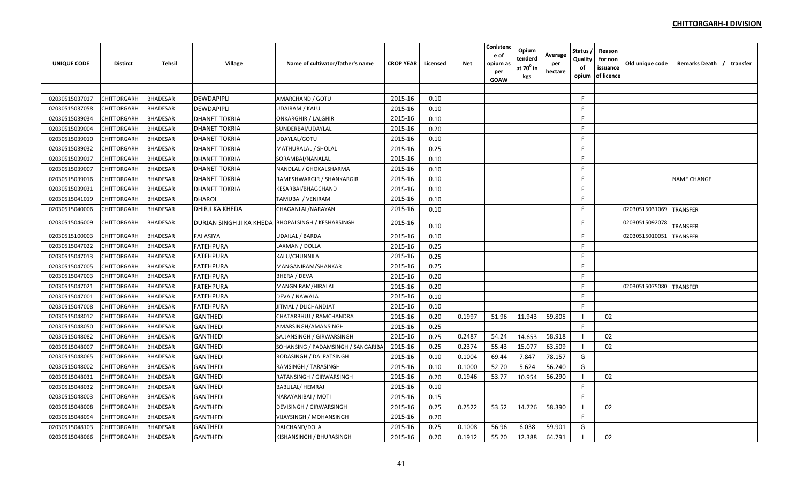| UNIQUE CODE    | <b>Distirct</b> | <b>Tehsil</b>   | Village                                            | Name of cultivator/father's name  | <b>CROP YEAR</b> | Licensed | <b>Net</b> | Conisten<br>e of<br>opium as<br>per<br>GOAW | Opium<br>tenderd<br>at 70º in<br>kgs | Average<br>per<br>hectare | Status ,<br>Quality<br>οf<br>opium | Reason<br>for non<br>issuance<br>of licence | Old unique code | Remarks Death / transfer |
|----------------|-----------------|-----------------|----------------------------------------------------|-----------------------------------|------------------|----------|------------|---------------------------------------------|--------------------------------------|---------------------------|------------------------------------|---------------------------------------------|-----------------|--------------------------|
|                |                 |                 |                                                    |                                   |                  |          |            |                                             |                                      |                           |                                    |                                             |                 |                          |
| 02030515037017 | CHITTORGARH     | <b>BHADESAR</b> | <b>DEWDAPIPLI</b>                                  | AMARCHAND / GOTU                  | 2015-16          | 0.10     |            |                                             |                                      |                           | F                                  |                                             |                 |                          |
| 02030515037058 | CHITTORGARH     | <b>BHADESAR</b> | <b>DEWDAPIPLI</b>                                  | UDAIRAM / KALU                    | 2015-16          | 0.10     |            |                                             |                                      |                           | F.                                 |                                             |                 |                          |
| 02030515039034 | CHITTORGARH     | BHADESAR        | <b>DHANET TOKRIA</b>                               | <b>ONKARGHIR / LALGHIR</b>        | 2015-16          | 0.10     |            |                                             |                                      |                           | F.                                 |                                             |                 |                          |
| 02030515039004 | CHITTORGARH     | <b>BHADESAR</b> | <b>DHANET TOKRIA</b>                               | SUNDERBAI/UDAYLAL                 | 2015-16          | 0.20     |            |                                             |                                      |                           | F                                  |                                             |                 |                          |
| 02030515039010 | CHITTORGARH     | <b>BHADESAR</b> | <b>DHANET TOKRIA</b>                               | UDAYLAL/GOTU                      | 2015-16          | 0.10     |            |                                             |                                      |                           | F                                  |                                             |                 |                          |
| 02030515039032 | CHITTORGARH     | <b>BHADESAR</b> | <b>DHANET TOKRIA</b>                               | MATHURALAL / SHOLAL               | 2015-16          | 0.25     |            |                                             |                                      |                           | F                                  |                                             |                 |                          |
| 02030515039017 | CHITTORGARH     | BHADESAR        | <b>DHANET TOKRIA</b>                               | SORAMBAI/NANALAL                  | 2015-16          | 0.10     |            |                                             |                                      |                           | F                                  |                                             |                 |                          |
| 02030515039007 | CHITTORGARH     | <b>BHADESAR</b> | <b>DHANET TOKRIA</b>                               | NANDLAL / GHOKALSHARMA            | 2015-16          | 0.10     |            |                                             |                                      |                           | F                                  |                                             |                 |                          |
| 02030515039016 | CHITTORGARH     | <b>BHADESAR</b> | <b>DHANET TOKRIA</b>                               | RAMESHWARGIR / SHANKARGIR         | 2015-16          | 0.10     |            |                                             |                                      |                           | F                                  |                                             |                 | <b>NAME CHANGE</b>       |
| 02030515039031 | CHITTORGARH     | <b>BHADESAR</b> | <b>DHANET TOKRIA</b>                               | KESARBAI/BHAGCHAND                | 2015-16          | 0.10     |            |                                             |                                      |                           | F                                  |                                             |                 |                          |
| 02030515041019 | CHITTORGARH     | BHADESAR        | <b>DHAROL</b>                                      | TAMUBAI / VENIRAM                 | 2015-16          | 0.10     |            |                                             |                                      |                           | F                                  |                                             |                 |                          |
| 02030515040006 | CHITTORGARH     | <b>BHADESAR</b> | DHIRJI KA KHEDA                                    | CHAGANLAL/NARAYAN                 | 2015-16          | 0.10     |            |                                             |                                      |                           | F                                  |                                             | 02030515031069  | <b>TRANSFER</b>          |
| 02030515046009 | CHITTORGARH     | <b>BHADESAR</b> | DURJAN SINGH JI KA KHEDA BHOPALSINGH / KESHARSINGH |                                   | 2015-16          | 0.10     |            |                                             |                                      |                           | F                                  |                                             | 02030515092078  | TRANSFER                 |
| 02030515100003 | CHITTORGARH     | <b>BHADESAR</b> | <b>FALASIYA</b>                                    | UDAILAL / BARDA                   | 2015-16          | 0.10     |            |                                             |                                      |                           | F.                                 |                                             | 0203051501005:  | <b>TRANSFER</b>          |
| 02030515047022 | CHITTORGARH     | <b>BHADESAR</b> | <b>FATEHPURA</b>                                   | LAXMAN / DOLLA                    | 2015-16          | 0.25     |            |                                             |                                      |                           | F                                  |                                             |                 |                          |
| 02030515047013 | CHITTORGARH     | <b>BHADESAR</b> | <b>FATEHPURA</b>                                   | KALU/CHUNNILAL                    | 2015-16          | 0.25     |            |                                             |                                      |                           | F.                                 |                                             |                 |                          |
| 02030515047005 | CHITTORGARH     | <b>BHADESAR</b> | <b>FATEHPURA</b>                                   | MANGANIRAM/SHANKAR                | 2015-16          | 0.25     |            |                                             |                                      |                           | F.                                 |                                             |                 |                          |
| 02030515047003 | CHITTORGARH     | BHADESAR        | <b>FATEHPURA</b>                                   | BHERA / DEVA                      | 2015-16          | 0.20     |            |                                             |                                      |                           | F                                  |                                             |                 |                          |
| 02030515047021 | CHITTORGARH     | <b>BHADESAR</b> | <b>FATEHPURA</b>                                   | MANGNIRAM/HIRALAL                 | 2015-16          | 0.20     |            |                                             |                                      |                           | F                                  |                                             | 02030515075080  | <b>TRANSFER</b>          |
| 02030515047001 | CHITTORGARH     | <b>BHADESAR</b> | <b>FATEHPURA</b>                                   | DEVA / NAWALA                     | 2015-16          | 0.10     |            |                                             |                                      |                           | F                                  |                                             |                 |                          |
| 02030515047008 | CHITTORGARH     | <b>BHADESAR</b> | <b>FATEHPURA</b>                                   | JITMAL / DLICHANDJAT              | 2015-16          | 0.10     |            |                                             |                                      |                           | F.                                 |                                             |                 |                          |
| 02030515048012 | CHITTORGARH     | BHADESAR        | <b>GANTHEDI</b>                                    | CHATARBHUJ / RAMCHANDRA           | 2015-16          | 0.20     | 0.1997     | 51.96                                       | 11.943                               | 59.805                    |                                    | 02                                          |                 |                          |
| 02030515048050 | CHITTORGARH     | <b>BHADESAR</b> | <b>GANTHEDI</b>                                    | AMARSINGH/AMANSINGH               | 2015-16          | 0.25     |            |                                             |                                      |                           | F                                  |                                             |                 |                          |
| 02030515048082 | CHITTORGARH     | <b>BHADESAR</b> | <b>GANTHEDI</b>                                    | SAJJANSINGH / GIRWARSINGH         | 2015-16          | 0.25     | 0.2487     | 54.24                                       | 14.653                               | 58.918                    | - 1                                | 02                                          |                 |                          |
| 02030515048007 | CHITTORGARH     | <b>BHADESAR</b> | <b>GANTHEDI</b>                                    | SOHANSING / PADAMSINGH / SANGARIB | 2015-16          | 0.25     | 0.2374     | 55.43                                       | 15.077                               | 63.509                    | - 1                                | 02                                          |                 |                          |
| 02030515048065 | CHITTORGARH     | <b>BHADESAR</b> | <b>GANTHEDI</b>                                    | RODASINGH / DALPATSINGH           | 2015-16          | 0.10     | 0.1004     | 69.44                                       | 7.847                                | 78.157                    | G                                  |                                             |                 |                          |
| 02030515048002 | CHITTORGARH     | <b>BHADESAR</b> | <b>GANTHEDI</b>                                    | RAMSINGH / TARASINGH              | 2015-16          | 0.10     | 0.1000     | 52.70                                       | 5.624                                | 56.240                    | G                                  |                                             |                 |                          |
| 02030515048031 | CHITTORGARH     | <b>BHADESAR</b> | <b>GANTHEDI</b>                                    | RATANSINGH / GIRWARSINGH          | 2015-16          | 0.20     | 0.1946     | 53.77                                       | 10.954                               | 56.290                    | -1                                 | 02                                          |                 |                          |
| 02030515048032 | CHITTORGARH     | <b>BHADESAR</b> | <b>GANTHEDI</b>                                    | <b>BABULAL/ HEMRAJ</b>            | 2015-16          | 0.10     |            |                                             |                                      |                           | F.                                 |                                             |                 |                          |
| 02030515048003 | CHITTORGARH     | BHADESAR        | <b>GANTHEDI</b>                                    | NARAYANIBAI / MOTI                | 2015-16          | 0.15     |            |                                             |                                      |                           | F.                                 |                                             |                 |                          |
| 02030515048008 | CHITTORGARH     | <b>BHADESAR</b> | <b>GANTHEDI</b>                                    | DEVISINGH / GIRWARSINGH           | 2015-16          | 0.25     | 0.2522     | 53.52                                       | 14.726                               | 58.390                    |                                    | 02                                          |                 |                          |
| 02030515048094 | CHITTORGARH     | <b>BHADESAR</b> | <b>GANTHEDI</b>                                    | VIJAYSINGH / MOHANSINGH           | 2015-16          | 0.20     |            |                                             |                                      |                           | F.                                 |                                             |                 |                          |
| 02030515048103 | CHITTORGARH     | <b>BHADESAR</b> | <b>GANTHEDI</b>                                    | DALCHAND/DOLA                     | 2015-16          | 0.25     | 0.1008     | 56.96                                       | 6.038                                | 59.901                    | G                                  |                                             |                 |                          |
| 02030515048066 | CHITTORGARH     | <b>BHADESAR</b> | <b>GANTHEDI</b>                                    | KISHANSINGH / BHURASINGH          | 2015-16          | 0.20     | 0.1912     | 55.20                                       | 12.388                               | 64.791                    |                                    | 02                                          |                 |                          |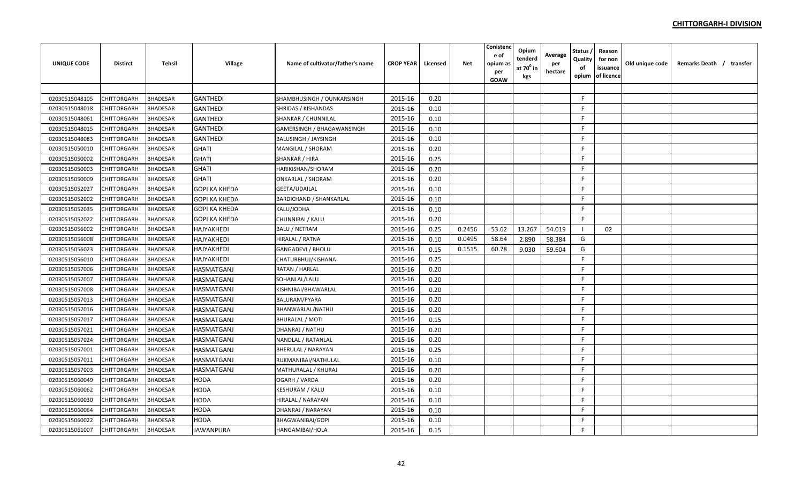| <b>UNIQUE CODE</b> | <b>Distirct</b>    | <b>Tehsil</b>   | Village              | Name of cultivator/father's name | <b>CROP YEAR</b> | Licensed | Net    | Conistend<br>e of<br>opium a:<br>per<br>GOAW | Opium<br>tenderd<br>at $70^0$ in<br>kgs | Average<br>per<br>hectare | <b>Status</b><br>Quality<br>of<br>opium | Reason<br>for non<br>issuance<br>of licence | Old unique code | Remarks Death / transfer |
|--------------------|--------------------|-----------------|----------------------|----------------------------------|------------------|----------|--------|----------------------------------------------|-----------------------------------------|---------------------------|-----------------------------------------|---------------------------------------------|-----------------|--------------------------|
|                    |                    |                 |                      |                                  |                  |          |        |                                              |                                         |                           |                                         |                                             |                 |                          |
| 02030515048105     | CHITTORGARH        | <b>BHADESAR</b> | <b>GANTHEDI</b>      | SHAMBHUSINGH / OUNKARSINGH       | 2015-16          | 0.20     |        |                                              |                                         |                           | F.                                      |                                             |                 |                          |
| 02030515048018     | CHITTORGARH        | <b>BHADESAR</b> | <b>GANTHEDI</b>      | <b>SHRIDAS / KISHANDAS</b>       | 2015-16          | 0.10     |        |                                              |                                         |                           | F.                                      |                                             |                 |                          |
| 02030515048061     | <b>CHITTORGARH</b> | <b>BHADESAR</b> | <b>GANTHEDI</b>      | <b>SHANKAR / CHUNNILAL</b>       | 2015-16          | 0.10     |        |                                              |                                         |                           | F.                                      |                                             |                 |                          |
| 02030515048015     | CHITTORGARH        | <b>BHADESAR</b> | <b>GANTHEDI</b>      | GAMERSINGH / BHAGAWANSINGH       | 2015-16          | 0.10     |        |                                              |                                         |                           | F.                                      |                                             |                 |                          |
| 02030515048083     | <b>CHITTORGARH</b> | <b>BHADESAR</b> | <b>GANTHEDI</b>      | <b>BALUSINGH / JAYSINGH</b>      | 2015-16          | 0.10     |        |                                              |                                         |                           | F.                                      |                                             |                 |                          |
| 02030515050010     | <b>CHITTORGARH</b> | <b>BHADESAR</b> | <b>GHATI</b>         | <b>MANGILAL / SHORAM</b>         | 2015-16          | 0.20     |        |                                              |                                         |                           | F.                                      |                                             |                 |                          |
| 02030515050002     | CHITTORGARH        | <b>BHADESAR</b> | <b>GHATI</b>         | SHANKAR / HIRA                   | 2015-16          | 0.25     |        |                                              |                                         |                           | F.                                      |                                             |                 |                          |
| 02030515050003     | <b>CHITTORGARH</b> | <b>BHADESAR</b> | <b>GHATI</b>         | HARIKISHAN/SHORAM                | 2015-16          | 0.20     |        |                                              |                                         |                           | F.                                      |                                             |                 |                          |
| 02030515050009     | CHITTORGARH        | <b>BHADESAR</b> | <b>GHATI</b>         | ONKARLAL / SHORAM                | 2015-16          | 0.20     |        |                                              |                                         |                           | F.                                      |                                             |                 |                          |
| 02030515052027     | CHITTORGARH        | <b>BHADESAR</b> | <b>GOPI KA KHEDA</b> | GEETA/UDAILAL                    | 2015-16          | 0.10     |        |                                              |                                         |                           | F.                                      |                                             |                 |                          |
| 02030515052002     | CHITTORGARH        | <b>BHADESAR</b> | <b>GOPI KA KHEDA</b> | <b>BARDICHAND / SHANKARLAL</b>   | 2015-16          | 0.10     |        |                                              |                                         |                           | F.                                      |                                             |                 |                          |
| 02030515052035     | <b>CHITTORGARH</b> | <b>BHADESAR</b> | <b>GOPI KA KHEDA</b> | KALU/JODHA                       | 2015-16          | 0.10     |        |                                              |                                         |                           | F                                       |                                             |                 |                          |
| 02030515052022     | CHITTORGARH        | <b>BHADESAR</b> | <b>GOPI KA KHEDA</b> | CHUNNIBAI / KALU                 | 2015-16          | 0.20     |        |                                              |                                         |                           | F.                                      |                                             |                 |                          |
| 02030515056002     | <b>CHITTORGARH</b> | <b>BHADESAR</b> | <b>HAJYAKHEDI</b>    | <b>BALU / NETRAM</b>             | 2015-16          | 0.25     | 0.2456 | 53.62                                        | 13.267                                  | 54.019                    | - 1                                     | 02                                          |                 |                          |
| 02030515056008     | CHITTORGARH        | <b>BHADESAR</b> | HAJYAKHEDI           | HIRALAL / RATNA                  | 2015-16          | 0.10     | 0.0495 | 58.64                                        | 2.890                                   | 58.384                    | G                                       |                                             |                 |                          |
| 02030515056023     | <b>CHITTORGARH</b> | <b>BHADESAR</b> | <b>HAJYAKHEDI</b>    | <b>GANGADEVI / BHOLU</b>         | 2015-16          | 0.15     | 0.1515 | 60.78                                        | 9.030                                   | 59.604                    | G                                       |                                             |                 |                          |
| 02030515056010     | <b>CHITTORGARH</b> | <b>BHADESAR</b> | HAJYAKHEDI           | CHATURBHUJ/KISHANA               | 2015-16          | 0.25     |        |                                              |                                         |                           | F.                                      |                                             |                 |                          |
| 02030515057006     | <b>CHITTORGARH</b> | <b>BHADESAR</b> | <b>HASMATGANJ</b>    | RATAN / HARLAL                   | 2015-16          | 0.20     |        |                                              |                                         |                           | F.                                      |                                             |                 |                          |
| 02030515057007     | <b>CHITTORGARH</b> | <b>BHADESAR</b> | <b>HASMATGANJ</b>    | SOHANLAL/LALU                    | 2015-16          | 0.20     |        |                                              |                                         |                           | F.                                      |                                             |                 |                          |
| 02030515057008     | <b>CHITTORGARH</b> | <b>BHADESAR</b> | HASMATGANJ           | KISHNIBAI/BHAWARLAL              | 2015-16          | 0.20     |        |                                              |                                         |                           | F.                                      |                                             |                 |                          |
| 02030515057013     | CHITTORGARH        | <b>BHADESAR</b> | HASMATGANJ           | <b>BALURAM/PYARA</b>             | 2015-16          | 0.20     |        |                                              |                                         |                           | F                                       |                                             |                 |                          |
| 02030515057016     | <b>CHITTORGARH</b> | <b>BHADESAR</b> | <b>HASMATGANJ</b>    | BHANWARLAL/NATHU                 | 2015-16          | 0.20     |        |                                              |                                         |                           | F.                                      |                                             |                 |                          |
| 02030515057017     | <b>CHITTORGARH</b> | <b>BHADESAR</b> | HASMATGANJ           | <b>BHURALAL / MOTI</b>           | 2015-16          | 0.15     |        |                                              |                                         |                           | F.                                      |                                             |                 |                          |
| 02030515057021     | <b>CHITTORGARH</b> | <b>BHADESAR</b> | <b>HASMATGANJ</b>    | DHANRAJ / NATHU                  | 2015-16          | 0.20     |        |                                              |                                         |                           | F.                                      |                                             |                 |                          |
| 02030515057024     | <b>CHITTORGARH</b> | <b>BHADESAR</b> | <b>HASMATGANJ</b>    | NANDLAL / RATANLAL               | 2015-16          | 0.20     |        |                                              |                                         |                           | F                                       |                                             |                 |                          |
| 02030515057001     | <b>CHITTORGARH</b> | <b>BHADESAR</b> | <b>HASMATGANJ</b>    | <b>BHERULAL / NARAYAN</b>        | 2015-16          | 0.25     |        |                                              |                                         |                           | F.                                      |                                             |                 |                          |
| 02030515057011     | <b>CHITTORGARH</b> | <b>BHADESAR</b> | <b>HASMATGANJ</b>    | RUKMANIBAI/NATHULAL              | 2015-16          | 0.10     |        |                                              |                                         |                           | F.                                      |                                             |                 |                          |
| 02030515057003     | <b>CHITTORGARH</b> | <b>BHADESAR</b> | <b>HASMATGANJ</b>    | MATHURALAL / KHURAJ              | 2015-16          | 0.20     |        |                                              |                                         |                           | F.                                      |                                             |                 |                          |
| 02030515060049     | <b>CHITTORGARH</b> | <b>BHADESAR</b> | <b>HODA</b>          | <b>OGARH / VARDA</b>             | 2015-16          | 0.20     |        |                                              |                                         |                           | F.                                      |                                             |                 |                          |
| 02030515060062     | CHITTORGARH        | <b>BHADESAR</b> | <b>HODA</b>          | KESHURAM / KALU                  | 2015-16          | 0.10     |        |                                              |                                         |                           | F.                                      |                                             |                 |                          |
| 02030515060030     | <b>CHITTORGARH</b> | <b>BHADESAR</b> | <b>HODA</b>          | HIRALAL / NARAYAN                | 2015-16          | 0.10     |        |                                              |                                         |                           | F.                                      |                                             |                 |                          |
| 02030515060064     | CHITTORGARH        | <b>BHADESAR</b> | <b>HODA</b>          | DHANRAJ / NARAYAN                | 2015-16          | 0.10     |        |                                              |                                         |                           | F.                                      |                                             |                 |                          |
| 02030515060022     | CHITTORGARH        | <b>BHADESAR</b> | <b>HODA</b>          | <b>BHAGWANIBAI/GOPI</b>          | 2015-16          | 0.10     |        |                                              |                                         |                           | F.                                      |                                             |                 |                          |
| 02030515061007     | <b>CHITTORGARH</b> | <b>BHADESAR</b> | <b>JAWANPURA</b>     | HANGAMIBAI/HOLA                  | 2015-16          | 0.15     |        |                                              |                                         |                           | F                                       |                                             |                 |                          |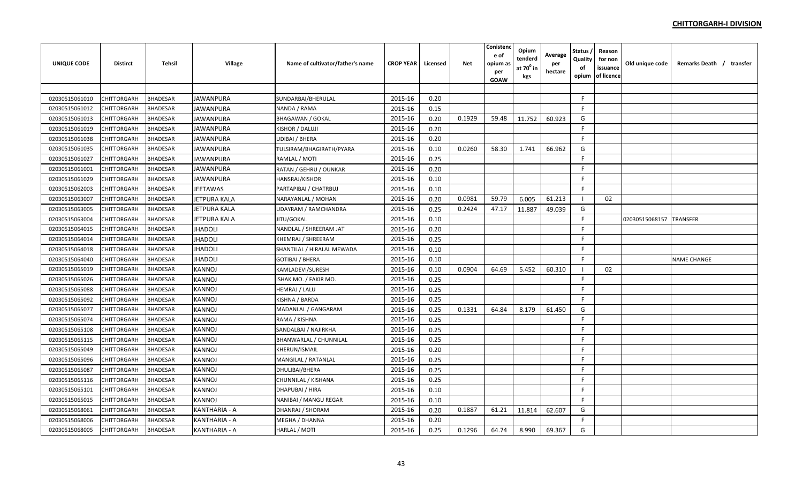| UNIQUE CODE    | <b>Distirct</b>    | Tehsil          | Village             | Name of cultivator/father's name | <b>CROP YEAR</b> | Licensed | Net    | Conistenc<br>e of<br>opium as<br>per<br><b>GOAW</b> | Opium<br>tenderd<br>at $70^0$ in<br>kgs | Average<br>per<br>hectare | Status ,<br>Quality<br>of<br>opium | Reason<br>for non<br>issuance<br>of licence | Old unique code | Remarks Death / transfer |
|----------------|--------------------|-----------------|---------------------|----------------------------------|------------------|----------|--------|-----------------------------------------------------|-----------------------------------------|---------------------------|------------------------------------|---------------------------------------------|-----------------|--------------------------|
|                |                    |                 |                     |                                  |                  |          |        |                                                     |                                         |                           |                                    |                                             |                 |                          |
| 02030515061010 | CHITTORGARH        | <b>BHADESAR</b> | <b>JAWANPURA</b>    | SUNDARBAI/BHERULAL               | 2015-16          | 0.20     |        |                                                     |                                         |                           | F.                                 |                                             |                 |                          |
| 02030515061012 | CHITTORGARH        | <b>BHADESAR</b> | <b>JAWANPURA</b>    | NANDA / RAMA                     | 2015-16          | 0.15     |        |                                                     |                                         |                           | F                                  |                                             |                 |                          |
| 02030515061013 | CHITTORGARH        | <b>BHADESAR</b> | <b>JAWANPURA</b>    | <b>BHAGAWAN / GOKAL</b>          | 2015-16          | 0.20     | 0.1929 | 59.48                                               | 11.752                                  | 60.923                    | G                                  |                                             |                 |                          |
| 02030515061019 | CHITTORGARH        | <b>BHADESAR</b> | <b>JAWANPURA</b>    | KISHOR / DALUJI                  | 2015-16          | 0.20     |        |                                                     |                                         |                           | F                                  |                                             |                 |                          |
| 02030515061038 | CHITTORGARH        | <b>BHADESAR</b> | <b>JAWANPURA</b>    | <b>UDIBAI / BHERA</b>            | 2015-16          | 0.20     |        |                                                     |                                         |                           | F.                                 |                                             |                 |                          |
| 02030515061035 | CHITTORGARH        | <b>BHADESAR</b> | JAWANPURA           | TULSIRAM/BHAGIRATH/PYARA         | 2015-16          | 0.10     | 0.0260 | 58.30                                               | 1.741                                   | 66.962                    | G                                  |                                             |                 |                          |
| 02030515061027 | CHITTORGARH        | <b>BHADESAR</b> | JAWANPURA           | RAMLAL / MOTI                    | 2015-16          | 0.25     |        |                                                     |                                         |                           | F                                  |                                             |                 |                          |
| 02030515061001 | CHITTORGARH        | <b>BHADESAR</b> | <b>JAWANPURA</b>    | RATAN / GEHRU / OUNKAR           | 2015-16          | 0.20     |        |                                                     |                                         |                           | E                                  |                                             |                 |                          |
| 02030515061029 | CHITTORGARH        | <b>BHADESAR</b> | <b>JAWANPURA</b>    | HANSRAJ/KISHOR                   | 2015-16          | 0.10     |        |                                                     |                                         |                           | E                                  |                                             |                 |                          |
| 02030515062003 | CHITTORGARH        | <b>BHADESAR</b> | <b>JEETAWAS</b>     | PARTAPIBAI / CHATRBUJ            | 2015-16          | 0.10     |        |                                                     |                                         |                           | F                                  |                                             |                 |                          |
| 02030515063007 | <b>CHITTORGARH</b> | <b>BHADESAR</b> | <b>JETPURA KALA</b> | NARAYANLAL / MOHAN               | 2015-16          | 0.20     | 0.0981 | 59.79                                               | 6.005                                   | 61.213                    | - 1                                | 02                                          |                 |                          |
| 02030515063005 | CHITTORGARH        | <b>BHADESAR</b> | <b>JETPURA KALA</b> | <b>UDAYRAM / RAMCHANDRA</b>      | 2015-16          | 0.25     | 0.2424 | 47.17                                               | 11.887                                  | 49.039                    | G                                  |                                             |                 |                          |
| 02030515063004 | CHITTORGARH        | <b>BHADESAR</b> | <b>JETPURA KALA</b> | JITU/GOKAL                       | 2015-16          | 0.10     |        |                                                     |                                         |                           | F                                  |                                             | 02030515068157  | <b>TRANSFER</b>          |
| 02030515064015 | CHITTORGARH        | <b>BHADESAR</b> | <b>JHADOLI</b>      | NANDLAL / SHREERAM JAT           | 2015-16          | 0.20     |        |                                                     |                                         |                           | F.                                 |                                             |                 |                          |
| 02030515064014 | CHITTORGARH        | <b>BHADESAR</b> | <b>JHADOLI</b>      | KHEMRAJ / SHREERAM               | 2015-16          | 0.25     |        |                                                     |                                         |                           | F                                  |                                             |                 |                          |
| 02030515064018 | CHITTORGARH        | <b>BHADESAR</b> | <b>JHADOLI</b>      | SHANTILAL / HIRALAL MEWADA       | 2015-16          | 0.10     |        |                                                     |                                         |                           | F                                  |                                             |                 |                          |
| 02030515064040 | CHITTORGARH        | <b>BHADESAR</b> | <b>JHADOLI</b>      | <b>GOTIBAI / BHERA</b>           | 2015-16          | 0.10     |        |                                                     |                                         |                           | F.                                 |                                             |                 | <b>NAME CHANGE</b>       |
| 02030515065019 | CHITTORGARH        | <b>BHADESAR</b> | KANNOJ              | KAMLADEVI/SURESH                 | 2015-16          | 0.10     | 0.0904 | 64.69                                               | 5.452                                   | 60.310                    | - 1                                | 02                                          |                 |                          |
| 02030515065026 | CHITTORGARH        | <b>BHADESAR</b> | KANNOJ              | ISHAK MO. / FAKIR MO.            | 2015-16          | 0.25     |        |                                                     |                                         |                           | F.                                 |                                             |                 |                          |
| 02030515065088 | CHITTORGARH        | <b>BHADESAR</b> | KANNOJ              | <b>HEMRAJ / LALU</b>             | 2015-16          | 0.25     |        |                                                     |                                         |                           | F                                  |                                             |                 |                          |
| 02030515065092 | CHITTORGARH        | <b>BHADESAR</b> | <b>KANNOJ</b>       | KISHNA / BARDA                   | 2015-16          | 0.25     |        |                                                     |                                         |                           | F.                                 |                                             |                 |                          |
| 02030515065077 | <b>CHITTORGARH</b> | <b>BHADESAR</b> | KANNOJ              | MADANLAL / GANGARAM              | 2015-16          | 0.25     | 0.1331 | 64.84                                               | 8.179                                   | 61.450                    | G                                  |                                             |                 |                          |
| 02030515065074 | <b>CHITTORGARH</b> | <b>BHADESAR</b> | KANNOJ              | RAMA / KISHNA                    | 2015-16          | 0.25     |        |                                                     |                                         |                           | F.                                 |                                             |                 |                          |
| 02030515065108 | CHITTORGARH        | <b>BHADESAR</b> | <b>KANNOJ</b>       | SANDALBAI / NAJIRKHA             | 2015-16          | 0.25     |        |                                                     |                                         |                           | F.                                 |                                             |                 |                          |
| 02030515065115 | CHITTORGARH        | <b>BHADESAR</b> | <b>KANNOJ</b>       | <b>BHANWARLAL / CHUNNILAL</b>    | 2015-16          | 0.25     |        |                                                     |                                         |                           | F                                  |                                             |                 |                          |
| 02030515065049 | CHITTORGARH        | <b>BHADESAR</b> | <b>KANNOJ</b>       | <b>KHERUN/ISMAIL</b>             | 2015-16          | 0.20     |        |                                                     |                                         |                           | F                                  |                                             |                 |                          |
| 02030515065096 | CHITTORGARH        | <b>BHADESAR</b> | <b>KANNOJ</b>       | MANGILAL / RATANLAL              | 2015-16          | 0.25     |        |                                                     |                                         |                           | E                                  |                                             |                 |                          |
| 02030515065087 | <b>CHITTORGARH</b> | <b>BHADESAR</b> | KANNOJ              | DHULIBAI/BHERA                   | 2015-16          | 0.25     |        |                                                     |                                         |                           | F.                                 |                                             |                 |                          |
| 02030515065116 | CHITTORGARH        | <b>BHADESAR</b> | KANNOJ              | CHUNNILAL / KISHANA              | 2015-16          | 0.25     |        |                                                     |                                         |                           | F.                                 |                                             |                 |                          |
| 02030515065101 | CHITTORGARH        | <b>BHADESAR</b> | KANNOJ              | DHAPUBAI / HIRA                  | 2015-16          | 0.10     |        |                                                     |                                         |                           | F.                                 |                                             |                 |                          |
| 02030515065015 | CHITTORGARH        | <b>BHADESAR</b> | KANNOJ              | NANIBAI / MANGU REGAR            | 2015-16          | 0.10     |        |                                                     |                                         |                           | F.                                 |                                             |                 |                          |
| 02030515068061 | CHITTORGARH        | <b>BHADESAR</b> | KANTHARIA - A       | DHANRAJ / SHORAM                 | 2015-16          | 0.20     | 0.1887 | 61.21                                               | 11.814                                  | 62.607                    | G                                  |                                             |                 |                          |
| 02030515068006 | CHITTORGARH        | <b>BHADESAR</b> | KANTHARIA - A       | MEGHA / DHANNA                   | 2015-16          | 0.20     |        |                                                     |                                         |                           | F.                                 |                                             |                 |                          |
| 02030515068005 | <b>CHITTORGARH</b> | <b>BHADESAR</b> | KANTHARIA - A       | HARLAL / MOTI                    | 2015-16          | 0.25     | 0.1296 | 64.74                                               | 8.990                                   | 69.367                    | G                                  |                                             |                 |                          |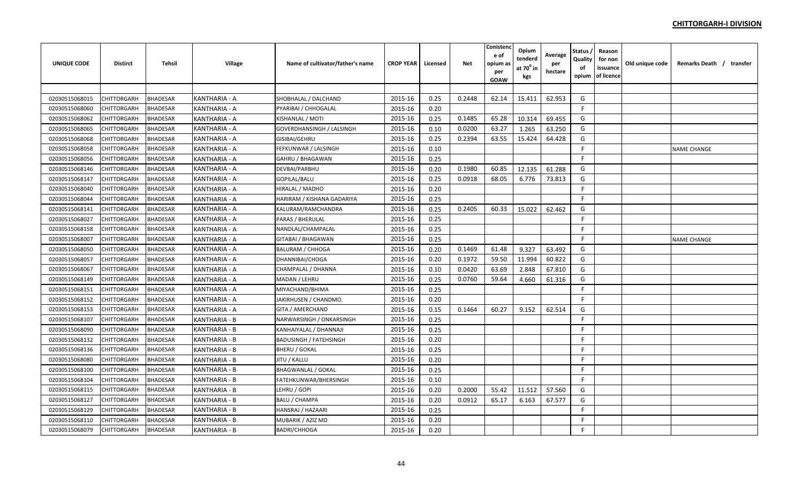| <b>UNIQUE CODE</b> | <b>Distirct</b>    | Tehsil          | Village              | Name of cultivator/father's name | <b>CROP YEAR</b> | Licensed | <b>Net</b> | Conistenc<br>e of<br>opium as<br>per<br><b>GOAW</b> | Opium<br>tenderd<br>at 70 <sup>0</sup> in<br>kgs | Average<br>per<br>hectare | Status<br>Quality<br>of<br>opium | Reason<br>for non<br>issuance<br>of licence | Old unique code | Remarks Death / transfer |
|--------------------|--------------------|-----------------|----------------------|----------------------------------|------------------|----------|------------|-----------------------------------------------------|--------------------------------------------------|---------------------------|----------------------------------|---------------------------------------------|-----------------|--------------------------|
|                    |                    |                 |                      |                                  |                  |          |            |                                                     |                                                  |                           |                                  |                                             |                 |                          |
| 02030515068015     | CHITTORGARH        | <b>BHADESAR</b> | KANTHARIA - A        | SHOBHALAL / DALCHAND             | 2015-16          | 0.25     | 0.2448     | 62.14                                               | 15.411                                           | 62.953                    | G                                |                                             |                 |                          |
| 02030515068060     | CHITTORGARH        | <b>BHADESAR</b> | KANTHARIA - A        | PYARIBAI / CHHOGALAL             | 2015-16          | 0.20     |            |                                                     |                                                  |                           | F.                               |                                             |                 |                          |
| 02030515068062     | CHITTORGARH        | <b>BHADESAR</b> | KANTHARIA - A        | KISHANLAL / MOTI                 | 2015-16          | 0.25     | 0.1485     | 65.28                                               | 10.314                                           | 69.455                    | G                                |                                             |                 |                          |
| 02030515068065     | CHITTORGARH        | <b>BHADESAR</b> | KANTHARIA - A        | GOVERDHANSINGH / LALSINGH        | 2015-16          | 0.10     | 0.0200     | 63.27                                               | 1.265                                            | 63.250                    | G                                |                                             |                 |                          |
| 02030515068068     | CHITTORGARH        | <b>BHADESAR</b> | KANTHARIA - A        | GISIBAI/GEHRU                    | 2015-16          | 0.25     | 0.2394     | 63.55                                               | 15.424                                           | 64.428                    | G                                |                                             |                 |                          |
| 02030515068058     | CHITTORGARH        | <b>BHADESAR</b> | KANTHARIA - A        | FEFKUNWAR / LALSINGH             | 2015-16          | 0.10     |            |                                                     |                                                  |                           | F                                |                                             |                 | <b>NAME CHANGE</b>       |
| 02030515068056     | CHITTORGARH        | <b>BHADESAR</b> | KANTHARIA - A        | GAHRU / BHAGAWAN                 | 2015-16          | 0.25     |            |                                                     |                                                  |                           | F.                               |                                             |                 |                          |
| 02030515068146     | CHITTORGARH        | <b>BHADESAR</b> | KANTHARIA - A        | DEVBAI/PARBHU                    | 2015-16          | 0.20     | 0.1980     | 60.85                                               | 12.135                                           | 61.288                    | G                                |                                             |                 |                          |
| 02030515068147     | CHITTORGARH        | <b>BHADESAR</b> | KANTHARIA - A        | GOPILAL/BALU                     | 2015-16          | 0.25     | 0.0918     | 68.05                                               | 6.776                                            | 73.813                    | G                                |                                             |                 |                          |
| 02030515068040     | CHITTORGARH        | <b>BHADESAR</b> | KANTHARIA - A        | HIRALAL / MADHO                  | 2015-16          | 0.20     |            |                                                     |                                                  |                           | F.                               |                                             |                 |                          |
| 02030515068044     | CHITTORGARH        | <b>BHADESAR</b> | KANTHARIA - A        | HARIRAM / KISHANA GADARIYA       | 2015-16          | 0.25     |            |                                                     |                                                  |                           | F.                               |                                             |                 |                          |
| 02030515068141     | CHITTORGARH        | <b>BHADESAR</b> | KANTHARIA - A        | KALURAM/RAMCHANDRA               | 2015-16          | 0.25     | 0.2405     | 60.33                                               | 15.022                                           | 62.462                    | G                                |                                             |                 |                          |
| 02030515068027     | CHITTORGARH        | <b>BHADESAR</b> | KANTHARIA - A        | PARAS / BHERULAL                 | 2015-16          | 0.25     |            |                                                     |                                                  |                           | E                                |                                             |                 |                          |
| 02030515068158     | CHITTORGARH        | <b>BHADESAR</b> | KANTHARIA - A        | NANDLAL/CHAMPALAL                | 2015-16          | 0.25     |            |                                                     |                                                  |                           | F                                |                                             |                 |                          |
| 02030515068007     | CHITTORGARH        | <b>BHADESAR</b> | KANTHARIA - A        | <b>GITABAI / BHAGAWAN</b>        | 2015-16          | 0.25     |            |                                                     |                                                  |                           | F                                |                                             |                 | <b>NAME CHANGE</b>       |
| 02030515068050     | CHITTORGARH        | <b>BHADESAR</b> | KANTHARIA - A        | <b>BALURAM / CHHOGA</b>          | 2015-16          | 0.20     | 0.1469     | 61.48                                               | 9.327                                            | 63.492                    | G                                |                                             |                 |                          |
| 02030515068057     | <b>CHITTORGARH</b> | <b>BHADESAR</b> | KANTHARIA - A        | DHANNIBAI/CHOGA                  | 2015-16          | 0.20     | 0.1972     | 59.50                                               | 11.994                                           | 60.822                    | G                                |                                             |                 |                          |
| 02030515068067     | CHITTORGARH        | <b>BHADESAR</b> | KANTHARIA - A        | CHAMPALAL / DHANNA               | 2015-16          | 0.10     | 0.0420     | 63.69                                               | 2.848                                            | 67.810                    | G                                |                                             |                 |                          |
| 02030515068149     | CHITTORGARH        | <b>BHADESAR</b> | KANTHARIA - A        | MADAN / LEHRU                    | 2015-16          | 0.25     | 0.0760     | 59.64                                               | 4.660                                            | 61.316                    | G                                |                                             |                 |                          |
| 02030515068151     | CHITTORGARH        | <b>BHADESAR</b> | KANTHARIA - A        | MIYACHAND/BHIMA                  | 2015-16          | 0.25     |            |                                                     |                                                  |                           | E                                |                                             |                 |                          |
| 02030515068152     | CHITTORGARH        | <b>BHADESAR</b> | KANTHARIA - A        | JAKIRHUSEN / CHANDMO.            | 2015-16          | 0.20     |            |                                                     |                                                  |                           | F                                |                                             |                 |                          |
| 02030515068153     | CHITTORGARH        | <b>BHADESAR</b> | KANTHARIA - A        | GITA / AMERCHAND                 | 2015-16          | 0.15     | 0.1464     | 60.27                                               | 9.152                                            | 62.514                    | G                                |                                             |                 |                          |
| 02030515068107     | CHITTORGARH        | <b>BHADESAR</b> | <b>KANTHARIA - B</b> | NARWARSINGH / ONKARSINGH         | 2015-16          | 0.25     |            |                                                     |                                                  |                           | F.                               |                                             |                 |                          |
| 02030515068090     | CHITTORGARH        | <b>BHADESAR</b> | <b>KANTHARIA - B</b> | KANHAIYALAL / DHANNAJI           | 2015-16          | 0.25     |            |                                                     |                                                  |                           | F.                               |                                             |                 |                          |
| 02030515068132     | CHITTORGARH        | <b>BHADESAR</b> | KANTHARIA - B        | <b>BADUSINGH / FATEHSINGH</b>    | 2015-16          | 0.20     |            |                                                     |                                                  |                           | F                                |                                             |                 |                          |
| 02030515068136     | CHITTORGARH        | <b>BHADESAR</b> | KANTHARIA - B        | <b>BHERU / GOKAL</b>             | 2015-16          | 0.25     |            |                                                     |                                                  |                           | F                                |                                             |                 |                          |
| 02030515068080     | CHITTORGARH        | <b>BHADESAR</b> | KANTHARIA - B        | JITU / KALLU                     | 2015-16          | 0.20     |            |                                                     |                                                  |                           | F                                |                                             |                 |                          |
| 02030515068100     | CHITTORGARH        | <b>BHADESAR</b> | KANTHARIA - B        | <b>BHAGWANLAL / GOKAL</b>        | 2015-16          | 0.25     |            |                                                     |                                                  |                           | F.                               |                                             |                 |                          |
| 02030515068104     | <b>CHITTORGARH</b> | <b>BHADESAR</b> | <b>KANTHARIA - B</b> | FATEHKUNWAR/BHERSINGH            | 2015-16          | 0.10     |            |                                                     |                                                  |                           | F.                               |                                             |                 |                          |
| 02030515068115     | CHITTORGARH        | <b>BHADESAR</b> | KANTHARIA - B        | LEHRU / GOPI                     | 2015-16          | 0.20     | 0.2000     | 55.42                                               | 11.512                                           | 57.560                    | G                                |                                             |                 |                          |
| 02030515068127     | <b>CHITTORGARH</b> | <b>BHADESAR</b> | KANTHARIA - B        | <b>BALU / CHAMPA</b>             | 2015-16          | 0.20     | 0.0912     | 65.17                                               | 6.163                                            | 67.577                    | G                                |                                             |                 |                          |
| 02030515068129     | CHITTORGARH        | <b>BHADESAR</b> | KANTHARIA - B        | HANSRAJ / HAZAARI                | 2015-16          | 0.25     |            |                                                     |                                                  |                           | F.                               |                                             |                 |                          |
| 02030515068110     | CHITTORGARH        | <b>BHADESAR</b> | <b>KANTHARIA - B</b> | MUBARIK / AZIZ MD                | 2015-16          | 0.20     |            |                                                     |                                                  |                           | F                                |                                             |                 |                          |
| 02030515068079     | <b>CHITTORGARH</b> | <b>BHADESAR</b> | <b>KANTHARIA - B</b> | <b>BADRI/CHHOGA</b>              | 2015-16          | 0.20     |            |                                                     |                                                  |                           | F                                |                                             |                 |                          |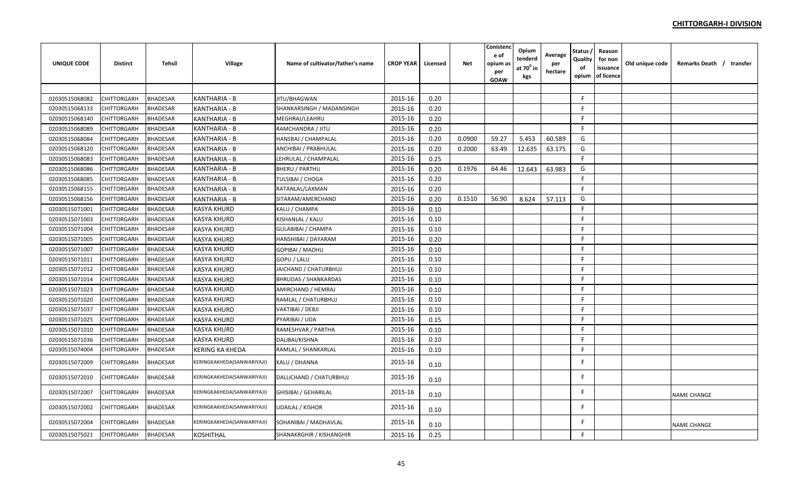| <b>UNIQUE CODE</b> | <b>Distirct</b>    | Tehsil          | Village                    | Name of cultivator/father's name | <b>CROP YEAR</b> | Licensed | <b>Net</b> | Conistenc<br>e of<br>opium as<br>per<br>GOAW | Opium<br>tenderd<br>at 70 <sup>0</sup> in<br>kgs | Average<br>per<br>hectare | Status<br>Quality<br>of<br>opium | Reason<br>for non<br>issuance<br>of licence | Old unique code | Remarks Death / transfer |
|--------------------|--------------------|-----------------|----------------------------|----------------------------------|------------------|----------|------------|----------------------------------------------|--------------------------------------------------|---------------------------|----------------------------------|---------------------------------------------|-----------------|--------------------------|
|                    |                    |                 |                            |                                  |                  |          |            |                                              |                                                  |                           |                                  |                                             |                 |                          |
| 02030515068082     | CHITTORGARH        | <b>BHADESAR</b> | KANTHARIA - B              | JITU/BHAGWAN                     | 2015-16          | 0.20     |            |                                              |                                                  |                           | F.                               |                                             |                 |                          |
| 02030515068133     | CHITTORGARH        | <b>BHADESAR</b> | KANTHARIA - B              | SHANKARSINGH / MADANSINGH        | 2015-16          | 0.20     |            |                                              |                                                  |                           | F.                               |                                             |                 |                          |
| 02030515068140     | <b>CHITTORGARH</b> | <b>BHADESAR</b> | <b>KANTHARIA - B</b>       | MEGHRAJ/LEAHRU                   | 2015-16          | 0.20     |            |                                              |                                                  |                           | F.                               |                                             |                 |                          |
| 02030515068089     | CHITTORGARH        | <b>BHADESAR</b> | <b>KANTHARIA - B</b>       | RAMCHANDRA / JITU                | 2015-16          | 0.20     |            |                                              |                                                  |                           | -F                               |                                             |                 |                          |
| 02030515068084     | CHITTORGARH        | <b>BHADESAR</b> | KANTHARIA - B              | HANSRAJ / CHAMPALAL              | 2015-16          | 0.20     | 0.0900     | 59.27                                        | 5.453                                            | 60.589                    | G                                |                                             |                 |                          |
| 02030515068120     | CHITTORGARH        | <b>BHADESAR</b> | <b>KANTHARIA - B</b>       | ANCHIBAI / PRABHULAL             | 2015-16          | 0.20     | 0.2000     | 63.49                                        | 12.635                                           | 63.175                    | G                                |                                             |                 |                          |
| 02030515068083     | CHITTORGARH        | <b>BHADESAR</b> | KANTHARIA - B              | LEHRULAL / CHAMPALAL             | 2015-16          | 0.25     |            |                                              |                                                  |                           | F.                               |                                             |                 |                          |
| 02030515068086     | CHITTORGARH        | <b>BHADESAR</b> | <b>KANTHARIA - B</b>       | <b>BHERU / PARTHU</b>            | 2015-16          | 0.20     | 0.1976     | 64.46                                        | 12.643                                           | 63.983                    | G                                |                                             |                 |                          |
| 02030515068085     | CHITTORGARH        | <b>BHADESAR</b> | KANTHARIA - B              | <b>TULSIBAI / CHOGA</b>          | 2015-16          | 0.20     |            |                                              |                                                  |                           | E                                |                                             |                 |                          |
| 02030515068155     | CHITTORGARH        | <b>BHADESAR</b> | KANTHARIA - B              | RATANLAL/LAXMAN                  | 2015-16          | 0.20     |            |                                              |                                                  |                           | F                                |                                             |                 |                          |
| 02030515068156     | CHITTORGARH        | <b>BHADESAR</b> | KANTHARIA - B              | SITARAM/AMERCHAND                | 2015-16          | 0.20     | 0.1510     | 56.90                                        | 8.624                                            | 57.113                    | G                                |                                             |                 |                          |
| 02030515071001     | <b>CHITTORGARH</b> | <b>BHADESAR</b> | <b>KASYA KHURD</b>         | KALU / CHAMPA                    | 2015-16          | 0.10     |            |                                              |                                                  |                           | F                                |                                             |                 |                          |
| 02030515071003     | CHITTORGARH        | <b>BHADESAR</b> | KASYA KHURD                | KISHANLAL / KALU                 | 2015-16          | 0.10     |            |                                              |                                                  |                           | $\mathsf{F}$                     |                                             |                 |                          |
| 02030515071004     | CHITTORGARH        | <b>BHADESAR</b> | KASYA KHURD                | GULABIBAI / CHAMPA               | 2015-16          | 0.10     |            |                                              |                                                  |                           | F.                               |                                             |                 |                          |
| 02030515071005     | <b>CHITTORGARH</b> | <b>BHADESAR</b> | <b>KASYA KHURD</b>         | HANSHIBAI / DAYARAM              | 2015-16          | 0.20     |            |                                              |                                                  |                           | E                                |                                             |                 |                          |
| 02030515071007     | <b>CHITTORGARH</b> | <b>BHADESAR</b> | <b>KASYA KHURD</b>         | GOPIBAI / MADHU                  | 2015-16          | 0.10     |            |                                              |                                                  |                           | F.                               |                                             |                 |                          |
| 02030515071011     | <b>CHITTORGARH</b> | <b>BHADESAR</b> | <b>KASYA KHURD</b>         | GOPU / LALU                      | 2015-16          | 0.10     |            |                                              |                                                  |                           | F                                |                                             |                 |                          |
| 02030515071012     | CHITTORGARH        | <b>BHADESAR</b> | <b>KASYA KHURD</b>         | JAICHAND / CHATURBHUJ            | 2015-16          | 0.10     |            |                                              |                                                  |                           | F.                               |                                             |                 |                          |
| 02030515071014     | CHITTORGARH        | <b>BHADESAR</b> | <b>KASYA KHURD</b>         | <b>BHRUDAS / SHANKARDAS</b>      | 2015-16          | 0.10     |            |                                              |                                                  |                           | F                                |                                             |                 |                          |
| 02030515071023     | CHITTORGARH        | <b>BHADESAR</b> | <b>KASYA KHURD</b>         | AMIRCHAND / HEMRAJ               | 2015-16          | 0.10     |            |                                              |                                                  |                           | F.                               |                                             |                 |                          |
| 02030515071020     | <b>CHITTORGARH</b> | <b>BHADESAR</b> | <b>KASYA KHURD</b>         | RAMLAL / CHATURBHUJ              | 2015-16          | 0.10     |            |                                              |                                                  |                           | F.                               |                                             |                 |                          |
| 02030515071037     | <b>CHITTORGARH</b> | <b>BHADESAR</b> | KASYA KHURD                | VAKTIBAI / DEBJI                 | 2015-16          | 0.10     |            |                                              |                                                  |                           | E                                |                                             |                 |                          |
| 02030515071025     | <b>CHITTORGARH</b> | <b>BHADESAR</b> | KASYA KHURD                | PYARIBAI / UDA                   | 2015-16          | 0.15     |            |                                              |                                                  |                           | F.                               |                                             |                 |                          |
| 02030515071010     | CHITTORGARH        | <b>BHADESAR</b> | <b>KASYA KHURD</b>         | RAMESHVAR / PARTHA               | 2015-16          | 0.10     |            |                                              |                                                  |                           | F                                |                                             |                 |                          |
| 02030515071036     | CHITTORGARH        | <b>BHADESAR</b> | <b>KASYA KHURD</b>         | DALIBAI/KISHNA                   | 2015-16          | 0.10     |            |                                              |                                                  |                           | F                                |                                             |                 |                          |
| 02030515074004     | <b>CHITTORGARH</b> | <b>BHADESAR</b> | <b>KERING KA KHEDA</b>     | RAMLAL / SHANKARLAL              | 2015-16          | 0.10     |            |                                              |                                                  |                           | F.                               |                                             |                 |                          |
| 02030515072009     | CHITTORGARH        | <b>BHADESAR</b> | KERINGKAKHEDA(SANWARIYAJI) | KALU / DHANNA                    | 2015-16          | 0.10     |            |                                              |                                                  |                           | F                                |                                             |                 |                          |
| 02030515072010     | <b>CHITTORGARH</b> | <b>BHADESAR</b> | KERINGKAKHEDA(SANWARIYAJI) | DALLICHAND / CHATURBHUJ          | 2015-16          | 0.10     |            |                                              |                                                  |                           | E                                |                                             |                 |                          |
| 02030515072007     | CHITTORGARH        | <b>BHADESAR</b> | KERINGKAKHEDA(SANWARIYAJI) | <b>GHISIBAI / GEHARILAL</b>      | 2015-16          | 0.10     |            |                                              |                                                  |                           | F                                |                                             |                 | <b>NAME CHANGE</b>       |
| 02030515072002     | CHITTORGARH        | <b>BHADESAR</b> | KERINGKAKHEDA(SANWARIYAJI) | <b>UDAILAL / KISHOR</b>          | 2015-16          | 0.10     |            |                                              |                                                  |                           | F                                |                                             |                 |                          |
| 02030515072004     | CHITTORGARH        | <b>BHADESAR</b> | KERINGKAKHEDA(SANWARIYAJI) | SOHANIBAI / MADHAVLAL            | 2015-16          | 0.10     |            |                                              |                                                  |                           |                                  |                                             |                 | <b>NAME CHANGE</b>       |
| 02030515075021     | <b>CHITTORGARH</b> | <b>BHADESAR</b> | <b>KOSHITHAL</b>           | SHANAKRGHIR / KISHANGHIR         | 2015-16          | 0.25     |            |                                              |                                                  |                           | F                                |                                             |                 |                          |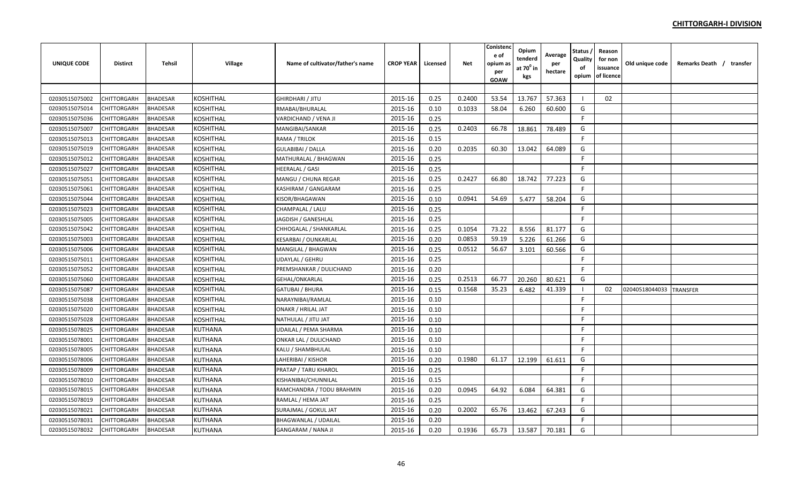| <b>UNIQUE CODE</b> | <b>Distirct</b>    | <b>Tehsil</b>   | <b>Village</b>   | Name of cultivator/father's name | <b>CROP YEAR</b> | Licensed | <b>Net</b> | Conistenc<br>e of<br>opium as<br>per<br>GOAW | Opium<br>tenderd<br>at $70^0$ in<br>kgs | Average<br>per<br>hectare | Status<br>Quality<br>of<br>opium | Reason<br>for non<br>issuance<br>of licence | Old unique code | Remarks Death / transfer |
|--------------------|--------------------|-----------------|------------------|----------------------------------|------------------|----------|------------|----------------------------------------------|-----------------------------------------|---------------------------|----------------------------------|---------------------------------------------|-----------------|--------------------------|
|                    |                    |                 |                  |                                  |                  |          |            |                                              |                                         |                           |                                  |                                             |                 |                          |
| 02030515075002     | CHITTORGARH        | <b>BHADESAR</b> | <b>KOSHITHAL</b> | <b>GHIRDHARI / JITU</b>          | 2015-16          | 0.25     | 0.2400     | 53.54                                        | 13.767                                  | 57.363                    | - 1                              | 02                                          |                 |                          |
| 02030515075014     | CHITTORGARH        | <b>BHADESAR</b> | KOSHITHAL        | RMABAI/BHURALAL                  | 2015-16          | 0.10     | 0.1033     | 58.04                                        | 6.260                                   | 60.600                    | G                                |                                             |                 |                          |
| 02030515075036     | CHITTORGARH        | <b>BHADESAR</b> | <b>KOSHITHAL</b> | VARDICHAND / VENA JI             | 2015-16          | 0.25     |            |                                              |                                         |                           | F                                |                                             |                 |                          |
| 02030515075007     | CHITTORGARH        | <b>BHADESAR</b> | KOSHITHAL        | MANGIBAI/SANKAR                  | 2015-16          | 0.25     | 0.2403     | 66.78                                        | 18.861                                  | 78.489                    | G                                |                                             |                 |                          |
| 02030515075013     | <b>CHITTORGARH</b> | <b>BHADESAR</b> | <b>KOSHITHAL</b> | RAMA / TRILOK                    | 2015-16          | 0.15     |            |                                              |                                         |                           | F.                               |                                             |                 |                          |
| 02030515075019     | CHITTORGARH        | <b>BHADESAR</b> | KOSHITHAL        | <b>GULABIBAI / DALLA</b>         | 2015-16          | 0.20     | 0.2035     | 60.30                                        | 13.042                                  | 64.089                    | G                                |                                             |                 |                          |
| 02030515075012     | CHITTORGARH        | <b>BHADESAR</b> | KOSHITHAL        | MATHURALAL / BHAGWAN             | 2015-16          | 0.25     |            |                                              |                                         |                           | F.                               |                                             |                 |                          |
| 02030515075027     | <b>CHITTORGARH</b> | <b>BHADESAR</b> | KOSHITHAL        | <b>HEERALAL / GASI</b>           | 2015-16          | 0.25     |            |                                              |                                         |                           | E                                |                                             |                 |                          |
| 02030515075051     | CHITTORGARH        | <b>BHADESAR</b> | KOSHITHAL        | MANGU / CHUNA REGAR              | 2015-16          | 0.25     | 0.2427     | 66.80                                        | 18.742                                  | 77.223                    | G                                |                                             |                 |                          |
| 02030515075061     | CHITTORGARH        | <b>BHADESAR</b> | <b>KOSHITHAL</b> | KASHIRAM / GANGARAM              | 2015-16          | 0.25     |            |                                              |                                         |                           | F.                               |                                             |                 |                          |
| 02030515075044     | <b>CHITTORGARH</b> | <b>BHADESAR</b> | <b>KOSHITHAL</b> | KISOR/BHAGAWAN                   | 2015-16          | 0.10     | 0.0941     | 54.69                                        | 5.477                                   | 58.204                    | G                                |                                             |                 |                          |
| 02030515075023     | <b>CHITTORGARH</b> | <b>BHADESAR</b> | KOSHITHAL        | CHAMPALAL / LALU                 | 2015-16          | 0.25     |            |                                              |                                         |                           | E                                |                                             |                 |                          |
| 02030515075005     | CHITTORGARH        | <b>BHADESAR</b> | KOSHITHAL        | JAGDISH / GANESHLAL              | 2015-16          | 0.25     |            |                                              |                                         |                           | F.                               |                                             |                 |                          |
| 02030515075042     | CHITTORGARH        | <b>BHADESAR</b> | KOSHITHAL        | CHHOGALAL / SHANKARLAL           | 2015-16          | 0.25     | 0.1054     | 73.22                                        | 8.556                                   | 81.177                    | G                                |                                             |                 |                          |
| 02030515075003     | CHITTORGARH        | <b>BHADESAR</b> | <b>KOSHITHAL</b> | <b>KESARBAI / OUNKARLAL</b>      | 2015-16          | 0.20     | 0.0853     | 59.19                                        | 5.226                                   | 61.266                    | G                                |                                             |                 |                          |
| 02030515075006     | CHITTORGARH        | <b>BHADESAR</b> | <b>KOSHITHAL</b> | MANGILAL / BHAGWAN               | 2015-16          | 0.25     | 0.0512     | 56.67                                        | 3.101                                   | 60.566                    | G                                |                                             |                 |                          |
| 02030515075011     | <b>CHITTORGARH</b> | <b>BHADESAR</b> | <b>KOSHITHAL</b> | <b>UDAYLAL / GEHRU</b>           | 2015-16          | 0.25     |            |                                              |                                         |                           | F                                |                                             |                 |                          |
| 02030515075052     | CHITTORGARH        | <b>BHADESAR</b> | KOSHITHAL        | PREMSHANKAR / DULICHAND          | 2015-16          | 0.20     |            |                                              |                                         |                           | -F                               |                                             |                 |                          |
| 02030515075060     | CHITTORGARH        | <b>BHADESAR</b> | KOSHITHAL        | <b>GEHAL/ONKARLAL</b>            | 2015-16          | 0.25     | 0.2513     | 66.77                                        | 20.260                                  | 80.621                    | G                                |                                             |                 |                          |
| 02030515075087     | CHITTORGARH        | <b>BHADESAR</b> | KOSHITHAL        | <b>GATUBAI / BHURA</b>           | 2015-16          | 0.15     | 0.1568     | 35.23                                        | 6.482                                   | 41.339                    |                                  | 02                                          | 02040518044033  | <b>TRANSFER</b>          |
| 02030515075038     | CHITTORGARH        | <b>BHADESAR</b> | <b>KOSHITHAL</b> | NARAYNIBAI/RAMLAL                | 2015-16          | 0.10     |            |                                              |                                         |                           | $\mathsf{F}$                     |                                             |                 |                          |
| 02030515075020     | CHITTORGARH        | <b>BHADESAR</b> | <b>KOSHITHAL</b> | <b>ONAKR / HRILAL JAT</b>        | 2015-16          | 0.10     |            |                                              |                                         |                           | E                                |                                             |                 |                          |
| 02030515075028     | <b>CHITTORGARH</b> | <b>BHADESAR</b> | <b>KOSHITHAL</b> | NATHULAL / JITU JAT              | 2015-16          | 0.10     |            |                                              |                                         |                           | F.                               |                                             |                 |                          |
| 02030515078025     | CHITTORGARH        | <b>BHADESAR</b> | <b>KUTHANA</b>   | UDAILAL / PEMA SHARMA            | 2015-16          | 0.10     |            |                                              |                                         |                           | F.                               |                                             |                 |                          |
| 02030515078001     | CHITTORGARH        | <b>BHADESAR</b> | KUTHANA          | ONKAR LAL / DULICHAND            | 2015-16          | 0.10     |            |                                              |                                         |                           | F                                |                                             |                 |                          |
| 02030515078005     | CHITTORGARH        | <b>BHADESAR</b> | <b>KUTHANA</b>   | KALU / SHAMBHULAL                | 2015-16          | 0.10     |            |                                              |                                         |                           | F                                |                                             |                 |                          |
| 02030515078006     | CHITTORGARH        | <b>BHADESAR</b> | <b>KUTHANA</b>   | LAHERIBAI / KISHOR               | 2015-16          | 0.20     | 0.1980     | 61.17                                        | 12.199                                  | 61.611                    | G                                |                                             |                 |                          |
| 02030515078009     | <b>CHITTORGARH</b> | <b>BHADESAR</b> | <b>KUTHANA</b>   | <b>PRATAP / TARU KHAROL</b>      | 2015-16          | 0.25     |            |                                              |                                         |                           | F.                               |                                             |                 |                          |
| 02030515078010     | <b>CHITTORGARH</b> | <b>BHADESAR</b> | <b>KUTHANA</b>   | KISHANIBAI/CHUNNILAL             | 2015-16          | 0.15     |            |                                              |                                         |                           | F.                               |                                             |                 |                          |
| 02030515078015     | CHITTORGARH        | <b>BHADESAR</b> | KUTHANA          | RAMCHANDRA / TODU BRAHMIN        | 2015-16          | 0.20     | 0.0945     | 64.92                                        | 6.084                                   | 64.381                    | G                                |                                             |                 |                          |
| 02030515078019     | CHITTORGARH        | <b>BHADESAR</b> | KUTHANA          | RAMLAL / HEMA JAT                | 2015-16          | 0.25     |            |                                              |                                         |                           | F.                               |                                             |                 |                          |
| 02030515078021     | CHITTORGARH        | <b>BHADESAR</b> | <b>KUTHANA</b>   | SURAJMAL / GOKUL JAT             | 2015-16          | 0.20     | 0.2002     | 65.76                                        | 13.462                                  | 67.243                    | G                                |                                             |                 |                          |
| 02030515078031     | CHITTORGARH        | <b>BHADESAR</b> | <b>KUTHANA</b>   | <b>BHAGWANLAL / UDAILAL</b>      | 2015-16          | 0.20     |            |                                              |                                         |                           | F.                               |                                             |                 |                          |
| 02030515078032     | <b>CHITTORGARH</b> | <b>BHADESAR</b> | <b>KUTHANA</b>   | <b>GANGARAM / NANA JI</b>        | 2015-16          | 0.20     | 0.1936     | 65.73                                        | 13.587                                  | 70.181                    | G                                |                                             |                 |                          |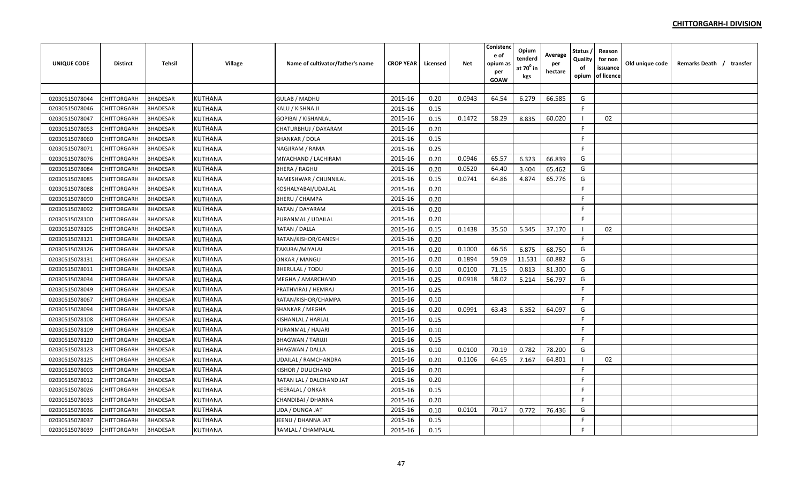| UNIQUE CODE    | <b>Distirct</b> | <b>Tehsil</b>   | Village        | Name of cultivator/father's name | <b>CROP YEAR</b> | Licensed | Net    | Conistenc<br>e of<br>opium a:<br>per<br>GOAW | Opium<br>tenderd<br>at $70^0$ in<br>kgs | Average<br>per<br>hectare | Status<br>Quality<br>of<br>opium | Reason<br>for non<br>issuance<br>of licence | Old unique code | Remarks Death / transfer |  |
|----------------|-----------------|-----------------|----------------|----------------------------------|------------------|----------|--------|----------------------------------------------|-----------------------------------------|---------------------------|----------------------------------|---------------------------------------------|-----------------|--------------------------|--|
|                |                 |                 |                |                                  |                  |          |        |                                              |                                         |                           |                                  |                                             |                 |                          |  |
| 02030515078044 | CHITTORGARH     | <b>BHADESAR</b> | <b>KUTHANA</b> | <b>GULAB / MADHU</b>             | 2015-16          | 0.20     | 0.0943 | 64.54                                        | 6.279                                   | 66.585                    | G                                |                                             |                 |                          |  |
| 02030515078046 | CHITTORGARH     | <b>BHADESAR</b> | <b>KUTHANA</b> | KALU / KISHNA JI                 | 2015-16          | 0.15     |        |                                              |                                         |                           | F                                |                                             |                 |                          |  |
| 02030515078047 | CHITTORGARH     | <b>BHADESAR</b> | <b>KUTHANA</b> | GOPIBAI / KISHANLAL              | 2015-16          | 0.15     | 0.1472 | 58.29                                        | 8.835                                   | 60.020                    |                                  | 02                                          |                 |                          |  |
| 02030515078053 | CHITTORGARH     | <b>BHADESAR</b> | <b>KUTHANA</b> | CHATURBHUJ / DAYARAM             | 2015-16          | 0.20     |        |                                              |                                         |                           | F                                |                                             |                 |                          |  |
| 02030515078060 | CHITTORGARH     | <b>BHADESAR</b> | <b>KUTHANA</b> | SHANKAR / DOLA                   | 2015-16          | 0.15     |        |                                              |                                         |                           | F.                               |                                             |                 |                          |  |
| 02030515078071 | CHITTORGARH     | <b>BHADESAR</b> | <b>KUTHANA</b> | NAGJIRAM / RAMA                  | 2015-16          | 0.25     |        |                                              |                                         |                           | F.                               |                                             |                 |                          |  |
| 02030515078076 | CHITTORGARH     | BHADESAR        | KUTHANA        | MIYACHAND / LACHIRAM             | 2015-16          | 0.20     | 0.0946 | 65.57                                        | 6.323                                   | 66.839                    | G                                |                                             |                 |                          |  |
| 02030515078084 | CHITTORGARH     | <b>BHADESAR</b> | <b>KUTHANA</b> | BHERA / RAGHU                    | 2015-16          | 0.20     | 0.0520 | 64.40                                        | 3.404                                   | 65.462                    | G                                |                                             |                 |                          |  |
| 02030515078085 | CHITTORGARH     | <b>BHADESAR</b> | <b>KUTHANA</b> | RAMESHWAR / CHUNNILAL            | 2015-16          | 0.15     | 0.0741 | 64.86                                        | 4.874                                   | 65.776                    | G                                |                                             |                 |                          |  |
| 02030515078088 | CHITTORGARH     | <b>BHADESAR</b> | <b>KUTHANA</b> | KOSHALYABAI/UDAILAL              | 2015-16          | 0.20     |        |                                              |                                         |                           | F.                               |                                             |                 |                          |  |
| 02030515078090 | CHITTORGARH     | <b>BHADESAR</b> | <b>KUTHANA</b> | BHERU / CHAMPA                   | 2015-16          | 0.20     |        |                                              |                                         |                           | F.                               |                                             |                 |                          |  |
| 02030515078092 | CHITTORGARH     | <b>BHADESAR</b> | <b>KUTHANA</b> | RATAN / DAYARAM                  | 2015-16          | 0.20     |        |                                              |                                         |                           | F                                |                                             |                 |                          |  |
| 02030515078100 | CHITTORGARH     | <b>BHADESAR</b> | KUTHANA        | PURANMAL / UDAILAL               | 2015-16          | 0.20     |        |                                              |                                         |                           | E                                |                                             |                 |                          |  |
| 02030515078105 | CHITTORGARH     | <b>BHADESAR</b> | <b>KUTHANA</b> | RATAN / DALLA                    | 2015-16          | 0.15     | 0.1438 | 35.50                                        | 5.345                                   | 37.170                    |                                  | 02                                          |                 |                          |  |
| 02030515078121 | CHITTORGARH     | <b>BHADESAR</b> | <b>KUTHANA</b> | RATAN/KISHOR/GANESH              | 2015-16          | 0.20     |        |                                              |                                         |                           | F                                |                                             |                 |                          |  |
| 02030515078126 | CHITTORGARH     | <b>BHADESAR</b> | <b>KUTHANA</b> | TAKUBAI/MIYALAL                  | 2015-16          | 0.20     | 0.1000 | 66.56                                        | 6.875                                   | 68.750                    | G                                |                                             |                 |                          |  |
| 02030515078131 | CHITTORGARH     | <b>BHADESAR</b> | <b>KUTHANA</b> | <b>ONKAR / MANGU</b>             | 2015-16          | 0.20     | 0.1894 | 59.09                                        | 11.531                                  | 60.882                    | G                                |                                             |                 |                          |  |
| 02030515078011 | CHITTORGARH     | BHADESAR        | KUTHANA        | BHERULAL / TODU                  | 2015-16          | 0.10     | 0.0100 | 71.15                                        | 0.813                                   | 81.300                    | G                                |                                             |                 |                          |  |
| 02030515078034 | CHITTORGARH     | <b>BHADESAR</b> | KUTHANA        | MEGHA / AMARCHAND                | 2015-16          | 0.25     | 0.0918 | 58.02                                        | 5.214                                   | 56.797                    | G                                |                                             |                 |                          |  |
| 02030515078049 | CHITTORGARH     | <b>BHADESAR</b> | <b>KUTHANA</b> | PRATHVIRAJ / HEMRAJ              | 2015-16          | 0.25     |        |                                              |                                         |                           | F                                |                                             |                 |                          |  |
| 02030515078067 | CHITTORGARH     | <b>BHADESAR</b> | <b>KUTHANA</b> | RATAN/KISHOR/CHAMPA              | 2015-16          | 0.10     |        |                                              |                                         |                           | F.                               |                                             |                 |                          |  |
| 02030515078094 | CHITTORGARH     | <b>BHADESAR</b> | <b>KUTHANA</b> | SHANKAR / MEGHA                  | 2015-16          | 0.20     | 0.0991 | 63.43                                        | 6.352                                   | 64.097                    | G                                |                                             |                 |                          |  |
| 02030515078108 | CHITTORGARH     | <b>BHADESAR</b> | <b>KUTHANA</b> | KISHANLAL / HARLAL               | 2015-16          | 0.15     |        |                                              |                                         |                           | F.                               |                                             |                 |                          |  |
| 02030515078109 | CHITTORGARH     | <b>BHADESAR</b> | <b>KUTHANA</b> | PURANMAL / HAJARI                | 2015-16          | 0.10     |        |                                              |                                         |                           | E                                |                                             |                 |                          |  |
| 02030515078120 | CHITTORGARH     | <b>BHADESAR</b> | <b>KUTHANA</b> | <b>BHAGWAN / TARUJI</b>          | 2015-16          | 0.15     |        |                                              |                                         |                           | F                                |                                             |                 |                          |  |
| 02030515078123 | CHITTORGARH     | <b>BHADESAR</b> | <b>KUTHANA</b> | BHAGWAN / DALLA                  | 2015-16          | 0.10     | 0.0100 | 70.19                                        | 0.782                                   | 78.200                    | G                                |                                             |                 |                          |  |
| 02030515078125 | CHITTORGARH     | <b>BHADESAR</b> | <b>KUTHANA</b> | UDAILAL / RAMCHANDRA             | 2015-16          | 0.20     | 0.1106 | 64.65                                        | 7.167                                   | 64.801                    | -1                               | 02                                          |                 |                          |  |
| 02030515078003 | CHITTORGARH     | <b>BHADESAR</b> | <b>KUTHANA</b> | KISHOR / DULICHAND               | 2015-16          | 0.20     |        |                                              |                                         |                           | F.                               |                                             |                 |                          |  |
| 02030515078012 | CHITTORGARH     | <b>BHADESAR</b> | <b>KUTHANA</b> | RATAN LAL / DALCHAND JAT         | 2015-16          | 0.20     |        |                                              |                                         |                           | F.                               |                                             |                 |                          |  |
| 02030515078026 | CHITTORGARH     | BHADESAR        | KUTHANA        | HEERALAL / ONKAR                 | 2015-16          | 0.15     |        |                                              |                                         |                           | F.                               |                                             |                 |                          |  |
| 02030515078033 | CHITTORGARH     | <b>BHADESAR</b> | <b>KUTHANA</b> | CHANDIBAI / DHANNA               | 2015-16          | 0.20     |        |                                              |                                         |                           | F                                |                                             |                 |                          |  |
| 02030515078036 | CHITTORGARH     | <b>BHADESAR</b> | <b>KUTHANA</b> | UDA / DUNGA JAT                  | 2015-16          | 0.10     | 0.0101 | 70.17                                        | 0.772                                   | 76.436                    | G                                |                                             |                 |                          |  |
| 02030515078037 | CHITTORGARH     | <b>BHADESAR</b> | <b>KUTHANA</b> | JEENU / DHANNA JAT               | 2015-16          | 0.15     |        |                                              |                                         |                           | F.                               |                                             |                 |                          |  |
| 02030515078039 | CHITTORGARH     | <b>BHADESAR</b> | <b>KUTHANA</b> | RAMLAL / CHAMPALAL               | 2015-16          | 0.15     |        |                                              |                                         |                           | F                                |                                             |                 |                          |  |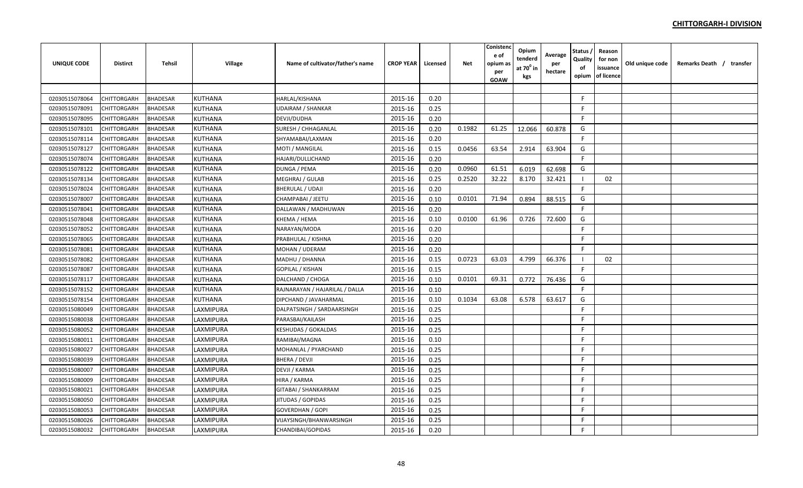| UNIQUE CODE    | <b>Distirct</b> | <b>Tehsil</b>   | Village        | Name of cultivator/father's name | <b>CROP YEAR</b> | Licensed | Net    | Conistenc<br>e of<br>opium a:<br>per<br>GOAW | Opium<br>tenderd<br>at $70^0$ in<br>kgs | Average<br>per<br>hectare | Status<br>Quality<br>of<br>opium | Reason<br>for non<br>issuance<br>of licence | Old unique code | Remarks Death / transfer |  |
|----------------|-----------------|-----------------|----------------|----------------------------------|------------------|----------|--------|----------------------------------------------|-----------------------------------------|---------------------------|----------------------------------|---------------------------------------------|-----------------|--------------------------|--|
|                |                 |                 |                |                                  |                  |          |        |                                              |                                         |                           |                                  |                                             |                 |                          |  |
| 02030515078064 | CHITTORGARH     | <b>BHADESAR</b> | <b>KUTHANA</b> | HARLAL/KISHANA                   | 2015-16          | 0.20     |        |                                              |                                         |                           | $\mathsf{F}$                     |                                             |                 |                          |  |
| 02030515078091 | CHITTORGARH     | <b>BHADESAR</b> | <b>KUTHANA</b> | UDAIRAM / SHANKAR                | 2015-16          | 0.25     |        |                                              |                                         |                           | F                                |                                             |                 |                          |  |
| 02030515078095 | CHITTORGARH     | <b>BHADESAR</b> | <b>KUTHANA</b> | DEVJI/DUDHA                      | 2015-16          | 0.20     |        |                                              |                                         |                           | F                                |                                             |                 |                          |  |
| 02030515078101 | CHITTORGARH     | <b>BHADESAR</b> | <b>KUTHANA</b> | SURESH / CHHAGANLAL              | 2015-16          | 0.20     | 0.1982 | 61.25                                        | 12.066                                  | 60.878                    | G                                |                                             |                 |                          |  |
| 02030515078114 | CHITTORGARH     | <b>BHADESAR</b> | <b>KUTHANA</b> | SHYAMABAI/LAXMAN                 | 2015-16          | 0.20     |        |                                              |                                         |                           | F.                               |                                             |                 |                          |  |
| 02030515078127 | CHITTORGARH     | <b>BHADESAR</b> | <b>KUTHANA</b> | MOTI / MANGILAL                  | 2015-16          | 0.15     | 0.0456 | 63.54                                        | 2.914                                   | 63.904                    | G                                |                                             |                 |                          |  |
| 02030515078074 | CHITTORGARH     | BHADESAR        | KUTHANA        | HAJARI/DULLICHAND                | 2015-16          | 0.20     |        |                                              |                                         |                           | F.                               |                                             |                 |                          |  |
| 02030515078122 | CHITTORGARH     | <b>BHADESAR</b> | KUTHANA        | DUNGA / PEMA                     | 2015-16          | 0.20     | 0.0960 | 61.51                                        | 6.019                                   | 62.698                    | G                                |                                             |                 |                          |  |
| 02030515078134 | CHITTORGARH     | <b>BHADESAR</b> | <b>KUTHANA</b> | MEGHRAJ / GULAB                  | 2015-16          | 0.25     | 0.2520 | 32.22                                        | 8.170                                   | 32.421                    |                                  | 02                                          |                 |                          |  |
| 02030515078024 | CHITTORGARH     | <b>BHADESAR</b> | <b>KUTHANA</b> | BHERULAL / UDAJI                 | 2015-16          | 0.20     |        |                                              |                                         |                           | F.                               |                                             |                 |                          |  |
| 02030515078007 | CHITTORGARH     | <b>BHADESAR</b> | <b>KUTHANA</b> | CHAMPABAI / JEETU                | 2015-16          | 0.10     | 0.0101 | 71.94                                        | 0.894                                   | 88.515                    | G                                |                                             |                 |                          |  |
| 02030515078041 | CHITTORGARH     | <b>BHADESAR</b> | <b>KUTHANA</b> | DALLAWAN / MADHUWAN              | 2015-16          | 0.20     |        |                                              |                                         |                           | F.                               |                                             |                 |                          |  |
| 02030515078048 | CHITTORGARH     | <b>BHADESAR</b> | KUTHANA        | KHEMA / HEMA                     | 2015-16          | 0.10     | 0.0100 | 61.96                                        | 0.726                                   | 72.600                    | G                                |                                             |                 |                          |  |
| 02030515078052 | CHITTORGARH     | <b>BHADESAR</b> | <b>KUTHANA</b> | NARAYAN/MODA                     | 2015-16          | 0.20     |        |                                              |                                         |                           | F                                |                                             |                 |                          |  |
| 02030515078065 | CHITTORGARH     | <b>BHADESAR</b> | <b>KUTHANA</b> | PRABHULAL / KISHNA               | 2015-16          | 0.20     |        |                                              |                                         |                           | F                                |                                             |                 |                          |  |
| 02030515078081 | CHITTORGARH     | <b>BHADESAR</b> | <b>KUTHANA</b> | MOHAN / UDERAM                   | 2015-16          | 0.20     |        |                                              |                                         |                           | F                                |                                             |                 |                          |  |
| 02030515078082 | CHITTORGARH     | <b>BHADESAR</b> | <b>KUTHANA</b> | MADHU / DHANNA                   | 2015-16          | 0.15     | 0.0723 | 63.03                                        | 4.799                                   | 66.376                    | $\blacksquare$                   | 02                                          |                 |                          |  |
| 02030515078087 | CHITTORGARH     | <b>BHADESAR</b> | <b>KUTHANA</b> | GOPILAL / KISHAN                 | 2015-16          | 0.15     |        |                                              |                                         |                           | F.                               |                                             |                 |                          |  |
| 02030515078117 | CHITTORGARH     | BHADESAR        | <b>KUTHANA</b> | DALCHAND / CHOGA                 | 2015-16          | 0.10     | 0.0101 | 69.31                                        | 0.772                                   | 76.436                    | G                                |                                             |                 |                          |  |
| 02030515078152 | CHITTORGARH     | <b>BHADESAR</b> | <b>KUTHANA</b> | RAJNARAYAN / HAJARILAL / DALLA   | 2015-16          | 0.10     |        |                                              |                                         |                           | F.                               |                                             |                 |                          |  |
| 02030515078154 | CHITTORGARH     | <b>BHADESAR</b> | <b>KUTHANA</b> | DIPCHAND / JAVAHARMAL            | 2015-16          | 0.10     | 0.1034 | 63.08                                        | 6.578                                   | 63.617                    | G                                |                                             |                 |                          |  |
| 02030515080049 | CHITTORGARH     | <b>BHADESAR</b> | LAXMIPURA      | DALPATSINGH / SARDAARSINGH       | 2015-16          | 0.25     |        |                                              |                                         |                           | F.                               |                                             |                 |                          |  |
| 02030515080038 | CHITTORGARH     | <b>BHADESAR</b> | LAXMIPURA      | PARASBAI/KAILASH                 | 2015-16          | 0.25     |        |                                              |                                         |                           | F.                               |                                             |                 |                          |  |
| 02030515080052 | CHITTORGARH     | <b>BHADESAR</b> | LAXMIPURA      | <b>KESHUDAS / GOKALDAS</b>       | 2015-16          | 0.25     |        |                                              |                                         |                           | F                                |                                             |                 |                          |  |
| 02030515080011 | CHITTORGARH     | <b>BHADESAR</b> | LAXMIPURA      | RAMIBAI/MAGNA                    | 2015-16          | 0.10     |        |                                              |                                         |                           | F                                |                                             |                 |                          |  |
| 02030515080027 | CHITTORGARH     | <b>BHADESAR</b> | LAXMIPURA      | MOHANLAL / PYARCHAND             | 2015-16          | 0.25     |        |                                              |                                         |                           | F                                |                                             |                 |                          |  |
| 02030515080039 | CHITTORGARH     | <b>BHADESAR</b> | LAXMIPURA      | BHERA / DEVJI                    | 2015-16          | 0.25     |        |                                              |                                         |                           | F                                |                                             |                 |                          |  |
| 02030515080007 | CHITTORGARH     | <b>BHADESAR</b> | LAXMIPURA      | DEVJI / KARMA                    | 2015-16          | 0.25     |        |                                              |                                         |                           | F                                |                                             |                 |                          |  |
| 02030515080009 | CHITTORGARH     | <b>BHADESAR</b> | LAXMIPURA      | HIRA / KARMA                     | 2015-16          | 0.25     |        |                                              |                                         |                           | F.                               |                                             |                 |                          |  |
| 02030515080021 | CHITTORGARH     | <b>BHADESAR</b> | LAXMIPURA      | GITABAI / SHANKARRAM             | 2015-16          | 0.25     |        |                                              |                                         |                           | F.                               |                                             |                 |                          |  |
| 02030515080050 | CHITTORGARH     | <b>BHADESAR</b> | LAXMIPURA      | <b>IITUDAS / GOPIDAS</b>         | 2015-16          | 0.25     |        |                                              |                                         |                           | F.                               |                                             |                 |                          |  |
| 02030515080053 | CHITTORGARH     | <b>BHADESAR</b> | LAXMIPURA      | GOVERDHAN / GOPI                 | 2015-16          | 0.25     |        |                                              |                                         |                           | F                                |                                             |                 |                          |  |
| 02030515080026 | CHITTORGARH     | <b>BHADESAR</b> | LAXMIPURA      | VIJAYSINGH/BHANWARSINGH          | 2015-16          | 0.25     |        |                                              |                                         |                           | F                                |                                             |                 |                          |  |
| 02030515080032 | CHITTORGARH     | <b>BHADESAR</b> | LAXMIPURA      | CHANDIBAI/GOPIDAS                | 2015-16          | 0.20     |        |                                              |                                         |                           | F                                |                                             |                 |                          |  |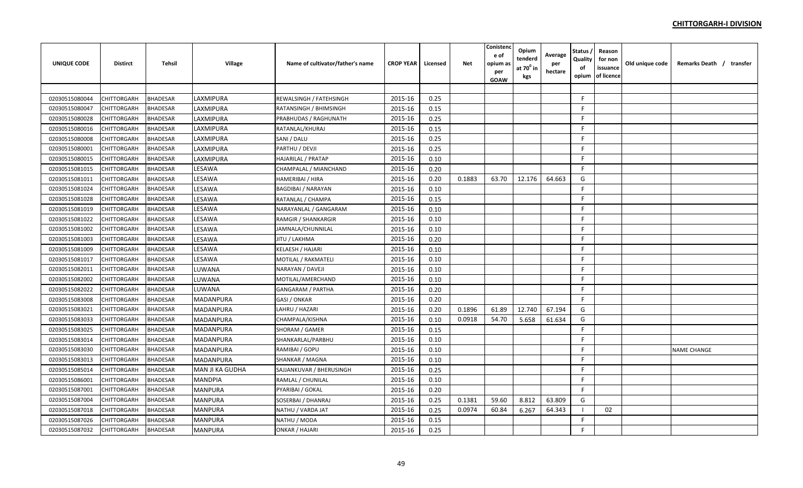| <b>UNIQUE CODE</b> | <b>Distirct</b>    | <b>Tehsil</b>   | Village          | Name of cultivator/father's name | <b>CROP YEAR</b> | Licensed | <b>Net</b> | Conistenc<br>e of<br>opium as<br>per<br><b>GOAW</b> | Opium<br>tenderd<br>at 70º in<br>kgs | Average<br>per<br>hectare | Status ,<br>Quality<br>of<br>opium | Reason<br>for non<br>issuance<br>of licence | Old unique code | Remarks Death / transfer |
|--------------------|--------------------|-----------------|------------------|----------------------------------|------------------|----------|------------|-----------------------------------------------------|--------------------------------------|---------------------------|------------------------------------|---------------------------------------------|-----------------|--------------------------|
|                    |                    |                 |                  |                                  |                  |          |            |                                                     |                                      |                           |                                    |                                             |                 |                          |
| 02030515080044     | <b>CHITTORGARH</b> | <b>BHADESAR</b> | LAXMIPURA        | REWALSINGH / FATEHSINGH          | 2015-16          | 0.25     |            |                                                     |                                      |                           | F.                                 |                                             |                 |                          |
| 02030515080047     | <b>CHITTORGARH</b> | <b>BHADESAR</b> | LAXMIPURA        | RATANSINGH / BHIMSINGH           | 2015-16          | 0.15     |            |                                                     |                                      |                           | F.                                 |                                             |                 |                          |
| 02030515080028     | <b>CHITTORGARH</b> | <b>BHADESAR</b> | LAXMIPURA        | PRABHUDAS / RAGHUNATH            | 2015-16          | 0.25     |            |                                                     |                                      |                           | F.                                 |                                             |                 |                          |
| 02030515080016     | CHITTORGARH        | <b>BHADESAR</b> | LAXMIPURA        | RATANLAL/KHURAJ                  | 2015-16          | 0.15     |            |                                                     |                                      |                           | F.                                 |                                             |                 |                          |
| 02030515080008     | <b>CHITTORGARH</b> | <b>BHADESAR</b> | LAXMIPURA        | SANI / DALU                      | 2015-16          | 0.25     |            |                                                     |                                      |                           | F.                                 |                                             |                 |                          |
| 02030515080001     | <b>CHITTORGARH</b> | <b>BHADESAR</b> | LAXMIPURA        | PARTHU / DEVJI                   | 2015-16          | 0.25     |            |                                                     |                                      |                           | F.                                 |                                             |                 |                          |
| 02030515080015     | CHITTORGARH        | BHADESAR        | LAXMIPURA        | HAJARILAL / PRATAP               | 2015-16          | 0.10     |            |                                                     |                                      |                           | F.                                 |                                             |                 |                          |
| 02030515081015     | <b>CHITTORGARH</b> | <b>BHADESAR</b> | LESAWA           | CHAMPALAL / MIANCHAND            | 2015-16          | 0.20     |            |                                                     |                                      |                           | F.                                 |                                             |                 |                          |
| 02030515081011     | <b>CHITTORGARH</b> | <b>BHADESAR</b> | LESAWA           | HAMERIBAI / HIRA                 | 2015-16          | 0.20     | 0.1883     | 63.70                                               | 12.176                               | 64.663                    | G                                  |                                             |                 |                          |
| 02030515081024     | CHITTORGARH        | <b>BHADESAR</b> | LESAWA           | <b>BAGDIBAI / NARAYAN</b>        | 2015-16          | 0.10     |            |                                                     |                                      |                           | F.                                 |                                             |                 |                          |
| 02030515081028     | <b>CHITTORGARH</b> | <b>BHADESAR</b> | LESAWA           | RATANLAL / CHAMPA                | 2015-16          | 0.15     |            |                                                     |                                      |                           | F.                                 |                                             |                 |                          |
| 02030515081019     | <b>CHITTORGARH</b> | <b>BHADESAR</b> | LESAWA           | NARAYANLAL / GANGARAM            | 2015-16          | 0.10     |            |                                                     |                                      |                           | F                                  |                                             |                 |                          |
| 02030515081022     | <b>CHITTORGARH</b> | <b>BHADESAR</b> | LESAWA           | RAMGIR / SHANKARGIR              | 2015-16          | 0.10     |            |                                                     |                                      |                           | F.                                 |                                             |                 |                          |
| 02030515081002     | <b>CHITTORGARH</b> | <b>BHADESAR</b> | LESAWA           | JAMNALA/CHUNNILAL                | 2015-16          | 0.10     |            |                                                     |                                      |                           | F.                                 |                                             |                 |                          |
| 02030515081003     | CHITTORGARH        | <b>BHADESAR</b> | LESAWA           | IITU / LAKHMA                    | 2015-16          | 0.20     |            |                                                     |                                      |                           | F.                                 |                                             |                 |                          |
| 02030515081009     | <b>CHITTORGARH</b> | <b>BHADESAR</b> | LESAWA           | KELAESH / HAJARI                 | 2015-16          | 0.10     |            |                                                     |                                      |                           | F.                                 |                                             |                 |                          |
| 02030515081017     | <b>CHITTORGARH</b> | <b>BHADESAR</b> | LESAWA           | MOTILAL / RAKMATELI              | 2015-16          | 0.10     |            |                                                     |                                      |                           | F.                                 |                                             |                 |                          |
| 02030515082011     | <b>CHITTORGARH</b> | <b>BHADESAR</b> | LUWANA           | NARAYAN / DAVEJI                 | 2015-16          | 0.10     |            |                                                     |                                      |                           | F.                                 |                                             |                 |                          |
| 02030515082002     | <b>CHITTORGARH</b> | <b>BHADESAR</b> | LUWANA           | MOTILAL/AMERCHAND                | 2015-16          | 0.10     |            |                                                     |                                      |                           | F.                                 |                                             |                 |                          |
| 02030515082022     | <b>CHITTORGARH</b> | <b>BHADESAR</b> | LUWANA           | GANGARAM / PARTHA                | 2015-16          | 0.20     |            |                                                     |                                      |                           | F.                                 |                                             |                 |                          |
| 02030515083008     | CHITTORGARH        | <b>BHADESAR</b> | MADANPURA        | GASI / ONKAR                     | 2015-16          | 0.20     |            |                                                     |                                      |                           | F.                                 |                                             |                 |                          |
| 02030515083021     | <b>CHITTORGARH</b> | <b>BHADESAR</b> | MADANPURA        | LAHRU / HAZARI                   | 2015-16          | 0.20     | 0.1896     | 61.89                                               | 12.740                               | 67.194                    | G                                  |                                             |                 |                          |
| 02030515083033     | <b>CHITTORGARH</b> | <b>BHADESAR</b> | MADANPURA        | CHAMPALA/KISHNA                  | 2015-16          | 0.10     | 0.0918     | 54.70                                               | 5.658                                | 61.634                    | G                                  |                                             |                 |                          |
| 02030515083025     | <b>CHITTORGARH</b> | <b>BHADESAR</b> | MADANPURA        | SHORAM / GAMER                   | 2015-16          | 0.15     |            |                                                     |                                      |                           | E                                  |                                             |                 |                          |
| 02030515083014     | <b>CHITTORGARH</b> | <b>BHADESAR</b> | MADANPURA        | SHANKARLAL/PARBHU                | 2015-16          | 0.10     |            |                                                     |                                      |                           | F.                                 |                                             |                 |                          |
| 02030515083030     | CHITTORGARH        | <b>BHADESAR</b> | MADANPURA        | RAMIBAI / GOPU                   | 2015-16          | 0.10     |            |                                                     |                                      |                           | F.                                 |                                             |                 | <b>NAME CHANGE</b>       |
| 02030515083013     | <b>CHITTORGARH</b> | <b>BHADESAR</b> | <b>MADANPURA</b> | SHANKAR / MAGNA                  | 2015-16          | 0.10     |            |                                                     |                                      |                           | F.                                 |                                             |                 |                          |
| 02030515085014     | <b>CHITTORGARH</b> | <b>BHADESAR</b> | MAN JI KA GUDHA  | SAJJANKUVAR / BHERUSINGH         | 2015-16          | 0.25     |            |                                                     |                                      |                           | F.                                 |                                             |                 |                          |
| 02030515086001     | <b>CHITTORGARH</b> | <b>BHADESAR</b> | <b>MANDPIA</b>   | RAMLAL / CHUNILAL                | 2015-16          | 0.10     |            |                                                     |                                      |                           | F.                                 |                                             |                 |                          |
| 02030515087001     | CHITTORGARH        | BHADESAR        | MANPURA          | PYARIBAI / GOKAL                 | 2015-16          | 0.20     |            |                                                     |                                      |                           | F.                                 |                                             |                 |                          |
| 02030515087004     | <b>CHITTORGARH</b> | <b>BHADESAR</b> | <b>MANPURA</b>   | SOSERBAI / DHANRAJ               | 2015-16          | 0.25     | 0.1381     | 59.60                                               | 8.812                                | 63.809                    | G                                  |                                             |                 |                          |
| 02030515087018     | CHITTORGARH        | <b>BHADESAR</b> | <b>MANPURA</b>   | NATHU / VARDA JAT                | 2015-16          | 0.25     | 0.0974     | 60.84                                               | 6.267                                | 64.343                    |                                    | 02                                          |                 |                          |
| 02030515087026     | CHITTORGARH        | <b>BHADESAR</b> | <b>MANPURA</b>   | NATHU / MODA                     | 2015-16          | 0.15     |            |                                                     |                                      |                           | F.                                 |                                             |                 |                          |
| 02030515087032     | <b>CHITTORGARH</b> | <b>BHADESAR</b> | <b>MANPURA</b>   | ONKAR / HAJARI                   | 2015-16          | 0.25     |            |                                                     |                                      |                           | F.                                 |                                             |                 |                          |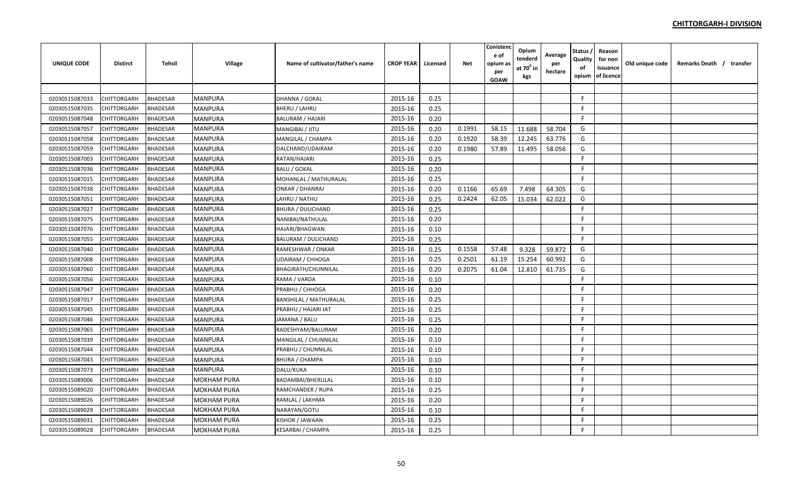| <b>UNIQUE CODE</b> | <b>Distirct</b>    | Tehsil          | Village            | Name of cultivator/father's name | <b>CROP YEAR</b> | Licensed | <b>Net</b> | Conistenc<br>e of<br>opium as<br>per<br><b>GOAW</b> | Opium<br>tenderd<br>at 70 <sup>0</sup> in<br>kgs | Average<br>per<br>hectare | Status<br>Quality<br>of<br>opium | Reason<br>for non<br>issuance<br>of licence | Old unique code | Remarks Death / transfer |  |
|--------------------|--------------------|-----------------|--------------------|----------------------------------|------------------|----------|------------|-----------------------------------------------------|--------------------------------------------------|---------------------------|----------------------------------|---------------------------------------------|-----------------|--------------------------|--|
|                    |                    |                 |                    |                                  |                  |          |            |                                                     |                                                  |                           |                                  |                                             |                 |                          |  |
| 02030515087033     | CHITTORGARH        | <b>BHADESAR</b> | <b>MANPURA</b>     | DHANNA / GOKAL                   | 2015-16          | 0.25     |            |                                                     |                                                  |                           | $\mathsf{F}$                     |                                             |                 |                          |  |
| 02030515087035     | CHITTORGARH        | <b>BHADESAR</b> | <b>MANPURA</b>     | <b>BHERU / LAHRU</b>             | 2015-16          | 0.25     |            |                                                     |                                                  |                           | F.                               |                                             |                 |                          |  |
| 02030515087048     | CHITTORGARH        | <b>BHADESAR</b> | <b>MANPURA</b>     | <b>BALURAM / HAJARI</b>          | 2015-16          | 0.20     |            |                                                     |                                                  |                           | F.                               |                                             |                 |                          |  |
| 02030515087057     | CHITTORGARH        | <b>BHADESAR</b> | <b>MANPURA</b>     | MANGIBAI / JITU                  | 2015-16          | 0.20     | 0.1991     | 58.15                                               | 11.688                                           | 58.704                    | G                                |                                             |                 |                          |  |
| 02030515087058     | <b>CHITTORGARH</b> | <b>BHADESAR</b> | <b>MANPURA</b>     | MANGILAL / CHAMPA                | 2015-16          | 0.20     | 0.1920     | 58.39                                               | 12.245                                           | 63.776                    | G                                |                                             |                 |                          |  |
| 02030515087059     | <b>CHITTORGARH</b> | <b>BHADESAR</b> | <b>MANPURA</b>     | DALCHAND/UDAIRAM                 | 2015-16          | 0.20     | 0.1980     | 57.89                                               | 11.495                                           | 58.056                    | G                                |                                             |                 |                          |  |
| 02030515087003     | CHITTORGARH        | <b>BHADESAR</b> | <b>MANPURA</b>     | RATAN/HAJARI                     | 2015-16          | 0.25     |            |                                                     |                                                  |                           | F.                               |                                             |                 |                          |  |
| 02030515087036     | CHITTORGARH        | <b>BHADESAR</b> | <b>MANPURA</b>     | <b>BALU / GOKAL</b>              | 2015-16          | 0.20     |            |                                                     |                                                  |                           | E                                |                                             |                 |                          |  |
| 02030515087015     | CHITTORGARH        | <b>BHADESAR</b> | <b>MANPURA</b>     | MOHANLAL / MATHURALAL            | 2015-16          | 0.25     |            |                                                     |                                                  |                           | E                                |                                             |                 |                          |  |
| 02030515087038     | CHITTORGARH        | <b>BHADESAR</b> | <b>MANPURA</b>     | <b>ONKAR / DHANRAJ</b>           | 2015-16          | 0.20     | 0.1166     | 65.69                                               | 7.498                                            | 64.305                    | G                                |                                             |                 |                          |  |
| 02030515087051     | <b>CHITTORGARH</b> | <b>BHADESAR</b> | <b>MANPURA</b>     | LAHRU / NATHU                    | 2015-16          | 0.25     | 0.2424     | 62.05                                               | 15.034                                           | 62.022                    | G                                |                                             |                 |                          |  |
| 02030515087027     | CHITTORGARH        | <b>BHADESAR</b> | <b>MANPURA</b>     | <b>BHURA / DULICHAND</b>         | 2015-16          | 0.25     |            |                                                     |                                                  |                           | F.                               |                                             |                 |                          |  |
| 02030515087075     | CHITTORGARH        | <b>BHADESAR</b> | <b>MANPURA</b>     | NANIBAI/NATHULAL                 | 2015-16          | 0.20     |            |                                                     |                                                  |                           | E                                |                                             |                 |                          |  |
| 02030515087076     | CHITTORGARH        | <b>BHADESAR</b> | <b>MANPURA</b>     | <b>HAJARI/BHAGWAN</b>            | 2015-16          | 0.10     |            |                                                     |                                                  |                           | F                                |                                             |                 |                          |  |
| 02030515087055     | CHITTORGARH        | <b>BHADESAR</b> | <b>MANPURA</b>     | <b>BALURAM / DULICHAND</b>       | 2015-16          | 0.25     |            |                                                     |                                                  |                           | F                                |                                             |                 |                          |  |
| 02030515087040     | CHITTORGARH        | <b>BHADESAR</b> | <b>MANPURA</b>     | RAMESHWAR / ONKAR                | 2015-16          | 0.25     | 0.1558     | 57.48                                               | 9.328                                            | 59.872                    | G                                |                                             |                 |                          |  |
| 02030515087008     | <b>CHITTORGARH</b> | <b>BHADESAR</b> | <b>MANPURA</b>     | <b>UDAIRAM / CHHOGA</b>          | 2015-16          | 0.25     | 0.2501     | 61.19                                               | 15.254                                           | 60.992                    | G                                |                                             |                 |                          |  |
| 02030515087060     | CHITTORGARH        | <b>BHADESAR</b> | <b>MANPURA</b>     | <b>BHAGIRATH/CHUNNILAL</b>       | 2015-16          | 0.20     | 0.2075     | 61.04                                               | 12.810                                           | 61.735                    | G                                |                                             |                 |                          |  |
| 02030515087056     | CHITTORGARH        | <b>BHADESAR</b> | <b>MANPURA</b>     | RAMA / VARDA                     | 2015-16          | 0.10     |            |                                                     |                                                  |                           | E                                |                                             |                 |                          |  |
| 02030515087047     | <b>CHITTORGARH</b> | <b>BHADESAR</b> | <b>MANPURA</b>     | PRABHU / CHHOGA                  | 2015-16          | 0.20     |            |                                                     |                                                  |                           | E                                |                                             |                 |                          |  |
| 02030515087017     | <b>CHITTORGARH</b> | <b>BHADESAR</b> | <b>MANPURA</b>     | <b>BANSHILAL / MATHURALAL</b>    | 2015-16          | 0.25     |            |                                                     |                                                  |                           | E                                |                                             |                 |                          |  |
| 02030515087045     | CHITTORGARH        | <b>BHADESAR</b> | <b>MANPURA</b>     | PRABHU / HAJARI JAT              | 2015-16          | 0.25     |            |                                                     |                                                  |                           | F                                |                                             |                 |                          |  |
| 02030515087046     | <b>CHITTORGARH</b> | <b>BHADESAR</b> | <b>MANPURA</b>     | JAMANA / BALU                    | 2015-16          | 0.25     |            |                                                     |                                                  |                           | F.                               |                                             |                 |                          |  |
| 02030515087065     | CHITTORGARH        | <b>BHADESAR</b> | <b>MANPURA</b>     | RADESHYAM/BALURAM                | 2015-16          | 0.20     |            |                                                     |                                                  |                           | F.                               |                                             |                 |                          |  |
| 02030515087039     | CHITTORGARH        | <b>BHADESAR</b> | <b>MANPURA</b>     | MANGILAL / CHUNNILAL             | 2015-16          | 0.10     |            |                                                     |                                                  |                           | F                                |                                             |                 |                          |  |
| 02030515087044     | <b>CHITTORGARH</b> | <b>BHADESAR</b> | <b>MANPURA</b>     | PRABHU / CHUNNILAL               | 2015-16          | 0.10     |            |                                                     |                                                  |                           | F                                |                                             |                 |                          |  |
| 02030515087043     | CHITTORGARH        | <b>BHADESAR</b> | <b>MANPURA</b>     | <b>BHURA / CHAMPA</b>            | 2015-16          | 0.10     |            |                                                     |                                                  |                           | F.                               |                                             |                 |                          |  |
| 02030515087073     | CHITTORGARH        | <b>BHADESAR</b> | <b>MANPURA</b>     | DALU/KUKA                        | 2015-16          | 0.10     |            |                                                     |                                                  |                           | E                                |                                             |                 |                          |  |
| 02030515089006     | <b>CHITTORGARH</b> | <b>BHADESAR</b> | <b>MOKHAM PURA</b> | BADAMBAI/BHERULAL                | 2015-16          | 0.10     |            |                                                     |                                                  |                           | F                                |                                             |                 |                          |  |
| 02030515089020     | CHITTORGARH        | <b>BHADESAR</b> | MOKHAM PURA        | RAMCHANDER / RUPA                | 2015-16          | 0.25     |            |                                                     |                                                  |                           | F.                               |                                             |                 |                          |  |
| 02030515089026     | CHITTORGARH        | <b>BHADESAR</b> | MOKHAM PURA        | RAMLAL / LAKHMA                  | 2015-16          | 0.20     |            |                                                     |                                                  |                           | F.                               |                                             |                 |                          |  |
| 02030515089029     | CHITTORGARH        | <b>BHADESAR</b> | <b>MOKHAM PURA</b> | NARAYAN/GOTU                     | 2015-16          | 0.10     |            |                                                     |                                                  |                           | F.                               |                                             |                 |                          |  |
| 02030515089031     | CHITTORGARH        | <b>BHADESAR</b> | <b>MOKHAM PURA</b> | KISHOR / JAWAAN                  | 2015-16          | 0.25     |            |                                                     |                                                  |                           | F                                |                                             |                 |                          |  |
| 02030515089028     | <b>CHITTORGARH</b> | <b>BHADESAR</b> | <b>MOKHAM PURA</b> | <b>KESARBAI / CHAMPA</b>         | 2015-16          | 0.25     |            |                                                     |                                                  |                           | F                                |                                             |                 |                          |  |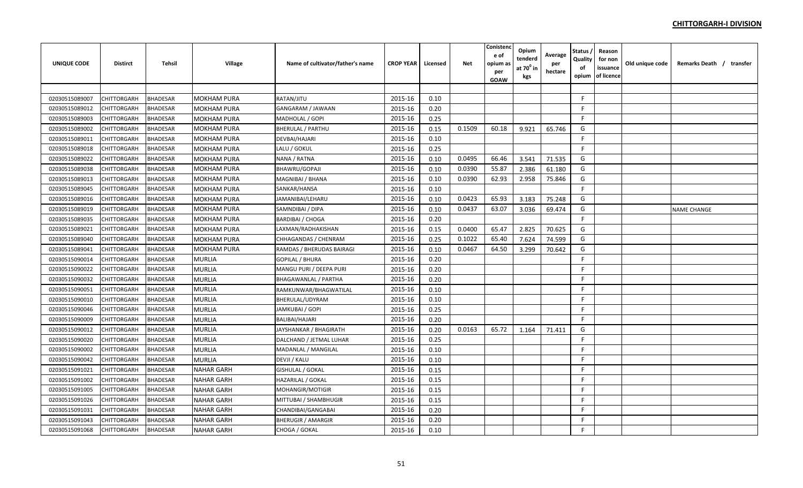| <b>UNIQUE CODE</b> | <b>Distirct</b>    | <b>Tehsil</b>   | Village            | Name of cultivator/father's name | <b>CROP YEAR</b> | Licensed | <b>Net</b> | Conistenc<br>e of<br>opium as<br>per<br><b>GOAW</b> | Opium<br>tenderd<br>at 70 <sup>°</sup> in<br>kgs | Average<br>per<br>hectare | Status<br>Quality<br>of<br>opium | Reason<br>for non<br>issuance<br>of licence | Old unique code | Remarks Death / transfer |  |
|--------------------|--------------------|-----------------|--------------------|----------------------------------|------------------|----------|------------|-----------------------------------------------------|--------------------------------------------------|---------------------------|----------------------------------|---------------------------------------------|-----------------|--------------------------|--|
|                    |                    |                 |                    |                                  |                  |          |            |                                                     |                                                  |                           |                                  |                                             |                 |                          |  |
| 02030515089007     | CHITTORGARH        | <b>BHADESAR</b> | <b>MOKHAM PURA</b> | RATAN/JITU                       | 2015-16          | 0.10     |            |                                                     |                                                  |                           | F                                |                                             |                 |                          |  |
| 02030515089012     | CHITTORGARH        | <b>BHADESAR</b> | MOKHAM PURA        | GANGARAM / JAWAAN                | 2015-16          | 0.20     |            |                                                     |                                                  |                           | F                                |                                             |                 |                          |  |
| 02030515089003     | CHITTORGARH        | <b>BHADESAR</b> | <b>MOKHAM PURA</b> | MADHOLAL / GOPI                  | 2015-16          | 0.25     |            |                                                     |                                                  |                           | F                                |                                             |                 |                          |  |
| 02030515089002     | CHITTORGARH        | <b>BHADESAR</b> | <b>MOKHAM PURA</b> | <b>BHERULAL / PARTHU</b>         | 2015-16          | 0.15     | 0.1509     | 60.18                                               | 9.921                                            | 65.746                    | G                                |                                             |                 |                          |  |
| 02030515089011     | <b>CHITTORGARH</b> | <b>BHADESAR</b> | <b>MOKHAM PURA</b> | DEVBAI/HAJARI                    | 2015-16          | 0.10     |            |                                                     |                                                  |                           | F.                               |                                             |                 |                          |  |
| 02030515089018     | CHITTORGARH        | <b>BHADESAR</b> | <b>MOKHAM PURA</b> | LALU / GOKUL                     | 2015-16          | 0.25     |            |                                                     |                                                  |                           | F.                               |                                             |                 |                          |  |
| 02030515089022     | CHITTORGARH        | <b>BHADESAR</b> | MOKHAM PURA        | NANA / RATNA                     | 2015-16          | 0.10     | 0.0495     | 66.46                                               | 3.541                                            | 71.535                    | G                                |                                             |                 |                          |  |
| 02030515089038     | CHITTORGARH        | <b>BHADESAR</b> | <b>MOKHAM PURA</b> | <b>BHAWRU/GOPAJI</b>             | 2015-16          | 0.10     | 0.0390     | 55.87                                               | 2.386                                            | 61.180                    | G                                |                                             |                 |                          |  |
| 02030515089013     | CHITTORGARH        | <b>BHADESAR</b> | <b>MOKHAM PURA</b> | MAGNIBAI / BHANA                 | 2015-16          | 0.10     | 0.0390     | 62.93                                               | 2.958                                            | 75.846                    | G                                |                                             |                 |                          |  |
| 02030515089045     | <b>CHITTORGARH</b> | <b>BHADESAR</b> | <b>MOKHAM PURA</b> | SANKAR/HANSA                     | 2015-16          | 0.10     |            |                                                     |                                                  |                           | F.                               |                                             |                 |                          |  |
| 02030515089016     | CHITTORGARH        | <b>BHADESAR</b> | <b>MOKHAM PURA</b> | JAMANIBAI/LEHARU                 | 2015-16          | 0.10     | 0.0423     | 65.93                                               | 3.183                                            | 75.248                    | G                                |                                             |                 |                          |  |
| 02030515089019     | CHITTORGARH        | <b>BHADESAR</b> | <b>MOKHAM PURA</b> | SAMNDIBAI / DIPA                 | 2015-16          | 0.10     | 0.0437     | 63.07                                               | 3.036                                            | 69.474                    | G                                |                                             |                 | <b>NAME CHANGE</b>       |  |
| 02030515089035     | CHITTORGARH        | <b>BHADESAR</b> | <b>MOKHAM PURA</b> | <b>BARDIBAI / CHOGA</b>          | 2015-16          | 0.20     |            |                                                     |                                                  |                           | F.                               |                                             |                 |                          |  |
| 02030515089021     | CHITTORGARH        | <b>BHADESAR</b> | <b>MOKHAM PURA</b> | LAXMAN/RADHAKISHAN               | 2015-16          | 0.15     | 0.0400     | 65.47                                               | 2.825                                            | 70.625                    | G                                |                                             |                 |                          |  |
| 02030515089040     | CHITTORGARH        | <b>BHADESAR</b> | <b>MOKHAM PURA</b> | CHHAGANDAS / CHENRAM             | 2015-16          | 0.25     | 0.1022     | 65.40                                               | 7.624                                            | 74.599                    | G                                |                                             |                 |                          |  |
| 02030515089041     | <b>CHITTORGARH</b> | <b>BHADESAR</b> | <b>MOKHAM PURA</b> | RAMDAS / BHERUDAS BAIRAGI        | 2015-16          | 0.10     | 0.0467     | 64.50                                               | 3.299                                            | 70.642                    | G                                |                                             |                 |                          |  |
| 02030515090014     | CHITTORGARH        | <b>BHADESAR</b> | <b>MURLIA</b>      | <b>GOPILAL / BHURA</b>           | 2015-16          | 0.20     |            |                                                     |                                                  |                           | F.                               |                                             |                 |                          |  |
| 02030515090022     | CHITTORGARH        | <b>BHADESAR</b> | <b>MURLIA</b>      | MANGU PURI / DEEPA PURI          | 2015-16          | 0.20     |            |                                                     |                                                  |                           | -F                               |                                             |                 |                          |  |
| 02030515090032     | CHITTORGARH        | <b>BHADESAR</b> | <b>MURLIA</b>      | <b>BHAGAWANLAL / PARTHA</b>      | 2015-16          | 0.20     |            |                                                     |                                                  |                           | F.                               |                                             |                 |                          |  |
| 02030515090051     | CHITTORGARH        | <b>BHADESAR</b> | <b>MURLIA</b>      | RAMKUNWAR/BHAGWATILAL            | 2015-16          | 0.10     |            |                                                     |                                                  |                           | F                                |                                             |                 |                          |  |
| 02030515090010     | CHITTORGARH        | <b>BHADESAR</b> | <b>MURLIA</b>      | BHERULAL/UDYRAM                  | 2015-16          | 0.10     |            |                                                     |                                                  |                           | F                                |                                             |                 |                          |  |
| 02030515090046     | <b>CHITTORGARH</b> | <b>BHADESAR</b> | <b>MURLIA</b>      | JAMKUBAI / GOPI                  | 2015-16          | 0.25     |            |                                                     |                                                  |                           | F.                               |                                             |                 |                          |  |
| 02030515090009     | CHITTORGARH        | <b>BHADESAR</b> | <b>MURLIA</b>      | <b>BALIBAI/HAJARI</b>            | 2015-16          | 0.20     |            |                                                     |                                                  |                           | $\mathsf{F}$                     |                                             |                 |                          |  |
| 02030515090012     | CHITTORGARH        | <b>BHADESAR</b> | <b>MURLIA</b>      | JAYSHANKAR / BHAGIRATH           | 2015-16          | 0.20     | 0.0163     | 65.72                                               | 1.164                                            | 71.411                    | G                                |                                             |                 |                          |  |
| 02030515090020     | CHITTORGARH        | <b>BHADESAR</b> | <b>MURLIA</b>      | DALCHAND / JETMAL LUHAR          | 2015-16          | 0.25     |            |                                                     |                                                  |                           | F                                |                                             |                 |                          |  |
| 02030515090002     | CHITTORGARH        | <b>BHADESAR</b> | <b>MURLIA</b>      | MADANLAL / MANGILAL              | 2015-16          | 0.10     |            |                                                     |                                                  |                           | E                                |                                             |                 |                          |  |
| 02030515090042     | <b>CHITTORGARH</b> | <b>BHADESAR</b> | <b>MURLIA</b>      | <b>DEVJI / KALU</b>              | 2015-16          | 0.10     |            |                                                     |                                                  |                           | F.                               |                                             |                 |                          |  |
| 02030515091021     | <b>CHITTORGARH</b> | <b>BHADESAR</b> | <b>NAHAR GARH</b>  | GISHULAL / GOKAL                 | 2015-16          | 0.15     |            |                                                     |                                                  |                           | F.                               |                                             |                 |                          |  |
| 02030515091002     | CHITTORGARH        | <b>BHADESAR</b> | <b>NAHAR GARH</b>  | <b>HAZARILAL / GOKAL</b>         | 2015-16          | 0.15     |            |                                                     |                                                  |                           | F.                               |                                             |                 |                          |  |
| 02030515091005     | CHITTORGARH        | <b>BHADESAR</b> | <b>NAHAR GARH</b>  | MOHANGIR/MOTIGIR                 | 2015-16          | 0.15     |            |                                                     |                                                  |                           | F                                |                                             |                 |                          |  |
| 02030515091026     | CHITTORGARH        | <b>BHADESAR</b> | <b>NAHAR GARH</b>  | MITTUBAI / SHAMBHUGIR            | 2015-16          | 0.15     |            |                                                     |                                                  |                           | F                                |                                             |                 |                          |  |
| 02030515091031     | CHITTORGARH        | <b>BHADESAR</b> | <b>NAHAR GARH</b>  | CHANDIBAI/GANGABAI               | 2015-16          | 0.20     |            |                                                     |                                                  |                           | F.                               |                                             |                 |                          |  |
| 02030515091043     | CHITTORGARH        | <b>BHADESAR</b> | <b>NAHAR GARH</b>  | <b>BHERUGIR / AMARGIR</b>        | 2015-16          | 0.20     |            |                                                     |                                                  |                           | F                                |                                             |                 |                          |  |
| 02030515091068     | CHITTORGARH        | <b>BHADESAR</b> | <b>NAHAR GARH</b>  | CHOGA / GOKAL                    | 2015-16          | 0.10     |            |                                                     |                                                  |                           | F                                |                                             |                 |                          |  |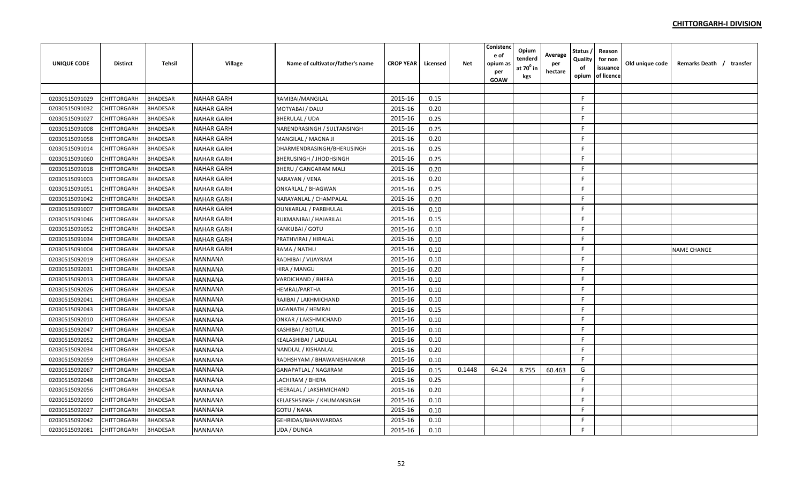| <b>UNIQUE CODE</b> | <b>Distirct</b> | <b>Tehsil</b>   | Village           | Name of cultivator/father's name | <b>CROP YEAR</b> | Licensed | <b>Net</b> | Conistend<br>e of<br>opium a:<br>per<br>GOAW | Opium<br>tenderd<br>at $70^0$ in<br>kgs | Average<br>per<br>hectare | <b>Status</b><br>Quality<br>of<br>opium | Reason<br>for non<br>issuance<br>of licence | Old unique code | Remarks Death / transfer |
|--------------------|-----------------|-----------------|-------------------|----------------------------------|------------------|----------|------------|----------------------------------------------|-----------------------------------------|---------------------------|-----------------------------------------|---------------------------------------------|-----------------|--------------------------|
|                    |                 |                 |                   |                                  |                  |          |            |                                              |                                         |                           |                                         |                                             |                 |                          |
| 02030515091029     | CHITTORGARH     | <b>BHADESAR</b> | <b>NAHAR GARH</b> | RAMIBAI/MANGILAL                 | 2015-16          | 0.15     |            |                                              |                                         |                           | F.                                      |                                             |                 |                          |
| 02030515091032     | CHITTORGARH     | <b>BHADESAR</b> | <b>NAHAR GARH</b> | MOTYABAI / DALU                  | 2015-16          | 0.20     |            |                                              |                                         |                           | F.                                      |                                             |                 |                          |
| 02030515091027     | CHITTORGARH     | <b>BHADESAR</b> | <b>NAHAR GARH</b> | BHERULAL / UDA                   | 2015-16          | 0.25     |            |                                              |                                         |                           | F.                                      |                                             |                 |                          |
| 02030515091008     | CHITTORGARH     | <b>BHADESAR</b> | <b>NAHAR GARH</b> | NARENDRASINGH / SULTANSINGH      | 2015-16          | 0.25     |            |                                              |                                         |                           | F.                                      |                                             |                 |                          |
| 02030515091058     | CHITTORGARH     | <b>BHADESAR</b> | <b>NAHAR GARH</b> | MANGILAL / MAGNA JI              | 2015-16          | 0.20     |            |                                              |                                         |                           | F.                                      |                                             |                 |                          |
| 02030515091014     | CHITTORGARH     | <b>BHADESAR</b> | <b>NAHAR GARH</b> | DHARMENDRASINGH/BHERUSINGH       | 2015-16          | 0.25     |            |                                              |                                         |                           | F.                                      |                                             |                 |                          |
| 02030515091060     | CHITTORGARH     | BHADESAR        | <b>NAHAR GARH</b> | BHERUSINGH / JHODHSINGH          | 2015-16          | 0.25     |            |                                              |                                         |                           | F.                                      |                                             |                 |                          |
| 02030515091018     | CHITTORGARH     | <b>BHADESAR</b> | <b>NAHAR GARH</b> | BHERU / GANGARAM MALI            | 2015-16          | 0.20     |            |                                              |                                         |                           | F.                                      |                                             |                 |                          |
| 02030515091003     | CHITTORGARH     | <b>BHADESAR</b> | <b>NAHAR GARH</b> | NARAYAN / VENA                   | 2015-16          | 0.20     |            |                                              |                                         |                           | F.                                      |                                             |                 |                          |
| 02030515091051     | CHITTORGARH     | <b>BHADESAR</b> | <b>NAHAR GARH</b> | ONKARLAL / BHAGWAN               | 2015-16          | 0.25     |            |                                              |                                         |                           | F.                                      |                                             |                 |                          |
| 02030515091042     | CHITTORGARH     | <b>BHADESAR</b> | <b>NAHAR GARH</b> | NARAYANLAL / CHAMPALAL           | 2015-16          | 0.20     |            |                                              |                                         |                           | F                                       |                                             |                 |                          |
| 02030515091007     | CHITTORGARH     | <b>BHADESAR</b> | <b>NAHAR GARH</b> | OUNKARLAL / PARBHULAL            | 2015-16          | 0.10     |            |                                              |                                         |                           | F.                                      |                                             |                 |                          |
| 02030515091046     | CHITTORGARH     | <b>BHADESAR</b> | <b>NAHAR GARH</b> | RUKMANIBAI / HAJARILAL           | 2015-16          | 0.15     |            |                                              |                                         |                           | F.                                      |                                             |                 |                          |
| 02030515091052     | CHITTORGARH     | <b>BHADESAR</b> | <b>NAHAR GARH</b> | KANKUBAI / GOTU                  | 2015-16          | 0.10     |            |                                              |                                         |                           | F.                                      |                                             |                 |                          |
| 02030515091034     | CHITTORGARH     | <b>BHADESAR</b> | <b>NAHAR GARH</b> | PRATHVIRAJ / HIRALAL             | 2015-16          | 0.10     |            |                                              |                                         |                           | F.                                      |                                             |                 |                          |
| 02030515091004     | CHITTORGARH     | <b>BHADESAR</b> | <b>NAHAR GARH</b> | RAMA / NATHU                     | 2015-16          | 0.10     |            |                                              |                                         |                           | F.                                      |                                             |                 | <b>NAME CHANGE</b>       |
| 02030515092019     | CHITTORGARH     | <b>BHADESAR</b> | <b>NANNANA</b>    | RADHIBAI / VIJAYRAM              | 2015-16          | 0.10     |            |                                              |                                         |                           | F                                       |                                             |                 |                          |
| 02030515092031     | CHITTORGARH     | BHADESAR        | <b>NANNANA</b>    | HIRA / MANGU                     | 2015-16          | 0.20     |            |                                              |                                         |                           | F.                                      |                                             |                 |                          |
| 02030515092013     | CHITTORGARH     | <b>BHADESAR</b> | <b>NANNANA</b>    | VARDICHAND / BHERA               | 2015-16          | 0.10     |            |                                              |                                         |                           | F.                                      |                                             |                 |                          |
| 02030515092026     | CHITTORGARH     | <b>BHADESAR</b> | <b>NANNANA</b>    | HEMRAJ/PARTHA                    | 2015-16          | 0.10     |            |                                              |                                         |                           | E                                       |                                             |                 |                          |
| 02030515092041     | CHITTORGARH     | <b>BHADESAR</b> | <b>NANNANA</b>    | RAJIBAI / LAKHMICHAND            | 2015-16          | 0.10     |            |                                              |                                         |                           | F.                                      |                                             |                 |                          |
| 02030515092043     | CHITTORGARH     | <b>BHADESAR</b> | <b>NANNANA</b>    | JAGANATH / HEMRAJ                | 2015-16          | 0.15     |            |                                              |                                         |                           | E                                       |                                             |                 |                          |
| 02030515092010     | CHITTORGARH     | <b>BHADESAR</b> | <b>NANNANA</b>    | ONKAR / LAKSHMICHAND             | 2015-16          | 0.10     |            |                                              |                                         |                           | E                                       |                                             |                 |                          |
| 02030515092047     | CHITTORGARH     | <b>BHADESAR</b> | <b>NANNANA</b>    | KASHIBAI / BOTLAL                | 2015-16          | 0.10     |            |                                              |                                         |                           | E                                       |                                             |                 |                          |
| 02030515092052     | CHITTORGARH     | <b>BHADESAR</b> | <b>NANNANA</b>    | KEALASHIBAI / LADULAL            | 2015-16          | 0.10     |            |                                              |                                         |                           | F.                                      |                                             |                 |                          |
| 02030515092034     | CHITTORGARH     | <b>BHADESAR</b> | <b>NANNANA</b>    | NANDLAL / KISHANLAL              | 2015-16          | 0.20     |            |                                              |                                         |                           | F.                                      |                                             |                 |                          |
| 02030515092059     | CHITTORGARH     | <b>BHADESAR</b> | <b>NANNANA</b>    | RADHSHYAM / BHAWANISHANKAR       | 2015-16          | 0.10     |            |                                              |                                         |                           | F.                                      |                                             |                 |                          |
| 02030515092067     | CHITTORGARH     | <b>BHADESAR</b> | <b>NANNANA</b>    | GANAPATLAL / NAGJIRAM            | 2015-16          | 0.15     | 0.1448     | 64.24                                        | 8.755                                   | 60.463                    | G                                       |                                             |                 |                          |
| 02030515092048     | CHITTORGARH     | BHADESAR        | NANNANA           | LACHIRAM / BHERA                 | 2015-16          | 0.25     |            |                                              |                                         |                           | F.                                      |                                             |                 |                          |
| 02030515092056     | CHITTORGARH     | <b>BHADESAR</b> | <b>NANNANA</b>    | HEERALAL / LAKSHMICHAND          | 2015-16          | 0.20     |            |                                              |                                         |                           | F.                                      |                                             |                 |                          |
| 02030515092090     | CHITTORGARH     | <b>BHADESAR</b> | <b>NANNANA</b>    | KELAESHSINGH / KHUMANSINGH       | 2015-16          | 0.10     |            |                                              |                                         |                           | F.                                      |                                             |                 |                          |
| 02030515092027     | CHITTORGARH     | BHADESAR        | <b>NANNANA</b>    | GOTU / NANA                      | 2015-16          | 0.10     |            |                                              |                                         |                           | F.                                      |                                             |                 |                          |
| 02030515092042     | CHITTORGARH     | <b>BHADESAR</b> | <b>NANNANA</b>    | GEHRIDAS/BHANWARDAS              | 2015-16          | 0.10     |            |                                              |                                         |                           | F.                                      |                                             |                 |                          |
| 02030515092081     | CHITTORGARH     | <b>BHADESAR</b> | <b>NANNANA</b>    | UDA / DUNGA                      | 2015-16          | 0.10     |            |                                              |                                         |                           | F.                                      |                                             |                 |                          |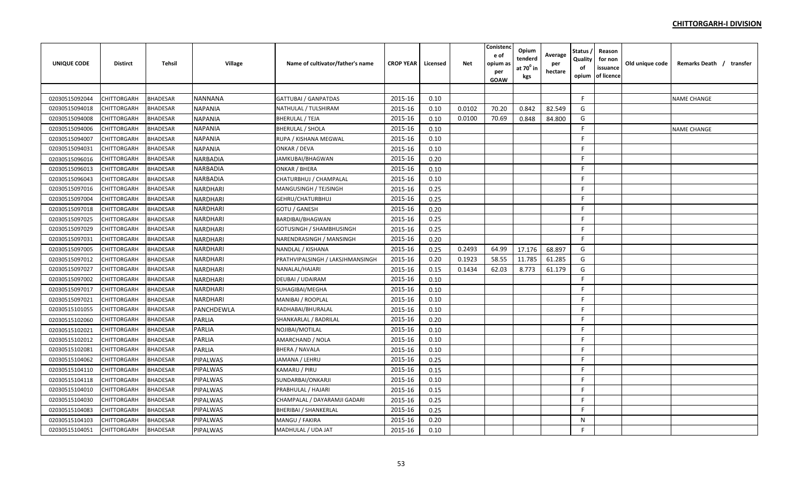| <b>UNIQUE CODE</b> | <b>Distirct</b>    | <b>Tehsil</b>   | Village         | Name of cultivator/father's name | <b>CROP YEAR</b> | Licensed | Net    | Conistend<br>e of<br>opium a:<br>per<br>GOAW | Opium<br>tenderd<br>at $70^0$ in<br>kgs | Average<br>per<br>hectare | <b>Status</b><br>Quality<br>of<br>opium | Reason<br>for non<br>issuance<br>of licence | Old unique code | Remarks Death / transfer |
|--------------------|--------------------|-----------------|-----------------|----------------------------------|------------------|----------|--------|----------------------------------------------|-----------------------------------------|---------------------------|-----------------------------------------|---------------------------------------------|-----------------|--------------------------|
|                    |                    |                 |                 |                                  |                  |          |        |                                              |                                         |                           |                                         |                                             |                 |                          |
| 02030515092044     | CHITTORGARH        | <b>BHADESAR</b> | <b>NANNANA</b>  | <b>GATTUBAI / GANPATDAS</b>      | 2015-16          | 0.10     |        |                                              |                                         |                           | F.                                      |                                             |                 | <b>NAME CHANGE</b>       |
| 02030515094018     | CHITTORGARH        | <b>BHADESAR</b> | <b>NAPANIA</b>  | NATHULAL / TULSHIRAM             | 2015-16          | 0.10     | 0.0102 | 70.20                                        | 0.842                                   | 82.549                    | G                                       |                                             |                 |                          |
| 02030515094008     | CHITTORGARH        | <b>BHADESAR</b> | <b>NAPANIA</b>  | <b>BHERULAL / TEJA</b>           | 2015-16          | 0.10     | 0.0100 | 70.69                                        | 0.848                                   | 84.800                    | G                                       |                                             |                 |                          |
| 02030515094006     | CHITTORGARH        | <b>BHADESAR</b> | <b>NAPANIA</b>  | <b>BHERULAL / SHOLA</b>          | 2015-16          | 0.10     |        |                                              |                                         |                           | F                                       |                                             |                 | <b>NAME CHANGE</b>       |
| 02030515094007     | <b>CHITTORGARH</b> | <b>BHADESAR</b> | <b>NAPANIA</b>  | RUPA / KISHANA MEGWAL            | 2015-16          | 0.10     |        |                                              |                                         |                           | F.                                      |                                             |                 |                          |
| 02030515094031     | <b>CHITTORGARH</b> | <b>BHADESAR</b> | <b>NAPANIA</b>  | ONKAR / DEVA                     | 2015-16          | 0.10     |        |                                              |                                         |                           | F.                                      |                                             |                 |                          |
| 02030515096016     | CHITTORGARH        | <b>BHADESAR</b> | NARBADIA        | JAMKUBAI/BHAGWAN                 | 2015-16          | 0.20     |        |                                              |                                         |                           | F.                                      |                                             |                 |                          |
| 02030515096013     | <b>CHITTORGARH</b> | <b>BHADESAR</b> | <b>NARBADIA</b> | <b>ONKAR / BHERA</b>             | 2015-16          | 0.10     |        |                                              |                                         |                           | E                                       |                                             |                 |                          |
| 02030515096043     | CHITTORGARH        | <b>BHADESAR</b> | <b>NARBADIA</b> | CHATURBHUJ / CHAMPALAL           | 2015-16          | 0.10     |        |                                              |                                         |                           | F.                                      |                                             |                 |                          |
| 02030515097016     | CHITTORGARH        | <b>BHADESAR</b> | NARDHARI        | MANGUSINGH / TEJSINGH            | 2015-16          | 0.25     |        |                                              |                                         |                           | F.                                      |                                             |                 |                          |
| 02030515097004     | CHITTORGARH        | <b>BHADESAR</b> | NARDHARI        | GEHRU/CHATURBHUJ                 | 2015-16          | 0.25     |        |                                              |                                         |                           | F.                                      |                                             |                 |                          |
| 02030515097018     | <b>CHITTORGARH</b> | <b>BHADESAR</b> | NARDHARI        | GOTU / GANESH                    | 2015-16          | 0.20     |        |                                              |                                         |                           | F                                       |                                             |                 |                          |
| 02030515097025     | CHITTORGARH        | <b>BHADESAR</b> | NARDHARI        | BARDIBAI/BHAGWAN                 | 2015-16          | 0.25     |        |                                              |                                         |                           | E                                       |                                             |                 |                          |
| 02030515097029     | CHITTORGARH        | <b>BHADESAR</b> | NARDHARI        | <b>GOTUSINGH / SHAMBHUSINGH</b>  | 2015-16          | 0.25     |        |                                              |                                         |                           | F.                                      |                                             |                 |                          |
| 02030515097031     | CHITTORGARH        | <b>BHADESAR</b> | NARDHARI        | NARENDRASINGH / MANSINGH         | 2015-16          | 0.20     |        |                                              |                                         |                           | F.                                      |                                             |                 |                          |
| 02030515097005     | CHITTORGARH        | <b>BHADESAR</b> | NARDHARI        | NANDLAL / KISHANA                | 2015-16          | 0.25     | 0.2493 | 64.99                                        | 17.176                                  | 68.897                    | G                                       |                                             |                 |                          |
| 02030515097012     | <b>CHITTORGARH</b> | <b>BHADESAR</b> | NARDHARI        | PRATHVIPALSINGH / LAKSJHMANSINGH | 2015-16          | 0.20     | 0.1923 | 58.55                                        | 11.785                                  | 61.285                    | G                                       |                                             |                 |                          |
| 02030515097027     | <b>CHITTORGARH</b> | <b>BHADESAR</b> | NARDHARI        | NANALAL/HAJARI                   | 2015-16          | 0.15     | 0.1434 | 62.03                                        | 8.773                                   | 61.179                    | G                                       |                                             |                 |                          |
| 02030515097002     | CHITTORGARH        | <b>BHADESAR</b> | NARDHARI        | DEUBAI / UDAIRAM                 | 2015-16          | 0.10     |        |                                              |                                         |                           | E                                       |                                             |                 |                          |
| 02030515097017     | <b>CHITTORGARH</b> | <b>BHADESAR</b> | NARDHARI        | SUHAGIBAI/MEGHA                  | 2015-16          | 0.10     |        |                                              |                                         |                           | F.                                      |                                             |                 |                          |
| 02030515097021     | <b>CHITTORGARH</b> | <b>BHADESAR</b> | NARDHARI        | MANIBAI / ROOPLAL                | 2015-16          | 0.10     |        |                                              |                                         |                           | F.                                      |                                             |                 |                          |
| 02030515101055     | CHITTORGARH        | <b>BHADESAR</b> | PANCHDEWLA      | RADHABAI/BHURALAL                | 2015-16          | 0.10     |        |                                              |                                         |                           | F.                                      |                                             |                 |                          |
| 02030515102060     | <b>CHITTORGARH</b> | <b>BHADESAR</b> | PARLIA          | SHANKARLAL / BADRILAL            | 2015-16          | 0.20     |        |                                              |                                         |                           | F.                                      |                                             |                 |                          |
| 02030515102021     | <b>CHITTORGARH</b> | <b>BHADESAR</b> | PARLIA          | NOJIBAI/MOTILAL                  | 2015-16          | 0.10     |        |                                              |                                         |                           | E                                       |                                             |                 |                          |
| 02030515102012     | CHITTORGARH        | <b>BHADESAR</b> | PARLIA          | AMARCHAND / NOLA                 | 2015-16          | 0.10     |        |                                              |                                         |                           | F.                                      |                                             |                 |                          |
| 02030515102081     | <b>CHITTORGARH</b> | <b>BHADESAR</b> | PARLIA          | <b>BHERA / NAVALA</b>            | 2015-16          | 0.10     |        |                                              |                                         |                           | F.                                      |                                             |                 |                          |
| 02030515104062     | CHITTORGARH        | <b>BHADESAR</b> | PIPALWAS        | JAMANA / LEHRU                   | 2015-16          | 0.25     |        |                                              |                                         |                           | F.                                      |                                             |                 |                          |
| 02030515104110     | <b>CHITTORGARH</b> | <b>BHADESAR</b> | PIPALWAS        | KAMARU / PIRU                    | 2015-16          | 0.15     |        |                                              |                                         |                           | F.                                      |                                             |                 |                          |
| 02030515104118     | <b>CHITTORGARH</b> | <b>BHADESAR</b> | PIPALWAS        | SUNDARBAI/ONKARJI                | 2015-16          | 0.10     |        |                                              |                                         |                           | F                                       |                                             |                 |                          |
| 02030515104010     | CHITTORGARH        | <b>BHADESAR</b> | PIPALWAS        | PRABHULAL / HAJARI               | 2015-16          | 0.15     |        |                                              |                                         |                           | F.                                      |                                             |                 |                          |
| 02030515104030     | CHITTORGARH        | <b>BHADESAR</b> | PIPALWAS        | CHAMPALAL / DAYARAMJI GADARI     | 2015-16          | 0.25     |        |                                              |                                         |                           | F.                                      |                                             |                 |                          |
| 02030515104083     | CHITTORGARH        | <b>BHADESAR</b> | PIPALWAS        | <b>BHERIBAI / SHANKERLAL</b>     | 2015-16          | 0.25     |        |                                              |                                         |                           | F.                                      |                                             |                 |                          |
| 02030515104103     | CHITTORGARH        | <b>BHADESAR</b> | PIPALWAS        | MANGU / FAKIRA                   | 2015-16          | 0.20     |        |                                              |                                         |                           | $\mathsf{N}$                            |                                             |                 |                          |
| 02030515104051     | <b>CHITTORGARH</b> | <b>BHADESAR</b> | <b>PIPALWAS</b> | MADHULAL / UDA JAT               | 2015-16          | 0.10     |        |                                              |                                         |                           | F                                       |                                             |                 |                          |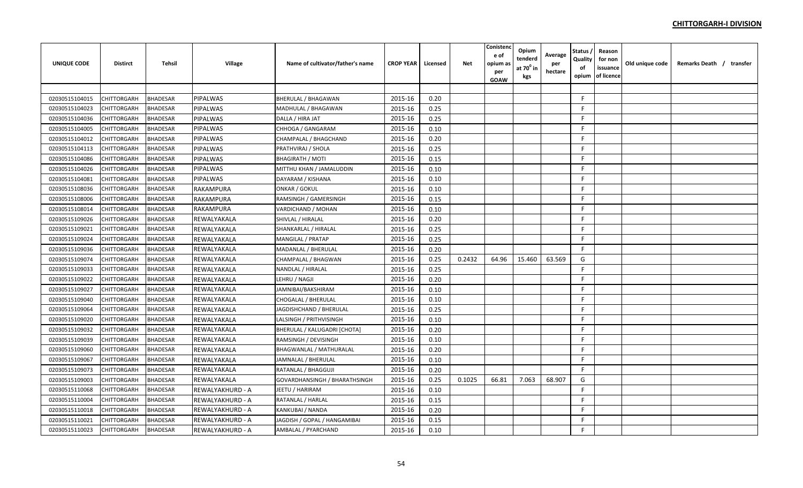| <b>UNIQUE CODE</b> | <b>Distirct</b>    | <b>Tehsil</b>   | Village          | Name of cultivator/father's name     | <b>CROP YEAR</b> | Licensed | <b>Net</b> | Conistenc<br>e of<br>opium as<br>per<br><b>GOAW</b> | Opium<br>tenderd<br>at 70 <sup>°</sup> in<br>kgs | Average<br>per<br>hectare | Status<br>Quality<br>of<br>opium | Reason<br>for non<br>issuance<br>of licence | Old unique code | Remarks Death / transfer |  |
|--------------------|--------------------|-----------------|------------------|--------------------------------------|------------------|----------|------------|-----------------------------------------------------|--------------------------------------------------|---------------------------|----------------------------------|---------------------------------------------|-----------------|--------------------------|--|
|                    |                    |                 |                  |                                      |                  |          |            |                                                     |                                                  |                           |                                  |                                             |                 |                          |  |
| 02030515104015     | CHITTORGARH        | <b>BHADESAR</b> | <b>PIPALWAS</b>  | <b>BHERULAL / BHAGAWAN</b>           | 2015-16          | 0.20     |            |                                                     |                                                  |                           | -F                               |                                             |                 |                          |  |
| 02030515104023     | CHITTORGARH        | <b>BHADESAR</b> | <b>PIPALWAS</b>  | MADHULAL / BHAGAWAN                  | 2015-16          | 0.25     |            |                                                     |                                                  |                           | F                                |                                             |                 |                          |  |
| 02030515104036     | CHITTORGARH        | <b>BHADESAR</b> | <b>PIPALWAS</b>  | DALLA / HIRA JAT                     | 2015-16          | 0.25     |            |                                                     |                                                  |                           | F                                |                                             |                 |                          |  |
| 02030515104005     | CHITTORGARH        | <b>BHADESAR</b> | <b>PIPALWAS</b>  | CHHOGA / GANGARAM                    | 2015-16          | 0.10     |            |                                                     |                                                  |                           | -F                               |                                             |                 |                          |  |
| 02030515104012     | <b>CHITTORGARH</b> | <b>BHADESAR</b> | <b>PIPALWAS</b>  | CHAMPALAL / BHAGCHAND                | 2015-16          | 0.20     |            |                                                     |                                                  |                           | F.                               |                                             |                 |                          |  |
| 02030515104113     | CHITTORGARH        | <b>BHADESAR</b> | PIPALWAS         | PRATHVIRAJ / SHOLA                   | 2015-16          | 0.25     |            |                                                     |                                                  |                           | F.                               |                                             |                 |                          |  |
| 02030515104086     | CHITTORGARH        | <b>BHADESAR</b> | PIPALWAS         | <b>BHAGIRATH / MOTI</b>              | 2015-16          | 0.15     |            |                                                     |                                                  |                           | F.                               |                                             |                 |                          |  |
| 02030515104026     | CHITTORGARH        | <b>BHADESAR</b> | <b>PIPALWAS</b>  | MITTHU KHAN / JAMALUDDIN             | 2015-16          | 0.10     |            |                                                     |                                                  |                           | F                                |                                             |                 |                          |  |
| 02030515104081     | CHITTORGARH        | <b>BHADESAR</b> | <b>PIPALWAS</b>  | DAYARAM / KISHANA                    | 2015-16          | 0.10     |            |                                                     |                                                  |                           | F                                |                                             |                 |                          |  |
| 02030515108036     | CHITTORGARH        | <b>BHADESAR</b> | RAKAMPURA        | <b>ONKAR / GOKUL</b>                 | 2015-16          | 0.10     |            |                                                     |                                                  |                           | F.                               |                                             |                 |                          |  |
| 02030515108006     | CHITTORGARH        | <b>BHADESAR</b> | <b>RAKAMPURA</b> | RAMSINGH / GAMERSINGH                | 2015-16          | 0.15     |            |                                                     |                                                  |                           | E                                |                                             |                 |                          |  |
| 02030515108014     | CHITTORGARH        | <b>BHADESAR</b> | RAKAMPURA        | VARDICHAND / MOHAN                   | 2015-16          | 0.10     |            |                                                     |                                                  |                           | F.                               |                                             |                 |                          |  |
| 02030515109026     | CHITTORGARH        | <b>BHADESAR</b> | REWALYAKALA      | SHIVLAL / HIRALAL                    | 2015-16          | 0.20     |            |                                                     |                                                  |                           | F                                |                                             |                 |                          |  |
| 02030515109021     | CHITTORGARH        | <b>BHADESAR</b> | REWALYAKALA      | SHANKARLAL / HIRALAL                 | 2015-16          | 0.25     |            |                                                     |                                                  |                           | F                                |                                             |                 |                          |  |
| 02030515109024     | CHITTORGARH        | <b>BHADESAR</b> | REWALYAKALA      | <b>MANGILAL / PRATAP</b>             | 2015-16          | 0.25     |            |                                                     |                                                  |                           | $\mathsf{F}$                     |                                             |                 |                          |  |
| 02030515109036     | CHITTORGARH        | <b>BHADESAR</b> | REWALYAKALA      | MADANLAL / BHERULAL                  | 2015-16          | 0.20     |            |                                                     |                                                  |                           | F.                               |                                             |                 |                          |  |
| 02030515109074     | CHITTORGARH        | <b>BHADESAR</b> | REWALYAKALA      | CHAMPALAL / BHAGWAN                  | 2015-16          | 0.25     | 0.2432     | 64.96                                               | 15.460                                           | 63.569                    | G                                |                                             |                 |                          |  |
| 02030515109033     | CHITTORGARH        | <b>BHADESAR</b> | REWALYAKALA      | NANDLAL / HIRALAL                    | 2015-16          | 0.25     |            |                                                     |                                                  |                           | E                                |                                             |                 |                          |  |
| 02030515109022     | CHITTORGARH        | <b>BHADESAR</b> | REWALYAKALA      | LEHRU / NAGJI                        | 2015-16          | 0.20     |            |                                                     |                                                  |                           | E                                |                                             |                 |                          |  |
| 02030515109027     | CHITTORGARH        | <b>BHADESAR</b> | REWALYAKALA      | JAMNIBAI/BAKSHIRAM                   | 2015-16          | 0.10     |            |                                                     |                                                  |                           | F                                |                                             |                 |                          |  |
| 02030515109040     | CHITTORGARH        | <b>BHADESAR</b> | REWALYAKALA      | <b>CHOGALAL / BHERULAL</b>           | 2015-16          | 0.10     |            |                                                     |                                                  |                           | F.                               |                                             |                 |                          |  |
| 02030515109064     | CHITTORGARH        | <b>BHADESAR</b> | REWALYAKALA      | JAGDISHCHAND / BHERULAL              | 2015-16          | 0.25     |            |                                                     |                                                  |                           | F.                               |                                             |                 |                          |  |
| 02030515109020     | CHITTORGARH        | <b>BHADESAR</b> | REWALYAKALA      | LALSINGH / PRITHVISINGH              | 2015-16          | 0.10     |            |                                                     |                                                  |                           | F.                               |                                             |                 |                          |  |
| 02030515109032     | CHITTORGARH        | <b>BHADESAR</b> | REWALYAKALA      | BHERULAL / KALUGADRI [CHOTA]         | 2015-16          | 0.20     |            |                                                     |                                                  |                           | -F                               |                                             |                 |                          |  |
| 02030515109039     | CHITTORGARH        | <b>BHADESAR</b> | REWALYAKALA      | RAMSINGH / DEVISINGH                 | 2015-16          | 0.10     |            |                                                     |                                                  |                           | F                                |                                             |                 |                          |  |
| 02030515109060     | CHITTORGARH        | <b>BHADESAR</b> | REWALYAKALA      | BHAGWANLAL / MATHURALAL              | 2015-16          | 0.20     |            |                                                     |                                                  |                           | F                                |                                             |                 |                          |  |
| 02030515109067     | CHITTORGARH        | <b>BHADESAR</b> | REWALYAKALA      | JAMNALAL / BHERULAL                  | 2015-16          | 0.10     |            |                                                     |                                                  |                           | F.                               |                                             |                 |                          |  |
| 02030515109073     | CHITTORGARH        | <b>BHADESAR</b> | REWALYAKALA      | RATANLAL / BHAGGUJI                  | 2015-16          | 0.20     |            |                                                     |                                                  |                           | F.                               |                                             |                 |                          |  |
| 02030515109003     | CHITTORGARH        | <b>BHADESAR</b> | REWALYAKALA      | <b>GOVARDHANSINGH / BHARATHSINGH</b> | 2015-16          | 0.25     | 0.1025     | 66.81                                               | 7.063                                            | 68.907                    | G                                |                                             |                 |                          |  |
| 02030515110068     | CHITTORGARH        | <b>BHADESAR</b> | REWALYAKHURD - A | JEETU / HARIRAM                      | 2015-16          | 0.10     |            |                                                     |                                                  |                           | F.                               |                                             |                 |                          |  |
| 02030515110004     | CHITTORGARH        | <b>BHADESAR</b> | REWALYAKHURD - A | RATANLAL / HARLAL                    | 2015-16          | 0.15     |            |                                                     |                                                  |                           | F.                               |                                             |                 |                          |  |
| 02030515110018     | CHITTORGARH        | <b>BHADESAR</b> | REWALYAKHURD - A | KANKUBAI / NANDA                     | 2015-16          | 0.20     |            |                                                     |                                                  |                           | F                                |                                             |                 |                          |  |
| 02030515110021     | CHITTORGARH        | <b>BHADESAR</b> | REWALYAKHURD - A | JAGDISH / GOPAL / HANGAMIBAI         | 2015-16          | 0.15     |            |                                                     |                                                  |                           | F                                |                                             |                 |                          |  |
| 02030515110023     | <b>CHITTORGARH</b> | <b>BHADESAR</b> | REWALYAKHURD - A | AMBALAL / PYARCHAND                  | 2015-16          | 0.10     |            |                                                     |                                                  |                           | F                                |                                             |                 |                          |  |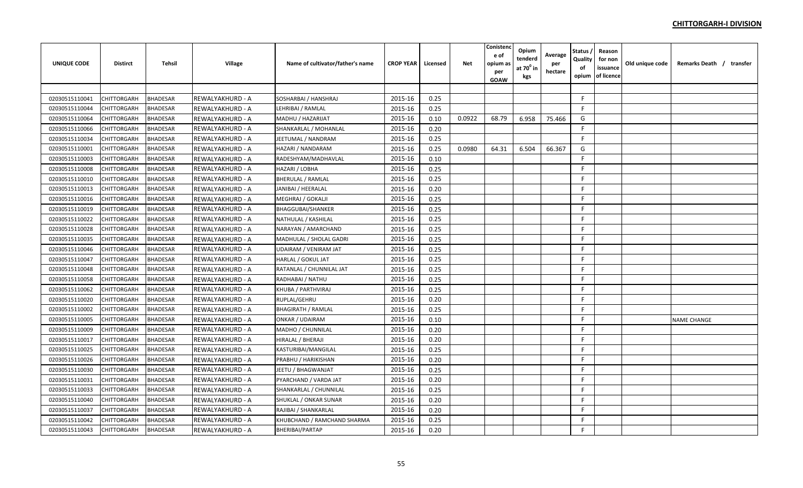| <b>UNIQUE CODE</b> | <b>Distirct</b>    | Tehsil          | <b>Village</b>   | Name of cultivator/father's name | <b>CROP YEAR</b> | Licensed | <b>Net</b> | Conistenc<br>e of<br>opium as<br>per<br><b>GOAW</b> | Opium<br>tenderd<br>at 70 <sup>°</sup> in<br>kgs | Average<br>per<br>hectare | Status<br>Quality<br>of<br>opium | Reason<br>for non<br>issuance<br>of licence | Old unique code | Remarks Death / transfer |
|--------------------|--------------------|-----------------|------------------|----------------------------------|------------------|----------|------------|-----------------------------------------------------|--------------------------------------------------|---------------------------|----------------------------------|---------------------------------------------|-----------------|--------------------------|
|                    |                    |                 |                  |                                  |                  |          |            |                                                     |                                                  |                           |                                  |                                             |                 |                          |
| 02030515110041     | <b>CHITTORGARH</b> | <b>BHADESAR</b> | REWALYAKHURD - A | SOSHARBAI / HANSHRAJ             | 2015-16          | 0.25     |            |                                                     |                                                  |                           | F.                               |                                             |                 |                          |
| 02030515110044     | CHITTORGARH        | <b>BHADESAR</b> | REWALYAKHURD - A | LEHRIBAI / RAMLAL                | 2015-16          | 0.25     |            |                                                     |                                                  |                           | -F                               |                                             |                 |                          |
| 02030515110064     | CHITTORGARH        | <b>BHADESAR</b> | REWALYAKHURD - A | MADHU / HAZARIJAT                | 2015-16          | 0.10     | 0.0922     | 68.79                                               | 6.958                                            | 75.466                    | G                                |                                             |                 |                          |
| 02030515110066     | CHITTORGARH        | <b>BHADESAR</b> | REWALYAKHURD - A | SHANKARLAL / MOHANLAL            | 2015-16          | 0.20     |            |                                                     |                                                  |                           | F                                |                                             |                 |                          |
| 02030515110034     | CHITTORGARH        | <b>BHADESAR</b> | REWALYAKHURD - A | JEETUMAL / NANDRAM               | 2015-16          | 0.25     |            |                                                     |                                                  |                           | E                                |                                             |                 |                          |
| 02030515110001     | <b>CHITTORGARH</b> | <b>BHADESAR</b> | REWALYAKHURD - A | HAZARI / NANDARAM                | 2015-16          | 0.25     | 0.0980     | 64.31                                               | 6.504                                            | 66.367                    | G                                |                                             |                 |                          |
| 02030515110003     | CHITTORGARH        | <b>BHADESAR</b> | REWALYAKHURD - A | RADESHYAM/MADHAVLAL              | 2015-16          | 0.10     |            |                                                     |                                                  |                           | F.                               |                                             |                 |                          |
| 02030515110008     | CHITTORGARH        | <b>BHADESAR</b> | REWALYAKHURD - A | HAZARI / LOBHA                   | 2015-16          | 0.25     |            |                                                     |                                                  |                           | F.                               |                                             |                 |                          |
| 02030515110010     | CHITTORGARH        | <b>BHADESAR</b> | REWALYAKHURD - A | <b>BHERULAL / RAMLAL</b>         | 2015-16          | 0.25     |            |                                                     |                                                  |                           | F.                               |                                             |                 |                          |
| 02030515110013     | CHITTORGARH        | <b>BHADESAR</b> | REWALYAKHURD - A | JANIBAI / HEERALAL               | 2015-16          | 0.20     |            |                                                     |                                                  |                           | F                                |                                             |                 |                          |
| 02030515110016     | CHITTORGARH        | <b>BHADESAR</b> | REWALYAKHURD - A | MEGHRAJ / GOKALJI                | 2015-16          | 0.25     |            |                                                     |                                                  |                           | F.                               |                                             |                 |                          |
| 02030515110019     | <b>CHITTORGARH</b> | <b>BHADESAR</b> | REWALYAKHURD - A | <b>BHAGGUBAI/SHANKER</b>         | 2015-16          | 0.25     |            |                                                     |                                                  |                           | F                                |                                             |                 |                          |
| 02030515110022     | CHITTORGARH        | <b>BHADESAR</b> | REWALYAKHURD - A | NATHULAL / KASHILAL              | 2015-16          | 0.25     |            |                                                     |                                                  |                           | F                                |                                             |                 |                          |
| 02030515110028     | CHITTORGARH        | <b>BHADESAR</b> | REWALYAKHURD - A | NARAYAN / AMARCHAND              | 2015-16          | 0.25     |            |                                                     |                                                  |                           | F                                |                                             |                 |                          |
| 02030515110035     | CHITTORGARH        | <b>BHADESAR</b> | REWALYAKHURD - A | MADHULAL / SHOLAL GADRI          | 2015-16          | 0.25     |            |                                                     |                                                  |                           | F                                |                                             |                 |                          |
| 02030515110046     | CHITTORGARH        | <b>BHADESAR</b> | REWALYAKHURD - A | <b>UDAIRAM / VENIRAM JAT</b>     | 2015-16          | 0.25     |            |                                                     |                                                  |                           | F                                |                                             |                 |                          |
| 02030515110047     | CHITTORGARH        | <b>BHADESAR</b> | REWALYAKHURD - A | HARLAL / GOKUL JAT               | 2015-16          | 0.25     |            |                                                     |                                                  |                           | F.                               |                                             |                 |                          |
| 02030515110048     | <b>CHITTORGARH</b> | <b>BHADESAR</b> | REWALYAKHURD - A | RATANLAL / CHUNNILAL JAT         | 2015-16          | 0.25     |            |                                                     |                                                  |                           | F.                               |                                             |                 |                          |
| 02030515110058     | CHITTORGARH        | <b>BHADESAR</b> | REWALYAKHURD - A | RADHABAI / NATHU                 | 2015-16          | 0.25     |            |                                                     |                                                  |                           | F.                               |                                             |                 |                          |
| 02030515110062     | CHITTORGARH        | <b>BHADESAR</b> | REWALYAKHURD - A | KHUBA / PARTHVIRAJ               | 2015-16          | 0.25     |            |                                                     |                                                  |                           | E                                |                                             |                 |                          |
| 02030515110020     | CHITTORGARH        | <b>BHADESAR</b> | REWALYAKHURD - A | <b>RUPLAL/GEHRU</b>              | 2015-16          | 0.20     |            |                                                     |                                                  |                           | F                                |                                             |                 |                          |
| 02030515110002     | CHITTORGARH        | <b>BHADESAR</b> | REWALYAKHURD - A | <b>BHAGIRATH / RAMLAL</b>        | 2015-16          | 0.25     |            |                                                     |                                                  |                           | F.                               |                                             |                 |                          |
| 02030515110005     | CHITTORGARH        | <b>BHADESAR</b> | REWALYAKHURD - A | ONKAR / UDAIRAM                  | 2015-16          | 0.10     |            |                                                     |                                                  |                           | F.                               |                                             |                 | <b>NAME CHANGE</b>       |
| 02030515110009     | CHITTORGARH        | <b>BHADESAR</b> | REWALYAKHURD - A | MADHO / CHUNNILAL                | 2015-16          | 0.20     |            |                                                     |                                                  |                           | F.                               |                                             |                 |                          |
| 02030515110017     | CHITTORGARH        | <b>BHADESAR</b> | REWALYAKHURD - A | <b>HIRALAL / BHERAJI</b>         | 2015-16          | 0.20     |            |                                                     |                                                  |                           | F.                               |                                             |                 |                          |
| 02030515110025     | CHITTORGARH        | <b>BHADESAR</b> | REWALYAKHURD - A | KASTURIBAI/MANGILAL              | 2015-16          | 0.25     |            |                                                     |                                                  |                           | F                                |                                             |                 |                          |
| 02030515110026     | CHITTORGARH        | <b>BHADESAR</b> | REWALYAKHURD - A | PRABHU / HARIKISHAN              | 2015-16          | 0.20     |            |                                                     |                                                  |                           | F.                               |                                             |                 |                          |
| 02030515110030     | <b>CHITTORGARH</b> | <b>BHADESAR</b> | REWALYAKHURD - A | JEETU / BHAGWANJAT               | 2015-16          | 0.25     |            |                                                     |                                                  |                           | F.                               |                                             |                 |                          |
| 02030515110031     | <b>CHITTORGARH</b> | <b>BHADESAR</b> | REWALYAKHURD - A | PYARCHAND / VARDA JAT            | 2015-16          | 0.20     |            |                                                     |                                                  |                           | F.                               |                                             |                 |                          |
| 02030515110033     | CHITTORGARH        | <b>BHADESAR</b> | REWALYAKHURD - A | SHANKARLAL / CHUNNILAL           | 2015-16          | 0.25     |            |                                                     |                                                  |                           | -F                               |                                             |                 |                          |
| 02030515110040     | CHITTORGARH        | <b>BHADESAR</b> | REWALYAKHURD - A | SHUKLAL / ONKAR SUNAR            | 2015-16          | 0.20     |            |                                                     |                                                  |                           | F                                |                                             |                 |                          |
| 02030515110037     | CHITTORGARH        | <b>BHADESAR</b> | REWALYAKHURD - A | RAJIBAI / SHANKARLAL             | 2015-16          | 0.20     |            |                                                     |                                                  |                           | F.                               |                                             |                 |                          |
| 02030515110042     | CHITTORGARH        | <b>BHADESAR</b> | REWALYAKHURD - A | KHUBCHAND / RAMCHAND SHARMA      | 2015-16          | 0.25     |            |                                                     |                                                  |                           | F.                               |                                             |                 |                          |
| 02030515110043     | <b>CHITTORGARH</b> | <b>BHADESAR</b> | REWALYAKHURD - A | BHERIBAI/PARTAP                  | 2015-16          | 0.20     |            |                                                     |                                                  |                           | F                                |                                             |                 |                          |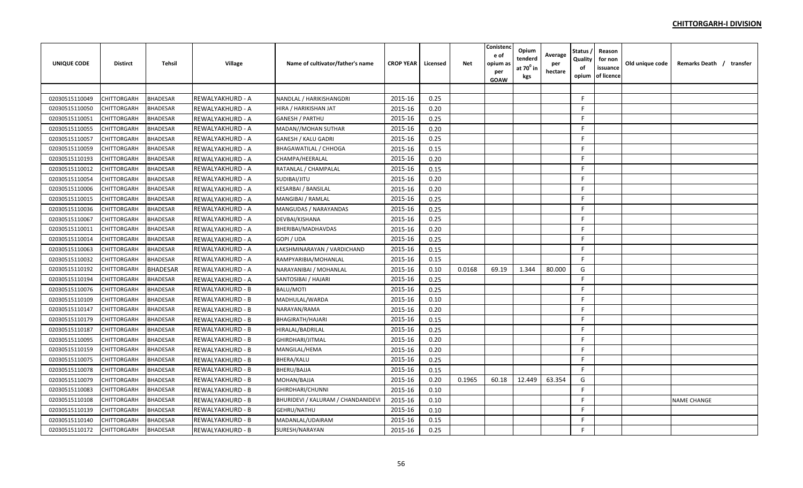| <b>UNIQUE CODE</b> | <b>Distirct</b>    | <b>Tehsil</b>   | Village          | Name of cultivator/father's name   | <b>CROP YEAR</b> | Licensed | Net    | Conistenc<br>e of<br>opium a:<br>per<br>GOAW | Opium<br>tenderd<br>at $70^0$ in<br>kgs | Average<br>per<br>hectare | <b>Status</b><br>Quality<br>of<br>opium | Reason<br>for non<br>issuance<br>of licence | Old unique code | Remarks Death / transfer |
|--------------------|--------------------|-----------------|------------------|------------------------------------|------------------|----------|--------|----------------------------------------------|-----------------------------------------|---------------------------|-----------------------------------------|---------------------------------------------|-----------------|--------------------------|
|                    |                    |                 |                  |                                    |                  |          |        |                                              |                                         |                           |                                         |                                             |                 |                          |
| 02030515110049     | CHITTORGARH        | <b>BHADESAR</b> | REWALYAKHURD - A | NANDLAL / HARIKISHANGDRI           | 2015-16          | 0.25     |        |                                              |                                         |                           | F.                                      |                                             |                 |                          |
| 02030515110050     | CHITTORGARH        | <b>BHADESAR</b> | REWALYAKHURD - A | HIRA / HARIKISHAN JAT              | 2015-16          | 0.20     |        |                                              |                                         |                           | F.                                      |                                             |                 |                          |
| 02030515110051     | CHITTORGARH        | <b>BHADESAR</b> | REWALYAKHURD - A | <b>GANESH / PARTHU</b>             | 2015-16          | 0.25     |        |                                              |                                         |                           | F.                                      |                                             |                 |                          |
| 02030515110055     | CHITTORGARH        | <b>BHADESAR</b> | REWALYAKHURD - A | MADAN//MOHAN SUTHAR                | 2015-16          | 0.20     |        |                                              |                                         |                           | F.                                      |                                             |                 |                          |
| 02030515110057     | <b>CHITTORGARH</b> | <b>BHADESAR</b> | REWALYAKHURD - A | <b>GANESH / KALU GADRI</b>         | 2015-16          | 0.25     |        |                                              |                                         |                           | F.                                      |                                             |                 |                          |
| 02030515110059     | <b>CHITTORGARH</b> | <b>BHADESAR</b> | REWALYAKHURD - A | <b>BHAGAWATILAL / CHHOGA</b>       | 2015-16          | 0.15     |        |                                              |                                         |                           | F.                                      |                                             |                 |                          |
| 02030515110193     | CHITTORGARH        | <b>BHADESAR</b> | REWALYAKHURD - A | CHAMPA/HEERALAL                    | 2015-16          | 0.20     |        |                                              |                                         |                           | F.                                      |                                             |                 |                          |
| 02030515110012     | CHITTORGARH        | <b>BHADESAR</b> | REWALYAKHURD - A | RATANLAL / CHAMPALAL               | 2015-16          | 0.15     |        |                                              |                                         |                           | F.                                      |                                             |                 |                          |
| 02030515110054     | CHITTORGARH        | <b>BHADESAR</b> | REWALYAKHURD - A | SUDIBAI/JITU                       | 2015-16          | 0.20     |        |                                              |                                         |                           | F.                                      |                                             |                 |                          |
| 02030515110006     | CHITTORGARH        | <b>BHADESAR</b> | REWALYAKHURD - A | <b>KESARBAI / BANSILAL</b>         | 2015-16          | 0.20     |        |                                              |                                         |                           | F.                                      |                                             |                 |                          |
| 02030515110015     | CHITTORGARH        | <b>BHADESAR</b> | REWALYAKHURD - A | MANGIBAI / RAMLAL                  | 2015-16          | 0.25     |        |                                              |                                         |                           | F                                       |                                             |                 |                          |
| 02030515110036     | CHITTORGARH        | <b>BHADESAR</b> | REWALYAKHURD - A | MANGUDAS / NARAYANDAS              | 2015-16          | 0.25     |        |                                              |                                         |                           | F.                                      |                                             |                 |                          |
| 02030515110067     | CHITTORGARH        | <b>BHADESAR</b> | REWALYAKHURD - A | DEVBAI/KISHANA                     | 2015-16          | 0.25     |        |                                              |                                         |                           | F.                                      |                                             |                 |                          |
| 02030515110011     | CHITTORGARH        | <b>BHADESAR</b> | REWALYAKHURD - A | BHERIBAI/MADHAVDAS                 | 2015-16          | 0.20     |        |                                              |                                         |                           | F.                                      |                                             |                 |                          |
| 02030515110014     | CHITTORGARH        | <b>BHADESAR</b> | REWALYAKHURD - A | GOPI / UDA                         | 2015-16          | 0.25     |        |                                              |                                         |                           | F.                                      |                                             |                 |                          |
| 02030515110063     | CHITTORGARH        | <b>BHADESAR</b> | REWALYAKHURD - A | LAKSHMINARAYAN / VARDICHAND        | 2015-16          | 0.15     |        |                                              |                                         |                           | F.                                      |                                             |                 |                          |
| 02030515110032     | <b>CHITTORGARH</b> | <b>BHADESAR</b> | REWALYAKHURD - A | RAMPYARIBIA/MOHANLAL               | 2015-16          | 0.15     |        |                                              |                                         |                           | F                                       |                                             |                 |                          |
| 02030515110192     | CHITTORGARH        | <b>BHADESAR</b> | REWALYAKHURD - A | NARAYANIBAI / MOHANLAL             | 2015-16          | 0.10     | 0.0168 | 69.19                                        | 1.344                                   | 80.000                    | G                                       |                                             |                 |                          |
| 02030515110194     | CHITTORGARH        | <b>BHADESAR</b> | REWALYAKHURD - A | SANTOSIBAI / HAJARI                | 2015-16          | 0.25     |        |                                              |                                         |                           | F.                                      |                                             |                 |                          |
| 02030515110076     | CHITTORGARH        | <b>BHADESAR</b> | REWALYAKHURD - B | <b>BALU/MOTI</b>                   | 2015-16          | 0.25     |        |                                              |                                         |                           | F.                                      |                                             |                 |                          |
| 02030515110109     | CHITTORGARH        | <b>BHADESAR</b> | REWALYAKHURD - B | MADHULAL/WARDA                     | 2015-16          | 0.10     |        |                                              |                                         |                           | F.                                      |                                             |                 |                          |
| 02030515110147     | <b>CHITTORGARH</b> | <b>BHADESAR</b> | REWALYAKHURD - B | NARAYAN/RAMA                       | 2015-16          | 0.20     |        |                                              |                                         |                           | F.                                      |                                             |                 |                          |
| 02030515110179     | <b>CHITTORGARH</b> | <b>BHADESAR</b> | REWALYAKHURD - B | <b>BHAGIRATH/HAJARI</b>            | 2015-16          | 0.15     |        |                                              |                                         |                           | E                                       |                                             |                 |                          |
| 02030515110187     | <b>CHITTORGARH</b> | <b>BHADESAR</b> | REWALYAKHURD - B | <b>HIRALAL/BADRILAL</b>            | 2015-16          | 0.25     |        |                                              |                                         |                           | E                                       |                                             |                 |                          |
| 02030515110095     | CHITTORGARH        | <b>BHADESAR</b> | REWALYAKHURD - B | GHIRDHARI/JITMAL                   | 2015-16          | 0.20     |        |                                              |                                         |                           | F                                       |                                             |                 |                          |
| 02030515110159     | CHITTORGARH        | <b>BHADESAR</b> | REWALYAKHURD - B | MANGILAL/HEMA                      | 2015-16          | 0.20     |        |                                              |                                         |                           | F.                                      |                                             |                 |                          |
| 02030515110075     | <b>CHITTORGARH</b> | <b>BHADESAR</b> | REWALYAKHURD - B | <b>BHERA/KALU</b>                  | 2015-16          | 0.25     |        |                                              |                                         |                           | F.                                      |                                             |                 |                          |
| 02030515110078     | <b>CHITTORGARH</b> | <b>BHADESAR</b> | REWALYAKHURD - B | <b>BHERU/BAJJA</b>                 | 2015-16          | 0.15     |        |                                              |                                         |                           | F.                                      |                                             |                 |                          |
| 02030515110079     | CHITTORGARH        | <b>BHADESAR</b> | REWALYAKHURD - B | MOHAN/BAJJA                        | 2015-16          | 0.20     | 0.1965 | 60.18                                        | 12.449                                  | 63.354                    | G                                       |                                             |                 |                          |
| 02030515110083     | CHITTORGARH        | <b>BHADESAR</b> | REWALYAKHURD - B | GHIRDHARI/CHUNNI                   | 2015-16          | 0.10     |        |                                              |                                         |                           | F.                                      |                                             |                 |                          |
| 02030515110108     | CHITTORGARH        | <b>BHADESAR</b> | REWALYAKHURD - B | BHURIDEVI / KALURAM / CHANDANIDEVI | 2015-16          | 0.10     |        |                                              |                                         |                           | F.                                      |                                             |                 | <b>NAME CHANGE</b>       |
| 02030515110139     | CHITTORGARH        | <b>BHADESAR</b> | REWALYAKHURD - B | GEHRU/NATHU                        | 2015-16          | 0.10     |        |                                              |                                         |                           | F.                                      |                                             |                 |                          |
| 02030515110140     | CHITTORGARH        | <b>BHADESAR</b> | REWALYAKHURD - B | MADANLAL/UDAIRAM                   | 2015-16          | 0.15     |        |                                              |                                         |                           | F.                                      |                                             |                 |                          |
| 02030515110172     | <b>CHITTORGARH</b> | <b>BHADESAR</b> | REWALYAKHURD - B | SURESH/NARAYAN                     | 2015-16          | 0.25     |        |                                              |                                         |                           | F                                       |                                             |                 |                          |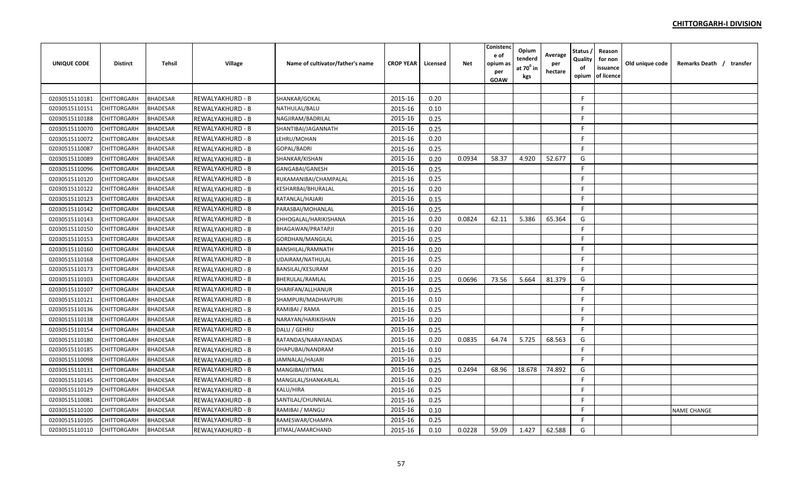| <b>UNIQUE CODE</b> | <b>Distirct</b>    | <b>Tehsil</b>   | Village          | Name of cultivator/father's name | <b>CROP YEAR</b> | Licensed | <b>Net</b> | Conistenc<br>e of<br>opium as<br>per<br><b>GOAW</b> | Opium<br>tenderd<br>at 70 <sup>0</sup> in<br>kgs | Average<br>per<br>hectare | Status<br>Quality<br>of<br>opium | Reason<br>for non<br>issuance<br>of licence | Old unique code | Remarks Death / transfer |  |
|--------------------|--------------------|-----------------|------------------|----------------------------------|------------------|----------|------------|-----------------------------------------------------|--------------------------------------------------|---------------------------|----------------------------------|---------------------------------------------|-----------------|--------------------------|--|
|                    |                    |                 |                  |                                  |                  |          |            |                                                     |                                                  |                           |                                  |                                             |                 |                          |  |
| 02030515110181     | CHITTORGARH        | <b>BHADESAR</b> | REWALYAKHURD - B | SHANKAR/GOKAL                    | 2015-16          | 0.20     |            |                                                     |                                                  |                           | -F                               |                                             |                 |                          |  |
| 02030515110151     | CHITTORGARH        | <b>BHADESAR</b> | REWALYAKHURD - B | NATHULAL/BALU                    | 2015-16          | 0.10     |            |                                                     |                                                  |                           | F                                |                                             |                 |                          |  |
| 02030515110188     | CHITTORGARH        | <b>BHADESAR</b> | REWALYAKHURD - B | NAGJIRAM/BADRILAL                | 2015-16          | 0.25     |            |                                                     |                                                  |                           | F                                |                                             |                 |                          |  |
| 02030515110070     | CHITTORGARH        | <b>BHADESAR</b> | REWALYAKHURD - B | SHANTIBAI/JAGANNATH              | 2015-16          | 0.25     |            |                                                     |                                                  |                           | -F                               |                                             |                 |                          |  |
| 02030515110072     | <b>CHITTORGARH</b> | <b>BHADESAR</b> | REWALYAKHURD - B | LEHRU/MOHAN                      | 2015-16          | 0.20     |            |                                                     |                                                  |                           | -F                               |                                             |                 |                          |  |
| 02030515110087     | <b>CHITTORGARH</b> | <b>BHADESAR</b> | REWALYAKHURD - B | GOPAL/BADRI                      | 2015-16          | 0.25     |            |                                                     |                                                  |                           | F.                               |                                             |                 |                          |  |
| 02030515110089     | CHITTORGARH        | <b>BHADESAR</b> | REWALYAKHURD - B | SHANKAR/KISHAN                   | 2015-16          | 0.20     | 0.0934     | 58.37                                               | 4.920                                            | 52.677                    | G                                |                                             |                 |                          |  |
| 02030515110096     | CHITTORGARH        | <b>BHADESAR</b> | REWALYAKHURD - B | GANGABAI/GANESH                  | 2015-16          | 0.25     |            |                                                     |                                                  |                           | F                                |                                             |                 |                          |  |
| 02030515110120     | CHITTORGARH        | <b>BHADESAR</b> | REWALYAKHURD - B | RUKAMANIBAI/CHAMPALAL            | 2015-16          | 0.25     |            |                                                     |                                                  |                           | F                                |                                             |                 |                          |  |
| 02030515110122     | CHITTORGARH        | <b>BHADESAR</b> | REWALYAKHURD - B | KESHARBAI/BHURALAL               | 2015-16          | 0.20     |            |                                                     |                                                  |                           | -F                               |                                             |                 |                          |  |
| 02030515110123     | <b>CHITTORGARH</b> | <b>BHADESAR</b> | REWALYAKHURD - B | RATANLAL/HAJARI                  | 2015-16          | 0.15     |            |                                                     |                                                  |                           | -F                               |                                             |                 |                          |  |
| 02030515110142     | CHITTORGARH        | <b>BHADESAR</b> | REWALYAKHURD - B | PARASBAI/MOHANLAL                | 2015-16          | 0.25     |            |                                                     |                                                  |                           | E                                |                                             |                 |                          |  |
| 02030515110143     | CHITTORGARH        | <b>BHADESAR</b> | REWALYAKHURD - B | CHHOGALAL/HARIKISHANA            | 2015-16          | 0.20     | 0.0824     | 62.11                                               | 5.386                                            | 65.364                    | G                                |                                             |                 |                          |  |
| 02030515110150     | CHITTORGARH        | <b>BHADESAR</b> | REWALYAKHURD - B | <b>BHAGAWAN/PRATAPJI</b>         | 2015-16          | 0.20     |            |                                                     |                                                  |                           | F                                |                                             |                 |                          |  |
| 02030515110153     | CHITTORGARH        | <b>BHADESAR</b> | REWALYAKHURD - B | GORDHAN/MANGILAL                 | 2015-16          | 0.25     |            |                                                     |                                                  |                           | F                                |                                             |                 |                          |  |
| 02030515110160     | <b>CHITTORGARH</b> | <b>BHADESAR</b> | REWALYAKHURD - B | <b>BANSHILAL/RAMNATH</b>         | 2015-16          | 0.20     |            |                                                     |                                                  |                           | F.                               |                                             |                 |                          |  |
| 02030515110168     | <b>CHITTORGARH</b> | <b>BHADESAR</b> | REWALYAKHURD - B | UDAIRAM/NATHULAL                 | 2015-16          | 0.25     |            |                                                     |                                                  |                           | F.                               |                                             |                 |                          |  |
| 02030515110173     | CHITTORGARH        | <b>BHADESAR</b> | REWALYAKHURD - B | <b>BANSILAL/KESURAM</b>          | 2015-16          | 0.20     |            |                                                     |                                                  |                           | -F                               |                                             |                 |                          |  |
| 02030515110103     | CHITTORGARH        | <b>BHADESAR</b> | REWALYAKHURD - B | BHERULAL/RAMLAL                  | 2015-16          | 0.25     | 0.0696     | 73.56                                               | 5.664                                            | 81.379                    | G                                |                                             |                 |                          |  |
| 02030515110107     | CHITTORGARH        | <b>BHADESAR</b> | REWALYAKHURD - B | SHARIFAN/ALLHANUR                | 2015-16          | 0.25     |            |                                                     |                                                  |                           | F                                |                                             |                 |                          |  |
| 02030515110121     | CHITTORGARH        | <b>BHADESAR</b> | REWALYAKHURD - B | SHAMPURI/MADHAVPURI              | 2015-16          | 0.10     |            |                                                     |                                                  |                           | F                                |                                             |                 |                          |  |
| 02030515110136     | CHITTORGARH        | <b>BHADESAR</b> | REWALYAKHURD - B | RAMIBAI / RAMA                   | 2015-16          | 0.25     |            |                                                     |                                                  |                           | E                                |                                             |                 |                          |  |
| 02030515110138     | <b>CHITTORGARH</b> | <b>BHADESAR</b> | REWALYAKHURD - B | NARAYAN/HARIKISHAN               | 2015-16          | 0.20     |            |                                                     |                                                  |                           | F.                               |                                             |                 |                          |  |
| 02030515110154     | CHITTORGARH        | <b>BHADESAR</b> | REWALYAKHURD - B | DALU / GEHRU                     | 2015-16          | 0.25     |            |                                                     |                                                  |                           | $\mathsf{F}$                     |                                             |                 |                          |  |
| 02030515110180     | CHITTORGARH        | <b>BHADESAR</b> | REWALYAKHURD - B | RATANDAS/NARAYANDAS              | 2015-16          | 0.20     | 0.0835     | 64.74                                               | 5.725                                            | 68.563                    | G                                |                                             |                 |                          |  |
| 02030515110185     | CHITTORGARH        | <b>BHADESAR</b> | REWALYAKHURD - B | DHAPUBAI/NANDRAM                 | 2015-16          | 0.10     |            |                                                     |                                                  |                           | F                                |                                             |                 |                          |  |
| 02030515110098     | CHITTORGARH        | <b>BHADESAR</b> | REWALYAKHURD - B | <b>JAMNALAL/HAJARI</b>           | 2015-16          | 0.25     |            |                                                     |                                                  |                           | -F                               |                                             |                 |                          |  |
| 02030515110131     | <b>CHITTORGARH</b> | <b>BHADESAR</b> | REWALYAKHURD - B | MANGIBAI/JITMAL                  | 2015-16          | 0.25     | 0.2494     | 68.96                                               | 18.678                                           | 74.892                    | G                                |                                             |                 |                          |  |
| 02030515110145     | <b>CHITTORGARH</b> | <b>BHADESAR</b> | REWALYAKHURD - B | MANGILAL/SHANKARLAL              | 2015-16          | 0.20     |            |                                                     |                                                  |                           | F.                               |                                             |                 |                          |  |
| 02030515110129     | CHITTORGARH        | <b>BHADESAR</b> | REWALYAKHURD - B | KALU/HIRA                        | 2015-16          | 0.25     |            |                                                     |                                                  |                           | F.                               |                                             |                 |                          |  |
| 02030515110081     | CHITTORGARH        | <b>BHADESAR</b> | REWALYAKHURD - B | SANTILAL/CHUNNILAL               | 2015-16          | 0.25     |            |                                                     |                                                  |                           | F                                |                                             |                 |                          |  |
| 02030515110100     | CHITTORGARH        | <b>BHADESAR</b> | REWALYAKHURD - B | RAMIBAI / MANGU                  | 2015-16          | 0.10     |            |                                                     |                                                  |                           | F.                               |                                             |                 | <b>NAME CHANGE</b>       |  |
| 02030515110105     | CHITTORGARH        | <b>BHADESAR</b> | REWALYAKHURD - B | RAMESWAR/CHAMPA                  | 2015-16          | 0.25     |            |                                                     |                                                  |                           | E                                |                                             |                 |                          |  |
| 02030515110110     | <b>CHITTORGARH</b> | <b>BHADESAR</b> | REWALYAKHURD - B | JITMAL/AMARCHAND                 | 2015-16          | 0.10     | 0.0228     | 59.09                                               | 1.427                                            | 62.588                    | G                                |                                             |                 |                          |  |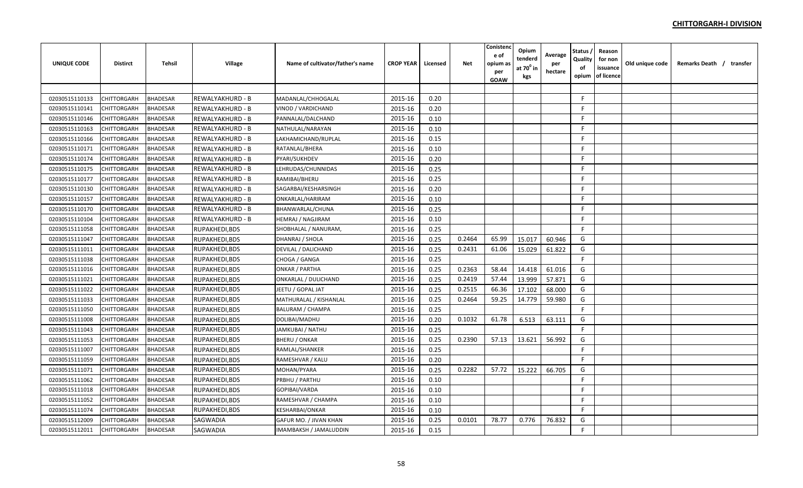| <b>UNIQUE CODE</b> | <b>Distirct</b>    | <b>Tehsil</b>   | Village          | Name of cultivator/father's name | <b>CROP YEAR</b> | Licensed | Net    | Conistend<br>e of<br>opium a:<br>per<br>GOAW | Opium<br>tenderd<br>at $70^0$ in<br>kgs | Average<br>per<br>hectare | <b>Status</b><br>Quality<br>of<br>opium | Reason<br>for non<br>issuance<br>of licence | Old unique code | Remarks Death / transfer |
|--------------------|--------------------|-----------------|------------------|----------------------------------|------------------|----------|--------|----------------------------------------------|-----------------------------------------|---------------------------|-----------------------------------------|---------------------------------------------|-----------------|--------------------------|
|                    |                    |                 |                  |                                  |                  |          |        |                                              |                                         |                           |                                         |                                             |                 |                          |
| 02030515110133     | CHITTORGARH        | <b>BHADESAR</b> | REWALYAKHURD - B | MADANLAL/CHHOGALAL               | 2015-16          | 0.20     |        |                                              |                                         |                           | F.                                      |                                             |                 |                          |
| 02030515110141     | CHITTORGARH        | <b>BHADESAR</b> | REWALYAKHURD - B | VINOD / VARDICHAND               | 2015-16          | 0.20     |        |                                              |                                         |                           | F                                       |                                             |                 |                          |
| 02030515110146     | CHITTORGARH        | <b>BHADESAR</b> | REWALYAKHURD - B | PANNALAL/DALCHAND                | 2015-16          | 0.10     |        |                                              |                                         |                           | F.                                      |                                             |                 |                          |
| 02030515110163     | CHITTORGARH        | <b>BHADESAR</b> | REWALYAKHURD - B | NATHULAL/NARAYAN                 | 2015-16          | 0.10     |        |                                              |                                         |                           | F.                                      |                                             |                 |                          |
| 02030515110166     | <b>CHITTORGARH</b> | <b>BHADESAR</b> | REWALYAKHURD - B | LAKHAMICHAND/RUPLAL              | 2015-16          | 0.15     |        |                                              |                                         |                           | F.                                      |                                             |                 |                          |
| 02030515110171     | <b>CHITTORGARH</b> | <b>BHADESAR</b> | REWALYAKHURD - B | RATANLAL/BHERA                   | 2015-16          | 0.10     |        |                                              |                                         |                           | F.                                      |                                             |                 |                          |
| 02030515110174     | CHITTORGARH        | <b>BHADESAR</b> | REWALYAKHURD - B | PYARI/SUKHDEV                    | 2015-16          | 0.20     |        |                                              |                                         |                           | F.                                      |                                             |                 |                          |
| 02030515110175     | <b>CHITTORGARH</b> | <b>BHADESAR</b> | REWALYAKHURD - B | LEHRUDAS/CHUNNIDAS               | 2015-16          | 0.25     |        |                                              |                                         |                           | F.                                      |                                             |                 |                          |
| 02030515110177     | CHITTORGARH        | <b>BHADESAR</b> | REWALYAKHURD - B | RAMIBAI/BHERU                    | 2015-16          | 0.25     |        |                                              |                                         |                           | F.                                      |                                             |                 |                          |
| 02030515110130     | CHITTORGARH        | <b>BHADESAR</b> | REWALYAKHURD - B | SAGARBAI/KESHARSINGH             | 2015-16          | 0.20     |        |                                              |                                         |                           | F.                                      |                                             |                 |                          |
| 02030515110157     | <b>CHITTORGARH</b> | <b>BHADESAR</b> | REWALYAKHURD - B | ONKARLAL/HARIRAM                 | 2015-16          | 0.10     |        |                                              |                                         |                           | F                                       |                                             |                 |                          |
| 02030515110170     | CHITTORGARH        | <b>BHADESAR</b> | REWALYAKHURD - B | BHANWARLAL/CHUNA                 | 2015-16          | 0.25     |        |                                              |                                         |                           | E                                       |                                             |                 |                          |
| 02030515110104     | <b>CHITTORGARH</b> | <b>BHADESAR</b> | REWALYAKHURD - B | <b>HEMRAJ / NAGJIRAM</b>         | 2015-16          | 0.10     |        |                                              |                                         |                           | F.                                      |                                             |                 |                          |
| 02030515111058     | <b>CHITTORGARH</b> | <b>BHADESAR</b> | RUPAKHEDI, BDS   | SHOBHALAL / NANURAM,             | 2015-16          | 0.25     |        |                                              |                                         |                           | F.                                      |                                             |                 |                          |
| 02030515111047     | <b>CHITTORGARH</b> | <b>BHADESAR</b> | RUPAKHEDI, BDS   | DHANRAJ / SHOLA                  | 2015-16          | 0.25     | 0.2464 | 65.99                                        | 15.017                                  | 60.946                    | G                                       |                                             |                 |                          |
| 02030515111011     | <b>CHITTORGARH</b> | <b>BHADESAR</b> | RUPAKHEDI, BDS   | DEVILAL / DALICHAND              | 2015-16          | 0.25     | 0.2431 | 61.06                                        | 15.029                                  | 61.822                    | G                                       |                                             |                 |                          |
| 02030515111038     | <b>CHITTORGARH</b> | <b>BHADESAR</b> | RUPAKHEDI, BDS   | CHOGA / GANGA                    | 2015-16          | 0.25     |        |                                              |                                         |                           | E                                       |                                             |                 |                          |
| 02030515111016     | CHITTORGARH        | <b>BHADESAR</b> | RUPAKHEDI, BDS   | ONKAR / PARTHA                   | 2015-16          | 0.25     | 0.2363 | 58.44                                        | 14.418                                  | 61.016                    | G                                       |                                             |                 |                          |
| 02030515111021     | <b>CHITTORGARH</b> | <b>BHADESAR</b> | RUPAKHEDI, BDS   | ONKARLAL / DULICHAND             | 2015-16          | 0.25     | 0.2419 | 57.44                                        | 13.999                                  | 57.871                    | G                                       |                                             |                 |                          |
| 02030515111022     | CHITTORGARH        | <b>BHADESAR</b> | RUPAKHEDI, BDS   | JEETU / GOPAL JAT                | 2015-16          | 0.25     | 0.2515 | 66.36                                        | 17.102                                  | 68.000                    | G                                       |                                             |                 |                          |
| 02030515111033     | CHITTORGARH        | <b>BHADESAR</b> | RUPAKHEDI, BDS   | MATHURALAL / KISHANLAL           | 2015-16          | 0.25     | 0.2464 | 59.25                                        | 14.779                                  | 59.980                    | G                                       |                                             |                 |                          |
| 02030515111050     | CHITTORGARH        | <b>BHADESAR</b> | RUPAKHEDI, BDS   | <b>BALURAM / CHAMPA</b>          | 2015-16          | 0.25     |        |                                              |                                         |                           | F                                       |                                             |                 |                          |
| 02030515111008     | CHITTORGARH        | <b>BHADESAR</b> | RUPAKHEDI, BDS   | DOLIBAI/MADHU                    | 2015-16          | 0.20     | 0.1032 | 61.78                                        | 6.513                                   | 63.111                    | G                                       |                                             |                 |                          |
| 02030515111043     | CHITTORGARH        | <b>BHADESAR</b> | RUPAKHEDI, BDS   | JAMKUBAI / NATHU                 | 2015-16          | 0.25     |        |                                              |                                         |                           | F.                                      |                                             |                 |                          |
| 02030515111053     | CHITTORGARH        | <b>BHADESAR</b> | RUPAKHEDI, BDS   | <b>BHERU / ONKAR</b>             | 2015-16          | 0.25     | 0.2390 | 57.13                                        | 13.621                                  | 56.992                    | G                                       |                                             |                 |                          |
| 02030515111007     | <b>CHITTORGARH</b> | <b>BHADESAR</b> | RUPAKHEDI, BDS   | RAMLAL/SHANKER                   | 2015-16          | 0.25     |        |                                              |                                         |                           | F                                       |                                             |                 |                          |
| 02030515111059     | <b>CHITTORGARH</b> | <b>BHADESAR</b> | RUPAKHEDI, BDS   | RAMESHVAR / KALU                 | 2015-16          | 0.20     |        |                                              |                                         |                           | F.                                      |                                             |                 |                          |
| 02030515111071     | <b>CHITTORGARH</b> | <b>BHADESAR</b> | RUPAKHEDI, BDS   | MOHAN/PYARA                      | 2015-16          | 0.25     | 0.2282 | 57.72                                        | 15.222                                  | 66.705                    | G                                       |                                             |                 |                          |
| 02030515111062     | <b>CHITTORGARH</b> | <b>BHADESAR</b> | RUPAKHEDI,BDS    | PRBHU / PARTHU                   | 2015-16          | 0.10     |        |                                              |                                         |                           | F.                                      |                                             |                 |                          |
| 02030515111018     | <b>CHITTORGARH</b> | <b>BHADESAR</b> | RUPAKHEDI, BDS   | GOPIBAI/VARDA                    | 2015-16          | 0.10     |        |                                              |                                         |                           | F.                                      |                                             |                 |                          |
| 02030515111052     | CHITTORGARH        | <b>BHADESAR</b> | RUPAKHEDI, BDS   | RAMESHVAR / CHAMPA               | 2015-16          | 0.10     |        |                                              |                                         |                           | F.                                      |                                             |                 |                          |
| 02030515111074     | <b>CHITTORGARH</b> | <b>BHADESAR</b> | RUPAKHEDI, BDS   | KESHARBAI/ONKAR                  | 2015-16          | 0.10     |        |                                              |                                         |                           | F.                                      |                                             |                 |                          |
| 02030515112009     | CHITTORGARH        | <b>BHADESAR</b> | SAGWADIA         | GAFUR MO. / JIVAN KHAN           | 2015-16          | 0.25     | 0.0101 | 78.77                                        | 0.776                                   | 76.832                    | G                                       |                                             |                 |                          |
| 02030515112011     | <b>CHITTORGARH</b> | <b>BHADESAR</b> | SAGWADIA         | <b>IMAMBAKSH / JAMALUDDIN</b>    | 2015-16          | 0.15     |        |                                              |                                         |                           | F                                       |                                             |                 |                          |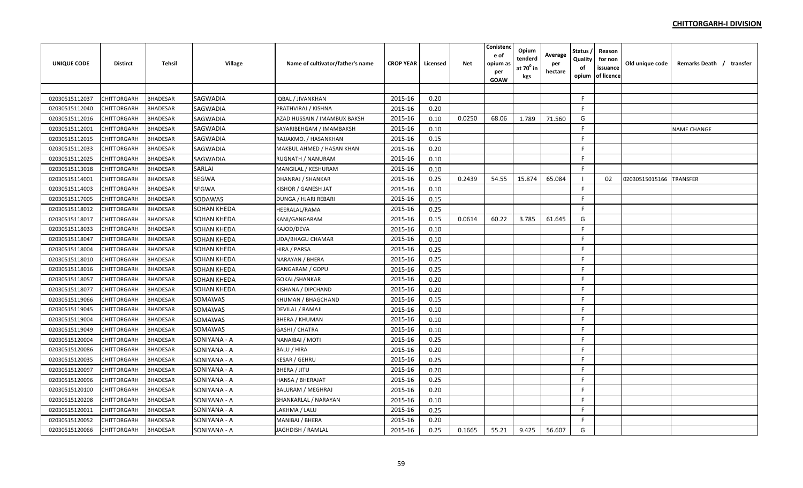| <b>UNIQUE CODE</b> | <b>Distirct</b>    | <b>Tehsil</b>   | Village            | Name of cultivator/father's name | <b>CROP YEAR</b> | Licensed | <b>Net</b> | Conistenc<br>e of<br>opium as<br>per<br><b>GOAW</b> | Opium<br>tenderd<br>at 70 <sup>0</sup> in<br>kgs | Average<br>per<br>hectare | Status<br>Quality<br>of<br>opium | Reason<br>for non<br>issuance<br>of licence | Old unique code | Remarks Death / transfer |  |
|--------------------|--------------------|-----------------|--------------------|----------------------------------|------------------|----------|------------|-----------------------------------------------------|--------------------------------------------------|---------------------------|----------------------------------|---------------------------------------------|-----------------|--------------------------|--|
|                    |                    |                 |                    |                                  |                  |          |            |                                                     |                                                  |                           |                                  |                                             |                 |                          |  |
| 02030515112037     | CHITTORGARH        | <b>BHADESAR</b> | SAGWADIA           | <b>IQBAL / JIVANKHAN</b>         | 2015-16          | 0.20     |            |                                                     |                                                  |                           | -F                               |                                             |                 |                          |  |
| 02030515112040     | CHITTORGARH        | <b>BHADESAR</b> | <b>SAGWADIA</b>    | PRATHVIRAJ / KISHNA              | 2015-16          | 0.20     |            |                                                     |                                                  |                           | F.                               |                                             |                 |                          |  |
| 02030515112016     | CHITTORGARH        | <b>BHADESAR</b> | SAGWADIA           | AZAD HUSSAIN / IMAMBUX BAKSH     | 2015-16          | 0.10     | 0.0250     | 68.06                                               | 1.789                                            | 71.560                    | G                                |                                             |                 |                          |  |
| 02030515112001     | CHITTORGARH        | <b>BHADESAR</b> | SAGWADIA           | SAYARIBEHGAM / IMAMBAKSH         | 2015-16          | 0.10     |            |                                                     |                                                  |                           | F                                |                                             |                 | <b>NAME CHANGE</b>       |  |
| 02030515112015     | <b>CHITTORGARH</b> | <b>BHADESAR</b> | SAGWADIA           | RAJJAKMO. / HASANKHAN            | 2015-16          | 0.15     |            |                                                     |                                                  |                           | F                                |                                             |                 |                          |  |
| 02030515112033     | CHITTORGARH        | <b>BHADESAR</b> | SAGWADIA           | MAKBUL AHMED / HASAN KHAN        | 2015-16          | 0.20     |            |                                                     |                                                  |                           | F.                               |                                             |                 |                          |  |
| 02030515112025     | CHITTORGARH        | <b>BHADESAR</b> | SAGWADIA           | RUGNATH / NANURAM                | 2015-16          | 0.10     |            |                                                     |                                                  |                           | E                                |                                             |                 |                          |  |
| 02030515113018     | CHITTORGARH        | <b>BHADESAR</b> | SARLAI             | MANGILAL / KESHURAM              | 2015-16          | 0.10     |            |                                                     |                                                  |                           | E                                |                                             |                 |                          |  |
| 02030515114001     | CHITTORGARH        | <b>BHADESAR</b> | SEGWA              | DHANRAJ / SHANKAR                | 2015-16          | 0.25     | 0.2439     | 54.55                                               | 15.874                                           | 65.084                    |                                  | 02                                          | 02030515015166  | <b>TRANSFER</b>          |  |
| 02030515114003     | CHITTORGARH        | <b>BHADESAR</b> | SEGWA              | KISHOR / GANESH JAT              | 2015-16          | 0.10     |            |                                                     |                                                  |                           | F.                               |                                             |                 |                          |  |
| 02030515117005     | CHITTORGARH        | <b>BHADESAR</b> | SODAWAS            | DUNGA / HJARI REBARI             | 2015-16          | 0.15     |            |                                                     |                                                  |                           | F                                |                                             |                 |                          |  |
| 02030515118012     | CHITTORGARH        | <b>BHADESAR</b> | <b>SOHAN KHEDA</b> | <b>HEERALAL/RAMA</b>             | 2015-16          | 0.25     |            |                                                     |                                                  |                           | E                                |                                             |                 |                          |  |
| 02030515118017     | CHITTORGARH        | <b>BHADESAR</b> | <b>SOHAN KHEDA</b> | KANI/GANGARAM                    | 2015-16          | 0.15     | 0.0614     | 60.22                                               | 3.785                                            | 61.645                    | G                                |                                             |                 |                          |  |
| 02030515118033     | CHITTORGARH        | <b>BHADESAR</b> | <b>SOHAN KHEDA</b> | KAJOD/DEVA                       | 2015-16          | 0.10     |            |                                                     |                                                  |                           | F                                |                                             |                 |                          |  |
| 02030515118047     | CHITTORGARH        | <b>BHADESAR</b> | <b>SOHAN KHEDA</b> | <b>UDA/BHAGU CHAMAR</b>          | 2015-16          | 0.10     |            |                                                     |                                                  |                           | F                                |                                             |                 |                          |  |
| 02030515118004     | CHITTORGARH        | <b>BHADESAR</b> | <b>SOHAN KHEDA</b> | HIRA / PARSA                     | 2015-16          | 0.25     |            |                                                     |                                                  |                           | F                                |                                             |                 |                          |  |
| 02030515118010     | <b>CHITTORGARH</b> | <b>BHADESAR</b> | <b>SOHAN KHEDA</b> | NARAYAN / BHERA                  | 2015-16          | 0.25     |            |                                                     |                                                  |                           | F.                               |                                             |                 |                          |  |
| 02030515118016     | CHITTORGARH        | <b>BHADESAR</b> | SOHAN KHEDA        | GANGARAM / GOPU                  | 2015-16          | 0.25     |            |                                                     |                                                  |                           | F                                |                                             |                 |                          |  |
| 02030515118057     | CHITTORGARH        | <b>BHADESAR</b> | SOHAN KHEDA        | GOKAL/SHANKAR                    | 2015-16          | 0.20     |            |                                                     |                                                  |                           | E                                |                                             |                 |                          |  |
| 02030515118077     | CHITTORGARH        | <b>BHADESAR</b> | <b>SOHAN KHEDA</b> | KISHANA / DIPCHAND               | 2015-16          | 0.20     |            |                                                     |                                                  |                           | F.                               |                                             |                 |                          |  |
| 02030515119066     | CHITTORGARH        | <b>BHADESAR</b> | SOMAWAS            | KHUMAN / BHAGCHAND               | 2015-16          | 0.15     |            |                                                     |                                                  |                           | F.                               |                                             |                 |                          |  |
| 02030515119045     | CHITTORGARH        | <b>BHADESAR</b> | SOMAWAS            | <b>DEVILAL / RAMAJI</b>          | 2015-16          | 0.10     |            |                                                     |                                                  |                           | F                                |                                             |                 |                          |  |
| 02030515119004     | CHITTORGARH        | <b>BHADESAR</b> | SOMAWAS            | <b>BHERA / KHUMAN</b>            | 2015-16          | 0.10     |            |                                                     |                                                  |                           | F                                |                                             |                 |                          |  |
| 02030515119049     | CHITTORGARH        | <b>BHADESAR</b> | SOMAWAS            | <b>GASHI / CHATRA</b>            | 2015-16          | 0.10     |            |                                                     |                                                  |                           | F                                |                                             |                 |                          |  |
| 02030515120004     | CHITTORGARH        | <b>BHADESAR</b> | SONIYANA - A       | NANAIBAI / MOTI                  | 2015-16          | 0.25     |            |                                                     |                                                  |                           | F                                |                                             |                 |                          |  |
| 02030515120086     | CHITTORGARH        | <b>BHADESAR</b> | SONIYANA - A       | <b>BALU / HIRA</b>               | 2015-16          | 0.20     |            |                                                     |                                                  |                           | F                                |                                             |                 |                          |  |
| 02030515120035     | CHITTORGARH        | <b>BHADESAR</b> | SONIYANA - A       | <b>KESAR / GEHRU</b>             | 2015-16          | 0.25     |            |                                                     |                                                  |                           | F                                |                                             |                 |                          |  |
| 02030515120097     | CHITTORGARH        | <b>BHADESAR</b> | SONIYANA - A       | BHERA / JITU                     | 2015-16          | 0.20     |            |                                                     |                                                  |                           | F.                               |                                             |                 |                          |  |
| 02030515120096     | <b>CHITTORGARH</b> | <b>BHADESAR</b> | SONIYANA - A       | <b>HANSA / BHERAJAT</b>          | 2015-16          | 0.25     |            |                                                     |                                                  |                           | F                                |                                             |                 |                          |  |
| 02030515120100     | CHITTORGARH        | <b>BHADESAR</b> | SONIYANA - A       | <b>BALURAM / MEGHRAJ</b>         | 2015-16          | 0.20     |            |                                                     |                                                  |                           | F.                               |                                             |                 |                          |  |
| 02030515120208     | CHITTORGARH        | <b>BHADESAR</b> | SONIYANA - A       | SHANKARLAL / NARAYAN             | 2015-16          | 0.10     |            |                                                     |                                                  |                           | F.                               |                                             |                 |                          |  |
| 02030515120011     | CHITTORGARH        | <b>BHADESAR</b> | SONIYANA - A       | LAKHMA / LALU                    | 2015-16          | 0.25     |            |                                                     |                                                  |                           | F                                |                                             |                 |                          |  |
| 02030515120052     | CHITTORGARH        | <b>BHADESAR</b> | SONIYANA - A       | MANIBAI / BHERA                  | 2015-16          | 0.20     |            |                                                     |                                                  |                           | F.                               |                                             |                 |                          |  |
| 02030515120066     | <b>CHITTORGARH</b> | <b>BHADESAR</b> | SONIYANA - A       | JAGHDISH / RAMLAL                | 2015-16          | 0.25     | 0.1665     | 55.21                                               | 9.425                                            | 56.607                    | G                                |                                             |                 |                          |  |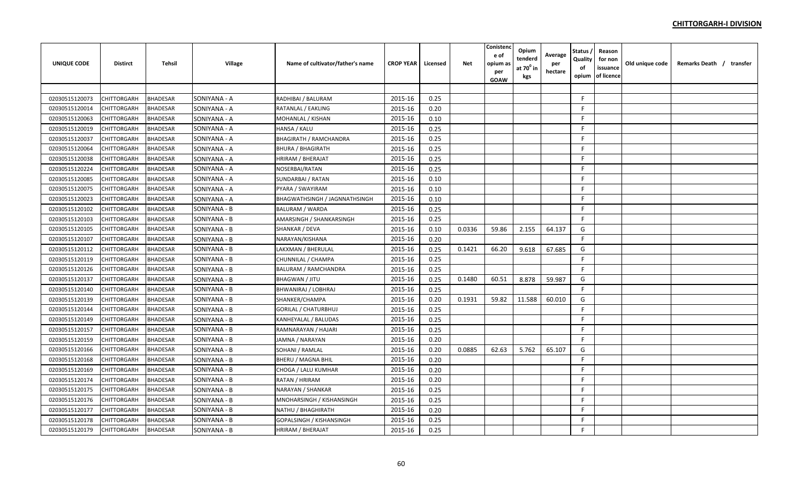| <b>UNIQUE CODE</b> | <b>Distirct</b>    | <b>Tehsil</b>   | Village      | Name of cultivator/father's name | <b>CROP YEAR</b> | Licensed | <b>Net</b> | Conistenc<br>e of<br>opium as<br>per<br><b>GOAW</b> | Opium<br>tenderd<br>at 70º in<br>kgs | Average<br>per<br>hectare | Status ,<br>Quality<br>оf<br>opium | Reason<br>for non<br>issuance<br>of licence | Old unique code | Remarks Death / transfer |
|--------------------|--------------------|-----------------|--------------|----------------------------------|------------------|----------|------------|-----------------------------------------------------|--------------------------------------|---------------------------|------------------------------------|---------------------------------------------|-----------------|--------------------------|
|                    |                    |                 |              |                                  |                  |          |            |                                                     |                                      |                           |                                    |                                             |                 |                          |
| 02030515120073     | <b>CHITTORGARH</b> | <b>BHADESAR</b> | SONIYANA - A | RADHIBAI / BALURAM               | 2015-16          | 0.25     |            |                                                     |                                      |                           | F.                                 |                                             |                 |                          |
| 02030515120014     | <b>CHITTORGARH</b> | <b>BHADESAR</b> | SONIYANA - A | RATANLAL / EAKLING               | 2015-16          | 0.20     |            |                                                     |                                      |                           | F.                                 |                                             |                 |                          |
| 02030515120063     | <b>CHITTORGARH</b> | <b>BHADESAR</b> | SONIYANA - A | MOHANLAL / KISHAN                | 2015-16          | 0.10     |            |                                                     |                                      |                           | F.                                 |                                             |                 |                          |
| 02030515120019     | CHITTORGARH        | <b>BHADESAR</b> | SONIYANA - A | HANSA / KALU                     | 2015-16          | 0.25     |            |                                                     |                                      |                           | F.                                 |                                             |                 |                          |
| 02030515120037     | <b>CHITTORGARH</b> | <b>BHADESAR</b> | SONIYANA - A | <b>BHAGIRATH / RAMCHANDRA</b>    | 2015-16          | 0.25     |            |                                                     |                                      |                           | F.                                 |                                             |                 |                          |
| 02030515120064     | <b>CHITTORGARH</b> | <b>BHADESAR</b> | SONIYANA - A | <b>BHURA / BHAGIRATH</b>         | 2015-16          | 0.25     |            |                                                     |                                      |                           | F.                                 |                                             |                 |                          |
| 02030515120038     | CHITTORGARH        | BHADESAR        | SONIYANA - A | HRIRAM / BHERAJAT                | 2015-16          | 0.25     |            |                                                     |                                      |                           | F.                                 |                                             |                 |                          |
| 02030515120224     | <b>CHITTORGARH</b> | <b>BHADESAR</b> | SONIYANA - A | NOSERBAI/RATAN                   | 2015-16          | 0.25     |            |                                                     |                                      |                           | F.                                 |                                             |                 |                          |
| 02030515120085     | <b>CHITTORGARH</b> | <b>BHADESAR</b> | SONIYANA - A | SUNDARBAI / RATAN                | 2015-16          | 0.10     |            |                                                     |                                      |                           | F                                  |                                             |                 |                          |
| 02030515120075     | CHITTORGARH        | <b>BHADESAR</b> | SONIYANA - A | PYARA / SWAYIRAM                 | 2015-16          | 0.10     |            |                                                     |                                      |                           | F.                                 |                                             |                 |                          |
| 02030515120023     | <b>CHITTORGARH</b> | <b>BHADESAR</b> | SONIYANA - A | BHAGWATHSINGH / JAGNNATHSINGH    | 2015-16          | 0.10     |            |                                                     |                                      |                           | F                                  |                                             |                 |                          |
| 02030515120102     | <b>CHITTORGARH</b> | <b>BHADESAR</b> | SONIYANA - B | <b>BALURAM / WARDA</b>           | 2015-16          | 0.25     |            |                                                     |                                      |                           | F                                  |                                             |                 |                          |
| 02030515120103     | CHITTORGARH        | <b>BHADESAR</b> | SONIYANA - B | AMARSINGH / SHANKARSINGH         | 2015-16          | 0.25     |            |                                                     |                                      |                           | F                                  |                                             |                 |                          |
| 02030515120105     | <b>CHITTORGARH</b> | <b>BHADESAR</b> | SONIYANA - B | SHANKAR / DEVA                   | 2015-16          | 0.10     | 0.0336     | 59.86                                               | 2.155                                | 64.137                    | G                                  |                                             |                 |                          |
| 02030515120107     | <b>CHITTORGARH</b> | <b>BHADESAR</b> | SONIYANA - B | NARAYAN/KISHANA                  | 2015-16          | 0.20     |            |                                                     |                                      |                           | F                                  |                                             |                 |                          |
| 02030515120112     | <b>CHITTORGARH</b> | <b>BHADESAR</b> | SONIYANA - B | LAKXMAN / BHERULAL               | 2015-16          | 0.25     | 0.1421     | 66.20                                               | 9.618                                | 67.685                    | G                                  |                                             |                 |                          |
| 02030515120119     | <b>CHITTORGARH</b> | <b>BHADESAR</b> | SONIYANA - B | CHUNNILAL / CHAMPA               | 2015-16          | 0.25     |            |                                                     |                                      |                           | F                                  |                                             |                 |                          |
| 02030515120126     | <b>CHITTORGARH</b> | BHADESAR        | SONIYANA - B | BALURAM / RAMCHANDRA             | 2015-16          | 0.25     |            |                                                     |                                      |                           | F                                  |                                             |                 |                          |
| 02030515120137     | <b>CHITTORGARH</b> | <b>BHADESAR</b> | SONIYANA - B | BHAGWAN / JITU                   | 2015-16          | 0.25     | 0.1480     | 60.51                                               | 8.878                                | 59.987                    | G                                  |                                             |                 |                          |
| 02030515120140     | <b>CHITTORGARH</b> | <b>BHADESAR</b> | SONIYANA - B | BHWANIRAJ / LOBHRAJ              | 2015-16          | 0.25     |            |                                                     |                                      |                           | F.                                 |                                             |                 |                          |
| 02030515120139     | <b>CHITTORGARH</b> | <b>BHADESAR</b> | SONIYANA - B | SHANKER/CHAMPA                   | 2015-16          | 0.20     | 0.1931     | 59.82                                               | 11.588                               | 60.010                    | G                                  |                                             |                 |                          |
| 02030515120144     | <b>CHITTORGARH</b> | <b>BHADESAR</b> | SONIYANA - B | <b>GORILAL / CHATURBHUJ</b>      | 2015-16          | 0.25     |            |                                                     |                                      |                           | F                                  |                                             |                 |                          |
| 02030515120149     | <b>CHITTORGARH</b> | <b>BHADESAR</b> | SONIYANA - B | KANHEYALAL / BALUDAS             | 2015-16          | 0.25     |            |                                                     |                                      |                           | F                                  |                                             |                 |                          |
| 02030515120157     | <b>CHITTORGARH</b> | <b>BHADESAR</b> | SONIYANA - B | RAMNARAYAN / HAJARI              | 2015-16          | 0.25     |            |                                                     |                                      |                           | F                                  |                                             |                 |                          |
| 02030515120159     | <b>CHITTORGARH</b> | <b>BHADESAR</b> | SONIYANA - B | JAMNA / NARAYAN                  | 2015-16          | 0.20     |            |                                                     |                                      |                           | F.                                 |                                             |                 |                          |
| 02030515120166     | CHITTORGARH        | <b>BHADESAR</b> | SONIYANA - B | SOHANI / RAMLAL                  | 2015-16          | 0.20     | 0.0885     | 62.63                                               | 5.762                                | 65.107                    | G                                  |                                             |                 |                          |
| 02030515120168     | <b>CHITTORGARH</b> | <b>BHADESAR</b> | SONIYANA - B | BHERU / MAGNA BHIL               | 2015-16          | 0.20     |            |                                                     |                                      |                           | F.                                 |                                             |                 |                          |
| 02030515120169     | <b>CHITTORGARH</b> | <b>BHADESAR</b> | SONIYANA - B | CHOGA / LALU KUMHAR              | 2015-16          | 0.20     |            |                                                     |                                      |                           | F.                                 |                                             |                 |                          |
| 02030515120174     | <b>CHITTORGARH</b> | BHADESAR        | SONIYANA - B | RATAN / HRIRAM                   | 2015-16          | 0.20     |            |                                                     |                                      |                           | F.                                 |                                             |                 |                          |
| 02030515120175     | <b>CHITTORGARH</b> | <b>BHADESAR</b> | SONIYANA - B | NARAYAN / SHANKAR                | 2015-16          | 0.25     |            |                                                     |                                      |                           | F.                                 |                                             |                 |                          |
| 02030515120176     | <b>CHITTORGARH</b> | <b>BHADESAR</b> | SONIYANA - B | MNOHARSINGH / KISHANSINGH        | 2015-16          | 0.25     |            |                                                     |                                      |                           | F.                                 |                                             |                 |                          |
| 02030515120177     | CHITTORGARH        | <b>BHADESAR</b> | SONIYANA - B | NATHU / BHAGHIRATH               | 2015-16          | 0.20     |            |                                                     |                                      |                           | F.                                 |                                             |                 |                          |
| 02030515120178     | CHITTORGARH        | <b>BHADESAR</b> | SONIYANA - B | GOPALSINGH / KISHANSINGH         | 2015-16          | 0.25     |            |                                                     |                                      |                           | F.                                 |                                             |                 |                          |
| 02030515120179     | <b>CHITTORGARH</b> | <b>BHADESAR</b> | SONIYANA - B | HRIRAM / BHERAJAT                | 2015-16          | 0.25     |            |                                                     |                                      |                           | F.                                 |                                             |                 |                          |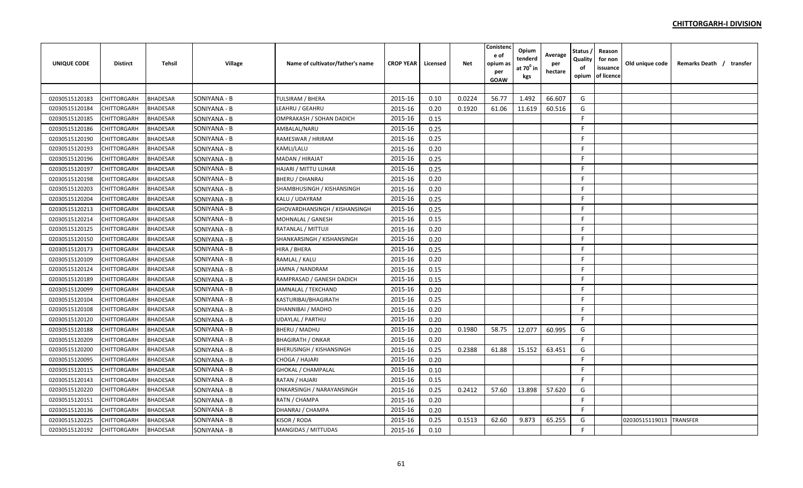| <b>UNIQUE CODE</b> | <b>Distirct</b>    | <b>Tehsil</b>   | Village      | Name of cultivator/father's name | <b>CROP YEAR</b> | Licensed | <b>Net</b> | Conistenc<br>e of<br>opium as<br>per<br><b>GOAW</b> | Opium<br>tenderd<br>at $70^0$ in<br>kgs | Average<br>per<br>hectare | Status<br>Quality<br>of<br>opium | Reason<br>for non<br>issuance<br>of licence | Old unique code | Remarks Death / transfer |
|--------------------|--------------------|-----------------|--------------|----------------------------------|------------------|----------|------------|-----------------------------------------------------|-----------------------------------------|---------------------------|----------------------------------|---------------------------------------------|-----------------|--------------------------|
|                    |                    |                 |              |                                  |                  |          |            |                                                     |                                         |                           |                                  |                                             |                 |                          |
| 02030515120183     | CHITTORGARH        | <b>BHADESAR</b> | SONIYANA - B | <b>TULSIRAM / BHERA</b>          | 2015-16          | 0.10     | 0.0224     | 56.77                                               | 1.492                                   | 66.607                    | G                                |                                             |                 |                          |
| 02030515120184     | CHITTORGARH        | <b>BHADESAR</b> | SONIYANA - B | LEAHRU / GEAHRU                  | 2015-16          | 0.20     | 0.1920     | 61.06                                               | 11.619                                  | 60.516                    | G                                |                                             |                 |                          |
| 02030515120185     | CHITTORGARH        | <b>BHADESAR</b> | SONIYANA - B | OMPRAKASH / SOHAN DADICH         | 2015-16          | 0.15     |            |                                                     |                                         |                           | F                                |                                             |                 |                          |
| 02030515120186     | CHITTORGARH        | <b>BHADESAR</b> | SONIYANA - B | AMBALAL/NARU                     | 2015-16          | 0.25     |            |                                                     |                                         |                           | -F                               |                                             |                 |                          |
| 02030515120190     | <b>CHITTORGARH</b> | <b>BHADESAR</b> | SONIYANA - B | RAMESWAR / HRIRAM                | 2015-16          | 0.25     |            |                                                     |                                         |                           | -F                               |                                             |                 |                          |
| 02030515120193     | CHITTORGARH        | <b>BHADESAR</b> | SONIYANA - B | <b>KAMLI/LALU</b>                | 2015-16          | 0.20     |            |                                                     |                                         |                           | F.                               |                                             |                 |                          |
| 02030515120196     | CHITTORGARH        | <b>BHADESAR</b> | SONIYANA - B | MADAN / HIRAJAT                  | 2015-16          | 0.25     |            |                                                     |                                         |                           | F.                               |                                             |                 |                          |
| 02030515120197     | <b>CHITTORGARH</b> | <b>BHADESAR</b> | SONIYANA - B | HAJARI / MITTU LUHAR             | 2015-16          | 0.25     |            |                                                     |                                         |                           | F.                               |                                             |                 |                          |
| 02030515120198     | CHITTORGARH        | <b>BHADESAR</b> | SONIYANA - B | <b>BHERU / DHANRAJ</b>           | 2015-16          | 0.20     |            |                                                     |                                         |                           | F                                |                                             |                 |                          |
| 02030515120203     | CHITTORGARH        | <b>BHADESAR</b> | SONIYANA - B | SHAMBHUSINGH / KISHANSINGH       | 2015-16          | 0.20     |            |                                                     |                                         |                           | -F                               |                                             |                 |                          |
| 02030515120204     | <b>CHITTORGARH</b> | <b>BHADESAR</b> | SONIYANA - B | KALU / UDAYRAM                   | 2015-16          | 0.25     |            |                                                     |                                         |                           | F.                               |                                             |                 |                          |
| 02030515120213     | CHITTORGARH        | <b>BHADESAR</b> | SONIYANA - B | GHOVARDHANSINGH / KISHANSINGH    | 2015-16          | 0.25     |            |                                                     |                                         |                           | F.                               |                                             |                 |                          |
| 02030515120214     | CHITTORGARH        | <b>BHADESAR</b> | SONIYANA - B | <b>MOHNALAL / GANESH</b>         | 2015-16          | 0.15     |            |                                                     |                                         |                           | -F                               |                                             |                 |                          |
| 02030515120125     | CHITTORGARH        | <b>BHADESAR</b> | SONIYANA - B | RATANLAL / MITTUJI               | 2015-16          | 0.20     |            |                                                     |                                         |                           | F                                |                                             |                 |                          |
| 02030515120150     | CHITTORGARH        | <b>BHADESAR</b> | SONIYANA - B | SHANKARSINGH / KISHANSINGH       | 2015-16          | 0.20     |            |                                                     |                                         |                           | F                                |                                             |                 |                          |
| 02030515120173     | CHITTORGARH        | <b>BHADESAR</b> | SONIYANA - B | HIRA / BHERA                     | 2015-16          | 0.25     |            |                                                     |                                         |                           | F.                               |                                             |                 |                          |
| 02030515120109     | <b>CHITTORGARH</b> | <b>BHADESAR</b> | SONIYANA - B | RAMLAL / KALU                    | 2015-16          | 0.20     |            |                                                     |                                         |                           | F.                               |                                             |                 |                          |
| 02030515120124     | CHITTORGARH        | <b>BHADESAR</b> | SONIYANA - B | JAMNA / NANDRAM                  | 2015-16          | 0.15     |            |                                                     |                                         |                           | F.                               |                                             |                 |                          |
| 02030515120189     | CHITTORGARH        | <b>BHADESAR</b> | SONIYANA - B | RAMPRASAD / GANESH DADICH        | 2015-16          | 0.15     |            |                                                     |                                         |                           | -F                               |                                             |                 |                          |
| 02030515120099     | CHITTORGARH        | <b>BHADESAR</b> | SONIYANA - B | JAMNALAL / TEKCHAND              | 2015-16          | 0.20     |            |                                                     |                                         |                           | F                                |                                             |                 |                          |
| 02030515120104     | CHITTORGARH        | <b>BHADESAR</b> | SONIYANA - B | <b>KASTURIBAI/BHAGIRATH</b>      | 2015-16          | 0.25     |            |                                                     |                                         |                           | F                                |                                             |                 |                          |
| 02030515120108     | CHITTORGARH        | <b>BHADESAR</b> | SONIYANA - B | DHANNIBAI / MADHO                | 2015-16          | 0.20     |            |                                                     |                                         |                           | E                                |                                             |                 |                          |
| 02030515120120     | CHITTORGARH        | <b>BHADESAR</b> | SONIYANA - B | <b>UDAYLAL / PARTHU</b>          | 2015-16          | 0.20     |            |                                                     |                                         |                           | F.                               |                                             |                 |                          |
| 02030515120188     | CHITTORGARH        | <b>BHADESAR</b> | SONIYANA - B | <b>BHERU / MADHU</b>             | 2015-16          | 0.20     | 0.1980     | 58.75                                               | 12.077                                  | 60.995                    | G                                |                                             |                 |                          |
| 02030515120209     | CHITTORGARH        | <b>BHADESAR</b> | SONIYANA - B | <b>BHAGIRATH / ONKAR</b>         | 2015-16          | 0.20     |            |                                                     |                                         |                           | F                                |                                             |                 |                          |
| 02030515120200     | CHITTORGARH        | <b>BHADESAR</b> | SONIYANA - B | <b>BHERUSINGH / KISHANSINGH</b>  | 2015-16          | 0.25     | 0.2388     | 61.88                                               | 15.152                                  | 63.451                    | G                                |                                             |                 |                          |
| 02030515120095     | CHITTORGARH        | <b>BHADESAR</b> | SONIYANA - B | CHOGA / HAJARI                   | 2015-16          | 0.20     |            |                                                     |                                         |                           | F                                |                                             |                 |                          |
| 02030515120115     | <b>CHITTORGARH</b> | <b>BHADESAR</b> | SONIYANA - B | <b>GHOKAL / CHAMPALAL</b>        | 2015-16          | 0.10     |            |                                                     |                                         |                           | F.                               |                                             |                 |                          |
| 02030515120143     | <b>CHITTORGARH</b> | <b>BHADESAR</b> | SONIYANA - B | RATAN / HAJARI                   | 2015-16          | 0.15     |            |                                                     |                                         |                           | F.                               |                                             |                 |                          |
| 02030515120220     | CHITTORGARH        | <b>BHADESAR</b> | SONIYANA - B | ONKARSINGH / NARAYANSINGH        | 2015-16          | 0.25     | 0.2412     | 57.60                                               | 13.898                                  | 57.620                    | G                                |                                             |                 |                          |
| 02030515120151     | CHITTORGARH        | <b>BHADESAR</b> | SONIYANA - B | RATN / CHAMPA                    | 2015-16          | 0.20     |            |                                                     |                                         |                           | F                                |                                             |                 |                          |
| 02030515120136     | CHITTORGARH        | <b>BHADESAR</b> | SONIYANA - B | DHANRAJ / CHAMPA                 | 2015-16          | 0.20     |            |                                                     |                                         |                           | E                                |                                             |                 |                          |
| 02030515120225     | CHITTORGARH        | <b>BHADESAR</b> | SONIYANA - B | KISOR / RODA                     | 2015-16          | 0.25     | 0.1513     | 62.60                                               | 9.873                                   | 65.255                    | G                                |                                             | 02030515119013  | <b>TRANSFER</b>          |
| 02030515120192     | <b>CHITTORGARH</b> | <b>BHADESAR</b> | SONIYANA - B | <b>MANGIDAS / MITTUDAS</b>       | 2015-16          | 0.10     |            |                                                     |                                         |                           | F.                               |                                             |                 |                          |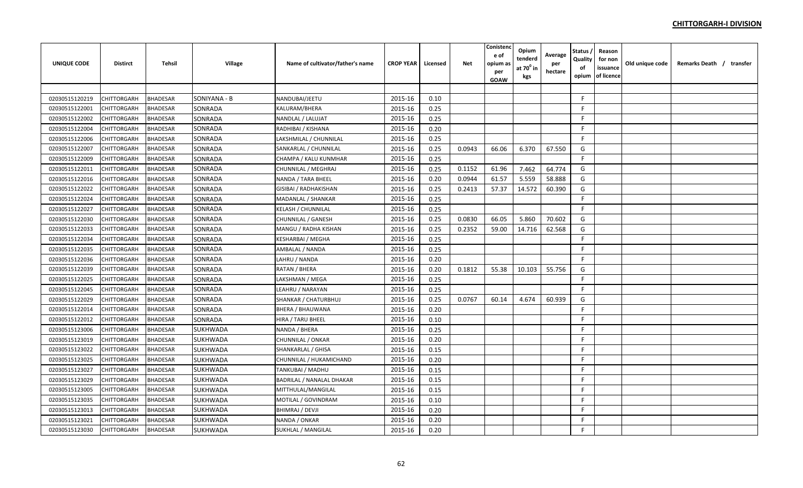| UNIQUE CODE    | <b>Distirct</b> | <b>Tehsil</b>   | Village      | Name of cultivator/father's name | <b>CROP YEAR</b> | Licensed | <b>Net</b> | Conistend<br>e of<br>opium as<br>per<br><b>GOAW</b> | Opium<br>tenderd<br>at $70^0$ in<br>kgs | Average<br>per<br>hectare | <b>Status</b><br>Quality<br>of<br>opium | Reason<br>for non<br>issuance<br>of licence | Old unique code | Remarks Death / transfer |
|----------------|-----------------|-----------------|--------------|----------------------------------|------------------|----------|------------|-----------------------------------------------------|-----------------------------------------|---------------------------|-----------------------------------------|---------------------------------------------|-----------------|--------------------------|
|                |                 |                 |              |                                  |                  |          |            |                                                     |                                         |                           |                                         |                                             |                 |                          |
| 02030515120219 | CHITTORGARH     | <b>BHADESAR</b> | SONIYANA - B | NANDUBAI/JEETU                   | 2015-16          | 0.10     |            |                                                     |                                         |                           | F.                                      |                                             |                 |                          |
| 02030515122001 | CHITTORGARH     | <b>BHADESAR</b> | SONRADA      | KALURAM/BHERA                    | 2015-16          | 0.25     |            |                                                     |                                         |                           | F.                                      |                                             |                 |                          |
| 02030515122002 | CHITTORGARH     | <b>BHADESAR</b> | SONRADA      | NANDLAL / LALUJAT                | 2015-16          | 0.25     |            |                                                     |                                         |                           | F.                                      |                                             |                 |                          |
| 02030515122004 | CHITTORGARH     | <b>BHADESAR</b> | SONRADA      | RADHIBAI / KISHANA               | 2015-16          | 0.20     |            |                                                     |                                         |                           | F.                                      |                                             |                 |                          |
| 02030515122006 | CHITTORGARH     | <b>BHADESAR</b> | SONRADA      | LAKSHMILAL / CHUNNILAL           | 2015-16          | 0.25     |            |                                                     |                                         |                           | F.                                      |                                             |                 |                          |
| 02030515122007 | CHITTORGARH     | <b>BHADESAR</b> | SONRADA      | SANKARLAL / CHUNNILAL            | 2015-16          | 0.25     | 0.0943     | 66.06                                               | 6.370                                   | 67.550                    | G                                       |                                             |                 |                          |
| 02030515122009 | CHITTORGARH     | BHADESAR        | SONRADA      | CHAMPA / KALU KUNMHAR            | 2015-16          | 0.25     |            |                                                     |                                         |                           | F.                                      |                                             |                 |                          |
| 02030515122011 | CHITTORGARH     | <b>BHADESAR</b> | SONRADA      | CHUNNILAL / MEGHRAJ              | 2015-16          | 0.25     | 0.1152     | 61.96                                               | 7.462                                   | 64.774                    | G                                       |                                             |                 |                          |
| 02030515122016 | CHITTORGARH     | <b>BHADESAR</b> | SONRADA      | NANDA / TARA BHEEL               | 2015-16          | 0.20     | 0.0944     | 61.57                                               | 5.559                                   | 58.888                    | G                                       |                                             |                 |                          |
| 02030515122022 | CHITTORGARH     | <b>BHADESAR</b> | SONRADA      | GISIBAI / RADHAKISHAN            | 2015-16          | 0.25     | 0.2413     | 57.37                                               | 14.572                                  | 60.390                    | G                                       |                                             |                 |                          |
| 02030515122024 | CHITTORGARH     | <b>BHADESAR</b> | SONRADA      | MADANLAL / SHANKAR               | 2015-16          | 0.25     |            |                                                     |                                         |                           | F                                       |                                             |                 |                          |
| 02030515122027 | CHITTORGARH     | <b>BHADESAR</b> | SONRADA      | KELASH / CHUNNILAL               | 2015-16          | 0.25     |            |                                                     |                                         |                           | F.                                      |                                             |                 |                          |
| 02030515122030 | CHITTORGARH     | <b>BHADESAR</b> | SONRADA      | CHUNNILAL / GANESH               | 2015-16          | 0.25     | 0.0830     | 66.05                                               | 5.860                                   | 70.602                    | G                                       |                                             |                 |                          |
| 02030515122033 | CHITTORGARH     | <b>BHADESAR</b> | SONRADA      | MANGU / RADHA KISHAN             | 2015-16          | 0.25     | 0.2352     | 59.00                                               | 14.716                                  | 62.568                    | G                                       |                                             |                 |                          |
| 02030515122034 | CHITTORGARH     | <b>BHADESAR</b> | SONRADA      | KESHARBAI / MEGHA                | 2015-16          | 0.25     |            |                                                     |                                         |                           | F.                                      |                                             |                 |                          |
| 02030515122035 | CHITTORGARH     | <b>BHADESAR</b> | SONRADA      | AMBALAL / NANDA                  | 2015-16          | 0.25     |            |                                                     |                                         |                           | F.                                      |                                             |                 |                          |
| 02030515122036 | CHITTORGARH     | <b>BHADESAR</b> | SONRADA      | LAHRU / NANDA                    | 2015-16          | 0.20     |            |                                                     |                                         |                           | F                                       |                                             |                 |                          |
| 02030515122039 | CHITTORGARH     | BHADESAR        | SONRADA      | RATAN / BHERA                    | 2015-16          | 0.20     | 0.1812     | 55.38                                               | 10.103                                  | 55.756                    | G                                       |                                             |                 |                          |
| 02030515122025 | CHITTORGARH     | <b>BHADESAR</b> | SONRADA      | LAKSHMAN / MEGA                  | 2015-16          | 0.25     |            |                                                     |                                         |                           | F.                                      |                                             |                 |                          |
| 02030515122045 | CHITTORGARH     | <b>BHADESAR</b> | SONRADA      | LEAHRU / NARAYAN                 | 2015-16          | 0.25     |            |                                                     |                                         |                           | F.                                      |                                             |                 |                          |
| 02030515122029 | CHITTORGARH     | <b>BHADESAR</b> | SONRADA      | SHANKAR / CHATURBHUJ             | 2015-16          | 0.25     | 0.0767     | 60.14                                               | 4.674                                   | 60.939                    | G                                       |                                             |                 |                          |
| 02030515122014 | CHITTORGARH     | <b>BHADESAR</b> | SONRADA      | BHERA / BHAUWANA                 | 2015-16          | 0.20     |            |                                                     |                                         |                           | F                                       |                                             |                 |                          |
| 02030515122012 | CHITTORGARH     | BHADESAR        | SONRADA      | HIRA / TARU BHEEL                | 2015-16          | 0.10     |            |                                                     |                                         |                           | F.                                      |                                             |                 |                          |
| 02030515123006 | CHITTORGARH     | <b>BHADESAR</b> | SUKHWADA     | NANDA / BHERA                    | 2015-16          | 0.25     |            |                                                     |                                         |                           | F.                                      |                                             |                 |                          |
| 02030515123019 | CHITTORGARH     | <b>BHADESAR</b> | SUKHWADA     | CHUNNILAL / ONKAR                | 2015-16          | 0.20     |            |                                                     |                                         |                           | F.                                      |                                             |                 |                          |
| 02030515123022 | CHITTORGARH     | <b>BHADESAR</b> | SUKHWADA     | SHANKARLAL / GHISA               | 2015-16          | 0.15     |            |                                                     |                                         |                           | F.                                      |                                             |                 |                          |
| 02030515123025 | CHITTORGARH     | <b>BHADESAR</b> | SUKHWADA     | CHUNNILAL / HUKAMICHAND          | 2015-16          | 0.20     |            |                                                     |                                         |                           | F.                                      |                                             |                 |                          |
| 02030515123027 | CHITTORGARH     | <b>BHADESAR</b> | SUKHWADA     | TANKUBAI / MADHU                 | 2015-16          | 0.15     |            |                                                     |                                         |                           | F.                                      |                                             |                 |                          |
| 02030515123029 | CHITTORGARH     | BHADESAR        | SUKHWADA     | BADRILAL / NANALAL DHAKAR        | 2015-16          | 0.15     |            |                                                     |                                         |                           | F.                                      |                                             |                 |                          |
| 02030515123005 | CHITTORGARH     | <b>BHADESAR</b> | SUKHWADA     | MITTHULAL/MANGILAL               | 2015-16          | 0.15     |            |                                                     |                                         |                           | F.                                      |                                             |                 |                          |
| 02030515123035 | CHITTORGARH     | <b>BHADESAR</b> | SUKHWADA     | MOTILAL / GOVINDRAM              | 2015-16          | 0.10     |            |                                                     |                                         |                           | F.                                      |                                             |                 |                          |
| 02030515123013 | CHITTORGARH     | <b>BHADESAR</b> | SUKHWADA     | BHIMRAJ / DEVJI                  | 2015-16          | 0.20     |            |                                                     |                                         |                           | F.                                      |                                             |                 |                          |
| 02030515123021 | CHITTORGARH     | <b>BHADESAR</b> | SUKHWADA     | NANDA / ONKAR                    | 2015-16          | 0.20     |            |                                                     |                                         |                           | F.                                      |                                             |                 |                          |
| 02030515123030 | CHITTORGARH     | <b>BHADESAR</b> | SUKHWADA     | SUKHLAL / MANGILAL               | 2015-16          | 0.20     |            |                                                     |                                         |                           | F.                                      |                                             |                 |                          |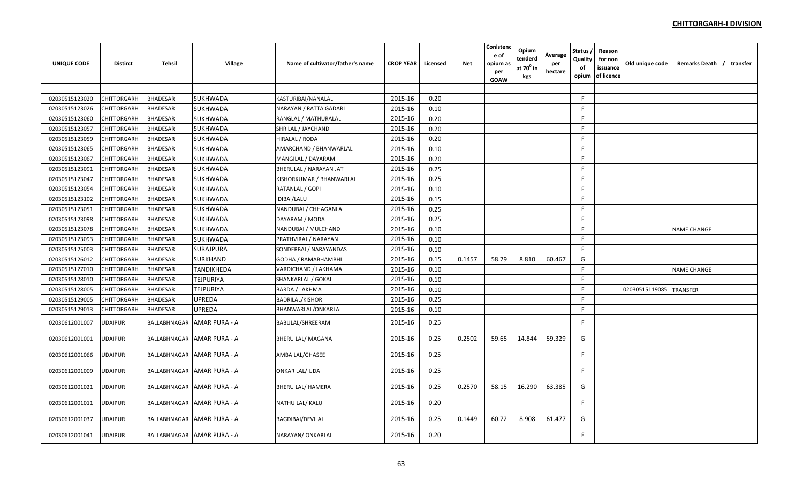| <b>UNIQUE CODE</b> | Distirct       | <b>Tehsil</b>   | Village                     | Name of cultivator/father's name | <b>CROP YEAR</b> | Licensed | Net    | Conistenc<br>e of<br>opium as<br>per<br>GOAW | Opium<br>tenderd<br>at $70^{\circ}$ in<br>kgs | Average<br>per<br>hectare | Status<br>Quality<br>of<br>opium | Reason<br>for non<br>issuance<br>of licence | Old unique code | Remarks Death / transfer |
|--------------------|----------------|-----------------|-----------------------------|----------------------------------|------------------|----------|--------|----------------------------------------------|-----------------------------------------------|---------------------------|----------------------------------|---------------------------------------------|-----------------|--------------------------|
|                    |                |                 |                             |                                  |                  |          |        |                                              |                                               |                           |                                  |                                             |                 |                          |
| 02030515123020     | CHITTORGARH    | <b>BHADESAR</b> | SUKHWADA                    | KASTURIBAI/NANALAL               | 2015-16          | 0.20     |        |                                              |                                               |                           | F.                               |                                             |                 |                          |
| 02030515123026     | CHITTORGARH    | <b>BHADESAR</b> | <b>SUKHWADA</b>             | NARAYAN / RATTA GADARI           | 2015-16          | 0.10     |        |                                              |                                               |                           | F                                |                                             |                 |                          |
| 02030515123060     | CHITTORGARH    | <b>BHADESAR</b> | <b>SUKHWADA</b>             | RANGLAL / MATHURALAL             | 2015-16          | 0.20     |        |                                              |                                               |                           | F.                               |                                             |                 |                          |
| 02030515123057     | CHITTORGARH    | <b>BHADESAR</b> | SUKHWADA                    | SHRILAL / JAYCHAND               | 2015-16          | 0.20     |        |                                              |                                               |                           | F                                |                                             |                 |                          |
| 02030515123059     | CHITTORGARH    | <b>BHADESAR</b> | SUKHWADA                    | HIRALAL / RODA                   | 2015-16          | 0.20     |        |                                              |                                               |                           | F                                |                                             |                 |                          |
| 02030515123065     | CHITTORGARH    | <b>BHADESAR</b> | SUKHWADA                    | AMARCHAND / BHANWARLAL           | 2015-16          | 0.10     |        |                                              |                                               |                           | F.                               |                                             |                 |                          |
| 02030515123067     | CHITTORGARH    | <b>BHADESAR</b> | <b>SUKHWADA</b>             | MANGILAL / DAYARAM               | 2015-16          | 0.20     |        |                                              |                                               |                           | F                                |                                             |                 |                          |
| 02030515123091     | CHITTORGARH    | <b>BHADESAR</b> | SUKHWADA                    | BHERULAL / NARAYAN JAT           | 2015-16          | 0.25     |        |                                              |                                               |                           | F                                |                                             |                 |                          |
| 02030515123047     | CHITTORGARH    | <b>BHADESAR</b> | SUKHWADA                    | KISHORKUMAR / BHANWARLAL         | 2015-16          | 0.25     |        |                                              |                                               |                           | F                                |                                             |                 |                          |
| 02030515123054     | CHITTORGARH    | <b>BHADESAR</b> | <b>SUKHWADA</b>             | RATANLAL / GOPI                  | 2015-16          | 0.10     |        |                                              |                                               |                           | F.                               |                                             |                 |                          |
| 02030515123102     | CHITTORGARH    | <b>BHADESAR</b> | <b>SUKHWADA</b>             | IDIBAI/LALU                      | 2015-16          | 0.15     |        |                                              |                                               |                           | F.                               |                                             |                 |                          |
| 02030515123051     | CHITTORGARH    | BHADESAR        | SUKHWADA                    | NANDUBAI / CHHAGANLAL            | 2015-16          | 0.25     |        |                                              |                                               |                           | F                                |                                             |                 |                          |
| 02030515123098     | CHITTORGARH    | <b>BHADESAR</b> | SUKHWADA                    | DAYARAM / MODA                   | 2015-16          | 0.25     |        |                                              |                                               |                           | F                                |                                             |                 |                          |
| 02030515123078     | CHITTORGARH    | <b>BHADESAR</b> | SUKHWADA                    | NANDUBAI / MULCHAND              | 2015-16          | 0.10     |        |                                              |                                               |                           | F                                |                                             |                 | <b>NAME CHANGE</b>       |
| 02030515123093     | CHITTORGARH    | <b>BHADESAR</b> | SUKHWADA                    | PRATHVIRAJ / NARAYAN             | 2015-16          | 0.10     |        |                                              |                                               |                           | F.                               |                                             |                 |                          |
| 02030515125003     | CHITTORGARH    | <b>BHADESAR</b> | <b>SURAJPURA</b>            | SONDERBAI / NARAYANDAS           | 2015-16          | 0.10     |        |                                              |                                               |                           | F.                               |                                             |                 |                          |
| 02030515126012     | CHITTORGARH    | <b>BHADESAR</b> | <b>SURKHAND</b>             | GODHA / RAMABHAMBHI              | 2015-16          | 0.15     | 0.1457 | 58.79                                        | 8.810                                         | 60.467                    | G                                |                                             |                 |                          |
| 02030515127010     | CHITTORGARH    | <b>BHADESAR</b> | <b>TANDIKHEDA</b>           | VARDICHAND / LAKHAMA             | 2015-16          | 0.10     |        |                                              |                                               |                           | F                                |                                             |                 | <b>NAME CHANGE</b>       |
| 02030515128010     | CHITTORGARH    | <b>BHADESAR</b> | <b>TEJPURIYA</b>            | SHANKARLAL / GOKAL               | 2015-16          | 0.10     |        |                                              |                                               |                           | F.                               |                                             |                 |                          |
| 02030515128005     | CHITTORGARH    | <b>BHADESAR</b> | <b>TEJPURIYA</b>            | BARDA / LAKHMA                   | 2015-16          | 0.10     |        |                                              |                                               |                           | F                                |                                             | 02030515119085  | <b>TRANSFER</b>          |
| 02030515129005     | CHITTORGARH    | <b>BHADESAR</b> | <b>UPREDA</b>               | BADRILAL/KISHOR                  | 2015-16          | 0.25     |        |                                              |                                               |                           | F                                |                                             |                 |                          |
| 02030515129013     | CHITTORGARH    | <b>BHADESAR</b> | <b>UPREDA</b>               | BHANWARLAL/ONKARLAL              | 2015-16          | 0.10     |        |                                              |                                               |                           | F.                               |                                             |                 |                          |
| 02030612001007     | <b>JDAIPUR</b> | BALLABHNAGAR    | <b>AMAR PURA - A</b>        | BABULAL/SHREERAM                 | 2015-16          | 0.25     |        |                                              |                                               |                           | F                                |                                             |                 |                          |
| 02030612001001     | JDAIPUR        |                 | BALLABHNAGAR AMAR PURA - A  | BHERU LAL/ MAGANA                | 2015-16          | 0.25     | 0.2502 | 59.65                                        | 14.844                                        | 59.329                    | G                                |                                             |                 |                          |
| 02030612001066     | JDAIPUR        | BALLABHNAGAR    | AMAR PURA - A               | AMBA LAL/GHASEE                  | 2015-16          | 0.25     |        |                                              |                                               |                           | F                                |                                             |                 |                          |
| 02030612001009     | JDAIPUR        |                 | BALLABHNAGAR TAMAR PURA - A | ONKAR LAL/ UDA                   | 2015-16          | 0.25     |        |                                              |                                               |                           | F                                |                                             |                 |                          |
| 02030612001021     | <b>JDAIPUR</b> | BALLABHNAGAR    | AMAR PURA - A               | BHERU LAL/ HAMERA                | 2015-16          | 0.25     | 0.2570 | 58.15                                        | 16.290                                        | 63.385                    | G                                |                                             |                 |                          |
| 02030612001011     | UDAIPUR        |                 | BALLABHNAGAR AMAR PURA - A  | NATHU LAL/ KALU                  | 2015-16          | 0.20     |        |                                              |                                               |                           | F                                |                                             |                 |                          |
| 02030612001037     | <b>JDAIPUR</b> |                 | BALLABHNAGAR AMAR PURA - A  | BAGDIBAI/DEVILAL                 | 2015-16          | 0.25     | 0.1449 | 60.72                                        | 8.908                                         | 61.477                    | G                                |                                             |                 |                          |
| 02030612001041     | <b>JDAIPUR</b> |                 | BALLABHNAGAR AMAR PURA - A  | NARAYAN/ ONKARLAL                | 2015-16          | 0.20     |        |                                              |                                               |                           | F                                |                                             |                 |                          |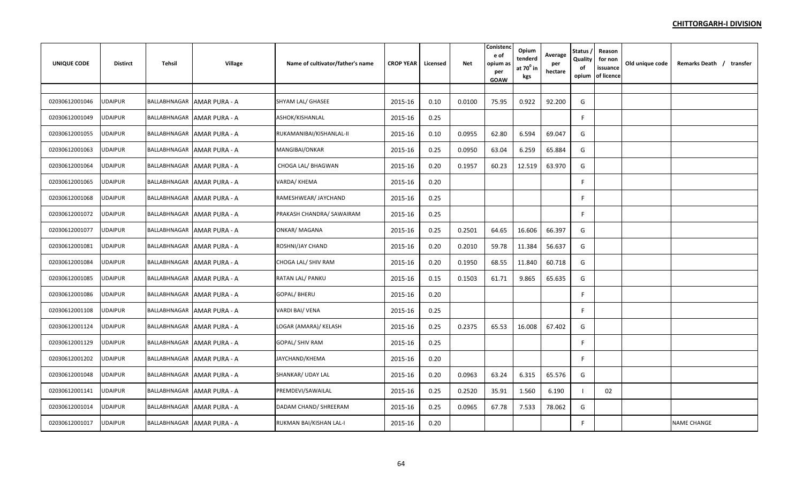| <b>UNIQUE CODE</b> | <b>Distirct</b> | Tehsil | Village                     | Name of cultivator/father's name | <b>CROP YEAR</b> | Licensed | <b>Net</b> | Conistend<br>e of<br>opium as<br>per<br>GOAW | Opium<br>tenderd<br>at $70^{\circ}$ in<br>kgs | Average<br>per<br>hectare | Status,<br>Quality<br>of<br>opium | Reason<br>for non<br>issuance<br>of licence | Old unique code | Remarks Death / transfer |
|--------------------|-----------------|--------|-----------------------------|----------------------------------|------------------|----------|------------|----------------------------------------------|-----------------------------------------------|---------------------------|-----------------------------------|---------------------------------------------|-----------------|--------------------------|
|                    |                 |        |                             |                                  |                  |          |            |                                              |                                               |                           |                                   |                                             |                 |                          |
| 02030612001046     | <b>UDAIPUR</b>  |        | BALLABHNAGAR AMAR PURA - A  | SHYAM LAL/ GHASEE                | 2015-16          | 0.10     | 0.0100     | 75.95                                        | 0.922                                         | 92.200                    | G                                 |                                             |                 |                          |
| 02030612001049     | <b>JDAIPUR</b>  |        | BALLABHNAGAR AMAR PURA - A  | ASHOK/KISHANLAL                  | 2015-16          | 0.25     |            |                                              |                                               |                           | F                                 |                                             |                 |                          |
| 02030612001055     | UDAIPUR         |        | BALLABHNAGAR AMAR PURA - A  | RUKAMANIBAI/KISHANLAL-II         | 2015-16          | 0.10     | 0.0955     | 62.80                                        | 6.594                                         | 69.047                    | G                                 |                                             |                 |                          |
| 02030612001063     | UDAIPUR         |        | BALLABHNAGAR AMAR PURA - A  | MANGIBAI/ONKAR                   | 2015-16          | 0.25     | 0.0950     | 63.04                                        | 6.259                                         | 65.884                    | G                                 |                                             |                 |                          |
| 02030612001064     | UDAIPUR         |        | BALLABHNAGAR AMAR PURA - A  | CHOGA LAL/ BHAGWAN               | 2015-16          | 0.20     | 0.1957     | 60.23                                        | 12.519                                        | 63.970                    | G                                 |                                             |                 |                          |
| 02030612001065     | <b>UDAIPUR</b>  |        | BALLABHNAGAR AMAR PURA - A  | VARDA/KHEMA                      | 2015-16          | 0.20     |            |                                              |                                               |                           | F.                                |                                             |                 |                          |
| 02030612001068     | UDAIPUR         |        | BALLABHNAGAR AMAR PURA - A  | RAMESHWEAR/ JAYCHAND             | 2015-16          | 0.25     |            |                                              |                                               |                           | F                                 |                                             |                 |                          |
| 02030612001072     | UDAIPUR         |        | BALLABHNAGAR LAMAR PURA - A | PRAKASH CHANDRA/ SAWAIRAM        | 2015-16          | 0.25     |            |                                              |                                               |                           | F.                                |                                             |                 |                          |
| 02030612001077     | JDAIPUR         |        | BALLABHNAGAR AMAR PURA - A  | <b>ONKAR/ MAGANA</b>             | 2015-16          | 0.25     | 0.2501     | 64.65                                        | 16.606                                        | 66.397                    | G                                 |                                             |                 |                          |
| 02030612001081     | UDAIPUR         |        | BALLABHNAGAR AMAR PURA - A  | ROSHNI/JAY CHAND                 | 2015-16          | 0.20     | 0.2010     | 59.78                                        | 11.384                                        | 56.637                    | G                                 |                                             |                 |                          |
| 02030612001084     | UDAIPUR         |        | BALLABHNAGAR AMAR PURA - A  | CHOGA LAL/ SHIV RAM              | 2015-16          | 0.20     | 0.1950     | 68.55                                        | 11.840                                        | 60.718                    | G                                 |                                             |                 |                          |
| 02030612001085     | JDAIPUR         |        | BALLABHNAGAR AMAR PURA - A  | RATAN LAL/ PANKU                 | 2015-16          | 0.15     | 0.1503     | 61.71                                        | 9.865                                         | 65.635                    | G                                 |                                             |                 |                          |
| 02030612001086     | <b>UDAIPUR</b>  |        | BALLABHNAGAR AMAR PURA - A  | <b>GOPAL/ BHERU</b>              | 2015-16          | 0.20     |            |                                              |                                               |                           | F.                                |                                             |                 |                          |
| 02030612001108     | <b>JDAIPUR</b>  |        | BALLABHNAGAR AMAR PURA - A  | VARDI BAI/ VENA                  | 2015-16          | 0.25     |            |                                              |                                               |                           | F                                 |                                             |                 |                          |
| 02030612001124     | <b>UDAIPUR</b>  |        | BALLABHNAGAR AMAR PURA - A  | LOGAR (AMARA)/ KELASH            | 2015-16          | 0.25     | 0.2375     | 65.53                                        | 16.008                                        | 67.402                    | G                                 |                                             |                 |                          |
| 02030612001129     | <b>UDAIPUR</b>  |        | BALLABHNAGAR AMAR PURA - A  | <b>GOPAL/ SHIV RAM</b>           | 2015-16          | 0.25     |            |                                              |                                               |                           | F.                                |                                             |                 |                          |
| 02030612001202     | <b>UDAIPUR</b>  |        | BALLABHNAGAR AMAR PURA - A  | JAYCHAND/KHEMA                   | 2015-16          | 0.20     |            |                                              |                                               |                           | F                                 |                                             |                 |                          |
| 02030612001048     | <b>JDAIPUR</b>  |        | BALLABHNAGAR AMAR PURA - A  | SHANKAR/ UDAY LAL                | 2015-16          | 0.20     | 0.0963     | 63.24                                        | 6.315                                         | 65.576                    | G                                 |                                             |                 |                          |
| 02030612001141     | JDAIPUR         |        | BALLABHNAGAR AMAR PURA - A  | PREMDEVI/SAWAILAL                | 2015-16          | 0.25     | 0.2520     | 35.91                                        | 1.560                                         | 6.190                     |                                   | 02                                          |                 |                          |
| 02030612001014     | JDAIPUR         |        | BALLABHNAGAR AMAR PURA - A  | DADAM CHAND/ SHREERAM            | 2015-16          | 0.25     | 0.0965     | 67.78                                        | 7.533                                         | 78.062                    | G                                 |                                             |                 |                          |
| 02030612001017     | UDAIPUR         |        | BALLABHNAGAR AMAR PURA - A  | RUKMAN BAI/KISHAN LAL-I          | 2015-16          | 0.20     |            |                                              |                                               |                           | F                                 |                                             |                 | <b>NAME CHANGE</b>       |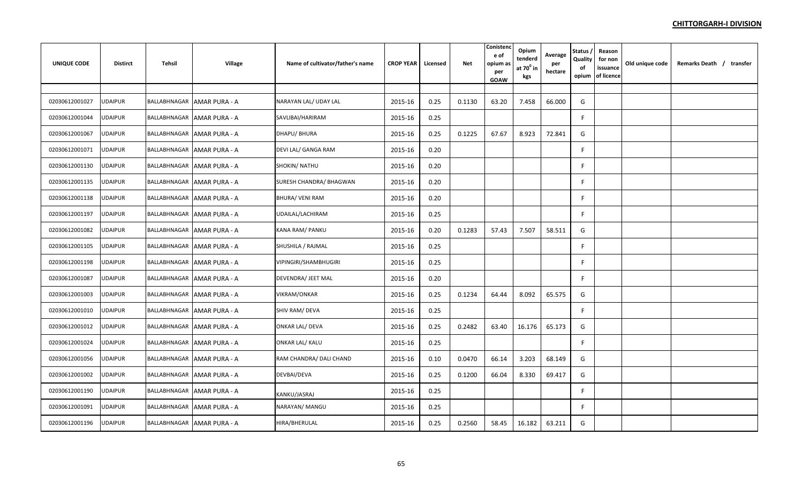| <b>UNIQUE CODE</b> | <b>Distirct</b> | Tehsil       | Village                      | Name of cultivator/father's name | <b>CROP YEAR</b> | Licensed | Net    | Conisten<br>e of<br>opium as<br>per<br><b>GOAW</b> | Opium<br>tenderd<br>at $70^0$ in<br>kgs | Average<br>per<br>hectare | <b>Status</b><br>Quality<br>of<br>opium | Reason<br>for non<br>issuance<br>of licence | Old unique code | Remarks Death / transfer |
|--------------------|-----------------|--------------|------------------------------|----------------------------------|------------------|----------|--------|----------------------------------------------------|-----------------------------------------|---------------------------|-----------------------------------------|---------------------------------------------|-----------------|--------------------------|
|                    |                 |              |                              |                                  |                  |          |        |                                                    |                                         |                           |                                         |                                             |                 |                          |
| 02030612001027     | JDAIPUR         |              | BALLABHNAGAR AMAR PURA - A   | NARAYAN LAL/ UDAY LAL            | 2015-16          | 0.25     | 0.1130 | 63.20                                              | 7.458                                   | 66.000                    | G                                       |                                             |                 |                          |
| 02030612001044     | JDAIPUR         |              | BALLABHNAGAR AMAR PURA - A   | SAVLIBAI/HARIRAM                 | 2015-16          | 0.25     |        |                                                    |                                         |                           | F                                       |                                             |                 |                          |
| 02030612001067     | UDAIPUR         |              | BALLABHNAGAR   AMAR PURA - A | DHAPU/ BHURA                     | 2015-16          | 0.25     | 0.1225 | 67.67                                              | 8.923                                   | 72.841                    | G                                       |                                             |                 |                          |
| 02030612001071     | UDAIPUR         | BALLABHNAGAR | <b>AMAR PURA - A</b>         | DEVI LAL/ GANGA RAM              | 2015-16          | 0.20     |        |                                                    |                                         |                           | F.                                      |                                             |                 |                          |
| 02030612001130     | <b>JDAIPUR</b>  |              | BALLABHNAGAR AMAR PURA - A   | SHOKIN/ NATHU                    | 2015-16          | 0.20     |        |                                                    |                                         |                           | F.                                      |                                             |                 |                          |
| 02030612001135     | <b>JDAIPUR</b>  |              | BALLABHNAGAR AMAR PURA - A   | SURESH CHANDRA/ BHAGWAN          | 2015-16          | 0.20     |        |                                                    |                                         |                           | F                                       |                                             |                 |                          |
| 02030612001138     | JDAIPUR         |              | BALLABHNAGAR AMAR PURA - A   | <b>BHURA/ VENI RAM</b>           | 2015-16          | 0.20     |        |                                                    |                                         |                           | F                                       |                                             |                 |                          |
| 02030612001197     | <b>UDAIPUR</b>  |              | BALLABHNAGAR   AMAR PURA - A | UDAILAL/LACHIRAM                 | 2015-16          | 0.25     |        |                                                    |                                         |                           | F.                                      |                                             |                 |                          |
| 02030612001082     | UDAIPUR         |              | BALLABHNAGAR AMAR PURA - A   | KANA RAM/ PANKU                  | 2015-16          | 0.20     | 0.1283 | 57.43                                              | 7.507                                   | 58.511                    | G                                       |                                             |                 |                          |
| 02030612001105     | <b>JDAIPUR</b>  |              | BALLABHNAGAR AMAR PURA - A   | SHUSHILA / RAJMAL                | 2015-16          | 0.25     |        |                                                    |                                         |                           | F.                                      |                                             |                 |                          |
| 02030612001198     | JDAIPUR         |              | BALLABHNAGAR AMAR PURA - A   | VIPINGIRI/SHAMBHUGIRI            | 2015-16          | 0.25     |        |                                                    |                                         |                           | F                                       |                                             |                 |                          |
| 02030612001087     | JDAIPUR         |              | BALLABHNAGAR AMAR PURA - A   | DEVENDRA/ JEET MAL               | 2015-16          | 0.20     |        |                                                    |                                         |                           | F                                       |                                             |                 |                          |
| 02030612001003     | UDAIPUR         |              | BALLABHNAGAR   AMAR PURA - A | VIKRAM/ONKAR                     | 2015-16          | 0.25     | 0.1234 | 64.44                                              | 8.092                                   | 65.575                    | G                                       |                                             |                 |                          |
| 02030612001010     | UDAIPUR         |              | BALLABHNAGAR AMAR PURA - A   | SHIV RAM/ DEVA                   | 2015-16          | 0.25     |        |                                                    |                                         |                           | F.                                      |                                             |                 |                          |
| 02030612001012     | <b>JDAIPUR</b>  |              | BALLABHNAGAR AMAR PURA - A   | <b>ONKAR LAL/ DEVA</b>           | 2015-16          | 0.25     | 0.2482 | 63.40                                              | 16.176                                  | 65.173                    | G                                       |                                             |                 |                          |
| 02030612001024     | <b>JDAIPUR</b>  |              | BALLABHNAGAR AMAR PURA - A   | <b>ONKAR LAL/ KALU</b>           | 2015-16          | 0.25     |        |                                                    |                                         |                           | F                                       |                                             |                 |                          |
| 02030612001056     | JDAIPUR         |              | BALLABHNAGAR AMAR PURA - A   | RAM CHANDRA/ DALI CHAND          | 2015-16          | 0.10     | 0.0470 | 66.14                                              | 3.203                                   | 68.149                    | G                                       |                                             |                 |                          |
| 02030612001002     | UDAIPUR         |              | BALLABHNAGAR AMAR PURA - A   | DEVBAI/DEVA                      | 2015-16          | 0.25     | 0.1200 | 66.04                                              | 8.330                                   | 69.417                    | G                                       |                                             |                 |                          |
| 02030612001190     | UDAIPUR         |              | BALLABHNAGAR AMAR PURA - A   | KANKU/JASRAJ                     | 2015-16          | 0.25     |        |                                                    |                                         |                           | F.                                      |                                             |                 |                          |
| 02030612001091     | JDAIPUR         |              | BALLABHNAGAR AMAR PURA - A   | NARAYAN/ MANGU                   | 2015-16          | 0.25     |        |                                                    |                                         |                           | F.                                      |                                             |                 |                          |
| 02030612001196     | JDAIPUR         |              | BALLABHNAGAR AMAR PURA - A   | HIRA/BHERULAL                    | 2015-16          | 0.25     | 0.2560 | 58.45                                              | 16.182                                  | 63.211                    | G                                       |                                             |                 |                          |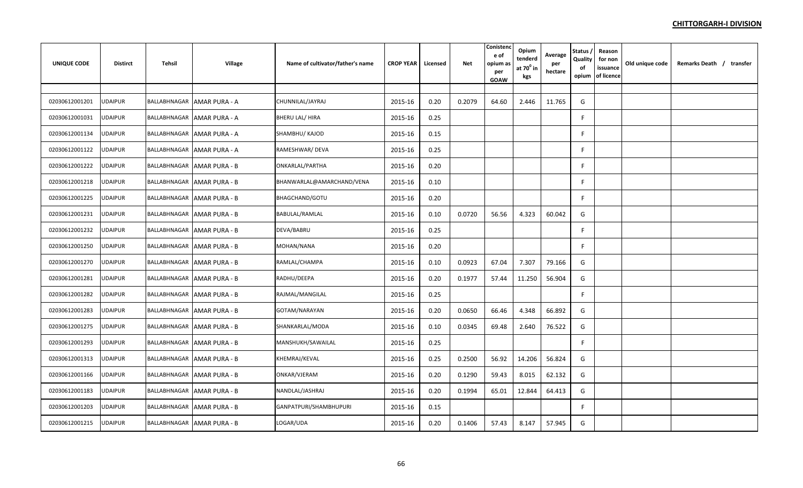| <b>UNIQUE CODE</b> | <b>Distirct</b> | Tehsil | <b>Village</b>                    | Name of cultivator/father's name | <b>CROP YEAR</b> | Licensed | Net    | Conistenc<br>e of<br>opium as<br>per<br>GOAW | Opium<br>tenderd<br>at $70^0$ in<br>kgs | Average<br>per<br>hectare | Status,<br>Quality<br>of<br>opium | Reason<br>for non<br>issuance<br>of licence | Old unique code | Remarks Death / transfer |
|--------------------|-----------------|--------|-----------------------------------|----------------------------------|------------------|----------|--------|----------------------------------------------|-----------------------------------------|---------------------------|-----------------------------------|---------------------------------------------|-----------------|--------------------------|
|                    |                 |        |                                   |                                  |                  |          |        |                                              |                                         |                           |                                   |                                             |                 |                          |
| 02030612001201     | UDAIPUR         |        | BALLABHNAGAR AMAR PURA - A        | CHUNNILAL/JAYRAJ                 | 2015-16          | 0.20     | 0.2079 | 64.60                                        | 2.446                                   | 11.765                    | G                                 |                                             |                 |                          |
| 02030612001031     | UDAIPUR         |        | BALLABHNAGAR AMAR PURA - A        | <b>BHERU LAL/ HIRA</b>           | 2015-16          | 0.25     |        |                                              |                                         |                           | F.                                |                                             |                 |                          |
| 02030612001134     | <b>UDAIPUR</b>  |        | BALLABHNAGAR AMAR PURA - A        | SHAMBHU/ KAJOD                   | 2015-16          | 0.15     |        |                                              |                                         |                           | F                                 |                                             |                 |                          |
| 02030612001122     | <b>UDAIPUR</b>  |        | BALLABHNAGAR AMAR PURA - A        | RAMESHWAR/ DEVA                  | 2015-16          | 0.25     |        |                                              |                                         |                           | F.                                |                                             |                 |                          |
| 02030612001222     | <b>UDAIPUR</b>  |        | BALLABHNAGAR AMAR PURA - B        | ONKARLAL/PARTHA                  | 2015-16          | 0.20     |        |                                              |                                         |                           | F                                 |                                             |                 |                          |
| 02030612001218     | UDAIPUR         |        | BALLABHNAGAR AMAR PURA - B        | BHANWARLAL@AMARCHAND/VENA        | 2015-16          | 0.10     |        |                                              |                                         |                           | F.                                |                                             |                 |                          |
| 02030612001225     | <b>UDAIPUR</b>  |        | BALLABHNAGAR AMAR PURA - B        | <b>BHAGCHAND/GOTU</b>            | 2015-16          | 0.20     |        |                                              |                                         |                           | F.                                |                                             |                 |                          |
| 02030612001231     | <b>UDAIPUR</b>  |        | BALLABHNAGAR AMAR PURA - B        | BABULAL/RAMLAL                   | 2015-16          | 0.10     | 0.0720 | 56.56                                        | 4.323                                   | 60.042                    | G                                 |                                             |                 |                          |
| 02030612001232     | <b>UDAIPUR</b>  |        | BALLABHNAGAR AMAR PURA - B        | DEVA/BABRU                       | 2015-16          | 0.25     |        |                                              |                                         |                           | F                                 |                                             |                 |                          |
| 02030612001250     | UDAIPUR         |        | BALLABHNAGAR AMAR PURA - B        | MOHAN/NANA                       | 2015-16          | 0.20     |        |                                              |                                         |                           | F                                 |                                             |                 |                          |
| 02030612001270     | UDAIPUR         |        | BALLABHNAGAR AMAR PURA - B        | RAMLAL/CHAMPA                    | 2015-16          | 0.10     | 0.0923 | 67.04                                        | 7.307                                   | 79.166                    | G                                 |                                             |                 |                          |
| 02030612001281     | <b>UDAIPUR</b>  |        | BALLABHNAGAR AMAR PURA - B        | RADHU/DEEPA                      | 2015-16          | 0.20     | 0.1977 | 57.44                                        | 11.250                                  | 56.904                    | G                                 |                                             |                 |                          |
| 02030612001282     | UDAIPUR         |        | BALLABHNAGAR AMAR PURA - B        | RAJMAL/MANGILAL                  | 2015-16          | 0.25     |        |                                              |                                         |                           | F                                 |                                             |                 |                          |
| 02030612001283     | <b>UDAIPUR</b>  |        | <b>BALLABHNAGAR AMAR PURA - B</b> | GOTAM/NARAYAN                    | 2015-16          | 0.20     | 0.0650 | 66.46                                        | 4.348                                   | 66.892                    | G                                 |                                             |                 |                          |
| 02030612001275     | <b>UDAIPUR</b>  |        | BALLABHNAGAR AMAR PURA - B        | SHANKARLAL/MODA                  | 2015-16          | 0.10     | 0.0345 | 69.48                                        | 2.640                                   | 76.522                    | G                                 |                                             |                 |                          |
| 02030612001293     | <b>UDAIPUR</b>  |        | BALLABHNAGAR   AMAR PURA - B      | MANSHUKH/SAWAILAL                | 2015-16          | 0.25     |        |                                              |                                         |                           | F                                 |                                             |                 |                          |
| 02030612001313     | <b>UDAIPUR</b>  |        | BALLABHNAGAR AMAR PURA - B        | KHEMRAJ/KEVAL                    | 2015-16          | 0.25     | 0.2500 | 56.92                                        | 14.206                                  | 56.824                    | G                                 |                                             |                 |                          |
| 02030612001166     | UDAIPUR         |        | BALLABHNAGAR AMAR PURA - B        | ONKAR/VJERAM                     | 2015-16          | 0.20     | 0.1290 | 59.43                                        | 8.015                                   | 62.132                    | G                                 |                                             |                 |                          |
| 02030612001183     | UDAIPUR         |        | BALLABHNAGAR AMAR PURA - B        | NANDLAL/JASHRAJ                  | 2015-16          | 0.20     | 0.1994 | 65.01                                        | 12.844                                  | 64.413                    | G                                 |                                             |                 |                          |
| 02030612001203     | JDAIPUR         |        | <b>BALLABHNAGAR AMAR PURA - B</b> | GANPATPURI/SHAMBHUPURI           | 2015-16          | 0.15     |        |                                              |                                         |                           | F.                                |                                             |                 |                          |
| 02030612001215     | <b>UDAIPUR</b>  |        | BALLABHNAGAR   AMAR PURA - B      | LOGAR/UDA                        | 2015-16          | 0.20     | 0.1406 | 57.43                                        | 8.147                                   | 57.945                    | G                                 |                                             |                 |                          |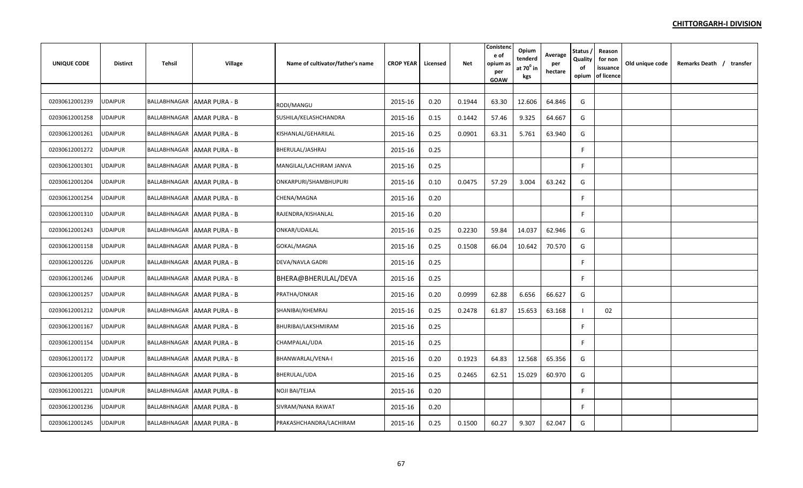| <b>UNIQUE CODE</b> | <b>Distirct</b> | Tehsil | Village                           | Name of cultivator/father's name | <b>CROP YEAR</b> | Licensed | <b>Net</b> | Conistend<br>e of<br>opium as<br>per<br>GOAW | Opium<br>tenderd<br>at $70^\circ$ in<br>kgs | Average<br>per<br>hectare | Status,<br>Quality<br>of<br>opium | Reason<br>for non<br>issuance<br>of licence | Old unique code | Remarks Death / transfer |
|--------------------|-----------------|--------|-----------------------------------|----------------------------------|------------------|----------|------------|----------------------------------------------|---------------------------------------------|---------------------------|-----------------------------------|---------------------------------------------|-----------------|--------------------------|
|                    |                 |        |                                   |                                  |                  |          |            |                                              |                                             |                           |                                   |                                             |                 |                          |
| 02030612001239     | <b>UDAIPUR</b>  |        | BALLABHNAGAR AMAR PURA - B        | RODI/MANGU                       | 2015-16          | 0.20     | 0.1944     | 63.30                                        | 12.606                                      | 64.846                    | G                                 |                                             |                 |                          |
| 02030612001258     | UDAIPUR         |        | BALLABHNAGAR AMAR PURA - B        | SUSHILA/KELASHCHANDRA            | 2015-16          | 0.15     | 0.1442     | 57.46                                        | 9.325                                       | 64.667                    | G                                 |                                             |                 |                          |
| 02030612001261     | JDAIPUR         |        | BALLABHNAGAR AMAR PURA - B        | KISHANLAL/GEHARILAL              | 2015-16          | 0.25     | 0.0901     | 63.31                                        | 5.761                                       | 63.940                    | G                                 |                                             |                 |                          |
| 02030612001272     | <b>JDAIPUR</b>  |        | BALLABHNAGAR AMAR PURA - B        | BHERULAL/JASHRAJ                 | 2015-16          | 0.25     |            |                                              |                                             |                           | F                                 |                                             |                 |                          |
| 02030612001301     | UDAIPUR         |        | BALLABHNAGAR AMAR PURA - B        | MANGILAL/LACHIRAM JANVA          | 2015-16          | 0.25     |            |                                              |                                             |                           | F.                                |                                             |                 |                          |
| 02030612001204     | <b>UDAIPUR</b>  |        | BALLABHNAGAR AMAR PURA - B        | ONKARPURI/SHAMBHUPURI            | 2015-16          | 0.10     | 0.0475     | 57.29                                        | 3.004                                       | 63.242                    | G                                 |                                             |                 |                          |
| 02030612001254     | <b>UDAIPUR</b>  |        | BALLABHNAGAR AMAR PURA - B        | CHENA/MAGNA                      | 2015-16          | 0.20     |            |                                              |                                             |                           | F                                 |                                             |                 |                          |
| 02030612001310     | JDAIPUR         |        | BALLABHNAGAR AMAR PURA - B        | RAJENDRA/KISHANLAL               | 2015-16          | 0.20     |            |                                              |                                             |                           | F                                 |                                             |                 |                          |
| 02030612001243     | JDAIPUR         |        | BALLABHNAGAR AMAR PURA - B        | ONKAR/UDAILAL                    | 2015-16          | 0.25     | 0.2230     | 59.84                                        | 14.037                                      | 62.946                    | G                                 |                                             |                 |                          |
| 02030612001158     | JDAIPUR         |        | BALLABHNAGAR AMAR PURA - B        | GOKAL/MAGNA                      | 2015-16          | 0.25     | 0.1508     | 66.04                                        | 10.642                                      | 70.570                    | G                                 |                                             |                 |                          |
| 02030612001226     | UDAIPUR         |        | BALLABHNAGAR AMAR PURA - B        | DEVA/NAVLA GADRI                 | 2015-16          | 0.25     |            |                                              |                                             |                           | F                                 |                                             |                 |                          |
| 02030612001246     | JDAIPUR         |        | BALLABHNAGAR   AMAR PURA - B      | BHERA@BHERULAL/DEVA              | 2015-16          | 0.25     |            |                                              |                                             |                           | F                                 |                                             |                 |                          |
| 02030612001257     | JDAIPUR         |        | BALLABHNAGAR AMAR PURA - B        | PRATHA/ONKAR                     | 2015-16          | 0.20     | 0.0999     | 62.88                                        | 6.656                                       | 66.627                    | G                                 |                                             |                 |                          |
| 02030612001212     | <b>UDAIPUR</b>  |        | <b>BALLABHNAGAR AMAR PURA - B</b> | SHANIBAI/KHEMRAJ                 | 2015-16          | 0.25     | 0.2478     | 61.87                                        | 15.653                                      | 63.168                    |                                   | 02                                          |                 |                          |
| 02030612001167     | UDAIPUR         |        | BALLABHNAGAR AMAR PURA - B        | BHURIBAI/LAKSHMIRAM              | 2015-16          | 0.25     |            |                                              |                                             |                           | F                                 |                                             |                 |                          |
| 02030612001154     | <b>UDAIPUR</b>  |        | BALLABHNAGAR AMAR PURA - B        | CHAMPALAL/UDA                    | 2015-16          | 0.25     |            |                                              |                                             |                           | F                                 |                                             |                 |                          |
| 02030612001172     | <b>UDAIPUR</b>  |        | BALLABHNAGAR AMAR PURA - B        | BHANWARLAL/VENA-I                | 2015-16          | 0.20     | 0.1923     | 64.83                                        | 12.568                                      | 65.356                    | G                                 |                                             |                 |                          |
| 02030612001205     | JDAIPUR         |        | BALLABHNAGAR AMAR PURA - B        | BHERULAL/UDA                     | 2015-16          | 0.25     | 0.2465     | 62.51                                        | 15.029                                      | 60.970                    | G                                 |                                             |                 |                          |
| 02030612001221     | <b>UDAIPUR</b>  |        | BALLABHNAGAR AMAR PURA - B        | NOJI BAI/TEJAA                   | 2015-16          | 0.20     |            |                                              |                                             |                           | F.                                |                                             |                 |                          |
| 02030612001236     | JDAIPUR         |        | BALLABHNAGAR AMAR PURA - B        | SIVRAM/NANA RAWAT                | 2015-16          | 0.20     |            |                                              |                                             |                           | F                                 |                                             |                 |                          |
| 02030612001245     | UDAIPUR         |        | BALLABHNAGAR AMAR PURA - B        | PRAKASHCHANDRA/LACHIRAM          | 2015-16          | 0.25     | 0.1500     | 60.27                                        | 9.307                                       | 62.047                    | G                                 |                                             |                 |                          |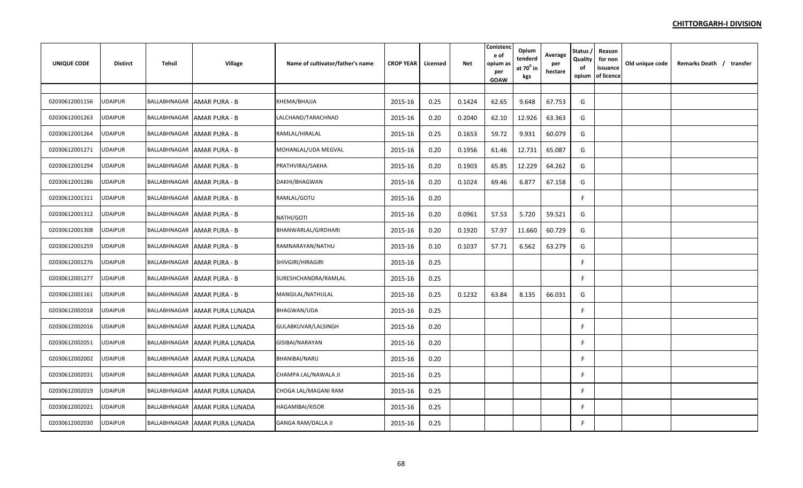| <b>UNIQUE CODE</b> | <b>Distirct</b> | Tehsil | Village                           | Name of cultivator/father's name | <b>CROP YEAR</b> | Licensed | <b>Net</b> | Conistend<br>e of<br>opium as<br>per<br>GOAW | Opium<br>tenderd<br>at $70^{\circ}$ in<br>kgs | Average<br>per<br>hectare | Status,<br>Quality<br>of<br>opium | Reason<br>for non<br>issuance<br>of licence | Old unique code | Remarks Death / transfer |
|--------------------|-----------------|--------|-----------------------------------|----------------------------------|------------------|----------|------------|----------------------------------------------|-----------------------------------------------|---------------------------|-----------------------------------|---------------------------------------------|-----------------|--------------------------|
|                    |                 |        |                                   |                                  |                  |          |            |                                              |                                               |                           |                                   |                                             |                 |                          |
| 02030612001156     | <b>UDAIPUR</b>  |        | <b>BALLABHNAGAR AMAR PURA - B</b> | KHEMA/BHAJJA                     | 2015-16          | 0.25     | 0.1424     | 62.65                                        | 9.648                                         | 67.753                    | G                                 |                                             |                 |                          |
| 02030612001263     | UDAIPUR         |        | BALLABHNAGAR AMAR PURA - B        | LALCHAND/TARACHNAD               | 2015-16          | 0.20     | 0.2040     | 62.10                                        | 12.926                                        | 63.363                    | G                                 |                                             |                 |                          |
| 02030612001264     | UDAIPUR         |        | BALLABHNAGAR AMAR PURA - B        | RAMLAL/HIRALAL                   | 2015-16          | 0.25     | 0.1653     | 59.72                                        | 9.931                                         | 60.079                    | G                                 |                                             |                 |                          |
| 02030612001271     | UDAIPUR         |        | BALLABHNAGAR   AMAR PURA - B      | MOHANLAL/UDA MEGVAL              | 2015-16          | 0.20     | 0.1956     | 61.46                                        | 12.731                                        | 65.087                    | G                                 |                                             |                 |                          |
| 02030612001294     | UDAIPUR         |        | BALLABHNAGAR AMAR PURA - B        | PRATHVIRAJ/SAKHA                 | 2015-16          | 0.20     | 0.1903     | 65.85                                        | 12.229                                        | 64.262                    | G                                 |                                             |                 |                          |
| 02030612001286     | <b>UDAIPUR</b>  |        | BALLABHNAGAR AMAR PURA - B        | DAKHI/BHAGWAN                    | 2015-16          | 0.20     | 0.1024     | 69.46                                        | 6.877                                         | 67.158                    | G                                 |                                             |                 |                          |
| 02030612001311     | <b>UDAIPUR</b>  |        | BALLABHNAGAR AMAR PURA - B        | RAMLAL/GOTU                      | 2015-16          | 0.20     |            |                                              |                                               |                           | F                                 |                                             |                 |                          |
| 02030612001312     | UDAIPUR         |        | BALLABHNAGAR AMAR PURA - B        | NATHI/GOTI                       | 2015-16          | 0.20     | 0.0961     | 57.53                                        | 5.720                                         | 59.521                    | G                                 |                                             |                 |                          |
| 02030612001308     | UDAIPUR         |        | BALLABHNAGAR AMAR PURA - B        | BHANWARLAL/GIRDHARI              | 2015-16          | 0.20     | 0.1920     | 57.97                                        | 11.660                                        | 60.729                    | G                                 |                                             |                 |                          |
| 02030612001259     | UDAIPUR         |        | BALLABHNAGAR AMAR PURA - B        | RAMNARAYAN/NATHU                 | 2015-16          | 0.10     | 0.1037     | 57.71                                        | 6.562                                         | 63.279                    | G                                 |                                             |                 |                          |
| 02030612001276     | UDAIPUR         |        | BALLABHNAGAR AMAR PURA - B        | SHIVGIRI/HIRAGIRI                | 2015-16          | 0.25     |            |                                              |                                               |                           | F                                 |                                             |                 |                          |
| 02030612001277     | JDAIPUR         |        | BALLABHNAGAR AMAR PURA - B        | SURESHCHANDRA/RAMLAL             | 2015-16          | 0.25     |            |                                              |                                               |                           | F.                                |                                             |                 |                          |
| 02030612001161     | <b>UDAIPUR</b>  |        | BALLABHNAGAR AMAR PURA - B        | MANGILAL/NATHULAL                | 2015-16          | 0.25     | 0.1232     | 63.84                                        | 8.135                                         | 66.031                    | G                                 |                                             |                 |                          |
| 02030612002018     | <b>JDAIPUR</b>  |        | BALLABHNAGAR AMAR PURA LUNADA     | <b>BHAGWAN/UDA</b>               | 2015-16          | 0.25     |            |                                              |                                               |                           | F                                 |                                             |                 |                          |
| 02030612002016     | <b>UDAIPUR</b>  |        | BALLABHNAGAR AMAR PURA LUNADA     | GULABKUVAR/LALSINGH              | 2015-16          | 0.20     |            |                                              |                                               |                           | F.                                |                                             |                 |                          |
| 02030612002051     | <b>UDAIPUR</b>  |        | BALLABHNAGAR AMAR PURA LUNADA     | <b>GISIBAI/NARAYAN</b>           | 2015-16          | 0.20     |            |                                              |                                               |                           | F.                                |                                             |                 |                          |
| 02030612002002     | <b>UDAIPUR</b>  |        | BALLABHNAGAR AMAR PURA LUNADA     | BHANIBAI/NARU                    | 2015-16          | 0.20     |            |                                              |                                               |                           | F                                 |                                             |                 |                          |
| 02030612002031     | <b>UDAIPUR</b>  |        | BALLABHNAGAR AMAR PURA LUNADA     | CHAMPA LAL/NAWALA JI             | 2015-16          | 0.25     |            |                                              |                                               |                           | F                                 |                                             |                 |                          |
| 02030612002019     | JDAIPUR         |        | BALLABHNAGAR AMAR PURA LUNADA     | CHOGA LAL/MAGANI RAM             | 2015-16          | 0.25     |            |                                              |                                               |                           | F.                                |                                             |                 |                          |
| 02030612002021     | JDAIPUR         |        | BALLABHNAGAR AMAR PURA LUNADA     | HAGAMIBAI/KISOR                  | 2015-16          | 0.25     |            |                                              |                                               |                           | F                                 |                                             |                 |                          |
| 02030612002030     | JDAIPUR         |        | BALLABHNAGAR   AMAR PURA LUNADA   | <b>GANGA RAM/DALLA JI</b>        | 2015-16          | 0.25     |            |                                              |                                               |                           | F                                 |                                             |                 |                          |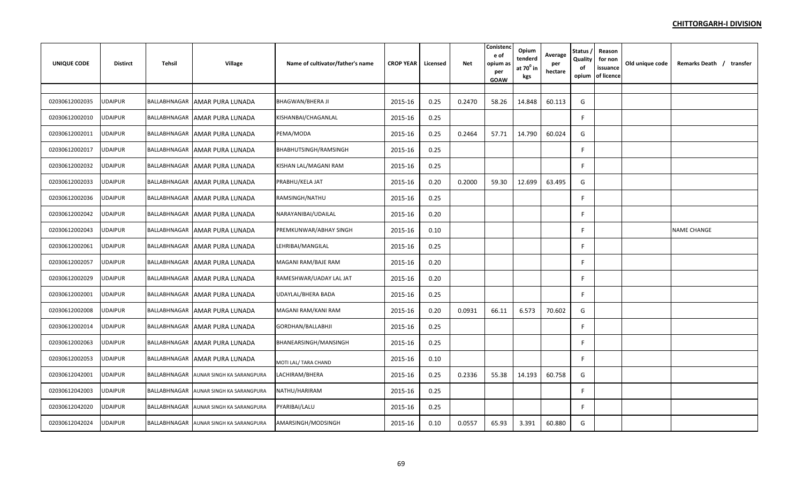| UNIQUE CODE    | <b>Distirct</b> | Tehsil       | <b>Village</b>                         | Name of cultivator/father's name | <b>CROP YEAR</b> | Licensed | Net    | Conisten<br>e of<br>opium as<br>per<br>GOAW | Opium<br>tenderd<br>at $70^0$ in<br>kgs | Average<br>per<br>hectare | Status,<br>Quality<br>of<br>opium | Reason<br>for non<br>issuance<br>of licence | Old unique code | Remarks Death / transfer |
|----------------|-----------------|--------------|----------------------------------------|----------------------------------|------------------|----------|--------|---------------------------------------------|-----------------------------------------|---------------------------|-----------------------------------|---------------------------------------------|-----------------|--------------------------|
|                |                 |              |                                        |                                  |                  |          |        |                                             |                                         |                           |                                   |                                             |                 |                          |
| 02030612002035 | UDAIPUR         |              | BALLABHNAGAR AMAR PURA LUNADA          | <b>BHAGWAN/BHERA JI</b>          | 2015-16          | 0.25     | 0.2470 | 58.26                                       | 14.848                                  | 60.113                    | G                                 |                                             |                 |                          |
| 02030612002010 | <b>UDAIPUR</b>  |              | BALLABHNAGAR AMAR PURA LUNADA          | KISHANBAI/CHAGANLAL              | 2015-16          | 0.25     |        |                                             |                                         |                           | F.                                |                                             |                 |                          |
| 02030612002011 | <b>JDAIPUR</b>  |              | BALLABHNAGAR AMAR PURA LUNADA          | PEMA/MODA                        | 2015-16          | 0.25     | 0.2464 | 57.71                                       | 14.790                                  | 60.024                    | G                                 |                                             |                 |                          |
| 02030612002017 | <b>UDAIPUR</b>  |              | BALLABHNAGAR   AMAR PURA LUNADA        | BHABHUTSINGH/RAMSINGH            | 2015-16          | 0.25     |        |                                             |                                         |                           | F                                 |                                             |                 |                          |
| 02030612002032 | UDAIPUR         |              | BALLABHNAGAR AMAR PURA LUNADA          | KISHAN LAL/MAGANI RAM            | 2015-16          | 0.25     |        |                                             |                                         |                           | F                                 |                                             |                 |                          |
| 02030612002033 | <b>UDAIPUR</b>  |              | BALLABHNAGAR AMAR PURA LUNADA          | PRABHU/KELA JAT                  | 2015-16          | 0.20     | 0.2000 | 59.30                                       | 12.699                                  | 63.495                    | G                                 |                                             |                 |                          |
| 02030612002036 | UDAIPUR         |              | BALLABHNAGAR AMAR PURA LUNADA          | RAMSINGH/NATHU                   | 2015-16          | 0.25     |        |                                             |                                         |                           | F                                 |                                             |                 |                          |
| 02030612002042 | UDAIPUR         |              | BALLABHNAGAR AMAR PURA LUNADA          | NARAYANIBAI/UDAILAL              | 2015-16          | 0.20     |        |                                             |                                         |                           | F.                                |                                             |                 |                          |
| 02030612002043 | UDAIPUR         |              | BALLABHNAGAR AMAR PURA LUNADA          | PREMKUNWAR/ABHAY SINGH           | 2015-16          | 0.10     |        |                                             |                                         |                           | F.                                |                                             |                 | NAME CHANGE              |
| 02030612002061 | JDAIPUR         |              | BALLABHNAGAR AMAR PURA LUNADA          | LEHRIBAI/MANGILAL                | 2015-16          | 0.25     |        |                                             |                                         |                           | F                                 |                                             |                 |                          |
| 02030612002057 | JDAIPUR         |              | BALLABHNAGAR AMAR PURA LUNADA          | MAGANI RAM/BAJE RAM              | 2015-16          | 0.20     |        |                                             |                                         |                           | F.                                |                                             |                 |                          |
| 02030612002029 | JDAIPUR         |              | BALLABHNAGAR AMAR PURA LUNADA          | RAMESHWAR/UADAY LAL JAT          | 2015-16          | 0.20     |        |                                             |                                         |                           | F                                 |                                             |                 |                          |
| 02030612002001 | <b>JDAIPUR</b>  |              | BALLABHNAGAR AMAR PURA LUNADA          | UDAYLAL/BHERA BADA               | 2015-16          | 0.25     |        |                                             |                                         |                           | F                                 |                                             |                 |                          |
| 02030612002008 | UDAIPUR         |              | BALLABHNAGAR AMAR PURA LUNADA          | MAGANI RAM/KANI RAM              | 2015-16          | 0.20     | 0.0931 | 66.11                                       | 6.573                                   | 70.602                    | G                                 |                                             |                 |                          |
| 02030612002014 | JDAIPUR         |              | BALLABHNAGAR AMAR PURA LUNADA          | GORDHAN/BALLABHJI                | 2015-16          | 0.25     |        |                                             |                                         |                           | F.                                |                                             |                 |                          |
| 02030612002063 | <b>UDAIPUR</b>  |              | BALLABHNAGAR AMAR PURA LUNADA          | BHANEARSINGH/MANSINGH            | 2015-16          | 0.25     |        |                                             |                                         |                           | F                                 |                                             |                 |                          |
| 02030612002053 | UDAIPUR         |              | BALLABHNAGAR AMAR PURA LUNADA          | MOTI LAL/ TARA CHAND             | 2015-16          | 0.10     |        |                                             |                                         |                           | F                                 |                                             |                 |                          |
| 02030612042001 | <b>UDAIPUR</b>  |              | BALLABHNAGAR AUNAR SINGH KA SARANGPURA | LACHIRAM/BHERA                   | 2015-16          | 0.25     | 0.2336 | 55.38                                       | 14.193                                  | 60.758                    | G                                 |                                             |                 |                          |
| 02030612042003 | JDAIPUR         |              | BALLABHNAGAR AUNAR SINGH KA SARANGPURA | NATHU/HARIRAM                    | 2015-16          | 0.25     |        |                                             |                                         |                           | F                                 |                                             |                 |                          |
| 02030612042020 | JDAIPUR         | BALLABHNAGAR | AUNAR SINGH KA SARANGPURA              | PYARIBAI/LALU                    | 2015-16          | 0.25     |        |                                             |                                         |                           | F.                                |                                             |                 |                          |
| 02030612042024 | UDAIPUR         |              | BALLABHNAGAR AUNAR SINGH KA SARANGPURA | AMARSINGH/MODSINGH               | 2015-16          | 0.10     | 0.0557 | 65.93                                       | 3.391                                   | 60.880                    | G                                 |                                             |                 |                          |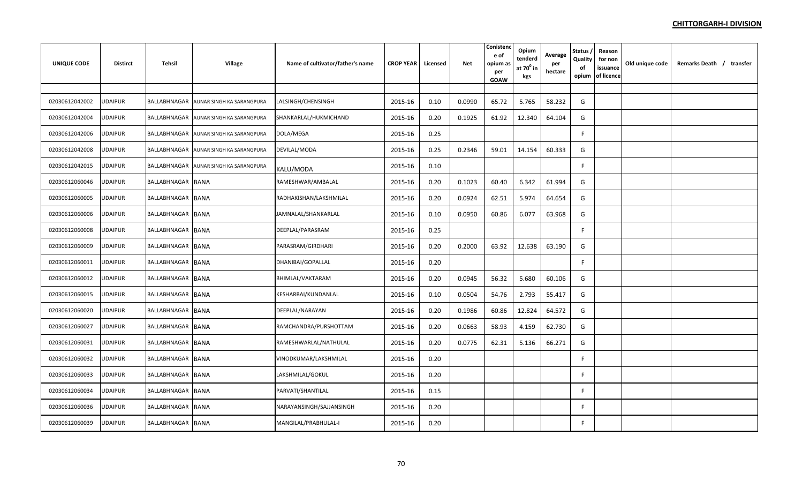| <b>UNIQUE CODE</b> | <b>Distirct</b> | Tehsil            | <b>Village</b>                         | Name of cultivator/father's name | <b>CROP YEAR</b> | Licensed | Net    | Conistend<br>e of<br>opium as<br>per<br>GOAW | Opium<br>tenderd<br>at $70^0$ in<br>kgs | Average<br>per<br>hectare | Status,<br>Quality<br>of<br>opium | Reason<br>for non<br>issuance<br>of licence | Old unique code | Remarks Death / transfer |
|--------------------|-----------------|-------------------|----------------------------------------|----------------------------------|------------------|----------|--------|----------------------------------------------|-----------------------------------------|---------------------------|-----------------------------------|---------------------------------------------|-----------------|--------------------------|
|                    |                 |                   |                                        |                                  |                  |          |        |                                              |                                         |                           |                                   |                                             |                 |                          |
| 02030612042002     | <b>UDAIPUR</b>  |                   | BALLABHNAGAR AUNAR SINGH KA SARANGPURA | LALSINGH/CHENSINGH               | 2015-16          | 0.10     | 0.0990 | 65.72                                        | 5.765                                   | 58.232                    | G                                 |                                             |                 |                          |
| 02030612042004     | <b>UDAIPUR</b>  | BALLABHNAGAR      | AUNAR SINGH KA SARANGPURA              | SHANKARLAL/HUKMICHAND            | 2015-16          | 0.20     | 0.1925 | 61.92                                        | 12.340                                  | 64.104                    | G                                 |                                             |                 |                          |
| 02030612042006     | <b>UDAIPUR</b>  |                   | BALLABHNAGAR AUNAR SINGH KA SARANGPURA | DOLA/MEGA                        | 2015-16          | 0.25     |        |                                              |                                         |                           |                                   |                                             |                 |                          |
| 02030612042008     | <b>UDAIPUR</b>  | BALLABHNAGAR      | AUNAR SINGH KA SARANGPURA              | DEVILAL/MODA                     | 2015-16          | 0.25     | 0.2346 | 59.01                                        | 14.154                                  | 60.333                    | G                                 |                                             |                 |                          |
| 02030612042015     | <b>UDAIPUR</b>  |                   | BALLABHNAGAR AUNAR SINGH KA SARANGPURA | KALU/MODA                        | 2015-16          | 0.10     |        |                                              |                                         |                           | F                                 |                                             |                 |                          |
| 02030612060046     | <b>UDAIPUR</b>  | BALLABHNAGAR BANA |                                        | RAMESHWAR/AMBALAL                | 2015-16          | 0.20     | 0.1023 | 60.40                                        | 6.342                                   | 61.994                    | G                                 |                                             |                 |                          |
| 02030612060005     | <b>UDAIPUR</b>  | BALLABHNAGAR BANA |                                        | RADHAKISHAN/LAKSHMILAL           | 2015-16          | 0.20     | 0.0924 | 62.51                                        | 5.974                                   | 64.654                    | G                                 |                                             |                 |                          |
| 02030612060006     | <b>UDAIPUR</b>  | BALLABHNAGAR BANA |                                        | JAMNALAL/SHANKARLAL              | 2015-16          | 0.10     | 0.0950 | 60.86                                        | 6.077                                   | 63.968                    | G                                 |                                             |                 |                          |
| 02030612060008     | <b>UDAIPUR</b>  | BALLABHNAGAR BANA |                                        | DEEPLAL/PARASRAM                 | 2015-16          | 0.25     |        |                                              |                                         |                           |                                   |                                             |                 |                          |
| 02030612060009     | UDAIPUR         | BALLABHNAGAR BANA |                                        | PARASRAM/GIRDHARI                | 2015-16          | 0.20     | 0.2000 | 63.92                                        | 12.638                                  | 63.190                    | G                                 |                                             |                 |                          |
| 02030612060011     | UDAIPUR         | BALLABHNAGAR BANA |                                        | DHANIBAI/GOPALLAL                | 2015-16          | 0.20     |        |                                              |                                         |                           | F                                 |                                             |                 |                          |
| 02030612060012     | UDAIPUR         | BALLABHNAGAR BANA |                                        | BHIMLAL/VAKTARAM                 | 2015-16          | 0.20     | 0.0945 | 56.32                                        | 5.680                                   | 60.106                    | G                                 |                                             |                 |                          |
| 02030612060015     | <b>JDAIPUR</b>  | BALLABHNAGAR BANA |                                        | KESHARBAI/KUNDANLAL              | 2015-16          | 0.10     | 0.0504 | 54.76                                        | 2.793                                   | 55.417                    | G                                 |                                             |                 |                          |
| 02030612060020     | JDAIPUR         | BALLABHNAGAR BANA |                                        | DEEPLAL/NARAYAN                  | 2015-16          | 0.20     | 0.1986 | 60.86                                        | 12.824                                  | 64.572                    | G                                 |                                             |                 |                          |
| 02030612060027     | <b>UDAIPUR</b>  | BALLABHNAGAR BANA |                                        | RAMCHANDRA/PURSHOTTAM            | 2015-16          | 0.20     | 0.0663 | 58.93                                        | 4.159                                   | 62.730                    | G                                 |                                             |                 |                          |
| 02030612060031     | <b>UDAIPUR</b>  | BALLABHNAGAR BANA |                                        | RAMESHWARLAL/NATHULAL            | 2015-16          | 0.20     | 0.0775 | 62.31                                        | 5.136                                   | 66.271                    | G                                 |                                             |                 |                          |
| 02030612060032     | UDAIPUR         | BALLABHNAGAR BANA |                                        | VINODKUMAR/LAKSHMILAL            | 2015-16          | 0.20     |        |                                              |                                         |                           | F                                 |                                             |                 |                          |
| 02030612060033     | <b>UDAIPUR</b>  | BALLABHNAGAR BANA |                                        | LAKSHMILAL/GOKUL                 | 2015-16          | 0.20     |        |                                              |                                         |                           |                                   |                                             |                 |                          |
| 02030612060034     | UDAIPUR         | BALLABHNAGAR BANA |                                        | PARVATI/SHANTILAL                | 2015-16          | 0.15     |        |                                              |                                         |                           |                                   |                                             |                 |                          |
| 02030612060036     | JDAIPUR         | BALLABHNAGAR BANA |                                        | NARAYANSINGH/SAJJANSINGH         | 2015-16          | 0.20     |        |                                              |                                         |                           | F                                 |                                             |                 |                          |
| 02030612060039     | <b>UDAIPUR</b>  | BALLABHNAGAR BANA |                                        | MANGILAL/PRABHULAL-I             | 2015-16          | 0.20     |        |                                              |                                         |                           | F                                 |                                             |                 |                          |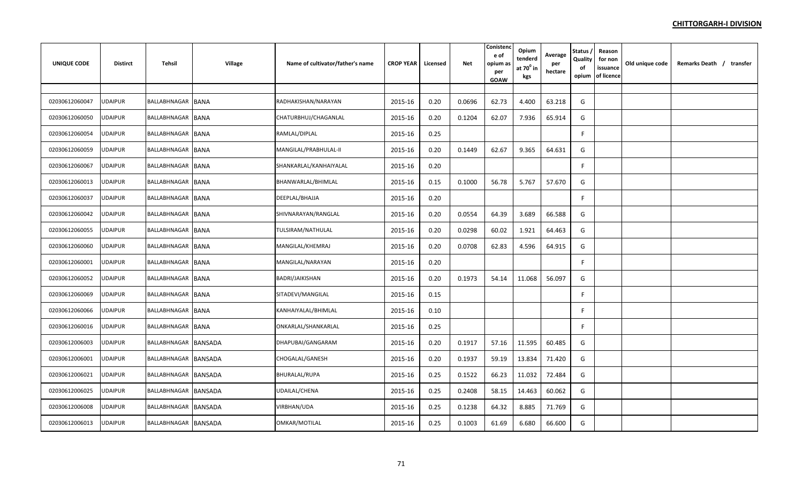| UNIQUE CODE    | <b>Distirct</b> | Tehsil               | <b>Village</b> | Name of cultivator/father's name | <b>CROP YEAR</b> | Licensed | Net    | Conistend<br>e of<br>opium as<br>per<br><b>GOAW</b> | Opium<br>tenderd<br>at $70^\circ$ in<br>kgs | Average<br>per<br>hectare | Status,<br>Quality<br>of<br>opium | Reason<br>for non<br>issuance<br>of licence | Old unique code | Remarks Death / transfer |
|----------------|-----------------|----------------------|----------------|----------------------------------|------------------|----------|--------|-----------------------------------------------------|---------------------------------------------|---------------------------|-----------------------------------|---------------------------------------------|-----------------|--------------------------|
|                |                 |                      |                |                                  |                  |          |        |                                                     |                                             |                           |                                   |                                             |                 |                          |
| 02030612060047 | UDAIPUR         | BALLABHNAGAR BANA    |                | RADHAKISHAN/NARAYAN              | 2015-16          | 0.20     | 0.0696 | 62.73                                               | 4.400                                       | 63.218                    | G                                 |                                             |                 |                          |
| 02030612060050 | UDAIPUR         | BALLABHNAGAR BANA    |                | CHATURBHUJ/CHAGANLAL             | 2015-16          | 0.20     | 0.1204 | 62.07                                               | 7.936                                       | 65.914                    | G                                 |                                             |                 |                          |
| 02030612060054 | <b>JDAIPUR</b>  | BALLABHNAGAR BANA    |                | RAMLAL/DIPLAL                    | 2015-16          | 0.25     |        |                                                     |                                             |                           | F                                 |                                             |                 |                          |
| 02030612060059 | UDAIPUR         | BALLABHNAGAR BANA    |                | MANGILAL/PRABHULAL-II            | 2015-16          | 0.20     | 0.1449 | 62.67                                               | 9.365                                       | 64.631                    | G                                 |                                             |                 |                          |
| 02030612060067 | UDAIPUR         | BALLABHNAGAR BANA    |                | SHANKARLAL/KANHAIYALAL           | 2015-16          | 0.20     |        |                                                     |                                             |                           | F                                 |                                             |                 |                          |
| 02030612060013 | <b>UDAIPUR</b>  | BALLABHNAGAR BANA    |                | BHANWARLAL/BHIMLAL               | 2015-16          | 0.15     | 0.1000 | 56.78                                               | 5.767                                       | 57.670                    | G                                 |                                             |                 |                          |
| 02030612060037 | <b>UDAIPUR</b>  | BALLABHNAGAR BANA    |                | DEEPLAL/BHAJJA                   | 2015-16          | 0.20     |        |                                                     |                                             |                           | F                                 |                                             |                 |                          |
| 02030612060042 | UDAIPUR         | BALLABHNAGAR BANA    |                | SHIVNARAYAN/RANGLAL              | 2015-16          | 0.20     | 0.0554 | 64.39                                               | 3.689                                       | 66.588                    | G                                 |                                             |                 |                          |
| 02030612060055 | <b>UDAIPUR</b>  | BALLABHNAGAR BANA    |                | TULSIRAM/NATHULAL                | 2015-16          | 0.20     | 0.0298 | 60.02                                               | 1.921                                       | 64.463                    | G                                 |                                             |                 |                          |
| 02030612060060 | JDAIPUR         | BALLABHNAGAR BANA    |                | MANGILAL/KHEMRAJ                 | 2015-16          | 0.20     | 0.0708 | 62.83                                               | 4.596                                       | 64.915                    | G                                 |                                             |                 |                          |
| 02030612060001 | UDAIPUR         | BALLABHNAGAR BANA    |                | MANGILAL/NARAYAN                 | 2015-16          | 0.20     |        |                                                     |                                             |                           | F.                                |                                             |                 |                          |
| 02030612060052 | UDAIPUR         | BALLABHNAGAR BANA    |                | BADRI/JAIKISHAN                  | 2015-16          | 0.20     | 0.1973 | 54.14                                               | 11.068                                      | 56.097                    | G                                 |                                             |                 |                          |
| 02030612060069 | <b>JDAIPUR</b>  | BALLABHNAGAR BANA    |                | SITADEVI/MANGILAL                | 2015-16          | 0.15     |        |                                                     |                                             |                           | F                                 |                                             |                 |                          |
| 02030612060066 | UDAIPUR         | BALLABHNAGAR BANA    |                | KANHAIYALAL/BHIMLAL              | 2015-16          | 0.10     |        |                                                     |                                             |                           | F                                 |                                             |                 |                          |
| 02030612060016 | <b>JDAIPUR</b>  | BALLABHNAGAR BANA    |                | ONKARLAL/SHANKARLAL              | 2015-16          | 0.25     |        |                                                     |                                             |                           | F                                 |                                             |                 |                          |
| 02030612006003 | <b>UDAIPUR</b>  | BALLABHNAGAR BANSADA |                | DHAPUBAI/GANGARAM                | 2015-16          | 0.20     | 0.1917 | 57.16                                               | 11.595                                      | 60.485                    | G                                 |                                             |                 |                          |
| 02030612006001 | <b>UDAIPUR</b>  | BALLABHNAGAR BANSADA |                | CHOGALAL/GANESH                  | 2015-16          | 0.20     | 0.1937 | 59.19                                               | 13.834                                      | 71.420                    | G                                 |                                             |                 |                          |
| 02030612006021 | <b>UDAIPUR</b>  | BALLABHNAGAR BANSADA |                | <b>BHURALAL/RUPA</b>             | 2015-16          | 0.25     | 0.1522 | 66.23                                               | 11.032                                      | 72.484                    | G                                 |                                             |                 |                          |
| 02030612006025 | UDAIPUR         | BALLABHNAGAR BANSADA |                | UDAILAL/CHENA                    | 2015-16          | 0.25     | 0.2408 | 58.15                                               | 14.463                                      | 60.062                    | G                                 |                                             |                 |                          |
| 02030612006008 | JDAIPUR         | BALLABHNAGAR BANSADA |                | VIRBHAN/UDA                      | 2015-16          | 0.25     | 0.1238 | 64.32                                               | 8.885                                       | 71.769                    | G                                 |                                             |                 |                          |
| 02030612006013 | <b>UDAIPUR</b>  | BALLABHNAGAR BANSADA |                | OMKAR/MOTILAL                    | 2015-16          | 0.25     | 0.1003 | 61.69                                               | 6.680                                       | 66.600                    | G                                 |                                             |                 |                          |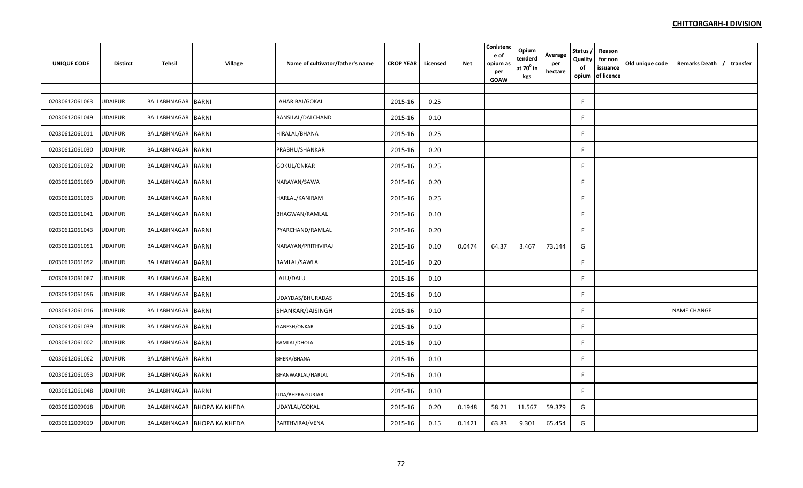| <b>UNIQUE CODE</b> | <b>Distirct</b> | <b>Tehsil</b>             | <b>Village</b>              | Name of cultivator/father's name | <b>CROP YEAR</b> | Licensed | <b>Net</b> | Conistenc<br>e of<br>opium as<br>per<br><b>GOAW</b> | Opium<br>tenderd<br>at $70^0$ in<br>kgs | Average<br>per<br>hectare | Status /<br>Quality<br>of<br>opium | Reason<br>for non<br>issuance<br>of licence | Old unique code | Remarks Death / transfer |
|--------------------|-----------------|---------------------------|-----------------------------|----------------------------------|------------------|----------|------------|-----------------------------------------------------|-----------------------------------------|---------------------------|------------------------------------|---------------------------------------------|-----------------|--------------------------|
|                    |                 |                           |                             |                                  |                  |          |            |                                                     |                                         |                           |                                    |                                             |                 |                          |
| 02030612061063     | <b>UDAIPUR</b>  | BALLABHNAGAR              | <b>BARNI</b>                | LAHARIBAI/GOKAL                  | 2015-16          | 0.25     |            |                                                     |                                         |                           | F.                                 |                                             |                 |                          |
| 02030612061049     | UDAIPUR         | BALLABHNAGAR BARNI        |                             | BANSILAL/DALCHAND                | 2015-16          | 0.10     |            |                                                     |                                         |                           | F                                  |                                             |                 |                          |
| 02030612061011     | <b>UDAIPUR</b>  | <b>BALLABHNAGAR BARNI</b> |                             | HIRALAL/BHANA                    | 2015-16          | 0.25     |            |                                                     |                                         |                           | F                                  |                                             |                 |                          |
| 02030612061030     | <b>UDAIPUR</b>  | BALLABHNAGAR              | <b>BARNI</b>                | PRABHU/SHANKAR                   | 2015-16          | 0.20     |            |                                                     |                                         |                           | F.                                 |                                             |                 |                          |
| 02030612061032     | <b>UDAIPUR</b>  | BALLABHNAGAR BARNI        |                             | GOKUL/ONKAR                      | 2015-16          | 0.25     |            |                                                     |                                         |                           | F.                                 |                                             |                 |                          |
| 02030612061069     | <b>UDAIPUR</b>  | BALLABHNAGAR              | <b>BARNI</b>                | NARAYAN/SAWA                     | 2015-16          | 0.20     |            |                                                     |                                         |                           | F.                                 |                                             |                 |                          |
| 02030612061033     | <b>UDAIPUR</b>  | BALLABHNAGAR BARNI        |                             | HARLAL/KANIRAM                   | 2015-16          | 0.25     |            |                                                     |                                         |                           | F                                  |                                             |                 |                          |
| 02030612061041     | <b>UDAIPUR</b>  | BALLABHNAGAR BARNI        |                             | BHAGWAN/RAMLAL                   | 2015-16          | 0.10     |            |                                                     |                                         |                           | F                                  |                                             |                 |                          |
| 02030612061043     | <b>UDAIPUR</b>  | BALLABHNAGAR BARNI        |                             | PYARCHAND/RAMLAL                 | 2015-16          | 0.20     |            |                                                     |                                         |                           | F.                                 |                                             |                 |                          |
| 02030612061051     | <b>UDAIPUR</b>  | BALLABHNAGAR BARNI        |                             | NARAYAN/PRITHVIRAJ               | 2015-16          | 0.10     | 0.0474     | 64.37                                               | 3.467                                   | 73.144                    | G                                  |                                             |                 |                          |
| 02030612061052     | <b>UDAIPUR</b>  | BALLABHNAGAR BARNI        |                             | RAMLAL/SAWLAL                    | 2015-16          | 0.20     |            |                                                     |                                         |                           | F.                                 |                                             |                 |                          |
| 02030612061067     | <b>UDAIPUR</b>  | BALLABHNAGAR BARNI        |                             | LALU/DALU                        | 2015-16          | 0.10     |            |                                                     |                                         |                           | F                                  |                                             |                 |                          |
| 02030612061056     | UDAIPUR         | BALLABHNAGAR BARNI        |                             | UDAYDAS/BHURADAS                 | 2015-16          | 0.10     |            |                                                     |                                         |                           | F                                  |                                             |                 |                          |
| 02030612061016     | UDAIPUR         | BALLABHNAGAR BARNI        |                             | SHANKAR/JAISINGH                 | 2015-16          | 0.10     |            |                                                     |                                         |                           | F.                                 |                                             |                 | <b>NAME CHANGE</b>       |
| 02030612061039     | <b>UDAIPUR</b>  | BALLABHNAGAR              | <b>BARNI</b>                | GANESH/ONKAR                     | 2015-16          | 0.10     |            |                                                     |                                         |                           | F                                  |                                             |                 |                          |
| 02030612061002     | <b>UDAIPUR</b>  | BALLABHNAGAR              | <b>BARNI</b>                | RAMLAL/DHOLA                     | 2015-16          | 0.10     |            |                                                     |                                         |                           | F                                  |                                             |                 |                          |
| 02030612061062     | <b>UDAIPUR</b>  | BALLABHNAGAR BARNI        |                             | BHERA/BHANA                      | 2015-16          | 0.10     |            |                                                     |                                         |                           | F.                                 |                                             |                 |                          |
| 02030612061053     | UDAIPUR         | BALLABHNAGAR BARNI        |                             | BHANWARLAL/HARLAL                | 2015-16          | 0.10     |            |                                                     |                                         |                           | F.                                 |                                             |                 |                          |
| 02030612061048     | <b>UDAIPUR</b>  | BALLABHNAGAR BARNI        |                             | <b>UDA/BHERA GURJAR</b>          | 2015-16          | 0.10     |            |                                                     |                                         |                           | F.                                 |                                             |                 |                          |
| 02030612009018     | JDAIPUR         | BALLABHNAGAR              | <b>BHOPA KA KHEDA</b>       | UDAYLAL/GOKAL                    | 2015-16          | 0.20     | 0.1948     | 58.21                                               | 11.567                                  | 59.379                    | G                                  |                                             |                 |                          |
| 02030612009019     | <b>UDAIPUR</b>  |                           | BALLABHNAGAR BHOPA KA KHEDA | PARTHVIRAJ/VENA                  | 2015-16          | 0.15     | 0.1421     | 63.83                                               | 9.301                                   | 65.454                    | G                                  |                                             |                 |                          |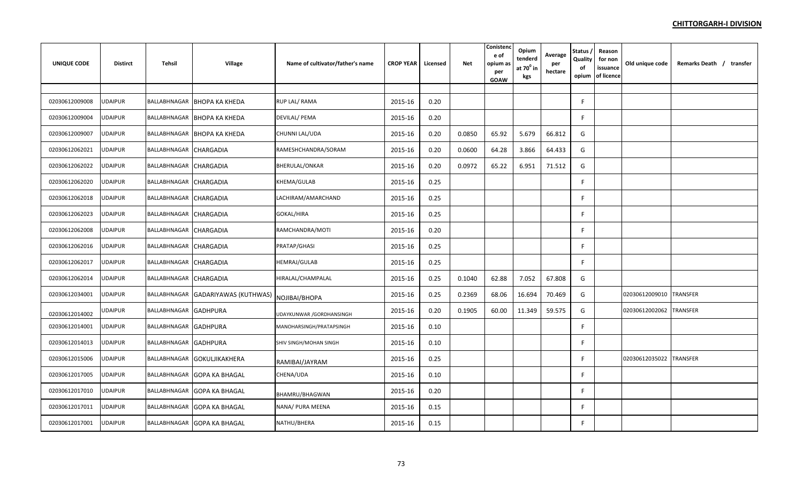| <b>UNIQUE CODE</b> | <b>Distirct</b> | Tehsil                 | Village                            | Name of cultivator/father's name | <b>CROP YEAR</b> | Licensed | <b>Net</b> | Conistend<br>e of<br>opium as<br>per<br>GOAW | Opium<br>tenderd<br>at $70^{\circ}$ in<br>kgs | Average<br>per<br>hectare | Status,<br>Quality<br>of<br>opium | Reason<br>for non<br>issuance<br>of licence | Old unique code | Remarks Death / transfer |
|--------------------|-----------------|------------------------|------------------------------------|----------------------------------|------------------|----------|------------|----------------------------------------------|-----------------------------------------------|---------------------------|-----------------------------------|---------------------------------------------|-----------------|--------------------------|
|                    |                 |                        |                                    |                                  |                  |          |            |                                              |                                               |                           |                                   |                                             |                 |                          |
| 02030612009008     | UDAIPUR         |                        | BALLABHNAGAR BHOPA KA KHEDA        | <b>RUP LAL/ RAMA</b>             | 2015-16          | 0.20     |            |                                              |                                               |                           | F.                                |                                             |                 |                          |
| 02030612009004     | <b>JDAIPUR</b>  |                        | BALLABHNAGAR BHOPA KA KHEDA        | DEVILAL/ PEMA                    | 2015-16          | 0.20     |            |                                              |                                               |                           | F                                 |                                             |                 |                          |
| 02030612009007     | UDAIPUR         |                        | BALLABHNAGAR BHOPA KA KHEDA        | CHUNNI LAL/UDA                   | 2015-16          | 0.20     | 0.0850     | 65.92                                        | 5.679                                         | 66.812                    | G                                 |                                             |                 |                          |
| 02030612062021     | UDAIPUR         | BALLABHNAGAR CHARGADIA |                                    | RAMESHCHANDRA/SORAM              | 2015-16          | 0.20     | 0.0600     | 64.28                                        | 3.866                                         | 64.433                    | G                                 |                                             |                 |                          |
| 02030612062022     | UDAIPUR         | BALLABHNAGAR CHARGADIA |                                    | <b>BHERULAL/ONKAR</b>            | 2015-16          | 0.20     | 0.0972     | 65.22                                        | 6.951                                         | 71.512                    | G                                 |                                             |                 |                          |
| 02030612062020     | <b>UDAIPUR</b>  | BALLABHNAGAR CHARGADIA |                                    | <b>KHEMA/GULAB</b>               | 2015-16          | 0.25     |            |                                              |                                               |                           | F                                 |                                             |                 |                          |
| 02030612062018     | UDAIPUR         | BALLABHNAGAR CHARGADIA |                                    | LACHIRAM/AMARCHAND               | 2015-16          | 0.25     |            |                                              |                                               |                           | F                                 |                                             |                 |                          |
| 02030612062023     | UDAIPUR         | BALLABHNAGAR CHARGADIA |                                    | <b>GOKAL/HIRA</b>                | 2015-16          | 0.25     |            |                                              |                                               |                           | F.                                |                                             |                 |                          |
| 02030612062008     | JDAIPUR         | BALLABHNAGAR CHARGADIA |                                    | RAMCHANDRA/MOTI                  | 2015-16          | 0.20     |            |                                              |                                               |                           | F                                 |                                             |                 |                          |
| 02030612062016     | UDAIPUR         | BALLABHNAGAR CHARGADIA |                                    | PRATAP/GHASI                     | 2015-16          | 0.25     |            |                                              |                                               |                           | F                                 |                                             |                 |                          |
| 02030612062017     | UDAIPUR         | BALLABHNAGAR CHARGADIA |                                    | HEMRAJ/GULAB                     | 2015-16          | 0.25     |            |                                              |                                               |                           | F                                 |                                             |                 |                          |
| 02030612062014     | JDAIPUR         | BALLABHNAGAR CHARGADIA |                                    | HIRALAL/CHAMPALAL                | 2015-16          | 0.25     | 0.1040     | 62.88                                        | 7.052                                         | 67.808                    | G                                 |                                             |                 |                          |
| 02030612034001     | <b>UDAIPUR</b>  |                        | BALLABHNAGAR GADARIYAWAS (KUTHWAS) | NOJIBAI/BHOPA                    | 2015-16          | 0.25     | 0.2369     | 68.06                                        | 16.694                                        | 70.469                    | G                                 |                                             | 02030612009010  | <b>TRANSFER</b>          |
| 02030612014002     | <b>JDAIPUR</b>  | BALLABHNAGAR GADHPURA  |                                    | UDAYKUNWAR /GORDHANSINGH         | 2015-16          | 0.20     | 0.1905     | 60.00                                        | 11.349                                        | 59.575                    | G                                 |                                             | 02030612002062  | <b>TRANSFER</b>          |
| 02030612014001     | <b>UDAIPUR</b>  | BALLABHNAGAR GADHPURA  |                                    | MANOHARSINGH/PRATAPSINGH         | 2015-16          | 0.10     |            |                                              |                                               |                           | F.                                |                                             |                 |                          |
| 02030612014013     | <b>UDAIPUR</b>  | BALLABHNAGAR GADHPURA  |                                    | SHIV SINGH/MOHAN SINGH           | 2015-16          | $0.10\,$ |            |                                              |                                               |                           | F.                                |                                             |                 |                          |
| 02030612015006     | <b>UDAIPUR</b>  |                        | BALLABHNAGAR GOKULJIKAKHERA        | RAMIBAI/JAYRAM                   | 2015-16          | 0.25     |            |                                              |                                               |                           | F                                 |                                             | 02030612035022  | <b>TRANSFER</b>          |
| 02030612017005     | <b>UDAIPUR</b>  | BALLABHNAGAR           | <b>GOPA KA BHAGAL</b>              | CHENA/UDA                        | 2015-16          | 0.10     |            |                                              |                                               |                           | F                                 |                                             |                 |                          |
| 02030612017010     | JDAIPUR         |                        | BALLABHNAGAR GOPA KA BHAGAL        | BHAMRU/BHAGWAN                   | 2015-16          | 0.20     |            |                                              |                                               |                           | F.                                |                                             |                 |                          |
| 02030612017011     | UDAIPUR         |                        | BALLABHNAGAR GOPA KA BHAGAL        | NANA/ PURA MEENA                 | 2015-16          | 0.15     |            |                                              |                                               |                           | F                                 |                                             |                 |                          |
| 02030612017001     | UDAIPUR         |                        | BALLABHNAGAR GOPA KA BHAGAL        | NATHU/BHERA                      | 2015-16          | 0.15     |            |                                              |                                               |                           | F                                 |                                             |                 |                          |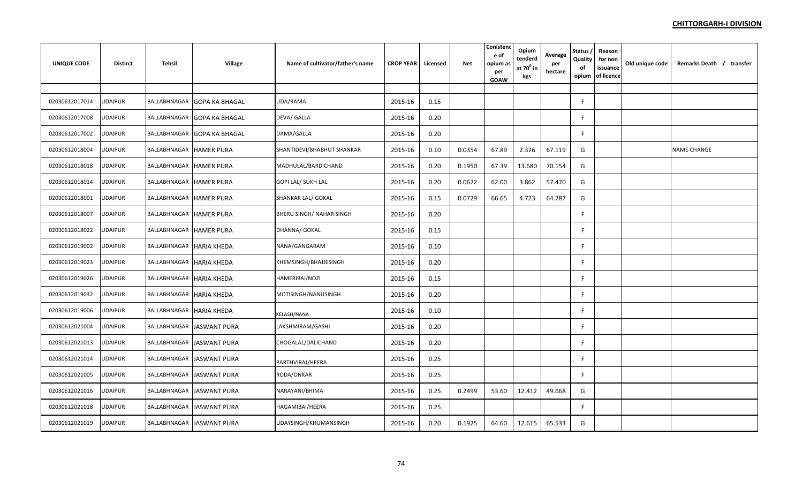| <b>UNIQUE CODE</b> | <b>Distirct</b> | Tehsil                         | Village                     | Name of cultivator/father's name | <b>CROP YEAR</b> | Licensed | <b>Net</b> | Conistend<br>e of<br>opium as<br>per<br>GOAW | Opium<br>tenderd<br>at 70 <sup>0</sup> in<br>kgs | Average<br>per<br>hectare | Status,<br>Quality<br>of<br>opium | Reason<br>for non<br>issuance<br>of licence | Old unique code | Remarks Death / transfer |
|--------------------|-----------------|--------------------------------|-----------------------------|----------------------------------|------------------|----------|------------|----------------------------------------------|--------------------------------------------------|---------------------------|-----------------------------------|---------------------------------------------|-----------------|--------------------------|
|                    |                 |                                |                             |                                  |                  |          |            |                                              |                                                  |                           |                                   |                                             |                 |                          |
| 02030612017014     | <b>UDAIPUR</b>  |                                | BALLABHNAGAR GOPA KA BHAGAL | UDA/RAMA                         | 2015-16          | 0.15     |            |                                              |                                                  |                           | F.                                |                                             |                 |                          |
| 02030612017008     | <b>JDAIPUR</b>  | BALLABHNAGAR                   | <b>GOPA KA BHAGAL</b>       | DEVA/ GALLA                      | 2015-16          | 0.20     |            |                                              |                                                  |                           | F                                 |                                             |                 |                          |
| 02030612017002     | JDAIPUR         |                                | BALLABHNAGAR GOPA KA BHAGAL | DAMA/GALLA                       | 2015-16          | 0.20     |            |                                              |                                                  |                           | F.                                |                                             |                 |                          |
| 02030612018004     | <b>UDAIPUR</b>  | <b>BALLABHNAGAR HAMER PURA</b> |                             | SHANTIDEVI/BHABHUT SHANKAR       | 2015-16          | 0.10     | 0.0354     | 67.89                                        | 2.376                                            | 67.119                    | G                                 |                                             |                 | NAME CHANGE              |
| 02030612018018     | <b>JDAIPUR</b>  | BALLABHNAGAR HAMER PURA        |                             | MADHULAL/BARDICHAND              | 2015-16          | 0.20     | 0.1950     | 67.39                                        | 13.680                                           | 70.154                    | G                                 |                                             |                 |                          |
| 02030612018014     | <b>UDAIPUR</b>  | BALLABHNAGAR HAMER PURA        |                             | <b>GOPI LAL/ SUKH LAL</b>        | 2015-16          | 0.20     | 0.0672     | 62.00                                        | 3.862                                            | 57.470                    | G                                 |                                             |                 |                          |
| 02030612018001     | <b>UDAIPUR</b>  | <b>BALLABHNAGAR HAMER PURA</b> |                             | SHANKAR LAL/ GOKAL               | 2015-16          | 0.15     | 0.0729     | 66.65                                        | 4.723                                            | 64.787                    | G                                 |                                             |                 |                          |
| 02030612018007     | UDAIPUR         | BALLABHNAGAR HAMER PURA        |                             | BHERU SINGH/ NAHAR SINGH         | 2015-16          | 0.20     |            |                                              |                                                  |                           | F                                 |                                             |                 |                          |
| 02030612018022     | JDAIPUR         | <b>BALLABHNAGAR HAMER PURA</b> |                             | DHANNA/ GOKAL                    | 2015-16          | 0.15     |            |                                              |                                                  |                           | F.                                |                                             |                 |                          |
| 02030612019002     | JDAIPUR         | BALLABHNAGAR HARIA KHEDA       |                             | NANA/GANGARAM                    | 2015-16          | 0.10     |            |                                              |                                                  |                           | F                                 |                                             |                 |                          |
| 02030612019023     | <b>JDAIPUR</b>  | BALLABHNAGAR HARIA KHEDA       |                             | KHEMSINGH/BHAJJESINGH            | 2015-16          | 0.20     |            |                                              |                                                  |                           | F                                 |                                             |                 |                          |
| 02030612019026     | <b>UDAIPUR</b>  | BALLABHNAGAR HARIA KHEDA       |                             | HAMERIBAI/NOZI                   | 2015-16          | 0.15     |            |                                              |                                                  |                           | F                                 |                                             |                 |                          |
| 02030612019032     | UDAIPUR         | BALLABHNAGAR HARIA KHEDA       |                             | MOTISINGH/NANUSINGH              | 2015-16          | 0.20     |            |                                              |                                                  |                           | F.                                |                                             |                 |                          |
| 02030612019006     | <b>UDAIPUR</b>  | BALLABHNAGAR HARIA KHEDA       |                             | KELASH/NANA                      | 2015-16          | 0.10     |            |                                              |                                                  |                           | F.                                |                                             |                 |                          |
| 02030612021004     | <b>UDAIPUR</b>  |                                | BALLABHNAGAR JASWANT PURA   | LAKSHMIRAM/GASHI                 | 2015-16          | 0.20     |            |                                              |                                                  |                           | F                                 |                                             |                 |                          |
| 02030612021013     | <b>UDAIPUR</b>  |                                | BALLABHNAGAR JASWANT PURA   | CHOGALAL/DALICHAND               | 2015-16          | 0.20     |            |                                              |                                                  |                           | F.                                |                                             |                 |                          |
| 02030612021014     | <b>UDAIPUR</b>  |                                | BALLABHNAGAR JASWANT PURA   | PARTHVIRAJ/HEERA                 | 2015-16          | 0.25     |            |                                              |                                                  |                           | F                                 |                                             |                 |                          |
| 02030612021005     | <b>UDAIPUR</b>  |                                | BALLABHNAGAR JASWANT PURA   | RODA/ONKAR                       | 2015-16          | 0.25     |            |                                              |                                                  |                           | F                                 |                                             |                 |                          |
| 02030612021016     | <b>UDAIPUR</b>  |                                | BALLABHNAGAR JASWANT PURA   | NARAYANI/BHIMA                   | 2015-16          | 0.25     | 0.2499     | 53.60                                        | 12.412                                           | 49.668                    | G                                 |                                             |                 |                          |
| 02030612021018     | JDAIPUR         |                                | BALLABHNAGAR JASWANT PURA   | HAGAMIBAI/HEERA                  | 2015-16          | 0.25     |            |                                              |                                                  |                           | F.                                |                                             |                 |                          |
| 02030612021019     | JDAIPUR         |                                | BALLABHNAGAR JASWANT PURA   | UDAYSINGH/KHUMANSINGH            | 2015-16          | 0.20     | 0.1925     | 64.60                                        | 12.615                                           | 65.533                    | G                                 |                                             |                 |                          |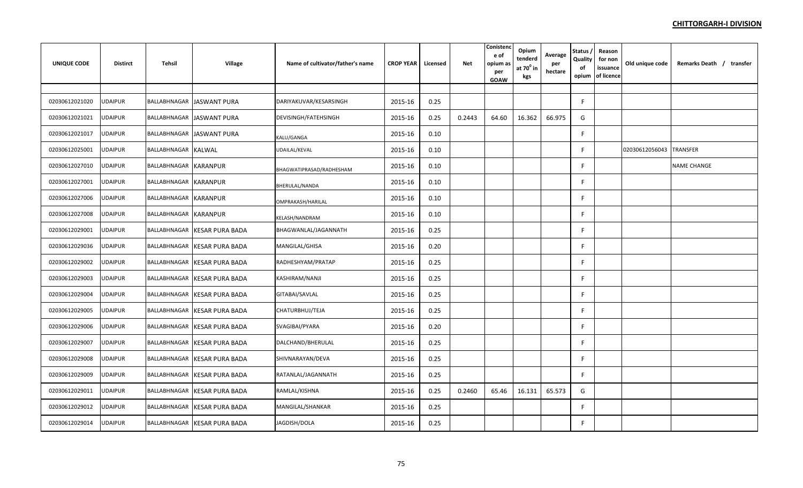| <b>UNIQUE CODE</b> | <b>Distirct</b> | Tehsil                | <b>Village</b>               | Name of cultivator/father's name | <b>CROP YEAR</b> | Licensed | <b>Net</b> | Conistend<br>e of<br>opium as<br>per<br>GOAW | Opium<br>tenderd<br>at $70^0$ in<br>kgs | Average<br>per<br>hectare | Status,<br>Quality<br>of<br>opium | Reason<br>for non<br>issuance<br>of licence | Old unique code | Remarks Death / transfer |
|--------------------|-----------------|-----------------------|------------------------------|----------------------------------|------------------|----------|------------|----------------------------------------------|-----------------------------------------|---------------------------|-----------------------------------|---------------------------------------------|-----------------|--------------------------|
|                    |                 |                       |                              |                                  |                  |          |            |                                              |                                         |                           |                                   |                                             |                 |                          |
| 02030612021020     | <b>UDAIPUR</b>  |                       | BALLABHNAGAR JASWANT PURA    | DARIYAKUVAR/KESARSINGH           | 2015-16          | 0.25     |            |                                              |                                         |                           | F                                 |                                             |                 |                          |
| 02030612021021     | UDAIPUR         |                       | BALLABHNAGAR JASWANT PURA    | DEVISINGH/FATEHSINGH             | 2015-16          | 0.25     | 0.2443     | 64.60                                        | 16.362                                  | 66.975                    | G                                 |                                             |                 |                          |
| 02030612021017     | UDAIPUR         |                       | BALLABHNAGAR JASWANT PURA    | KALU/GANGA                       | 2015-16          | 0.10     |            |                                              |                                         |                           | F                                 |                                             |                 |                          |
| 02030612025001     | <b>UDAIPUR</b>  | BALLABHNAGAR KALWAL   |                              | UDAILAL/KEVAL                    | 2015-16          | 0.10     |            |                                              |                                         |                           | F                                 |                                             | 02030612056043  | <b>TRANSFER</b>          |
| 02030612027010     | <b>UDAIPUR</b>  | BALLABHNAGAR KARANPUR |                              | BHAGWATIPRASAD/RADHESHAM         | 2015-16          | 0.10     |            |                                              |                                         |                           | F                                 |                                             |                 | <b>NAME CHANGE</b>       |
| 02030612027001     | <b>UDAIPUR</b>  | BALLABHNAGAR KARANPUR |                              | BHERULAL/NANDA                   | 2015-16          | 0.10     |            |                                              |                                         |                           |                                   |                                             |                 |                          |
| 02030612027006     | <b>UDAIPUR</b>  | BALLABHNAGAR KARANPUR |                              | OMPRAKASH/HARILAL                | 2015-16          | 0.10     |            |                                              |                                         |                           |                                   |                                             |                 |                          |
| 02030612027008     | UDAIPUR         | BALLABHNAGAR KARANPUR |                              | KELASH/NANDRAM                   | 2015-16          | 0.10     |            |                                              |                                         |                           | F                                 |                                             |                 |                          |
| 02030612029001     | <b>UDAIPUR</b>  |                       | BALLABHNAGAR KESAR PURA BADA | BHAGWANLAL/JAGANNATH             | 2015-16          | 0.25     |            |                                              |                                         |                           | F                                 |                                             |                 |                          |
| 02030612029036     | UDAIPUR         |                       | BALLABHNAGAR KESAR PURA BADA | MANGILAL/GHISA                   | 2015-16          | 0.20     |            |                                              |                                         |                           | F                                 |                                             |                 |                          |
| 02030612029002     | UDAIPUR         | BALLABHNAGAR          | <b>KESAR PURA BADA</b>       | RADHESHYAM/PRATAP                | 2015-16          | 0.25     |            |                                              |                                         |                           |                                   |                                             |                 |                          |
| 02030612029003     | UDAIPUR         | BALLABHNAGAR          | <b>KESAR PURA BADA</b>       | KASHIRAM/NANJI                   | 2015-16          | 0.25     |            |                                              |                                         |                           |                                   |                                             |                 |                          |
| 02030612029004     | <b>UDAIPUR</b>  |                       | BALLABHNAGAR KESAR PURA BADA | GITABAI/SAVLAL                   | 2015-16          | 0.25     |            |                                              |                                         |                           | F                                 |                                             |                 |                          |
| 02030612029005     | <b>UDAIPUR</b>  |                       | BALLABHNAGAR KESAR PURA BADA | CHATURBHUJ/TEJA                  | 2015-16          | 0.25     |            |                                              |                                         |                           | F                                 |                                             |                 |                          |
| 02030612029006     | <b>UDAIPUR</b>  |                       | BALLABHNAGAR KESAR PURA BADA | SVAGIBAI/PYARA                   | 2015-16          | 0.20     |            |                                              |                                         |                           | F                                 |                                             |                 |                          |
| 02030612029007     | <b>UDAIPUR</b>  | BALLABHNAGAR          | <b>KESAR PURA BADA</b>       | DALCHAND/BHERULAL                | 2015-16          | 0.25     |            |                                              |                                         |                           | F                                 |                                             |                 |                          |
| 02030612029008     | <b>UDAIPUR</b>  |                       | BALLABHNAGAR KESAR PURA BADA | SHIVNARAYAN/DEVA                 | 2015-16          | 0.25     |            |                                              |                                         |                           | F                                 |                                             |                 |                          |
| 02030612029009     | <b>UDAIPUR</b>  | BALLABHNAGAR          | <b>KESAR PURA BADA</b>       | RATANLAL/JAGANNATH               | 2015-16          | 0.25     |            |                                              |                                         |                           | F                                 |                                             |                 |                          |
| 02030612029011     | UDAIPUR         |                       | BALLABHNAGAR KESAR PURA BADA | RAMLAL/KISHNA                    | 2015-16          | 0.25     | 0.2460     | 65.46                                        | 16.131                                  | 65.573                    | G                                 |                                             |                 |                          |
| 02030612029012     | JDAIPUR         | BALLABHNAGAR          | <b>KESAR PURA BADA</b>       | MANGILAL/SHANKAR                 | 2015-16          | 0.25     |            |                                              |                                         |                           | F                                 |                                             |                 |                          |
| 02030612029014     | UDAIPUR         |                       | BALLABHNAGAR KESAR PURA BADA | JAGDISH/DOLA                     | 2015-16          | 0.25     |            |                                              |                                         |                           |                                   |                                             |                 |                          |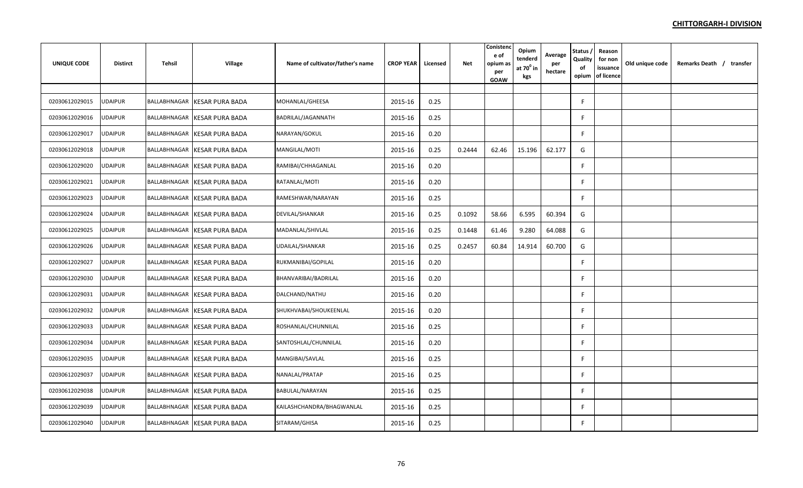| <b>UNIQUE CODE</b> | <b>Distirct</b> | Tehsil       | <b>Village</b>               | Name of cultivator/father's name | <b>CROP YEAR</b> | Licensed | <b>Net</b> | Conistend<br>e of<br>opium as<br>per<br><b>GOAW</b> | Opium<br>tenderd<br>at $70^0$ in<br>kgs | Average<br>per<br>hectare | Status,<br>Quality<br>of<br>opium | Reason<br>for non<br>issuance<br>of licence | Old unique code | Remarks Death / transfer |
|--------------------|-----------------|--------------|------------------------------|----------------------------------|------------------|----------|------------|-----------------------------------------------------|-----------------------------------------|---------------------------|-----------------------------------|---------------------------------------------|-----------------|--------------------------|
|                    |                 |              |                              |                                  |                  |          |            |                                                     |                                         |                           |                                   |                                             |                 |                          |
| 02030612029015     | <b>UDAIPUR</b>  | BALLABHNAGAR | <b>KESAR PURA BADA</b>       | MOHANLAL/GHEESA                  | 2015-16          | 0.25     |            |                                                     |                                         |                           | F                                 |                                             |                 |                          |
| 02030612029016     | JDAIPUR         | BALLABHNAGAR | <b>KESAR PURA BADA</b>       | BADRILAL/JAGANNATH               | 2015-16          | 0.25     |            |                                                     |                                         |                           |                                   |                                             |                 |                          |
| 02030612029017     | <b>JDAIPUR</b>  |              | BALLABHNAGAR KESAR PURA BADA | NARAYAN/GOKUL                    | 2015-16          | 0.20     |            |                                                     |                                         |                           |                                   |                                             |                 |                          |
| 02030612029018     | <b>JDAIPUR</b>  | BALLABHNAGAR | <b>KESAR PURA BADA</b>       | MANGILAL/MOTI                    | 2015-16          | 0.25     | 0.2444     | 62.46                                               | 15.196                                  | 62.177                    | G                                 |                                             |                 |                          |
| 02030612029020     | <b>JDAIPUR</b>  |              | BALLABHNAGAR KESAR PURA BADA | RAMIBAI/CHHAGANLAL               | 2015-16          | 0.20     |            |                                                     |                                         |                           | F                                 |                                             |                 |                          |
| 02030612029021     | <b>UDAIPUR</b>  | BALLABHNAGAR | <b>KESAR PURA BADA</b>       | RATANLAL/MOTI                    | 2015-16          | 0.20     |            |                                                     |                                         |                           | F                                 |                                             |                 |                          |
| 02030612029023     | <b>UDAIPUR</b>  | BALLABHNAGAR | <b>KESAR PURA BADA</b>       | RAMESHWAR/NARAYAN                | 2015-16          | 0.25     |            |                                                     |                                         |                           |                                   |                                             |                 |                          |
| 02030612029024     | UDAIPUR         |              | BALLABHNAGAR KESAR PURA BADA | DEVILAL/SHANKAR                  | 2015-16          | 0.25     | 0.1092     | 58.66                                               | 6.595                                   | 60.394                    | G                                 |                                             |                 |                          |
| 02030612029025     | <b>JDAIPUR</b>  | BALLABHNAGAR | <b>KESAR PURA BADA</b>       | MADANLAL/SHIVLAL                 | 2015-16          | 0.25     | 0.1448     | 61.46                                               | 9.280                                   | 64.088                    | G                                 |                                             |                 |                          |
| 02030612029026     | JDAIPUR         |              | BALLABHNAGAR KESAR PURA BADA | UDAILAL/SHANKAR                  | 2015-16          | 0.25     | 0.2457     | 60.84                                               | 14.914                                  | 60.700                    | G                                 |                                             |                 |                          |
| 02030612029027     | UDAIPUR         |              | BALLABHNAGAR KESAR PURA BADA | RUKMANIBAI/GOPILAL               | 2015-16          | 0.20     |            |                                                     |                                         |                           | F                                 |                                             |                 |                          |
| 02030612029030     | <b>JDAIPUR</b>  | BALLABHNAGAR | <b>KESAR PURA BADA</b>       | BHANVARIBAI/BADRILAL             | 2015-16          | 0.20     |            |                                                     |                                         |                           |                                   |                                             |                 |                          |
| 02030612029031     | <b>JDAIPUR</b>  |              | BALLABHNAGAR KESAR PURA BADA | DALCHAND/NATHU                   | 2015-16          | 0.20     |            |                                                     |                                         |                           | F                                 |                                             |                 |                          |
| 02030612029032     | <b>UDAIPUR</b>  |              | BALLABHNAGAR KESAR PURA BADA | SHUKHVABAI/SHOUKEENLAL           | 2015-16          | 0.20     |            |                                                     |                                         |                           | F                                 |                                             |                 |                          |
| 02030612029033     | UDAIPUR         |              | BALLABHNAGAR KESAR PURA BADA | ROSHANLAL/CHUNNILAL              | 2015-16          | 0.25     |            |                                                     |                                         |                           | F                                 |                                             |                 |                          |
| 02030612029034     | <b>UDAIPUR</b>  |              | BALLABHNAGAR KESAR PURA BADA | SANTOSHLAL/CHUNNILAL             | 2015-16          | 0.20     |            |                                                     |                                         |                           | F                                 |                                             |                 |                          |
| 02030612029035     | <b>UDAIPUR</b>  | BALLABHNAGAR | <b>KESAR PURA BADA</b>       | MANGIBAI/SAVLAL                  | 2015-16          | 0.25     |            |                                                     |                                         |                           |                                   |                                             |                 |                          |
| 02030612029037     | UDAIPUR         |              | BALLABHNAGAR KESAR PURA BADA | NANALAL/PRATAP                   | 2015-16          | 0.25     |            |                                                     |                                         |                           | F                                 |                                             |                 |                          |
| 02030612029038     | <b>UDAIPUR</b>  |              | BALLABHNAGAR KESAR PURA BADA | BABULAL/NARAYAN                  | 2015-16          | 0.25     |            |                                                     |                                         |                           | F                                 |                                             |                 |                          |
| 02030612029039     | JDAIPUR         | BALLABHNAGAR | <b>KESAR PURA BADA</b>       | KAILASHCHANDRA/BHAGWANLAL        | 2015-16          | 0.25     |            |                                                     |                                         |                           | F                                 |                                             |                 |                          |
| 02030612029040     | UDAIPUR         |              | BALLABHNAGAR KESAR PURA BADA | SITARAM/GHISA                    | 2015-16          | 0.25     |            |                                                     |                                         |                           | F                                 |                                             |                 |                          |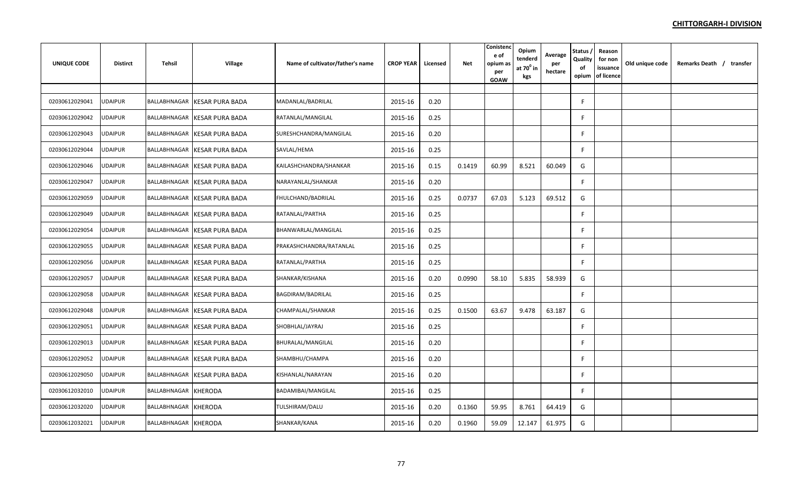| UNIQUE CODE    | <b>Distirct</b> | Tehsil               | <b>Village</b>               | Name of cultivator/father's name | <b>CROP YEAR</b> | Licensed | Net    | Conisten<br>e of<br>opium as<br>per<br>GOAW | Opium<br>tenderd<br>at $70^0$ in<br>kgs | Average<br>per<br>hectare | Status,<br>Quality<br>of<br>opium | Reason<br>for non<br>issuance<br>of licence | Old unique code | Remarks Death / transfer |  |
|----------------|-----------------|----------------------|------------------------------|----------------------------------|------------------|----------|--------|---------------------------------------------|-----------------------------------------|---------------------------|-----------------------------------|---------------------------------------------|-----------------|--------------------------|--|
|                |                 |                      |                              |                                  |                  |          |        |                                             |                                         |                           |                                   |                                             |                 |                          |  |
| 02030612029041 | <b>UDAIPUR</b>  |                      | BALLABHNAGAR KESAR PURA BADA | MADANLAL/BADRILAL                | 2015-16          | 0.20     |        |                                             |                                         |                           | F                                 |                                             |                 |                          |  |
| 02030612029042 | <b>UDAIPUR</b>  | BALLABHNAGAR         | <b>KESAR PURA BADA</b>       | RATANLAL/MANGILAL                | 2015-16          | 0.25     |        |                                             |                                         |                           | F.                                |                                             |                 |                          |  |
| 02030612029043 | <b>JDAIPUR</b>  |                      | BALLABHNAGAR KESAR PURA BADA | SURESHCHANDRA/MANGILAL           | 2015-16          | 0.20     |        |                                             |                                         |                           | F                                 |                                             |                 |                          |  |
| 02030612029044 | UDAIPUR         | BALLABHNAGAR         | <b>KESAR PURA BADA</b>       | SAVLAL/HEMA                      | 2015-16          | 0.25     |        |                                             |                                         |                           | F                                 |                                             |                 |                          |  |
| 02030612029046 | UDAIPUR         |                      | BALLABHNAGAR KESAR PURA BADA | KAILASHCHANDRA/SHANKAR           | 2015-16          | 0.15     | 0.1419 | 60.99                                       | 8.521                                   | 60.049                    | G                                 |                                             |                 |                          |  |
| 02030612029047 | <b>UDAIPUR</b>  |                      | BALLABHNAGAR KESAR PURA BADA | NARAYANLAL/SHANKAR               | 2015-16          | 0.20     |        |                                             |                                         |                           | F.                                |                                             |                 |                          |  |
| 02030612029059 | UDAIPUR         | BALLABHNAGAR         | <b>KESAR PURA BADA</b>       | FHULCHAND/BADRILAL               | 2015-16          | 0.25     | 0.0737 | 67.03                                       | 5.123                                   | 69.512                    | G                                 |                                             |                 |                          |  |
| 02030612029049 | UDAIPUR         |                      | BALLABHNAGAR KESAR PURA BADA | RATANLAL/PARTHA                  | 2015-16          | 0.25     |        |                                             |                                         |                           | F.                                |                                             |                 |                          |  |
| 02030612029054 | UDAIPUR         |                      | BALLABHNAGAR KESAR PURA BADA | BHANWARLAL/MANGILAL              | 2015-16          | 0.25     |        |                                             |                                         |                           | F.                                |                                             |                 |                          |  |
| 02030612029055 | JDAIPUR         |                      | BALLABHNAGAR KESAR PURA BADA | PRAKASHCHANDRA/RATANLAL          | 2015-16          | 0.25     |        |                                             |                                         |                           | F                                 |                                             |                 |                          |  |
| 02030612029056 | JDAIPUR         |                      | BALLABHNAGAR KESAR PURA BADA | RATANLAL/PARTHA                  | 2015-16          | 0.25     |        |                                             |                                         |                           | F.                                |                                             |                 |                          |  |
| 02030612029057 | <b>UDAIPUR</b>  |                      | BALLABHNAGAR KESAR PURA BADA | SHANKAR/KISHANA                  | 2015-16          | 0.20     | 0.0990 | 58.10                                       | 5.835                                   | 58.939                    | G                                 |                                             |                 |                          |  |
| 02030612029058 | <b>JDAIPUR</b>  | BALLABHNAGAR         | <b>KESAR PURA BADA</b>       | BAGDIRAM/BADRILAL                | 2015-16          | 0.25     |        |                                             |                                         |                           | F                                 |                                             |                 |                          |  |
| 02030612029048 | <b>JDAIPUR</b>  |                      | BALLABHNAGAR KESAR PURA BADA | CHAMPALAL/SHANKAR                | 2015-16          | 0.25     | 0.1500 | 63.67                                       | 9.478                                   | 63.187                    | G                                 |                                             |                 |                          |  |
| 02030612029051 | <b>JDAIPUR</b>  | BALLABHNAGAR         | <b>KESAR PURA BADA</b>       | SHOBHLAL/JAYRAJ                  | 2015-16          | 0.25     |        |                                             |                                         |                           | F                                 |                                             |                 |                          |  |
| 02030612029013 | <b>UDAIPUR</b>  |                      | BALLABHNAGAR KESAR PURA BADA | BHURALAL/MANGILAL                | 2015-16          | 0.20     |        |                                             |                                         |                           | F                                 |                                             |                 |                          |  |
| 02030612029052 | UDAIPUR         |                      | BALLABHNAGAR KESAR PURA BADA | SHAMBHU/CHAMPA                   | 2015-16          | 0.20     |        |                                             |                                         |                           | F                                 |                                             |                 |                          |  |
| 02030612029050 | UDAIPUR         | BALLABHNAGAR         | <b>KESAR PURA BADA</b>       | KISHANLAL/NARAYAN                | 2015-16          | 0.20     |        |                                             |                                         |                           | F                                 |                                             |                 |                          |  |
| 02030612032010 | JDAIPUR         | BALLABHNAGAR KHERODA |                              | BADAMIBAI/MANGILAL               | 2015-16          | 0.25     |        |                                             |                                         |                           | F                                 |                                             |                 |                          |  |
| 02030612032020 | JDAIPUR         | BALLABHNAGAR KHERODA |                              | TULSHIRAM/DALU                   | 2015-16          | 0.20     | 0.1360 | 59.95                                       | 8.761                                   | 64.419                    | G                                 |                                             |                 |                          |  |
| 02030612032021 | <b>UDAIPUR</b>  | BALLABHNAGAR KHERODA |                              | SHANKAR/KANA                     | 2015-16          | 0.20     | 0.1960 | 59.09                                       | 12.147                                  | 61.975                    | G                                 |                                             |                 |                          |  |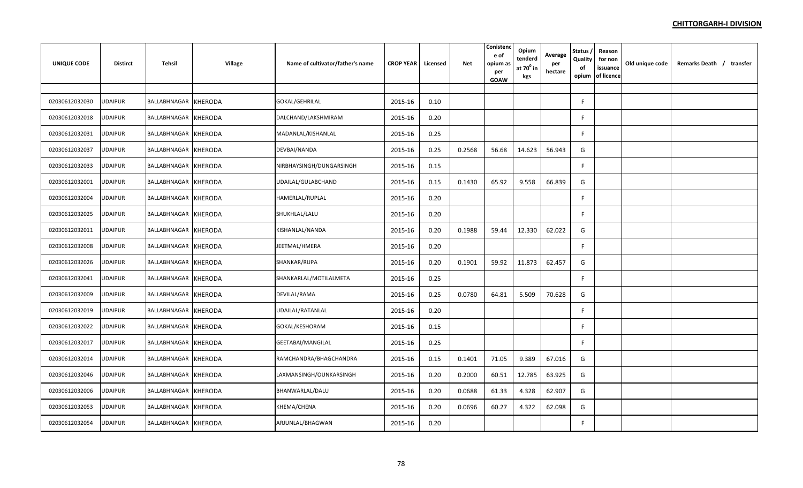| <b>UNIQUE CODE</b> | <b>Distirct</b> | Tehsil               | <b>Village</b> | Name of cultivator/father's name | <b>CROP YEAR</b> | Licensed | Net    | Conistenc<br>e of<br>opium as<br>per<br>GOAW | Opium<br>tenderd<br>at $70^{\circ}$ in<br>kgs | Average<br>per<br>hectare | <b>Status</b><br>Quality<br>of<br>opium | Reason<br>for non<br>issuance<br>of licence | Old unique code | Remarks Death / transfer |
|--------------------|-----------------|----------------------|----------------|----------------------------------|------------------|----------|--------|----------------------------------------------|-----------------------------------------------|---------------------------|-----------------------------------------|---------------------------------------------|-----------------|--------------------------|
|                    |                 |                      |                |                                  |                  |          |        |                                              |                                               |                           |                                         |                                             |                 |                          |
| 02030612032030     | UDAIPUR         | BALLABHNAGAR         | <b>KHERODA</b> | GOKAL/GEHRILAL                   | 2015-16          | 0.10     |        |                                              |                                               |                           | F.                                      |                                             |                 |                          |
| 02030612032018     | <b>JDAIPUR</b>  | BALLABHNAGAR KHERODA |                | DALCHAND/LAKSHMIRAM              | 2015-16          | 0.20     |        |                                              |                                               |                           | F.                                      |                                             |                 |                          |
| 02030612032031     | <b>UDAIPUR</b>  | BALLABHNAGAR KHERODA |                | MADANLAL/KISHANLAL               | 2015-16          | 0.25     |        |                                              |                                               |                           | F.                                      |                                             |                 |                          |
| 02030612032037     | <b>UDAIPUR</b>  | BALLABHNAGAR KHERODA |                | DEVBAI/NANDA                     | 2015-16          | 0.25     | 0.2568 | 56.68                                        | 14.623                                        | 56.943                    | G                                       |                                             |                 |                          |
| 02030612032033     | <b>UDAIPUR</b>  | BALLABHNAGAR KHERODA |                | NIRBHAYSINGH/DUNGARSINGH         | 2015-16          | 0.15     |        |                                              |                                               |                           | F                                       |                                             |                 |                          |
| 02030612032001     | <b>UDAIPUR</b>  | BALLABHNAGAR KHERODA |                | UDAILAL/GULABCHAND               | 2015-16          | 0.15     | 0.1430 | 65.92                                        | 9.558                                         | 66.839                    | G                                       |                                             |                 |                          |
| 02030612032004     | <b>UDAIPUR</b>  | BALLABHNAGAR KHERODA |                | HAMERLAL/RUPLAL                  | 2015-16          | 0.20     |        |                                              |                                               |                           | F.                                      |                                             |                 |                          |
| 02030612032025     | <b>UDAIPUR</b>  | BALLABHNAGAR KHERODA |                | SHUKHLAL/LALU                    | 2015-16          | 0.20     |        |                                              |                                               |                           | F                                       |                                             |                 |                          |
| 02030612032011     | UDAIPUR         | BALLABHNAGAR KHERODA |                | KISHANLAL/NANDA                  | 2015-16          | 0.20     | 0.1988 | 59.44                                        | 12.330                                        | 62.022                    | G                                       |                                             |                 |                          |
| 02030612032008     | JDAIPUR         | BALLABHNAGAR KHERODA |                | JEETMAL/HMERA                    | 2015-16          | 0.20     |        |                                              |                                               |                           | F                                       |                                             |                 |                          |
| 02030612032026     | <b>JDAIPUR</b>  | BALLABHNAGAR KHERODA |                | SHANKAR/RUPA                     | 2015-16          | 0.20     | 0.1901 | 59.92                                        | 11.873                                        | 62.457                    | G                                       |                                             |                 |                          |
| 02030612032041     | <b>UDAIPUR</b>  | BALLABHNAGAR KHERODA |                | SHANKARLAL/MOTILALMETA           | 2015-16          | 0.25     |        |                                              |                                               |                           | F                                       |                                             |                 |                          |
| 02030612032009     | JDAIPUR         | BALLABHNAGAR         | <b>KHERODA</b> | DEVILAL/RAMA                     | 2015-16          | 0.25     | 0.0780 | 64.81                                        | 5.509                                         | 70.628                    | G                                       |                                             |                 |                          |
| 02030612032019     | <b>JDAIPUR</b>  | BALLABHNAGAR KHERODA |                | UDAILAL/RATANLAL                 | 2015-16          | 0.20     |        |                                              |                                               |                           | F                                       |                                             |                 |                          |
| 02030612032022     | <b>UDAIPUR</b>  | BALLABHNAGAR KHERODA |                | GOKAL/KESHORAM                   | 2015-16          | 0.15     |        |                                              |                                               |                           | F.                                      |                                             |                 |                          |
| 02030612032017     | <b>UDAIPUR</b>  | BALLABHNAGAR KHERODA |                | GEETABAI/MANGILAL                | 2015-16          | 0.25     |        |                                              |                                               |                           | F                                       |                                             |                 |                          |
| 02030612032014     | <b>UDAIPUR</b>  | BALLABHNAGAR KHERODA |                | RAMCHANDRA/BHAGCHANDRA           | 2015-16          | 0.15     | 0.1401 | 71.05                                        | 9.389                                         | 67.016                    | G                                       |                                             |                 |                          |
| 02030612032046     | JDAIPUR         | BALLABHNAGAR KHERODA |                | LAXMANSINGH/OUNKARSINGH          | 2015-16          | 0.20     | 0.2000 | 60.51                                        | 12.785                                        | 63.925                    | G                                       |                                             |                 |                          |
| 02030612032006     | <b>UDAIPUR</b>  | BALLABHNAGAR KHERODA |                | BHANWARLAL/DALU                  | 2015-16          | 0.20     | 0.0688 | 61.33                                        | 4.328                                         | 62.907                    | G                                       |                                             |                 |                          |
| 02030612032053     | JDAIPUR         | BALLABHNAGAR KHERODA |                | KHEMA/CHENA                      | 2015-16          | 0.20     | 0.0696 | 60.27                                        | 4.322                                         | 62.098                    | G                                       |                                             |                 |                          |
| 02030612032054     | UDAIPUR         | BALLABHNAGAR KHERODA |                | ARJUNLAL/BHAGWAN                 | 2015-16          | 0.20     |        |                                              |                                               |                           | F.                                      |                                             |                 |                          |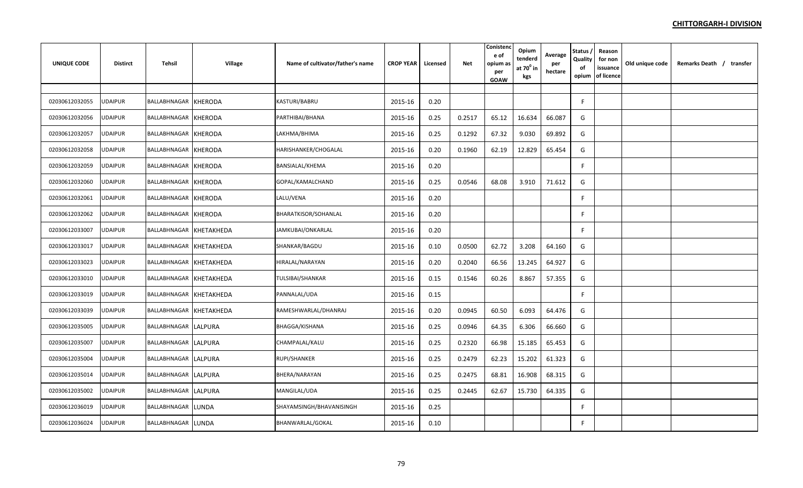| <b>UNIQUE CODE</b> | <b>Distirct</b> | Tehsil                  | Village        | Name of cultivator/father's name | <b>CROP YEAR</b> | Licensed | <b>Net</b> | Conistend<br>e of<br>opium as<br>per<br>GOAW | Opium<br>tenderd<br>at $70^\circ$ in<br>kgs | Average<br>per<br>hectare | Status,<br>Quality<br>of<br>opium | Reason<br>for non<br>issuance<br>of licence | Old unique code | Remarks Death / transfer |  |
|--------------------|-----------------|-------------------------|----------------|----------------------------------|------------------|----------|------------|----------------------------------------------|---------------------------------------------|---------------------------|-----------------------------------|---------------------------------------------|-----------------|--------------------------|--|
|                    |                 |                         |                |                                  |                  |          |            |                                              |                                             |                           |                                   |                                             |                 |                          |  |
| 02030612032055     | <b>UDAIPUR</b>  | BALLABHNAGAR KHERODA    |                | KASTURI/BABRU                    | 2015-16          | 0.20     |            |                                              |                                             |                           | F                                 |                                             |                 |                          |  |
| 02030612032056     | JDAIPUR         | BALLABHNAGAR KHERODA    |                | PARTHIBAI/BHANA                  | 2015-16          | 0.25     | 0.2517     | 65.12                                        | 16.634                                      | 66.087                    | G                                 |                                             |                 |                          |  |
| 02030612032057     | JDAIPUR         | BALLABHNAGAR KHERODA    |                | LAKHMA/BHIMA                     | 2015-16          | 0.25     | 0.1292     | 67.32                                        | 9.030                                       | 69.892                    | G                                 |                                             |                 |                          |  |
| 02030612032058     | <b>JDAIPUR</b>  | BALLABHNAGAR            | <b>KHERODA</b> | HARISHANKER/CHOGALAL             | 2015-16          | 0.20     | 0.1960     | 62.19                                        | 12.829                                      | 65.454                    | G                                 |                                             |                 |                          |  |
| 02030612032059     | <b>JDAIPUR</b>  | BALLABHNAGAR KHERODA    |                | BANSIALAL/KHEMA                  | 2015-16          | 0.20     |            |                                              |                                             |                           | F.                                |                                             |                 |                          |  |
| 02030612032060     | <b>UDAIPUR</b>  | BALLABHNAGAR KHERODA    |                | GOPAL/KAMALCHAND                 | 2015-16          | 0.25     | 0.0546     | 68.08                                        | 3.910                                       | 71.612                    | G                                 |                                             |                 |                          |  |
| 02030612032061     | <b>UDAIPUR</b>  | BALLABHNAGAR KHERODA    |                | LALU/VENA                        | 2015-16          | 0.20     |            |                                              |                                             |                           | F                                 |                                             |                 |                          |  |
| 02030612032062     | JDAIPUR         | BALLABHNAGAR KHERODA    |                | BHARATKISOR/SOHANLAL             | 2015-16          | 0.20     |            |                                              |                                             |                           | F                                 |                                             |                 |                          |  |
| 02030612033007     | JDAIPUR         | BALLABHNAGAR KHETAKHEDA |                | JAMKUBAI/ONKARLAL                | 2015-16          | 0.20     |            |                                              |                                             |                           | F.                                |                                             |                 |                          |  |
| 02030612033017     | JDAIPUR         | BALLABHNAGAR KHETAKHEDA |                | SHANKAR/BAGDU                    | 2015-16          | 0.10     | 0.0500     | 62.72                                        | 3.208                                       | 64.160                    | G                                 |                                             |                 |                          |  |
| 02030612033023     | UDAIPUR         | BALLABHNAGAR KHETAKHEDA |                | HIRALAL/NARAYAN                  | 2015-16          | 0.20     | 0.2040     | 66.56                                        | 13.245                                      | 64.927                    | G                                 |                                             |                 |                          |  |
| 02030612033010     | <b>JDAIPUR</b>  | BALLABHNAGAR KHETAKHEDA |                | TULSIBAI/SHANKAR                 | 2015-16          | 0.15     | 0.1546     | 60.26                                        | 8.867                                       | 57.355                    | G                                 |                                             |                 |                          |  |
| 02030612033019     | JDAIPUR         | BALLABHNAGAR KHETAKHEDA |                | PANNALAL/UDA                     | 2015-16          | 0.15     |            |                                              |                                             |                           | F.                                |                                             |                 |                          |  |
| 02030612033039     | <b>JDAIPUR</b>  | BALLABHNAGAR KHETAKHEDA |                | RAMESHWARLAL/DHANRAJ             | 2015-16          | 0.20     | 0.0945     | 60.50                                        | 6.093                                       | 64.476                    | G                                 |                                             |                 |                          |  |
| 02030612035005     | UDAIPUR         | BALLABHNAGAR LALPURA    |                | <b>BHAGGA/KISHANA</b>            | 2015-16          | 0.25     | 0.0946     | 64.35                                        | 6.306                                       | 66.660                    | G                                 |                                             |                 |                          |  |
| 02030612035007     | <b>UDAIPUR</b>  | BALLABHNAGAR LALPURA    |                | CHAMPALAL/KALU                   | 2015-16          | 0.25     | 0.2320     | 66.98                                        | 15.185                                      | 65.453                    | G                                 |                                             |                 |                          |  |
| 02030612035004     | <b>UDAIPUR</b>  | BALLABHNAGAR LALPURA    |                | RUPI/SHANKER                     | 2015-16          | 0.25     | 0.2479     | 62.23                                        | 15.202                                      | 61.323                    | G                                 |                                             |                 |                          |  |
| 02030612035014     | JDAIPUR         | BALLABHNAGAR LALPURA    |                | BHERA/NARAYAN                    | 2015-16          | 0.25     | 0.2475     | 68.81                                        | 16.908                                      | 68.315                    | G                                 |                                             |                 |                          |  |
| 02030612035002     | <b>UDAIPUR</b>  | BALLABHNAGAR LALPURA    |                | MANGILAL/UDA                     | 2015-16          | 0.25     | 0.2445     | 62.67                                        | 15.730                                      | 64.335                    | G                                 |                                             |                 |                          |  |
| 02030612036019     | JDAIPUR         | BALLABHNAGAR LUNDA      |                | SHAYAMSINGH/BHAVANISINGH         | 2015-16          | 0.25     |            |                                              |                                             |                           | F                                 |                                             |                 |                          |  |
| 02030612036024     | UDAIPUR         | BALLABHNAGAR LUNDA      |                | BHANWARLAL/GOKAL                 | 2015-16          | 0.10     |            |                                              |                                             |                           | F.                                |                                             |                 |                          |  |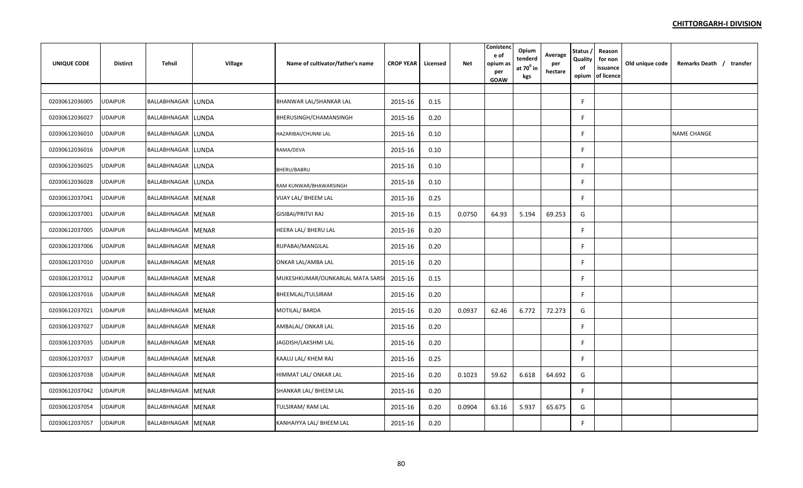| <b>UNIQUE CODE</b> | <b>Distirct</b> | Tehsil             | Village | Name of cultivator/father's name | <b>CROP YEAR</b> | Licensed | <b>Net</b> | Conistend<br>e of<br>opium as<br>per<br>GOAW | Opium<br>tenderd<br>at $70^0$ in<br>kgs | Average<br>per<br>hectare | Status,<br>Quality<br>of<br>opium | Reason<br>for non<br>issuance<br>of licence | Old unique code | Remarks Death / transfer |
|--------------------|-----------------|--------------------|---------|----------------------------------|------------------|----------|------------|----------------------------------------------|-----------------------------------------|---------------------------|-----------------------------------|---------------------------------------------|-----------------|--------------------------|
|                    |                 |                    |         |                                  |                  |          |            |                                              |                                         |                           |                                   |                                             |                 |                          |
| 02030612036005     | <b>UDAIPUR</b>  | BALLABHNAGAR LUNDA |         | BHANWAR LAL/SHANKAR LAL          | 2015-16          | 0.15     |            |                                              |                                         |                           | F.                                |                                             |                 |                          |
| 02030612036027     | UDAIPUR         | BALLABHNAGAR LUNDA |         | BHERUSINGH/CHAMANSINGH           | 2015-16          | 0.20     |            |                                              |                                         |                           | F                                 |                                             |                 |                          |
| 02030612036010     | <b>JDAIPUR</b>  | BALLABHNAGAR LUNDA |         | HAZARIBAI/CHUNNI LAL             | 2015-16          | 0.10     |            |                                              |                                         |                           | F.                                |                                             |                 | <b>NAME CHANGE</b>       |
| 02030612036016     | <b>UDAIPUR</b>  | BALLABHNAGAR LUNDA |         | RAMA/DEVA                        | 2015-16          | 0.10     |            |                                              |                                         |                           | F                                 |                                             |                 |                          |
| 02030612036025     | <b>UDAIPUR</b>  | BALLABHNAGAR LUNDA |         | BHERU/BABRU                      | 2015-16          | 0.10     |            |                                              |                                         |                           | F                                 |                                             |                 |                          |
| 02030612036028     | UDAIPUR         | BALLABHNAGAR LUNDA |         | RAM KUNWAR/BHAWARSINGH           | 2015-16          | 0.10     |            |                                              |                                         |                           | F.                                |                                             |                 |                          |
| 02030612037041     | <b>UDAIPUR</b>  | BALLABHNAGAR MENAR |         | VIJAY LAL/ BHEEM LAL             | 2015-16          | 0.25     |            |                                              |                                         |                           | E                                 |                                             |                 |                          |
| 02030612037001     | <b>UDAIPUR</b>  | BALLABHNAGAR MENAR |         | <b>GISIBAI/PRITVI RAJ</b>        | 2015-16          | 0.15     | 0.0750     | 64.93                                        | 5.194                                   | 69.253                    | G                                 |                                             |                 |                          |
| 02030612037005     | <b>UDAIPUR</b>  | BALLABHNAGAR MENAR |         | HEERA LAL/ BHERU LAL             | 2015-16          | 0.20     |            |                                              |                                         |                           | F.                                |                                             |                 |                          |
| 02030612037006     | UDAIPUR         | BALLABHNAGAR MENAR |         | RUPABAI/MANGILAL                 | 2015-16          | 0.20     |            |                                              |                                         |                           | F                                 |                                             |                 |                          |
| 02030612037010     | <b>UDAIPUR</b>  | BALLABHNAGAR MENAR |         | ONKAR LAL/AMBA LAL               | 2015-16          | 0.20     |            |                                              |                                         |                           | F                                 |                                             |                 |                          |
| 02030612037012     | <b>UDAIPUR</b>  | BALLABHNAGAR MENAR |         | MUKESHKUMAR/OUNKARLAL MATA SARSI | 2015-16          | 0.15     |            |                                              |                                         |                           | F                                 |                                             |                 |                          |
| 02030612037016     | UDAIPUR         | BALLABHNAGAR MENAR |         | BHEEMLAL/TULSIRAM                | 2015-16          | 0.20     |            |                                              |                                         |                           | F                                 |                                             |                 |                          |
| 02030612037021     | <b>UDAIPUR</b>  | BALLABHNAGAR MENAR |         | <b>MOTILAL/ BARDA</b>            | 2015-16          | 0.20     | 0.0937     | 62.46                                        | 6.772                                   | 72.273                    | G                                 |                                             |                 |                          |
| 02030612037027     | <b>UDAIPUR</b>  | BALLABHNAGAR MENAR |         | AMBALAL/ONKAR LAL                | 2015-16          | 0.20     |            |                                              |                                         |                           | F                                 |                                             |                 |                          |
| 02030612037035     | <b>UDAIPUR</b>  | BALLABHNAGAR MENAR |         | JAGDISH/LAKSHMI LAL              | 2015-16          | 0.20     |            |                                              |                                         |                           | F.                                |                                             |                 |                          |
| 02030612037037     | <b>UDAIPUR</b>  | BALLABHNAGAR MENAR |         | KAALU LAL/ KHEM RAJ              | 2015-16          | 0.25     |            |                                              |                                         |                           | F.                                |                                             |                 |                          |
| 02030612037038     | UDAIPUR         | BALLABHNAGAR MENAR |         | HIMMAT LAL/ONKAR LAL             | 2015-16          | 0.20     | 0.1023     | 59.62                                        | 6.618                                   | 64.692                    | G                                 |                                             |                 |                          |
| 02030612037042     | <b>UDAIPUR</b>  | BALLABHNAGAR MENAR |         | SHANKAR LAL/ BHEEM LAL           | 2015-16          | 0.20     |            |                                              |                                         |                           | F                                 |                                             |                 |                          |
| 02030612037054     | JDAIPUR         | BALLABHNAGAR MENAR |         | TULSIRAM/RAM LAL                 | 2015-16          | 0.20     | 0.0904     | 63.16                                        | 5.937                                   | 65.675                    | G                                 |                                             |                 |                          |
| 02030612037057     | UDAIPUR         | BALLABHNAGAR MENAR |         | KANHAIYYA LAL/ BHEEM LAL         | 2015-16          | 0.20     |            |                                              |                                         |                           | F                                 |                                             |                 |                          |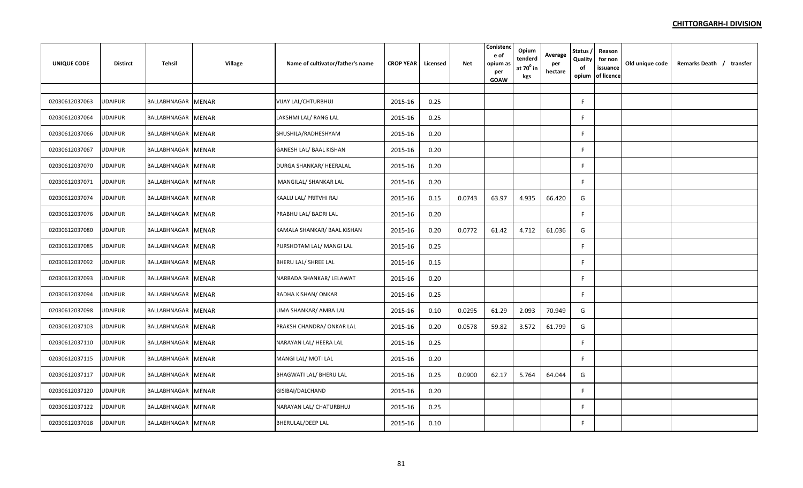| <b>UNIQUE CODE</b> | <b>Distirct</b> | Tehsil             | <b>Village</b> | Name of cultivator/father's name | <b>CROP YEAR</b> | Licensed | Net    | Conistenc<br>e of<br>opium as<br>per<br>GOAW | Opium<br>tenderd<br>at $70^{\circ}$ in<br>kgs | Average<br>per<br>hectare | <b>Status</b><br>Quality<br>of<br>opium | Reason<br>for non<br>issuance<br>of licence | Old unique code | Remarks Death / transfer |
|--------------------|-----------------|--------------------|----------------|----------------------------------|------------------|----------|--------|----------------------------------------------|-----------------------------------------------|---------------------------|-----------------------------------------|---------------------------------------------|-----------------|--------------------------|
|                    |                 |                    |                |                                  |                  |          |        |                                              |                                               |                           |                                         |                                             |                 |                          |
| 02030612037063     | <b>UDAIPUR</b>  | BALLABHNAGAR MENAR |                | VIJAY LAL/CHTURBHUJ              | 2015-16          | 0.25     |        |                                              |                                               |                           | F                                       |                                             |                 |                          |
| 02030612037064     | UDAIPUR         | BALLABHNAGAR MENAR |                | LAKSHMI LAL/ RANG LAL            | 2015-16          | 0.25     |        |                                              |                                               |                           | F.                                      |                                             |                 |                          |
| 02030612037066     | <b>UDAIPUR</b>  | BALLABHNAGAR MENAR |                | SHUSHILA/RADHESHYAM              | 2015-16          | 0.20     |        |                                              |                                               |                           | F                                       |                                             |                 |                          |
| 02030612037067     | <b>UDAIPUR</b>  | BALLABHNAGAR MENAR |                | GANESH LAL/ BAAL KISHAN          | 2015-16          | 0.20     |        |                                              |                                               |                           | F.                                      |                                             |                 |                          |
| 02030612037070     | <b>UDAIPUR</b>  | BALLABHNAGAR MENAR |                | DURGA SHANKAR/ HEERALAL          | 2015-16          | 0.20     |        |                                              |                                               |                           | F.                                      |                                             |                 |                          |
| 02030612037071     | <b>UDAIPUR</b>  | BALLABHNAGAR MENAR |                | MANGILAL/ SHANKAR LAL            | 2015-16          | 0.20     |        |                                              |                                               |                           | F                                       |                                             |                 |                          |
| 02030612037074     | <b>UDAIPUR</b>  | BALLABHNAGAR MENAR |                | KAALU LAL/ PRITVHI RAJ           | 2015-16          | 0.15     | 0.0743 | 63.97                                        | 4.935                                         | 66.420                    | G                                       |                                             |                 |                          |
| 02030612037076     | <b>UDAIPUR</b>  | BALLABHNAGAR MENAR |                | PRABHU LAL/ BADRI LAL            | 2015-16          | 0.20     |        |                                              |                                               |                           | F                                       |                                             |                 |                          |
| 02030612037080     | <b>UDAIPUR</b>  | BALLABHNAGAR MENAR |                | KAMALA SHANKAR/ BAAL KISHAN      | 2015-16          | 0.20     | 0.0772 | 61.42                                        | 4.712                                         | 61.036                    | G                                       |                                             |                 |                          |
| 02030612037085     | <b>UDAIPUR</b>  | BALLABHNAGAR MENAR |                | PURSHOTAM LAL/ MANGI LAL         | 2015-16          | 0.25     |        |                                              |                                               |                           | F                                       |                                             |                 |                          |
| 02030612037092     | <b>UDAIPUR</b>  | BALLABHNAGAR MENAR |                | BHERU LAL/ SHREE LAL             | 2015-16          | 0.15     |        |                                              |                                               |                           | F                                       |                                             |                 |                          |
| 02030612037093     | <b>UDAIPUR</b>  | BALLABHNAGAR MENAR |                | NARBADA SHANKAR/ LELAWAT         | 2015-16          | 0.20     |        |                                              |                                               |                           | F                                       |                                             |                 |                          |
| 02030612037094     | UDAIPUR         | BALLABHNAGAR MENAR |                | RADHA KISHAN/ONKAR               | 2015-16          | 0.25     |        |                                              |                                               |                           | F                                       |                                             |                 |                          |
| 02030612037098     | <b>UDAIPUR</b>  | BALLABHNAGAR MENAR |                | UMA SHANKAR/ AMBA LAL            | 2015-16          | 0.10     | 0.0295 | 61.29                                        | 2.093                                         | 70.949                    | G                                       |                                             |                 |                          |
| 02030612037103     | <b>UDAIPUR</b>  | BALLABHNAGAR MENAR |                | PRAKSH CHANDRA/ ONKAR LAL        | 2015-16          | 0.20     | 0.0578 | 59.82                                        | 3.572                                         | 61.799                    | G                                       |                                             |                 |                          |
| 02030612037110     | <b>UDAIPUR</b>  | BALLABHNAGAR MENAR |                | NARAYAN LAL/ HEERA LAL           | 2015-16          | 0.25     |        |                                              |                                               |                           | F                                       |                                             |                 |                          |
| 02030612037115     | <b>UDAIPUR</b>  | BALLABHNAGAR MENAR |                | MANGI LAL/ MOTI LAL              | 2015-16          | 0.20     |        |                                              |                                               |                           | F.                                      |                                             |                 |                          |
| 02030612037117     | <b>UDAIPUR</b>  | BALLABHNAGAR MENAR |                | BHAGWATI LAL/ BHERU LAL          | 2015-16          | 0.25     | 0.0900 | 62.17                                        | 5.764                                         | 64.044                    | G                                       |                                             |                 |                          |
| 02030612037120     | UDAIPUR         | BALLABHNAGAR MENAR |                | GISIBAI/DALCHAND                 | 2015-16          | 0.20     |        |                                              |                                               |                           | F.                                      |                                             |                 |                          |
| 02030612037122     | JDAIPUR         | BALLABHNAGAR MENAR |                | NARAYAN LAL/ CHATURBHUJ          | 2015-16          | 0.25     |        |                                              |                                               |                           | F.                                      |                                             |                 |                          |
| 02030612037018     | <b>UDAIPUR</b>  | BALLABHNAGAR MENAR |                | <b>BHERULAL/DEEP LAL</b>         | 2015-16          | 0.10     |        |                                              |                                               |                           | F                                       |                                             |                 |                          |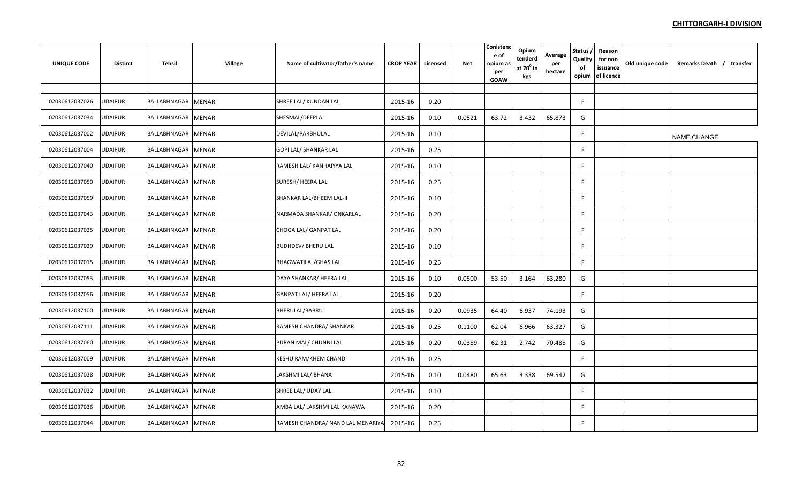| <b>UNIQUE CODE</b> | <b>Distirct</b> | Tehsil             | Village      | Name of cultivator/father's name  | <b>CROP YEAR</b> | Licensed | Net    | Conistenc<br>e of<br>opium as<br>per<br><b>GOAW</b> | Opium<br>tenderd<br>at $70^{\circ}$ in<br>kgs | Average<br>per<br>hectare | Status,<br>Quality<br>of<br>opium | Reason<br>for non<br>issuance<br>of licence | Old unique code | Remarks Death / transfer |
|--------------------|-----------------|--------------------|--------------|-----------------------------------|------------------|----------|--------|-----------------------------------------------------|-----------------------------------------------|---------------------------|-----------------------------------|---------------------------------------------|-----------------|--------------------------|
|                    |                 |                    |              |                                   |                  |          |        |                                                     |                                               |                           |                                   |                                             |                 |                          |
| 02030612037026     | JDAIPUR         | BALLABHNAGAR MENAR |              | SHREE LAL/ KUNDAN LAL             | 2015-16          | 0.20     |        |                                                     |                                               |                           | F                                 |                                             |                 |                          |
| 02030612037034     | <b>JDAIPUR</b>  | BALLABHNAGAR MENAR |              | SHESMAL/DEEPLAL                   | 2015-16          | 0.10     | 0.0521 | 63.72                                               | 3.432                                         | 65.873                    | G                                 |                                             |                 |                          |
| 02030612037002     | UDAIPUR         | BALLABHNAGAR MENAR |              | DEVILAL/PARBHULAL                 | 2015-16          | 0.10     |        |                                                     |                                               |                           | F                                 |                                             |                 | NAME CHANGE              |
| 02030612037004     | <b>UDAIPUR</b>  | BALLABHNAGAR       | <b>MENAR</b> | GOPI LAL/ SHANKAR LAL             | 2015-16          | 0.25     |        |                                                     |                                               |                           | F.                                |                                             |                 |                          |
| 02030612037040     | <b>JDAIPUR</b>  | BALLABHNAGAR MENAR |              | RAMESH LAL/ KANHAIYYA LAL         | 2015-16          | 0.10     |        |                                                     |                                               |                           | F                                 |                                             |                 |                          |
| 02030612037050     | JDAIPUR         | BALLABHNAGAR       | <b>MENAR</b> | SURESH/ HEERA LAL                 | 2015-16          | 0.25     |        |                                                     |                                               |                           | F                                 |                                             |                 |                          |
| 02030612037059     | UDAIPUR         | BALLABHNAGAR MENAR |              | SHANKAR LAL/BHEEM LAL-II          | 2015-16          | 0.10     |        |                                                     |                                               |                           | F                                 |                                             |                 |                          |
| 02030612037043     | JDAIPUR         | BALLABHNAGAR MENAR |              | NARMADA SHANKAR/ ONKARLAL         | 2015-16          | 0.20     |        |                                                     |                                               |                           | F.                                |                                             |                 |                          |
| 02030612037025     | <b>JDAIPUR</b>  | BALLABHNAGAR MENAR |              | CHOGA LAL/ GANPAT LAL             | 2015-16          | 0.20     |        |                                                     |                                               |                           | F                                 |                                             |                 |                          |
| 02030612037029     | JDAIPUR         | BALLABHNAGAR MENAR |              | <b>BUDHDEV/ BHERU LAL</b>         | 2015-16          | 0.10     |        |                                                     |                                               |                           | F                                 |                                             |                 |                          |
| 02030612037015     | JDAIPUR         | BALLABHNAGAR MENAR |              | BHAGWATILAL/GHASILAL              | 2015-16          | 0.25     |        |                                                     |                                               |                           | F.                                |                                             |                 |                          |
| 02030612037053     | UDAIPUR         | BALLABHNAGAR MENAR |              | DAYA SHANKAR/ HEERA LAL           | 2015-16          | 0.10     | 0.0500 | 53.50                                               | 3.164                                         | 63.280                    | G                                 |                                             |                 |                          |
| 02030612037056     | <b>JDAIPUR</b>  | BALLABHNAGAR MENAR |              | GANPAT LAL/ HEERA LAL             | 2015-16          | 0.20     |        |                                                     |                                               |                           | F                                 |                                             |                 |                          |
| 02030612037100     | <b>JDAIPUR</b>  | BALLABHNAGAR MENAR |              | BHERULAL/BABRU                    | 2015-16          | 0.20     | 0.0935 | 64.40                                               | 6.937                                         | 74.193                    | G                                 |                                             |                 |                          |
| 02030612037111     | <b>JDAIPUR</b>  | BALLABHNAGAR       | <b>MENAR</b> | RAMESH CHANDRA/ SHANKAR           | 2015-16          | 0.25     | 0.1100 | 62.04                                               | 6.966                                         | 63.327                    | G                                 |                                             |                 |                          |
| 02030612037060     | UDAIPUR         | BALLABHNAGAR MENAR |              | PURAN MAL/ CHUNNI LAL             | 2015-16          | 0.20     | 0.0389 | 62.31                                               | 2.742                                         | 70.488                    | G                                 |                                             |                 |                          |
| 02030612037009     | UDAIPUR         | BALLABHNAGAR MENAR |              | KESHU RAM/KHEM CHAND              | 2015-16          | 0.25     |        |                                                     |                                               |                           | F                                 |                                             |                 |                          |
| 02030612037028     | UDAIPUR         | BALLABHNAGAR MENAR |              | LAKSHMI LAL/ BHANA                | 2015-16          | 0.10     | 0.0480 | 65.63                                               | 3.338                                         | 69.542                    | G                                 |                                             |                 |                          |
| 02030612037032     | JDAIPUR         | BALLABHNAGAR MENAR |              | SHREE LAL/ UDAY LAL               | 2015-16          | 0.10     |        |                                                     |                                               |                           | F.                                |                                             |                 |                          |
| 02030612037036     | JDAIPUR         | BALLABHNAGAR MENAR |              | AMBA LAL/ LAKSHMI LAL KANAWA      | 2015-16          | 0.20     |        |                                                     |                                               |                           | F                                 |                                             |                 |                          |
| 02030612037044     | UDAIPUR         | BALLABHNAGAR MENAR |              | RAMESH CHANDRA/ NAND LAL MENARIYA | 2015-16          | 0.25     |        |                                                     |                                               |                           | F.                                |                                             |                 |                          |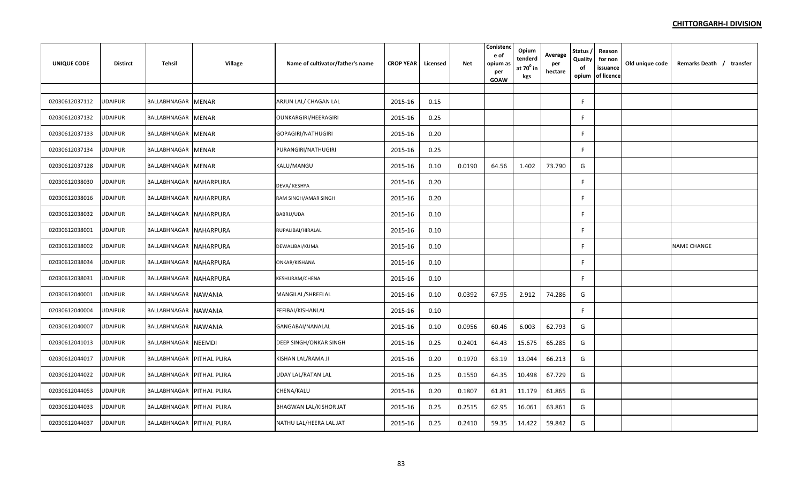| <b>UNIQUE CODE</b> | <b>Distirct</b> | Tehsil                          | <b>Village</b> | Name of cultivator/father's name | <b>CROP YEAR</b> | Licensed | <b>Net</b> | Conistend<br>e of<br>opium as<br>per<br>GOAW | Opium<br>tenderd<br>at $70^0$ in<br>kgs | Average<br>per<br>hectare | Status,<br>Quality<br>of<br>opium | Reason<br>for non<br>issuance<br>of licence | Old unique code | Remarks Death / transfer |
|--------------------|-----------------|---------------------------------|----------------|----------------------------------|------------------|----------|------------|----------------------------------------------|-----------------------------------------|---------------------------|-----------------------------------|---------------------------------------------|-----------------|--------------------------|
|                    |                 |                                 |                |                                  |                  |          |            |                                              |                                         |                           |                                   |                                             |                 |                          |
| 02030612037112     | <b>UDAIPUR</b>  | BALLABHNAGAR MENAR              |                | ARJUN LAL/ CHAGAN LAL            | 2015-16          | 0.15     |            |                                              |                                         |                           | F                                 |                                             |                 |                          |
| 02030612037132     | <b>UDAIPUR</b>  | BALLABHNAGAR MENAR              |                | OUNKARGIRI/HEERAGIRI             | 2015-16          | 0.25     |            |                                              |                                         |                           |                                   |                                             |                 |                          |
| 02030612037133     | UDAIPUR         | BALLABHNAGAR MENAR              |                | GOPAGIRI/NATHUGIRI               | 2015-16          | 0.20     |            |                                              |                                         |                           | F                                 |                                             |                 |                          |
| 02030612037134     | UDAIPUR         | BALLABHNAGAR MENAR              |                | PURANGIRI/NATHUGIRI              | 2015-16          | 0.25     |            |                                              |                                         |                           | F                                 |                                             |                 |                          |
| 02030612037128     | UDAIPUR         | BALLABHNAGAR MENAR              |                | KALU/MANGU                       | 2015-16          | 0.10     | 0.0190     | 64.56                                        | 1.402                                   | 73.790                    | G                                 |                                             |                 |                          |
| 02030612038030     | UDAIPUR         | BALLABHNAGAR NAHARPURA          |                | DEVA/ KESHYA                     | 2015-16          | 0.20     |            |                                              |                                         |                           | E                                 |                                             |                 |                          |
| 02030612038016     | <b>UDAIPUR</b>  | BALLABHNAGAR NAHARPURA          |                | RAM SINGH/AMAR SINGH             | 2015-16          | 0.20     |            |                                              |                                         |                           |                                   |                                             |                 |                          |
| 02030612038032     | UDAIPUR         | BALLABHNAGAR NAHARPURA          |                | BABRU/UDA                        | 2015-16          | 0.10     |            |                                              |                                         |                           | F                                 |                                             |                 |                          |
| 02030612038001     | <b>UDAIPUR</b>  | BALLABHNAGAR NAHARPURA          |                | RUPALIBAI/HIRALAL                | 2015-16          | 0.10     |            |                                              |                                         |                           | F                                 |                                             |                 |                          |
| 02030612038002     | JDAIPUR         | BALLABHNAGAR NAHARPURA          |                | DEWALIBAI/KUMA                   | 2015-16          | 0.10     |            |                                              |                                         |                           | F                                 |                                             |                 | <b>NAME CHANGE</b>       |
| 02030612038034     | UDAIPUR         | BALLABHNAGAR NAHARPURA          |                | ONKAR/KISHANA                    | 2015-16          | 0.10     |            |                                              |                                         |                           | F                                 |                                             |                 |                          |
| 02030612038031     | <b>UDAIPUR</b>  | BALLABHNAGAR NAHARPURA          |                | KESHURAM/CHENA                   | 2015-16          | 0.10     |            |                                              |                                         |                           | F                                 |                                             |                 |                          |
| 02030612040001     | UDAIPUR         | BALLABHNAGAR NAWANIA            |                | MANGILAL/SHREELAL                | 2015-16          | 0.10     | 0.0392     | 67.95                                        | 2.912                                   | 74.286                    | G                                 |                                             |                 |                          |
| 02030612040004     | <b>UDAIPUR</b>  | BALLABHNAGAR NAWANIA            |                | FEFIBAI/KISHANLAL                | 2015-16          | 0.10     |            |                                              |                                         |                           | F                                 |                                             |                 |                          |
| 02030612040007     | <b>UDAIPUR</b>  | BALLABHNAGAR NAWANIA            |                | GANGABAI/NANALAL                 | 2015-16          | 0.10     | 0.0956     | 60.46                                        | 6.003                                   | 62.793                    | G                                 |                                             |                 |                          |
| 02030612041013     | UDAIPUR         | BALLABHNAGAR NEEMDI             |                | <b>DEEP SINGH/ONKAR SINGH</b>    | 2015-16          | 0.25     | 0.2401     | 64.43                                        | 15.675                                  | 65.285                    | G                                 |                                             |                 |                          |
| 02030612044017     | <b>UDAIPUR</b>  | BALLABHNAGAR PITHAL PURA        |                | KISHAN LAL/RAMA JI               | 2015-16          | 0.20     | 0.1970     | 63.19                                        | 13.044                                  | 66.213                    | G                                 |                                             |                 |                          |
| 02030612044022     | <b>UDAIPUR</b>  | BALLABHNAGAR PITHAL PURA        |                | <b>UDAY LAL/RATAN LAL</b>        | 2015-16          | 0.25     | 0.1550     | 64.35                                        | 10.498                                  | 67.729                    | G                                 |                                             |                 |                          |
| 02030612044053     | <b>UDAIPUR</b>  | <b>BALLABHNAGAR PITHAL PURA</b> |                | CHENA/KALU                       | 2015-16          | 0.20     | 0.1807     | 61.81                                        | 11.179                                  | 61.865                    | G                                 |                                             |                 |                          |
| 02030612044033     | JDAIPUR         | BALLABHNAGAR PITHAL PURA        |                | <b>BHAGWAN LAL/KISHOR JAT</b>    | 2015-16          | 0.25     | 0.2515     | 62.95                                        | 16.061                                  | 63.861                    | G                                 |                                             |                 |                          |
| 02030612044037     | JDAIPUR         | BALLABHNAGAR PITHAL PURA        |                | NATHU LAL/HEERA LAL JAT          | 2015-16          | 0.25     | 0.2410     | 59.35                                        | 14.422                                  | 59.842                    | G                                 |                                             |                 |                          |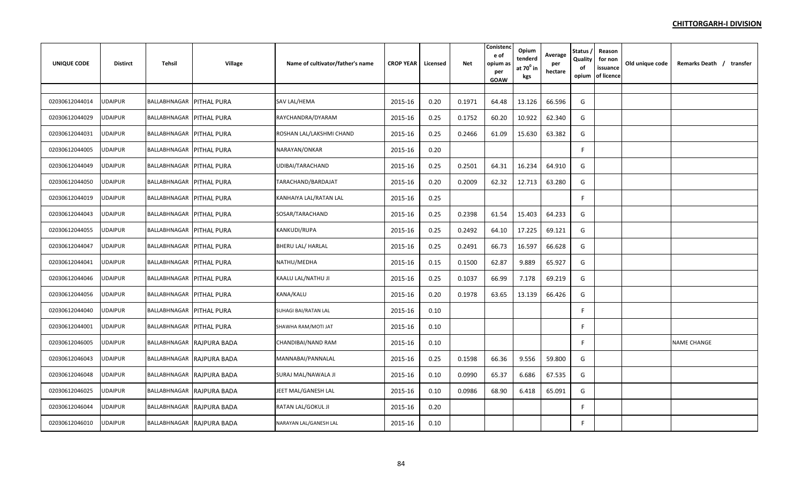| UNIQUE CODE    | <b>Distirct</b> | Tehsil                          | Village                   | Name of cultivator/father's name | <b>CROP YEAR</b> | Licensed | Net    | Conistend<br>e of<br>opium as<br>per<br><b>GOAW</b> | Opium<br>tenderd<br>at $70^\circ$ in<br>kgs | Average<br>per<br>hectare | Status,<br>Quality<br>of<br>opium | Reason<br>for non<br>issuance<br>of licence | Old unique code | Remarks Death / transfer |
|----------------|-----------------|---------------------------------|---------------------------|----------------------------------|------------------|----------|--------|-----------------------------------------------------|---------------------------------------------|---------------------------|-----------------------------------|---------------------------------------------|-----------------|--------------------------|
|                |                 |                                 |                           |                                  |                  |          |        |                                                     |                                             |                           |                                   |                                             |                 |                          |
| 02030612044014 | UDAIPUR         | BALLABHNAGAR   PITHAL PURA      |                           | SAV LAL/HEMA                     | 2015-16          | 0.20     | 0.1971 | 64.48                                               | 13.126                                      | 66.596                    | G                                 |                                             |                 |                          |
| 02030612044029 | <b>UDAIPUR</b>  | BALLABHNAGAR PITHAL PURA        |                           | RAYCHANDRA/DYARAM                | 2015-16          | 0.25     | 0.1752 | 60.20                                               | 10.922                                      | 62.340                    | G                                 |                                             |                 |                          |
| 02030612044031 | <b>JDAIPUR</b>  | BALLABHNAGAR PITHAL PURA        |                           | ROSHAN LAL/LAKSHMI CHAND         | 2015-16          | 0.25     | 0.2466 | 61.09                                               | 15.630                                      | 63.382                    | G                                 |                                             |                 |                          |
| 02030612044005 | UDAIPUR         | BALLABHNAGAR PITHAL PURA        |                           | NARAYAN/ONKAR                    | 2015-16          | 0.20     |        |                                                     |                                             |                           | F                                 |                                             |                 |                          |
| 02030612044049 | <b>JDAIPUR</b>  | BALLABHNAGAR   PITHAL PURA      |                           | UDIBAI/TARACHAND                 | 2015-16          | 0.25     | 0.2501 | 64.31                                               | 16.234                                      | 64.910                    | G                                 |                                             |                 |                          |
| 02030612044050 | <b>UDAIPUR</b>  | BALLABHNAGAR   PITHAL PURA      |                           | TARACHAND/BARDAJAT               | 2015-16          | 0.20     | 0.2009 | 62.32                                               | 12.713                                      | 63.280                    | G                                 |                                             |                 |                          |
| 02030612044019 | UDAIPUR         | BALLABHNAGAR PITHAL PURA        |                           | KANHAIYA LAL/RATAN LAL           | 2015-16          | 0.25     |        |                                                     |                                             |                           | F                                 |                                             |                 |                          |
| 02030612044043 | UDAIPUR         | BALLABHNAGAR PITHAL PURA        |                           | SOSAR/TARACHAND                  | 2015-16          | 0.25     | 0.2398 | 61.54                                               | 15.403                                      | 64.233                    | G                                 |                                             |                 |                          |
| 02030612044055 | UDAIPUR         | <b>BALLABHNAGAR PITHAL PURA</b> |                           | KANKUDI/RUPA                     | 2015-16          | 0.25     | 0.2492 | 64.10                                               | 17.225                                      | 69.121                    | G                                 |                                             |                 |                          |
| 02030612044047 | JDAIPUR         | BALLABHNAGAR   PITHAL PURA      |                           | BHERU LAL/ HARLAL                | 2015-16          | 0.25     | 0.2491 | 66.73                                               | 16.597                                      | 66.628                    | G                                 |                                             |                 |                          |
| 02030612044041 | UDAIPUR         | <b>BALLABHNAGAR PITHAL PURA</b> |                           | NATHU/MEDHA                      | 2015-16          | 0.15     | 0.1500 | 62.87                                               | 9.889                                       | 65.927                    | G                                 |                                             |                 |                          |
| 02030612044046 | JDAIPUR         | BALLABHNAGAR PITHAL PURA        |                           | KAALU LAL/NATHU JI               | 2015-16          | 0.25     | 0.1037 | 66.99                                               | 7.178                                       | 69.219                    | G                                 |                                             |                 |                          |
| 02030612044056 | <b>JDAIPUR</b>  | BALLABHNAGAR PITHAL PURA        |                           | KANA/KALU                        | 2015-16          | 0.20     | 0.1978 | 63.65                                               | 13.139                                      | 66.426                    | G                                 |                                             |                 |                          |
| 02030612044040 | <b>JDAIPUR</b>  | BALLABHNAGAR   PITHAL PURA      |                           | SUHAGI BAI/RATAN LAL             | 2015-16          | 0.10     |        |                                                     |                                             |                           | F                                 |                                             |                 |                          |
| 02030612044001 | <b>JDAIPUR</b>  | <b>BALLABHNAGAR PITHAL PURA</b> |                           | SHAWHA RAM/MOTI JAT              | 2015-16          | 0.10     |        |                                                     |                                             |                           | F                                 |                                             |                 |                          |
| 02030612046005 | <b>UDAIPUR</b>  |                                 | BALLABHNAGAR RAJPURA BADA | CHANDIBAI/NAND RAM               | 2015-16          | 0.10     |        |                                                     |                                             |                           | F                                 |                                             |                 | <b>NAME CHANGE</b>       |
| 02030612046043 | <b>UDAIPUR</b>  |                                 | BALLABHNAGAR RAJPURA BADA | MANNABAI/PANNALAL                | 2015-16          | 0.25     | 0.1598 | 66.36                                               | 9.556                                       | 59.800                    | G                                 |                                             |                 |                          |
| 02030612046048 | UDAIPUR         |                                 | BALLABHNAGAR RAJPURA BADA | SURAJ MAL/NAWALA JI              | 2015-16          | 0.10     | 0.0990 | 65.37                                               | 6.686                                       | 67.535                    | G                                 |                                             |                 |                          |
| 02030612046025 | UDAIPUR         |                                 | BALLABHNAGAR RAJPURA BADA | JEET MAL/GANESH LAL              | 2015-16          | 0.10     | 0.0986 | 68.90                                               | 6.418                                       | 65.091                    | G                                 |                                             |                 |                          |
| 02030612046044 | JDAIPUR         |                                 | BALLABHNAGAR RAJPURA BADA | RATAN LAL/GOKUL JI               | 2015-16          | 0.20     |        |                                                     |                                             |                           | F.                                |                                             |                 |                          |
| 02030612046010 | <b>UDAIPUR</b>  |                                 | BALLABHNAGAR RAJPURA BADA | NARAYAN LAL/GANESH LAL           | 2015-16          | 0.10     |        |                                                     |                                             |                           | F                                 |                                             |                 |                          |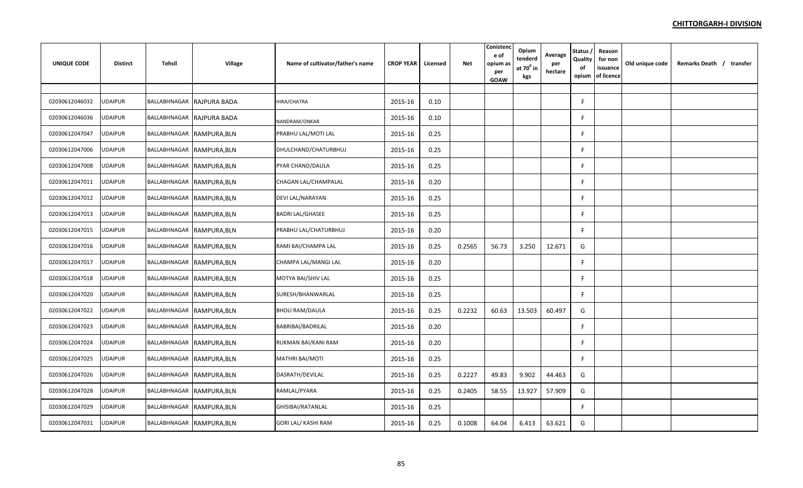| <b>UNIQUE CODE</b> | <b>Distirct</b> | Tehsil | <b>Village</b>            | Name of cultivator/father's name | <b>CROP YEAR</b> | Licensed | Net    | Conistenc<br>e of<br>opium as<br>per<br>GOAW | Opium<br>tenderd<br>at $70^0$ in<br>kgs | Average<br>per<br>hectare | Status<br>Quality<br>of<br>opium | Reason<br>for non<br>issuance<br>of licence | Old unique code | Remarks Death / transfer |
|--------------------|-----------------|--------|---------------------------|----------------------------------|------------------|----------|--------|----------------------------------------------|-----------------------------------------|---------------------------|----------------------------------|---------------------------------------------|-----------------|--------------------------|
|                    |                 |        |                           |                                  |                  |          |        |                                              |                                         |                           |                                  |                                             |                 |                          |
| 02030612046032     | UDAIPUR         |        | BALLABHNAGAR RAJPURA BADA | HIRA/CHATRA                      | 2015-16          | 0.10     |        |                                              |                                         |                           | F                                |                                             |                 |                          |
| 02030612046036     | UDAIPUR         |        | BALLABHNAGAR RAJPURA BADA | NANDRAM/ONKAR                    | 2015-16          | 0.10     |        |                                              |                                         |                           | F                                |                                             |                 |                          |
| 02030612047047     | UDAIPUR         |        | BALLABHNAGAR RAMPURA, BLN | PRABHU LAL/MOTI LAL              | 2015-16          | 0.25     |        |                                              |                                         |                           |                                  |                                             |                 |                          |
| 02030612047006     | <b>UDAIPUR</b>  |        | BALLABHNAGAR RAMPURA, BLN | DHULCHAND/CHATURBHUJ             | 2015-16          | 0.25     |        |                                              |                                         |                           | F                                |                                             |                 |                          |
| 02030612047008     | <b>UDAIPUR</b>  |        | BALLABHNAGAR RAMPURA, BLN | PYAR CHAND/DAULA                 | 2015-16          | 0.25     |        |                                              |                                         |                           | F                                |                                             |                 |                          |
| 02030612047011     | <b>UDAIPUR</b>  |        | BALLABHNAGAR RAMPURA, BLN | CHAGAN LAL/CHAMPALAL             | 2015-16          | 0.20     |        |                                              |                                         |                           | F                                |                                             |                 |                          |
| 02030612047012     | <b>UDAIPUR</b>  |        | BALLABHNAGAR RAMPURA, BLN | DEVI LAL/NARAYAN                 | 2015-16          | 0.25     |        |                                              |                                         |                           |                                  |                                             |                 |                          |
| 02030612047013     | UDAIPUR         |        | BALLABHNAGAR RAMPURA, BLN | <b>BADRI LAL/GHASEE</b>          | 2015-16          | 0.25     |        |                                              |                                         |                           |                                  |                                             |                 |                          |
| 02030612047015     | <b>UDAIPUR</b>  |        | BALLABHNAGAR RAMPURA, BLN | PRABHU LAL/CHATURBHUJ            | 2015-16          | 0.20     |        |                                              |                                         |                           | F                                |                                             |                 |                          |
| 02030612047016     | <b>UDAIPUR</b>  |        | BALLABHNAGAR RAMPURA, BLN | RAMI BAI/CHAMPA LAL              | 2015-16          | 0.25     | 0.2565 | 56.73                                        | 3.250                                   | 12.671                    | G                                |                                             |                 |                          |
| 02030612047017     | <b>UDAIPUR</b>  |        | BALLABHNAGAR RAMPURA, BLN | CHAMPA LAL/MANGI LAL             | 2015-16          | 0.20     |        |                                              |                                         |                           | F                                |                                             |                 |                          |
| 02030612047018     | <b>UDAIPUR</b>  |        | BALLABHNAGAR RAMPURA, BLN | MOTYA BAI/SHIV LAL               | 2015-16          | 0.25     |        |                                              |                                         |                           | F                                |                                             |                 |                          |
| 02030612047020     | UDAIPUR         |        | BALLABHNAGAR RAMPURA, BLN | SURESH/BHANWARLAL                | 2015-16          | 0.25     |        |                                              |                                         |                           |                                  |                                             |                 |                          |
| 02030612047022     | <b>UDAIPUR</b>  |        | BALLABHNAGAR RAMPURA, BLN | <b>BHOLI RAM/DAULA</b>           | 2015-16          | 0.25     | 0.2232 | 60.63                                        | 13.503                                  | 60.497                    | G                                |                                             |                 |                          |
| 02030612047023     | <b>UDAIPUR</b>  |        | BALLABHNAGAR RAMPURA, BLN | BABRIBAI/BADRILAL                | 2015-16          | 0.20     |        |                                              |                                         |                           | F                                |                                             |                 |                          |
| 02030612047024     | UDAIPUR         |        | BALLABHNAGAR RAMPURA, BLN | RUKMAN BAI/KANI RAM              | 2015-16          | 0.20     |        |                                              |                                         |                           | F                                |                                             |                 |                          |
| 02030612047025     | <b>UDAIPUR</b>  |        | BALLABHNAGAR RAMPURA, BLN | <b>MATHRI BAI/MOTI</b>           | 2015-16          | 0.25     |        |                                              |                                         |                           | F                                |                                             |                 |                          |
| 02030612047026     | <b>UDAIPUR</b>  |        | BALLABHNAGAR RAMPURA, BLN | DASRATH/DEVILAL                  | 2015-16          | 0.25     | 0.2227 | 49.83                                        | 9.902                                   | 44.463                    | G                                |                                             |                 |                          |
| 02030612047028     | UDAIPUR         |        | BALLABHNAGAR RAMPURA, BLN | RAMLAL/PYARA                     | 2015-16          | 0.25     | 0.2405 | 58.55                                        | 13.927                                  | 57.909                    | G                                |                                             |                 |                          |
| 02030612047029     | JDAIPUR         |        | BALLABHNAGAR RAMPURA, BLN | GHISIBAI/RATANLAL                | 2015-16          | 0.25     |        |                                              |                                         |                           | F                                |                                             |                 |                          |
| 02030612047031     | <b>UDAIPUR</b>  |        | BALLABHNAGAR RAMPURA, BLN | GORI LAL/ KASHI RAM              | 2015-16          | 0.25     | 0.1008 | 64.04                                        | 6.413                                   | 63.621                    | G                                |                                             |                 |                          |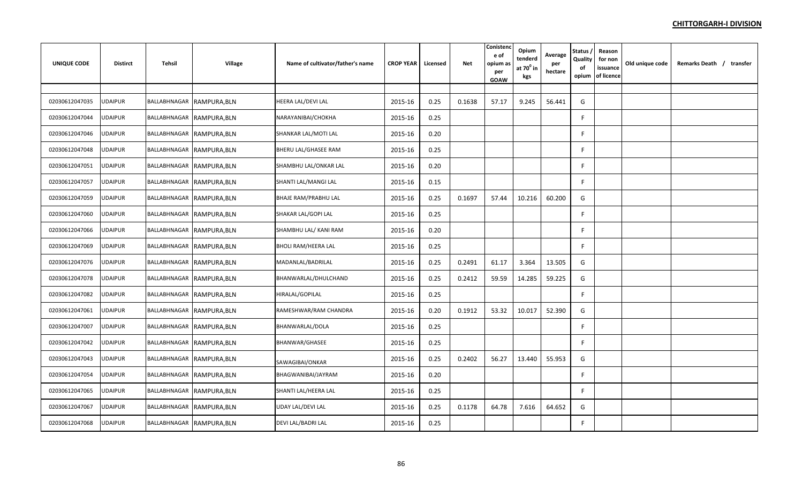| <b>UNIQUE CODE</b> | <b>Distirct</b> | Tehsil | Village                   | Name of cultivator/father's name | <b>CROP YEAR</b> | Licensed | Net    | Conistenc<br>e of<br>opium as<br>per<br>GOAW | Opium<br>tenderd<br>at $70^{\circ}$ in<br>kgs | Average<br>per<br>hectare | <b>Status</b><br>Quality<br>of<br>opium | Reason<br>for non<br>issuance<br>of licence | Old unique code | Remarks Death / transfer |
|--------------------|-----------------|--------|---------------------------|----------------------------------|------------------|----------|--------|----------------------------------------------|-----------------------------------------------|---------------------------|-----------------------------------------|---------------------------------------------|-----------------|--------------------------|
|                    |                 |        |                           |                                  |                  |          |        |                                              |                                               |                           |                                         |                                             |                 |                          |
| 02030612047035     | UDAIPUR         |        | BALLABHNAGAR RAMPURA, BLN | HEERA LAL/DEVI LAL               | 2015-16          | 0.25     | 0.1638 | 57.17                                        | 9.245                                         | 56.441                    | G                                       |                                             |                 |                          |
| 02030612047044     | JDAIPUR         |        | BALLABHNAGAR RAMPURA, BLN | NARAYANIBAI/CHOKHA               | 2015-16          | 0.25     |        |                                              |                                               |                           | F                                       |                                             |                 |                          |
| 02030612047046     | <b>UDAIPUR</b>  |        | BALLABHNAGAR RAMPURA, BLN | SHANKAR LAL/MOTI LAL             | 2015-16          | 0.20     |        |                                              |                                               |                           | F                                       |                                             |                 |                          |
| 02030612047048     | <b>UDAIPUR</b>  |        | BALLABHNAGAR RAMPURA, BLN | BHERU LAL/GHASEE RAM             | 2015-16          | 0.25     |        |                                              |                                               |                           | F                                       |                                             |                 |                          |
| 02030612047051     | <b>UDAIPUR</b>  |        | BALLABHNAGAR RAMPURA, BLN | SHAMBHU LAL/ONKAR LAL            | 2015-16          | 0.20     |        |                                              |                                               |                           | F                                       |                                             |                 |                          |
| 02030612047057     | <b>UDAIPUR</b>  |        | BALLABHNAGAR RAMPURA, BLN | SHANTI LAL/MANGI LAL             | 2015-16          | 0.15     |        |                                              |                                               |                           | F.                                      |                                             |                 |                          |
| 02030612047059     | <b>UDAIPUR</b>  |        | BALLABHNAGAR RAMPURA, BLN | <b>BHAJE RAM/PRABHU LAL</b>      | 2015-16          | 0.25     | 0.1697 | 57.44                                        | 10.216                                        | 60.200                    | G                                       |                                             |                 |                          |
| 02030612047060     | <b>UDAIPUR</b>  |        | BALLABHNAGAR RAMPURA, BLN | SHAKAR LAL/GOPI LAL              | 2015-16          | 0.25     |        |                                              |                                               |                           | F                                       |                                             |                 |                          |
| 02030612047066     | UDAIPUR         |        | BALLABHNAGAR RAMPURA, BLN | SHAMBHU LAL/ KANI RAM            | 2015-16          | 0.20     |        |                                              |                                               |                           | F                                       |                                             |                 |                          |
| 02030612047069     | JDAIPUR         |        | BALLABHNAGAR RAMPURA, BLN | <b>BHOLI RAM/HEERA LAL</b>       | 2015-16          | 0.25     |        |                                              |                                               |                           | F.                                      |                                             |                 |                          |
| 02030612047076     | <b>JDAIPUR</b>  |        | BALLABHNAGAR RAMPURA, BLN | MADANLAL/BADRILAL                | 2015-16          | 0.25     | 0.2491 | 61.17                                        | 3.364                                         | 13.505                    | G                                       |                                             |                 |                          |
| 02030612047078     | <b>UDAIPUR</b>  |        | BALLABHNAGAR RAMPURA, BLN | BHANWARLAL/DHULCHAND             | 2015-16          | 0.25     | 0.2412 | 59.59                                        | 14.285                                        | 59.225                    | G                                       |                                             |                 |                          |
| 02030612047082     | JDAIPUR         |        | BALLABHNAGAR RAMPURA, BLN | HIRALAL/GOPILAL                  | 2015-16          | 0.25     |        |                                              |                                               |                           | F                                       |                                             |                 |                          |
| 02030612047061     | <b>UDAIPUR</b>  |        | BALLABHNAGAR RAMPURA, BLN | RAMESHWAR/RAM CHANDRA            | 2015-16          | 0.20     | 0.1912 | 53.32                                        | 10.017                                        | 52.390                    | G                                       |                                             |                 |                          |
| 02030612047007     | <b>UDAIPUR</b>  |        | BALLABHNAGAR RAMPURA, BLN | BHANWARLAL/DOLA                  | 2015-16          | 0.25     |        |                                              |                                               |                           | F.                                      |                                             |                 |                          |
| 02030612047042     | UDAIPUR         |        | BALLABHNAGAR RAMPURA, BLN | BHANWAR/GHASEE                   | 2015-16          | 0.25     |        |                                              |                                               |                           | F                                       |                                             |                 |                          |
| 02030612047043     | <b>UDAIPUR</b>  |        | BALLABHNAGAR RAMPURA, BLN | SAWAGIBAI/ONKAR                  | 2015-16          | 0.25     | 0.2402 | 56.27                                        | 13.440                                        | 55.953                    | G                                       |                                             |                 |                          |
| 02030612047054     | JDAIPUR         |        | BALLABHNAGAR RAMPURA, BLN | BHAGWANIBAI/JAYRAM               | 2015-16          | 0.20     |        |                                              |                                               |                           | F.                                      |                                             |                 |                          |
| 02030612047065     | <b>UDAIPUR</b>  |        | BALLABHNAGAR RAMPURA, BLN | SHANTI LAL/HEERA LAL             | 2015-16          | 0.25     |        |                                              |                                               |                           | F.                                      |                                             |                 |                          |
| 02030612047067     | JDAIPUR         |        | BALLABHNAGAR RAMPURA, BLN | UDAY LAL/DEVI LAL                | 2015-16          | 0.25     | 0.1178 | 64.78                                        | 7.616                                         | 64.652                    | G                                       |                                             |                 |                          |
| 02030612047068     | UDAIPUR         |        | BALLABHNAGAR RAMPURA, BLN | DEVI LAL/BADRI LAL               | 2015-16          | 0.25     |        |                                              |                                               |                           | F.                                      |                                             |                 |                          |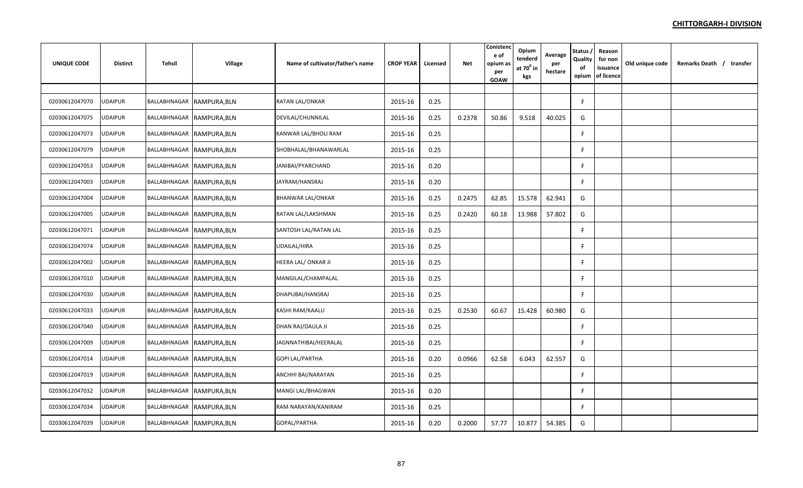| <b>UNIQUE CODE</b> | <b>Distirct</b> | Tehsil                    | Village | Name of cultivator/father's name | <b>CROP YEAR</b> | Licensed | <b>Net</b> | Conisten<br>e of<br>opium as<br>per<br>GOAW | Opium<br>tenderd<br>at $70^0$ in<br>kgs | Average<br>per<br>hectare | Status,<br>Quality<br>of<br>opium | Reason<br>for non<br>issuance<br>of licence | Old unique code | Remarks Death / transfer |
|--------------------|-----------------|---------------------------|---------|----------------------------------|------------------|----------|------------|---------------------------------------------|-----------------------------------------|---------------------------|-----------------------------------|---------------------------------------------|-----------------|--------------------------|
|                    |                 |                           |         |                                  |                  |          |            |                                             |                                         |                           |                                   |                                             |                 |                          |
| 02030612047070     | UDAIPUR         | BALLABHNAGAR RAMPURA, BLN |         | RATAN LAL/ONKAR                  | 2015-16          | 0.25     |            |                                             |                                         |                           | F                                 |                                             |                 |                          |
| 02030612047075     | UDAIPUR         | BALLABHNAGAR RAMPURA, BLN |         | DEVILAL/CHUNNILAL                | 2015-16          | 0.25     | 0.2378     | 50.86                                       | 9.518                                   | 40.025                    | G                                 |                                             |                 |                          |
| 02030612047073     | JDAIPUR         | BALLABHNAGAR RAMPURA, BLN |         | KANWAR LAL/BHOLI RAM             | 2015-16          | 0.25     |            |                                             |                                         |                           | F.                                |                                             |                 |                          |
| 02030612047079     | JDAIPUR         | BALLABHNAGAR RAMPURA, BLN |         | SHOBHALAL/BHANAWARLAL            | 2015-16          | 0.25     |            |                                             |                                         |                           | F                                 |                                             |                 |                          |
| 02030612047053     | <b>JDAIPUR</b>  | BALLABHNAGAR RAMPURA, BLN |         | JANIBAI/PYARCHAND                | 2015-16          | 0.20     |            |                                             |                                         |                           | F                                 |                                             |                 |                          |
| 02030612047003     | <b>JDAIPUR</b>  | BALLABHNAGAR RAMPURA, BLN |         | JAYRAM/HANSRAJ                   | 2015-16          | 0.20     |            |                                             |                                         |                           | F                                 |                                             |                 |                          |
| 02030612047004     | UDAIPUR         | BALLABHNAGAR RAMPURA, BLN |         | <b>BHANWAR LAL/ONKAR</b>         | 2015-16          | 0.25     | 0.2475     | 62.85                                       | 15.578                                  | 62.941                    | G                                 |                                             |                 |                          |
| 02030612047005     | UDAIPUR         | BALLABHNAGAR RAMPURA, BLN |         | RATAN LAL/LAKSHMAN               | 2015-16          | 0.25     | 0.2420     | 60.18                                       | 13.988                                  | 57.802                    | G                                 |                                             |                 |                          |
| 02030612047071     | JDAIPUR         | BALLABHNAGAR RAMPURA, BLN |         | SANTOSH LAL/RATAN LAL            | 2015-16          | 0.25     |            |                                             |                                         |                           | F                                 |                                             |                 |                          |
| 02030612047074     | JDAIPUR         | BALLABHNAGAR RAMPURA, BLN |         | UDAILAL/HIRA                     | 2015-16          | 0.25     |            |                                             |                                         |                           | F                                 |                                             |                 |                          |
| 02030612047002     | JDAIPUR         | BALLABHNAGAR RAMPURA, BLN |         | HEERA LAL/ONKAR JI               | 2015-16          | 0.25     |            |                                             |                                         |                           | F                                 |                                             |                 |                          |
| 02030612047010     | JDAIPUR         | BALLABHNAGAR RAMPURA, BLN |         | MANGILAL/CHAMPALAL               | 2015-16          | 0.25     |            |                                             |                                         |                           | F.                                |                                             |                 |                          |
| 02030612047030     | JDAIPUR         | BALLABHNAGAR RAMPURA, BLN |         | DHAPUBAI/HANSRAJ                 | 2015-16          | 0.25     |            |                                             |                                         |                           | F.                                |                                             |                 |                          |
| 02030612047033     | <b>JDAIPUR</b>  | BALLABHNAGAR RAMPURA, BLN |         | KASHI RAM/KAALU                  | 2015-16          | 0.25     | 0.2530     | 60.67                                       | 15.428                                  | 60.980                    | G                                 |                                             |                 |                          |
| 02030612047040     | UDAIPUR         | BALLABHNAGAR RAMPURA, BLN |         | DHAN RAJ/DAULA JI                | 2015-16          | 0.25     |            |                                             |                                         |                           | F                                 |                                             |                 |                          |
| 02030612047009     | JDAIPUR         | BALLABHNAGAR RAMPURA, BLN |         | JAGNNATHIBAI/HEERALAL            | 2015-16          | 0.25     |            |                                             |                                         |                           | F                                 |                                             |                 |                          |
| 02030612047014     | JDAIPUR         | BALLABHNAGAR RAMPURA, BLN |         | <b>GOPI LAL/PARTHA</b>           | 2015-16          | 0.20     | 0.0966     | 62.58                                       | 6.043                                   | 62.557                    | G                                 |                                             |                 |                          |
| 02030612047019     | JDAIPUR         | BALLABHNAGAR RAMPURA, BLN |         | ANCHHI BAI/NARAYAN               | 2015-16          | 0.25     |            |                                             |                                         |                           | F.                                |                                             |                 |                          |
| 02030612047032     | JDAIPUR         | BALLABHNAGAR RAMPURA, BLN |         | MANGI LAL/BHAGWAN                | 2015-16          | 0.20     |            |                                             |                                         |                           | F.                                |                                             |                 |                          |
| 02030612047034     | JDAIPUR         | BALLABHNAGAR RAMPURA, BLN |         | RAM NARAYAN/KANIRAM              | 2015-16          | 0.25     |            |                                             |                                         |                           | F                                 |                                             |                 |                          |
| 02030612047039     | JDAIPUR         | BALLABHNAGAR RAMPURA, BLN |         | GOPAL/PARTHA                     | 2015-16          | 0.20     | 0.2000     | 57.77                                       | 10.877                                  | 54.385                    | G                                 |                                             |                 |                          |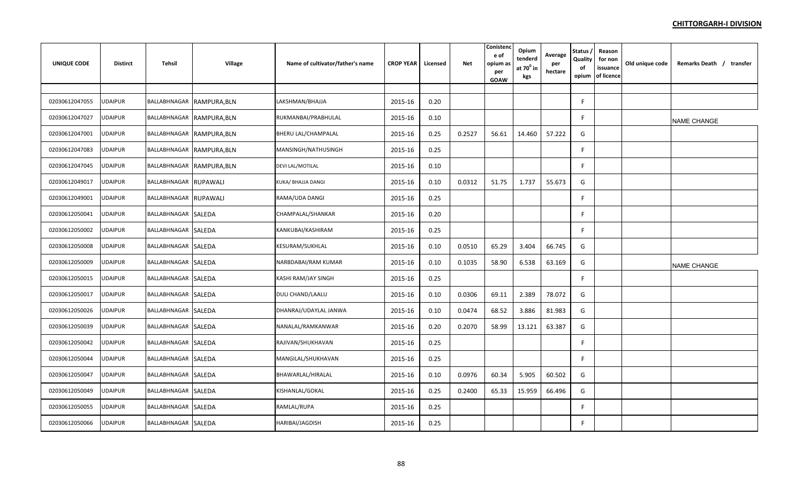| UNIQUE CODE    | <b>Distirct</b> | Tehsil                | Village                   | Name of cultivator/father's name | <b>CROP YEAR</b> | Licensed | Net    | Conistend<br>e of<br>opium as<br>per<br><b>GOAW</b> | Opium<br>tenderd<br>at $70^0$ in<br>kgs | Average<br>per<br>hectare | Status,<br>Quality<br>of<br>opium | Reason<br>for non<br>issuance<br>of licence | Old unique code | Remarks Death / transfer |
|----------------|-----------------|-----------------------|---------------------------|----------------------------------|------------------|----------|--------|-----------------------------------------------------|-----------------------------------------|---------------------------|-----------------------------------|---------------------------------------------|-----------------|--------------------------|
|                |                 |                       |                           |                                  |                  |          |        |                                                     |                                         |                           |                                   |                                             |                 |                          |
| 02030612047055 | <b>UDAIPUR</b>  |                       | BALLABHNAGAR RAMPURA, BLN | LAKSHMAN/BHAJJA                  | 2015-16          | 0.20     |        |                                                     |                                         |                           | F                                 |                                             |                 |                          |
| 02030612047027 | <b>UDAIPUR</b>  |                       | BALLABHNAGAR RAMPURA, BLN | RUKMANBAI/PRABHULAL              | 2015-16          | 0.10     |        |                                                     |                                         |                           | F.                                |                                             |                 | <b>NAME CHANGE</b>       |
| 02030612047001 | UDAIPUR         |                       | BALLABHNAGAR RAMPURA, BLN | BHERU LAL/CHAMPALAL              | 2015-16          | 0.25     | 0.2527 | 56.61                                               | 14.460                                  | 57.222                    | G                                 |                                             |                 |                          |
| 02030612047083 | UDAIPUR         |                       | BALLABHNAGAR RAMPURA, BLN | MANSINGH/NATHUSINGH              | 2015-16          | 0.25     |        |                                                     |                                         |                           | F                                 |                                             |                 |                          |
| 02030612047045 | <b>UDAIPUR</b>  |                       | BALLABHNAGAR RAMPURA, BLN | <b>DEVI LAL/MOTILAL</b>          | 2015-16          | 0.10     |        |                                                     |                                         |                           | F                                 |                                             |                 |                          |
| 02030612049017 | <b>UDAIPUR</b>  | BALLABHNAGAR RUPAWALI |                           | KUKA/ BHAJJA DANGI               | 2015-16          | 0.10     | 0.0312 | 51.75                                               | 1.737                                   | 55.673                    | G                                 |                                             |                 |                          |
| 02030612049001 | <b>UDAIPUR</b>  | BALLABHNAGAR RUPAWALI |                           | RAMA/UDA DANGI                   | 2015-16          | 0.25     |        |                                                     |                                         |                           | F                                 |                                             |                 |                          |
| 02030612050041 | <b>UDAIPUR</b>  | BALLABHNAGAR SALEDA   |                           | CHAMPALAL/SHANKAR                | 2015-16          | 0.20     |        |                                                     |                                         |                           | F                                 |                                             |                 |                          |
| 02030612050002 | UDAIPUR         | BALLABHNAGAR SALEDA   |                           | KANKUBAI/KASHIRAM                | 2015-16          | 0.25     |        |                                                     |                                         |                           | F.                                |                                             |                 |                          |
| 02030612050008 | UDAIPUR         | BALLABHNAGAR SALEDA   |                           | KESURAM/SUKHLAL                  | 2015-16          | 0.10     | 0.0510 | 65.29                                               | 3.404                                   | 66.745                    | G                                 |                                             |                 |                          |
| 02030612050009 | JDAIPUR         | BALLABHNAGAR SALEDA   |                           | NARBDABAI/RAM KUMAR              | 2015-16          | 0.10     | 0.1035 | 58.90                                               | 6.538                                   | 63.169                    | G                                 |                                             |                 | <b>NAME CHANGE</b>       |
| 02030612050015 | <b>UDAIPUR</b>  | BALLABHNAGAR SALEDA   |                           | KASHI RAM/JAY SINGH              | 2015-16          | 0.25     |        |                                                     |                                         |                           | F                                 |                                             |                 |                          |
| 02030612050017 | <b>UDAIPUR</b>  | BALLABHNAGAR SALEDA   |                           | DULI CHAND/LAALU                 | 2015-16          | 0.10     | 0.0306 | 69.11                                               | 2.389                                   | 78.072                    | G                                 |                                             |                 |                          |
| 02030612050026 | UDAIPUR         | BALLABHNAGAR SALEDA   |                           | DHANRAJ/UDAYLAL JANWA            | 2015-16          | 0.10     | 0.0474 | 68.52                                               | 3.886                                   | 81.983                    | G                                 |                                             |                 |                          |
| 02030612050039 | <b>JDAIPUR</b>  | BALLABHNAGAR SALEDA   |                           | NANALAL/RAMKANWAR                | 2015-16          | 0.20     | 0.2070 | 58.99                                               | 13.121                                  | 63.387                    | G                                 |                                             |                 |                          |
| 02030612050042 | <b>UDAIPUR</b>  | BALLABHNAGAR SALEDA   |                           | RAJIVAN/SHUKHAVAN                | 2015-16          | 0.25     |        |                                                     |                                         |                           | F                                 |                                             |                 |                          |
| 02030612050044 | <b>UDAIPUR</b>  | BALLABHNAGAR SALEDA   |                           | MANGILAL/SHUKHAVAN               | 2015-16          | 0.25     |        |                                                     |                                         |                           | F                                 |                                             |                 |                          |
| 02030612050047 | <b>UDAIPUR</b>  | BALLABHNAGAR SALEDA   |                           | BHAWARLAL/HIRALAL                | 2015-16          | 0.10     | 0.0976 | 60.34                                               | 5.905                                   | 60.502                    | G                                 |                                             |                 |                          |
| 02030612050049 | UDAIPUR         | BALLABHNAGAR SALEDA   |                           | KISHANLAL/GOKAL                  | 2015-16          | 0.25     | 0.2400 | 65.33                                               | 15.959                                  | 66.496                    | G                                 |                                             |                 |                          |
| 02030612050055 | JDAIPUR         | BALLABHNAGAR SALEDA   |                           | RAMLAL/RUPA                      | 2015-16          | 0.25     |        |                                                     |                                         |                           | F.                                |                                             |                 |                          |
| 02030612050066 | <b>UDAIPUR</b>  | BALLABHNAGAR SALEDA   |                           | HARIBAI/JAGDISH                  | 2015-16          | 0.25     |        |                                                     |                                         |                           | F                                 |                                             |                 |                          |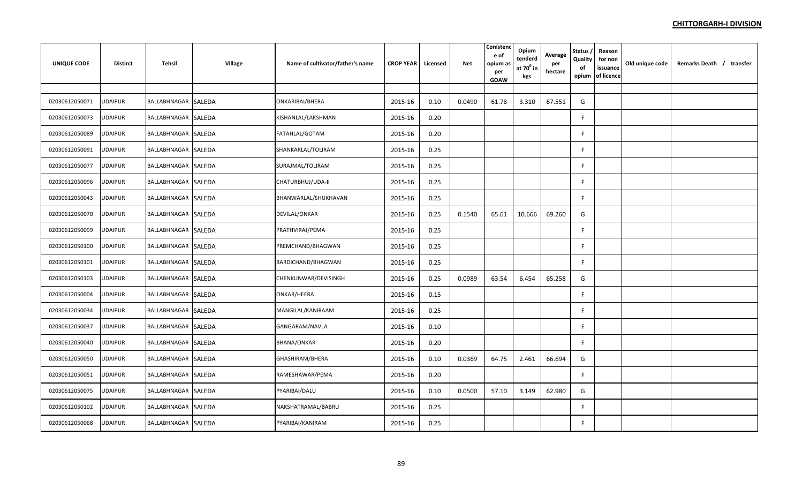| <b>UNIQUE CODE</b> | <b>Distirct</b> | Tehsil              | <b>Village</b> | Name of cultivator/father's name | <b>CROP YEAR</b> | Licensed | <b>Net</b> | Conistend<br>e of<br>opium as<br>per<br>GOAW | Opium<br>tenderd<br>at $70^0$ in<br>kgs | Average<br>per<br>hectare | Status,<br>Quality<br>of<br>opium | Reason<br>for non<br>issuance<br>of licence | Old unique code | Remarks Death / transfer |
|--------------------|-----------------|---------------------|----------------|----------------------------------|------------------|----------|------------|----------------------------------------------|-----------------------------------------|---------------------------|-----------------------------------|---------------------------------------------|-----------------|--------------------------|
|                    |                 |                     |                |                                  |                  |          |            |                                              |                                         |                           |                                   |                                             |                 |                          |
| 02030612050071     | <b>UDAIPUR</b>  | BALLABHNAGAR SALEDA |                | ONKARIBAI/BHERA                  | 2015-16          | 0.10     | 0.0490     | 61.78                                        | 3.310                                   | 67.551                    | G                                 |                                             |                 |                          |
| 02030612050073     | UDAIPUR         | BALLABHNAGAR SALEDA |                | KISHANLAL/LAKSHMAN               | 2015-16          | 0.20     |            |                                              |                                         |                           | F                                 |                                             |                 |                          |
| 02030612050089     | <b>UDAIPUR</b>  | BALLABHNAGAR SALEDA |                | FATAHLAL/GOTAM                   | 2015-16          | 0.20     |            |                                              |                                         |                           | F.                                |                                             |                 |                          |
| 02030612050091     | <b>UDAIPUR</b>  | BALLABHNAGAR SALEDA |                | SHANKARLAL/TOLIRAM               | 2015-16          | 0.25     |            |                                              |                                         |                           | F                                 |                                             |                 |                          |
| 02030612050077     | <b>UDAIPUR</b>  | BALLABHNAGAR SALEDA |                | SURAJMAL/TOLIRAM                 | 2015-16          | 0.25     |            |                                              |                                         |                           | F                                 |                                             |                 |                          |
| 02030612050096     | <b>UDAIPUR</b>  | BALLABHNAGAR SALEDA |                | CHATURBHUJ/UDA-II                | 2015-16          | 0.25     |            |                                              |                                         |                           | F.                                |                                             |                 |                          |
| 02030612050043     | UDAIPUR         | BALLABHNAGAR SALEDA |                | BHANWARLAL/SHUKHAVAN             | 2015-16          | 0.25     |            |                                              |                                         |                           | E                                 |                                             |                 |                          |
| 02030612050070     | UDAIPUR         | BALLABHNAGAR SALEDA |                | DEVILAL/ONKAR                    | 2015-16          | 0.25     | 0.1540     | 65.61                                        | 10.666                                  | 69.260                    | G                                 |                                             |                 |                          |
| 02030612050099     | UDAIPUR         | BALLABHNAGAR SALEDA |                | PRATHVIRAJ/PEMA                  | 2015-16          | 0.25     |            |                                              |                                         |                           | F                                 |                                             |                 |                          |
| 02030612050100     | JDAIPUR         | BALLABHNAGAR SALEDA |                | PREMCHAND/BHAGWAN                | 2015-16          | 0.25     |            |                                              |                                         |                           | F                                 |                                             |                 |                          |
| 02030612050101     | <b>UDAIPUR</b>  | BALLABHNAGAR SALEDA |                | BARDICHAND/BHAGWAN               | 2015-16          | 0.25     |            |                                              |                                         |                           | F                                 |                                             |                 |                          |
| 02030612050103     | <b>UDAIPUR</b>  | BALLABHNAGAR SALEDA |                | CHENKUNWAR/DEVISINGH             | 2015-16          | 0.25     | 0.0989     | 63.54                                        | 6.454                                   | 65.258                    | G                                 |                                             |                 |                          |
| 02030612050004     | <b>UDAIPUR</b>  | BALLABHNAGAR SALEDA |                | ONKAR/HEERA                      | 2015-16          | 0.15     |            |                                              |                                         |                           | F.                                |                                             |                 |                          |
| 02030612050034     | <b>UDAIPUR</b>  | BALLABHNAGAR SALEDA |                | MANGILAL/KANIRAAM                | 2015-16          | 0.25     |            |                                              |                                         |                           | F.                                |                                             |                 |                          |
| 02030612050037     | <b>UDAIPUR</b>  | BALLABHNAGAR SALEDA |                | GANGARAM/NAVLA                   | 2015-16          | 0.10     |            |                                              |                                         |                           | F                                 |                                             |                 |                          |
| 02030612050040     | <b>UDAIPUR</b>  | BALLABHNAGAR SALEDA |                | <b>BHANA/ONKAR</b>               | 2015-16          | 0.20     |            |                                              |                                         |                           | F.                                |                                             |                 |                          |
| 02030612050050     | <b>UDAIPUR</b>  | BALLABHNAGAR SALEDA |                | GHASHIRAM/BHERA                  | 2015-16          | 0.10     | 0.0369     | 64.75                                        | 2.461                                   | 66.694                    | G                                 |                                             |                 |                          |
| 02030612050051     | <b>UDAIPUR</b>  | BALLABHNAGAR SALEDA |                | RAMESHAWAR/PEMA                  | 2015-16          | 0.20     |            |                                              |                                         |                           | F.                                |                                             |                 |                          |
| 02030612050075     | <b>UDAIPUR</b>  | BALLABHNAGAR SALEDA |                | PYARIBAI/DALU                    | 2015-16          | 0.10     | 0.0500     | 57.10                                        | 3.149                                   | 62.980                    | G                                 |                                             |                 |                          |
| 02030612050102     | JDAIPUR         | BALLABHNAGAR SALEDA |                | NAKSHATRAMAL/BABRU               | 2015-16          | 0.25     |            |                                              |                                         |                           | F.                                |                                             |                 |                          |
| 02030612050068     | UDAIPUR         | BALLABHNAGAR SALEDA |                | PYARIBAI/KANIRAM                 | 2015-16          | 0.25     |            |                                              |                                         |                           | F                                 |                                             |                 |                          |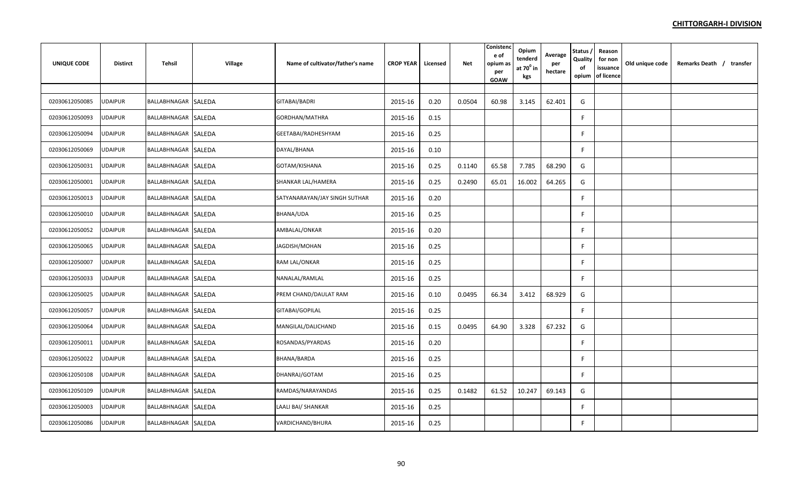| UNIQUE CODE    | <b>Distirct</b> | Tehsil              | <b>Village</b> | Name of cultivator/father's name | <b>CROP YEAR</b> | Licensed | Net    | Conistend<br>e of<br>opium as<br>per<br>GOAW | Opium<br>tenderd<br>at $70^0$ in<br>kgs | Average<br>per<br>hectare | Status,<br>Quality<br>of<br>opium | Reason<br>for non<br>issuance<br>of licence | Old unique code | Remarks Death / transfer |  |
|----------------|-----------------|---------------------|----------------|----------------------------------|------------------|----------|--------|----------------------------------------------|-----------------------------------------|---------------------------|-----------------------------------|---------------------------------------------|-----------------|--------------------------|--|
|                |                 |                     |                |                                  |                  |          |        |                                              |                                         |                           |                                   |                                             |                 |                          |  |
| 02030612050085 | <b>UDAIPUR</b>  | BALLABHNAGAR SALEDA |                | GITABAI/BADRI                    | 2015-16          | 0.20     | 0.0504 | 60.98                                        | 3.145                                   | 62.401                    | G                                 |                                             |                 |                          |  |
| 02030612050093 | <b>UDAIPUR</b>  | BALLABHNAGAR SALEDA |                | GORDHAN/MATHRA                   | 2015-16          | 0.15     |        |                                              |                                         |                           | F.                                |                                             |                 |                          |  |
| 02030612050094 | <b>JDAIPUR</b>  | BALLABHNAGAR SALEDA |                | GEETABAI/RADHESHYAM              | 2015-16          | 0.25     |        |                                              |                                         |                           | F                                 |                                             |                 |                          |  |
| 02030612050069 | UDAIPUR         | BALLABHNAGAR SALEDA |                | DAYAL/BHANA                      | 2015-16          | 0.10     |        |                                              |                                         |                           | F                                 |                                             |                 |                          |  |
| 02030612050031 | <b>UDAIPUR</b>  | BALLABHNAGAR SALEDA |                | GOTAM/KISHANA                    | 2015-16          | 0.25     | 0.1140 | 65.58                                        | 7.785                                   | 68.290                    | G                                 |                                             |                 |                          |  |
| 02030612050001 | <b>UDAIPUR</b>  | BALLABHNAGAR SALEDA |                | SHANKAR LAL/HAMERA               | 2015-16          | 0.25     | 0.2490 | 65.01                                        | 16.002                                  | 64.265                    | G                                 |                                             |                 |                          |  |
| 02030612050013 | <b>UDAIPUR</b>  | BALLABHNAGAR SALEDA |                | SATYANARAYAN/JAY SINGH SUTHAR    | 2015-16          | 0.20     |        |                                              |                                         |                           | F                                 |                                             |                 |                          |  |
| 02030612050010 | UDAIPUR         | BALLABHNAGAR SALEDA |                | BHANA/UDA                        | 2015-16          | 0.25     |        |                                              |                                         |                           | F                                 |                                             |                 |                          |  |
| 02030612050052 | UDAIPUR         | BALLABHNAGAR SALEDA |                | AMBALAL/ONKAR                    | 2015-16          | 0.20     |        |                                              |                                         |                           | F.                                |                                             |                 |                          |  |
| 02030612050065 | UDAIPUR         | BALLABHNAGAR SALEDA |                | JAGDISH/MOHAN                    | 2015-16          | 0.25     |        |                                              |                                         |                           | F.                                |                                             |                 |                          |  |
| 02030612050007 | UDAIPUR         | BALLABHNAGAR SALEDA |                | RAM LAL/ONKAR                    | 2015-16          | 0.25     |        |                                              |                                         |                           | F.                                |                                             |                 |                          |  |
| 02030612050033 | <b>UDAIPUR</b>  | BALLABHNAGAR SALEDA |                | NANALAL/RAMLAL                   | 2015-16          | 0.25     |        |                                              |                                         |                           | F                                 |                                             |                 |                          |  |
| 02030612050025 | <b>UDAIPUR</b>  | BALLABHNAGAR SALEDA |                | PREM CHAND/DAULAT RAM            | 2015-16          | 0.10     | 0.0495 | 66.34                                        | 3.412                                   | 68.929                    | G                                 |                                             |                 |                          |  |
| 02030612050057 | UDAIPUR         | BALLABHNAGAR SALEDA |                | GITABAI/GOPILAL                  | 2015-16          | 0.25     |        |                                              |                                         |                           | F                                 |                                             |                 |                          |  |
| 02030612050064 | <b>UDAIPUR</b>  | BALLABHNAGAR SALEDA |                | MANGILAL/DALICHAND               | 2015-16          | 0.15     | 0.0495 | 64.90                                        | 3.328                                   | 67.232                    | G                                 |                                             |                 |                          |  |
| 02030612050011 | <b>UDAIPUR</b>  | BALLABHNAGAR SALEDA |                | ROSANDAS/PYARDAS                 | 2015-16          | 0.20     |        |                                              |                                         |                           | F                                 |                                             |                 |                          |  |
| 02030612050022 | <b>UDAIPUR</b>  | BALLABHNAGAR SALEDA |                | BHANA/BARDA                      | 2015-16          | 0.25     |        |                                              |                                         |                           | F                                 |                                             |                 |                          |  |
| 02030612050108 | <b>UDAIPUR</b>  | BALLABHNAGAR SALEDA |                | DHANRAJ/GOTAM                    | 2015-16          | 0.25     |        |                                              |                                         |                           | F                                 |                                             |                 |                          |  |
| 02030612050109 | UDAIPUR         | BALLABHNAGAR SALEDA |                | RAMDAS/NARAYANDAS                | 2015-16          | 0.25     | 0.1482 | 61.52                                        | 10.247                                  | 69.143                    | G                                 |                                             |                 |                          |  |
| 02030612050003 | JDAIPUR         | BALLABHNAGAR SALEDA |                | LAALI BAI/ SHANKAR               | 2015-16          | 0.25     |        |                                              |                                         |                           | F.                                |                                             |                 |                          |  |
| 02030612050086 | <b>UDAIPUR</b>  | BALLABHNAGAR SALEDA |                | VARDICHAND/BHURA                 | 2015-16          | 0.25     |        |                                              |                                         |                           | F                                 |                                             |                 |                          |  |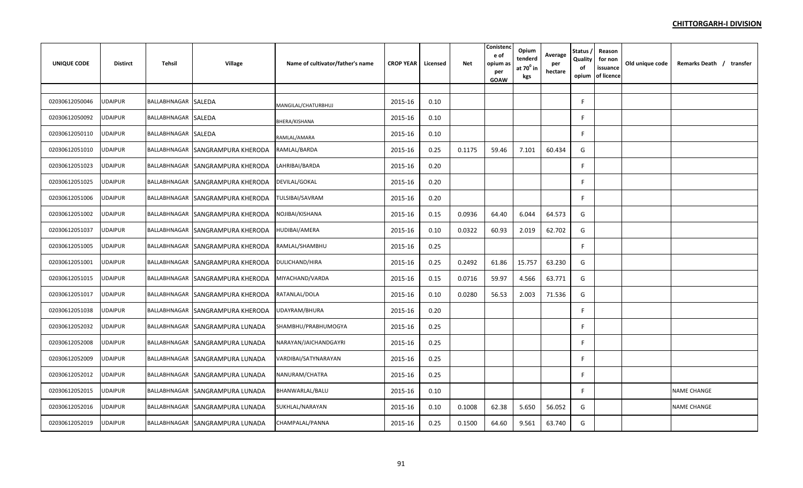| <b>UNIQUE CODE</b> | <b>Distirct</b> | Tehsil              | Village                          | Name of cultivator/father's name | <b>CROP YEAR</b> | Licensed | <b>Net</b> | Conistenc<br>e of<br>opium as<br>per<br><b>GOAW</b> | Opium<br>tenderd<br>at $70^0$ in<br>kgs | Average<br>per<br>hectare | Status /<br>Quality<br>of<br>opium | Reason<br>for non<br>issuance<br>of licence | Old unique code | Remarks Death / transfer |
|--------------------|-----------------|---------------------|----------------------------------|----------------------------------|------------------|----------|------------|-----------------------------------------------------|-----------------------------------------|---------------------------|------------------------------------|---------------------------------------------|-----------------|--------------------------|
|                    |                 |                     |                                  |                                  |                  |          |            |                                                     |                                         |                           |                                    |                                             |                 |                          |
| 02030612050046     | UDAIPUR         | BALLABHNAGAR SALEDA |                                  | MANGILAL/CHATURBHUJ              | 2015-16          | 0.10     |            |                                                     |                                         |                           | F.                                 |                                             |                 |                          |
| 02030612050092     | UDAIPUR         | BALLABHNAGAR SALEDA |                                  | BHERA/KISHANA                    | 2015-16          | 0.10     |            |                                                     |                                         |                           | F                                  |                                             |                 |                          |
| 02030612050110     | <b>UDAIPUR</b>  | BALLABHNAGAR SALEDA |                                  | RAMLAL/AMARA                     | 2015-16          | 0.10     |            |                                                     |                                         |                           | F                                  |                                             |                 |                          |
| 02030612051010     | <b>UDAIPUR</b>  | BALLABHNAGAR        | SANGRAMPURA KHERODA              | RAMLAL/BARDA                     | 2015-16          | 0.25     | 0.1175     | 59.46                                               | 7.101                                   | 60.434                    | G                                  |                                             |                 |                          |
| 02030612051023     | UDAIPUR         |                     | BALLABHNAGAR SANGRAMPURA KHERODA | LAHRIBAI/BARDA                   | 2015-16          | 0.20     |            |                                                     |                                         |                           | F.                                 |                                             |                 |                          |
| 02030612051025     | <b>UDAIPUR</b>  |                     | BALLABHNAGAR SANGRAMPURA KHERODA | DEVILAL/GOKAL                    | 2015-16          | 0.20     |            |                                                     |                                         |                           | F.                                 |                                             |                 |                          |
| 02030612051006     | <b>UDAIPUR</b>  |                     | BALLABHNAGAR SANGRAMPURA KHERODA | TULSIBAI/SAVRAM                  | 2015-16          | 0.20     |            |                                                     |                                         |                           | F                                  |                                             |                 |                          |
| 02030612051002     | UDAIPUR         |                     | BALLABHNAGAR SANGRAMPURA KHERODA | NOJIBAI/KISHANA                  | 2015-16          | 0.15     | 0.0936     | 64.40                                               | 6.044                                   | 64.573                    | G                                  |                                             |                 |                          |
| 02030612051037     | <b>UDAIPUR</b>  |                     | BALLABHNAGAR SANGRAMPURA KHERODA | HUDIBAI/AMERA                    | 2015-16          | 0.10     | 0.0322     | 60.93                                               | 2.019                                   | 62.702                    | G                                  |                                             |                 |                          |
| 02030612051005     | <b>UDAIPUR</b>  |                     | BALLABHNAGAR SANGRAMPURA KHERODA | RAMLAL/SHAMBHU                   | 2015-16          | 0.25     |            |                                                     |                                         |                           | F                                  |                                             |                 |                          |
| 02030612051001     | <b>UDAIPUR</b>  |                     | BALLABHNAGAR SANGRAMPURA KHERODA | <b>DULICHAND/HIRA</b>            | 2015-16          | 0.25     | 0.2492     | 61.86                                               | 15.757                                  | 63.230                    | G                                  |                                             |                 |                          |
| 02030612051015     | <b>UDAIPUR</b>  |                     | BALLABHNAGAR SANGRAMPURA KHERODA | MIYACHAND/VARDA                  | 2015-16          | 0.15     | 0.0716     | 59.97                                               | 4.566                                   | 63.771                    | G                                  |                                             |                 |                          |
| 02030612051017     | <b>UDAIPUR</b>  |                     | BALLABHNAGAR SANGRAMPURA KHERODA | RATANLAL/DOLA                    | 2015-16          | 0.10     | 0.0280     | 56.53                                               | 2.003                                   | 71.536                    | G                                  |                                             |                 |                          |
| 02030612051038     | <b>UDAIPUR</b>  |                     | BALLABHNAGAR SANGRAMPURA KHERODA | UDAYRAM/BHURA                    | 2015-16          | 0.20     |            |                                                     |                                         |                           | F                                  |                                             |                 |                          |
| 02030612052032     | <b>UDAIPUR</b>  |                     | BALLABHNAGAR SANGRAMPURA LUNADA  | SHAMBHU/PRABHUMOGYA              | 2015-16          | 0.25     |            |                                                     |                                         |                           | F                                  |                                             |                 |                          |
| 02030612052008     | <b>UDAIPUR</b>  |                     | BALLABHNAGAR SANGRAMPURA LUNADA  | NARAYAN/JAICHANDGAYRI            | 2015-16          | 0.25     |            |                                                     |                                         |                           | F.                                 |                                             |                 |                          |
| 02030612052009     | <b>UDAIPUR</b>  |                     | BALLABHNAGAR SANGRAMPURA LUNADA  | VARDIBAI/SATYNARAYAN             | 2015-16          | 0.25     |            |                                                     |                                         |                           | F.                                 |                                             |                 |                          |
| 02030612052012     | <b>UDAIPUR</b>  |                     | BALLABHNAGAR SANGRAMPURA LUNADA  | NANURAM/CHATRA                   | 2015-16          | 0.25     |            |                                                     |                                         |                           | E                                  |                                             |                 |                          |
| 02030612052015     | UDAIPUR         |                     | BALLABHNAGAR SANGRAMPURA LUNADA  | BHANWARLAL/BALU                  | 2015-16          | 0.10     |            |                                                     |                                         |                           | F                                  |                                             |                 | <b>NAME CHANGE</b>       |
| 02030612052016     | JDAIPUR         |                     | BALLABHNAGAR SANGRAMPURA LUNADA  | SUKHLAL/NARAYAN                  | 2015-16          | 0.10     | 0.1008     | 62.38                                               | 5.650                                   | 56.052                    | G                                  |                                             |                 | <b>NAME CHANGE</b>       |
| 02030612052019     | <b>UDAIPUR</b>  |                     | BALLABHNAGAR SANGRAMPURA LUNADA  | CHAMPALAL/PANNA                  | 2015-16          | 0.25     | 0.1500     | 64.60                                               | 9.561                                   | 63.740                    | G                                  |                                             |                 |                          |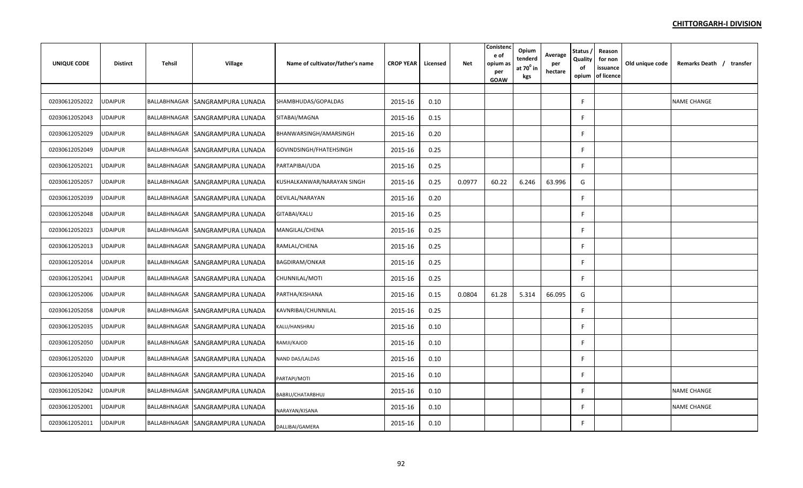| <b>UNIQUE CODE</b> | <b>Distirct</b> | <b>Tehsil</b>       | <b>Village</b>                  | Name of cultivator/father's name | <b>CROP YEAR</b> | Licensed | <b>Net</b> | Conistenc<br>e of<br>opium as<br>per<br><b>GOAW</b> | Opium<br>tenderd<br>at $70^0$ in<br>kgs | Average<br>per<br>hectare | Status /<br>Quality<br>of<br>opium | Reason<br>for non<br>issuance<br>of licence | Old unique code | Remarks Death / transfer |
|--------------------|-----------------|---------------------|---------------------------------|----------------------------------|------------------|----------|------------|-----------------------------------------------------|-----------------------------------------|---------------------------|------------------------------------|---------------------------------------------|-----------------|--------------------------|
|                    |                 |                     |                                 |                                  |                  |          |            |                                                     |                                         |                           |                                    |                                             |                 |                          |
| 02030612052022     | JDAIPUR         |                     | BALLABHNAGAR SANGRAMPURA LUNADA | SHAMBHUDAS/GOPALDAS              | 2015-16          | 0.10     |            |                                                     |                                         |                           | F                                  |                                             |                 | <b>NAME CHANGE</b>       |
| 02030612052043     | JDAIPUR         | BALLABHNAGAR        | SANGRAMPURA LUNADA              | SITABAI/MAGNA                    | 2015-16          | 0.15     |            |                                                     |                                         |                           |                                    |                                             |                 |                          |
| 02030612052029     | <b>JDAIPUR</b>  |                     | BALLABHNAGAR SANGRAMPURA LUNADA | BHANWARSINGH/AMARSINGH           | 2015-16          | 0.20     |            |                                                     |                                         |                           |                                    |                                             |                 |                          |
| 02030612052049     | <b>JDAIPUR</b>  | BALLABHNAGAR        | SANGRAMPURA LUNADA              | GOVINDSINGH/FHATEHSINGH          | 2015-16          | 0.25     |            |                                                     |                                         |                           | F                                  |                                             |                 |                          |
| 02030612052021     | <b>JDAIPUR</b>  |                     | BALLABHNAGAR SANGRAMPURA LUNADA | PARTAPIBAI/UDA                   | 2015-16          | 0.25     |            |                                                     |                                         |                           | F                                  |                                             |                 |                          |
| 02030612052057     | <b>JDAIPUR</b>  |                     | BALLABHNAGAR SANGRAMPURA LUNADA | KUSHALKANWAR/NARAYAN SINGH       | 2015-16          | 0.25     | 0.0977     | 60.22                                               | 6.246                                   | 63.996                    | G                                  |                                             |                 |                          |
| 02030612052039     | JDAIPUR         |                     | BALLABHNAGAR SANGRAMPURA LUNADA | DEVILAL/NARAYAN                  | 2015-16          | 0.20     |            |                                                     |                                         |                           |                                    |                                             |                 |                          |
| 02030612052048     | JDAIPUR         |                     | BALLABHNAGAR SANGRAMPURA LUNADA | GITABAI/KALU                     | 2015-16          | 0.25     |            |                                                     |                                         |                           |                                    |                                             |                 |                          |
| 02030612052023     | JDAIPUR         | BALLABHNAGAR        | SANGRAMPURA LUNADA              | MANGILAL/CHENA                   | 2015-16          | 0.25     |            |                                                     |                                         |                           | F                                  |                                             |                 |                          |
| 02030612052013     | JDAIPUR         |                     | BALLABHNAGAR SANGRAMPURA LUNADA | RAMLAL/CHENA                     | 2015-16          | 0.25     |            |                                                     |                                         |                           | F                                  |                                             |                 |                          |
| 02030612052014     | <b>JDAIPUR</b>  |                     | BALLABHNAGAR SANGRAMPURA LUNADA | <b>BAGDIRAM/ONKAR</b>            | 2015-16          | 0.25     |            |                                                     |                                         |                           | F                                  |                                             |                 |                          |
| 02030612052041     | JDAIPUR         |                     | BALLABHNAGAR SANGRAMPURA LUNADA | CHUNNILAL/MOTI                   | 2015-16          | 0.25     |            |                                                     |                                         |                           |                                    |                                             |                 |                          |
| 02030612052006     | <b>JDAIPUR</b>  | <b>BALLABHNAGAR</b> | SANGRAMPURA LUNADA              | PARTHA/KISHANA                   | 2015-16          | 0.15     | 0.0804     | 61.28                                               | 5.314                                   | 66.095                    | G                                  |                                             |                 |                          |
| 02030612052058     | <b>JDAIPUR</b>  | BALLABHNAGAR        | <b>SANGRAMPURA LUNADA</b>       | KAVNRIBAI/CHUNNILAL              | 2015-16          | 0.25     |            |                                                     |                                         |                           | F                                  |                                             |                 |                          |
| 02030612052035     | <b>JDAIPUR</b>  |                     | BALLABHNAGAR SANGRAMPURA LUNADA | KALU/HANSHRAJ                    | 2015-16          | 0.10     |            |                                                     |                                         |                           | F                                  |                                             |                 |                          |
| 02030612052050     | <b>JDAIPUR</b>  | BALLABHNAGAR        | SANGRAMPURA LUNADA              | RAMJI/KAJOD                      | 2015-16          | 0.10     |            |                                                     |                                         |                           | F                                  |                                             |                 |                          |
| 02030612052020     | JDAIPUR         |                     | BALLABHNAGAR SANGRAMPURA LUNADA | NAND DAS/LALDAS                  | 2015-16          | 0.10     |            |                                                     |                                         |                           |                                    |                                             |                 |                          |
| 02030612052040     | JDAIPUR         | BALLABHNAGAR        | SANGRAMPURA LUNADA              | PARTAPI/MOTI                     | 2015-16          | 0.10     |            |                                                     |                                         |                           | F                                  |                                             |                 |                          |
| 02030612052042     | JDAIPUR         |                     | BALLABHNAGAR SANGRAMPURA LUNADA | BABRU/CHATARBHUJ                 | 2015-16          | 0.10     |            |                                                     |                                         |                           | F                                  |                                             |                 | <b>NAME CHANGE</b>       |
| 02030612052001     | JDAIPUR         |                     | BALLABHNAGAR SANGRAMPURA LUNADA | NARAYAN/KISANA                   | 2015-16          | 0.10     |            |                                                     |                                         |                           | F                                  |                                             |                 | <b>NAME CHANGE</b>       |
| 02030612052011     | <b>JDAIPUR</b>  |                     | BALLABHNAGAR SANGRAMPURA LUNADA | DALLIBAI/GAMERA                  | 2015-16          | 0.10     |            |                                                     |                                         |                           |                                    |                                             |                 |                          |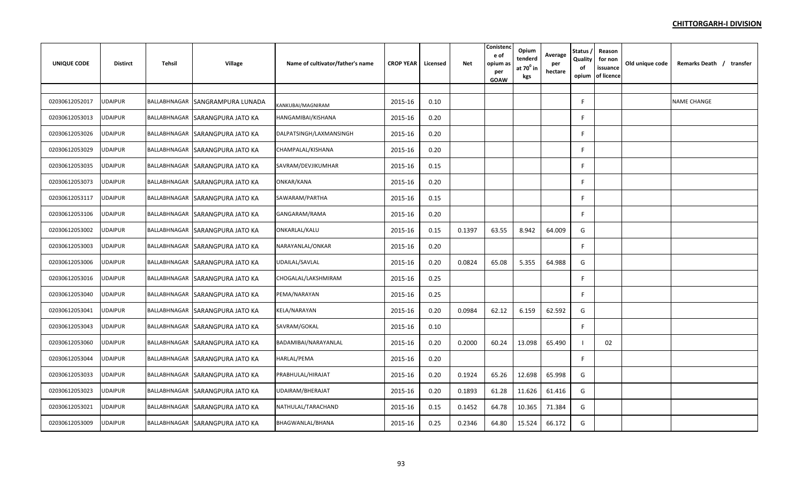| <b>UNIQUE CODE</b> | <b>Distirct</b> | Tehsil | <b>Village</b>                  | Name of cultivator/father's name | <b>CROP YEAR</b> | Licensed | Net    | Conistend<br>e of<br>opium as<br>per<br>GOAW | Opium<br>tenderd<br>at $70^{\circ}$ in<br>kgs | Average<br>per<br>hectare | Status<br>Quality<br>of<br>opium | Reason<br>for non<br>issuance<br>of licence | Old unique code | Remarks Death / transfer |
|--------------------|-----------------|--------|---------------------------------|----------------------------------|------------------|----------|--------|----------------------------------------------|-----------------------------------------------|---------------------------|----------------------------------|---------------------------------------------|-----------------|--------------------------|
|                    |                 |        |                                 |                                  |                  |          |        |                                              |                                               |                           |                                  |                                             |                 |                          |
| 02030612052017     | UDAIPUR         |        | BALLABHNAGAR SANGRAMPURA LUNADA | KANKUBAI/MAGNIRAM                | 2015-16          | 0.10     |        |                                              |                                               |                           |                                  |                                             |                 | <b>NAME CHANGE</b>       |
| 02030612053013     | UDAIPUR         |        | BALLABHNAGAR SARANGPURA JATO KA | HANGAMIBAI/KISHANA               | 2015-16          | 0.20     |        |                                              |                                               |                           | F                                |                                             |                 |                          |
| 02030612053026     | <b>UDAIPUR</b>  |        | BALLABHNAGAR SARANGPURA JATO KA | DALPATSINGH/LAXMANSINGH          | 2015-16          | 0.20     |        |                                              |                                               |                           | F                                |                                             |                 |                          |
| 02030612053029     | <b>UDAIPUR</b>  |        | BALLABHNAGAR SARANGPURA JATO KA | CHAMPALAL/KISHANA                | 2015-16          | 0.20     |        |                                              |                                               |                           | F                                |                                             |                 |                          |
| 02030612053035     | <b>UDAIPUR</b>  |        | BALLABHNAGAR SARANGPURA JATO KA | SAVRAM/DEVJIKUMHAR               | 2015-16          | 0.15     |        |                                              |                                               |                           | F                                |                                             |                 |                          |
| 02030612053073     | <b>UDAIPUR</b>  |        | BALLABHNAGAR SARANGPURA JATO KA | ONKAR/KANA                       | 2015-16          | 0.20     |        |                                              |                                               |                           |                                  |                                             |                 |                          |
| 02030612053117     | UDAIPUR         |        | BALLABHNAGAR SARANGPURA JATO KA | SAWARAM/PARTHA                   | 2015-16          | 0.15     |        |                                              |                                               |                           |                                  |                                             |                 |                          |
| 02030612053106     | UDAIPUR         |        | BALLABHNAGAR SARANGPURA JATO KA | GANGARAM/RAMA                    | 2015-16          | 0.20     |        |                                              |                                               |                           |                                  |                                             |                 |                          |
| 02030612053002     | UDAIPUR         |        | BALLABHNAGAR SARANGPURA JATO KA | ONKARLAL/KALU                    | 2015-16          | 0.15     | 0.1397 | 63.55                                        | 8.942                                         | 64.009                    | G                                |                                             |                 |                          |
| 02030612053003     | JDAIPUR         |        | BALLABHNAGAR SARANGPURA JATO KA | NARAYANLAL/ONKAR                 | 2015-16          | 0.20     |        |                                              |                                               |                           | F                                |                                             |                 |                          |
| 02030612053006     | <b>UDAIPUR</b>  |        | BALLABHNAGAR SARANGPURA JATO KA | UDAILAL/SAVLAL                   | 2015-16          | 0.20     | 0.0824 | 65.08                                        | 5.355                                         | 64.988                    | G                                |                                             |                 |                          |
| 02030612053016     | <b>UDAIPUR</b>  |        | BALLABHNAGAR SARANGPURA JATO KA | CHOGALAL/LAKSHMIRAM              | 2015-16          | 0.25     |        |                                              |                                               |                           |                                  |                                             |                 |                          |
| 02030612053040     | JDAIPUR         |        | BALLABHNAGAR SARANGPURA JATO KA | PEMA/NARAYAN                     | 2015-16          | 0.25     |        |                                              |                                               |                           |                                  |                                             |                 |                          |
| 02030612053041     | <b>UDAIPUR</b>  |        | BALLABHNAGAR SARANGPURA JATO KA | KELA/NARAYAN                     | 2015-16          | 0.20     | 0.0984 | 62.12                                        | 6.159                                         | 62.592                    | G                                |                                             |                 |                          |
| 02030612053043     | <b>UDAIPUR</b>  |        | BALLABHNAGAR SARANGPURA JATO KA | SAVRAM/GOKAL                     | 2015-16          | 0.10     |        |                                              |                                               |                           | F                                |                                             |                 |                          |
| 02030612053060     | <b>UDAIPUR</b>  |        | BALLABHNAGAR SARANGPURA JATO KA | BADAMIBAI/NARAYANLAL             | 2015-16          | 0.20     | 0.2000 | 60.24                                        | 13.098                                        | 65.490                    |                                  | 02                                          |                 |                          |
| 02030612053044     | <b>UDAIPUR</b>  |        | BALLABHNAGAR SARANGPURA JATO KA | HARLAL/PEMA                      | 2015-16          | 0.20     |        |                                              |                                               |                           |                                  |                                             |                 |                          |
| 02030612053033     | JDAIPUR         |        | BALLABHNAGAR SARANGPURA JATO KA | PRABHULAL/HIRAJAT                | 2015-16          | 0.20     | 0.1924 | 65.26                                        | 12.698                                        | 65.998                    | G                                |                                             |                 |                          |
| 02030612053023     | <b>JDAIPUR</b>  |        | BALLABHNAGAR SARANGPURA JATO KA | UDAIRAM/BHERAJAT                 | 2015-16          | 0.20     | 0.1893 | 61.28                                        | 11.626                                        | 61.416                    | G                                |                                             |                 |                          |
| 02030612053021     | JDAIPUR         |        | BALLABHNAGAR SARANGPURA JATO KA | NATHULAL/TARACHAND               | 2015-16          | 0.15     | 0.1452 | 64.78                                        | 10.365                                        | 71.384                    | G                                |                                             |                 |                          |
| 02030612053009     | UDAIPUR         |        | BALLABHNAGAR SARANGPURA JATO KA | BHAGWANLAL/BHANA                 | 2015-16          | 0.25     | 0.2346 | 64.80                                        | 15.524                                        | 66.172                    | G                                |                                             |                 |                          |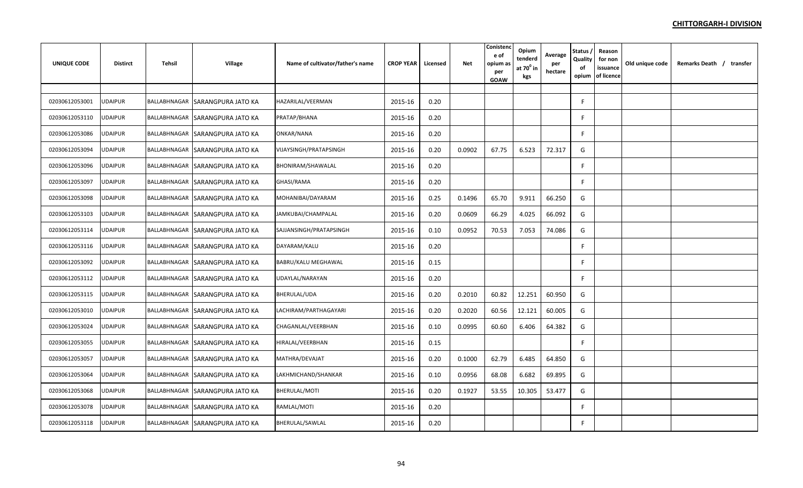| <b>UNIQUE CODE</b> | <b>Distirct</b> | Tehsil | <b>Village</b>                  | Name of cultivator/father's name | <b>CROP YEAR</b> | Licensed | <b>Net</b> | Conisten<br>e of<br>opium as<br>per<br>GOAW | Opium<br>tenderd<br>at $70^\circ$ in<br>kgs | Average<br>per<br>hectare | Status,<br>Quality<br>of<br>opium | Reason<br>for non<br>issuance<br>of licence | Old unique code | Remarks Death / transfer |  |
|--------------------|-----------------|--------|---------------------------------|----------------------------------|------------------|----------|------------|---------------------------------------------|---------------------------------------------|---------------------------|-----------------------------------|---------------------------------------------|-----------------|--------------------------|--|
|                    |                 |        |                                 |                                  |                  |          |            |                                             |                                             |                           |                                   |                                             |                 |                          |  |
| 02030612053001     | <b>UDAIPUR</b>  |        | BALLABHNAGAR SARANGPURA JATO KA | HAZARILAL/VEERMAN                | 2015-16          | 0.20     |            |                                             |                                             |                           | F                                 |                                             |                 |                          |  |
| 02030612053110     | JDAIPUR         |        | BALLABHNAGAR SARANGPURA JATO KA | PRATAP/BHANA                     | 2015-16          | 0.20     |            |                                             |                                             |                           | F                                 |                                             |                 |                          |  |
| 02030612053086     | JDAIPUR         |        | BALLABHNAGAR SARANGPURA JATO KA | ONKAR/NANA                       | 2015-16          | 0.20     |            |                                             |                                             |                           | F                                 |                                             |                 |                          |  |
| 02030612053094     | <b>JDAIPUR</b>  |        | BALLABHNAGAR SARANGPURA JATO KA | VIJAYSINGH/PRATAPSINGH           | 2015-16          | 0.20     | 0.0902     | 67.75                                       | 6.523                                       | 72.317                    | G                                 |                                             |                 |                          |  |
| 02030612053096     | <b>JDAIPUR</b>  |        | BALLABHNAGAR SARANGPURA JATO KA | BHONIRAM/SHAWALAL                | 2015-16          | 0.20     |            |                                             |                                             |                           | F                                 |                                             |                 |                          |  |
| 02030612053097     | <b>UDAIPUR</b>  |        | BALLABHNAGAR SARANGPURA JATO KA | GHASI/RAMA                       | 2015-16          | 0.20     |            |                                             |                                             |                           | F.                                |                                             |                 |                          |  |
| 02030612053098     | <b>UDAIPUR</b>  |        | BALLABHNAGAR SARANGPURA JATO KA | MOHANIBAI/DAYARAM                | 2015-16          | 0.25     | 0.1496     | 65.70                                       | 9.911                                       | 66.250                    | G                                 |                                             |                 |                          |  |
| 02030612053103     | JDAIPUR         |        | BALLABHNAGAR SARANGPURA JATO KA | JAMKUBAI/CHAMPALAL               | 2015-16          | 0.20     | 0.0609     | 66.29                                       | 4.025                                       | 66.092                    | G                                 |                                             |                 |                          |  |
| 02030612053114     | JDAIPUR         |        | BALLABHNAGAR SARANGPURA JATO KA | SAJJANSINGH/PRATAPSINGH          | 2015-16          | 0.10     | 0.0952     | 70.53                                       | 7.053                                       | 74.086                    | G                                 |                                             |                 |                          |  |
| 02030612053116     | JDAIPUR         |        | BALLABHNAGAR SARANGPURA JATO KA | DAYARAM/KALU                     | 2015-16          | 0.20     |            |                                             |                                             |                           | F                                 |                                             |                 |                          |  |
| 02030612053092     | UDAIPUR         |        | BALLABHNAGAR SARANGPURA JATO KA | BABRU/KALU MEGHAWAL              | 2015-16          | 0.15     |            |                                             |                                             |                           | F                                 |                                             |                 |                          |  |
| 02030612053112     | JDAIPUR         |        | BALLABHNAGAR SARANGPURA JATO KA | UDAYLAL/NARAYAN                  | 2015-16          | 0.20     |            |                                             |                                             |                           | F.                                |                                             |                 |                          |  |
| 02030612053115     | JDAIPUR         |        | BALLABHNAGAR SARANGPURA JATO KA | BHERULAL/UDA                     | 2015-16          | 0.20     | 0.2010     | 60.82                                       | 12.251                                      | 60.950                    | G                                 |                                             |                 |                          |  |
| 02030612053010     | <b>JDAIPUR</b>  |        | BALLABHNAGAR SARANGPURA JATO KA | LACHIRAM/PARTHAGAYARI            | 2015-16          | 0.20     | 0.2020     | 60.56                                       | 12.121                                      | 60.005                    | G                                 |                                             |                 |                          |  |
| 02030612053024     | UDAIPUR         |        | BALLABHNAGAR SARANGPURA JATO KA | CHAGANLAL/VEERBHAN               | 2015-16          | 0.10     | 0.0995     | 60.60                                       | 6.406                                       | 64.382                    | G                                 |                                             |                 |                          |  |
| 02030612053055     | UDAIPUR         |        | BALLABHNAGAR SARANGPURA JATO KA | HIRALAL/VEERBHAN                 | 2015-16          | 0.15     |            |                                             |                                             |                           | F                                 |                                             |                 |                          |  |
| 02030612053057     | <b>UDAIPUR</b>  |        | BALLABHNAGAR SARANGPURA JATO KA | MATHRA/DEVAJAT                   | 2015-16          | 0.20     | 0.1000     | 62.79                                       | 6.485                                       | 64.850                    | G                                 |                                             |                 |                          |  |
| 02030612053064     | JDAIPUR         |        | BALLABHNAGAR SARANGPURA JATO KA | LAKHMICHAND/SHANKAR              | 2015-16          | 0.10     | 0.0956     | 68.08                                       | 6.682                                       | 69.895                    | G                                 |                                             |                 |                          |  |
| 02030612053068     | <b>UDAIPUR</b>  |        | BALLABHNAGAR SARANGPURA JATO KA | BHERULAL/MOTI                    | 2015-16          | 0.20     | 0.1927     | 53.55                                       | 10.305                                      | 53.477                    | G                                 |                                             |                 |                          |  |
| 02030612053078     | JDAIPUR         |        | BALLABHNAGAR SARANGPURA JATO KA | RAMLAL/MOTI                      | 2015-16          | 0.20     |            |                                             |                                             |                           | F                                 |                                             |                 |                          |  |
| 02030612053118     | UDAIPUR         |        | BALLABHNAGAR SARANGPURA JATO KA | BHERULAL/SAWLAL                  | 2015-16          | 0.20     |            |                                             |                                             |                           | F.                                |                                             |                 |                          |  |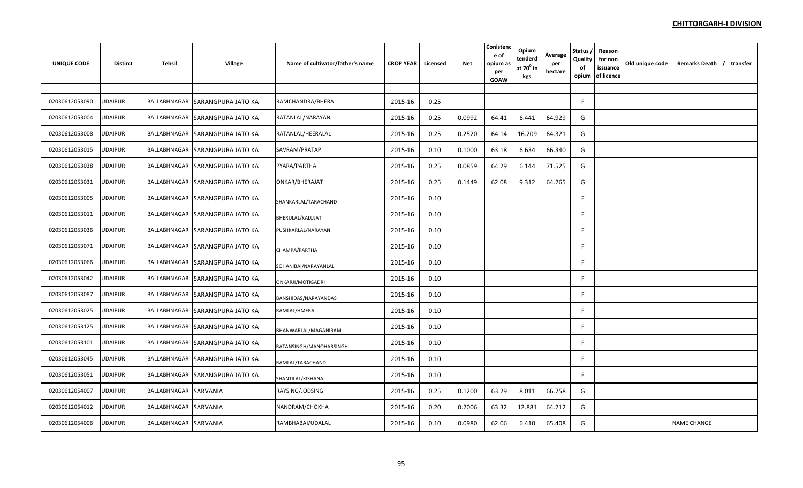| <b>UNIQUE CODE</b> | <b>Distirct</b> | Tehsil                | <b>Village</b>                  | Name of cultivator/father's name | <b>CROP YEAR</b> | Licensed | <b>Net</b> | Conistend<br>e of<br>opium as<br>per<br><b>GOAW</b> | Opium<br>tenderd<br>at $70^0$ in<br>kgs | Average<br>per<br>hectare | Status,<br>Quality<br>оf<br>opium | Reason<br>for non<br>issuance<br>of licence | Old unique code | Remarks Death / transfer |
|--------------------|-----------------|-----------------------|---------------------------------|----------------------------------|------------------|----------|------------|-----------------------------------------------------|-----------------------------------------|---------------------------|-----------------------------------|---------------------------------------------|-----------------|--------------------------|
|                    |                 |                       |                                 |                                  |                  |          |            |                                                     |                                         |                           |                                   |                                             |                 |                          |
| 02030612053090     | UDAIPUR         |                       | BALLABHNAGAR SARANGPURA JATO KA | RAMCHANDRA/BHERA                 | 2015-16          | 0.25     |            |                                                     |                                         |                           | F                                 |                                             |                 |                          |
| 02030612053004     | UDAIPUR         |                       | BALLABHNAGAR SARANGPURA JATO KA | RATANLAL/NARAYAN                 | 2015-16          | 0.25     | 0.0992     | 64.41                                               | 6.441                                   | 64.929                    | G                                 |                                             |                 |                          |
| 02030612053008     | JDAIPUR         |                       | BALLABHNAGAR SARANGPURA JATO KA | RATANLAL/HEERALAL                | 2015-16          | 0.25     | 0.2520     | 64.14                                               | 16.209                                  | 64.321                    | G                                 |                                             |                 |                          |
| 02030612053015     | <b>UDAIPUR</b>  |                       | BALLABHNAGAR SARANGPURA JATO KA | SAVRAM/PRATAP                    | 2015-16          | 0.10     | 0.1000     | 63.18                                               | 6.634                                   | 66.340                    | G                                 |                                             |                 |                          |
| 02030612053038     | <b>JDAIPUR</b>  |                       | BALLABHNAGAR SARANGPURA JATO KA | PYARA/PARTHA                     | 2015-16          | 0.25     | 0.0859     | 64.29                                               | 6.144                                   | 71.525                    | G                                 |                                             |                 |                          |
| 02030612053031     | <b>UDAIPUR</b>  |                       | BALLABHNAGAR SARANGPURA JATO KA | ONKAR/BHERAJAT                   | 2015-16          | 0.25     | 0.1449     | 62.08                                               | 9.312                                   | 64.265                    | G                                 |                                             |                 |                          |
| 02030612053005     | <b>UDAIPUR</b>  |                       | BALLABHNAGAR SARANGPURA JATO KA | SHANKARLAL/TARACHAND             | 2015-16          | 0.10     |            |                                                     |                                         |                           |                                   |                                             |                 |                          |
| 02030612053011     | UDAIPUR         |                       | BALLABHNAGAR SARANGPURA JATO KA | BHERULAL/KALUJAT                 | 2015-16          | 0.10     |            |                                                     |                                         |                           | F                                 |                                             |                 |                          |
| 02030612053036     | JDAIPUR         |                       | BALLABHNAGAR SARANGPURA JATO KA | PUSHKARLAL/NARAYAN               | 2015-16          | 0.10     |            |                                                     |                                         |                           | F                                 |                                             |                 |                          |
| 02030612053071     | UDAIPUR         |                       | BALLABHNAGAR SARANGPURA JATO KA | CHAMPA/PARTHA                    | 2015-16          | 0.10     |            |                                                     |                                         |                           | F                                 |                                             |                 |                          |
| 02030612053066     | UDAIPUR         |                       | BALLABHNAGAR SARANGPURA JATO KA | SOHANIBAI/NARAYANLAL             | 2015-16          | 0.10     |            |                                                     |                                         |                           | F                                 |                                             |                 |                          |
| 02030612053042     | UDAIPUR         |                       | BALLABHNAGAR SARANGPURA JATO KA | ONKARJI/MOTIGADRI                | 2015-16          | 0.10     |            |                                                     |                                         |                           |                                   |                                             |                 |                          |
| 02030612053087     | JDAIPUR         |                       | BALLABHNAGAR SARANGPURA JATO KA | BANSHIDAS/NARAYANDAS             | 2015-16          | 0.10     |            |                                                     |                                         |                           | F                                 |                                             |                 |                          |
| 02030612053025     | <b>UDAIPUR</b>  |                       | BALLABHNAGAR SARANGPURA JATO KA | RAMLAL/HMERA                     | 2015-16          | 0.10     |            |                                                     |                                         |                           | F                                 |                                             |                 |                          |
| 02030612053125     | UDAIPUR         |                       | BALLABHNAGAR SARANGPURA JATO KA | BHANWARLAL/MAGANIRAM             | 2015-16          | 0.10     |            |                                                     |                                         |                           | F                                 |                                             |                 |                          |
| 02030612053101     | <b>UDAIPUR</b>  |                       | BALLABHNAGAR SARANGPURA JATO KA | RATANSINGH/MANOHARSINGH          | 2015-16          | 0.10     |            |                                                     |                                         |                           | F                                 |                                             |                 |                          |
| 02030612053045     | <b>UDAIPUR</b>  |                       | BALLABHNAGAR SARANGPURA JATO KA | RAMLAL/TARACHAND                 | 2015-16          | 0.10     |            |                                                     |                                         |                           |                                   |                                             |                 |                          |
| 02030612053051     | UDAIPUR         |                       | BALLABHNAGAR SARANGPURA JATO KA | SHANTILAL/KISHANA                | 2015-16          | 0.10     |            |                                                     |                                         |                           | F                                 |                                             |                 |                          |
| 02030612054007     | <b>UDAIPUR</b>  | BALLABHNAGAR SARVANIA |                                 | RAYSING/JODSING                  | 2015-16          | 0.25     | 0.1200     | 63.29                                               | 8.011                                   | 66.758                    | G                                 |                                             |                 |                          |
| 02030612054012     | JDAIPUR         | BALLABHNAGAR SARVANIA |                                 | NANDRAM/CHOKHA                   | 2015-16          | 0.20     | 0.2006     | 63.32                                               | 12.881                                  | 64.212                    | G                                 |                                             |                 |                          |
| 02030612054006     | UDAIPUR         | BALLABHNAGAR SARVANIA |                                 | RAMBHABAI/UDALAL                 | 2015-16          | 0.10     | 0.0980     | 62.06                                               | 6.410                                   | 65.408                    | G                                 |                                             |                 | <b>NAME CHANGE</b>       |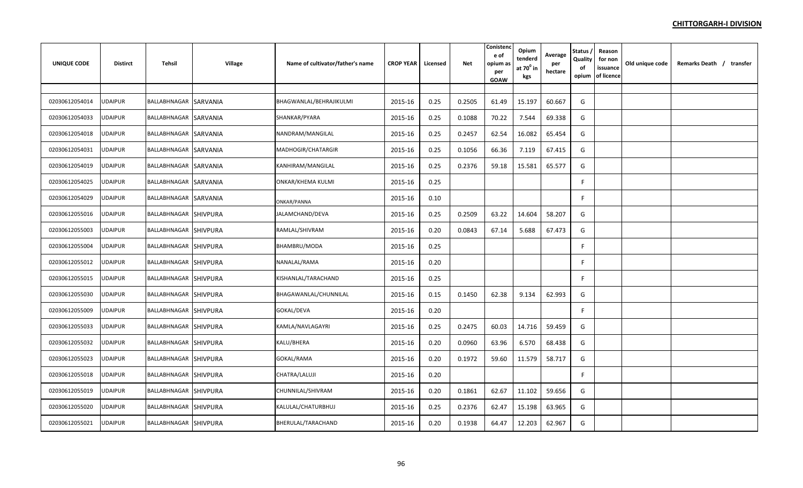| <b>UNIQUE CODE</b> | <b>Distirct</b> | Tehsil                | <b>Village</b> | Name of cultivator/father's name | <b>CROP YEAR</b> | Licensed | Net    | Conisten<br>e of<br>opium as<br>per<br><b>GOAW</b> | Opium<br>tenderd<br>at $70^0$ in<br>kgs | Average<br>per<br>hectare | <b>Status</b><br>Quality<br>of<br>opium | Reason<br>for non<br>issuance<br>of licence | Old unique code | Remarks Death / transfer |
|--------------------|-----------------|-----------------------|----------------|----------------------------------|------------------|----------|--------|----------------------------------------------------|-----------------------------------------|---------------------------|-----------------------------------------|---------------------------------------------|-----------------|--------------------------|
|                    |                 |                       |                |                                  |                  |          |        |                                                    |                                         |                           |                                         |                                             |                 |                          |
| 02030612054014     | <b>UDAIPUR</b>  | BALLABHNAGAR SARVANIA |                | BHAGWANLAL/BEHRAJIKULMI          | 2015-16          | 0.25     | 0.2505 | 61.49                                              | 15.197                                  | 60.667                    | G                                       |                                             |                 |                          |
| 02030612054033     | <b>JDAIPUR</b>  | BALLABHNAGAR SARVANIA |                | SHANKAR/PYARA                    | 2015-16          | 0.25     | 0.1088 | 70.22                                              | 7.544                                   | 69.338                    | G                                       |                                             |                 |                          |
| 02030612054018     | <b>UDAIPUR</b>  | BALLABHNAGAR SARVANIA |                | NANDRAM/MANGILAL                 | 2015-16          | 0.25     | 0.2457 | 62.54                                              | 16.082                                  | 65.454                    | G                                       |                                             |                 |                          |
| 02030612054031     | <b>UDAIPUR</b>  | BALLABHNAGAR SARVANIA |                | MADHOGIR/CHATARGIR               | 2015-16          | 0.25     | 0.1056 | 66.36                                              | 7.119                                   | 67.415                    | G                                       |                                             |                 |                          |
| 02030612054019     | <b>UDAIPUR</b>  | BALLABHNAGAR SARVANIA |                | KANHIRAM/MANGILAL                | 2015-16          | 0.25     | 0.2376 | 59.18                                              | 15.581                                  | 65.577                    | G                                       |                                             |                 |                          |
| 02030612054025     | <b>UDAIPUR</b>  | BALLABHNAGAR SARVANIA |                | <b>ONKAR/KHEMA KULMI</b>         | 2015-16          | 0.25     |        |                                                    |                                         |                           | F                                       |                                             |                 |                          |
| 02030612054029     | <b>UDAIPUR</b>  | BALLABHNAGAR SARVANIA |                | ONKAR/PANNA                      | 2015-16          | 0.10     |        |                                                    |                                         |                           | F.                                      |                                             |                 |                          |
| 02030612055016     | UDAIPUR         | BALLABHNAGAR SHIVPURA |                | JALAMCHAND/DEVA                  | 2015-16          | 0.25     | 0.2509 | 63.22                                              | 14.604                                  | 58.207                    | G                                       |                                             |                 |                          |
| 02030612055003     | <b>UDAIPUR</b>  | BALLABHNAGAR SHIVPURA |                | RAMLAL/SHIVRAM                   | 2015-16          | 0.20     | 0.0843 | 67.14                                              | 5.688                                   | 67.473                    | G                                       |                                             |                 |                          |
| 02030612055004     | UDAIPUR         | BALLABHNAGAR SHIVPURA |                | BHAMBRU/MODA                     | 2015-16          | 0.25     |        |                                                    |                                         |                           | F.                                      |                                             |                 |                          |
| 02030612055012     | JDAIPUR         | BALLABHNAGAR SHIVPURA |                | NANALAL/RAMA                     | 2015-16          | 0.20     |        |                                                    |                                         |                           | F.                                      |                                             |                 |                          |
| 02030612055015     | <b>UDAIPUR</b>  | BALLABHNAGAR SHIVPURA |                | KISHANLAL/TARACHAND              | 2015-16          | 0.25     |        |                                                    |                                         |                           | F.                                      |                                             |                 |                          |
| 02030612055030     | <b>JDAIPUR</b>  | BALLABHNAGAR SHIVPURA |                | BHAGAWANLAL/CHUNNILAL            | 2015-16          | 0.15     | 0.1450 | 62.38                                              | 9.134                                   | 62.993                    | G                                       |                                             |                 |                          |
| 02030612055009     | JDAIPUR         | BALLABHNAGAR SHIVPURA |                | GOKAL/DEVA                       | 2015-16          | 0.20     |        |                                                    |                                         |                           | F                                       |                                             |                 |                          |
| 02030612055033     | <b>JDAIPUR</b>  | BALLABHNAGAR SHIVPURA |                | KAMLA/NAVLAGAYRI                 | 2015-16          | 0.25     | 0.2475 | 60.03                                              | 14.716                                  | 59.459                    | G                                       |                                             |                 |                          |
| 02030612055032     | <b>UDAIPUR</b>  | BALLABHNAGAR SHIVPURA |                | KALU/BHERA                       | 2015-16          | 0.20     | 0.0960 | 63.96                                              | 6.570                                   | 68.438                    | G                                       |                                             |                 |                          |
| 02030612055023     | UDAIPUR         | BALLABHNAGAR SHIVPURA |                | GOKAL/RAMA                       | 2015-16          | 0.20     | 0.1972 | 59.60                                              | 11.579                                  | 58.717                    | G                                       |                                             |                 |                          |
| 02030612055018     | UDAIPUR         | BALLABHNAGAR SHIVPURA |                | CHATRA/LALUJI                    | 2015-16          | 0.20     |        |                                                    |                                         |                           | F                                       |                                             |                 |                          |
| 02030612055019     | JDAIPUR         | BALLABHNAGAR SHIVPURA |                | CHUNNILAL/SHIVRAM                | 2015-16          | 0.20     | 0.1861 | 62.67                                              | 11.102                                  | 59.656                    | G                                       |                                             |                 |                          |
| 02030612055020     | JDAIPUR         | BALLABHNAGAR SHIVPURA |                | KALULAL/CHATURBHUJ               | 2015-16          | 0.25     | 0.2376 | 62.47                                              | 15.198                                  | 63.965                    | G                                       |                                             |                 |                          |
| 02030612055021     | <b>UDAIPUR</b>  | BALLABHNAGAR SHIVPURA |                | BHERULAL/TARACHAND               | 2015-16          | 0.20     | 0.1938 | 64.47                                              | 12.203                                  | 62.967                    | G                                       |                                             |                 |                          |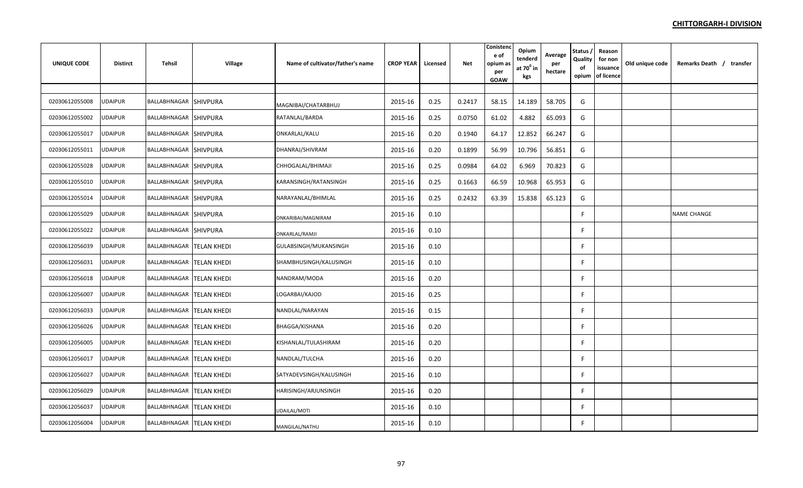| <b>UNIQUE CODE</b> | <b>Distirct</b> | Tehsil                     | <b>Village</b> | Name of cultivator/father's name | <b>CROP YEAR</b> | Licensed | <b>Net</b> | Conistend<br>e of<br>opium as<br>per<br>GOAW | Opium<br>tenderd<br>at $70^{\circ}$ in<br>kgs | Average<br>per<br>hectare | Status,<br>Quality<br>of<br>opium | Reason<br>for non<br>issuance<br>of licence | Old unique code | Remarks Death / transfer |
|--------------------|-----------------|----------------------------|----------------|----------------------------------|------------------|----------|------------|----------------------------------------------|-----------------------------------------------|---------------------------|-----------------------------------|---------------------------------------------|-----------------|--------------------------|
|                    |                 |                            |                |                                  |                  |          |            |                                              |                                               |                           |                                   |                                             |                 |                          |
| 02030612055008     | <b>UDAIPUR</b>  | BALLABHNAGAR SHIVPURA      |                | MAGNIBAI/CHATARBHUJ              | 2015-16          | 0.25     | 0.2417     | 58.15                                        | 14.189                                        | 58.705                    | G                                 |                                             |                 |                          |
| 02030612055002     | UDAIPUR         | BALLABHNAGAR SHIVPURA      |                | RATANLAL/BARDA                   | 2015-16          | 0.25     | 0.0750     | 61.02                                        | 4.882                                         | 65.093                    | G                                 |                                             |                 |                          |
| 02030612055017     | UDAIPUR         | BALLABHNAGAR SHIVPURA      |                | ONKARLAL/KALU                    | 2015-16          | 0.20     | 0.1940     | 64.17                                        | 12.852                                        | 66.247                    | G                                 |                                             |                 |                          |
| 02030612055011     | <b>UDAIPUR</b>  | BALLABHNAGAR SHIVPURA      |                | DHANRAJ/SHIVRAM                  | 2015-16          | 0.20     | 0.1899     | 56.99                                        | 10.796                                        | 56.851                    | G                                 |                                             |                 |                          |
| 02030612055028     | UDAIPUR         | BALLABHNAGAR SHIVPURA      |                | CHHOGALAL/BHIMAJI                | 2015-16          | 0.25     | 0.0984     | 64.02                                        | 6.969                                         | 70.823                    | G                                 |                                             |                 |                          |
| 02030612055010     | <b>UDAIPUR</b>  | BALLABHNAGAR SHIVPURA      |                | KARANSINGH/RATANSINGH            | 2015-16          | 0.25     | 0.1663     | 66.59                                        | 10.968                                        | 65.953                    | G                                 |                                             |                 |                          |
| 02030612055014     | UDAIPUR         | BALLABHNAGAR SHIVPURA      |                | NARAYANLAL/BHIMLAL               | 2015-16          | 0.25     | 0.2432     | 63.39                                        | 15.838                                        | 65.123                    | G                                 |                                             |                 |                          |
| 02030612055029     | UDAIPUR         | BALLABHNAGAR SHIVPURA      |                | ONKARIBAI/MAGNIRAM               | 2015-16          | 0.10     |            |                                              |                                               |                           | F.                                |                                             |                 | NAME CHANGE              |
| 02030612055022     | JDAIPUR         | BALLABHNAGAR SHIVPURA      |                | ONKARLAL/RAMJI                   | 2015-16          | 0.10     |            |                                              |                                               |                           | F                                 |                                             |                 |                          |
| 02030612056039     | <b>JDAIPUR</b>  | BALLABHNAGAR   TELAN KHEDI |                | GULABSINGH/MUKANSINGH            | 2015-16          | 0.10     |            |                                              |                                               |                           | F                                 |                                             |                 |                          |
| 02030612056031     | UDAIPUR         | BALLABHNAGAR   TELAN KHEDI |                | SHAMBHUSINGH/KALUSINGH           | 2015-16          | 0.10     |            |                                              |                                               |                           | F                                 |                                             |                 |                          |
| 02030612056018     | JDAIPUR         | BALLABHNAGAR TELAN KHEDI   |                | NANDRAM/MODA                     | 2015-16          | 0.20     |            |                                              |                                               |                           | F.                                |                                             |                 |                          |
| 02030612056007     | <b>UDAIPUR</b>  | BALLABHNAGAR TELAN KHEDI   |                | LOGARBAI/KAJOD                   | 2015-16          | 0.25     |            |                                              |                                               |                           | F.                                |                                             |                 |                          |
| 02030612056033     | <b>UDAIPUR</b>  | BALLABHNAGAR   TELAN KHEDI |                | NANDLAL/NARAYAN                  | 2015-16          | 0.15     |            |                                              |                                               |                           | F                                 |                                             |                 |                          |
| 02030612056026     | <b>UDAIPUR</b>  | BALLABHNAGAR   TELAN KHEDI |                | <b>BHAGGA/KISHANA</b>            | 2015-16          | 0.20     |            |                                              |                                               |                           | F.                                |                                             |                 |                          |
| 02030612056005     | <b>UDAIPUR</b>  | BALLABHNAGAR TELAN KHEDI   |                | KISHANLAL/TULASHIRAM             | 2015-16          | 0.20     |            |                                              |                                               |                           | F.                                |                                             |                 |                          |
| 02030612056017     | <b>UDAIPUR</b>  | BALLABHNAGAR   TELAN KHEDI |                | NANDLAL/TULCHA                   | 2015-16          | 0.20     |            |                                              |                                               |                           | F                                 |                                             |                 |                          |
| 02030612056027     | <b>JDAIPUR</b>  | BALLABHNAGAR   TELAN KHEDI |                | SATYADEVSINGH/KALUSINGH          | 2015-16          | 0.10     |            |                                              |                                               |                           | F                                 |                                             |                 |                          |
| 02030612056029     | JDAIPUR         | BALLABHNAGAR   TELAN KHEDI |                | HARISINGH/ARJUNSINGH             | 2015-16          | 0.20     |            |                                              |                                               |                           | F                                 |                                             |                 |                          |
| 02030612056037     | JDAIPUR         | BALLABHNAGAR   TELAN KHEDI |                | UDAILAL/MOTI                     | 2015-16          | 0.10     |            |                                              |                                               |                           | F                                 |                                             |                 |                          |
| 02030612056004     | UDAIPUR         | BALLABHNAGAR TELAN KHEDI   |                | MANGILAL/NATHU                   | 2015-16          | 0.10     |            |                                              |                                               |                           | F                                 |                                             |                 |                          |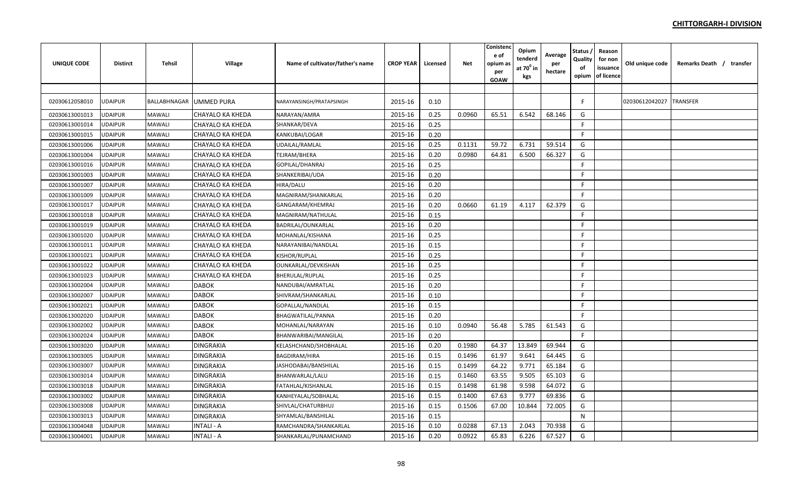| <b>UNIQUE CODE</b> | <b>Distirct</b> | Tehsil       | Village           | Name of cultivator/father's name | <b>CROP YEAR</b> | Licensed | Net    | Conisteno<br>e of<br>opium as<br>per<br><b>GOAW</b> | Opium<br>tenderd<br>at $70^0$ in<br>kgs | Average<br>per<br>hectare | Status<br>Quality<br>of | Reason<br>for non<br>issuance<br>opium of licence | Old unique code | Remarks Death / transfer |
|--------------------|-----------------|--------------|-------------------|----------------------------------|------------------|----------|--------|-----------------------------------------------------|-----------------------------------------|---------------------------|-------------------------|---------------------------------------------------|-----------------|--------------------------|
|                    |                 |              |                   |                                  |                  |          |        |                                                     |                                         |                           |                         |                                                   |                 |                          |
| 02030612058010     | UDAIPUR         | BALLABHNAGAR | <b>UMMED PURA</b> | NARAYANSINGH/PRATAPSINGH         | 2015-16          | 0.10     |        |                                                     |                                         |                           |                         |                                                   | 02030612042027  | <b>TRANSFER</b>          |
| 02030613001013     | <b>UDAIPUR</b>  | MAWALI       | CHAYALO KA KHEDA  | NARAYAN/AMRA                     | 2015-16          | 0.25     | 0.0960 | 65.51                                               | 6.542                                   | 68.146                    | G                       |                                                   |                 |                          |
| 02030613001014     | <b>UDAIPUR</b>  | MAWALI       | CHAYALO KA KHEDA  | SHANKAR/DEVA                     | 2015-16          | 0.25     |        |                                                     |                                         |                           | F                       |                                                   |                 |                          |
| 02030613001015     | <b>UDAIPUR</b>  | MAWALI       | CHAYALO KA KHEDA  | KANKUBAI/LOGAR                   | 2015-16          | 0.20     |        |                                                     |                                         |                           | F                       |                                                   |                 |                          |
| 02030613001006     | <b>JDAIPUR</b>  | MAWALI       | CHAYALO KA KHEDA  | UDAILAL/RAMLAL                   | 2015-16          | 0.25     | 0.1131 | 59.72                                               | 6.731                                   | 59.514                    | G                       |                                                   |                 |                          |
| 02030613001004     | UDAIPUR         | MAWALI       | CHAYALO KA KHEDA  | TEJRAM/BHERA                     | 2015-16          | 0.20     | 0.0980 | 64.81                                               | 6.500                                   | 66.327                    | G                       |                                                   |                 |                          |
| 02030613001016     | <b>UDAIPUR</b>  | MAWALI       | CHAYALO KA KHEDA  | GOPILAL/DHANRAJ                  | 2015-16          | 0.25     |        |                                                     |                                         |                           | F.                      |                                                   |                 |                          |
| 02030613001003     | <b>UDAIPUR</b>  | MAWALI       | CHAYALO KA KHEDA  | SHANKERIBAI/UDA                  | 2015-16          | 0.20     |        |                                                     |                                         |                           | F                       |                                                   |                 |                          |
| 02030613001007     | UDAIPUR         | MAWALI       | CHAYALO KA KHEDA  | HIRA/DALU                        | 2015-16          | 0.20     |        |                                                     |                                         |                           | F.                      |                                                   |                 |                          |
| 02030613001009     | <b>UDAIPUR</b>  | MAWALI       | CHAYALO KA KHEDA  | MAGNIRAM/SHANKARLAL              | 2015-16          | 0.20     |        |                                                     |                                         |                           | F                       |                                                   |                 |                          |
| 02030613001017     | <b>UDAIPUR</b>  | MAWALI       | CHAYALO KA KHEDA  | GANGARAM/KHEMRAJ                 | 2015-16          | 0.20     | 0.0660 | 61.19                                               | 4.117                                   | 62.379                    | G                       |                                                   |                 |                          |
| 02030613001018     | <b>UDAIPUR</b>  | MAWALI       | CHAYALO KA KHEDA  | MAGNIRAM/NATHULAL                | 2015-16          | 0.15     |        |                                                     |                                         |                           | F                       |                                                   |                 |                          |
| 02030613001019     | JDAIPUR         | MAWALI       | CHAYALO KA KHEDA  | BADRILAL/OUNKARLAL               | 2015-16          | 0.20     |        |                                                     |                                         |                           | F.                      |                                                   |                 |                          |
| 02030613001020     | <b>UDAIPUR</b>  | MAWALI       | CHAYALO KA KHEDA  | MOHANLAL/KISHANA                 | 2015-16          | 0.25     |        |                                                     |                                         |                           | F.                      |                                                   |                 |                          |
| 02030613001011     | UDAIPUR         | MAWALI       | CHAYALO KA KHEDA  | NARAYANIBAI/NANDLAL              | 2015-16          | 0.15     |        |                                                     |                                         |                           | F.                      |                                                   |                 |                          |
| 02030613001021     | <b>UDAIPUR</b>  | MAWALI       | CHAYALO KA KHEDA  | KISHOR/RUPLAL                    | 2015-16          | 0.25     |        |                                                     |                                         |                           | F.                      |                                                   |                 |                          |
| 02030613001022     | <b>UDAIPUR</b>  | MAWALI       | CHAYALO KA KHEDA  | OUNKARLAL/DEVKISHAN              | 2015-16          | 0.25     |        |                                                     |                                         |                           | E                       |                                                   |                 |                          |
| 02030613001023     | UDAIPUR         | MAWALI       | CHAYALO KA KHEDA  | BHERULAL/RUPLAL                  | 2015-16          | 0.25     |        |                                                     |                                         |                           | F.                      |                                                   |                 |                          |
| 02030613002004     | UDAIPUR         | MAWALI       | <b>DABOK</b>      | NANDUBAI/AMRATLAL                | 2015-16          | 0.20     |        |                                                     |                                         |                           | F                       |                                                   |                 |                          |
| 02030613002007     | <b>UDAIPUR</b>  | MAWALI       | <b>DABOK</b>      | SHIVRAM/SHANKARLAL               | 2015-16          | 0.10     |        |                                                     |                                         |                           | F.                      |                                                   |                 |                          |
| 02030613002021     | <b>UDAIPUR</b>  | MAWALI       | <b>DABOK</b>      | GOPALLAL/NANDLAL                 | 2015-16          | 0.15     |        |                                                     |                                         |                           | F                       |                                                   |                 |                          |
| 02030613002020     | <b>UDAIPUR</b>  | MAWALI       | <b>DABOK</b>      | BHAGWATILAL/PANNA                | 2015-16          | 0.20     |        |                                                     |                                         |                           | F.                      |                                                   |                 |                          |
| 02030613002002     | UDAIPUR         | MAWALI       | <b>DABOK</b>      | MOHANLAL/NARAYAN                 | 2015-16          | 0.10     | 0.0940 | 56.48                                               | 5.785                                   | 61.543                    | G                       |                                                   |                 |                          |
| 02030613002024     | UDAIPUR         | MAWALI       | <b>DABOK</b>      | BHANWARIBAI/MANGILAL             | 2015-16          | 0.20     |        |                                                     |                                         |                           | F.                      |                                                   |                 |                          |
| 02030613003020     | <b>UDAIPUR</b>  | MAWALI       | <b>DINGRAKIA</b>  | KELASHCHAND/SHOBHALAL            | 2015-16          | 0.20     | 0.1980 | 64.37                                               | 13.849                                  | 69.944                    | G                       |                                                   |                 |                          |
| 02030613003005     | UDAIPUR         | MAWALI       | <b>DINGRAKIA</b>  | BAGDIRAM/HIRA                    | 2015-16          | 0.15     | 0.1496 | 61.97                                               | 9.641                                   | 64.445                    | G                       |                                                   |                 |                          |
| 02030613003007     | UDAIPUR         | MAWALI       | <b>DINGRAKIA</b>  | JASHODABAI/BANSHILAL             | 2015-16          | 0.15     | 0.1499 | 64.22                                               | 9.771                                   | 65.184                    | G                       |                                                   |                 |                          |
| 02030613003014     | <b>UDAIPUR</b>  | MAWALI       | <b>DINGRAKIA</b>  | BHANWARLAL/LALU                  | 2015-16          | 0.15     | 0.1460 | 63.55                                               | 9.505                                   | 65.103                    | G                       |                                                   |                 |                          |
| 02030613003018     | <b>UDAIPUR</b>  | MAWALI       | <b>DINGRAKIA</b>  | FATAHLAL/KISHANLAL               | 2015-16          | 0.15     | 0.1498 | 61.98                                               | 9.598                                   | 64.072                    | G                       |                                                   |                 |                          |
| 02030613003002     | UDAIPUR         | MAWALI       | <b>DINGRAKIA</b>  | KANHEYALAL/SOBHALAL              | 2015-16          | 0.15     | 0.1400 | 67.63                                               | 9.777                                   | 69.836                    | G                       |                                                   |                 |                          |
| 02030613003008     | UDAIPUR         | MAWALI       | <b>DINGRAKIA</b>  | SHIVLAL/CHATURBHUJ               | 2015-16          | 0.15     | 0.1506 | 67.00                                               | 10.844                                  | 72.005                    | G                       |                                                   |                 |                          |
| 02030613003013     | UDAIPUR         | MAWALI       | <b>DINGRAKIA</b>  | SHYAMLAL/BANSHILAL               | 2015-16          | 0.15     |        |                                                     |                                         |                           | N                       |                                                   |                 |                          |
| 02030613004048     | <b>JDAIPUR</b>  | MAWALI       | <b>INTALI - A</b> | RAMCHANDRA/SHANKARLAL            | 2015-16          | 0.10     | 0.0288 | 67.13                                               | 2.043                                   | 70.938                    | G                       |                                                   |                 |                          |
| 02030613004001     | <b>UDAIPUR</b>  | MAWALI       | <b>INTALI - A</b> | SHANKARLAL/PUNAMCHAND            | 2015-16          | 0.20     | 0.0922 | 65.83                                               | 6.226                                   | 67.527                    | G                       |                                                   |                 |                          |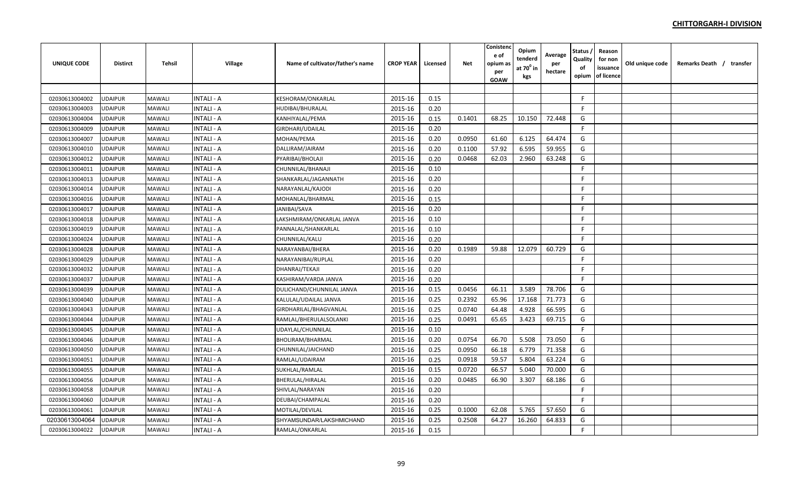| <b>UNIQUE CODE</b> | <b>Distirct</b> | Tehsil        | <b>Village</b>   | Name of cultivator/father's name | <b>CROP YEAR</b> | Licensed | <b>Net</b> | Conistenc<br>e of<br>opium a:<br>per<br><b>GOAW</b> | Opium<br>tenderd<br>at $70^0$ in<br>kgs | Average<br>per<br>hectare | <b>Status</b><br>Quality<br>of<br>opium | Reason<br>for non<br>issuance<br>of licence | Old unique code | Remarks Death / transfer |  |
|--------------------|-----------------|---------------|------------------|----------------------------------|------------------|----------|------------|-----------------------------------------------------|-----------------------------------------|---------------------------|-----------------------------------------|---------------------------------------------|-----------------|--------------------------|--|
|                    |                 |               |                  |                                  |                  |          |            |                                                     |                                         |                           |                                         |                                             |                 |                          |  |
| 02030613004002     | <b>UDAIPUR</b>  | <b>MAWALI</b> | <b>NTALI - A</b> | KESHORAM/ONKARLAL                | 2015-16          | 0.15     |            |                                                     |                                         |                           | F.                                      |                                             |                 |                          |  |
| 02030613004003     | <b>JDAIPUR</b>  | <b>MAWALI</b> | <b>NTALI - A</b> | HUDIBAI/BHURALAL                 | 2015-16          | 0.20     |            |                                                     |                                         |                           | F.                                      |                                             |                 |                          |  |
| 02030613004004     | UDAIPUR         | MAWALI        | <b>NTALI - A</b> | KANHIYALAL/PEMA                  | 2015-16          | 0.15     | 0.1401     | 68.25                                               | 10.150                                  | 72.448                    | G                                       |                                             |                 |                          |  |
| 02030613004009     | <b>UDAIPUR</b>  | MAWALI        | <b>NTALI - A</b> | GIRDHARI/UDAILAL                 | 2015-16          | 0.20     |            |                                                     |                                         |                           | F                                       |                                             |                 |                          |  |
| 02030613004007     | <b>UDAIPUR</b>  | MAWALI        | <b>NTALI - A</b> | MOHAN/PEMA                       | 2015-16          | 0.20     | 0.0950     | 61.60                                               | 6.125                                   | 64.474                    | G                                       |                                             |                 |                          |  |
| 02030613004010     | <b>UDAIPUR</b>  | MAWALI        | <b>NTALI - A</b> | DALLIRAM/JAIRAM                  | 2015-16          | 0.20     | 0.1100     | 57.92                                               | 6.595                                   | 59.955                    | G                                       |                                             |                 |                          |  |
| 02030613004012     | JDAIPUR         | MAWALI        | NTALI - A        | PYARIBAI/BHOLAJI                 | 2015-16          | 0.20     | 0.0468     | 62.03                                               | 2.960                                   | 63.248                    | G                                       |                                             |                 |                          |  |
| 02030613004011     | UDAIPUR         | <b>MAWALI</b> | <b>NTALI - A</b> | CHUNNILAL/BHANAJI                | 2015-16          | 0.10     |            |                                                     |                                         |                           | F.                                      |                                             |                 |                          |  |
| 02030613004013     | <b>UDAIPUR</b>  | MAWALI        | <b>NTALI - A</b> | SHANKARLAL/JAGANNATH             | 2015-16          | 0.20     |            |                                                     |                                         |                           | F.                                      |                                             |                 |                          |  |
| 02030613004014     | <b>UDAIPUR</b>  | <b>MAWALI</b> | <b>NTALI - A</b> | NARAYANLAL/KAJODI                | 2015-16          | 0.20     |            |                                                     |                                         |                           | F.                                      |                                             |                 |                          |  |
| 02030613004016     | <b>UDAIPUR</b>  | <b>MAWALI</b> | NTALI - A        | MOHANLAL/BHARMAL                 | 2015-16          | 0.15     |            |                                                     |                                         |                           | F.                                      |                                             |                 |                          |  |
| 02030613004017     | UDAIPUR         | <b>MAWALI</b> | NTALI - A        | JANIBAI/SAVA                     | 2015-16          | 0.20     |            |                                                     |                                         |                           | F.                                      |                                             |                 |                          |  |
| 02030613004018     | JDAIPUR         | <b>MAWALI</b> | <b>NTALI - A</b> | LAKSHMIRAM/ONKARLAL JANVA        | 2015-16          | 0.10     |            |                                                     |                                         |                           | F.                                      |                                             |                 |                          |  |
| 02030613004019     | UDAIPUR         | MAWALI        | <b>NTALI - A</b> | PANNALAL/SHANKARLAL              | 2015-16          | 0.10     |            |                                                     |                                         |                           | F                                       |                                             |                 |                          |  |
| 02030613004024     | JDAIPUR         | <b>MAWALI</b> | <b>NTALI - A</b> | CHUNNILAL/KALU                   | 2015-16          | 0.20     |            |                                                     |                                         |                           | F.                                      |                                             |                 |                          |  |
| 02030613004028     | UDAIPUR         | MAWALI        | <b>NTALI - A</b> | NARAYANBAI/BHERA                 | 2015-16          | 0.20     | 0.1989     | 59.88                                               | 12.079                                  | 60.729                    | G                                       |                                             |                 |                          |  |
| 02030613004029     | <b>UDAIPUR</b>  | MAWALI        | NTALI - A        | NARAYANIBAI/RUPLAL               | 2015-16          | 0.20     |            |                                                     |                                         |                           | F.                                      |                                             |                 |                          |  |
| 02030613004032     | JDAIPUR         | MAWALI        | NTALI - A        | DHANRAJ/TEKAJI                   | 2015-16          | 0.20     |            |                                                     |                                         |                           | F.                                      |                                             |                 |                          |  |
| 02030613004037     | UDAIPUR         | <b>MAWALI</b> | <b>NTALI - A</b> | KASHIRAM/VARDA JANVA             | 2015-16          | 0.20     |            |                                                     |                                         |                           | F.                                      |                                             |                 |                          |  |
| 02030613004039     | <b>UDAIPUR</b>  | <b>MAWALI</b> | <b>NTALI - A</b> | DULICHAND/CHUNNILAL JANVA        | 2015-16          | 0.15     | 0.0456     | 66.11                                               | 3.589                                   | 78.706                    | G                                       |                                             |                 |                          |  |
| 02030613004040     | UDAIPUR         | <b>MAWALI</b> | <b>NTALI - A</b> | KALULAL/UDAILAL JANVA            | 2015-16          | 0.25     | 0.2392     | 65.96                                               | 17.168                                  | 71.773                    | G                                       |                                             |                 |                          |  |
| 02030613004043     | <b>UDAIPUR</b>  | <b>MAWALI</b> | <b>NTALI - A</b> | GIRDHARILAL/BHAGVANLAL           | 2015-16          | 0.25     | 0.0740     | 64.48                                               | 4.928                                   | 66.595                    | G                                       |                                             |                 |                          |  |
| 02030613004044     | UDAIPUR         | <b>MAWALI</b> | <b>NTALI - A</b> | RAMLAL/BHERULALSOLANKI           | 2015-16          | 0.25     | 0.0491     | 65.65                                               | 3.423                                   | 69.715                    | G                                       |                                             |                 |                          |  |
| 02030613004045     | <b>JDAIPUR</b>  | <b>MAWALI</b> | <b>NTALI - A</b> | UDAYLAL/CHUNNILAL                | 2015-16          | 0.10     |            |                                                     |                                         |                           | F.                                      |                                             |                 |                          |  |
| 02030613004046     | <b>UDAIPUR</b>  | <b>MAWALI</b> | <b>NTALI - A</b> | BHOLIRAM/BHARMAL                 | 2015-16          | 0.20     | 0.0754     | 66.70                                               | 5.508                                   | 73.050                    | G                                       |                                             |                 |                          |  |
| 02030613004050     | <b>UDAIPUR</b>  | <b>MAWALI</b> | <b>NTALI - A</b> | CHUNNILAL/JAICHAND               | 2015-16          | 0.25     | 0.0950     | 66.18                                               | 6.779                                   | 71.358                    | G                                       |                                             |                 |                          |  |
| 02030613004051     | <b>UDAIPUR</b>  | <b>MAWALI</b> | <b>NTALI - A</b> | RAMLAL/UDAIRAM                   | 2015-16          | 0.25     | 0.0918     | 59.57                                               | 5.804                                   | 63.224                    | G                                       |                                             |                 |                          |  |
| 02030613004055     | UDAIPUR         | MAWALI        | <b>NTALI - A</b> | SUKHLAL/RAMLAL                   | 2015-16          | 0.15     | 0.0720     | 66.57                                               | 5.040                                   | 70.000                    | G                                       |                                             |                 |                          |  |
| 02030613004056     | JDAIPUR         | <b>MAWALI</b> | NTALI - A        | BHERULAL/HIRALAL                 | 2015-16          | 0.20     | 0.0485     | 66.90                                               | 3.307                                   | 68.186                    | G                                       |                                             |                 |                          |  |
| 02030613004058     | UDAIPUR         | <b>MAWALI</b> | NTALI - A        | SHIVLAL/NARAYAN                  | 2015-16          | 0.20     |            |                                                     |                                         |                           | F.                                      |                                             |                 |                          |  |
| 02030613004060     | UDAIPUR         | MAWALI        | <b>NTALI - A</b> | DEUBAI/CHAMPALAL                 | 2015-16          | 0.20     |            |                                                     |                                         |                           | F.                                      |                                             |                 |                          |  |
| 02030613004061     | UDAIPUR         | <b>MAWALI</b> | <b>NTALI - A</b> | MOTILAL/DEVILAL                  | 2015-16          | 0.25     | 0.1000     | 62.08                                               | 5.765                                   | 57.650                    | G                                       |                                             |                 |                          |  |
| 02030613004064     | JDAIPUR         | <b>MAWALI</b> | NTALI - A        | SHYAMSUNDAR/LAKSHMICHAND         | 2015-16          | 0.25     | 0.2508     | 64.27                                               | 16.260                                  | 64.833                    | G                                       |                                             |                 |                          |  |
| 02030613004022     | UDAIPUR         | MAWALI        | NTALI - A        | RAMLAL/ONKARLAL                  | 2015-16          | 0.15     |            |                                                     |                                         |                           | F                                       |                                             |                 |                          |  |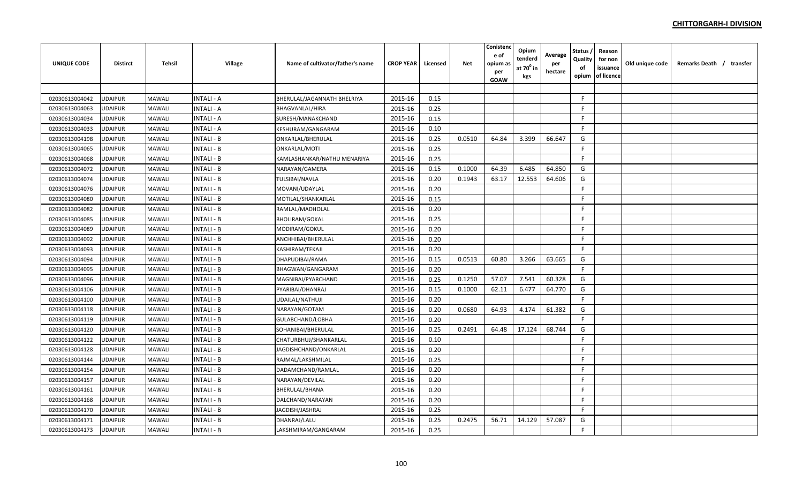| <b>UNIQUE CODE</b> | <b>Distirct</b> | <b>Tehsil</b> | Village           | Name of cultivator/father's name | <b>CROP YEAR</b> | Licensed | Net    | Conistend<br>e of<br>opium a:<br>per<br>GOAW | Opium<br>tenderd<br>at $70^0$ in<br>kgs | Average<br>per<br>hectare | Status<br>Quality<br>of<br>opium | Reason<br>for non<br>issuance<br>of licence | Old unique code | Remarks Death / transfer |  |
|--------------------|-----------------|---------------|-------------------|----------------------------------|------------------|----------|--------|----------------------------------------------|-----------------------------------------|---------------------------|----------------------------------|---------------------------------------------|-----------------|--------------------------|--|
|                    |                 |               |                   |                                  |                  |          |        |                                              |                                         |                           |                                  |                                             |                 |                          |  |
| 02030613004042     | UDAIPUR         | MAWALI        | <b>INTALI - A</b> | BHERULAL/JAGANNATH BHELRIYA      | 2015-16          | 0.15     |        |                                              |                                         |                           | F.                               |                                             |                 |                          |  |
| 02030613004063     | JDAIPUR         | MAWALI        | <b>INTALI - A</b> | BHAGVANLAL/HIRA                  | 2015-16          | 0.25     |        |                                              |                                         |                           | F                                |                                             |                 |                          |  |
| 02030613004034     | <b>UDAIPUR</b>  | MAWALI        | <b>INTALI - A</b> | SURESH/MANAKCHAND                | 2015-16          | 0.15     |        |                                              |                                         |                           | F                                |                                             |                 |                          |  |
| 02030613004033     | UDAIPUR         | MAWALI        | <b>INTALI - A</b> | KESHURAM/GANGARAM                | 2015-16          | 0.10     |        |                                              |                                         |                           | F.                               |                                             |                 |                          |  |
| 02030613004198     | UDAIPUR         | MAWALI        | <b>INTALI - B</b> | ONKARLAL/BHERULAL                | 2015-16          | 0.25     | 0.0510 | 64.84                                        | 3.399                                   | 66.647                    | G                                |                                             |                 |                          |  |
| 02030613004065     | UDAIPUR         | MAWALI        | INTALI - B        | ONKARLAL/MOTI                    | 2015-16          | 0.25     |        |                                              |                                         |                           | F.                               |                                             |                 |                          |  |
| 02030613004068     | JDAIPUR         | MAWALI        | INTALI - B        | KAMLASHANKAR/NATHU MENARIYA      | 2015-16          | 0.25     |        |                                              |                                         |                           | F.                               |                                             |                 |                          |  |
| 02030613004072     | UDAIPUR         | MAWALI        | <b>INTALI - B</b> | NARAYAN/GAMERA                   | 2015-16          | 0.15     | 0.1000 | 64.39                                        | 6.485                                   | 64.850                    | G                                |                                             |                 |                          |  |
| 02030613004074     | <b>UDAIPUR</b>  | MAWALI        | INTALI - B        | TULSIBAI/NAVLA                   | 2015-16          | 0.20     | 0.1943 | 63.17                                        | 12.553                                  | 64.606                    | G                                |                                             |                 |                          |  |
| 02030613004076     | UDAIPUR         | MAWALI        | <b>INTALI - B</b> | MOVANI/UDAYLAL                   | 2015-16          | 0.20     |        |                                              |                                         |                           | F.                               |                                             |                 |                          |  |
| 02030613004080     | UDAIPUR         | MAWALI        | <b>INTALI - B</b> | MOTILAL/SHANKARLAL               | 2015-16          | 0.15     |        |                                              |                                         |                           | F.                               |                                             |                 |                          |  |
| 02030613004082     | UDAIPUR         | MAWALI        | INTALI - B        | RAMLAL/MADHOLAL                  | 2015-16          | 0.20     |        |                                              |                                         |                           | F                                |                                             |                 |                          |  |
| 02030613004085     | <b>JDAIPUR</b>  | MAWALI        | INTALI - B        | <b>BHOLIRAM/GOKAL</b>            | 2015-16          | 0.25     |        |                                              |                                         |                           | F                                |                                             |                 |                          |  |
| 02030613004089     | <b>UDAIPUR</b>  | MAWALI        | <b>INTALI - B</b> | MODIRAM/GOKUL                    | 2015-16          | 0.20     |        |                                              |                                         |                           | F                                |                                             |                 |                          |  |
| 02030613004092     | UDAIPUR         | MAWALI        | <b>INTALI - B</b> | ANCHHIBAI/BHERULAL               | 2015-16          | 0.20     |        |                                              |                                         |                           | F                                |                                             |                 |                          |  |
| 02030613004093     | UDAIPUR         | MAWALI        | <b>INTALI - B</b> | KASHIRAM/TEKAJI                  | 2015-16          | 0.20     |        |                                              |                                         |                           | F.                               |                                             |                 |                          |  |
| 02030613004094     | UDAIPUR         | MAWALI        | INTALI - B        | DHAPUDIBAI/RAMA                  | 2015-16          | 0.15     | 0.0513 | 60.80                                        | 3.266                                   | 63.665                    | G                                |                                             |                 |                          |  |
| 02030613004095     | UDAIPUR         | MAWALI        | INTALI - B        | BHAGWAN/GANGARAM                 | 2015-16          | 0.20     |        |                                              |                                         |                           | F.                               |                                             |                 |                          |  |
| 02030613004096     | <b>JDAIPUR</b>  | MAWALI        | INTALI - B        | MAGNIBAI/PYARCHAND               | 2015-16          | 0.25     | 0.1250 | 57.07                                        | 7.541                                   | 60.328                    | G                                |                                             |                 |                          |  |
| 02030613004106     | <b>UDAIPUR</b>  | MAWALI        | INTALI - B        | PYARIBAI/DHANRAJ                 | 2015-16          | 0.15     | 0.1000 | 62.11                                        | 6.477                                   | 64.770                    | G                                |                                             |                 |                          |  |
| 02030613004100     | <b>UDAIPUR</b>  | MAWALI        | <b>INTALI - B</b> | UDAILAL/NATHUJI                  | 2015-16          | 0.20     |        |                                              |                                         |                           | F                                |                                             |                 |                          |  |
| 02030613004118     | UDAIPUR         | MAWALI        | <b>INTALI - B</b> | NARAYAN/GOTAM                    | 2015-16          | 0.20     | 0.0680 | 64.93                                        | 4.174                                   | 61.382                    | G                                |                                             |                 |                          |  |
| 02030613004119     | <b>UDAIPUR</b>  | MAWALI        | <b>INTALI - B</b> | GULABCHAND/LOBHA                 | 2015-16          | 0.20     |        |                                              |                                         |                           | F.                               |                                             |                 |                          |  |
| 02030613004120     | UDAIPUR         | MAWALI        | <b>INTALI - B</b> | SOHANIBAI/BHERULAL               | 2015-16          | 0.25     | 0.2491 | 64.48                                        | 17.124                                  | 68.744                    | G                                |                                             |                 |                          |  |
| 02030613004122     | <b>JDAIPUR</b>  | MAWALI        | <b>INTALI - B</b> | CHATURBHUJ/SHANKARLAL            | 2015-16          | 0.10     |        |                                              |                                         |                           | F                                |                                             |                 |                          |  |
| 02030613004128     | <b>UDAIPUR</b>  | MAWALI        | <b>INTALI - B</b> | JAGDISHCHAND/ONKARLAL            | 2015-16          | 0.20     |        |                                              |                                         |                           | F                                |                                             |                 |                          |  |
| 02030613004144     | <b>UDAIPUR</b>  | MAWALI        | <b>INTALI - B</b> | RAJMAL/LAKSHMILAL                | 2015-16          | 0.25     |        |                                              |                                         |                           | F                                |                                             |                 |                          |  |
| 02030613004154     | <b>UDAIPUR</b>  | MAWALI        | <b>INTALI - B</b> | DADAMCHAND/RAMLAL                | 2015-16          | 0.20     |        |                                              |                                         |                           | F.                               |                                             |                 |                          |  |
| 02030613004157     | UDAIPUR         | MAWALI        | INTALI - B        | NARAYAN/DEVILAL                  | 2015-16          | 0.20     |        |                                              |                                         |                           | F.                               |                                             |                 |                          |  |
| 02030613004161     | JDAIPUR         | MAWALI        | <b>INTALI - B</b> | BHERULAL/BHANA                   | 2015-16          | 0.20     |        |                                              |                                         |                           | F.                               |                                             |                 |                          |  |
| 02030613004168     | <b>UDAIPUR</b>  | MAWALI        | <b>INTALI - B</b> | DALCHAND/NARAYAN                 | 2015-16          | 0.20     |        |                                              |                                         |                           | F                                |                                             |                 |                          |  |
| 02030613004170     | UDAIPUR         | MAWALI        | <b>INTALI - B</b> | JAGDISH/JASHRAJ                  | 2015-16          | 0.25     |        |                                              |                                         |                           | F                                |                                             |                 |                          |  |
| 02030613004171     | <b>JDAIPUR</b>  | MAWALI        | <b>INTALI - B</b> | DHANRAJ/LALU                     | 2015-16          | 0.25     | 0.2475 | 56.71                                        | 14.129                                  | 57.087                    | G                                |                                             |                 |                          |  |
| 02030613004173     | UDAIPUR         | MAWALI        | <b>INTALI - B</b> | LAKSHMIRAM/GANGARAM              | 2015-16          | 0.25     |        |                                              |                                         |                           | F.                               |                                             |                 |                          |  |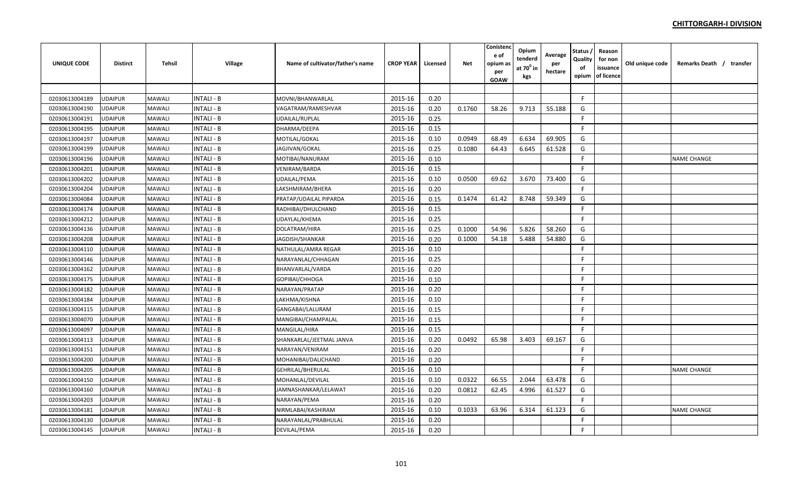| <b>UNIQUE CODE</b> | <b>Distirct</b> | Tehsil | Village           | Name of cultivator/father's name | <b>CROP YEAR</b> | Licensed | Net    | Conistend<br>e of<br>opium a:<br>per<br>GOAW | Opium<br>tenderd<br>at $70^0$ in<br>kgs | Average<br>per<br>hectare | Status<br>Quality<br>of<br>opium | Reason<br>for non<br>issuance<br>of licence | Old unique code | Remarks Death / transfer |  |
|--------------------|-----------------|--------|-------------------|----------------------------------|------------------|----------|--------|----------------------------------------------|-----------------------------------------|---------------------------|----------------------------------|---------------------------------------------|-----------------|--------------------------|--|
|                    |                 |        |                   |                                  |                  |          |        |                                              |                                         |                           |                                  |                                             |                 |                          |  |
| 02030613004189     | UDAIPUR         | MAWALI | <b>INTALI - B</b> | MOVNI/BHANWARLAL                 | 2015-16          | 0.20     |        |                                              |                                         |                           | F.                               |                                             |                 |                          |  |
| 02030613004190     | <b>JDAIPUR</b>  | MAWALI | <b>INTALI - B</b> | VAGATRAM/RAMESHVAR               | 2015-16          | 0.20     | 0.1760 | 58.26                                        | 9.713                                   | 55.188                    | G                                |                                             |                 |                          |  |
| 02030613004191     | <b>UDAIPUR</b>  | MAWALI | <b>INTALI - B</b> | UDAILAL/RUPLAL                   | 2015-16          | 0.25     |        |                                              |                                         |                           | F                                |                                             |                 |                          |  |
| 02030613004195     | UDAIPUR         | MAWALI | <b>INTALI - B</b> | DHARMA/DEEPA                     | 2015-16          | 0.15     |        |                                              |                                         |                           | F                                |                                             |                 |                          |  |
| 02030613004197     | <b>UDAIPUR</b>  | MAWALI | <b>INTALI - B</b> | MOTILAL/GOKAL                    | 2015-16          | 0.10     | 0.0949 | 68.49                                        | 6.634                                   | 69.905                    | G                                |                                             |                 |                          |  |
| 02030613004199     | UDAIPUR         | MAWALI | <b>INTALI - B</b> | JAGJIVAN/GOKAL                   | 2015-16          | 0.25     | 0.1080 | 64.43                                        | 6.645                                   | 61.528                    | G                                |                                             |                 |                          |  |
| 02030613004196     | UDAIPUR         | MAWALI | INTALI - B        | MOTIBAI/NANURAM                  | 2015-16          | 0.10     |        |                                              |                                         |                           | F.                               |                                             |                 | <b>NAME CHANGE</b>       |  |
| 02030613004201     | <b>UDAIPUR</b>  | MAWALI | <b>INTALI - B</b> | VENIRAM/BARDA                    | 2015-16          | 0.15     |        |                                              |                                         |                           | F.                               |                                             |                 |                          |  |
| 02030613004202     | <b>UDAIPUR</b>  | MAWALI | <b>INTALI - B</b> | UDAILAL/PEMA                     | 2015-16          | 0.10     | 0.0500 | 69.62                                        | 3.670                                   | 73.400                    | G                                |                                             |                 |                          |  |
| 02030613004204     | <b>UDAIPUR</b>  | MAWALI | <b>INTALI - B</b> | LAKSHMIRAM/BHERA                 | 2015-16          | 0.20     |        |                                              |                                         |                           | F.                               |                                             |                 |                          |  |
| 02030613004084     | <b>UDAIPUR</b>  | MAWALI | <b>INTALI - B</b> | PRATAP/UDAILAL PIPARDA           | 2015-16          | 0.15     | 0.1474 | 61.42                                        | 8.748                                   | 59.349                    | G                                |                                             |                 |                          |  |
| 02030613004174     | <b>UDAIPUR</b>  | MAWALI | <b>INTALI - B</b> | RADHIBAI/DHULCHAND               | 2015-16          | 0.15     |        |                                              |                                         |                           | F.                               |                                             |                 |                          |  |
| 02030613004212     | <b>JDAIPUR</b>  | MAWALI | INTALI - B        | UDAYLAL/KHEMA                    | 2015-16          | 0.25     |        |                                              |                                         |                           | F.                               |                                             |                 |                          |  |
| 02030613004136     | <b>JDAIPUR</b>  | MAWALI | <b>INTALI - B</b> | DOLATRAM/HIRA                    | 2015-16          | 0.25     | 0.1000 | 54.96                                        | 5.826                                   | 58.260                    | G                                |                                             |                 |                          |  |
| 02030613004208     | <b>UDAIPUR</b>  | MAWALI | <b>INTALI - B</b> | JAGDISH/SHANKAR                  | 2015-16          | 0.20     | 0.1000 | 54.18                                        | 5.488                                   | 54.880                    | G                                |                                             |                 |                          |  |
| 02030613004110     | <b>UDAIPUR</b>  | MAWALI | <b>INTALI - B</b> | NATHULAL/AMRA REGAR              | 2015-16          | 0.10     |        |                                              |                                         |                           | F                                |                                             |                 |                          |  |
| 02030613004146     | <b>UDAIPUR</b>  | MAWALI | <b>INTALI - B</b> | NARAYANLAL/CHHAGAN               | 2015-16          | 0.25     |        |                                              |                                         |                           | F.                               |                                             |                 |                          |  |
| 02030613004162     | UDAIPUR         | MAWALI | <b>INTALI - B</b> | BHANVARLAL/VARDA                 | 2015-16          | 0.20     |        |                                              |                                         |                           | F.                               |                                             |                 |                          |  |
| 02030613004175     | UDAIPUR         | MAWALI | INTALI - B        | GOPIBAI/CHHOGA                   | 2015-16          | 0.10     |        |                                              |                                         |                           | F.                               |                                             |                 |                          |  |
| 02030613004182     | <b>UDAIPUR</b>  | MAWALI | <b>INTALI - B</b> | NARAYAN/PRATAP                   | 2015-16          | 0.20     |        |                                              |                                         |                           | F                                |                                             |                 |                          |  |
| 02030613004184     | <b>UDAIPUR</b>  | MAWALI | <b>INTALI - B</b> | LAKHMA/KISHNA                    | 2015-16          | 0.10     |        |                                              |                                         |                           | F                                |                                             |                 |                          |  |
| 02030613004115     | <b>UDAIPUR</b>  | MAWALI | <b>INTALI - B</b> | GANGABAI/LALURAM                 | 2015-16          | 0.15     |        |                                              |                                         |                           | F                                |                                             |                 |                          |  |
| 02030613004070     | <b>UDAIPUR</b>  | MAWALI | <b>INTALI - B</b> | MANGIBAI/CHAMPALAL               | 2015-16          | 0.15     |        |                                              |                                         |                           | F.                               |                                             |                 |                          |  |
| 02030613004097     | <b>UDAIPUR</b>  | MAWALI | <b>INTALI - B</b> | MANGILAL/HIRA                    | 2015-16          | 0.15     |        |                                              |                                         |                           | F                                |                                             |                 |                          |  |
| 02030613004113     | <b>JDAIPUR</b>  | MAWALI | <b>INTALI - B</b> | SHANKARLAL/JEETMAL JANVA         | 2015-16          | 0.20     | 0.0492 | 65.98                                        | 3.403                                   | 69.167                    | G                                |                                             |                 |                          |  |
| 02030613004151     | <b>UDAIPUR</b>  | MAWALI | <b>INTALI - B</b> | NARAYAN/VENIRAM                  | 2015-16          | 0.20     |        |                                              |                                         |                           | F                                |                                             |                 |                          |  |
| 02030613004200     | <b>UDAIPUR</b>  | MAWALI | <b>INTALI - B</b> | MOHANIBAI/DALICHAND              | 2015-16          | 0.20     |        |                                              |                                         |                           | F                                |                                             |                 |                          |  |
| 02030613004205     | <b>JDAIPUR</b>  | MAWALI | <b>INTALI - B</b> | GEHRILAL/BHERULAL                | 2015-16          | 0.10     |        |                                              |                                         |                           | F                                |                                             |                 | <b>NAME CHANGE</b>       |  |
| 02030613004150     | <b>UDAIPUR</b>  | MAWALI | <b>INTALI - B</b> | MOHANLAL/DEVILAL                 | 2015-16          | 0.10     | 0.0322 | 66.55                                        | 2.044                                   | 63.478                    | G                                |                                             |                 |                          |  |
| 02030613004160     | UDAIPUR         | MAWALI | INTALI - B        | JAMNASHANKAR/LELAWAT             | 2015-16          | 0.20     | 0.0812 | 62.45                                        | 4.996                                   | 61.527                    | G                                |                                             |                 |                          |  |
| 02030613004203     | JDAIPUR         | MAWALI | <b>INTALI - B</b> | NARAYAN/PEMA                     | 2015-16          | 0.20     |        |                                              |                                         |                           | F.                               |                                             |                 |                          |  |
| 02030613004181     | UDAIPUR         | MAWALI | <b>INTALI - B</b> | NIRMLABAI/KASHIRAM               | 2015-16          | 0.10     | 0.1033 | 63.96                                        | 6.314                                   | 61.123                    | G                                |                                             |                 | <b>NAME CHANGE</b>       |  |
| 02030613004130     | <b>JDAIPUR</b>  | MAWALI | <b>INTALI - B</b> | NARAYANLAL/PRABHULAL             | 2015-16          | 0.20     |        |                                              |                                         |                           | F                                |                                             |                 |                          |  |
| 02030613004145     | <b>JDAIPUR</b>  | MAWALI | <b>INTALI - B</b> | DEVILAL/PEMA                     | 2015-16          | 0.20     |        |                                              |                                         |                           | F                                |                                             |                 |                          |  |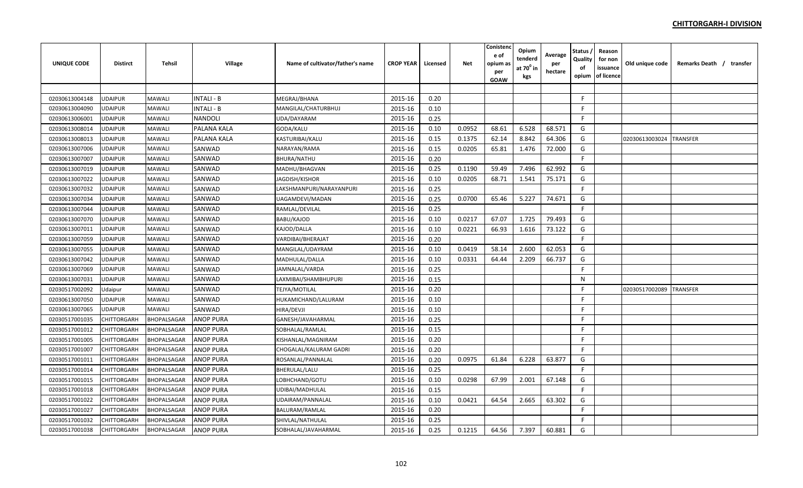| <b>UNIQUE CODE</b> | Distirct       | <b>Tehsil</b> | Village           | Name of cultivator/father's name | <b>CROP YEAR</b> | Licensed | Net    | Conistenc<br>e of<br>opium a:<br>per<br>GOAW | Opium<br>tenderd<br>at $70^0$ in<br>kgs | Average<br>per<br>hectare | Status<br>Quality<br>of<br>opium | Reason<br>for non<br>issuance<br>of licence | Old unique code | Remarks Death / transfer |
|--------------------|----------------|---------------|-------------------|----------------------------------|------------------|----------|--------|----------------------------------------------|-----------------------------------------|---------------------------|----------------------------------|---------------------------------------------|-----------------|--------------------------|
|                    |                |               |                   |                                  |                  |          |        |                                              |                                         |                           |                                  |                                             |                 |                          |
| 02030613004148     | UDAIPUR        | MAWALI        | <b>INTALI - B</b> | MEGRAJ/BHANA                     | 2015-16          | 0.20     |        |                                              |                                         |                           | F.                               |                                             |                 |                          |
| 02030613004090     | <b>JDAIPUR</b> | MAWALI        | <b>INTALI - B</b> | MANGILAL/CHATURBHUJ              | 2015-16          | 0.10     |        |                                              |                                         |                           | F                                |                                             |                 |                          |
| 02030613006001     | UDAIPUR        | MAWALI        | <b>NANDOLI</b>    | UDA/DAYARAM                      | 2015-16          | 0.25     |        |                                              |                                         |                           | F                                |                                             |                 |                          |
| 02030613008014     | UDAIPUR        | MAWALI        | PALANA KALA       | GODA/KALU                        | 2015-16          | 0.10     | 0.0952 | 68.61                                        | 6.528                                   | 68.571                    | G                                |                                             |                 |                          |
| 02030613008013     | <b>UDAIPUR</b> | MAWALI        | PALANA KALA       | KASTURIBAI/KALU                  | 2015-16          | 0.15     | 0.1375 | 62.14                                        | 8.842                                   | 64.306                    | G                                |                                             | 02030613003024  | <b>TRANSFER</b>          |
| 02030613007006     | UDAIPUR        | MAWALI        | SANWAD            | NARAYAN/RAMA                     | 2015-16          | 0.15     | 0.0205 | 65.81                                        | 1.476                                   | 72.000                    | G                                |                                             |                 |                          |
| 02030613007007     | UDAIPUR        | MAWALI        | SANWAD            | BHURA/NATHU                      | 2015-16          | 0.20     |        |                                              |                                         |                           | F.                               |                                             |                 |                          |
| 02030613007019     | <b>JDAIPUR</b> | MAWALI        | SANWAD            | MADHU/BHAGVAN                    | 2015-16          | 0.25     | 0.1190 | 59.49                                        | 7.496                                   | 62.992                    | G                                |                                             |                 |                          |
| 02030613007022     | <b>UDAIPUR</b> | MAWALI        | SANWAD            | JAGDISH/KISHOR                   | 2015-16          | 0.10     | 0.0205 | 68.71                                        | 1.541                                   | 75.171                    | G                                |                                             |                 |                          |
| 02030613007032     | <b>UDAIPUR</b> | MAWALI        | SANWAD            | LAKSHMANPURI/NARAYANPURI         | 2015-16          | 0.25     |        |                                              |                                         |                           | F.                               |                                             |                 |                          |
| 02030613007034     | <b>UDAIPUR</b> | MAWALI        | SANWAD            | UAGAMDEVI/MADAN                  | 2015-16          | 0.25     | 0.0700 | 65.46                                        | 5.227                                   | 74.671                    | G                                |                                             |                 |                          |
| 02030613007044     | <b>UDAIPUR</b> | MAWALI        | SANWAD            | RAMLAL/DEVILAL                   | 2015-16          | 0.25     |        |                                              |                                         |                           | F.                               |                                             |                 |                          |
| 02030613007070     | UDAIPUR        | MAWALI        | SANWAD            | BABU/KAJOD                       | 2015-16          | 0.10     | 0.0217 | 67.07                                        | 1.725                                   | 79.493                    | G                                |                                             |                 |                          |
| 02030613007011     | <b>UDAIPUR</b> | MAWALI        | SANWAD            | KAJOD/DALLA                      | 2015-16          | 0.10     | 0.0221 | 66.93                                        | 1.616                                   | 73.122                    | G                                |                                             |                 |                          |
| 02030613007059     | <b>UDAIPUR</b> | MAWALI        | SANWAD            | VARDIBAI/BHERAJAT                | 2015-16          | 0.20     |        |                                              |                                         |                           | F                                |                                             |                 |                          |
| 02030613007055     | <b>UDAIPUR</b> | MAWALI        | SANWAD            | MANGILAL/UDAYRAM                 | 2015-16          | 0.10     | 0.0419 | 58.14                                        | 2.600                                   | 62.053                    | G                                |                                             |                 |                          |
| 02030613007042     | <b>UDAIPUR</b> | MAWALI        | SANWAD            | MADHULAL/DALLA                   | 2015-16          | 0.10     | 0.0331 | 64.44                                        | 2.209                                   | 66.737                    | G                                |                                             |                 |                          |
| 02030613007069     | UDAIPUR        | MAWALI        | SANWAD            | JAMNALAL/VARDA                   | 2015-16          | 0.25     |        |                                              |                                         |                           | F.                               |                                             |                 |                          |
| 02030613007031     | UDAIPUR        | MAWALI        | SANWAD            | LAXMIBAI/SHAMBHUPURI             | 2015-16          | 0.15     |        |                                              |                                         |                           | $\mathsf{N}$                     |                                             |                 |                          |
| 02030517002092     | Udaipur        | MAWALI        | SANWAD            | TEJYA/MOTILAL                    | 2015-16          | 0.20     |        |                                              |                                         |                           | F                                |                                             | 02030517002089  | <b>TRANSFER</b>          |
| 02030613007050     | UDAIPUR        | MAWALI        | SANWAD            | HUKAMICHAND/LALURAM              | 2015-16          | 0.10     |        |                                              |                                         |                           | F                                |                                             |                 |                          |
| 02030613007065     | <b>UDAIPUR</b> | MAWALI        | SANWAD            | HIRA/DEVJI                       | 2015-16          | 0.10     |        |                                              |                                         |                           | F                                |                                             |                 |                          |
| 02030517001035     | CHITTORGARH    | BHOPALSAGAR   | <b>ANOP PURA</b>  | GANESH/JAVAHARMAL                | 2015-16          | 0.25     |        |                                              |                                         |                           | F.                               |                                             |                 |                          |
| 02030517001012     | CHITTORGARH    | BHOPALSAGAR   | <b>ANOP PURA</b>  | SOBHALAL/RAMLAL                  | 2015-16          | 0.15     |        |                                              |                                         |                           | F                                |                                             |                 |                          |
| 02030517001005     | CHITTORGARH    | BHOPALSAGAR   | <b>ANOP PURA</b>  | KISHANLAL/MAGNIRAM               | 2015-16          | 0.20     |        |                                              |                                         |                           | F                                |                                             |                 |                          |
| 02030517001007     | CHITTORGARH    | BHOPALSAGAR   | <b>ANOP PURA</b>  | CHOGALAL/KALURAM GADRI           | 2015-16          | 0.20     |        |                                              |                                         |                           | F                                |                                             |                 |                          |
| 02030517001011     | CHITTORGARH    | BHOPALSAGAR   | <b>ANOP PURA</b>  | ROSANLAL/PANNALAL                | 2015-16          | 0.20     | 0.0975 | 61.84                                        | 6.228                                   | 63.877                    | G                                |                                             |                 |                          |
| 02030517001014     | CHITTORGARH    | BHOPALSAGAR   | <b>ANOP PURA</b>  | BHERULAL/LALU                    | 2015-16          | 0.25     |        |                                              |                                         |                           | F.                               |                                             |                 |                          |
| 02030517001015     | CHITTORGARH    | BHOPALSAGAR   | <b>ANOP PURA</b>  | LOBHCHAND/GOTU                   | 2015-16          | 0.10     | 0.0298 | 67.99                                        | 2.001                                   | 67.148                    | G                                |                                             |                 |                          |
| 02030517001018     | CHITTORGARH    | BHOPALSAGAR   | <b>ANOP PURA</b>  | UDIBAI/MADHULAL                  | 2015-16          | 0.15     |        |                                              |                                         |                           | F.                               |                                             |                 |                          |
| 02030517001022     | CHITTORGARH    | BHOPALSAGAR   | <b>ANOP PURA</b>  | UDAIRAM/PANNALAL                 | 2015-16          | 0.10     | 0.0421 | 64.54                                        | 2.665                                   | 63.302                    | G                                |                                             |                 |                          |
| 02030517001027     | CHITTORGARH    | BHOPALSAGAR   | <b>ANOP PURA</b>  | BALURAM/RAMLAL                   | 2015-16          | 0.20     |        |                                              |                                         |                           | F                                |                                             |                 |                          |
| 02030517001032     | CHITTORGARH    | BHOPALSAGAR   | <b>ANOP PURA</b>  | SHIVLAL/NATHULAL                 | 2015-16          | 0.25     |        |                                              |                                         |                           | F                                |                                             |                 |                          |
| 02030517001038     | CHITTORGARH    | BHOPALSAGAR   | <b>ANOP PURA</b>  | SOBHALAL/JAVAHARMAL              | 2015-16          | 0.25     | 0.1215 | 64.56                                        | 7.397                                   | 60.881                    | G                                |                                             |                 |                          |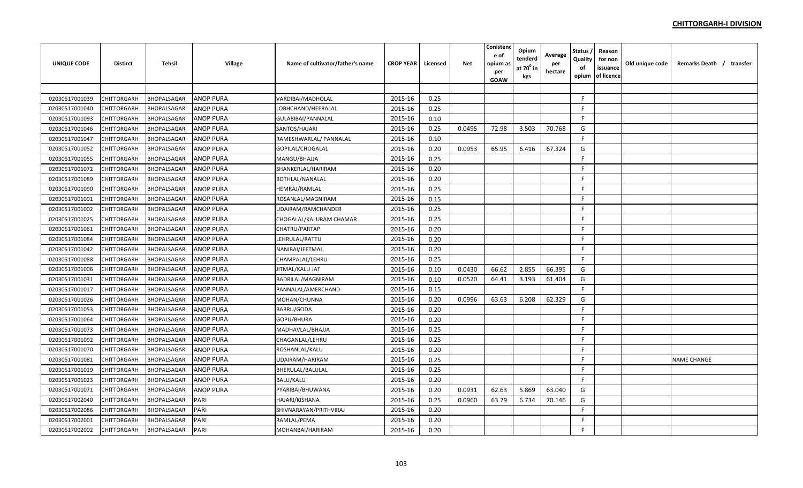| <b>UNIQUE CODE</b> | <b>Distirct</b>    | <b>Tehsil</b>      | Village          | Name of cultivator/father's name | <b>CROP YEAR</b> | Licensed | <b>Net</b> | Conistend<br>e of<br>opium a:<br>per<br>GOAW | Opium<br>tenderd<br>at $70^0$ in<br>kgs | Average<br>per<br>hectare | <b>Status</b><br>Quality<br>of<br>opium | Reason<br>for non<br>issuance<br>of licence | Old unique code | Remarks Death / transfer |
|--------------------|--------------------|--------------------|------------------|----------------------------------|------------------|----------|------------|----------------------------------------------|-----------------------------------------|---------------------------|-----------------------------------------|---------------------------------------------|-----------------|--------------------------|
|                    |                    |                    |                  |                                  |                  |          |            |                                              |                                         |                           |                                         |                                             |                 |                          |
| 02030517001039     | CHITTORGARH        | BHOPALSAGAR        | <b>ANOP PURA</b> | VARDIBAI/MADHOLAL                | 2015-16          | 0.25     |            |                                              |                                         |                           | F.                                      |                                             |                 |                          |
| 02030517001040     | CHITTORGARH        | BHOPALSAGAR        | <b>ANOP PURA</b> | LOBHCHAND/HEERALAL               | 2015-16          | 0.25     |            |                                              |                                         |                           | F.                                      |                                             |                 |                          |
| 02030517001093     | CHITTORGARH        | BHOPALSAGAR        | <b>ANOP PURA</b> | GULABIBAI/PANNALAL               | 2015-16          | 0.10     |            |                                              |                                         |                           | F.                                      |                                             |                 |                          |
| 02030517001046     | CHITTORGARH        | BHOPALSAGAR        | <b>ANOP PURA</b> | SANTOS/HAJARI                    | 2015-16          | 0.25     | 0.0495     | 72.98                                        | 3.503                                   | 70.768                    | G                                       |                                             |                 |                          |
| 02030517001047     | CHITTORGARH        | BHOPALSAGAR        | <b>ANOP PURA</b> | RAMESHWARLAL/ PANNALAL           | 2015-16          | 0.10     |            |                                              |                                         |                           | F.                                      |                                             |                 |                          |
| 02030517001052     | CHITTORGARH        | BHOPALSAGAR        | <b>ANOP PURA</b> | GOPILAL/CHOGALAL                 | 2015-16          | 0.20     | 0.0953     | 65.95                                        | 6.416                                   | 67.324                    | G                                       |                                             |                 |                          |
| 02030517001055     | CHITTORGARH        | BHOPALSAGAR        | <b>ANOP PURA</b> | MANGU/BHAJJA                     | 2015-16          | 0.25     |            |                                              |                                         |                           | F.                                      |                                             |                 |                          |
| 02030517001072     | CHITTORGARH        | BHOPALSAGAR        | <b>ANOP PURA</b> | SHANKERLAL/HARIRAM               | 2015-16          | 0.20     |            |                                              |                                         |                           | F.                                      |                                             |                 |                          |
| 02030517001089     | CHITTORGARH        | BHOPALSAGAR        | <b>ANOP PURA</b> | BOTHLAL/NANALAL                  | 2015-16          | 0.20     |            |                                              |                                         |                           | F.                                      |                                             |                 |                          |
| 02030517001090     | CHITTORGARH        | BHOPALSAGAR        | <b>ANOP PURA</b> | HEMRAJ/RAMLAL                    | 2015-16          | 0.25     |            |                                              |                                         |                           | F.                                      |                                             |                 |                          |
| 02030517001001     | <b>CHITTORGARH</b> | BHOPALSAGAR        | <b>ANOP PURA</b> | ROSANLAL/MAGNIRAM                | 2015-16          | 0.15     |            |                                              |                                         |                           | F.                                      |                                             |                 |                          |
| 02030517001002     | CHITTORGARH        | BHOPALSAGAR        | <b>ANOP PURA</b> | UDAIRAM/RAMCHANDER               | 2015-16          | 0.25     |            |                                              |                                         |                           | F.                                      |                                             |                 |                          |
| 02030517001025     | CHITTORGARH        | BHOPALSAGAR        | <b>ANOP PURA</b> | CHOGALAL/KALURAM CHAMAR          | 2015-16          | 0.25     |            |                                              |                                         |                           | F.                                      |                                             |                 |                          |
| 02030517001061     | CHITTORGARH        | BHOPALSAGAR        | <b>ANOP PURA</b> | CHATRU/PARTAP                    | 2015-16          | 0.20     |            |                                              |                                         |                           | F.                                      |                                             |                 |                          |
| 02030517001084     | CHITTORGARH        | BHOPALSAGAR        | <b>ANOP PURA</b> | LEHRULAL/RATTU                   | 2015-16          | 0.20     |            |                                              |                                         |                           | F.                                      |                                             |                 |                          |
| 02030517001042     | CHITTORGARH        | BHOPALSAGAR        | <b>ANOP PURA</b> | NANIBAI/JEETMAL                  | 2015-16          | 0.20     |            |                                              |                                         |                           | F.                                      |                                             |                 |                          |
| 02030517001088     | CHITTORGARH        | BHOPALSAGAR        | <b>ANOP PURA</b> | CHAMPALAL/LEHRU                  | 2015-16          | 0.25     |            |                                              |                                         |                           | F.                                      |                                             |                 |                          |
| 02030517001006     | CHITTORGARH        | BHOPALSAGAR        | <b>ANOP PURA</b> | JITMAL/KALU JAT                  | 2015-16          | 0.10     | 0.0430     | 66.62                                        | 2.855                                   | 66.395                    | G                                       |                                             |                 |                          |
| 02030517001031     | CHITTORGARH        | BHOPALSAGAR        | <b>ANOP PURA</b> | BADRILAL/MAGNIRAM                | 2015-16          | 0.10     | 0.0520     | 64.41                                        | 3.193                                   | 61.404                    | G                                       |                                             |                 |                          |
| 02030517001017     | CHITTORGARH        | BHOPALSAGAR        | <b>ANOP PURA</b> | PANNALAL/AMERCHAND               | 2015-16          | 0.15     |            |                                              |                                         |                           | F.                                      |                                             |                 |                          |
| 02030517001026     | CHITTORGARH        | BHOPALSAGAR        | <b>ANOP PURA</b> | MOHAN/CHUNNA                     | 2015-16          | 0.20     | 0.0996     | 63.63                                        | 6.208                                   | 62.329                    | G                                       |                                             |                 |                          |
| 02030517001053     | CHITTORGARH        | BHOPALSAGAR        | <b>ANOP PURA</b> | BABRU/GODA                       | 2015-16          | 0.20     |            |                                              |                                         |                           | E                                       |                                             |                 |                          |
| 02030517001064     | CHITTORGARH        | BHOPALSAGAR        | <b>ANOP PURA</b> | GOPU/BHURA                       | 2015-16          | 0.20     |            |                                              |                                         |                           | E                                       |                                             |                 |                          |
| 02030517001073     | CHITTORGARH        | BHOPALSAGAR        | <b>ANOP PURA</b> | MADHAVLAL/BHAJJA                 | 2015-16          | 0.25     |            |                                              |                                         |                           | F.                                      |                                             |                 |                          |
| 02030517001092     | CHITTORGARH        | BHOPALSAGAR        | <b>ANOP PURA</b> | CHAGANLAL/LEHRU                  | 2015-16          | 0.25     |            |                                              |                                         |                           | F.                                      |                                             |                 |                          |
| 02030517001070     | CHITTORGARH        | BHOPALSAGAR        | <b>ANOP PURA</b> | ROSHANLAL/KALU                   | 2015-16          | 0.20     |            |                                              |                                         |                           | F.                                      |                                             |                 |                          |
| 02030517001081     | CHITTORGARH        | <b>BHOPALSAGAR</b> | <b>ANOP PURA</b> | UDAIRAM/HARIRAM                  | 2015-16          | 0.25     |            |                                              |                                         |                           | F.                                      |                                             |                 | <b>NAME CHANGE</b>       |
| 02030517001019     | CHITTORGARH        | BHOPALSAGAR        | <b>ANOP PURA</b> | BHERULAL/BALULAL                 | 2015-16          | 0.25     |            |                                              |                                         |                           | F.                                      |                                             |                 |                          |
| 02030517001023     | CHITTORGARH        | BHOPALSAGAR        | <b>ANOP PURA</b> | BALU/KALU                        | 2015-16          | 0.20     |            |                                              |                                         |                           | F.                                      |                                             |                 |                          |
| 02030517001071     | CHITTORGARH        | BHOPALSAGAR        | <b>ANOP PURA</b> | PYARIBAI/BHUWANA                 | 2015-16          | 0.20     | 0.0931     | 62.63                                        | 5.869                                   | 63.040                    | G                                       |                                             |                 |                          |
| 02030517002040     | CHITTORGARH        | BHOPALSAGAR        | PARI             | HAJARI/KISHANA                   | 2015-16          | 0.25     | 0.0960     | 63.79                                        | 6.734                                   | 70.146                    | G                                       |                                             |                 |                          |
| 02030517002086     | CHITTORGARH        | BHOPALSAGAR        | PARI             | SHIVNARAYAN/PRITHVIRAJ           | 2015-16          | 0.20     |            |                                              |                                         |                           | F.                                      |                                             |                 |                          |
| 02030517002001     | CHITTORGARH        | BHOPALSAGAR        | PARI             | RAMLAL/PEMA                      | 2015-16          | 0.20     |            |                                              |                                         |                           | F.                                      |                                             |                 |                          |
| 02030517002002     | CHITTORGARH        | BHOPALSAGAR        | PARI             | MOHANBAI/HARIRAM                 | 2015-16          | 0.20     |            |                                              |                                         |                           | F                                       |                                             |                 |                          |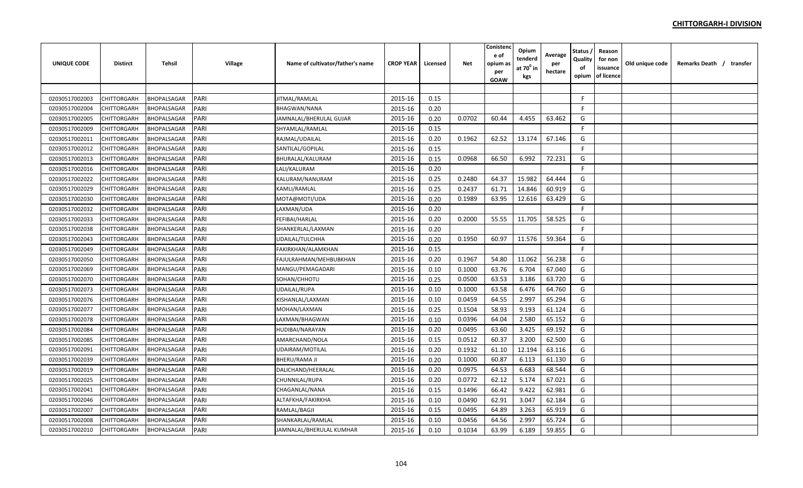| <b>UNIQUE CODE</b> | <b>Distirct</b>    | <b>Tehsil</b> | Village | Name of cultivator/father's name | <b>CROP YEAR</b> | Licensed | Net    | Conistenc<br>e of<br>opium a:<br>per<br>GOAW | Opium<br>tenderd<br>at $70^0$ in<br>kgs | Average<br>per<br>hectare | Status<br>Quality<br>of<br>opium | Reason<br>for non<br>issuance<br>of licence | Old unique code | Remarks Death / transfer |  |
|--------------------|--------------------|---------------|---------|----------------------------------|------------------|----------|--------|----------------------------------------------|-----------------------------------------|---------------------------|----------------------------------|---------------------------------------------|-----------------|--------------------------|--|
|                    |                    |               |         |                                  |                  |          |        |                                              |                                         |                           |                                  |                                             |                 |                          |  |
| 02030517002003     | CHITTORGARH        | BHOPALSAGAR   | PARI    | JITMAL/RAMLAL                    | 2015-16          | 0.15     |        |                                              |                                         |                           | F.                               |                                             |                 |                          |  |
| 02030517002004     | CHITTORGARH        | BHOPALSAGAR   | PARI    | <b>BHAGWAN/NANA</b>              | 2015-16          | 0.20     |        |                                              |                                         |                           | F                                |                                             |                 |                          |  |
| 02030517002005     | CHITTORGARH        | BHOPALSAGAR   | PARI    | JAMNALAL/BHERULAL GUJAR          | 2015-16          | 0.20     | 0.0702 | 60.44                                        | 4.455                                   | 63.462                    | G                                |                                             |                 |                          |  |
| 02030517002009     | CHITTORGARH        | BHOPALSAGAR   | PARI    | SHYAMLAL/RAMLAL                  | 2015-16          | 0.15     |        |                                              |                                         |                           | F.                               |                                             |                 |                          |  |
| 02030517002011     | CHITTORGARH        | BHOPALSAGAR   | PARI    | RAJMAL/UDAILAL                   | 2015-16          | 0.20     | 0.1962 | 62.52                                        | 13.174                                  | 67.146                    | G                                |                                             |                 |                          |  |
| 02030517002012     | CHITTORGARH        | BHOPALSAGAR   | PARI    | SANTILAL/GOPILAL                 | 2015-16          | 0.15     |        |                                              |                                         |                           | F.                               |                                             |                 |                          |  |
| 02030517002013     | CHITTORGARH        | BHOPALSAGAR   | PARI    | BHURALAL/KALURAM                 | 2015-16          | 0.15     | 0.0968 | 66.50                                        | 6.992                                   | 72.231                    | G                                |                                             |                 |                          |  |
| 02030517002016     | CHITTORGARH        | BHOPALSAGAR   | PARI    | LALI/KALURAM                     | 2015-16          | 0.20     |        |                                              |                                         |                           | F.                               |                                             |                 |                          |  |
| 02030517002022     | CHITTORGARH        | BHOPALSAGAR   | PARI    | KALURAM/NANURAM                  | 2015-16          | 0.25     | 0.2480 | 64.37                                        | 15.982                                  | 64.444                    | G                                |                                             |                 |                          |  |
| 02030517002029     | CHITTORGARH        | BHOPALSAGAR   | PARI    | KAMLI/RAMLAL                     | 2015-16          | 0.25     | 0.2437 | 61.71                                        | 14.846                                  | 60.919                    | G                                |                                             |                 |                          |  |
| 02030517002030     | CHITTORGARH        | BHOPALSAGAR   | PARI    | MOTA@MOTI/UDA                    | 2015-16          | 0.20     | 0.1989 | 63.95                                        | 12.616                                  | 63.429                    | G                                |                                             |                 |                          |  |
| 02030517002032     | CHITTORGARH        | BHOPALSAGAR   | PARI    | LAXMAN/UDA                       | 2015-16          | 0.20     |        |                                              |                                         |                           | F.                               |                                             |                 |                          |  |
| 02030517002033     | CHITTORGARH        | BHOPALSAGAR   | PARI    | FEFIBAI/HARLAL                   | 2015-16          | 0.20     | 0.2000 | 55.55                                        | 11.705                                  | 58.525                    | G                                |                                             |                 |                          |  |
| 02030517002038     | CHITTORGARH        | BHOPALSAGAR   | PARI    | SHANKERLAL/LAXMAN                | 2015-16          | 0.20     |        |                                              |                                         |                           | F                                |                                             |                 |                          |  |
| 02030517002043     | CHITTORGARH        | BHOPALSAGAR   | PARI    | <b>JDAILAL/TULCHHA</b>           | 2015-16          | 0.20     | 0.1950 | 60.97                                        | 11.576                                  | 59.364                    | G                                |                                             |                 |                          |  |
| 02030517002049     | CHITTORGARH        | BHOPALSAGAR   | PARI    | FAKIRKHAN/ALAMKHAN               | 2015-16          | 0.15     |        |                                              |                                         |                           | F.                               |                                             |                 |                          |  |
| 02030517002050     | CHITTORGARH        | BHOPALSAGAR   | PARI    | FAJULRAHMAN/MEHBUBKHAN           | 2015-16          | 0.20     | 0.1967 | 54.80                                        | 11.062                                  | 56.238                    | G                                |                                             |                 |                          |  |
| 02030517002069     | CHITTORGARH        | BHOPALSAGAR   | PARI    | MANGU/PEMAGADARI                 | 2015-16          | 0.10     | 0.1000 | 63.76                                        | 6.704                                   | 67.040                    | G                                |                                             |                 |                          |  |
| 02030517002070     | CHITTORGARH        | BHOPALSAGAR   | PARI    | SOHAN/CHHOTU                     | 2015-16          | 0.25     | 0.0500 | 63.53                                        | 3.186                                   | 63.720                    | G                                |                                             |                 |                          |  |
| 02030517002073     | CHITTORGARH        | BHOPALSAGAR   | PARI    | UDAILAL/RUPA                     | 2015-16          | 0.10     | 0.1000 | 63.58                                        | 6.476                                   | 64.760                    | G                                |                                             |                 |                          |  |
| 02030517002076     | CHITTORGARH        | BHOPALSAGAR   | PARI    | KISHANLAL/LAXMAN                 | 2015-16          | 0.10     | 0.0459 | 64.55                                        | 2.997                                   | 65.294                    | G                                |                                             |                 |                          |  |
| 02030517002077     | <b>CHITTORGARH</b> | BHOPALSAGAR   | PARI    | MOHAN/LAXMAN                     | 2015-16          | 0.25     | 0.1504 | 58.93                                        | 9.193                                   | 61.124                    | G                                |                                             |                 |                          |  |
| 02030517002078     | CHITTORGARH        | BHOPALSAGAR   | PARI    | LAXMAN/BHAGWAN                   | 2015-16          | 0.10     | 0.0396 | 64.04                                        | 2.580                                   | 65.152                    | G                                |                                             |                 |                          |  |
| 02030517002084     | CHITTORGARH        | BHOPALSAGAR   | PARI    | HUDIBAI/NARAYAN                  | 2015-16          | 0.20     | 0.0495 | 63.60                                        | 3.425                                   | 69.192                    | G                                |                                             |                 |                          |  |
| 02030517002085     | CHITTORGARH        | BHOPALSAGAR   | PARI    | AMARCHAND/NOLA                   | 2015-16          | 0.15     | 0.0512 | 60.37                                        | 3.200                                   | 62.500                    | G                                |                                             |                 |                          |  |
| 02030517002091     | CHITTORGARH        | BHOPALSAGAR   | PARI    | UDAIRAM/MOTILAL                  | 2015-16          | 0.20     | 0.1932 | 61.10                                        | 12.194                                  | 63.116                    | G                                |                                             |                 |                          |  |
| 02030517002039     | CHITTORGARH        | BHOPALSAGAR   | PARI    | BHERU/RAMA JI                    | 2015-16          | 0.20     | 0.1000 | 60.87                                        | 6.113                                   | 61.130                    | G                                |                                             |                 |                          |  |
| 02030517002019     | CHITTORGARH        | BHOPALSAGAR   | PARI    | DALICHAND/HEERALAL               | 2015-16          | 0.20     | 0.0975 | 64.53                                        | 6.683                                   | 68.544                    | G                                |                                             |                 |                          |  |
| 02030517002025     | CHITTORGARH        | BHOPALSAGAR   | PARI    | CHUNNILAL/RUPA                   | 2015-16          | 0.20     | 0.0772 | 62.12                                        | 5.174                                   | 67.021                    | G                                |                                             |                 |                          |  |
| 02030517002041     | CHITTORGARH        | BHOPALSAGAR   | PARI    | CHAGANLAL/NANA                   | 2015-16          | 0.15     | 0.1496 | 66.42                                        | 9.422                                   | 62.981                    | G                                |                                             |                 |                          |  |
| 02030517002046     | CHITTORGARH        | BHOPALSAGAR   | PARI    | ALTAFKHA/FAKIRKHA                | 2015-16          | 0.10     | 0.0490 | 62.91                                        | 3.047                                   | 62.184                    | G                                |                                             |                 |                          |  |
| 02030517002007     | CHITTORGARH        | BHOPALSAGAR   | PARI    | RAMLAL/BAGJI                     | 2015-16          | 0.15     | 0.0495 | 64.89                                        | 3.263                                   | 65.919                    | G                                |                                             |                 |                          |  |
| 02030517002008     | CHITTORGARH        | BHOPALSAGAR   | PARI    | SHANKARLAL/RAMLAL                | 2015-16          | 0.10     | 0.0456 | 64.56                                        | 2.997                                   | 65.724                    | G                                |                                             |                 |                          |  |
| 02030517002010     | CHITTORGARH        | BHOPALSAGAR   | PARI    | JAMNALAL/BHERULAL KUMHAR         | 2015-16          | 0.10     | 0.1034 | 63.99                                        | 6.189                                   | 59.855                    | G                                |                                             |                 |                          |  |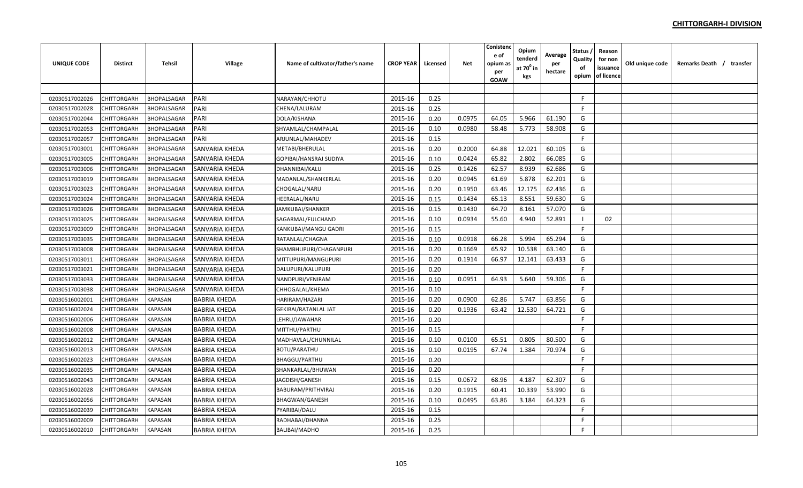| UNIQUE CODE    | <b>Distirct</b>    | Tehsil             | Village               | Name of cultivator/father's name | <b>CROP YEAR</b> | Licensed | <b>Net</b> | Conistenc<br>e of<br>opium as<br>per<br><b>GOAW</b> | Opium<br>tenderd<br>at 70 <sup>0</sup> in<br>kgs | Average<br>per<br>hectare | Status ,<br>Quality<br>of<br>opium | Reason<br>for non<br>issuance<br>of licence | Old unique code | Remarks Death / transfer |
|----------------|--------------------|--------------------|-----------------------|----------------------------------|------------------|----------|------------|-----------------------------------------------------|--------------------------------------------------|---------------------------|------------------------------------|---------------------------------------------|-----------------|--------------------------|
|                |                    |                    |                       |                                  |                  |          |            |                                                     |                                                  |                           |                                    |                                             |                 |                          |
| 02030517002026 | CHITTORGARH        | <b>BHOPALSAGAR</b> | <b>PARI</b>           | NARAYAN/CHHOTU                   | 2015-16          | 0.25     |            |                                                     |                                                  |                           | F                                  |                                             |                 |                          |
| 02030517002028 | CHITTORGARH        | <b>BHOPALSAGAR</b> | PARI                  | CHENA/LALURAM                    | 2015-16          | 0.25     |            |                                                     |                                                  |                           | F.                                 |                                             |                 |                          |
| 02030517002044 | CHITTORGARH        | <b>BHOPALSAGAR</b> | PARI                  | DOLA/KISHANA                     | 2015-16          | 0.20     | 0.0975     | 64.05                                               | 5.966                                            | 61.190                    | G                                  |                                             |                 |                          |
| 02030517002053 | CHITTORGARH        | BHOPALSAGAR        | PARI                  | SHYAMLAL/CHAMPALAL               | 2015-16          | 0.10     | 0.0980     | 58.48                                               | 5.773                                            | 58.908                    | G                                  |                                             |                 |                          |
| 02030517002057 | CHITTORGARH        | <b>BHOPALSAGAR</b> | PARI                  | ARJUNLAL/MAHADEV                 | 2015-16          | 0.15     |            |                                                     |                                                  |                           | F.                                 |                                             |                 |                          |
| 02030517003001 | CHITTORGARH        | BHOPALSAGAR        | SANVARIA KHEDA        | METABI/BHERULAL                  | 2015-16          | 0.20     | 0.2000     | 64.88                                               | 12.021                                           | 60.105                    | G                                  |                                             |                 |                          |
| 02030517003005 | CHITTORGARH        | BHOPALSAGAR        | SANVARIA KHEDA        | GOPIBAI/HANSRAJ SUDIYA           | 2015-16          | 0.10     | 0.0424     | 65.82                                               | 2.802                                            | 66.085                    | G                                  |                                             |                 |                          |
| 02030517003006 | CHITTORGARH        | <b>BHOPALSAGAR</b> | SANVARIA KHEDA        | DHANNIBAI/KALU                   | 2015-16          | 0.25     | 0.1426     | 62.57                                               | 8.939                                            | 62.686                    | G                                  |                                             |                 |                          |
| 02030517003019 | CHITTORGARH        | BHOPALSAGAR        | <b>SANVARIA KHEDA</b> | MADANLAL/SHANKERLAL              | 2015-16          | 0.20     | 0.0945     | 61.69                                               | 5.878                                            | 62.201                    | G                                  |                                             |                 |                          |
| 02030517003023 | CHITTORGARH        | <b>BHOPALSAGAR</b> | SANVARIA KHEDA        | CHOGALAL/NARU                    | 2015-16          | 0.20     | 0.1950     | 63.46                                               | 12.175                                           | 62.436                    | G                                  |                                             |                 |                          |
| 02030517003024 | <b>CHITTORGARH</b> | <b>BHOPALSAGAR</b> | SANVARIA KHEDA        | <b>HEERALAL/NARU</b>             | 2015-16          | 0.15     | 0.1434     | 65.13                                               | 8.551                                            | 59.630                    | G                                  |                                             |                 |                          |
| 02030517003026 | CHITTORGARH        | <b>BHOPALSAGAR</b> | SANVARIA KHEDA        | JAMKUBAI/SHANKER                 | 2015-16          | 0.15     | 0.1430     | 64.70                                               | 8.161                                            | 57.070                    | G                                  |                                             |                 |                          |
| 02030517003025 | CHITTORGARH        | BHOPALSAGAR        | SANVARIA KHEDA        | SAGARMAL/FULCHAND                | 2015-16          | 0.10     | 0.0934     | 55.60                                               | 4.940                                            | 52.891                    | -1                                 | 02                                          |                 |                          |
| 02030517003009 | CHITTORGARH        | <b>BHOPALSAGAR</b> | SANVARIA KHEDA        | KANKUBAI/MANGU GADRI             | 2015-16          | 0.15     |            |                                                     |                                                  |                           | F.                                 |                                             |                 |                          |
| 02030517003035 | CHITTORGARH        | <b>BHOPALSAGAR</b> | <b>SANVARIA KHEDA</b> | RATANLAL/CHAGNA                  | 2015-16          | 0.10     | 0.0918     | 66.28                                               | 5.994                                            | 65.294                    | G                                  |                                             |                 |                          |
| 02030517003008 | CHITTORGARH        | <b>BHOPALSAGAR</b> | SANVARIA KHEDA        | SHAMBHUPURI/CHAGANPURI           | 2015-16          | 0.20     | 0.1669     | 65.92                                               | 10.538                                           | 63.140                    | G                                  |                                             |                 |                          |
| 02030517003011 | <b>CHITTORGARH</b> | <b>BHOPALSAGAR</b> | SANVARIA KHEDA        | MITTUPURI/MANGUPURI              | 2015-16          | 0.20     | 0.1914     | 66.97                                               | 12.141                                           | 63.433                    | G                                  |                                             |                 |                          |
| 02030517003021 | CHITTORGARH        | BHOPALSAGAR        | SANVARIA KHEDA        | DALUPURI/KALUPURI                | 2015-16          | 0.20     |            |                                                     |                                                  |                           | F.                                 |                                             |                 |                          |
| 02030517003033 | CHITTORGARH        | BHOPALSAGAR        | SANVARIA KHEDA        | NANDPURI/VENIRAM                 | 2015-16          | 0.10     | 0.0951     | 64.93                                               | 5.640                                            | 59.306                    | G                                  |                                             |                 |                          |
| 02030517003038 | CHITTORGARH        | <b>BHOPALSAGAR</b> | <b>SANVARIA KHEDA</b> | CHHOGALAL/KHEMA                  | 2015-16          | 0.10     |            |                                                     |                                                  |                           | E                                  |                                             |                 |                          |
| 02030516002001 | CHITTORGARH        | KAPASAN            | <b>BABRIA KHEDA</b>   | HARIRAM/HAZARI                   | 2015-16          | 0.20     | 0.0900     | 62.86                                               | 5.747                                            | 63.856                    | G                                  |                                             |                 |                          |
| 02030516002024 | CHITTORGARH        | <b>KAPASAN</b>     | <b>BABRIA KHEDA</b>   | <b>GEKIBAI/RATANLAL JAT</b>      | 2015-16          | 0.20     | 0.1936     | 63.42                                               | 12.530                                           | 64.721                    | G                                  |                                             |                 |                          |
| 02030516002006 | <b>CHITTORGARH</b> | <b>KAPASAN</b>     | <b>BABRIA KHEDA</b>   | LEHRU/JAWAHAR                    | 2015-16          | 0.20     |            |                                                     |                                                  |                           | F.                                 |                                             |                 |                          |
| 02030516002008 | CHITTORGARH        | <b>KAPASAN</b>     | <b>BABRIA KHEDA</b>   | MITTHU/PARTHU                    | 2015-16          | 0.15     |            |                                                     |                                                  |                           | $\mathsf{F}$                       |                                             |                 |                          |
| 02030516002012 | CHITTORGARH        | <b>KAPASAN</b>     | <b>BABRIA KHEDA</b>   | MADHAVLAL/CHUNNILAL              | 2015-16          | 0.10     | 0.0100     | 65.51                                               | 0.805                                            | 80.500                    | G                                  |                                             |                 |                          |
| 02030516002013 | CHITTORGARH        | <b>KAPASAN</b>     | <b>BABRIA KHEDA</b>   | <b>BOTU/PARATHU</b>              | 2015-16          | 0.10     | 0.0195     | 67.74                                               | 1.384                                            | 70.974                    | G                                  |                                             |                 |                          |
| 02030516002023 | CHITTORGARH        | KAPASAN            | <b>BABRIA KHEDA</b>   | <b>BHAGGU/PARTHU</b>             | 2015-16          | 0.20     |            |                                                     |                                                  |                           | F                                  |                                             |                 |                          |
| 02030516002035 | CHITTORGARH        | KAPASAN            | <b>BABRIA KHEDA</b>   | SHANKARLAL/BHUWAN                | 2015-16          | 0.20     |            |                                                     |                                                  |                           | F                                  |                                             |                 |                          |
| 02030516002043 | <b>CHITTORGARH</b> | KAPASAN            | <b>BABRIA KHEDA</b>   | JAGDISH/GANESH                   | 2015-16          | 0.15     | 0.0672     | 68.96                                               | 4.187                                            | 62.307                    | G                                  |                                             |                 |                          |
| 02030516002028 | CHITTORGARH        | KAPASAN            | <b>BABRIA KHEDA</b>   | BABURAM/PRITHVIRAJ               | 2015-16          | 0.20     | 0.1915     | 60.41                                               | 10.339                                           | 53.990                    | G                                  |                                             |                 |                          |
| 02030516002056 | CHITTORGARH        | KAPASAN            | <b>BABRIA KHEDA</b>   | <b>BHAGWAN/GANESH</b>            | 2015-16          | 0.10     | 0.0495     | 63.86                                               | 3.184                                            | 64.323                    | G                                  |                                             |                 |                          |
| 02030516002039 | CHITTORGARH        | KAPASAN            | <b>BABRIA KHEDA</b>   | PYARIBAI/DALU                    | 2015-16          | 0.15     |            |                                                     |                                                  |                           | E                                  |                                             |                 |                          |
| 02030516002009 | CHITTORGARH        | KAPASAN            | <b>BABRIA KHEDA</b>   | RADHABAI/DHANNA                  | 2015-16          | 0.25     |            |                                                     |                                                  |                           | F.                                 |                                             |                 |                          |
| 02030516002010 | <b>CHITTORGARH</b> | <b>KAPASAN</b>     | <b>BABRIA KHEDA</b>   | <b>BALIBAI/MADHO</b>             | 2015-16          | 0.25     |            |                                                     |                                                  |                           | F                                  |                                             |                 |                          |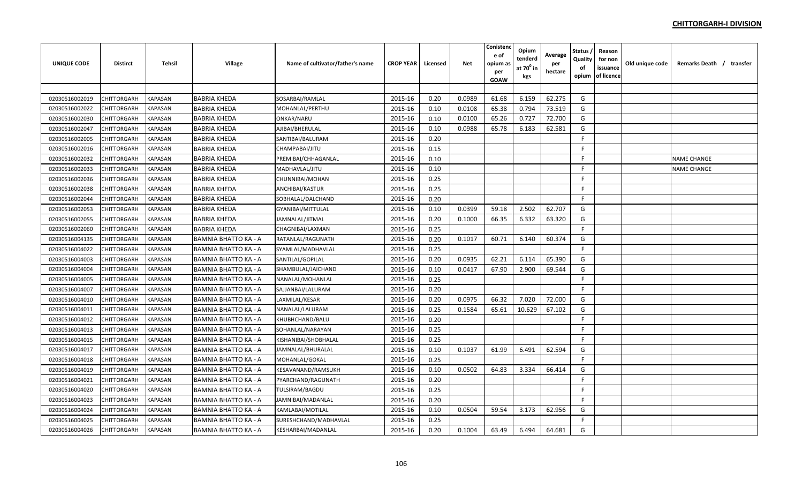| <b>UNIQUE CODE</b> | Distirct    | Tehsil         | <b>Village</b>              | Name of cultivator/father's name | <b>CROP YEAR</b> | Licensed | <b>Net</b> | Conistenc<br>e of<br>opium as<br>per<br><b>GOAW</b> | Opium<br>tenderd<br>at $70^0$ in<br>kgs | Average<br>per<br>hectare | Status<br>Quality<br>of<br>opium | Reason<br>for non<br>issuance<br>of licence | Old unique code | Remarks Death / transfer |
|--------------------|-------------|----------------|-----------------------------|----------------------------------|------------------|----------|------------|-----------------------------------------------------|-----------------------------------------|---------------------------|----------------------------------|---------------------------------------------|-----------------|--------------------------|
|                    |             |                |                             |                                  |                  |          |            |                                                     |                                         |                           |                                  |                                             |                 |                          |
| 02030516002019     | CHITTORGARH | <b>KAPASAN</b> | <b>BABRIA KHEDA</b>         | SOSARBAI/RAMLAL                  | 2015-16          | 0.20     | 0.0989     | 61.68                                               | 6.159                                   | 62.275                    | G                                |                                             |                 |                          |
| 02030516002022     | CHITTORGARH | <b>KAPASAN</b> | <b>BABRIA KHEDA</b>         | MOHANLAL/PERTHU                  | 2015-16          | 0.10     | 0.0108     | 65.38                                               | 0.794                                   | 73.519                    | G                                |                                             |                 |                          |
| 02030516002030     | CHITTORGARH | <b>KAPASAN</b> | <b>BABRIA KHEDA</b>         | ONKAR/NARU                       | 2015-16          | 0.10     | 0.0100     | 65.26                                               | 0.727                                   | 72.700                    | G                                |                                             |                 |                          |
| 02030516002047     | CHITTORGARH | <b>KAPASAN</b> | <b>BABRIA KHEDA</b>         | AJIBAI/BHERULAL                  | 2015-16          | 0.10     | 0.0988     | 65.78                                               | 6.183                                   | 62.581                    | G                                |                                             |                 |                          |
| 02030516002005     | CHITTORGARH | KAPASAN        | <b>BABRIA KHEDA</b>         | SANTIBAI/BALURAM                 | 2015-16          | 0.20     |            |                                                     |                                         |                           | F.                               |                                             |                 |                          |
| 02030516002016     | CHITTORGARH | <b>KAPASAN</b> | <b>BABRIA KHEDA</b>         | CHAMPABAI/JITU                   | 2015-16          | 0.15     |            |                                                     |                                         |                           | F.                               |                                             |                 |                          |
| 02030516002032     | CHITTORGARH | KAPASAN        | <b>BABRIA KHEDA</b>         | PREMIBAI/CHHAGANLAL              | 2015-16          | 0.10     |            |                                                     |                                         |                           | -F                               |                                             |                 | <b>NAME CHANGE</b>       |
| 02030516002033     | CHITTORGARH | <b>KAPASAN</b> | <b>BABRIA KHEDA</b>         | MADHAVLAL/JITU                   | 2015-16          | 0.10     |            |                                                     |                                         |                           | -F                               |                                             |                 | <b>NAME CHANGE</b>       |
| 02030516002036     | CHITTORGARH | <b>KAPASAN</b> | <b>BABRIA KHEDA</b>         | CHUNNIBAI/MOHAN                  | 2015-16          | 0.25     |            |                                                     |                                         |                           | F.                               |                                             |                 |                          |
| 02030516002038     | CHITTORGARH | <b>KAPASAN</b> | <b>BABRIA KHEDA</b>         | ANCHIBAI/KASTUR                  | 2015-16          | 0.25     |            |                                                     |                                         |                           | F.                               |                                             |                 |                          |
| 02030516002044     | CHITTORGARH | <b>KAPASAN</b> | <b>BABRIA KHEDA</b>         | SOBHALAL/DALCHAND                | 2015-16          | 0.20     |            |                                                     |                                         |                           | F.                               |                                             |                 |                          |
| 02030516002053     | CHITTORGARH | <b>KAPASAN</b> | <b>BABRIA KHEDA</b>         | GYANIBAI/MITTULAL                | 2015-16          | 0.10     | 0.0399     | 59.18                                               | 2.502                                   | 62.707                    | G                                |                                             |                 |                          |
| 02030516002055     | CHITTORGARH | <b>KAPASAN</b> | <b>BABRIA KHEDA</b>         | JAMNALAL/JITMAL                  | 2015-16          | 0.20     | 0.1000     | 66.35                                               | 6.332                                   | 63.320                    | G                                |                                             |                 |                          |
| 02030516002060     | CHITTORGARH | <b>KAPASAN</b> | <b>BABRIA KHEDA</b>         | CHAGNIBAI/LAXMAN                 | 2015-16          | 0.25     |            |                                                     |                                         |                           | -F                               |                                             |                 |                          |
| 02030516004135     | CHITTORGARH | <b>KAPASAN</b> | <b>BAMNIA BHATTO KA - A</b> | RATANLAL/RAGUNATH                | 2015-16          | 0.20     | 0.1017     | 60.71                                               | 6.140                                   | 60.374                    | G                                |                                             |                 |                          |
| 02030516004022     | CHITTORGARH | <b>KAPASAN</b> | <b>BAMNIA BHATTO KA - A</b> | SYAMLAL/MADHAVLAL                | 2015-16          | 0.25     |            |                                                     |                                         |                           | F.                               |                                             |                 |                          |
| 02030516004003     | CHITTORGARH | KAPASAN        | <b>BAMNIA BHATTO KA - A</b> | SANTILAL/GOPILAL                 | 2015-16          | 0.20     | 0.0935     | 62.21                                               | 6.114                                   | 65.390                    | G                                |                                             |                 |                          |
| 02030516004004     | CHITTORGARH | <b>KAPASAN</b> | <b>BAMNIA BHATTO KA - A</b> | SHAMBULAL/JAICHAND               | 2015-16          | 0.10     | 0.0417     | 67.90                                               | 2.900                                   | 69.544                    | G                                |                                             |                 |                          |
| 02030516004005     | CHITTORGARH | <b>KAPASAN</b> | BAMNIA BHATTO KA - A        | NANALAL/MOHANLAL                 | 2015-16          | 0.25     |            |                                                     |                                         |                           | F.                               |                                             |                 |                          |
| 02030516004007     | CHITTORGARH | <b>KAPASAN</b> | <b>BAMNIA BHATTO KA - A</b> | SAJJANBAI/LALURAM                | 2015-16          | 0.20     |            |                                                     |                                         |                           | -F                               |                                             |                 |                          |
| 02030516004010     | CHITTORGARH | <b>KAPASAN</b> | <b>BAMNIA BHATTO KA - A</b> | LAXMILAL/KESAR                   | 2015-16          | 0.20     | 0.0975     | 66.32                                               | 7.020                                   | 72.000                    | G                                |                                             |                 |                          |
| 02030516004011     | CHITTORGARH | <b>KAPASAN</b> | <b>BAMNIA BHATTO KA - A</b> | NANALAL/LALURAM                  | 2015-16          | 0.25     | 0.1584     | 65.61                                               | 10.629                                  | 67.102                    | G                                |                                             |                 |                          |
| 02030516004012     | CHITTORGARH | <b>KAPASAN</b> | <b>BAMNIA BHATTO KA - A</b> | KHUBHCHAND/BALU                  | 2015-16          | 0.20     |            |                                                     |                                         |                           | F.                               |                                             |                 |                          |
| 02030516004013     | CHITTORGARH | <b>KAPASAN</b> | <b>BAMNIA BHATTO KA - A</b> | SOHANLAL/NARAYAN                 | 2015-16          | 0.25     |            |                                                     |                                         |                           | -F                               |                                             |                 |                          |
| 02030516004015     | CHITTORGARH | <b>KAPASAN</b> | <b>BAMNIA BHATTO KA - A</b> | KISHANIBAI/SHOBHALAL             | 2015-16          | 0.25     |            |                                                     |                                         |                           | F.                               |                                             |                 |                          |
| 02030516004017     | CHITTORGARH | <b>KAPASAN</b> | <b>BAMNIA BHATTO KA - A</b> | JAMNALAL/BHURALAL                | 2015-16          | 0.10     | 0.1037     | 61.99                                               | 6.491                                   | 62.594                    | G                                |                                             |                 |                          |
| 02030516004018     | CHITTORGARH | <b>KAPASAN</b> | <b>BAMNIA BHATTO KA - A</b> | MOHANLAL/GOKAL                   | 2015-16          | 0.25     |            |                                                     |                                         |                           | F                                |                                             |                 |                          |
| 02030516004019     | CHITTORGARH | <b>KAPASAN</b> | <b>BAMNIA BHATTO KA - A</b> | KESAVANAND/RAMSUKH               | 2015-16          | 0.10     | 0.0502     | 64.83                                               | 3.334                                   | 66.414                    | G                                |                                             |                 |                          |
| 02030516004021     | CHITTORGARH | <b>KAPASAN</b> | <b>BAMNIA BHATTO KA - A</b> | PYARCHAND/RAGUNATH               | 2015-16          | 0.20     |            |                                                     |                                         |                           | F                                |                                             |                 |                          |
| 02030516004020     | CHITTORGARH | KAPASAN        | <b>BAMNIA BHATTO KA - A</b> | <b>TULSIRAM/BAGDU</b>            | 2015-16          | 0.25     |            |                                                     |                                         |                           | F.                               |                                             |                 |                          |
| 02030516004023     | CHITTORGARH | <b>KAPASAN</b> | <b>BAMNIA BHATTO KA - A</b> | JAMNIBAI/MADANLAL                | 2015-16          | 0.20     |            |                                                     |                                         |                           | F                                |                                             |                 |                          |
| 02030516004024     | CHITTORGARH | <b>KAPASAN</b> | <b>BAMNIA BHATTO KA - A</b> | KAMLABAI/MOTILAL                 | 2015-16          | 0.10     | 0.0504     | 59.54                                               | 3.173                                   | 62.956                    | G                                |                                             |                 |                          |
| 02030516004025     | CHITTORGARH | <b>KAPASAN</b> | <b>BAMNIA BHATTO KA - A</b> | SURESHCHAND/MADHAVLAL            | 2015-16          | 0.25     |            |                                                     |                                         |                           | F.                               |                                             |                 |                          |
| 02030516004026     | CHITTORGARH | <b>KAPASAN</b> | <b>BAMNIA BHATTO KA - A</b> | KESHARBAI/MADANLAL               | 2015-16          | 0.20     | 0.1004     | 63.49                                               | 6.494                                   | 64.681                    | G                                |                                             |                 |                          |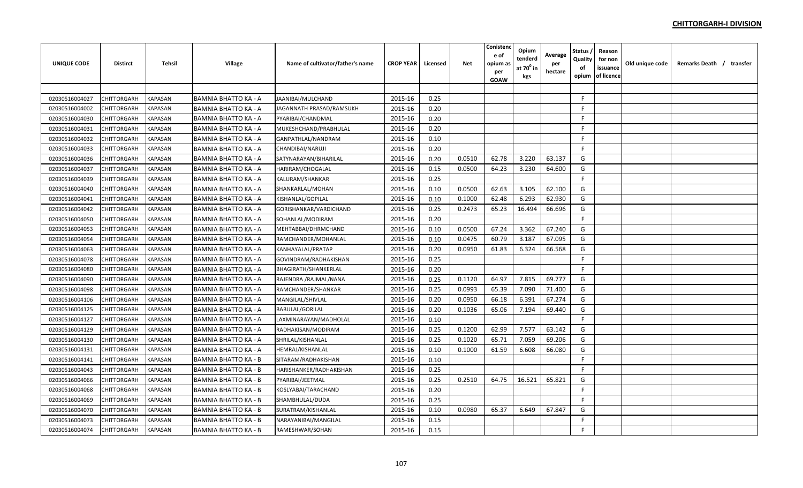| <b>UNIQUE CODE</b> | <b>Distirct</b> | <b>Tehsil</b>  | Village                     | Name of cultivator/father's name | <b>CROP YEAR</b> | Licensed | <b>Net</b> | Conistenc<br>e of<br>opium as<br>per<br><b>GOAW</b> | Opium<br>tenderd<br>at 70 $^{\circ}$ in<br>kgs | Average<br>per<br>hectare | Status<br>Quality<br>of<br>opium | Reason<br>for non<br>issuance<br>of licence | Old unique code | Remarks Death / transfer |  |
|--------------------|-----------------|----------------|-----------------------------|----------------------------------|------------------|----------|------------|-----------------------------------------------------|------------------------------------------------|---------------------------|----------------------------------|---------------------------------------------|-----------------|--------------------------|--|
|                    |                 |                |                             |                                  |                  |          |            |                                                     |                                                |                           |                                  |                                             |                 |                          |  |
| 02030516004027     | CHITTORGARH     | <b>KAPASAN</b> | <b>BAMNIA BHATTO KA - A</b> | JAANIBAI/MULCHAND                | 2015-16          | 0.25     |            |                                                     |                                                |                           | -F                               |                                             |                 |                          |  |
| 02030516004002     | CHITTORGARH     | <b>KAPASAN</b> | <b>BAMNIA BHATTO KA - A</b> | JAGANNATH PRASAD/RAMSUKH         | 2015-16          | 0.20     |            |                                                     |                                                |                           | -F                               |                                             |                 |                          |  |
| 02030516004030     | CHITTORGARH     | <b>KAPASAN</b> | <b>BAMNIA BHATTO KA - A</b> | PYARIBAI/CHANDMAL                | 2015-16          | 0.20     |            |                                                     |                                                |                           | -F                               |                                             |                 |                          |  |
| 02030516004031     | CHITTORGARH     | <b>KAPASAN</b> | <b>BAMNIA BHATTO KA - A</b> | MUKESHCHAND/PRABHULAL            | 2015-16          | 0.20     |            |                                                     |                                                |                           | F.                               |                                             |                 |                          |  |
| 02030516004032     | CHITTORGARH     | <b>KAPASAN</b> | <b>BAMNIA BHATTO KA - A</b> | GANPATHLAL/NANDRAM               | 2015-16          | 0.10     |            |                                                     |                                                |                           | F.                               |                                             |                 |                          |  |
| 02030516004033     | CHITTORGARH     | KAPASAN        | <b>BAMNIA BHATTO KA - A</b> | CHANDIBAI/NARUJI                 | 2015-16          | 0.20     |            |                                                     |                                                |                           | F.                               |                                             |                 |                          |  |
| 02030516004036     | CHITTORGARH     | <b>KAPASAN</b> | BAMNIA BHATTO KA - A        | SATYNARAYAN/BIHARILAL            | 2015-16          | 0.20     | 0.0510     | 62.78                                               | 3.220                                          | 63.137                    | G                                |                                             |                 |                          |  |
| 02030516004037     | CHITTORGARH     | <b>KAPASAN</b> | <b>BAMNIA BHATTO KA - A</b> | <b>HARIRAM/CHOGALAL</b>          | 2015-16          | 0.15     | 0.0500     | 64.23                                               | 3.230                                          | 64.600                    | G                                |                                             |                 |                          |  |
| 02030516004039     | CHITTORGARH     | <b>KAPASAN</b> | <b>BAMNIA BHATTO KA - A</b> | KALURAM/SHANKAR                  | 2015-16          | 0.25     |            |                                                     |                                                |                           | F.                               |                                             |                 |                          |  |
| 02030516004040     | CHITTORGARH     | <b>KAPASAN</b> | <b>BAMNIA BHATTO KA - A</b> | SHANKARLAL/MOHAN                 | 2015-16          | 0.10     | 0.0500     | 62.63                                               | 3.105                                          | 62.100                    | G                                |                                             |                 |                          |  |
| 02030516004041     | CHITTORGARH     | <b>KAPASAN</b> | <b>BAMNIA BHATTO KA - A</b> | KISHANLAL/GOPILAL                | 2015-16          | 0.10     | 0.1000     | 62.48                                               | 6.293                                          | 62.930                    | G                                |                                             |                 |                          |  |
| 02030516004042     | CHITTORGARH     | <b>KAPASAN</b> | <b>BAMNIA BHATTO KA - A</b> | GORISHANKAR/VARDICHAND           | 2015-16          | 0.25     | 0.2473     | 65.23                                               | 16.494                                         | 66.696                    | G                                |                                             |                 |                          |  |
| 02030516004050     | CHITTORGARH     | <b>KAPASAN</b> | <b>BAMNIA BHATTO KA - A</b> | SOHANLAL/MODIRAM                 | 2015-16          | 0.20     |            |                                                     |                                                |                           | $\mathsf{F}$                     |                                             |                 |                          |  |
| 02030516004053     | CHITTORGARH     | <b>KAPASAN</b> | <b>BAMNIA BHATTO KA - A</b> | MEHTABBAI/DHRMCHAND              | 2015-16          | 0.10     | 0.0500     | 67.24                                               | 3.362                                          | 67.240                    | G                                |                                             |                 |                          |  |
| 02030516004054     | CHITTORGARH     | <b>KAPASAN</b> | <b>BAMNIA BHATTO KA - A</b> | RAMCHANDER/MOHANLAL              | 2015-16          | 0.10     | 0.0475     | 60.79                                               | 3.187                                          | 67.095                    | G                                |                                             |                 |                          |  |
| 02030516004063     | CHITTORGARH     | <b>KAPASAN</b> | <b>BAMNIA BHATTO KA - A</b> | KANHAYALAL/PRATAP                | 2015-16          | 0.20     | 0.0950     | 61.83                                               | 6.324                                          | 66.568                    | G                                |                                             |                 |                          |  |
| 02030516004078     | CHITTORGARH     | <b>KAPASAN</b> | <b>BAMNIA BHATTO KA - A</b> | GOVINDRAM/RADHAKISHAN            | 2015-16          | 0.25     |            |                                                     |                                                |                           | F                                |                                             |                 |                          |  |
| 02030516004080     | CHITTORGARH     | KAPASAN        | <b>BAMNIA BHATTO KA - A</b> | BHAGIRATH/SHANKERLAL             | 2015-16          | 0.20     |            |                                                     |                                                |                           | F                                |                                             |                 |                          |  |
| 02030516004090     | CHITTORGARH     | <b>KAPASAN</b> | <b>BAMNIA BHATTO KA - A</b> | RAJENDRA / RAJMAL/NANA           | 2015-16          | 0.25     | 0.1120     | 64.97                                               | 7.815                                          | 69.777                    | G                                |                                             |                 |                          |  |
| 02030516004098     | CHITTORGARH     | <b>KAPASAN</b> | <b>BAMNIA BHATTO KA - A</b> | RAMCHANDER/SHANKAR               | 2015-16          | 0.25     | 0.0993     | 65.39                                               | 7.090                                          | 71.400                    | G                                |                                             |                 |                          |  |
| 02030516004106     | CHITTORGARH     | <b>KAPASAN</b> | <b>BAMNIA BHATTO KA - A</b> | MANGILAL/SHIVLAL                 | 2015-16          | 0.20     | 0.0950     | 66.18                                               | 6.391                                          | 67.274                    | G                                |                                             |                 |                          |  |
| 02030516004125     | CHITTORGARH     | <b>KAPASAN</b> | <b>BAMNIA BHATTO KA - A</b> | <b>BABULAL/GORILAL</b>           | 2015-16          | 0.20     | 0.1036     | 65.06                                               | 7.194                                          | 69.440                    | G                                |                                             |                 |                          |  |
| 02030516004127     | CHITTORGARH     | <b>KAPASAN</b> | <b>BAMNIA BHATTO KA - A</b> | LAXMINARAYAN/MADHOLAL            | 2015-16          | 0.10     |            |                                                     |                                                |                           | F.                               |                                             |                 |                          |  |
| 02030516004129     | CHITTORGARH     | <b>KAPASAN</b> | <b>BAMNIA BHATTO KA - A</b> | RADHAKISAN/MODIRAM               | 2015-16          | 0.25     | 0.1200     | 62.99                                               | 7.577                                          | 63.142                    | G                                |                                             |                 |                          |  |
| 02030516004130     | CHITTORGARH     | <b>KAPASAN</b> | <b>BAMNIA BHATTO KA - A</b> | SHRILAL/KISHANLAL                | 2015-16          | 0.25     | 0.1020     | 65.71                                               | 7.059                                          | 69.206                    | G                                |                                             |                 |                          |  |
| 02030516004131     | CHITTORGARH     | <b>KAPASAN</b> | <b>BAMNIA BHATTO KA - A</b> | HEMRAJ/KISHANLAL                 | 2015-16          | 0.10     | 0.1000     | 61.59                                               | 6.608                                          | 66.080                    | G                                |                                             |                 |                          |  |
| 02030516004141     | CHITTORGARH     | <b>KAPASAN</b> | <b>BAMNIA BHATTO KA - B</b> | SITARAM/RADHAKISHAN              | 2015-16          | 0.10     |            |                                                     |                                                |                           | F                                |                                             |                 |                          |  |
| 02030516004043     | CHITTORGARH     | <b>KAPASAN</b> | <b>BAMNIA BHATTO KA - B</b> | HARISHANKER/RADHAKISHAN          | 2015-16          | 0.25     |            |                                                     |                                                |                           | F.                               |                                             |                 |                          |  |
| 02030516004066     | CHITTORGARH     | KAPASAN        | <b>BAMNIA BHATTO KA - B</b> | PYARIBAI/JEETMAL                 | 2015-16          | 0.25     | 0.2510     | 64.75                                               | 16.521                                         | 65.821                    | G                                |                                             |                 |                          |  |
| 02030516004068     | CHITTORGARH     | KAPASAN        | <b>BAMNIA BHATTO KA - B</b> | KOSLYABAI/TARACHAND              | 2015-16          | 0.20     |            |                                                     |                                                |                           | F.                               |                                             |                 |                          |  |
| 02030516004069     | CHITTORGARH     | <b>KAPASAN</b> | <b>BAMNIA BHATTO KA - B</b> | SHAMBHULAL/DUDA                  | 2015-16          | 0.25     |            |                                                     |                                                |                           | F.                               |                                             |                 |                          |  |
| 02030516004070     | CHITTORGARH     | <b>KAPASAN</b> | <b>BAMNIA BHATTO KA - B</b> | SURATRAM/KISHANLAL               | 2015-16          | 0.10     | 0.0980     | 65.37                                               | 6.649                                          | 67.847                    | G                                |                                             |                 |                          |  |
| 02030516004073     | CHITTORGARH     | <b>KAPASAN</b> | <b>BAMNIA BHATTO KA - B</b> | NARAYANIBAI/MANGILAL             | 2015-16          | 0.15     |            |                                                     |                                                |                           | $\mathsf{F}$                     |                                             |                 |                          |  |
| 02030516004074     | CHITTORGARH     | <b>KAPASAN</b> | <b>BAMNIA BHATTO KA - B</b> | RAMESHWAR/SOHAN                  | 2015-16          | 0.15     |            |                                                     |                                                |                           | F                                |                                             |                 |                          |  |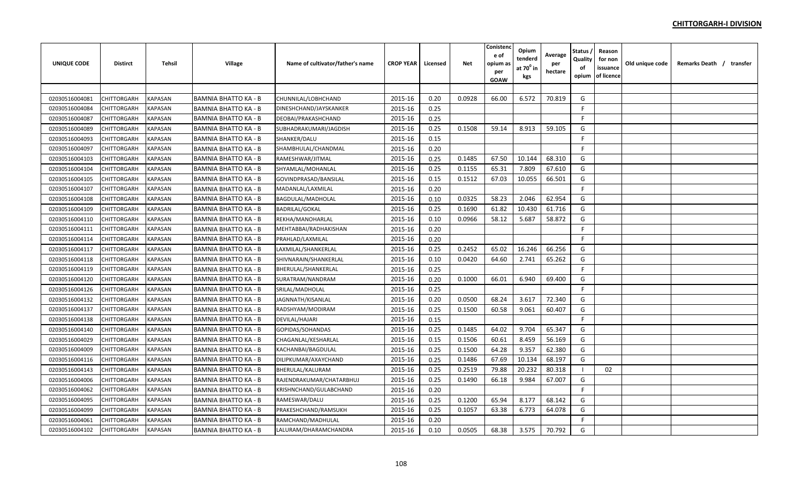| <b>UNIQUE CODE</b> | <b>Distirct</b> | <b>Tehsil</b>  | Village                     | Name of cultivator/father's name | <b>CROP YEAR</b> | Licensed | <b>Net</b> | Conistenc<br>e of<br>opium as<br>per<br><b>GOAW</b> | Opium<br>tenderd<br>at 70 $^{\circ}$ in<br>kgs | Average<br>per<br>hectare | Status<br>Quality<br>of<br>opium | Reason<br>for non<br>issuance<br>of licence | Old unique code | Remarks Death / transfer |  |
|--------------------|-----------------|----------------|-----------------------------|----------------------------------|------------------|----------|------------|-----------------------------------------------------|------------------------------------------------|---------------------------|----------------------------------|---------------------------------------------|-----------------|--------------------------|--|
|                    |                 |                |                             |                                  |                  |          |            |                                                     |                                                |                           |                                  |                                             |                 |                          |  |
| 02030516004081     | CHITTORGARH     | <b>KAPASAN</b> | <b>BAMNIA BHATTO KA - B</b> | CHUNNILAL/LOBHCHAND              | 2015-16          | 0.20     | 0.0928     | 66.00                                               | 6.572                                          | 70.819                    | G                                |                                             |                 |                          |  |
| 02030516004084     | CHITTORGARH     | <b>KAPASAN</b> | <b>BAMNIA BHATTO KA - B</b> | DINESHCHAND/JAYSKANKER           | 2015-16          | 0.25     |            |                                                     |                                                |                           | -F                               |                                             |                 |                          |  |
| 02030516004087     | CHITTORGARH     | <b>KAPASAN</b> | <b>BAMNIA BHATTO KA - B</b> | DEOBAI/PRAKASHCHAND              | 2015-16          | 0.25     |            |                                                     |                                                |                           | -F                               |                                             |                 |                          |  |
| 02030516004089     | CHITTORGARH     | <b>KAPASAN</b> | <b>BAMNIA BHATTO KA - B</b> | SUBHADRAKUMARI/JAGDISH           | 2015-16          | 0.25     | 0.1508     | 59.14                                               | 8.913                                          | 59.105                    | G                                |                                             |                 |                          |  |
| 02030516004093     | CHITTORGARH     | <b>KAPASAN</b> | <b>BAMNIA BHATTO KA - B</b> | SHANKER/DALU                     | 2015-16          | 0.15     |            |                                                     |                                                |                           | F                                |                                             |                 |                          |  |
| 02030516004097     | CHITTORGARH     | KAPASAN        | <b>BAMNIA BHATTO KA - B</b> | SHAMBHULAL/CHANDMAL              | 2015-16          | 0.20     |            |                                                     |                                                |                           | F.                               |                                             |                 |                          |  |
| 02030516004103     | CHITTORGARH     | KAPASAN        | BAMNIA BHATTO KA - B        | RAMESHWAR/JITMAL                 | 2015-16          | 0.25     | 0.1485     | 67.50                                               | 10.144                                         | 68.310                    | G                                |                                             |                 |                          |  |
| 02030516004104     | CHITTORGARH     | <b>KAPASAN</b> | <b>BAMNIA BHATTO KA - B</b> | SHYAMLAL/MOHANLAL                | 2015-16          | 0.25     | 0.1155     | 65.31                                               | 7.809                                          | 67.610                    | G                                |                                             |                 |                          |  |
| 02030516004105     | CHITTORGARH     | <b>KAPASAN</b> | <b>BAMNIA BHATTO KA - B</b> | GOVINDPRASAD/BANSILAL            | 2015-16          | 0.15     | 0.1512     | 67.03                                               | 10.055                                         | 66.501                    | G                                |                                             |                 |                          |  |
| 02030516004107     | CHITTORGARH     | <b>KAPASAN</b> | <b>BAMNIA BHATTO KA - B</b> | MADANLAL/LAXMILAL                | 2015-16          | 0.20     |            |                                                     |                                                |                           | F                                |                                             |                 |                          |  |
| 02030516004108     | CHITTORGARH     | <b>KAPASAN</b> | <b>BAMNIA BHATTO KA - B</b> | BAGDULAL/MADHOLAL                | 2015-16          | 0.10     | 0.0325     | 58.23                                               | 2.046                                          | 62.954                    | G                                |                                             |                 |                          |  |
| 02030516004109     | CHITTORGARH     | <b>KAPASAN</b> | <b>BAMNIA BHATTO KA - B</b> | <b>BADRILAL/GOKAL</b>            | 2015-16          | 0.25     | 0.1690     | 61.82                                               | 10.430                                         | 61.716                    | G                                |                                             |                 |                          |  |
| 02030516004110     | CHITTORGARH     | <b>KAPASAN</b> | <b>BAMNIA BHATTO KA - B</b> | REKHA/MANOHARLAL                 | 2015-16          | 0.10     | 0.0966     | 58.12                                               | 5.687                                          | 58.872                    | G                                |                                             |                 |                          |  |
| 02030516004111     | CHITTORGARH     | <b>KAPASAN</b> | <b>BAMNIA BHATTO KA - B</b> | MEHTABBAI/RADHAKISHAN            | 2015-16          | 0.20     |            |                                                     |                                                |                           | F                                |                                             |                 |                          |  |
| 02030516004114     | CHITTORGARH     | <b>KAPASAN</b> | <b>BAMNIA BHATTO KA - B</b> | PRAHLAD/LAXMILAL                 | 2015-16          | 0.20     |            |                                                     |                                                |                           | F                                |                                             |                 |                          |  |
| 02030516004117     | CHITTORGARH     | <b>KAPASAN</b> | <b>BAMNIA BHATTO KA - B</b> | LAXMILAL/SHANKERLAL              | 2015-16          | 0.25     | 0.2452     | 65.02                                               | 16.246                                         | 66.256                    | G                                |                                             |                 |                          |  |
| 02030516004118     | CHITTORGARH     | <b>KAPASAN</b> | <b>BAMNIA BHATTO KA - B</b> | SHIVNARAIN/SHANKERLAL            | 2015-16          | 0.10     | 0.0420     | 64.60                                               | 2.741                                          | 65.262                    | G                                |                                             |                 |                          |  |
| 02030516004119     | CHITTORGARH     | KAPASAN        | <b>BAMNIA BHATTO KA - B</b> | BHERULAL/SHANKERLAL              | 2015-16          | 0.25     |            |                                                     |                                                |                           | F                                |                                             |                 |                          |  |
| 02030516004120     | CHITTORGARH     | <b>KAPASAN</b> | <b>BAMNIA BHATTO KA - B</b> | SURATRAM/NANDRAM                 | 2015-16          | 0.20     | 0.1000     | 66.01                                               | 6.940                                          | 69.400                    | G                                |                                             |                 |                          |  |
| 02030516004126     | CHITTORGARH     | <b>KAPASAN</b> | <b>BAMNIA BHATTO KA - B</b> | SRILAL/MADHOLAL                  | 2015-16          | 0.25     |            |                                                     |                                                |                           | F.                               |                                             |                 |                          |  |
| 02030516004132     | CHITTORGARH     | <b>KAPASAN</b> | <b>BAMNIA BHATTO KA - B</b> | JAGNNATH/KISANLAL                | 2015-16          | 0.20     | 0.0500     | 68.24                                               | 3.617                                          | 72.340                    | G                                |                                             |                 |                          |  |
| 02030516004137     | CHITTORGARH     | <b>KAPASAN</b> | <b>BAMNIA BHATTO KA - B</b> | RADSHYAM/MODIRAM                 | 2015-16          | 0.25     | 0.1500     | 60.58                                               | 9.061                                          | 60.407                    | G                                |                                             |                 |                          |  |
| 02030516004138     | CHITTORGARH     | <b>KAPASAN</b> | <b>BAMNIA BHATTO KA - B</b> | DEVILAL/HAJARI                   | 2015-16          | 0.15     |            |                                                     |                                                |                           | F.                               |                                             |                 |                          |  |
| 02030516004140     | CHITTORGARH     | <b>KAPASAN</b> | <b>BAMNIA BHATTO KA - B</b> | GOPIDAS/SOHANDAS                 | 2015-16          | 0.25     | 0.1485     | 64.02                                               | 9.704                                          | 65.347                    | G                                |                                             |                 |                          |  |
| 02030516004029     | CHITTORGARH     | <b>KAPASAN</b> | <b>BAMNIA BHATTO KA - B</b> | CHAGANLAL/KESHARLAL              | 2015-16          | 0.15     | 0.1506     | 60.61                                               | 8.459                                          | 56.169                    | G                                |                                             |                 |                          |  |
| 02030516004009     | CHITTORGARH     | <b>KAPASAN</b> | <b>BAMNIA BHATTO KA - B</b> | KACHANBAI/BAGDULAL               | 2015-16          | 0.25     | 0.1500     | 64.28                                               | 9.357                                          | 62.380                    | G                                |                                             |                 |                          |  |
| 02030516004116     | CHITTORGARH     | <b>KAPASAN</b> | <b>BAMNIA BHATTO KA - B</b> | DILIPKUMAR/AXAYCHAND             | 2015-16          | 0.25     | 0.1486     | 67.69                                               | 10.134                                         | 68.197                    | G                                |                                             |                 |                          |  |
| 02030516004143     | CHITTORGARH     | <b>KAPASAN</b> | <b>BAMNIA BHATTO KA - B</b> | BHERULAL/KALURAM                 | 2015-16          | 0.25     | 0.2519     | 79.88                                               | 20.232                                         | 80.318                    |                                  | 02                                          |                 |                          |  |
| 02030516004006     | CHITTORGARH     | KAPASAN        | <b>BAMNIA BHATTO KA - B</b> | RAJENDRAKUMAR/CHATARBHUJ         | 2015-16          | 0.25     | 0.1490     | 66.18                                               | 9.984                                          | 67.007                    | G                                |                                             |                 |                          |  |
| 02030516004062     | CHITTORGARH     | KAPASAN        | <b>BAMNIA BHATTO KA - B</b> | KRISHNCHAND/GULABCHAND           | 2015-16          | 0.20     |            |                                                     |                                                |                           | F.                               |                                             |                 |                          |  |
| 02030516004095     | CHITTORGARH     | <b>KAPASAN</b> | <b>BAMNIA BHATTO KA - B</b> | RAMESWAR/DALU                    | 2015-16          | 0.25     | 0.1200     | 65.94                                               | 8.177                                          | 68.142                    | G                                |                                             |                 |                          |  |
| 02030516004099     | CHITTORGARH     | <b>KAPASAN</b> | <b>BAMNIA BHATTO KA - B</b> | PRAKESHCHAND/RAMSUKH             | 2015-16          | 0.25     | 0.1057     | 63.38                                               | 6.773                                          | 64.078                    | G                                |                                             |                 |                          |  |
| 02030516004061     | CHITTORGARH     | <b>KAPASAN</b> | <b>BAMNIA BHATTO KA - B</b> | RAMCHAND/MADHULAL                | 2015-16          | 0.20     |            |                                                     |                                                |                           | F.                               |                                             |                 |                          |  |
| 02030516004102     | CHITTORGARH     | <b>KAPASAN</b> | <b>BAMNIA BHATTO KA - B</b> | LALURAM/DHARAMCHANDRA            | 2015-16          | 0.10     | 0.0505     | 68.38                                               | 3.575                                          | 70.792                    | G                                |                                             |                 |                          |  |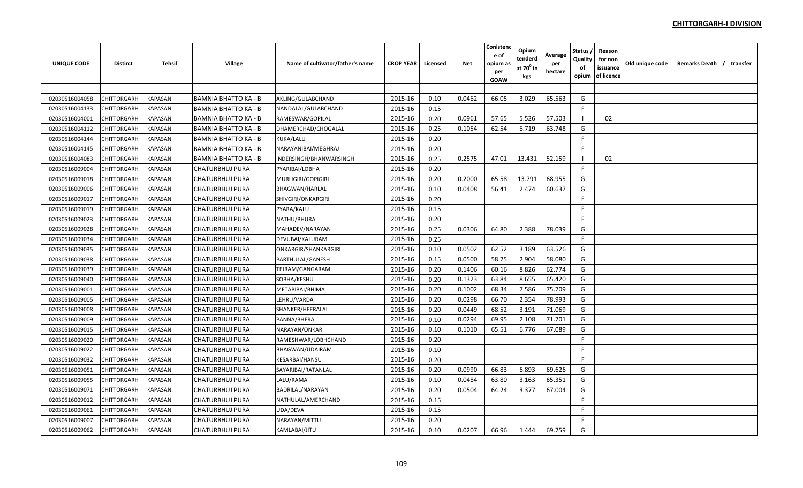| UNIQUE CODE    | <b>Distirct</b>    | Tehsil         | Village                     | Name of cultivator/father's name | <b>CROP YEAR</b> | Licensed | <b>Net</b> | Conistenc<br>e of<br>opium as<br>per<br><b>GOAW</b> | Opium<br>tenderd<br>at 70 <sup>0</sup> in<br>kgs | Average<br>per<br>hectare | Status ,<br>Quality<br>of<br>opium | Reason<br>for non<br>issuance<br>of licence | Old unique code | Remarks Death / transfer |
|----------------|--------------------|----------------|-----------------------------|----------------------------------|------------------|----------|------------|-----------------------------------------------------|--------------------------------------------------|---------------------------|------------------------------------|---------------------------------------------|-----------------|--------------------------|
|                |                    |                |                             |                                  |                  |          |            |                                                     |                                                  |                           |                                    |                                             |                 |                          |
| 02030516004058 | CHITTORGARH        | <b>KAPASAN</b> | <b>BAMNIA BHATTO KA - B</b> | AKLING/GULABCHAND                | 2015-16          | 0.10     | 0.0462     | 66.05                                               | 3.029                                            | 65.563                    | G                                  |                                             |                 |                          |
| 02030516004133 | CHITTORGARH        | <b>KAPASAN</b> | <b>BAMNIA BHATTO KA - B</b> | NANDALAL/GULABCHAND              | 2015-16          | 0.15     |            |                                                     |                                                  |                           | F                                  |                                             |                 |                          |
| 02030516004001 | CHITTORGARH        | KAPASAN        | <b>BAMNIA BHATTO KA - B</b> | RAMESWAR/GOPILAL                 | 2015-16          | 0.20     | 0.0961     | 57.65                                               | 5.526                                            | 57.503                    |                                    | 02                                          |                 |                          |
| 02030516004112 | CHITTORGARH        | KAPASAN        | <b>BAMNIA BHATTO KA - B</b> | DHAMERCHAD/CHOGALAL              | 2015-16          | 0.25     | 0.1054     | 62.54                                               | 6.719                                            | 63.748                    | G                                  |                                             |                 |                          |
| 02030516004144 | <b>CHITTORGARH</b> | KAPASAN        | <b>BAMNIA BHATTO KA - B</b> | KUKA/LALU                        | 2015-16          | 0.20     |            |                                                     |                                                  |                           | F                                  |                                             |                 |                          |
| 02030516004145 | CHITTORGARH        | KAPASAN        | <b>BAMNIA BHATTO KA - B</b> | NARAYANIBAI/MEGHRAJ              | 2015-16          | 0.20     |            |                                                     |                                                  |                           | F.                                 |                                             |                 |                          |
| 02030516004083 | CHITTORGARH        | KAPASAN        | <b>BAMNIA BHATTO KA - B</b> | INDERSINGH/BHANWARSINGH          | 2015-16          | 0.25     | 0.2575     | 47.01                                               | 13.431                                           | 52.159                    |                                    | 02                                          |                 |                          |
| 02030516009004 | CHITTORGARH        | KAPASAN        | <b>CHATURBHUJ PURA</b>      | PYARIBAI/LOBHA                   | 2015-16          | 0.20     |            |                                                     |                                                  |                           | F.                                 |                                             |                 |                          |
| 02030516009018 | CHITTORGARH        | KAPASAN        | <b>CHATURBHUJ PURA</b>      | MURLIGIRI/GOPIGIRI               | 2015-16          | 0.20     | 0.2000     | 65.58                                               | 13.791                                           | 68.955                    | G                                  |                                             |                 |                          |
| 02030516009006 | CHITTORGARH        | <b>KAPASAN</b> | <b>CHATURBHUJ PURA</b>      | <b>BHAGWAN/HARLAL</b>            | 2015-16          | 0.10     | 0.0408     | 56.41                                               | 2.474                                            | 60.637                    | G                                  |                                             |                 |                          |
| 02030516009017 | <b>CHITTORGARH</b> | <b>KAPASAN</b> | <b>CHATURBHUJ PURA</b>      | SHIVGIRI/ONKARGIRI               | 2015-16          | 0.20     |            |                                                     |                                                  |                           | F                                  |                                             |                 |                          |
| 02030516009019 | CHITTORGARH        | <b>KAPASAN</b> | <b>CHATURBHUJ PURA</b>      | PYARA/KALU                       | 2015-16          | 0.15     |            |                                                     |                                                  |                           | F.                                 |                                             |                 |                          |
| 02030516009023 | CHITTORGARH        | KAPASAN        | <b>CHATURBHUJ PURA</b>      | NATHU/BHURA                      | 2015-16          | 0.20     |            |                                                     |                                                  |                           | F.                                 |                                             |                 |                          |
| 02030516009028 | CHITTORGARH        | <b>KAPASAN</b> | CHATURBHUJ PURA             | MAHADEV/NARAYAN                  | 2015-16          | 0.25     | 0.0306     | 64.80                                               | 2.388                                            | 78.039                    | G                                  |                                             |                 |                          |
| 02030516009034 | CHITTORGARH        | KAPASAN        | <b>CHATURBHUJ PURA</b>      | DEVUBAI/KALURAM                  | 2015-16          | 0.25     |            |                                                     |                                                  |                           | F                                  |                                             |                 |                          |
| 02030516009035 | CHITTORGARH        | KAPASAN        | <b>CHATURBHUJ PURA</b>      | ONKARGIR/SHANKARGIRI             | 2015-16          | 0.10     | 0.0502     | 62.52                                               | 3.189                                            | 63.526                    | G                                  |                                             |                 |                          |
| 02030516009038 | CHITTORGARH        | KAPASAN        | <b>CHATURBHUJ PURA</b>      | PARTHULAL/GANESH                 | 2015-16          | 0.15     | 0.0500     | 58.75                                               | 2.904                                            | 58.080                    | G                                  |                                             |                 |                          |
| 02030516009039 | CHITTORGARH        | KAPASAN        | CHATURBHUJ PURA             | TEJRAM/GANGARAM                  | 2015-16          | 0.20     | 0.1406     | 60.16                                               | 8.826                                            | 62.774                    | G                                  |                                             |                 |                          |
| 02030516009040 | CHITTORGARH        | KAPASAN        | CHATURBHUJ PURA             | SOBHA/KESHU                      | 2015-16          | 0.20     | 0.1323     | 63.84                                               | 8.655                                            | 65.420                    | G                                  |                                             |                 |                          |
| 02030516009001 | CHITTORGARH        | KAPASAN        | CHATURBHUJ PURA             | METABIBAI/BHIMA                  | 2015-16          | 0.20     | 0.1002     | 68.34                                               | 7.586                                            | 75.709                    | G                                  |                                             |                 |                          |
| 02030516009005 | CHITTORGARH        | KAPASAN        | <b>CHATURBHUJ PURA</b>      | LEHRU/VARDA                      | 2015-16          | 0.20     | 0.0298     | 66.70                                               | 2.354                                            | 78.993                    | G                                  |                                             |                 |                          |
| 02030516009008 | CHITTORGARH        | <b>KAPASAN</b> | <b>CHATURBHUJ PURA</b>      | SHANKER/HEERALAL                 | 2015-16          | 0.20     | 0.0449     | 68.52                                               | 3.191                                            | 71.069                    | G                                  |                                             |                 |                          |
| 02030516009009 | CHITTORGARH        | <b>KAPASAN</b> | <b>CHATURBHUJ PURA</b>      | PANNA/BHERA                      | 2015-16          | 0.10     | 0.0294     | 69.95                                               | 2.108                                            | 71.701                    | G                                  |                                             |                 |                          |
| 02030516009015 | CHITTORGARH        | <b>KAPASAN</b> | <b>CHATURBHUJ PURA</b>      | NARAYAN/ONKAR                    | 2015-16          | 0.10     | 0.1010     | 65.51                                               | 6.776                                            | 67.089                    | G                                  |                                             |                 |                          |
| 02030516009020 | CHITTORGARH        | <b>KAPASAN</b> | <b>CHATURBHUJ PURA</b>      | RAMESHWAR/LOBHCHAND              | 2015-16          | 0.20     |            |                                                     |                                                  |                           | F                                  |                                             |                 |                          |
| 02030516009022 | CHITTORGARH        | <b>KAPASAN</b> | <b>CHATURBHUJ PURA</b>      | BHAGWAN/UDAIRAM                  | 2015-16          | 0.10     |            |                                                     |                                                  |                           | F.                                 |                                             |                 |                          |
| 02030516009032 | CHITTORGARH        | KAPASAN        | <b>CHATURBHUJ PURA</b>      | <b>KESARBAI/HANSU</b>            | 2015-16          | 0.20     |            |                                                     |                                                  |                           | F                                  |                                             |                 |                          |
| 02030516009051 | CHITTORGARH        | KAPASAN        | <b>CHATURBHUJ PURA</b>      | SAYARIBAI/RATANLAL               | 2015-16          | 0.20     | 0.0990     | 66.83                                               | 6.893                                            | 69.626                    | G                                  |                                             |                 |                          |
| 02030516009055 | CHITTORGARH        | KAPASAN        | <b>CHATURBHUJ PURA</b>      | LALU/RAMA                        | 2015-16          | 0.10     | 0.0484     | 63.80                                               | 3.163                                            | 65.351                    | G                                  |                                             |                 |                          |
| 02030516009071 | CHITTORGARH        | KAPASAN        | CHATURBHUJ PURA             | BADRILAL/NARAYAN                 | 2015-16          | 0.20     | 0.0504     | 64.24                                               | 3.377                                            | 67.004                    | G                                  |                                             |                 |                          |
| 02030516009012 | CHITTORGARH        | KAPASAN        | <b>CHATURBHUJ PURA</b>      | NATHULAL/AMERCHAND               | 2015-16          | 0.15     |            |                                                     |                                                  |                           | F.                                 |                                             |                 |                          |
| 02030516009061 | CHITTORGARH        | KAPASAN        | <b>CHATURBHUJ PURA</b>      | UDA/DEVA                         | 2015-16          | 0.15     |            |                                                     |                                                  |                           | F                                  |                                             |                 |                          |
| 02030516009007 | CHITTORGARH        | KAPASAN        | <b>CHATURBHUJ PURA</b>      | NARAYAN/MITTU                    | 2015-16          | 0.20     |            |                                                     |                                                  |                           | F.                                 |                                             |                 |                          |
| 02030516009062 | CHITTORGARH        | <b>KAPASAN</b> | <b>CHATURBHUJ PURA</b>      | KAMLABAI/JITU                    | 2015-16          | 0.10     | 0.0207     | 66.96                                               | 1.444                                            | 69.759                    | G                                  |                                             |                 |                          |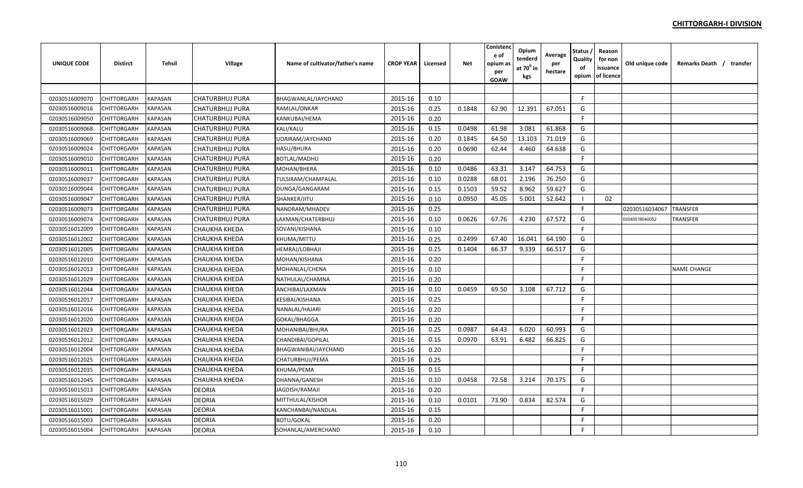| <b>UNIQUE CODE</b> | <b>Distirct</b>    | <b>Tehsil</b>  | <b>Village</b>         | Name of cultivator/father's name | <b>CROP YEAR</b> | Licensed | <b>Net</b> | Conistenc<br>e of<br>opium as<br>per<br><b>GOAW</b> | Opium<br>tenderd<br>at 70 <sup>°</sup> in<br>kgs | Average<br>per<br>hectare | Status<br>Quality<br>of<br>opium | Reason<br>for non<br>issuance<br>of licence | Old unique code | Remarks Death / transfer |
|--------------------|--------------------|----------------|------------------------|----------------------------------|------------------|----------|------------|-----------------------------------------------------|--------------------------------------------------|---------------------------|----------------------------------|---------------------------------------------|-----------------|--------------------------|
|                    |                    |                |                        |                                  |                  |          |            |                                                     |                                                  |                           |                                  |                                             |                 |                          |
| 02030516009070     | CHITTORGARH        | <b>KAPASAN</b> | <b>CHATURBHUJ PURA</b> | BHAGWANLAL/JAYCHAND              | 2015-16          | 0.10     |            |                                                     |                                                  |                           | F                                |                                             |                 |                          |
| 02030516009016     | CHITTORGARH        | <b>KAPASAN</b> | <b>CHATURBHUJ PURA</b> | RAMLAL/ONKAR                     | 2015-16          | 0.25     | 0.1848     | 62.90                                               | 12.391                                           | 67.051                    | G                                |                                             |                 |                          |
| 02030516009050     | CHITTORGARH        | KAPASAN        | <b>CHATURBHUJ PURA</b> | KANKUBAI/HEMA                    | 2015-16          | 0.20     |            |                                                     |                                                  |                           | F                                |                                             |                 |                          |
| 02030516009068     | CHITTORGARH        | KAPASAN        | <b>CHATURBHUJ PURA</b> | <b>KALI/KALU</b>                 | 2015-16          | 0.15     | 0.0498     | 61.98                                               | 3.081                                            | 61.868                    | G                                |                                             |                 |                          |
| 02030516009069     | <b>CHITTORGARH</b> | KAPASAN        | <b>CHATURBHUJ PURA</b> | UDAIRAM/JAYCHAND                 | 2015-16          | 0.20     | 0.1845     | 64.50                                               | 13.103                                           | 71.019                    | G                                |                                             |                 |                          |
| 02030516009024     | CHITTORGARH        | KAPASAN        | <b>CHATURBHUJ PURA</b> | <b>HASU/BHURA</b>                | 2015-16          | 0.20     | 0.0690     | 62.44                                               | 4.460                                            | 64.638                    | G                                |                                             |                 |                          |
| 02030516009010     | CHITTORGARH        | KAPASAN        | CHATURBHUJ PURA        | <b>BOTLAL/MADHU</b>              | 2015-16          | 0.20     |            |                                                     |                                                  |                           | F.                               |                                             |                 |                          |
| 02030516009011     | CHITTORGARH        | <b>KAPASAN</b> | <b>CHATURBHUJ PURA</b> | MOHAN/BHERA                      | 2015-16          | 0.10     | 0.0486     | 63.31                                               | 3.147                                            | 64.753                    | G                                |                                             |                 |                          |
| 02030516009037     | CHITTORGARH        | <b>KAPASAN</b> | <b>CHATURBHUJ PURA</b> | TULSIRAM/CHAMPALAL               | 2015-16          | 0.10     | 0.0288     | 68.01                                               | 2.196                                            | 76.250                    | G                                |                                             |                 |                          |
| 02030516009044     | CHITTORGARH        | <b>KAPASAN</b> | <b>CHATURBHUJ PURA</b> | DUNGA/GANGARAM                   | 2015-16          | 0.15     | 0.1503     | 59.52                                               | 8.962                                            | 59.627                    | G                                |                                             |                 |                          |
| 02030516009047     | CHITTORGARH        | <b>KAPASAN</b> | <b>CHATURBHUJ PURA</b> | SHANKER/JITU                     | 2015-16          | 0.10     | 0.0950     | 45.05                                               | 5.001                                            | 52.642                    | -1                               | 02                                          |                 |                          |
| 02030516009073     | CHITTORGARH        | <b>KAPASAN</b> | <b>CHATURBHUJ PURA</b> | NANDRAM/MHADEV                   | 2015-16          | 0.25     |            |                                                     |                                                  |                           | F.                               |                                             | 02030516034067  | <b>TRANSFER</b>          |
| 02030516009074     | CHITTORGARH        | <b>KAPASAN</b> | <b>CHATURBHUJ PURA</b> | LAXMAN/CHATERBHUJ                | 2015-16          | 0.10     | 0.0626     | 67.76                                               | 4.230                                            | 67.572                    | G                                |                                             | 02040518040052  | <b>TRANSFER</b>          |
| 02030516012009     | CHITTORGARH        | <b>KAPASAN</b> | CHAUKHA KHEDA          | SOVANI/KISHANA                   | 2015-16          | 0.10     |            |                                                     |                                                  |                           | F                                |                                             |                 |                          |
| 02030516012002     | CHITTORGARH        | KAPASAN        | CHAUKHA KHEDA          | KHUMA/MITTU                      | 2015-16          | 0.25     | 0.2499     | 67.40                                               | 16.041                                           | 64.190                    | G                                |                                             |                 |                          |
| 02030516012005     | CHITTORGARH        | KAPASAN        | CHAUKHA KHEDA          | <b>HEMRAJ/LOBHAJI</b>            | 2015-16          | 0.25     | 0.1404     | 66.37                                               | 9.339                                            | 66.517                    | G                                |                                             |                 |                          |
| 02030516012010     | CHITTORGARH        | KAPASAN        | <b>CHAUKHA KHEDA</b>   | MOHAN/KISHANA                    | 2015-16          | 0.20     |            |                                                     |                                                  |                           | F                                |                                             |                 |                          |
| 02030516012013     | CHITTORGARH        | KAPASAN        | CHAUKHA KHEDA          | MOHANLAL/CHENA                   | 2015-16          | 0.10     |            |                                                     |                                                  |                           | E                                |                                             |                 | <b>NAME CHANGE</b>       |
| 02030516012029     | CHITTORGARH        | KAPASAN        | CHAUKHA KHEDA          | NATHULAL/CHAMNA                  | 2015-16          | 0.20     |            |                                                     |                                                  |                           | E                                |                                             |                 |                          |
| 02030516012044     | CHITTORGARH        | <b>KAPASAN</b> | CHAUKHA KHEDA          | ANCHIBAI/LAXMAN                  | 2015-16          | 0.10     | 0.0459     | 69.50                                               | 3.108                                            | 67.712                    | G                                |                                             |                 |                          |
| 02030516012017     | CHITTORGARH        | <b>KAPASAN</b> | CHAUKHA KHEDA          | KESIBAI/KISHANA                  | 2015-16          | 0.25     |            |                                                     |                                                  |                           | F.                               |                                             |                 |                          |
| 02030516012016     | CHITTORGARH        | <b>KAPASAN</b> | CHAUKHA KHEDA          | NANALAL/HAJARI                   | 2015-16          | 0.20     |            |                                                     |                                                  |                           | F.                               |                                             |                 |                          |
| 02030516012020     | CHITTORGARH        | <b>KAPASAN</b> | CHAUKHA KHEDA          | GOKAL/BHAGGA                     | 2015-16          | 0.20     |            |                                                     |                                                  |                           | $\mathsf{F}$                     |                                             |                 |                          |
| 02030516012023     | CHITTORGARH        | <b>KAPASAN</b> | CHAUKHA KHEDA          | MOHANIBAI/BHURA                  | 2015-16          | 0.25     | 0.0987     | 64.43                                               | 6.020                                            | 60.993                    | G                                |                                             |                 |                          |
| 02030516012012     | CHITTORGARH        | <b>KAPASAN</b> | <b>CHAUKHA KHEDA</b>   | CHANDIBAI/GOPILAL                | 2015-16          | 0.15     | 0.0970     | 63.91                                               | 6.482                                            | 66.825                    | G                                |                                             |                 |                          |
| 02030516012004     | CHITTORGARH        | <b>KAPASAN</b> | CHAUKHA KHEDA          | BHAGWANIBAI/JAYCHAND             | 2015-16          | 0.20     |            |                                                     |                                                  |                           | F                                |                                             |                 |                          |
| 02030516012025     | CHITTORGARH        | KAPASAN        | <b>CHAUKHA KHEDA</b>   | CHATURBHUJ/PEMA                  | 2015-16          | 0.25     |            |                                                     |                                                  |                           | F.                               |                                             |                 |                          |
| 02030516012035     | CHITTORGARH        | KAPASAN        | <b>CHAUKHA KHEDA</b>   | KHUMA/PEMA                       | 2015-16          | 0.15     |            |                                                     |                                                  |                           | F.                               |                                             |                 |                          |
| 02030516012045     | CHITTORGARH        | KAPASAN        | CHAUKHA KHEDA          | DHANNA/GANESH                    | 2015-16          | 0.10     | 0.0458     | 72.58                                               | 3.214                                            | 70.175                    | G                                |                                             |                 |                          |
| 02030516015013     | CHITTORGARH        | KAPASAN        | <b>DEORIA</b>          | JAGDISH/RAMAJI                   | 2015-16          | 0.20     |            |                                                     |                                                  |                           | F.                               |                                             |                 |                          |
| 02030516015029     | CHITTORGARH        | <b>KAPASAN</b> | <b>DEORIA</b>          | MITTHULAL/KISHOR                 | 2015-16          | 0.10     | 0.0101     | 73.90                                               | 0.834                                            | 82.574                    | G                                |                                             |                 |                          |
| 02030516015001     | CHITTORGARH        | KAPASAN        | <b>DEORIA</b>          | KANCHANBAI/NANDLAL               | 2015-16          | 0.15     |            |                                                     |                                                  |                           | E                                |                                             |                 |                          |
| 02030516015003     | CHITTORGARH        | <b>KAPASAN</b> | <b>DEORIA</b>          | <b>BOTU/GOKAL</b>                | 2015-16          | 0.20     |            |                                                     |                                                  |                           | F                                |                                             |                 |                          |
| 02030516015004     | <b>CHITTORGARH</b> | <b>KAPASAN</b> | <b>DEORIA</b>          | SOHANLAL/AMERCHAND               | 2015-16          | 0.10     |            |                                                     |                                                  |                           | F                                |                                             |                 |                          |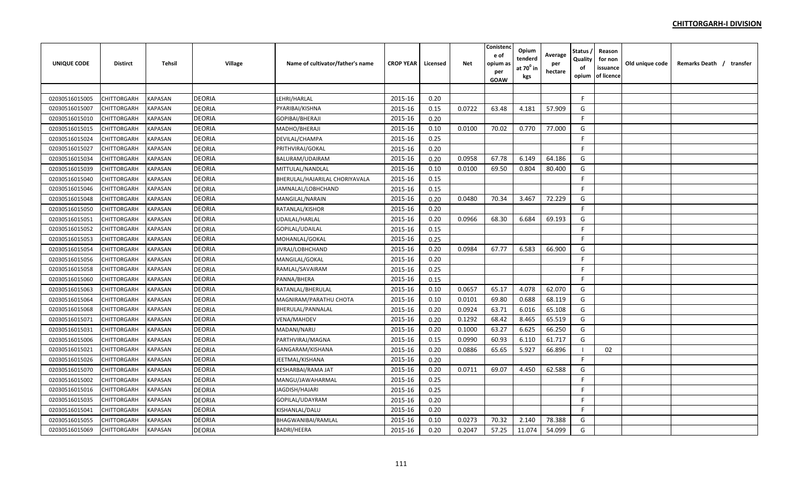| UNIQUE CODE    | <b>Distirct</b>    | Tehsil         | Village       | Name of cultivator/father's name | <b>CROP YEAR</b> | Licensed | Net    | Conistenc<br>e of<br>opium as<br>per<br>GOAW | Opium<br>tenderd<br>at 70º in<br>kgs | Average<br>per<br>hectare | Status ,<br>Quality<br>οf<br>opium | Reason<br>for non<br>issuance<br>of licence | Old unique code | Remarks Death / transfer |
|----------------|--------------------|----------------|---------------|----------------------------------|------------------|----------|--------|----------------------------------------------|--------------------------------------|---------------------------|------------------------------------|---------------------------------------------|-----------------|--------------------------|
|                |                    |                |               |                                  |                  |          |        |                                              |                                      |                           |                                    |                                             |                 |                          |
| 02030516015005 | CHITTORGARH        | KAPASAN        | <b>DEORIA</b> | LEHRI/HARLAL                     | 2015-16          | 0.20     |        |                                              |                                      |                           | F.                                 |                                             |                 |                          |
| 02030516015007 | <b>CHITTORGARH</b> | KAPASAN        | <b>DEORIA</b> | PYARIBAI/KISHNA                  | 2015-16          | 0.15     | 0.0722 | 63.48                                        | 4.181                                | 57.909                    | G                                  |                                             |                 |                          |
| 02030516015010 | CHITTORGARH        | KAPASAN        | <b>DEORIA</b> | GOPIBAI/BHERAJI                  | 2015-16          | 0.20     |        |                                              |                                      |                           | F.                                 |                                             |                 |                          |
| 02030516015015 | CHITTORGARH        | KAPASAN        | <b>DEORIA</b> | MADHO/BHERAJI                    | 2015-16          | 0.10     | 0.0100 | 70.02                                        | 0.770                                | 77.000                    | G                                  |                                             |                 |                          |
| 02030516015024 | CHITTORGARH        | KAPASAN        | <b>DEORIA</b> | DEVILAL/CHAMPA                   | 2015-16          | 0.25     |        |                                              |                                      |                           | F.                                 |                                             |                 |                          |
| 02030516015027 | CHITTORGARH        | KAPASAN        | <b>DEORIA</b> | PRITHVIRAJ/GOKAL                 | 2015-16          | 0.20     |        |                                              |                                      |                           | F.                                 |                                             |                 |                          |
| 02030516015034 | CHITTORGARH        | KAPASAN        | <b>DEORIA</b> | BALURAM/UDAIRAM                  | 2015-16          | 0.20     | 0.0958 | 67.78                                        | 6.149                                | 64.186                    | G                                  |                                             |                 |                          |
| 02030516015039 | CHITTORGARH        | KAPASAN        | <b>DEORIA</b> | MITTULAL/NANDLAL                 | 2015-16          | 0.10     | 0.0100 | 69.50                                        | 0.804                                | 80.400                    | G                                  |                                             |                 |                          |
| 02030516015040 | CHITTORGARH        | <b>KAPASAN</b> | <b>DEORIA</b> | BHERULAL/HAJARILAL CHORIYAVALA   | 2015-16          | 0.15     |        |                                              |                                      |                           | F.                                 |                                             |                 |                          |
| 02030516015046 | <b>CHITTORGARH</b> | <b>KAPASAN</b> | <b>DEORIA</b> | JAMNALAL/LOBHCHAND               | 2015-16          | 0.15     |        |                                              |                                      |                           | F.                                 |                                             |                 |                          |
| 02030516015048 | CHITTORGARH        | <b>KAPASAN</b> | <b>DEORIA</b> | MANGILAL/NARAIN                  | 2015-16          | 0.20     | 0.0480 | 70.34                                        | 3.467                                | 72.229                    | G                                  |                                             |                 |                          |
| 02030516015050 | CHITTORGARH        | KAPASAN        | <b>DEORIA</b> | RATANLAL/KISHOR                  | 2015-16          | 0.20     |        |                                              |                                      |                           | F.                                 |                                             |                 |                          |
| 02030516015051 | CHITTORGARH        | <b>KAPASAN</b> | <b>DEORIA</b> | UDAILAL/HARLAL                   | 2015-16          | 0.20     | 0.0966 | 68.30                                        | 6.684                                | 69.193                    | G                                  |                                             |                 |                          |
| 02030516015052 | CHITTORGARH        | KAPASAN        | <b>DEORIA</b> | GOPILAL/UDAILAL                  | 2015-16          | 0.15     |        |                                              |                                      |                           | F                                  |                                             |                 |                          |
| 02030516015053 | CHITTORGARH        | KAPASAN        | <b>DEORIA</b> | MOHANLAL/GOKAL                   | 2015-16          | 0.25     |        |                                              |                                      |                           | E                                  |                                             |                 |                          |
| 02030516015054 | <b>CHITTORGARH</b> | KAPASAN        | <b>DEORIA</b> | JIVRAJ/LOBHCHAND                 | 2015-16          | 0.20     | 0.0984 | 67.77                                        | 6.583                                | 66.900                    | G                                  |                                             |                 |                          |
| 02030516015056 | CHITTORGARH        | KAPASAN        | <b>DEORIA</b> | MANGILAL/GOKAL                   | 2015-16          | 0.20     |        |                                              |                                      |                           | F.                                 |                                             |                 |                          |
| 02030516015058 | CHITTORGARH        | KAPASAN        | <b>DEORIA</b> | RAMLAL/SAVAIRAM                  | 2015-16          | 0.25     |        |                                              |                                      |                           | F.                                 |                                             |                 |                          |
| 02030516015060 | <b>CHITTORGARH</b> | KAPASAN        | <b>DEORIA</b> | PANNA/BHERA                      | 2015-16          | 0.15     |        |                                              |                                      |                           | F.                                 |                                             |                 |                          |
| 02030516015063 | CHITTORGARH        | KAPASAN        | <b>DEORIA</b> | RATANLAL/BHERULAL                | 2015-16          | 0.10     | 0.0657 | 65.17                                        | 4.078                                | 62.070                    | G                                  |                                             |                 |                          |
| 02030516015064 | CHITTORGARH        | <b>KAPASAN</b> | <b>DEORIA</b> | MAGNIRAM/PARATHU CHOTA           | 2015-16          | 0.10     | 0.0101 | 69.80                                        | 0.688                                | 68.119                    | G                                  |                                             |                 |                          |
| 02030516015068 | <b>CHITTORGARH</b> | <b>KAPASAN</b> | <b>DEORIA</b> | BHERULAL/PANNALAL                | 2015-16          | 0.20     | 0.0924 | 63.71                                        | 6.016                                | 65.108                    | G                                  |                                             |                 |                          |
| 02030516015071 | CHITTORGARH        | <b>KAPASAN</b> | <b>DEORIA</b> | <b>VENA/MAHDEV</b>               | 2015-16          | 0.20     | 0.1292 | 68.42                                        | 8.465                                | 65.519                    | G                                  |                                             |                 |                          |
| 02030516015031 | CHITTORGARH        | <b>KAPASAN</b> | <b>DEORIA</b> | MADANI/NARU                      | 2015-16          | 0.20     | 0.1000 | 63.27                                        | 6.625                                | 66.250                    | G                                  |                                             |                 |                          |
| 02030516015006 | CHITTORGARH        | <b>KAPASAN</b> | <b>DEORIA</b> | PARTHVIRAJ/MAGNA                 | 2015-16          | 0.15     | 0.0990 | 60.93                                        | 6.110                                | 61.717                    | G                                  |                                             |                 |                          |
| 02030516015021 | CHITTORGARH        | <b>KAPASAN</b> | <b>DEORIA</b> | GANGARAM/KISHANA                 | 2015-16          | 0.20     | 0.0886 | 65.65                                        | 5.927                                | 66.896                    |                                    | 02                                          |                 |                          |
| 02030516015026 | CHITTORGARH        | KAPASAN        | <b>DEORIA</b> | JEETMAL/KISHANA                  | 2015-16          | 0.20     |        |                                              |                                      |                           | F.                                 |                                             |                 |                          |
| 02030516015070 | <b>CHITTORGARH</b> | KAPASAN        | <b>DEORIA</b> | KESHARBAI/RAMA JAT               | 2015-16          | 0.20     | 0.0711 | 69.07                                        | 4.450                                | 62.588                    | G                                  |                                             |                 |                          |
| 02030516015002 | CHITTORGARH        | KAPASAN        | <b>DEORIA</b> | MANGU/JAWAHARMAL                 | 2015-16          | 0.25     |        |                                              |                                      |                           | F.                                 |                                             |                 |                          |
| 02030516015016 | CHITTORGARH        | KAPASAN        | <b>DEORIA</b> | JAGDISH/HAJARI                   | 2015-16          | 0.25     |        |                                              |                                      |                           | F.                                 |                                             |                 |                          |
| 02030516015035 | CHITTORGARH        | KAPASAN        | <b>DEORIA</b> | GOPILAL/UDAYRAM                  | 2015-16          | 0.20     |        |                                              |                                      |                           | F                                  |                                             |                 |                          |
| 02030516015041 | CHITTORGARH        | <b>KAPASAN</b> | <b>DEORIA</b> | KISHANLAL/DALU                   | 2015-16          | 0.20     |        |                                              |                                      |                           | F.                                 |                                             |                 |                          |
| 02030516015055 | CHITTORGARH        | <b>KAPASAN</b> | <b>DEORIA</b> | <b>BHAGWANIBAI/RAMLAL</b>        | 2015-16          | 0.10     | 0.0273 | 70.32                                        | 2.140                                | 78.388                    | G                                  |                                             |                 |                          |
| 02030516015069 | CHITTORGARH        | <b>KAPASAN</b> | <b>DEORIA</b> | <b>BADRI/HEERA</b>               | 2015-16          | 0.20     | 0.2047 | 57.25                                        | 11.074                               | 54.099                    | G                                  |                                             |                 |                          |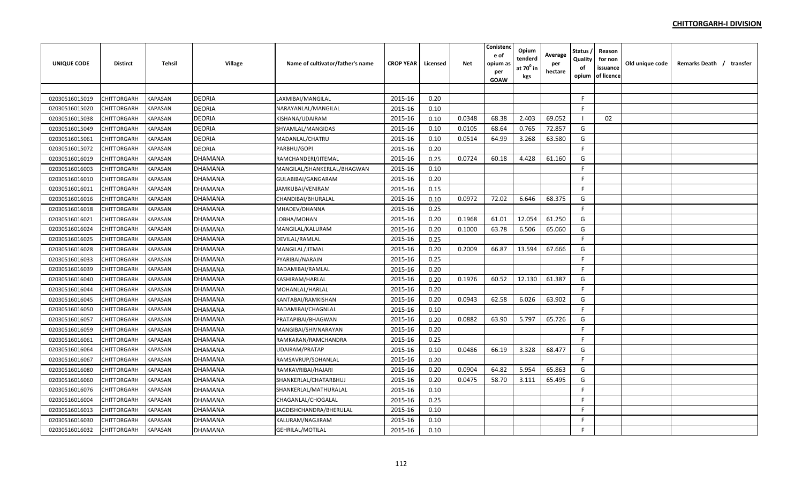| <b>UNIQUE CODE</b> | <b>Distirct</b> | <b>Tehsil</b>         | Village        | Name of cultivator/father's name | <b>CROP YEAR</b> | Licensed | Net    | Conistenc<br>e of<br>opium a:<br>per<br>GOAW | Opium<br>tenderd<br>at $70^0$ in<br>kgs | Average<br>per<br>hectare | Status<br>Quality<br>of<br>opium | Reason<br>for non<br>issuance<br>of licence | Old unique code | Remarks Death / transfer |  |
|--------------------|-----------------|-----------------------|----------------|----------------------------------|------------------|----------|--------|----------------------------------------------|-----------------------------------------|---------------------------|----------------------------------|---------------------------------------------|-----------------|--------------------------|--|
|                    |                 |                       |                |                                  |                  |          |        |                                              |                                         |                           |                                  |                                             |                 |                          |  |
| 02030516015019     | CHITTORGARH     | KAPASAN               | <b>DEORIA</b>  | LAXMIBAI/MANGILAL                | 2015-16          | 0.20     |        |                                              |                                         |                           | F.                               |                                             |                 |                          |  |
| 02030516015020     | CHITTORGARH     | KAPASAN               | <b>DEORIA</b>  | NARAYANLAL/MANGILAL              | 2015-16          | 0.10     |        |                                              |                                         |                           | F                                |                                             |                 |                          |  |
| 02030516015038     | CHITTORGARH     | KAPASAN               | <b>DEORIA</b>  | KISHANA/UDAIRAM                  | 2015-16          | 0.10     | 0.0348 | 68.38                                        | 2.403                                   | 69.052                    | - 1                              | 02                                          |                 |                          |  |
| 02030516015049     | CHITTORGARH     | <b>APASAN</b>         | <b>DEORIA</b>  | SHYAMLAL/MANGIDAS                | 2015-16          | 0.10     | 0.0105 | 68.64                                        | 0.765                                   | 72.857                    | G                                |                                             |                 |                          |  |
| 02030516015061     | CHITTORGARH     | <b><i>KAPASAN</i></b> | <b>DEORIA</b>  | MADANLAL/CHATRU                  | 2015-16          | 0.10     | 0.0514 | 64.99                                        | 3.268                                   | 63.580                    | G                                |                                             |                 |                          |  |
| 02030516015072     | CHITTORGARH     | KAPASAN               | <b>DEORIA</b>  | PARBHU/GOPI                      | 2015-16          | 0.20     |        |                                              |                                         |                           | F.                               |                                             |                 |                          |  |
| 02030516016019     | CHITTORGARH     | <b><i>CAPASAN</i></b> | <b>DHAMANA</b> | RAMCHANDERI/JITEMAL              | 2015-16          | 0.25     | 0.0724 | 60.18                                        | 4.428                                   | 61.160                    | G                                |                                             |                 |                          |  |
| 02030516016003     | CHITTORGARH     | KAPASAN               | DHAMANA        | MANGILAL/SHANKERLAL/BHAGWAN      | 2015-16          | 0.10     |        |                                              |                                         |                           | F                                |                                             |                 |                          |  |
| 02030516016010     | CHITTORGARH     | KAPASAN               | <b>DHAMANA</b> | GULABIBAI/GANGARAM               | 2015-16          | 0.20     |        |                                              |                                         |                           | F                                |                                             |                 |                          |  |
| 02030516016011     | CHITTORGARH     | <b><i>KAPASAN</i></b> | <b>DHAMANA</b> | JAMKUBAI/VENIRAM                 | 2015-16          | 0.15     |        |                                              |                                         |                           | F.                               |                                             |                 |                          |  |
| 02030516016016     | CHITTORGARH     | KAPASAN               | <b>DHAMANA</b> | CHANDIBAI/BHURALAL               | 2015-16          | 0.10     | 0.0972 | 72.02                                        | 6.646                                   | 68.375                    | G                                |                                             |                 |                          |  |
| 02030516016018     | CHITTORGARH     | KAPASAN               | DHAMANA        | MHADEV/DHANNA                    | 2015-16          | 0.25     |        |                                              |                                         |                           | F.                               |                                             |                 |                          |  |
| 02030516016021     | CHITTORGARH     | KAPASAN               | <b>DHAMANA</b> | LOBHA/MOHAN                      | 2015-16          | 0.20     | 0.1968 | 61.01                                        | 12.054                                  | 61.250                    | G                                |                                             |                 |                          |  |
| 02030516016024     | CHITTORGARH     | KAPASAN               | <b>DHAMANA</b> | MANGILAL/KALURAM                 | 2015-16          | 0.20     | 0.1000 | 63.78                                        | 6.506                                   | 65.060                    | G                                |                                             |                 |                          |  |
| 02030516016025     | CHITTORGARH     | <b>KAPASAN</b>        | <b>DHAMANA</b> | DEVILAL/RAMLAL                   | 2015-16          | 0.25     |        |                                              |                                         |                           | F                                |                                             |                 |                          |  |
| 02030516016028     | CHITTORGARH     | <b>KAPASAN</b>        | <b>DHAMANA</b> | MANGILAL/JITMAL                  | 2015-16          | 0.20     | 0.2009 | 66.87                                        | 13.594                                  | 67.666                    | G                                |                                             |                 |                          |  |
| 02030516016033     | CHITTORGARH     | KAPASAN               | DHAMANA        | PYARIBAI/NARAIN                  | 2015-16          | 0.25     |        |                                              |                                         |                           | F                                |                                             |                 |                          |  |
| 02030516016039     | CHITTORGARH     | <b><i>CAPASAN</i></b> | DHAMANA        | BADAMIBAI/RAMLAL                 | 2015-16          | 0.20     |        |                                              |                                         |                           | F.                               |                                             |                 |                          |  |
| 02030516016040     | CHITTORGARH     | <b>CAPASAN</b>        | DHAMANA        | KASHIRAM/HARLAL                  | 2015-16          | 0.20     | 0.1976 | 60.52                                        | 12.130                                  | 61.387                    | G                                |                                             |                 |                          |  |
| 02030516016044     | CHITTORGARH     | KAPASAN               | <b>DHAMANA</b> | MOHANLAL/HARLAL                  | 2015-16          | 0.20     |        |                                              |                                         |                           | F                                |                                             |                 |                          |  |
| 02030516016045     | CHITTORGARH     | <b><i>KAPASAN</i></b> | <b>DHAMANA</b> | KANTABAI/RAMKISHAN               | 2015-16          | 0.20     | 0.0943 | 62.58                                        | 6.026                                   | 63.902                    | G                                |                                             |                 |                          |  |
| 02030516016050     | CHITTORGARH     | KAPASAN               | <b>DHAMANA</b> | BADAMIBAI/CHAGNLAL               | 2015-16          | 0.10     |        |                                              |                                         |                           | F.                               |                                             |                 |                          |  |
| 02030516016057     | CHITTORGARH     | KAPASAN               | DHAMANA        | PRATAPIBAI/BHAGWAN               | 2015-16          | 0.20     | 0.0882 | 63.90                                        | 5.797                                   | 65.726                    | G                                |                                             |                 |                          |  |
| 02030516016059     | CHITTORGARH     | KAPASAN               | <b>DHAMANA</b> | MANGIBAI/SHIVNARAYAN             | 2015-16          | 0.20     |        |                                              |                                         |                           | F                                |                                             |                 |                          |  |
| 02030516016061     | CHITTORGARH     | KAPASAN               | <b>DHAMANA</b> | RAMKARAN/RAMCHANDRA              | 2015-16          | 0.25     |        |                                              |                                         |                           | F                                |                                             |                 |                          |  |
| 02030516016064     | CHITTORGARH     | <b><i>KAPASAN</i></b> | <b>DHAMANA</b> | UDAIRAM/PRATAP                   | 2015-16          | 0.10     | 0.0486 | 66.19                                        | 3.328                                   | 68.477                    | G                                |                                             |                 |                          |  |
| 02030516016067     | CHITTORGARH     | <b>APASAN</b>         | <b>DHAMANA</b> | RAMSAVRUP/SOHANLAL               | 2015-16          | 0.20     |        |                                              |                                         |                           | F                                |                                             |                 |                          |  |
| 02030516016080     | CHITTORGARH     | <b><i>KAPASAN</i></b> | DHAMANA        | RAMKAVRIBAI/HAJARI               | 2015-16          | 0.20     | 0.0904 | 64.82                                        | 5.954                                   | 65.863                    | G                                |                                             |                 |                          |  |
| 02030516016060     | CHITTORGARH     | KAPASAN               | DHAMANA        | SHANKERLAL/CHATARBHUJ            | 2015-16          | 0.20     | 0.0475 | 58.70                                        | 3.111                                   | 65.495                    | G                                |                                             |                 |                          |  |
| 02030516016076     | CHITTORGARH     | <b><i>KAPASAN</i></b> | DHAMANA        | SHANKERLAL/MATHURALAL            | 2015-16          | 0.10     |        |                                              |                                         |                           | F.                               |                                             |                 |                          |  |
| 02030516016004     | CHITTORGARH     | KAPASAN               | <b>DHAMANA</b> | CHAGANLAL/CHOGALAL               | 2015-16          | 0.25     |        |                                              |                                         |                           | F                                |                                             |                 |                          |  |
| 02030516016013     | CHITTORGARH     | <b><i>KAPASAN</i></b> | <b>DHAMANA</b> | IAGDISHCHANDRA/BHERULAL          | 2015-16          | 0.10     |        |                                              |                                         |                           | F                                |                                             |                 |                          |  |
| 02030516016030     | CHITTORGARH     | <b><i>KAPASAN</i></b> | <b>DHAMANA</b> | KALURAM/NAGJIRAM                 | 2015-16          | 0.10     |        |                                              |                                         |                           | F                                |                                             |                 |                          |  |
| 02030516016032     | CHITTORGARH     | KAPASAN               | <b>DHAMANA</b> | <b>GEHRILAL/MOTILAL</b>          | 2015-16          | 0.10     |        |                                              |                                         |                           | F                                |                                             |                 |                          |  |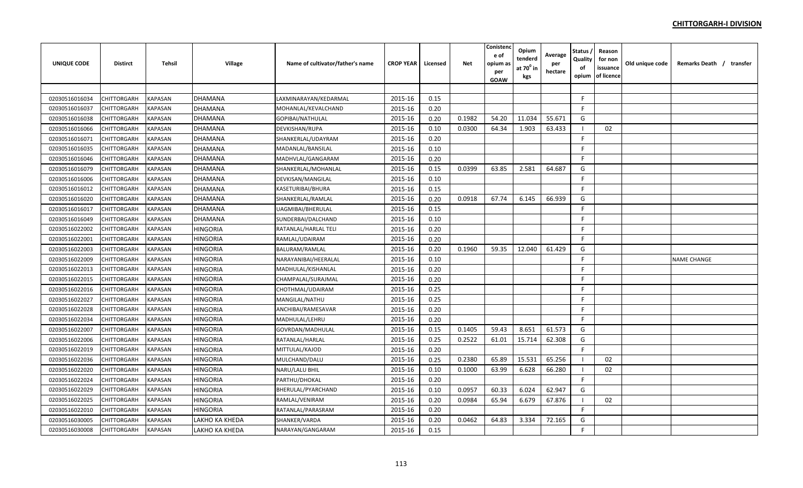| <b>UNIQUE CODE</b> | Distirct    | <b>Tehsil</b>         | Village         | Name of cultivator/father's name | <b>CROP YEAR</b> | Licensed | Net    | Conistenc<br>e of<br>opium a:<br>per<br>GOAW | Opium<br>tenderd<br>at $70^0$ in<br>kgs | Average<br>per<br>hectare | Status<br>Quality<br>of<br>opium | Reason<br>for non<br>issuance<br>of licence | Old unique code | Remarks Death / transfer |  |
|--------------------|-------------|-----------------------|-----------------|----------------------------------|------------------|----------|--------|----------------------------------------------|-----------------------------------------|---------------------------|----------------------------------|---------------------------------------------|-----------------|--------------------------|--|
|                    |             |                       |                 |                                  |                  |          |        |                                              |                                         |                           |                                  |                                             |                 |                          |  |
| 02030516016034     | CHITTORGARH | KAPASAN               | <b>DHAMANA</b>  | LAXMINARAYAN/KEDARMAL            | 2015-16          | 0.15     |        |                                              |                                         |                           | F.                               |                                             |                 |                          |  |
| 02030516016037     | CHITTORGARH | KAPASAN               | <b>DHAMANA</b>  | MOHANLAL/KEVALCHAND              | 2015-16          | 0.20     |        |                                              |                                         |                           | F                                |                                             |                 |                          |  |
| 02030516016038     | CHITTORGARH | KAPASAN               | <b>DHAMANA</b>  | GOPIBAI/NATHULAL                 | 2015-16          | 0.20     | 0.1982 | 54.20                                        | 11.034                                  | 55.671                    | G                                |                                             |                 |                          |  |
| 02030516016066     | CHITTORGARH | <b>APASAN</b>         | <b>DHAMANA</b>  | DEVKISHAN/RUPA                   | 2015-16          | 0.10     | 0.0300 | 64.34                                        | 1.903                                   | 63.433                    | - 1                              | 02                                          |                 |                          |  |
| 02030516016071     | CHITTORGARH | <b><i>KAPASAN</i></b> | <b>DHAMANA</b>  | SHANKERLAL/UDAYRAM               | 2015-16          | 0.20     |        |                                              |                                         |                           | F                                |                                             |                 |                          |  |
| 02030516016035     | CHITTORGARH | KAPASAN               | <b>DHAMANA</b>  | MADANLAL/BANSILAL                | 2015-16          | 0.10     |        |                                              |                                         |                           | F.                               |                                             |                 |                          |  |
| 02030516016046     | CHITTORGARH | <b><i>CAPASAN</i></b> | <b>DHAMANA</b>  | MADHVLAL/GANGARAM                | 2015-16          | 0.20     |        |                                              |                                         |                           | F                                |                                             |                 |                          |  |
| 02030516016079     | CHITTORGARH | KAPASAN               | <b>DHAMANA</b>  | SHANKERLAL/MOHANLAL              | 2015-16          | 0.15     | 0.0399 | 63.85                                        | 2.581                                   | 64.687                    | G                                |                                             |                 |                          |  |
| 02030516016006     | CHITTORGARH | KAPASAN               | <b>DHAMANA</b>  | DEVKISAN/MANGILAL                | 2015-16          | 0.10     |        |                                              |                                         |                           | F                                |                                             |                 |                          |  |
| 02030516016012     | CHITTORGARH | <b><i>KAPASAN</i></b> | <b>DHAMANA</b>  | KASETURIBAI/BHURA                | 2015-16          | 0.15     |        |                                              |                                         |                           | F.                               |                                             |                 |                          |  |
| 02030516016020     | CHITTORGARH | KAPASAN               | <b>DHAMANA</b>  | SHANKERLAL/RAMLAL                | 2015-16          | 0.20     | 0.0918 | 67.74                                        | 6.145                                   | 66.939                    | G                                |                                             |                 |                          |  |
| 02030516016017     | CHITTORGARH | KAPASAN               | DHAMANA         | UAGMIBAI/BHERULAL                | 2015-16          | 0.15     |        |                                              |                                         |                           | F.                               |                                             |                 |                          |  |
| 02030516016049     | CHITTORGARH | KAPASAN               | DHAMANA         | SUNDERBAI/DALCHAND               | 2015-16          | 0.10     |        |                                              |                                         |                           | F                                |                                             |                 |                          |  |
| 02030516022002     | CHITTORGARH | KAPASAN               | <b>HINGORIA</b> | RATANLAL/HARLAL TELI             | 2015-16          | 0.20     |        |                                              |                                         |                           | F                                |                                             |                 |                          |  |
| 02030516022001     | CHITTORGARH | <b>APASAN</b>         | <b>HINGORIA</b> | RAMLAL/UDAIRAM                   | 2015-16          | 0.20     |        |                                              |                                         |                           | F                                |                                             |                 |                          |  |
| 02030516022003     | CHITTORGARH | <b>KAPASAN</b>        | <b>HINGORIA</b> | BALURAM/RAMLAL                   | 2015-16          | 0.20     | 0.1960 | 59.35                                        | 12.040                                  | 61.429                    | G                                |                                             |                 |                          |  |
| 02030516022009     | CHITTORGARH | KAPASAN               | HINGORIA        | NARAYANIBAI/HEERALAL             | 2015-16          | 0.10     |        |                                              |                                         |                           | F                                |                                             |                 | <b>NAME CHANGE</b>       |  |
| 02030516022013     | CHITTORGARH | <b><i>CAPASAN</i></b> | HINGORIA        | MADHULAL/KISHANLAL               | 2015-16          | 0.20     |        |                                              |                                         |                           | F.                               |                                             |                 |                          |  |
| 02030516022015     | CHITTORGARH | <b>KAPASAN</b>        | HINGORIA        | CHAMPALAL/SURAJMAL               | 2015-16          | 0.20     |        |                                              |                                         |                           | F                                |                                             |                 |                          |  |
| 02030516022016     | CHITTORGARH | KAPASAN               | <b>HINGORIA</b> | CHOTHMAL/UDAIRAM                 | 2015-16          | 0.25     |        |                                              |                                         |                           | F                                |                                             |                 |                          |  |
| 02030516022027     | CHITTORGARH | <b><i>KAPASAN</i></b> | <b>HINGORIA</b> | MANGILAL/NATHU                   | 2015-16          | 0.25     |        |                                              |                                         |                           | F                                |                                             |                 |                          |  |
| 02030516022028     | CHITTORGARH | KAPASAN               | <b>HINGORIA</b> | ANCHIBAI/RAMESAVAR               | 2015-16          | 0.20     |        |                                              |                                         |                           | F.                               |                                             |                 |                          |  |
| 02030516022034     | CHITTORGARH | KAPASAN               | <b>HINGORIA</b> | MADHULAL/LEHRU                   | 2015-16          | 0.20     |        |                                              |                                         |                           | F                                |                                             |                 |                          |  |
| 02030516022007     | CHITTORGARH | KAPASAN               | <b>HINGORIA</b> | GOVRDAN/MADHULAL                 | 2015-16          | 0.15     | 0.1405 | 59.43                                        | 8.651                                   | 61.573                    | G                                |                                             |                 |                          |  |
| 02030516022006     | CHITTORGARH | KAPASAN               | <b>HINGORIA</b> | RATANLAL/HARLAL                  | 2015-16          | 0.25     | 0.2522 | 61.01                                        | 15.714                                  | 62.308                    | G                                |                                             |                 |                          |  |
| 02030516022019     | CHITTORGARH | <b><i>KAPASAN</i></b> | <b>HINGORIA</b> | MITTULAL/KAJOD                   | 2015-16          | 0.20     |        |                                              |                                         |                           | F                                |                                             |                 |                          |  |
| 02030516022036     | CHITTORGARH | <b>APASAN</b>         | HINGORIA        | MULCHAND/DALU                    | 2015-16          | 0.25     | 0.2380 | 65.89                                        | 15.531                                  | 65.256                    |                                  | 02                                          |                 |                          |  |
| 02030516022020     | CHITTORGARH | <b><i>KAPASAN</i></b> | HINGORIA        | NARU/LALU BHIL                   | 2015-16          | 0.10     | 0.1000 | 63.99                                        | 6.628                                   | 66.280                    |                                  | 02                                          |                 |                          |  |
| 02030516022024     | CHITTORGARH | KAPASAN               | HINGORIA        | PARTHU/DHOKAL                    | 2015-16          | 0.20     |        |                                              |                                         |                           | F                                |                                             |                 |                          |  |
| 02030516022029     | CHITTORGARH | <b><i>KAPASAN</i></b> | HINGORIA        | BHERULAL/PYARCHAND               | 2015-16          | 0.10     | 0.0957 | 60.33                                        | 6.024                                   | 62.947                    | G                                |                                             |                 |                          |  |
| 02030516022025     | CHITTORGARH | KAPASAN               | <b>HINGORIA</b> | RAMLAL/VENIRAM                   | 2015-16          | 0.20     | 0.0984 | 65.94                                        | 6.679                                   | 67.876                    |                                  | 02                                          |                 |                          |  |
| 02030516022010     | CHITTORGARH | <b><i>KAPASAN</i></b> | HINGORIA        | RATANLAL/PARASRAM                | 2015-16          | 0.20     |        |                                              |                                         |                           | F.                               |                                             |                 |                          |  |
| 02030516030005     | CHITTORGARH | <b><i>KAPASAN</i></b> | LAKHO KA KHEDA  | SHANKER/VARDA                    | 2015-16          | 0.20     | 0.0462 | 64.83                                        | 3.334                                   | 72.165                    | G                                |                                             |                 |                          |  |
| 02030516030008     | CHITTORGARH | KAPASAN               | LAKHO KA KHEDA  | NARAYAN/GANGARAM                 | 2015-16          | 0.15     |        |                                              |                                         |                           | F.                               |                                             |                 |                          |  |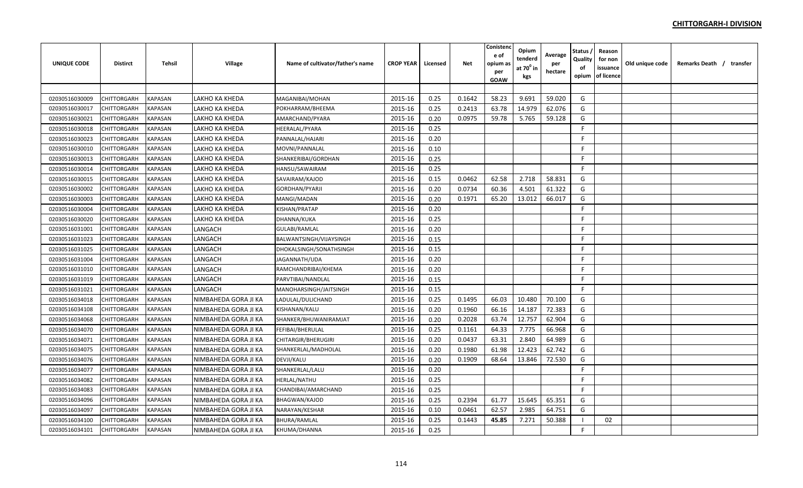| <b>UNIQUE CODE</b> | <b>Distirct</b>    | <b>Tehsil</b>  | <b>Village</b>        | Name of cultivator/father's name | <b>CROP YEAR</b> | Licensed | <b>Net</b> | Conistenc<br>e of<br>opium as<br>per<br><b>GOAW</b> | Opium<br>tenderd<br>at $70^0$ in<br>kgs | Average<br>per<br>hectare | Status<br>Quality<br>of<br>opium | Reason<br>for non<br>issuance<br>of licence | Old unique code | Remarks Death / transfer |  |
|--------------------|--------------------|----------------|-----------------------|----------------------------------|------------------|----------|------------|-----------------------------------------------------|-----------------------------------------|---------------------------|----------------------------------|---------------------------------------------|-----------------|--------------------------|--|
|                    |                    |                |                       |                                  |                  |          |            |                                                     |                                         |                           |                                  |                                             |                 |                          |  |
| 02030516030009     | CHITTORGARH        | <b>KAPASAN</b> | LAKHO KA KHEDA        | MAGANIBAI/MOHAN                  | 2015-16          | 0.25     | 0.1642     | 58.23                                               | 9.691                                   | 59.020                    | G                                |                                             |                 |                          |  |
| 02030516030017     | CHITTORGARH        | <b>KAPASAN</b> | LAKHO KA KHEDA        | POKHARRAM/BHEEMA                 | 2015-16          | 0.25     | 0.2413     | 63.78                                               | 14.979                                  | 62.076                    | G                                |                                             |                 |                          |  |
| 02030516030021     | CHITTORGARH        | KAPASAN        | LAKHO KA KHEDA        | AMARCHAND/PYARA                  | 2015-16          | 0.20     | 0.0975     | 59.78                                               | 5.765                                   | 59.128                    | G                                |                                             |                 |                          |  |
| 02030516030018     | CHITTORGARH        | KAPASAN        | LAKHO KA KHEDA        | <b>HEERALAL/PYARA</b>            | 2015-16          | 0.25     |            |                                                     |                                         |                           | F                                |                                             |                 |                          |  |
| 02030516030023     | <b>CHITTORGARH</b> | KAPASAN        | LAKHO KA KHEDA        | PANNALAL/HAJARI                  | 2015-16          | 0.20     |            |                                                     |                                         |                           | E                                |                                             |                 |                          |  |
| 02030516030010     | CHITTORGARH        | KAPASAN        | LAKHO KA KHEDA        | MOVNI/PANNALAL                   | 2015-16          | 0.10     |            |                                                     |                                         |                           | F.                               |                                             |                 |                          |  |
| 02030516030013     | CHITTORGARH        | KAPASAN        | LAKHO KA KHEDA        | SHANKERIBAI/GORDHAN              | 2015-16          | 0.25     |            |                                                     |                                         |                           | F.                               |                                             |                 |                          |  |
| 02030516030014     | <b>CHITTORGARH</b> | <b>KAPASAN</b> | LAKHO KA KHEDA        | HANSU/SAWAIRAM                   | 2015-16          | 0.25     |            |                                                     |                                         |                           | F.                               |                                             |                 |                          |  |
| 02030516030015     | CHITTORGARH        | KAPASAN        | LAKHO KA KHEDA        | SAVAIRAM/KAJOD                   | 2015-16          | 0.15     | 0.0462     | 62.58                                               | 2.718                                   | 58.831                    | G                                |                                             |                 |                          |  |
| 02030516030002     | CHITTORGARH        | <b>KAPASAN</b> | <b>LAKHO KA KHEDA</b> | GORDHAN/PYARJI                   | 2015-16          | 0.20     | 0.0734     | 60.36                                               | 4.501                                   | 61.322                    | G                                |                                             |                 |                          |  |
| 02030516030003     | <b>CHITTORGARH</b> | <b>KAPASAN</b> | LAKHO KA KHEDA        | MANGI/MADAN                      | 2015-16          | 0.20     | 0.1971     | 65.20                                               | 13.012                                  | 66.017                    | G                                |                                             |                 |                          |  |
| 02030516030004     | CHITTORGARH        | <b>KAPASAN</b> | LAKHO KA KHEDA        | KISHAN/PRATAP                    | 2015-16          | 0.20     |            |                                                     |                                         |                           | F.                               |                                             |                 |                          |  |
| 02030516030020     | CHITTORGARH        | <b>KAPASAN</b> | LAKHO KA KHEDA        | DHANNA/KUKA                      | 2015-16          | 0.25     |            |                                                     |                                         |                           | F                                |                                             |                 |                          |  |
| 02030516031001     | CHITTORGARH        | <b>KAPASAN</b> | LANGACH               | <b>GULABI/RAMLAL</b>             | 2015-16          | 0.20     |            |                                                     |                                         |                           | F                                |                                             |                 |                          |  |
| 02030516031023     | CHITTORGARH        | KAPASAN        | LANGACH               | BALWANTSINGH/VIJAYSINGH          | 2015-16          | 0.15     |            |                                                     |                                         |                           | F.                               |                                             |                 |                          |  |
| 02030516031025     | <b>CHITTORGARH</b> | KAPASAN        | LANGACH               | DHOKALSINGH/SONATHSINGH          | 2015-16          | 0.15     |            |                                                     |                                         |                           | F                                |                                             |                 |                          |  |
| 02030516031004     | CHITTORGARH        | KAPASAN        | LANGACH               | JAGANNATH/UDA                    | 2015-16          | 0.20     |            |                                                     |                                         |                           | F                                |                                             |                 |                          |  |
| 02030516031010     | CHITTORGARH        | KAPASAN        | LANGACH               | RAMCHANDRIBAI/KHEMA              | 2015-16          | 0.20     |            |                                                     |                                         |                           | E                                |                                             |                 |                          |  |
| 02030516031019     | CHITTORGARH        | KAPASAN        | LANGACH               | PARVTIBAI/NANDLAL                | 2015-16          | 0.15     |            |                                                     |                                         |                           | E                                |                                             |                 |                          |  |
| 02030516031021     | CHITTORGARH        | <b>KAPASAN</b> | LANGACH               | MANOHARSINGH/JAITSINGH           | 2015-16          | 0.15     |            |                                                     |                                         |                           | $\mathsf{F}$                     |                                             |                 |                          |  |
| 02030516034018     | CHITTORGARH        | <b>KAPASAN</b> | NIMBAHEDA GORA JI KA  | LADULAL/DULICHAND                | 2015-16          | 0.25     | 0.1495     | 66.03                                               | 10.480                                  | 70.100                    | G                                |                                             |                 |                          |  |
| 02030516034108     | <b>CHITTORGARH</b> | <b>KAPASAN</b> | NIMBAHEDA GORA JI KA  | KISHANAN/KALU                    | 2015-16          | 0.20     | 0.1960     | 66.16                                               | 14.187                                  | 72.383                    | G                                |                                             |                 |                          |  |
| 02030516034068     | CHITTORGARH        | <b>KAPASAN</b> | NIMBAHEDA GORA JI KA  | SHANKER/BHUWANIRAMJAT            | 2015-16          | 0.20     | 0.2028     | 63.74                                               | 12.757                                  | 62.904                    | G                                |                                             |                 |                          |  |
| 02030516034070     | CHITTORGARH        | <b>KAPASAN</b> | NIMBAHEDA GORA JI KA  | <b>FEFIBAI/BHERULAL</b>          | 2015-16          | 0.25     | 0.1161     | 64.33                                               | 7.775                                   | 66.968                    | G                                |                                             |                 |                          |  |
| 02030516034071     | CHITTORGARH        | <b>KAPASAN</b> | NIMBAHEDA GORA JI KA  | CHITARGIR/BHERUGIRI              | 2015-16          | 0.20     | 0.0437     | 63.31                                               | 2.840                                   | 64.989                    | G                                |                                             |                 |                          |  |
| 02030516034075     | CHITTORGARH        | <b>KAPASAN</b> | NIMBAHEDA GORA JI KA  | SHANKERLAL/MADHOLAL              | 2015-16          | 0.20     | 0.1980     | 61.98                                               | 12.423                                  | 62.742                    | G                                |                                             |                 |                          |  |
| 02030516034076     | CHITTORGARH        | KAPASAN        | NIMBAHEDA GORA JI KA  | DEVJI/KALU                       | 2015-16          | 0.20     | 0.1909     | 68.64                                               | 13.846                                  | 72.530                    | G                                |                                             |                 |                          |  |
| 02030516034077     | CHITTORGARH        | KAPASAN        | NIMBAHEDA GORA JI KA  | SHANKERLAL/LALU                  | 2015-16          | 0.20     |            |                                                     |                                         |                           | F                                |                                             |                 |                          |  |
| 02030516034082     | CHITTORGARH        | KAPASAN        | NIMBAHEDA GORA JI KA  | <b>HERLAL/NATHU</b>              | 2015-16          | 0.25     |            |                                                     |                                         |                           | F.                               |                                             |                 |                          |  |
| 02030516034083     | CHITTORGARH        | KAPASAN        | NIMBAHEDA GORA JI KA  | CHANDIBAI/AMARCHAND              | 2015-16          | 0.25     |            |                                                     |                                         |                           | F.                               |                                             |                 |                          |  |
| 02030516034096     | CHITTORGARH        | <b>KAPASAN</b> | NIMBAHEDA GORA JI KA  | <b>BHAGWAN/KAJOD</b>             | 2015-16          | 0.25     | 0.2394     | 61.77                                               | 15.645                                  | 65.351                    | G                                |                                             |                 |                          |  |
| 02030516034097     | CHITTORGARH        | KAPASAN        | NIMBAHEDA GORA JI KA  | NARAYAN/KESHAR                   | 2015-16          | 0.10     | 0.0461     | 62.57                                               | 2.985                                   | 64.751                    | G                                |                                             |                 |                          |  |
| 02030516034100     | CHITTORGARH        | <b>KAPASAN</b> | NIMBAHEDA GORA JI KA  | <b>BHURA/RAMLAL</b>              | 2015-16          | 0.25     | 0.1443     | 45.85                                               | 7.271                                   | 50.388                    |                                  | 02                                          |                 |                          |  |
| 02030516034101     | CHITTORGARH        | <b>KAPASAN</b> | NIMBAHEDA GORA JI KA  | KHUMA/DHANNA                     | 2015-16          | 0.25     |            |                                                     |                                         |                           | F.                               |                                             |                 |                          |  |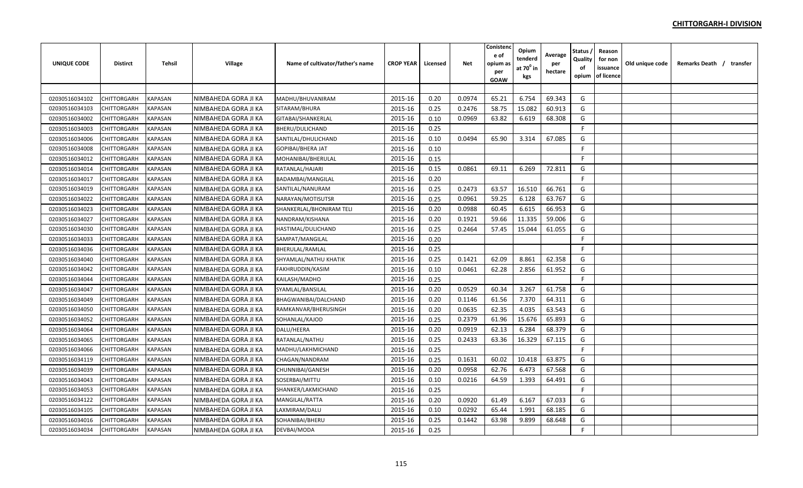| UNIQUE CODE    | Distirct    | Tehsil         | Village              | Name of cultivator/father's name | <b>CROP YEAR I</b> | Licensed | <b>Net</b> | Conistenc<br>e of<br>opium as<br>per<br><b>GOAW</b> | Opium<br>tenderd<br>at 70 <sup>0</sup> in<br>kgs | Average<br>per<br>hectare | Status ,<br>Quality<br>of<br>opium | Reason<br>for non<br>issuance<br>of licence | Old unique code | Remarks Death / transfer |
|----------------|-------------|----------------|----------------------|----------------------------------|--------------------|----------|------------|-----------------------------------------------------|--------------------------------------------------|---------------------------|------------------------------------|---------------------------------------------|-----------------|--------------------------|
|                |             |                |                      |                                  |                    |          |            |                                                     |                                                  |                           |                                    |                                             |                 |                          |
| 02030516034102 | CHITTORGARH | <b>KAPASAN</b> | NIMBAHEDA GORA JI KA | MADHU/BHUVANIRAM                 | 2015-16            | 0.20     | 0.0974     | 65.21                                               | 6.754                                            | 69.343                    | G                                  |                                             |                 |                          |
| 02030516034103 | CHITTORGARH | <b>KAPASAN</b> | NIMBAHEDA GORA JI KA | SITARAM/BHURA                    | 2015-16            | 0.25     | 0.2476     | 58.75                                               | 15.082                                           | 60.913                    | G                                  |                                             |                 |                          |
| 02030516034002 | CHITTORGARH | <b>KAPASAN</b> | NIMBAHEDA GORA JI KA | GITABAI/SHANKERLAL               | 2015-16            | 0.10     | 0.0969     | 63.82                                               | 6.619                                            | 68.308                    | G                                  |                                             |                 |                          |
| 02030516034003 | CHITTORGARH | <b>KAPASAN</b> | NIMBAHEDA GORA JI KA | BHERU/DULICHAND                  | 2015-16            | 0.25     |            |                                                     |                                                  |                           | F.                                 |                                             |                 |                          |
| 02030516034006 | CHITTORGARH | KAPASAN        | NIMBAHEDA GORA JI KA | SANTILAL/DHULICHAND              | 2015-16            | 0.10     | 0.0494     | 65.90                                               | 3.314                                            | 67.085                    | G                                  |                                             |                 |                          |
| 02030516034008 | CHITTORGARH | <b>KAPASAN</b> | NIMBAHEDA GORA JI KA | <b>GOPIBAI/BHERA JAT</b>         | 2015-16            | 0.10     |            |                                                     |                                                  |                           | F.                                 |                                             |                 |                          |
| 02030516034012 | CHITTORGARH | KAPASAN        | NIMBAHEDA GORA JI KA | MOHANIBAI/BHERULAL               | 2015-16            | 0.15     |            |                                                     |                                                  |                           | -F                                 |                                             |                 |                          |
| 02030516034014 | CHITTORGARH | <b>KAPASAN</b> | NIMBAHEDA GORA JI KA | RATANLAL/HAJARI                  | 2015-16            | 0.15     | 0.0861     | 69.11                                               | 6.269                                            | 72.811                    | G                                  |                                             |                 |                          |
| 02030516034017 | CHITTORGARH | <b>KAPASAN</b> | NIMBAHEDA GORA JI KA | BADAMBAI/MANGILAL                | 2015-16            | 0.20     |            |                                                     |                                                  |                           | F                                  |                                             |                 |                          |
| 02030516034019 | CHITTORGARH | <b>KAPASAN</b> | NIMBAHEDA GORA JI KA | SANTILAL/NANURAM                 | 2015-16            | 0.25     | 0.2473     | 63.57                                               | 16.510                                           | 66.761                    | G                                  |                                             |                 |                          |
| 02030516034022 | CHITTORGARH | <b>KAPASAN</b> | NIMBAHEDA GORA JI KA | NARAYAN/MOTISUTSR                | 2015-16            | 0.25     | 0.0961     | 59.25                                               | 6.128                                            | 63.767                    | G                                  |                                             |                 |                          |
| 02030516034023 | CHITTORGARH | <b>KAPASAN</b> | NIMBAHEDA GORA JI KA | SHANKERLAL/BHONIRAM TELI         | 2015-16            | 0.20     | 0.0988     | 60.45                                               | 6.615                                            | 66.953                    | G                                  |                                             |                 |                          |
| 02030516034027 | CHITTORGARH | <b>KAPASAN</b> | NIMBAHEDA GORA JI KA | NANDRAM/KISHANA                  | 2015-16            | 0.20     | 0.1921     | 59.66                                               | 11.335                                           | 59.006                    | G                                  |                                             |                 |                          |
| 02030516034030 | CHITTORGARH | <b>KAPASAN</b> | NIMBAHEDA GORA JI KA | HASTIMAL/DULICHAND               | 2015-16            | 0.25     | 0.2464     | 57.45                                               | 15.044                                           | 61.055                    | G                                  |                                             |                 |                          |
| 02030516034033 | CHITTORGARH | <b>KAPASAN</b> | NIMBAHEDA GORA JI KA | SAMPAT/MANGILAL                  | 2015-16            | 0.20     |            |                                                     |                                                  |                           | F                                  |                                             |                 |                          |
| 02030516034036 | CHITTORGARH | KAPASAN        | NIMBAHEDA GORA JI KA | <b>BHERULAL/RAMLAL</b>           | 2015-16            | 0.25     |            |                                                     |                                                  |                           | F.                                 |                                             |                 |                          |
| 02030516034040 | CHITTORGARH | <b>KAPASAN</b> | NIMBAHEDA GORA JI KA | SHYAMLAL/NATHU KHATIK            | 2015-16            | 0.25     | 0.1421     | 62.09                                               | 8.861                                            | 62.358                    | G                                  |                                             |                 |                          |
| 02030516034042 | CHITTORGARH | <b>KAPASAN</b> | NIMBAHEDA GORA JI KA | FAKHRUDDIN/KASIM                 | 2015-16            | 0.10     | 0.0461     | 62.28                                               | 2.856                                            | 61.952                    | G                                  |                                             |                 |                          |
| 02030516034044 | CHITTORGARH | <b>KAPASAN</b> | NIMBAHEDA GORA JI KA | KAILASH/MADHO                    | 2015-16            | 0.25     |            |                                                     |                                                  |                           | F.                                 |                                             |                 |                          |
| 02030516034047 | CHITTORGARH | <b>KAPASAN</b> | NIMBAHEDA GORA JI KA | SYAMLAL/BANSILAL                 | 2015-16            | 0.20     | 0.0529     | 60.34                                               | 3.267                                            | 61.758                    | G                                  |                                             |                 |                          |
| 02030516034049 | CHITTORGARH | <b>KAPASAN</b> | NIMBAHEDA GORA JI KA | BHAGWANIBAI/DALCHAND             | 2015-16            | 0.20     | 0.1146     | 61.56                                               | 7.370                                            | 64.311                    | G                                  |                                             |                 |                          |
| 02030516034050 | CHITTORGARH | <b>KAPASAN</b> | NIMBAHEDA GORA JI KA | RAMKANVAR/BHERUSINGH             | 2015-16            | 0.20     | 0.0635     | 62.35                                               | 4.035                                            | 63.543                    | G                                  |                                             |                 |                          |
| 02030516034052 | CHITTORGARH | <b>KAPASAN</b> | NIMBAHEDA GORA JI KA | SOHANLAL/KAJOD                   | 2015-16            | 0.25     | 0.2379     | 61.96                                               | 15.676                                           | 65.893                    | G                                  |                                             |                 |                          |
| 02030516034064 | CHITTORGARH | <b>KAPASAN</b> | NIMBAHEDA GORA JI KA | DALU/HEERA                       | 2015-16            | 0.20     | 0.0919     | 62.13                                               | 6.284                                            | 68.379                    | G                                  |                                             |                 |                          |
| 02030516034065 | CHITTORGARH | <b>KAPASAN</b> | NIMBAHEDA GORA JI KA | RATANLAL/NATHU                   | 2015-16            | 0.25     | 0.2433     | 63.36                                               | 16.329                                           | 67.115                    | G                                  |                                             |                 |                          |
| 02030516034066 | CHITTORGARH | <b>KAPASAN</b> | NIMBAHEDA GORA JI KA | MADHU/LAKHMICHAND                | 2015-16            | 0.25     |            |                                                     |                                                  |                           | $\mathsf{F}$                       |                                             |                 |                          |
| 02030516034119 | CHITTORGARH | <b>KAPASAN</b> | NIMBAHEDA GORA JI KA | CHAGAN/NANDRAM                   | 2015-16            | 0.25     | 0.1631     | 60.02                                               | 10.418                                           | 63.875                    | G                                  |                                             |                 |                          |
| 02030516034039 | CHITTORGARH | <b>KAPASAN</b> | NIMBAHEDA GORA JI KA | CHUNNIBAI/GANESH                 | 2015-16            | 0.20     | 0.0958     | 62.76                                               | 6.473                                            | 67.568                    | G                                  |                                             |                 |                          |
| 02030516034043 | CHITTORGARH | <b>KAPASAN</b> | NIMBAHEDA GORA JI KA | SOSERBAI/MITTU                   | 2015-16            | 0.10     | 0.0216     | 64.59                                               | 1.393                                            | 64.491                    | G                                  |                                             |                 |                          |
| 02030516034053 | CHITTORGARH | <b>KAPASAN</b> | NIMBAHEDA GORA JI KA | SHANKER/LAKMICHAND               | 2015-16            | 0.25     |            |                                                     |                                                  |                           | F.                                 |                                             |                 |                          |
| 02030516034122 | CHITTORGARH | <b>KAPASAN</b> | NIMBAHEDA GORA JI KA | MANGILAL/RATTA                   | 2015-16            | 0.20     | 0.0920     | 61.49                                               | 6.167                                            | 67.033                    | G                                  |                                             |                 |                          |
| 02030516034105 | CHITTORGARH | <b>KAPASAN</b> | NIMBAHEDA GORA JI KA | LAXMIRAM/DALU                    | 2015-16            | 0.10     | 0.0292     | 65.44                                               | 1.991                                            | 68.185                    | G                                  |                                             |                 |                          |
| 02030516034016 | CHITTORGARH | <b>KAPASAN</b> | NIMBAHEDA GORA JI KA | SOHANIBAI/BHERU                  | 2015-16            | 0.25     | 0.1442     | 63.98                                               | 9.899                                            | 68.648                    | G                                  |                                             |                 |                          |
| 02030516034034 | CHITTORGARH | <b>KAPASAN</b> | NIMBAHEDA GORA JI KA | DEVBAI/MODA                      | 2015-16            | 0.25     |            |                                                     |                                                  |                           | E                                  |                                             |                 |                          |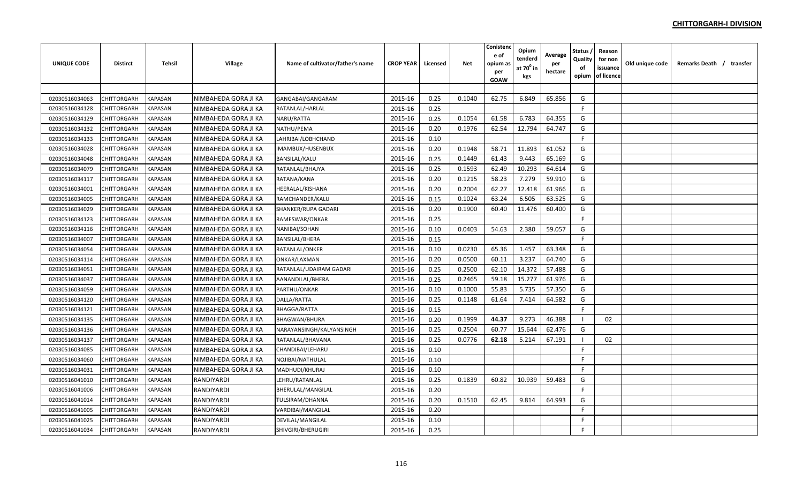| UNIQUE CODE    | Distirct    | Tehsil         | Village              | Name of cultivator/father's name | <b>CROP YEAR</b> | Licensed | <b>Net</b> | Conistenc<br>e of<br>opium as<br>per<br><b>GOAW</b> | Opium<br>tenderd<br>at $70^0$ in<br>kgs | Average<br>per<br>hectare | Status ,<br>Quality<br>of<br>opium | Reason<br>for non<br>issuance<br>of licence | Old unique code | Remarks Death / transfer |
|----------------|-------------|----------------|----------------------|----------------------------------|------------------|----------|------------|-----------------------------------------------------|-----------------------------------------|---------------------------|------------------------------------|---------------------------------------------|-----------------|--------------------------|
|                |             |                |                      |                                  |                  |          |            |                                                     |                                         |                           |                                    |                                             |                 |                          |
| 02030516034063 | CHITTORGARH | <b>KAPASAN</b> | NIMBAHEDA GORA JI KA | GANGABAI/GANGARAM                | 2015-16          | 0.25     | 0.1040     | 62.75                                               | 6.849                                   | 65.856                    | G                                  |                                             |                 |                          |
| 02030516034128 | CHITTORGARH | <b>KAPASAN</b> | NIMBAHEDA GORA JI KA | RATANLAL/HARLAL                  | 2015-16          | 0.25     |            |                                                     |                                         |                           | -F                                 |                                             |                 |                          |
| 02030516034129 | CHITTORGARH | <b>KAPASAN</b> | NIMBAHEDA GORA JI KA | NARU/RATTA                       | 2015-16          | 0.25     | 0.1054     | 61.58                                               | 6.783                                   | 64.355                    | G                                  |                                             |                 |                          |
| 02030516034132 | CHITTORGARH | <b>KAPASAN</b> | NIMBAHEDA GORA JI KA | NATHU/PEMA                       | 2015-16          | 0.20     | 0.1976     | 62.54                                               | 12.794                                  | 64.747                    | G                                  |                                             |                 |                          |
| 02030516034133 | CHITTORGARH | <b>KAPASAN</b> | NIMBAHEDA GORA JI KA | LAHRIBAI/LOBHCHAND               | 2015-16          | 0.10     |            |                                                     |                                         |                           | F.                                 |                                             |                 |                          |
| 02030516034028 | CHITTORGARH | <b>KAPASAN</b> | NIMBAHEDA GORA JI KA | IMAMBUX/HUSENBUX                 | 2015-16          | 0.20     | 0.1948     | 58.71                                               | 11.893                                  | 61.052                    | G                                  |                                             |                 |                          |
| 02030516034048 | CHITTORGARH | KAPASAN        | NIMBAHEDA GORA JI KA | <b>BANSILAL/KALU</b>             | 2015-16          | 0.25     | 0.1449     | 61.43                                               | 9.443                                   | 65.169                    | G                                  |                                             |                 |                          |
| 02030516034079 | CHITTORGARH | <b>KAPASAN</b> | NIMBAHEDA GORA JI KA | RATANLAL/BHAJYA                  | 2015-16          | 0.25     | 0.1593     | 62.49                                               | 10.293                                  | 64.614                    | G                                  |                                             |                 |                          |
| 02030516034117 | CHITTORGARH | <b>KAPASAN</b> | NIMBAHEDA GORA JI KA | RATANA/KANA                      | 2015-16          | 0.20     | 0.1215     | 58.23                                               | 7.279                                   | 59.910                    | G                                  |                                             |                 |                          |
| 02030516034001 | CHITTORGARH | <b>KAPASAN</b> | NIMBAHEDA GORA JI KA | <b>HEERALAL/KISHANA</b>          | 2015-16          | 0.20     | 0.2004     | 62.27                                               | 12.418                                  | 61.966                    | G                                  |                                             |                 |                          |
| 02030516034005 | CHITTORGARH | <b>KAPASAN</b> | NIMBAHEDA GORA JI KA | RAMCHANDER/KALU                  | 2015-16          | 0.15     | 0.1024     | 63.24                                               | 6.505                                   | 63.525                    | G                                  |                                             |                 |                          |
| 02030516034029 | CHITTORGARH | <b>KAPASAN</b> | NIMBAHEDA GORA JI KA | SHANKER/RUPA GADARI              | 2015-16          | 0.20     | 0.1900     | 60.40                                               | 11.476                                  | 60.400                    | G                                  |                                             |                 |                          |
| 02030516034123 | CHITTORGARH | <b>KAPASAN</b> | NIMBAHEDA GORA JI KA | RAMESWAR/ONKAR                   | 2015-16          | 0.25     |            |                                                     |                                         |                           | -F                                 |                                             |                 |                          |
| 02030516034116 | CHITTORGARH | <b>KAPASAN</b> | NIMBAHEDA GORA JI KA | NANIBAI/SOHAN                    | 2015-16          | 0.10     | 0.0403     | 54.63                                               | 2.380                                   | 59.057                    | G                                  |                                             |                 |                          |
| 02030516034007 | CHITTORGARH | <b>KAPASAN</b> | NIMBAHEDA GORA JI KA | <b>BANSILAL/BHERA</b>            | 2015-16          | 0.15     |            |                                                     |                                         |                           | F.                                 |                                             |                 |                          |
| 02030516034054 | CHITTORGARH | KAPASAN        | NIMBAHEDA GORA JI KA | RATANLAL/ONKER                   | 2015-16          | 0.10     | 0.0230     | 65.36                                               | 1.457                                   | 63.348                    | G                                  |                                             |                 |                          |
| 02030516034114 | CHITTORGARH | <b>KAPASAN</b> | NIMBAHEDA GORA JI KA | ONKAR/LAXMAN                     | 2015-16          | 0.20     | 0.0500     | 60.11                                               | 3.237                                   | 64.740                    | G                                  |                                             |                 |                          |
| 02030516034051 | CHITTORGARH | <b>KAPASAN</b> | NIMBAHEDA GORA JI KA | RATANLAL/UDAIRAM GADARI          | 2015-16          | 0.25     | 0.2500     | 62.10                                               | 14.372                                  | 57.488                    | G                                  |                                             |                 |                          |
| 02030516034037 | CHITTORGARH | <b>KAPASAN</b> | NIMBAHEDA GORA JI KA | AANANDILAL/BHERA                 | 2015-16          | 0.25     | 0.2465     | 59.18                                               | 15.277                                  | 61.976                    | G                                  |                                             |                 |                          |
| 02030516034059 | CHITTORGARH | <b>KAPASAN</b> | NIMBAHEDA GORA JI KA | PARTHU/ONKAR                     | 2015-16          | 0.10     | 0.1000     | 55.83                                               | 5.735                                   | 57.350                    | G                                  |                                             |                 |                          |
| 02030516034120 | CHITTORGARH | <b>KAPASAN</b> | NIMBAHEDA GORA JI KA | DALLA/RATTA                      | 2015-16          | 0.25     | 0.1148     | 61.64                                               | 7.414                                   | 64.582                    | G                                  |                                             |                 |                          |
| 02030516034121 | CHITTORGARH | <b>KAPASAN</b> | NIMBAHEDA GORA JI KA | BHAGGA/RATTA                     | 2015-16          | 0.15     |            |                                                     |                                         |                           | F.                                 |                                             |                 |                          |
| 02030516034135 | CHITTORGARH | <b>KAPASAN</b> | NIMBAHEDA GORA JI KA | <b>BHAGWAN/BHURA</b>             | 2015-16          | 0.20     | 0.1999     | 44.37                                               | 9.273                                   | 46.388                    |                                    | 02                                          |                 |                          |
| 02030516034136 | CHITTORGARH | <b>KAPASAN</b> | NIMBAHEDA GORA JI KA | NARAYANSINGH/KALYANSINGH         | 2015-16          | 0.25     | 0.2504     | 60.77                                               | 15.644                                  | 62.476                    | G                                  |                                             |                 |                          |
| 02030516034137 | CHITTORGARH | <b>KAPASAN</b> | NIMBAHEDA GORA JI KA | RATANLAL/BHAVANA                 | 2015-16          | 0.25     | 0.0776     | 62.18                                               | 5.214                                   | 67.191                    |                                    | 02                                          |                 |                          |
| 02030516034085 | CHITTORGARH | <b>KAPASAN</b> | NIMBAHEDA GORA JI KA | CHANDIBAI/LEHARU                 | 2015-16          | 0.10     |            |                                                     |                                         |                           | -F                                 |                                             |                 |                          |
| 02030516034060 | CHITTORGARH | <b>KAPASAN</b> | NIMBAHEDA GORA JI KA | NOJIBAI/NATHULAL                 | 2015-16          | 0.10     |            |                                                     |                                         |                           | -F                                 |                                             |                 |                          |
| 02030516034031 | CHITTORGARH | <b>KAPASAN</b> | NIMBAHEDA GORA JI KA | MADHUDI/KHURAJ                   | 2015-16          | 0.10     |            |                                                     |                                         |                           | F.                                 |                                             |                 |                          |
| 02030516041010 | CHITTORGARH | <b>KAPASAN</b> | RANDIYARDI           | LEHRU/RATANLAL                   | 2015-16          | 0.25     | 0.1839     | 60.82                                               | 10.939                                  | 59.483                    | G                                  |                                             |                 |                          |
| 02030516041006 | CHITTORGARH | <b>KAPASAN</b> | <b>RANDIYARDI</b>    | BHERULAL/MANGILAL                | 2015-16          | 0.20     |            |                                                     |                                         |                           | -F                                 |                                             |                 |                          |
| 02030516041014 | CHITTORGARH | <b>KAPASAN</b> | RANDIYARDI           | TULSIRAM/DHANNA                  | 2015-16          | 0.20     | 0.1510     | 62.45                                               | 9.814                                   | 64.993                    | G                                  |                                             |                 |                          |
| 02030516041005 | CHITTORGARH | <b>KAPASAN</b> | RANDIYARDI           | VARDIBAI/MANGILAL                | 2015-16          | 0.20     |            |                                                     |                                         |                           | F.                                 |                                             |                 |                          |
| 02030516041025 | CHITTORGARH | <b>KAPASAN</b> | RANDIYARDI           | DEVILAL/MANGILAL                 | 2015-16          | 0.10     |            |                                                     |                                         |                           | F.                                 |                                             |                 |                          |
| 02030516041034 | CHITTORGARH | <b>KAPASAN</b> | RANDIYARDI           | SHIVGIRI/BHERUGIRI               | 2015-16          | 0.25     |            |                                                     |                                         |                           | F                                  |                                             |                 |                          |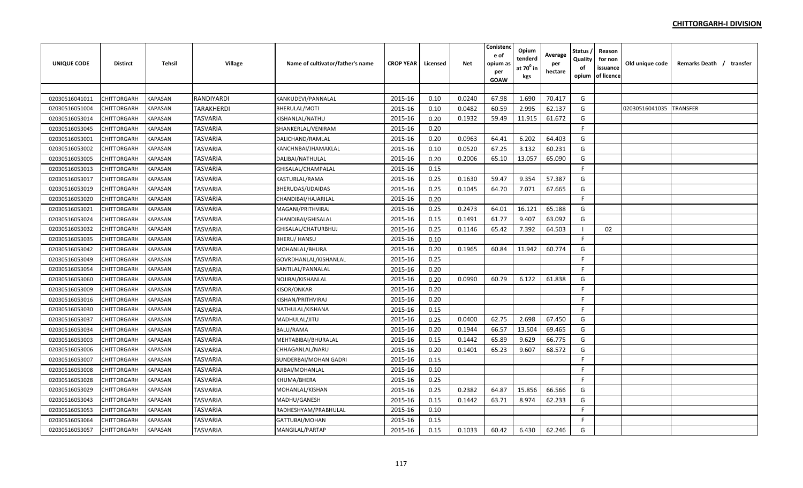| <b>UNIQUE CODE</b> | <b>Distirct</b> | <b>Tehsil</b>         | Village           | Name of cultivator/father's name | <b>CROP YEAR</b> | Licensed | Net    | Conistenc<br>e of<br>opium a:<br>per<br>GOAW | Opium<br>tenderd<br>at $70^0$ in<br>kgs | Average<br>per<br>hectare | Status<br>Quality<br>of<br>opium | Reason<br>for non<br>issuance<br>of licence | Old unique code | Remarks Death / transfer |  |
|--------------------|-----------------|-----------------------|-------------------|----------------------------------|------------------|----------|--------|----------------------------------------------|-----------------------------------------|---------------------------|----------------------------------|---------------------------------------------|-----------------|--------------------------|--|
|                    |                 |                       |                   |                                  |                  |          |        |                                              |                                         |                           |                                  |                                             |                 |                          |  |
| 02030516041011     | CHITTORGARH     | KAPASAN               | <b>RANDIYARDI</b> | KANKUDEVI/PANNALAL               | 2015-16          | 0.10     | 0.0240 | 67.98                                        | 1.690                                   | 70.417                    | G                                |                                             |                 |                          |  |
| 02030516051004     | CHITTORGARH     | KAPASAN               | <b>TARAKHERDI</b> | BHERULAL/MOTI                    | 2015-16          | 0.10     | 0.0482 | 60.59                                        | 2.995                                   | 62.137                    | G                                |                                             | 02030516041035  | <b>TRANSFER</b>          |  |
| 02030516053014     | CHITTORGARH     | KAPASAN               | <b>TASVARIA</b>   | KISHANLAL/NATHU                  | 2015-16          | 0.20     | 0.1932 | 59.49                                        | 11.915                                  | 61.672                    | G                                |                                             |                 |                          |  |
| 02030516053045     | CHITTORGARH     | <b>APASAN</b>         | <b>TASVARIA</b>   | SHANKERLAL/VENIRAM               | 2015-16          | 0.20     |        |                                              |                                         |                           | F                                |                                             |                 |                          |  |
| 02030516053001     | CHITTORGARH     | <b><i>KAPASAN</i></b> | <b>TASVARIA</b>   | DALICHAND/RAMLAL                 | 2015-16          | 0.20     | 0.0963 | 64.41                                        | 6.202                                   | 64.403                    | G                                |                                             |                 |                          |  |
| 02030516053002     | CHITTORGARH     | KAPASAN               | <b>TASVARIA</b>   | KANCHNBAI/JHAMAKLAL              | 2015-16          | 0.10     | 0.0520 | 67.25                                        | 3.132                                   | 60.231                    | G                                |                                             |                 |                          |  |
| 02030516053005     | CHITTORGARH     | <b><i>CAPASAN</i></b> | <b>TASVARIA</b>   | DALIBAI/NATHULAL                 | 2015-16          | 0.20     | 0.2006 | 65.10                                        | 13.057                                  | 65.090                    | G                                |                                             |                 |                          |  |
| 02030516053013     | CHITTORGARH     | KAPASAN               | <b>TASVARIA</b>   | GHISALAL/CHAMPALAL               | 2015-16          | 0.15     |        |                                              |                                         |                           | F.                               |                                             |                 |                          |  |
| 02030516053017     | CHITTORGARH     | KAPASAN               | <b>TASVARIA</b>   | KASTURLAL/RAMA                   | 2015-16          | 0.25     | 0.1630 | 59.47                                        | 9.354                                   | 57.387                    | G                                |                                             |                 |                          |  |
| 02030516053019     | CHITTORGARH     | <b><i>KAPASAN</i></b> | <b>TASVARIA</b>   | BHERUDAS/UDAIDAS                 | 2015-16          | 0.25     | 0.1045 | 64.70                                        | 7.071                                   | 67.665                    | G                                |                                             |                 |                          |  |
| 02030516053020     | CHITTORGARH     | KAPASAN               | <b>TASVARIA</b>   | CHANDIBAI/HAJARILAL              | 2015-16          | 0.20     |        |                                              |                                         |                           | F.                               |                                             |                 |                          |  |
| 02030516053021     | CHITTORGARH     | KAPASAN               | <b>TASVARIA</b>   | MAGANI/PRITHVIRAJ                | 2015-16          | 0.25     | 0.2473 | 64.01                                        | 16.121                                  | 65.188                    | G                                |                                             |                 |                          |  |
| 02030516053024     | CHITTORGARH     | KAPASAN               | <b>TASVARIA</b>   | CHANDIBAI/GHISALAL               | 2015-16          | 0.15     | 0.1491 | 61.77                                        | 9.407                                   | 63.092                    | G                                |                                             |                 |                          |  |
| 02030516053032     | CHITTORGARH     | KAPASAN               | <b>TASVARIA</b>   | GHISALAL/CHATURBHUJ              | 2015-16          | 0.25     | 0.1146 | 65.42                                        | 7.392                                   | 64.503                    |                                  | 02                                          |                 |                          |  |
| 02030516053035     | CHITTORGARH     | <b>KAPASAN</b>        | <b>TASVARIA</b>   | BHERU/HANSU                      | 2015-16          | 0.10     |        |                                              |                                         |                           | F                                |                                             |                 |                          |  |
| 02030516053042     | CHITTORGARH     | <b>KAPASAN</b>        | <b>TASVARIA</b>   | MOHANLAL/BHURA                   | 2015-16          | 0.20     | 0.1965 | 60.84                                        | 11.942                                  | 60.774                    | G                                |                                             |                 |                          |  |
| 02030516053049     | CHITTORGARH     | KAPASAN               | <b>TASVARIA</b>   | GOVRDHANLAL/KISHANLAL            | 2015-16          | 0.25     |        |                                              |                                         |                           | F                                |                                             |                 |                          |  |
| 02030516053054     | CHITTORGARH     | <b><i>CAPASAN</i></b> | TASVARIA          | SANTILAL/PANNALAL                | 2015-16          | 0.20     |        |                                              |                                         |                           | F.                               |                                             |                 |                          |  |
| 02030516053060     | CHITTORGARH     | <b><i>KAPASAN</i></b> | <b>TASVARIA</b>   | NOJIBAI/KISHANLAL                | 2015-16          | 0.20     | 0.0990 | 60.79                                        | 6.122                                   | 61.838                    | G                                |                                             |                 |                          |  |
| 02030516053009     | CHITTORGARH     | KAPASAN               | <b>TASVARIA</b>   | KISOR/ONKAR                      | 2015-16          | 0.20     |        |                                              |                                         |                           | F                                |                                             |                 |                          |  |
| 02030516053016     | CHITTORGARH     | <b><i>CAPASAN</i></b> | <b>TASVARIA</b>   | KISHAN/PRITHVIRAJ                | 2015-16          | 0.20     |        |                                              |                                         |                           | E                                |                                             |                 |                          |  |
| 02030516053030     | CHITTORGARH     | KAPASAN               | <b>TASVARIA</b>   | NATHULAL/KISHANA                 | 2015-16          | 0.15     |        |                                              |                                         |                           | F.                               |                                             |                 |                          |  |
| 02030516053037     | CHITTORGARH     | KAPASAN               | TASVARIA          | MADHULAL/JITU                    | 2015-16          | 0.25     | 0.0400 | 62.75                                        | 2.698                                   | 67.450                    | G                                |                                             |                 |                          |  |
| 02030516053034     | CHITTORGARH     | KAPASAN               | TASVARIA          | <b>BALU/RAMA</b>                 | 2015-16          | 0.20     | 0.1944 | 66.57                                        | 13.504                                  | 69.465                    | G                                |                                             |                 |                          |  |
| 02030516053003     | CHITTORGARH     | KAPASAN               | <b>TASVARIA</b>   | MEHTABIBAI/BHURALAL              | 2015-16          | 0.15     | 0.1442 | 65.89                                        | 9.629                                   | 66.775                    | G                                |                                             |                 |                          |  |
| 02030516053006     | CHITTORGARH     | <b><i>KAPASAN</i></b> | <b>TASVARIA</b>   | CHHAGANLAL/NARU                  | 2015-16          | 0.20     | 0.1401 | 65.23                                        | 9.607                                   | 68.572                    | G                                |                                             |                 |                          |  |
| 02030516053007     | CHITTORGARH     | <b>APASAN</b>         | TASVARIA          | SUNDERBAI/MOHAN GADRI            | 2015-16          | 0.15     |        |                                              |                                         |                           | F                                |                                             |                 |                          |  |
| 02030516053008     | CHITTORGARH     | <b><i>KAPASAN</i></b> | TASVARIA          | AJIBAI/MOHANLAL                  | 2015-16          | 0.10     |        |                                              |                                         |                           | F                                |                                             |                 |                          |  |
| 02030516053028     | CHITTORGARH     | KAPASAN               | TASVARIA          | KHUMA/BHERA                      | 2015-16          | 0.25     |        |                                              |                                         |                           | F                                |                                             |                 |                          |  |
| 02030516053029     | CHITTORGARH     | <b><i>KAPASAN</i></b> | TASVARIA          | MOHANLAL/KISHAN                  | 2015-16          | 0.25     | 0.2382 | 64.87                                        | 15.856                                  | 66.566                    | G                                |                                             |                 |                          |  |
| 02030516053043     | CHITTORGARH     | KAPASAN               | <b>TASVARIA</b>   | MADHU/GANESH                     | 2015-16          | 0.15     | 0.1442 | 63.71                                        | 8.974                                   | 62.233                    | G                                |                                             |                 |                          |  |
| 02030516053053     | CHITTORGARH     | <b><i>KAPASAN</i></b> | <b>TASVARIA</b>   | RADHESHYAM/PRABHULAL             | 2015-16          | 0.10     |        |                                              |                                         |                           | F                                |                                             |                 |                          |  |
| 02030516053064     | CHITTORGARH     | <b><i>KAPASAN</i></b> | <b>TASVARIA</b>   | GATTUBAI/MOHAN                   | 2015-16          | 0.15     |        |                                              |                                         |                           | F                                |                                             |                 |                          |  |
| 02030516053057     | CHITTORGARH     | KAPASAN               | <b>TASVARIA</b>   | MANGILAL/PARTAP                  | 2015-16          | 0.15     | 0.1033 | 60.42                                        | 6.430                                   | 62.246                    | G                                |                                             |                 |                          |  |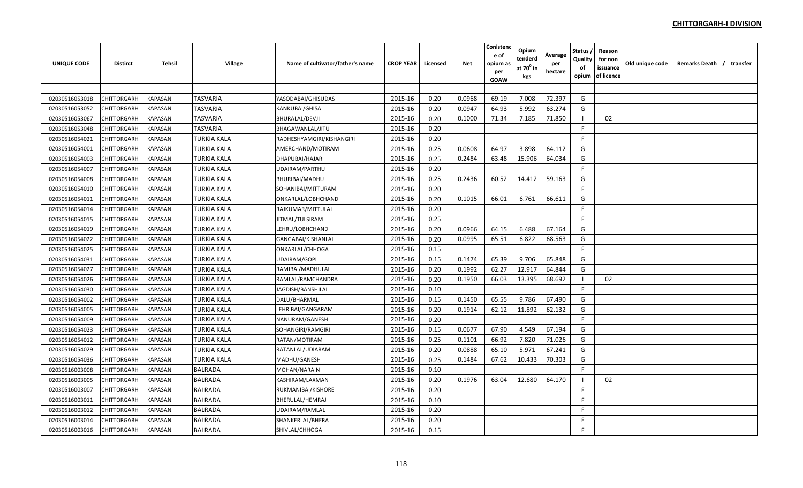| UNIQUE CODE    | <b>Distirct</b>    | Tehsil         | Village            | Name of cultivator/father's name | <b>CROP YEAR</b> | Licensed | Net    | Conistenc<br>e of<br>opium as<br>per<br><b>GOAW</b> | Opium<br>tenderd<br>at 70 <sup>0</sup> in<br>kgs | Average<br>per<br>hectare | Status ,<br>Quality<br>of<br>opium | Reason<br>for non<br>issuance<br>of licence | Old unique code | Remarks Death / transfer |
|----------------|--------------------|----------------|--------------------|----------------------------------|------------------|----------|--------|-----------------------------------------------------|--------------------------------------------------|---------------------------|------------------------------------|---------------------------------------------|-----------------|--------------------------|
|                |                    |                |                    |                                  |                  |          |        |                                                     |                                                  |                           |                                    |                                             |                 |                          |
| 02030516053018 | CHITTORGARH        | KAPASAN        | TASVARIA           | YASODABAI/GHISUDAS               | 2015-16          | 0.20     | 0.0968 | 69.19                                               | 7.008                                            | 72.397                    | G                                  |                                             |                 |                          |
| 02030516053052 | CHITTORGARH        | <b>KAPASAN</b> | <b>TASVARIA</b>    | KANKUBAI/GHISA                   | 2015-16          | 0.20     | 0.0947 | 64.93                                               | 5.992                                            | 63.274                    | G                                  |                                             |                 |                          |
| 02030516053067 | CHITTORGARH        | <b>KAPASAN</b> | TASVARIA           | <b>BHURALAL/DEVJI</b>            | 2015-16          | 0.20     | 0.1000 | 71.34                                               | 7.185                                            | 71.850                    |                                    | 02                                          |                 |                          |
| 02030516053048 | CHITTORGARH        | KAPASAN        | TASVARIA           | BHAGAWANLAL/JITU                 | 2015-16          | 0.20     |        |                                                     |                                                  |                           | F.                                 |                                             |                 |                          |
| 02030516054021 | CHITTORGARH        | KAPASAN        | TURKIA KALA        | RADHESHYAMGIRI/KISHANGIRI        | 2015-16          | 0.20     |        |                                                     |                                                  |                           | F.                                 |                                             |                 |                          |
| 02030516054001 | CHITTORGARH        | KAPASAN        | TURKIA KALA        | AMERCHAND/MOTIRAM                | 2015-16          | 0.25     | 0.0608 | 64.97                                               | 3.898                                            | 64.112                    | G                                  |                                             |                 |                          |
| 02030516054003 | CHITTORGARH        | <b>KAPASAN</b> | TURKIA KALA        | DHAPUBAI/HAJARI                  | 2015-16          | 0.25     | 0.2484 | 63.48                                               | 15.906                                           | 64.034                    | G                                  |                                             |                 |                          |
| 02030516054007 | CHITTORGARH        | KAPASAN        | TURKIA KALA        | UDAIRAM/PARTHU                   | 2015-16          | 0.20     |        |                                                     |                                                  |                           | F.                                 |                                             |                 |                          |
| 02030516054008 | CHITTORGARH        | <b>KAPASAN</b> | TURKIA KALA        | <b>BHURIBAI/MADHU</b>            | 2015-16          | 0.25     | 0.2436 | 60.52                                               | 14.412                                           | 59.163                    | G                                  |                                             |                 |                          |
| 02030516054010 | CHITTORGARH        | <b>KAPASAN</b> | TURKIA KALA        | SOHANIBAI/MITTURAM               | 2015-16          | 0.20     |        |                                                     |                                                  |                           | F.                                 |                                             |                 |                          |
| 02030516054011 | CHITTORGARH        | <b>KAPASAN</b> | TURKIA KALA        | ONKARLAL/LOBHCHAND               | 2015-16          | 0.20     | 0.1015 | 66.01                                               | 6.761                                            | 66.611                    | G                                  |                                             |                 |                          |
| 02030516054014 | CHITTORGARH        | <b>KAPASAN</b> | TURKIA KALA        | RAJKUMAR/MITTULAL                | 2015-16          | 0.20     |        |                                                     |                                                  |                           | F.                                 |                                             |                 |                          |
| 02030516054015 | CHITTORGARH        | <b>KAPASAN</b> | TURKIA KALA        | JITMAL/TULSIRAM                  | 2015-16          | 0.25     |        |                                                     |                                                  |                           | -F                                 |                                             |                 |                          |
| 02030516054019 | CHITTORGARH        | KAPASAN        | <b>TURKIA KALA</b> | LEHRU/LOBHCHAND                  | 2015-16          | 0.20     | 0.0966 | 64.15                                               | 6.488                                            | 67.164                    | G                                  |                                             |                 |                          |
| 02030516054022 | CHITTORGARH        | KAPASAN        | <b>TURKIA KALA</b> | GANGABAI/KISHANLAL               | 2015-16          | 0.20     | 0.0995 | 65.51                                               | 6.822                                            | 68.563                    | G                                  |                                             |                 |                          |
| 02030516054025 | <b>CHITTORGARH</b> | KAPASAN        | TURKIA KALA        | ONKARLAL/CHHOGA                  | 2015-16          | 0.15     |        |                                                     |                                                  |                           | F.                                 |                                             |                 |                          |
| 02030516054031 | CHITTORGARH        | KAPASAN        | TURKIA KALA        | <b>UDAIRAM/GOPI</b>              | 2015-16          | 0.15     | 0.1474 | 65.39                                               | 9.706                                            | 65.848                    | G                                  |                                             |                 |                          |
| 02030516054027 | CHITTORGARH        | KAPASAN        | TURKIA KALA        | RAMIBAI/MADHULAL                 | 2015-16          | 0.20     | 0.1992 | 62.27                                               | 12.917                                           | 64.844                    | G                                  |                                             |                 |                          |
| 02030516054026 | CHITTORGARH        | KAPASAN        | TURKIA KALA        | RAMLAL/RAMCHANDRA                | 2015-16          | 0.20     | 0.1950 | 66.03                                               | 13.395                                           | 68.692                    |                                    | 02                                          |                 |                          |
| 02030516054030 | CHITTORGARH        | KAPASAN        | TURKIA KALA        | JAGDISH/BANSHILAL                | 2015-16          | 0.10     |        |                                                     |                                                  |                           | F.                                 |                                             |                 |                          |
| 02030516054002 | CHITTORGARH        | <b>KAPASAN</b> | <b>TURKIA KALA</b> | DALU/BHARMAL                     | 2015-16          | 0.15     | 0.1450 | 65.55                                               | 9.786                                            | 67.490                    | G                                  |                                             |                 |                          |
| 02030516054005 | <b>CHITTORGARH</b> | <b>KAPASAN</b> | TURKIA KALA        | LEHRIBAI/GANGARAM                | 2015-16          | 0.20     | 0.1914 | 62.12                                               | 11.892                                           | 62.132                    | G                                  |                                             |                 |                          |
| 02030516054009 | CHITTORGARH        | <b>KAPASAN</b> | TURKIA KALA        | NANURAM/GANESH                   | 2015-16          | 0.20     |        |                                                     |                                                  |                           | F.                                 |                                             |                 |                          |
| 02030516054023 | CHITTORGARH        | <b>KAPASAN</b> | TURKIA KALA        | SOHANGIRI/RAMGIRI                | 2015-16          | 0.15     | 0.0677 | 67.90                                               | 4.549                                            | 67.194                    | G                                  |                                             |                 |                          |
| 02030516054012 | CHITTORGARH        | <b>KAPASAN</b> | <b>TURKIA KALA</b> | RATAN/MOTIRAM                    | 2015-16          | 0.25     | 0.1101 | 66.92                                               | 7.820                                            | 71.026                    | G                                  |                                             |                 |                          |
| 02030516054029 | CHITTORGARH        | KAPASAN        | TURKIA KALA        | RATANLAL/UDIARAM                 | 2015-16          | 0.20     | 0.0888 | 65.10                                               | 5.971                                            | 67.241                    | G                                  |                                             |                 |                          |
| 02030516054036 | CHITTORGARH        | KAPASAN        | TURKIA KALA        | MADHU/GANESH                     | 2015-16          | 0.25     | 0.1484 | 67.62                                               | 10.433                                           | 70.303                    | G                                  |                                             |                 |                          |
| 02030516003008 | CHITTORGARH        | KAPASAN        | <b>BALRADA</b>     | MOHAN/NARAIN                     | 2015-16          | 0.10     |        |                                                     |                                                  |                           | F                                  |                                             |                 |                          |
| 02030516003005 | CHITTORGARH        | KAPASAN        | <b>BALRADA</b>     | KASHIRAM/LAXMAN                  | 2015-16          | 0.20     | 0.1976 | 63.04                                               | 12.680                                           | 64.170                    |                                    | 02                                          |                 |                          |
| 02030516003007 | CHITTORGARH        | KAPASAN        | <b>BALRADA</b>     | RUKMANIBAI/KISHORE               | 2015-16          | 0.20     |        |                                                     |                                                  |                           | F.                                 |                                             |                 |                          |
| 02030516003011 | <b>CHITTORGARH</b> | <b>KAPASAN</b> | <b>BALRADA</b>     | BHERULAL/HEMRAJ                  | 2015-16          | 0.10     |        |                                                     |                                                  |                           | F.                                 |                                             |                 |                          |
| 02030516003012 | CHITTORGARH        | KAPASAN        | <b>BALRADA</b>     | UDAIRAM/RAMLAL                   | 2015-16          | 0.20     |        |                                                     |                                                  |                           | F.                                 |                                             |                 |                          |
| 02030516003014 | CHITTORGARH        | <b>KAPASAN</b> | <b>BALRADA</b>     | SHANKERLAL/BHERA                 | 2015-16          | 0.20     |        |                                                     |                                                  |                           | F                                  |                                             |                 |                          |
| 02030516003016 | CHITTORGARH        | <b>KAPASAN</b> | <b>BALRADA</b>     | SHIVLAL/CHHOGA                   | 2015-16          | 0.15     |        |                                                     |                                                  |                           | F                                  |                                             |                 |                          |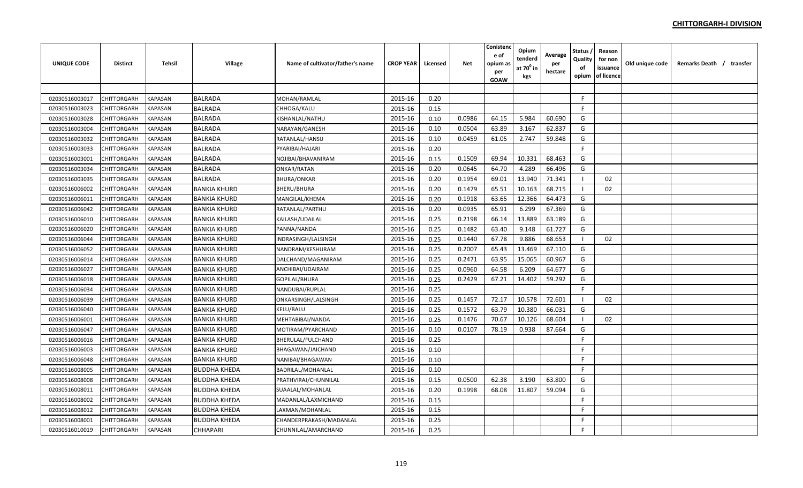| UNIQUE CODE    | <b>Distirct</b>    | Tehsil         | Village             | Name of cultivator/father's name | <b>CROP YEAR</b> | Licensed | <b>Net</b> | Conistenc<br>e of<br>opium as<br>per<br><b>GOAW</b> | Opium<br>tenderd<br>at 70 $^{\circ}$ in<br>kgs | Average<br>per<br>hectare | Status ,<br>Quality<br>of<br>opium | Reason<br>for non<br>issuance<br>of licence | Old unique code | Remarks Death / transfer |
|----------------|--------------------|----------------|---------------------|----------------------------------|------------------|----------|------------|-----------------------------------------------------|------------------------------------------------|---------------------------|------------------------------------|---------------------------------------------|-----------------|--------------------------|
|                |                    |                |                     |                                  |                  |          |            |                                                     |                                                |                           |                                    |                                             |                 |                          |
| 02030516003017 | CHITTORGARH        | <b>KAPASAN</b> | <b>BALRADA</b>      | MOHAN/RAMLAL                     | 2015-16          | 0.20     |            |                                                     |                                                |                           | F.                                 |                                             |                 |                          |
| 02030516003023 | CHITTORGARH        | <b>KAPASAN</b> | <b>BALRADA</b>      | CHHOGA/KALU                      | 2015-16          | 0.15     |            |                                                     |                                                |                           | F.                                 |                                             |                 |                          |
| 02030516003028 | CHITTORGARH        | KAPASAN        | <b>BALRADA</b>      | KISHANLAL/NATHU                  | 2015-16          | 0.10     | 0.0986     | 64.15                                               | 5.984                                          | 60.690                    | G                                  |                                             |                 |                          |
| 02030516003004 | CHITTORGARH        | KAPASAN        | <b>BALRADA</b>      | NARAYAN/GANESH                   | 2015-16          | 0.10     | 0.0504     | 63.89                                               | 3.167                                          | 62.837                    | G                                  |                                             |                 |                          |
| 02030516003032 | <b>CHITTORGARH</b> | KAPASAN        | <b>BALRADA</b>      | RATANLAL/HANSU                   | 2015-16          | 0.10     | 0.0459     | 61.05                                               | 2.747                                          | 59.848                    | G                                  |                                             |                 |                          |
| 02030516003033 | CHITTORGARH        | KAPASAN        | <b>BALRADA</b>      | PYARIBAI/HAJARI                  | 2015-16          | 0.20     |            |                                                     |                                                |                           | F                                  |                                             |                 |                          |
| 02030516003001 | CHITTORGARH        | KAPASAN        | <b>BALRADA</b>      | NOJIBAI/BHAVANIRAM               | 2015-16          | 0.15     | 0.1509     | 69.94                                               | 10.331                                         | 68.463                    | G                                  |                                             |                 |                          |
| 02030516003034 | <b>CHITTORGARH</b> | KAPASAN        | <b>BALRADA</b>      | ONKAR/RATAN                      | 2015-16          | 0.20     | 0.0645     | 64.70                                               | 4.289                                          | 66.496                    | G                                  |                                             |                 |                          |
| 02030516003035 | CHITTORGARH        | KAPASAN        | <b>BALRADA</b>      | <b>BHURA/ONKAR</b>               | 2015-16          | 0.20     | 0.1954     | 69.01                                               | 13.940                                         | 71.341                    | -1                                 | 02                                          |                 |                          |
| 02030516006002 | CHITTORGARH        | <b>KAPASAN</b> | <b>BANKIA KHURD</b> | <b>BHERU/BHURA</b>               | 2015-16          | 0.20     | 0.1479     | 65.51                                               | 10.163                                         | 68.715                    |                                    | 02                                          |                 |                          |
| 02030516006011 | <b>CHITTORGARH</b> | <b>KAPASAN</b> | <b>BANKIA KHURD</b> | MANGILAL/KHEMA                   | 2015-16          | 0.20     | 0.1918     | 63.65                                               | 12.366                                         | 64.473                    | G                                  |                                             |                 |                          |
| 02030516006042 | CHITTORGARH        | <b>KAPASAN</b> | <b>BANKIA KHURD</b> | RATANLAL/PARTHU                  | 2015-16          | 0.20     | 0.0935     | 65.91                                               | 6.299                                          | 67.369                    | G                                  |                                             |                 |                          |
| 02030516006010 | CHITTORGARH        | <b>KAPASAN</b> | <b>BANKIA KHURD</b> | KAILASH/UDAILAL                  | 2015-16          | 0.25     | 0.2198     | 66.14                                               | 13.889                                         | 63.189                    | G                                  |                                             |                 |                          |
| 02030516006020 | CHITTORGARH        | <b>KAPASAN</b> | <b>BANKIA KHURD</b> | PANNA/NANDA                      | 2015-16          | 0.25     | 0.1482     | 63.40                                               | 9.148                                          | 61.727                    | G                                  |                                             |                 |                          |
| 02030516006044 | CHITTORGARH        | KAPASAN        | <b>BANKIA KHURD</b> | INDRASINGH/LALSINGH              | 2015-16          | 0.25     | 0.1440     | 67.78                                               | 9.886                                          | 68.653                    |                                    | 02                                          |                 |                          |
| 02030516006052 | CHITTORGARH        | KAPASAN        | <b>BANKIA KHURD</b> | NANDRAM/KESHURAM                 | 2015-16          | 0.25     | 0.2007     | 65.43                                               | 13.469                                         | 67.110                    | G                                  |                                             |                 |                          |
| 02030516006014 | <b>CHITTORGARH</b> | KAPASAN        | <b>BANKIA KHURD</b> | DALCHAND/MAGANIRAM               | 2015-16          | 0.25     | 0.2471     | 63.95                                               | 15.065                                         | 60.967                    | G                                  |                                             |                 |                          |
| 02030516006027 | CHITTORGARH        | KAPASAN        | <b>BANKIA KHURD</b> | ANCHIBAI/UDAIRAM                 | 2015-16          | 0.25     | 0.0960     | 64.58                                               | 6.209                                          | 64.677                    | G                                  |                                             |                 |                          |
| 02030516006018 | CHITTORGARH        | KAPASAN        | <b>BANKIA KHURD</b> | <b>GOPILAL/BHURA</b>             | 2015-16          | 0.25     | 0.2429     | 67.21                                               | 14.402                                         | 59.292                    | G                                  |                                             |                 |                          |
| 02030516006034 | CHITTORGARH        | KAPASAN        | <b>BANKIA KHURD</b> | NANDUBAI/RUPLAL                  | 2015-16          | 0.25     |            |                                                     |                                                |                           | E                                  |                                             |                 |                          |
| 02030516006039 | CHITTORGARH        | KAPASAN        | <b>BANKIA KHURD</b> | ONKARSINGH/LALSINGH              | 2015-16          | 0.25     | 0.1457     | 72.17                                               | 10.578                                         | 72.601                    |                                    | 02                                          |                 |                          |
| 02030516006040 | CHITTORGARH        | <b>KAPASAN</b> | <b>BANKIA KHURD</b> | KELU/BALU                        | 2015-16          | 0.25     | 0.1572     | 63.79                                               | 10.380                                         | 66.031                    | G                                  |                                             |                 |                          |
| 02030516006001 | <b>CHITTORGARH</b> | <b>KAPASAN</b> | <b>BANKIA KHURD</b> | MEHTABIBAI/NANDA                 | 2015-16          | 0.25     | 0.1476     | 70.67                                               | 10.126                                         | 68.604                    | - 1                                | 02                                          |                 |                          |
| 02030516006047 | CHITTORGARH        | <b>KAPASAN</b> | <b>BANKIA KHURD</b> | MOTIRAM/PYARCHAND                | 2015-16          | 0.10     | 0.0107     | 78.19                                               | 0.938                                          | 87.664                    | G                                  |                                             |                 |                          |
| 02030516006016 | CHITTORGARH        | <b>KAPASAN</b> | <b>BANKIA KHURD</b> | BHERULAL/FULCHAND                | 2015-16          | 0.25     |            |                                                     |                                                |                           | F                                  |                                             |                 |                          |
| 02030516006003 | CHITTORGARH        | <b>KAPASAN</b> | <b>BANKIA KHURD</b> | BHAGAWAN/JAICHAND                | 2015-16          | 0.10     |            |                                                     |                                                |                           | F.                                 |                                             |                 |                          |
| 02030516006048 | CHITTORGARH        | KAPASAN        | <b>BANKIA KHURD</b> | NANIBAI/BHAGAWAN                 | 2015-16          | 0.10     |            |                                                     |                                                |                           | E                                  |                                             |                 |                          |
| 02030516008005 | CHITTORGARH        | KAPASAN        | <b>BUDDHA KHEDA</b> | <b>BADRILAL/MOHANLAL</b>         | 2015-16          | 0.10     |            |                                                     |                                                |                           | F                                  |                                             |                 |                          |
| 02030516008008 | CHITTORGARH        | KAPASAN        | <b>BUDDHA KHEDA</b> | PRATHVIRAJ/CHUNNILAL             | 2015-16          | 0.15     | 0.0500     | 62.38                                               | 3.190                                          | 63.800                    | G                                  |                                             |                 |                          |
| 02030516008011 | CHITTORGARH        | KAPASAN        | <b>BUDDHA KHEDA</b> | SUAALAL/MOHANLAL                 | 2015-16          | 0.20     | 0.1998     | 68.08                                               | 11.807                                         | 59.094                    | G                                  |                                             |                 |                          |
| 02030516008002 | <b>CHITTORGARH</b> | KAPASAN        | <b>BUDDHA KHEDA</b> | MADANLAL/LAXMICHAND              | 2015-16          | 0.15     |            |                                                     |                                                |                           | F.                                 |                                             |                 |                          |
| 02030516008012 | CHITTORGARH        | KAPASAN        | <b>BUDDHA KHEDA</b> | LAXMAN/MOHANLAL                  | 2015-16          | 0.15     |            |                                                     |                                                |                           | F                                  |                                             |                 |                          |
| 02030516008001 | CHITTORGARH        | KAPASAN        | <b>BUDDHA KHEDA</b> | CHANDERPRAKASH/MADANLAL          | 2015-16          | 0.25     |            |                                                     |                                                |                           | F                                  |                                             |                 |                          |
| 02030516010019 | <b>CHITTORGARH</b> | <b>KAPASAN</b> | CHHAPARI            | CHUNNILAL/AMARCHAND              | 2015-16          | 0.25     |            |                                                     |                                                |                           | F                                  |                                             |                 |                          |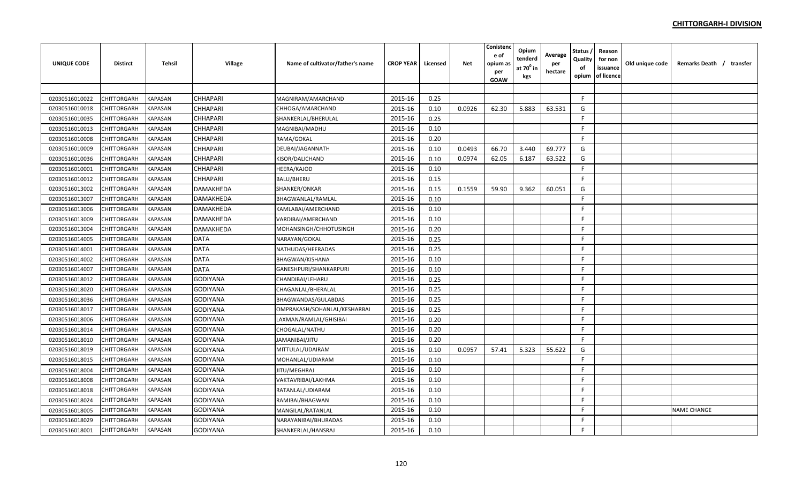| <b>UNIQUE CODE</b> | <b>Distirct</b>    | <b>Tehsil</b>  | Village          | Name of cultivator/father's name | <b>CROP YEAR</b> | Licensed | <b>Net</b> | Conistenc<br>e of<br>opium as<br>per<br><b>GOAW</b> | Opium<br>tenderd<br>at $70^0$ in<br>kgs | Average<br>per<br>hectare | Status<br>Quality<br>of<br>opium | Reason<br>for non<br>issuance<br>of licence | Old unique code | Remarks Death / transfer |
|--------------------|--------------------|----------------|------------------|----------------------------------|------------------|----------|------------|-----------------------------------------------------|-----------------------------------------|---------------------------|----------------------------------|---------------------------------------------|-----------------|--------------------------|
|                    |                    |                |                  |                                  |                  |          |            |                                                     |                                         |                           |                                  |                                             |                 |                          |
| 02030516010022     | CHITTORGARH        | <b>KAPASAN</b> | <b>CHHAPARI</b>  | MAGNIRAM/AMARCHAND               | 2015-16          | 0.25     |            |                                                     |                                         |                           | F                                |                                             |                 |                          |
| 02030516010018     | CHITTORGARH        | <b>KAPASAN</b> | <b>CHHAPARI</b>  | CHHOGA/AMARCHAND                 | 2015-16          | 0.10     | 0.0926     | 62.30                                               | 5.883                                   | 63.531                    | G                                |                                             |                 |                          |
| 02030516010035     | CHITTORGARH        | <b>KAPASAN</b> | <b>CHHAPARI</b>  | SHANKERLAL/BHERULAL              | 2015-16          | 0.25     |            |                                                     |                                         |                           | F                                |                                             |                 |                          |
| 02030516010013     | CHITTORGARH        | KAPASAN        | <b>CHHAPARI</b>  | MAGNIBAI/MADHU                   | 2015-16          | 0.10     |            |                                                     |                                         |                           | E                                |                                             |                 |                          |
| 02030516010008     | <b>CHITTORGARH</b> | KAPASAN        | <b>CHHAPARI</b>  | RAMA/GOKAL                       | 2015-16          | 0.20     |            |                                                     |                                         |                           | E                                |                                             |                 |                          |
| 02030516010009     | CHITTORGARH        | KAPASAN        | <b>CHHAPARI</b>  | DEUBAI/JAGANNATH                 | 2015-16          | 0.10     | 0.0493     | 66.70                                               | 3.440                                   | 69.777                    | G                                |                                             |                 |                          |
| 02030516010036     | CHITTORGARH        | KAPASAN        | <b>CHHAPARI</b>  | KISOR/DALICHAND                  | 2015-16          | 0.10     | 0.0974     | 62.05                                               | 6.187                                   | 63.522                    | G                                |                                             |                 |                          |
| 02030516010001     | <b>CHITTORGARH</b> | KAPASAN        | <b>CHHAPARI</b>  | HEERA/KAJOD                      | 2015-16          | 0.10     |            |                                                     |                                         |                           | F                                |                                             |                 |                          |
| 02030516010012     | CHITTORGARH        | KAPASAN        | <b>CHHAPARI</b>  | <b>BALU/BHERU</b>                | 2015-16          | 0.15     |            |                                                     |                                         |                           | F                                |                                             |                 |                          |
| 02030516013002     | CHITTORGARH        | <b>KAPASAN</b> | <b>DAMAKHEDA</b> | SHANKER/ONKAR                    | 2015-16          | 0.15     | 0.1559     | 59.90                                               | 9.362                                   | 60.051                    | G                                |                                             |                 |                          |
| 02030516013007     | CHITTORGARH        | <b>KAPASAN</b> | <b>DAMAKHEDA</b> | <b>BHAGWANLAL/RAMLAL</b>         | 2015-16          | 0.10     |            |                                                     |                                         |                           | F.                               |                                             |                 |                          |
| 02030516013006     | CHITTORGARH        | <b>KAPASAN</b> | DAMAKHEDA        | KAMLABAI/AMERCHAND               | 2015-16          | 0.10     |            |                                                     |                                         |                           | F.                               |                                             |                 |                          |
| 02030516013009     | CHITTORGARH        | <b>KAPASAN</b> | <b>DAMAKHEDA</b> | VARDIBAI/AMERCHAND               | 2015-16          | 0.10     |            |                                                     |                                         |                           | F                                |                                             |                 |                          |
| 02030516013004     | CHITTORGARH        | <b>KAPASAN</b> | <b>DAMAKHEDA</b> | MOHANSINGH/CHHOTUSINGH           | 2015-16          | 0.20     |            |                                                     |                                         |                           | F                                |                                             |                 |                          |
| 02030516014005     | CHITTORGARH        | KAPASAN        | <b>DATA</b>      | NARAYAN/GOKAL                    | 2015-16          | 0.25     |            |                                                     |                                         |                           | F.                               |                                             |                 |                          |
| 02030516014001     | <b>CHITTORGARH</b> | KAPASAN        | <b>DATA</b>      | NATHUDAS/HEERADAS                | 2015-16          | 0.25     |            |                                                     |                                         |                           | F                                |                                             |                 |                          |
| 02030516014002     | CHITTORGARH        | KAPASAN        | <b>DATA</b>      | <b>BHAGWAN/KISHANA</b>           | 2015-16          | 0.10     |            |                                                     |                                         |                           | F                                |                                             |                 |                          |
| 02030516014007     | CHITTORGARH        | KAPASAN        | <b>DATA</b>      | GANESHPURI/SHANKARPURI           | 2015-16          | 0.10     |            |                                                     |                                         |                           | E                                |                                             |                 |                          |
| 02030516018012     | CHITTORGARH        | KAPASAN        | <b>GODIYANA</b>  | CHANDIBAI/LEHARU                 | 2015-16          | 0.25     |            |                                                     |                                         |                           | F                                |                                             |                 |                          |
| 02030516018020     | CHITTORGARH        | KAPASAN        | <b>GODIYANA</b>  | CHAGANLAL/BHERALAL               | 2015-16          | 0.25     |            |                                                     |                                         |                           | E                                |                                             |                 |                          |
| 02030516018036     | CHITTORGARH        | <b>KAPASAN</b> | <b>GODIYANA</b>  | BHAGWANDAS/GULABDAS              | 2015-16          | 0.25     |            |                                                     |                                         |                           | F.                               |                                             |                 |                          |
| 02030516018017     | <b>CHITTORGARH</b> | <b>KAPASAN</b> | <b>GODIYANA</b>  | OMPRAKASH/SOHANLAL/KESHARBAI     | 2015-16          | 0.25     |            |                                                     |                                         |                           | F.                               |                                             |                 |                          |
| 02030516018006     | CHITTORGARH        | <b>KAPASAN</b> | <b>GODIYANA</b>  | LAXMAN/RAMLAL/GHISIBAI           | 2015-16          | 0.20     |            |                                                     |                                         |                           | F.                               |                                             |                 |                          |
| 02030516018014     | CHITTORGARH        | <b>KAPASAN</b> | <b>GODIYANA</b>  | CHOGALAL/NATHU                   | 2015-16          | 0.20     |            |                                                     |                                         |                           | -F                               |                                             |                 |                          |
| 02030516018010     | CHITTORGARH        | <b>KAPASAN</b> | <b>GODIYANA</b>  | JAMANIBAI/JITU                   | 2015-16          | 0.20     |            |                                                     |                                         |                           | F                                |                                             |                 |                          |
| 02030516018019     | CHITTORGARH        | <b>KAPASAN</b> | <b>GODIYANA</b>  | MITTULAL/UDAIRAM                 | 2015-16          | 0.10     | 0.0957     | 57.41                                               | 5.323                                   | 55.622                    | G                                |                                             |                 |                          |
| 02030516018015     | CHITTORGARH        | KAPASAN        | <b>GODIYANA</b>  | MOHANLAL/UDIARAM                 | 2015-16          | 0.10     |            |                                                     |                                         |                           | F                                |                                             |                 |                          |
| 02030516018004     | CHITTORGARH        | KAPASAN        | <b>GODIYANA</b>  | JITU/MEGHRAJ                     | 2015-16          | 0.10     |            |                                                     |                                         |                           | F                                |                                             |                 |                          |
| 02030516018008     | CHITTORGARH        | KAPASAN        | <b>GODIYANA</b>  | VAKTAVRIBAI/LAKHMA               | 2015-16          | 0.10     |            |                                                     |                                         |                           | F.                               |                                             |                 |                          |
| 02030516018018     | CHITTORGARH        | KAPASAN        | <b>GODIYANA</b>  | RATANLAL/UDIARAM                 | 2015-16          | 0.10     |            |                                                     |                                         |                           | F.                               |                                             |                 |                          |
| 02030516018024     | CHITTORGARH        | KAPASAN        | <b>GODIYANA</b>  | RAMIBAI/BHAGWAN                  | 2015-16          | 0.10     |            |                                                     |                                         |                           | F                                |                                             |                 |                          |
| 02030516018005     | CHITTORGARH        | KAPASAN        | <b>GODIYANA</b>  | MANGILAL/RATANLAL                | 2015-16          | 0.10     |            |                                                     |                                         |                           | F                                |                                             |                 | <b>NAME CHANGE</b>       |
| 02030516018029     | CHITTORGARH        | <b>KAPASAN</b> | <b>GODIYANA</b>  | NARAYANIBAI/BHURADAS             | 2015-16          | 0.10     |            |                                                     |                                         |                           | F                                |                                             |                 |                          |
| 02030516018001     | <b>CHITTORGARH</b> | <b>KAPASAN</b> | <b>GODIYANA</b>  | SHANKERLAL/HANSRAJ               | 2015-16          | 0.10     |            |                                                     |                                         |                           | F                                |                                             |                 |                          |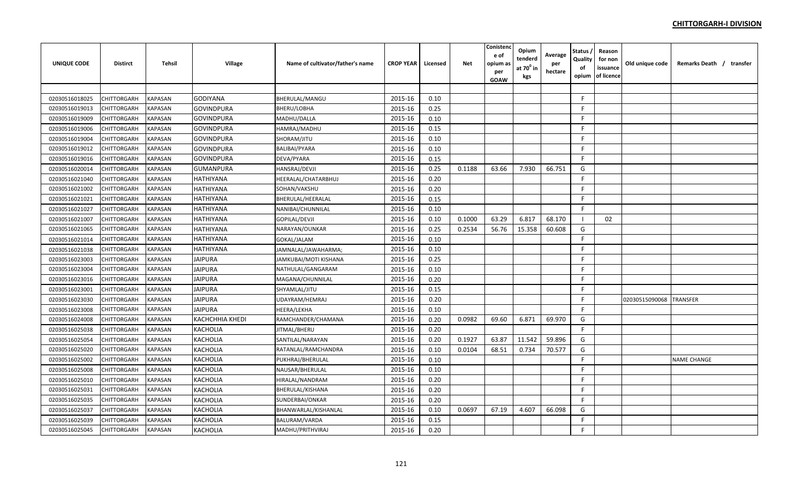| UNIQUE CODE    | <b>Distirct</b>    | Tehsil         | Village                | Name of cultivator/father's name | <b>CROP YEAR</b> | Licensed | Net    | Conistenc<br>e of<br>opium as<br>per<br><b>GOAW</b> | Opium<br>tenderd<br>at 70 <sup>0</sup> in<br>kgs | Average<br>per<br>hectare | Status ,<br>Quality<br>of<br>opium | Reason<br>for non<br>issuance<br>of licence | Old unique code | Remarks Death / transfer |
|----------------|--------------------|----------------|------------------------|----------------------------------|------------------|----------|--------|-----------------------------------------------------|--------------------------------------------------|---------------------------|------------------------------------|---------------------------------------------|-----------------|--------------------------|
|                |                    |                |                        |                                  |                  |          |        |                                                     |                                                  |                           |                                    |                                             |                 |                          |
| 02030516018025 | CHITTORGARH        | <b>KAPASAN</b> | <b>GODIYANA</b>        | <b>BHERULAL/MANGU</b>            | 2015-16          | 0.10     |        |                                                     |                                                  |                           | F.                                 |                                             |                 |                          |
| 02030516019013 | CHITTORGARH        | <b>KAPASAN</b> | <b>GOVINDPURA</b>      | <b>BHERU/LOBHA</b>               | 2015-16          | 0.25     |        |                                                     |                                                  |                           | -F                                 |                                             |                 |                          |
| 02030516019009 | CHITTORGARH        | KAPASAN        | <b>GOVINDPURA</b>      | MADHU/DALLA                      | 2015-16          | 0.10     |        |                                                     |                                                  |                           | -F                                 |                                             |                 |                          |
| 02030516019006 | CHITTORGARH        | KAPASAN        | <b>GOVINDPURA</b>      | HAMRAJ/MADHU                     | 2015-16          | 0.15     |        |                                                     |                                                  |                           | F                                  |                                             |                 |                          |
| 02030516019004 | <b>CHITTORGARH</b> | KAPASAN        | <b>GOVINDPURA</b>      | SHORAM/JITU                      | 2015-16          | 0.10     |        |                                                     |                                                  |                           | F.                                 |                                             |                 |                          |
| 02030516019012 | CHITTORGARH        | KAPASAN        | <b>GOVINDPURA</b>      | BALIBAI/PYARA                    | 2015-16          | 0.10     |        |                                                     |                                                  |                           | E                                  |                                             |                 |                          |
| 02030516019016 | CHITTORGARH        | KAPASAN        | <b>GOVINDPURA</b>      | DEVA/PYARA                       | 2015-16          | 0.15     |        |                                                     |                                                  |                           | F                                  |                                             |                 |                          |
| 02030516020014 | CHITTORGARH        | KAPASAN        | <b>GUMANPURA</b>       | <b>HANSRAJ/DEVJI</b>             | 2015-16          | 0.25     | 0.1188 | 63.66                                               | 7.930                                            | 66.751                    | G                                  |                                             |                 |                          |
| 02030516021040 | CHITTORGARH        | KAPASAN        | <b>HATHIYANA</b>       | HEERALAL/CHATARBHUJ              | 2015-16          | 0.20     |        |                                                     |                                                  |                           | $\mathsf{F}$                       |                                             |                 |                          |
| 02030516021002 | CHITTORGARH        | <b>KAPASAN</b> | <b>HATHIYANA</b>       | SOHAN/VAKSHU                     | 2015-16          | 0.20     |        |                                                     |                                                  |                           | F                                  |                                             |                 |                          |
| 02030516021021 | <b>CHITTORGARH</b> | <b>KAPASAN</b> | <b>HATHIYANA</b>       | BHERULAL/HEERALAL                | 2015-16          | 0.15     |        |                                                     |                                                  |                           | F.                                 |                                             |                 |                          |
| 02030516021027 | CHITTORGARH        | <b>KAPASAN</b> | <b>HATHIYANA</b>       | NANIBAI/CHUNNILAL                | 2015-16          | 0.10     |        |                                                     |                                                  |                           | F.                                 |                                             |                 |                          |
| 02030516021007 | <b>CHITTORGARH</b> | KAPASAN        | <b>HATHIYANA</b>       | <b>GOPILAL/DEVJI</b>             | 2015-16          | 0.10     | 0.1000 | 63.29                                               | 6.817                                            | 68.170                    | - 1                                | 02                                          |                 |                          |
| 02030516021065 | CHITTORGARH        | <b>KAPASAN</b> | <b>HATHIYANA</b>       | NARAYAN/OUNKAR                   | 2015-16          | 0.25     | 0.2534 | 56.76                                               | 15.358                                           | 60.608                    | G                                  |                                             |                 |                          |
| 02030516021014 | CHITTORGARH        | KAPASAN        | <b>HATHIYANA</b>       | GOKAL/JALAM                      | 2015-16          | 0.10     |        |                                                     |                                                  |                           | F                                  |                                             |                 |                          |
| 02030516021038 | <b>CHITTORGARH</b> | KAPASAN        | <b>HATHIYANA</b>       | JAMNALAL/JAWAHARMA;              | 2015-16          | 0.10     |        |                                                     |                                                  |                           | F                                  |                                             |                 |                          |
| 02030516023003 | <b>CHITTORGARH</b> | KAPASAN        | <b>JAIPURA</b>         | JAMKUBAI/MOTI KISHANA            | 2015-16          | 0.25     |        |                                                     |                                                  |                           | F.                                 |                                             |                 |                          |
| 02030516023004 | CHITTORGARH        | KAPASAN        | <b>JAIPURA</b>         | NATHULAL/GANGARAM                | 2015-16          | 0.10     |        |                                                     |                                                  |                           | $\mathsf{F}$                       |                                             |                 |                          |
| 02030516023016 | CHITTORGARH        | KAPASAN        | <b>JAIPURA</b>         | MAGANA/CHUNNILAL                 | 2015-16          | 0.20     |        |                                                     |                                                  |                           | F.                                 |                                             |                 |                          |
| 02030516023001 | CHITTORGARH        | KAPASAN        | <b>JAIPURA</b>         | SHYAMLAL/JITU                    | 2015-16          | 0.15     |        |                                                     |                                                  |                           | F                                  |                                             |                 |                          |
| 02030516023030 | CHITTORGARH        | <b>KAPASAN</b> | <b>JAIPURA</b>         | UDAYRAM/HEMRAJ                   | 2015-16          | 0.20     |        |                                                     |                                                  |                           | F                                  |                                             | 02030515090068  | <b>TRANSFER</b>          |
| 02030516023008 | CHITTORGARH        | <b>KAPASAN</b> | <b>JAIPURA</b>         | <b>HEERA/LEKHA</b>               | 2015-16          | 0.10     |        |                                                     |                                                  |                           | F.                                 |                                             |                 |                          |
| 02030516024008 | <b>CHITTORGARH</b> | <b>KAPASAN</b> | <b>KACHCHHIA KHEDI</b> | RAMCHANDER/CHAMANA               | 2015-16          | 0.20     | 0.0982 | 69.60                                               | 6.871                                            | 69.970                    | G                                  |                                             |                 |                          |
| 02030516025038 | CHITTORGARH        | <b>KAPASAN</b> | <b>KACHOLIA</b>        | JITMAL/BHERU                     | 2015-16          | 0.20     |        |                                                     |                                                  |                           | F.                                 |                                             |                 |                          |
| 02030516025054 | CHITTORGARH        | <b>KAPASAN</b> | <b>KACHOLIA</b>        | SANTILAL/NARAYAN                 | 2015-16          | 0.20     | 0.1927 | 63.87                                               | 11.542                                           | 59.896                    | G                                  |                                             |                 |                          |
| 02030516025020 | CHITTORGARH        | <b>KAPASAN</b> | <b>KACHOLIA</b>        | RATANLAL/RAMCHANDRA              | 2015-16          | 0.10     | 0.0104 | 68.51                                               | 0.734                                            | 70.577                    | G                                  |                                             |                 |                          |
| 02030516025002 | CHITTORGARH        | KAPASAN        | <b>KACHOLIA</b>        | PUKHRAJ/BHERULAL                 | 2015-16          | 0.10     |        |                                                     |                                                  |                           | F                                  |                                             |                 | <b>NAME CHANGE</b>       |
| 02030516025008 | <b>CHITTORGARH</b> | KAPASAN        | <b>KACHOLIA</b>        | NAUSAR/BHERULAL                  | 2015-16          | 0.10     |        |                                                     |                                                  |                           | F.                                 |                                             |                 |                          |
| 02030516025010 | <b>CHITTORGARH</b> | KAPASAN        | <b>KACHOLIA</b>        | HIRALAL/NANDRAM                  | 2015-16          | 0.20     |        |                                                     |                                                  |                           | F.                                 |                                             |                 |                          |
| 02030516025031 | CHITTORGARH        | KAPASAN        | KACHOLIA               | BHERULAL/KISHANA                 | 2015-16          | 0.20     |        |                                                     |                                                  |                           | $\mathsf{F}$                       |                                             |                 |                          |
| 02030516025035 | CHITTORGARH        | KAPASAN        | <b>KACHOLIA</b>        | SUNDERBAI/ONKAR                  | 2015-16          | 0.20     |        |                                                     |                                                  |                           | F.                                 |                                             |                 |                          |
| 02030516025037 | CHITTORGARH        | KAPASAN        | <b>KACHOLIA</b>        | BHANWARLAL/KISHANLAL             | 2015-16          | 0.10     | 0.0697 | 67.19                                               | 4.607                                            | 66.098                    | G                                  |                                             |                 |                          |
| 02030516025039 | CHITTORGARH        | <b>KAPASAN</b> | <b>KACHOLIA</b>        | BALURAM/VARDA                    | 2015-16          | 0.15     |        |                                                     |                                                  |                           | E                                  |                                             |                 |                          |
| 02030516025045 | <b>CHITTORGARH</b> | <b>KAPASAN</b> | <b>KACHOLIA</b>        | MADHU/PRITHVIRAJ                 | 2015-16          | 0.20     |        |                                                     |                                                  |                           | F                                  |                                             |                 |                          |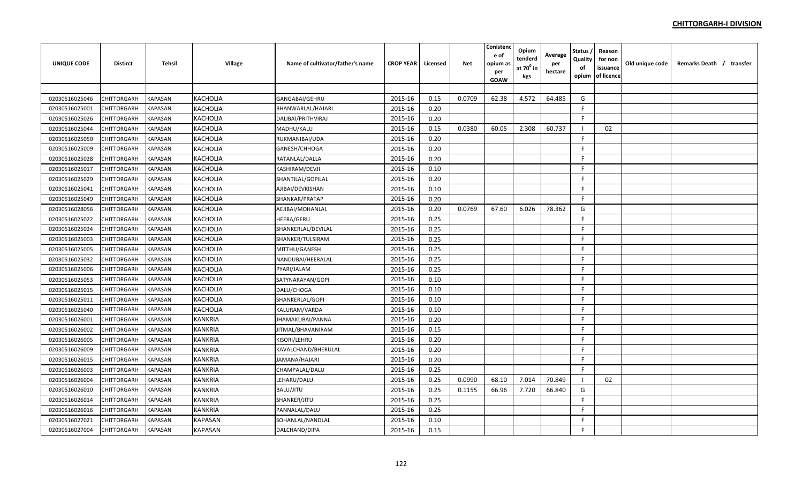| <b>UNIQUE CODE</b> | <b>Distirct</b>    | <b>Tehsil</b>  | Village         | Name of cultivator/father's name | <b>CROP YEAR</b> | Licensed | <b>Net</b> | Conistenc<br>e of<br>opium as<br>per<br><b>GOAW</b> | Opium<br>tenderd<br>at 70 <sup>0</sup> in<br>kgs | Average<br>per<br>hectare | Status<br>Quality<br>of<br>opium | Reason<br>for non<br>issuance<br>of licence | Old unique code | Remarks Death / transfer |  |
|--------------------|--------------------|----------------|-----------------|----------------------------------|------------------|----------|------------|-----------------------------------------------------|--------------------------------------------------|---------------------------|----------------------------------|---------------------------------------------|-----------------|--------------------------|--|
|                    |                    |                |                 |                                  |                  |          |            |                                                     |                                                  |                           |                                  |                                             |                 |                          |  |
| 02030516025046     | CHITTORGARH        | <b>KAPASAN</b> | <b>KACHOLIA</b> | GANGABAI/GEHRU                   | 2015-16          | 0.15     | 0.0709     | 62.38                                               | 4.572                                            | 64.485                    | G                                |                                             |                 |                          |  |
| 02030516025001     | CHITTORGARH        | <b>KAPASAN</b> | <b>KACHOLIA</b> | BHANWARLAL/HAJARI                | 2015-16          | 0.20     |            |                                                     |                                                  |                           | F.                               |                                             |                 |                          |  |
| 02030516025026     | CHITTORGARH        | <b>KAPASAN</b> | <b>KACHOLIA</b> | DALIBAI/PRITHVIRAJ               | 2015-16          | 0.20     |            |                                                     |                                                  |                           | F                                |                                             |                 |                          |  |
| 02030516025044     | CHITTORGARH        | KAPASAN        | <b>KACHOLIA</b> | MADHU/KALU                       | 2015-16          | 0.15     | 0.0380     | 60.05                                               | 2.308                                            | 60.737                    |                                  | 02                                          |                 |                          |  |
| 02030516025050     | <b>CHITTORGARH</b> | KAPASAN        | <b>KACHOLIA</b> | RUKMANIBAI/UDA                   | 2015-16          | 0.20     |            |                                                     |                                                  |                           | F.                               |                                             |                 |                          |  |
| 02030516025009     | CHITTORGARH        | KAPASAN        | <b>KACHOLIA</b> | GANESH/CHHOGA                    | 2015-16          | 0.20     |            |                                                     |                                                  |                           | F.                               |                                             |                 |                          |  |
| 02030516025028     | CHITTORGARH        | KAPASAN        | <b>KACHOLIA</b> | RATANLAL/DALLA                   | 2015-16          | 0.20     |            |                                                     |                                                  |                           | F.                               |                                             |                 |                          |  |
| 02030516025017     | <b>CHITTORGARH</b> | KAPASAN        | <b>KACHOLIA</b> | KASHIRAM/DEVJI                   | 2015-16          | 0.10     |            |                                                     |                                                  |                           | E                                |                                             |                 |                          |  |
| 02030516025029     | CHITTORGARH        | <b>KAPASAN</b> | <b>KACHOLIA</b> | SHANTILAL/GOPILAL                | 2015-16          | 0.20     |            |                                                     |                                                  |                           | F                                |                                             |                 |                          |  |
| 02030516025041     | CHITTORGARH        | <b>KAPASAN</b> | <b>KACHOLIA</b> | AJIBAI/DEVKISHAN                 | 2015-16          | 0.10     |            |                                                     |                                                  |                           | F.                               |                                             |                 |                          |  |
| 02030516025049     | CHITTORGARH        | <b>KAPASAN</b> | <b>KACHOLIA</b> | SHANKAR/PRATAP                   | 2015-16          | 0.20     |            |                                                     |                                                  |                           | F.                               |                                             |                 |                          |  |
| 02030516028056     | CHITTORGARH        | <b>KAPASAN</b> | <b>KACHOLIA</b> | AEJIBAI/MOHANLAL                 | 2015-16          | 0.20     | 0.0769     | 67.60                                               | 6.026                                            | 78.362                    | G                                |                                             |                 |                          |  |
| 02030516025022     | CHITTORGARH        | <b>KAPASAN</b> | <b>KACHOLIA</b> | <b>HEERA/GERU</b>                | 2015-16          | 0.25     |            |                                                     |                                                  |                           | $\mathsf{F}$                     |                                             |                 |                          |  |
| 02030516025024     | CHITTORGARH        | <b>KAPASAN</b> | <b>KACHOLIA</b> | SHANKERLAL/DEVILAL               | 2015-16          | 0.25     |            |                                                     |                                                  |                           | F                                |                                             |                 |                          |  |
| 02030516025003     | CHITTORGARH        | KAPASAN        | <b>KACHOLIA</b> | SHANKER/TULSIRAM                 | 2015-16          | 0.25     |            |                                                     |                                                  |                           | F                                |                                             |                 |                          |  |
| 02030516025005     | CHITTORGARH        | KAPASAN        | <b>KACHOLIA</b> | MITTHU/GANESH                    | 2015-16          | 0.25     |            |                                                     |                                                  |                           | F                                |                                             |                 |                          |  |
| 02030516025032     | <b>CHITTORGARH</b> | KAPASAN        | <b>KACHOLIA</b> | NANDUBAI/HEERALAL                | 2015-16          | 0.25     |            |                                                     |                                                  |                           | F.                               |                                             |                 |                          |  |
| 02030516025006     | CHITTORGARH        | KAPASAN        | <b>KACHOLIA</b> | PYARI/JALAM                      | 2015-16          | 0.25     |            |                                                     |                                                  |                           | F                                |                                             |                 |                          |  |
| 02030516025053     | CHITTORGARH        | KAPASAN        | <b>KACHOLIA</b> | SATYNARAYAN/GOPI                 | 2015-16          | 0.10     |            |                                                     |                                                  |                           | E                                |                                             |                 |                          |  |
| 02030516025015     | CHITTORGARH        | KAPASAN        | <b>KACHOLIA</b> | DALU/CHOGA                       | 2015-16          | 0.10     |            |                                                     |                                                  |                           | F.                               |                                             |                 |                          |  |
| 02030516025011     | <b>CHITTORGARH</b> | KAPASAN        | <b>KACHOLIA</b> | SHANKERLAL/GOPI                  | 2015-16          | 0.10     |            |                                                     |                                                  |                           | E                                |                                             |                 |                          |  |
| 02030516025040     | CHITTORGARH        | KAPASAN        | <b>KACHOLIA</b> | KALURAM/VARDA                    | 2015-16          | 0.10     |            |                                                     |                                                  |                           | F                                |                                             |                 |                          |  |
| 02030516026001     | <b>CHITTORGARH</b> | <b>KAPASAN</b> | <b>KANKRIA</b>  | JHAMAKUBAI/PANNA                 | 2015-16          | 0.20     |            |                                                     |                                                  |                           | F.                               |                                             |                 |                          |  |
| 02030516026002     | CHITTORGARH        | <b>KAPASAN</b> | <b>KANKRIA</b>  | JITMAL/BHAVANIRAM                | 2015-16          | 0.15     |            |                                                     |                                                  |                           | F.                               |                                             |                 |                          |  |
| 02030516026005     | CHITTORGARH        | <b>KAPASAN</b> | <b>KANKRIA</b>  | KISORI/LEHRU                     | 2015-16          | 0.20     |            |                                                     |                                                  |                           | F                                |                                             |                 |                          |  |
| 02030516026009     | CHITTORGARH        | <b>KAPASAN</b> | <b>KANKRIA</b>  | KAVALCHAND/BHERULAL              | 2015-16          | 0.20     |            |                                                     |                                                  |                           | F                                |                                             |                 |                          |  |
| 02030516026015     | CHITTORGARH        | KAPASAN        | <b>KANKRIA</b>  | JAMANA/HAJARI                    | 2015-16          | 0.20     |            |                                                     |                                                  |                           | F.                               |                                             |                 |                          |  |
| 02030516026003     | CHITTORGARH        | KAPASAN        | <b>KANKRIA</b>  | CHAMPALAL/DALU                   | 2015-16          | 0.25     |            |                                                     |                                                  |                           | E                                |                                             |                 |                          |  |
| 02030516026004     | <b>CHITTORGARH</b> | KAPASAN        | <b>KANKRIA</b>  | LEHARU/DALU                      | 2015-16          | 0.25     | 0.0990     | 68.10                                               | 7.014                                            | 70.849                    |                                  | 02                                          |                 |                          |  |
| 02030516026010     | CHITTORGARH        | KAPASAN        | <b>KANKRIA</b>  | BALU/JITU                        | 2015-16          | 0.25     | 0.1155     | 66.96                                               | 7.720                                            | 66.840                    | G                                |                                             |                 |                          |  |
| 02030516026014     | CHITTORGARH        | <b>KAPASAN</b> | <b>KANKRIA</b>  | SHANKER/JITU                     | 2015-16          | 0.25     |            |                                                     |                                                  |                           | F.                               |                                             |                 |                          |  |
| 02030516026016     | CHITTORGARH        | KAPASAN        | <b>KANKRIA</b>  | PANNALAL/DALU                    | 2015-16          | 0.25     |            |                                                     |                                                  |                           | F                                |                                             |                 |                          |  |
| 02030516027021     | CHITTORGARH        | KAPASAN        | <b>KAPASAN</b>  | SOHANLAL/NANDLAL                 | 2015-16          | 0.10     |            |                                                     |                                                  |                           | F                                |                                             |                 |                          |  |
| 02030516027004     | <b>CHITTORGARH</b> | <b>KAPASAN</b> | <b>KAPASAN</b>  | DALCHAND/DIPA                    | 2015-16          | 0.15     |            |                                                     |                                                  |                           | F                                |                                             |                 |                          |  |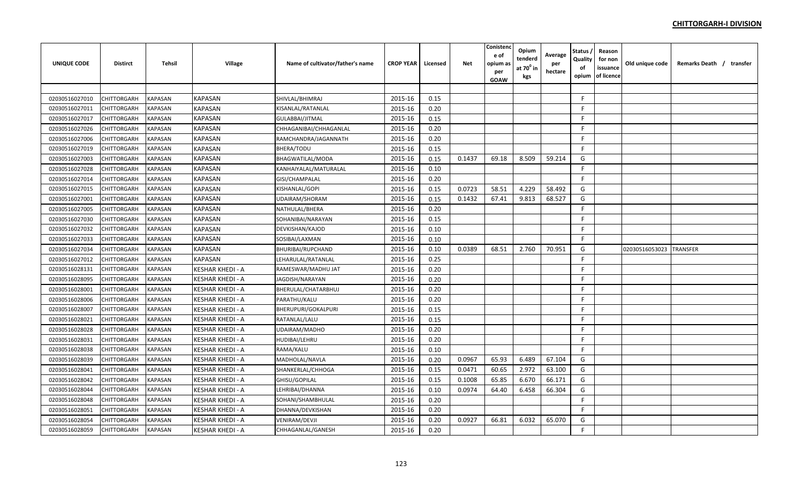| <b>UNIQUE CODE</b> | <b>Distirct</b>    | <b>Tehsil</b>  | Village                 | Name of cultivator/father's name | <b>CROP YEAR</b> | Licensed | <b>Net</b> | Conistenc<br>e of<br>opium as<br>per<br>GOAW | Opium<br>tenderd<br>at 70 <sup>°</sup> in<br>kgs | Average<br>per<br>hectare | Status<br>Quality<br>of<br>opium | Reason<br>for non<br>issuance<br>of licence | Old unique code | Remarks Death / transfer |
|--------------------|--------------------|----------------|-------------------------|----------------------------------|------------------|----------|------------|----------------------------------------------|--------------------------------------------------|---------------------------|----------------------------------|---------------------------------------------|-----------------|--------------------------|
|                    |                    |                |                         |                                  |                  |          |            |                                              |                                                  |                           |                                  |                                             |                 |                          |
| 02030516027010     | CHITTORGARH        | <b>KAPASAN</b> | <b>KAPASAN</b>          | SHIVLAL/BHIMRAJ                  | 2015-16          | 0.15     |            |                                              |                                                  |                           | $\mathsf{F}$                     |                                             |                 |                          |
| 02030516027011     | CHITTORGARH        | <b>KAPASAN</b> | <b>KAPASAN</b>          | KISANLAL/RATANLAL                | 2015-16          | 0.20     |            |                                              |                                                  |                           | F                                |                                             |                 |                          |
| 02030516027017     | CHITTORGARH        | KAPASAN        | <b>KAPASAN</b>          | GULABBAI/JITMAL                  | 2015-16          | 0.15     |            |                                              |                                                  |                           | F                                |                                             |                 |                          |
| 02030516027026     | CHITTORGARH        | <b>KAPASAN</b> | <b>KAPASAN</b>          | CHHAGANIBAI/CHHAGANLAL           | 2015-16          | 0.20     |            |                                              |                                                  |                           | -F                               |                                             |                 |                          |
| 02030516027006     | <b>CHITTORGARH</b> | KAPASAN        | <b>KAPASAN</b>          | RAMCHANDRA/JAGANNATH             | 2015-16          | 0.20     |            |                                              |                                                  |                           | F.                               |                                             |                 |                          |
| 02030516027019     | CHITTORGARH        | KAPASAN        | <b>KAPASAN</b>          | BHERA/TODU                       | 2015-16          | 0.15     |            |                                              |                                                  |                           | F.                               |                                             |                 |                          |
| 02030516027003     | CHITTORGARH        | KAPASAN        | <b>KAPASAN</b>          | <b>BHAGWATILAL/MODA</b>          | 2015-16          | 0.15     | 0.1437     | 69.18                                        | 8.509                                            | 59.214                    | G                                |                                             |                 |                          |
| 02030516027028     | CHITTORGARH        | <b>KAPASAN</b> | <b>KAPASAN</b>          | KANHAIYALAL/MATURALAL            | 2015-16          | 0.10     |            |                                              |                                                  |                           | F                                |                                             |                 |                          |
| 02030516027014     | CHITTORGARH        | <b>KAPASAN</b> | <b>KAPASAN</b>          | GISI/CHAMPALAL                   | 2015-16          | 0.20     |            |                                              |                                                  |                           | F                                |                                             |                 |                          |
| 02030516027015     | CHITTORGARH        | <b>KAPASAN</b> | <b>KAPASAN</b>          | KISHANLAL/GOPI                   | 2015-16          | 0.15     | 0.0723     | 58.51                                        | 4.229                                            | 58.492                    | G                                |                                             |                 |                          |
| 02030516027001     | CHITTORGARH        | <b>KAPASAN</b> | <b>KAPASAN</b>          | UDAIRAM/SHORAM                   | 2015-16          | 0.15     | 0.1432     | 67.41                                        | 9.813                                            | 68.527                    | G                                |                                             |                 |                          |
| 02030516027005     | CHITTORGARH        | <b>KAPASAN</b> | <b>KAPASAN</b>          | NATHULAL/BHERA                   | 2015-16          | 0.20     |            |                                              |                                                  |                           | F                                |                                             |                 |                          |
| 02030516027030     | CHITTORGARH        | <b>KAPASAN</b> | <b>KAPASAN</b>          | SOHANIBAI/NARAYAN                | 2015-16          | 0.15     |            |                                              |                                                  |                           | F                                |                                             |                 |                          |
| 02030516027032     | CHITTORGARH        | <b>KAPASAN</b> | <b>KAPASAN</b>          | DEVKISHAN/KAJOD                  | 2015-16          | 0.10     |            |                                              |                                                  |                           | F                                |                                             |                 |                          |
| 02030516027033     | CHITTORGARH        | KAPASAN        | <b>KAPASAN</b>          | SOSIBAI/LAXMAN                   | 2015-16          | 0.10     |            |                                              |                                                  |                           | F                                |                                             |                 |                          |
| 02030516027034     | <b>CHITTORGARH</b> | KAPASAN        | <b>KAPASAN</b>          | <b>BHURIBAI/RUPCHAND</b>         | 2015-16          | 0.10     | 0.0389     | 68.51                                        | 2.760                                            | 70.951                    | G                                |                                             | 02030516053023  | <b>TRANSFER</b>          |
| 02030516027012     | CHITTORGARH        | KAPASAN        | KAPASAN                 | LEHARULAL/RATANLAL               | 2015-16          | 0.25     |            |                                              |                                                  |                           | F                                |                                             |                 |                          |
| 02030516028131     | CHITTORGARH        | KAPASAN        | <b>KESHAR KHEDI - A</b> | RAMESWAR/MADHU JAT               | 2015-16          | 0.20     |            |                                              |                                                  |                           | E                                |                                             |                 |                          |
| 02030516028095     | CHITTORGARH        | KAPASAN        | KESHAR KHEDI - A        | JAGDISH/NARAYAN                  | 2015-16          | 0.20     |            |                                              |                                                  |                           | F                                |                                             |                 |                          |
| 02030516028001     | CHITTORGARH        | <b>KAPASAN</b> | <b>KESHAR KHEDI - A</b> | BHERULAL/CHATARBHUJ              | 2015-16          | 0.20     |            |                                              |                                                  |                           | F                                |                                             |                 |                          |
| 02030516028006     | CHITTORGARH        | <b>KAPASAN</b> | <b>KESHAR KHEDI - A</b> | PARATHU/KALU                     | 2015-16          | 0.20     |            |                                              |                                                  |                           | F.                               |                                             |                 |                          |
| 02030516028007     | <b>CHITTORGARH</b> | <b>KAPASAN</b> | <b>KESHAR KHEDI - A</b> | <b>BHERUPURI/GOKALPURI</b>       | 2015-16          | 0.15     |            |                                              |                                                  |                           | F.                               |                                             |                 |                          |
| 02030516028021     | CHITTORGARH        | <b>KAPASAN</b> | KESHAR KHEDI - A        | RATANLAL/LALU                    | 2015-16          | 0.15     |            |                                              |                                                  |                           | F.                               |                                             |                 |                          |
| 02030516028028     | CHITTORGARH        | <b>KAPASAN</b> | KESHAR KHEDI - A        | UDAIRAM/MADHO                    | 2015-16          | 0.20     |            |                                              |                                                  |                           | -F                               |                                             |                 |                          |
| 02030516028031     | CHITTORGARH        | <b>KAPASAN</b> | <b>KESHAR KHEDI - A</b> | HUDIBAI/LEHRU                    | 2015-16          | 0.20     |            |                                              |                                                  |                           | F                                |                                             |                 |                          |
| 02030516028038     | CHITTORGARH        | <b>KAPASAN</b> | <b>KESHAR KHEDI - A</b> | RAMA/KALU                        | 2015-16          | 0.10     |            |                                              |                                                  |                           | -F                               |                                             |                 |                          |
| 02030516028039     | CHITTORGARH        | KAPASAN        | KESHAR KHEDI - A        | MADHOLAL/NAVLA                   | 2015-16          | 0.20     | 0.0967     | 65.93                                        | 6.489                                            | 67.104                    | G                                |                                             |                 |                          |
| 02030516028041     | CHITTORGARH        | KAPASAN        | KESHAR KHEDI - A        | SHANKERLAL/CHHOGA                | 2015-16          | 0.15     | 0.0471     | 60.65                                        | 2.972                                            | 63.100                    | G                                |                                             |                 |                          |
| 02030516028042     | CHITTORGARH        | KAPASAN        | KESHAR KHEDI - A        | GHISU/GOPILAL                    | 2015-16          | 0.15     | 0.1008     | 65.85                                        | 6.670                                            | 66.171                    | G                                |                                             |                 |                          |
| 02030516028044     | CHITTORGARH        | KAPASAN        | KESHAR KHEDI - A        | LEHRIBAI/DHANNA                  | 2015-16          | 0.10     | 0.0974     | 64.40                                        | 6.458                                            | 66.304                    | G                                |                                             |                 |                          |
| 02030516028048     | CHITTORGARH        | <b>KAPASAN</b> | <b>KESHAR KHEDI - A</b> | SOHANI/SHAMBHULAL                | 2015-16          | 0.20     |            |                                              |                                                  |                           | F.                               |                                             |                 |                          |
| 02030516028051     | CHITTORGARH        | KAPASAN        | <b>KESHAR KHEDI - A</b> | DHANNA/DEVKISHAN                 | 2015-16          | 0.20     |            |                                              |                                                  |                           | F.                               |                                             |                 |                          |
| 02030516028054     | CHITTORGARH        | <b>KAPASAN</b> | <b>KESHAR KHEDI - A</b> | VENIRAM/DEVJI                    | 2015-16          | 0.20     | 0.0927     | 66.81                                        | 6.032                                            | 65.070                    | G                                |                                             |                 |                          |
| 02030516028059     | <b>CHITTORGARH</b> | <b>KAPASAN</b> | <b>KESHAR KHEDI - A</b> | CHHAGANLAL/GANESH                | 2015-16          | 0.20     |            |                                              |                                                  |                           | F                                |                                             |                 |                          |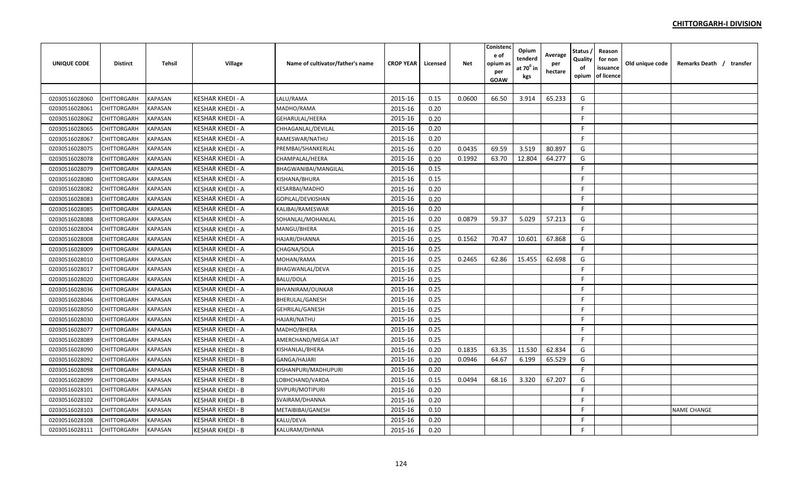| UNIQUE CODE    | <b>Distirct</b>    | <b>Tehsil</b>  | Village                 | Name of cultivator/father's name | <b>CROP YEAR</b> | Licensed | <b>Net</b> | Conistenc<br>e of<br>opium as<br>per<br><b>GOAW</b> | Opium<br>tenderd<br>at 70 <sup>0</sup> in<br>kgs | Average<br>per<br>hectare | Status<br>Quality<br>of<br>opium | Reason<br>for non<br>issuance<br>of licence | Old unique code | Remarks Death / transfer |  |
|----------------|--------------------|----------------|-------------------------|----------------------------------|------------------|----------|------------|-----------------------------------------------------|--------------------------------------------------|---------------------------|----------------------------------|---------------------------------------------|-----------------|--------------------------|--|
|                |                    |                |                         |                                  |                  |          |            |                                                     |                                                  |                           |                                  |                                             |                 |                          |  |
| 02030516028060 | CHITTORGARH        | <b>KAPASAN</b> | KESHAR KHEDI - A        | LALU/RAMA                        | 2015-16          | 0.15     | 0.0600     | 66.50                                               | 3.914                                            | 65.233                    | G                                |                                             |                 |                          |  |
| 02030516028061 | CHITTORGARH        | <b>KAPASAN</b> | <b>KESHAR KHEDI - A</b> | MADHO/RAMA                       | 2015-16          | 0.20     |            |                                                     |                                                  |                           | F.                               |                                             |                 |                          |  |
| 02030516028062 | CHITTORGARH        | <b>KAPASAN</b> | <b>KESHAR KHEDI - A</b> | GEHARULAL/HEERA                  | 2015-16          | 0.20     |            |                                                     |                                                  |                           | F                                |                                             |                 |                          |  |
| 02030516028065 | CHITTORGARH        | KAPASAN        | <b>KESHAR KHEDI - A</b> | CHHAGANLAL/DEVILAL               | 2015-16          | 0.20     |            |                                                     |                                                  |                           | F.                               |                                             |                 |                          |  |
| 02030516028067 | <b>CHITTORGARH</b> | KAPASAN        | <b>KESHAR KHEDI - A</b> | RAMESWAR/NATHU                   | 2015-16          | 0.20     |            |                                                     |                                                  |                           | F                                |                                             |                 |                          |  |
| 02030516028075 | <b>CHITTORGARH</b> | KAPASAN        | KESHAR KHEDI - A        | PREMBAI/SHANKERLAL               | 2015-16          | 0.20     | 0.0435     | 69.59                                               | 3.519                                            | 80.897                    | G                                |                                             |                 |                          |  |
| 02030516028078 | CHITTORGARH        | KAPASAN        | KESHAR KHEDI - A        | CHAMPALAL/HEERA                  | 2015-16          | 0.20     | 0.1992     | 63.70                                               | 12.804                                           | 64.277                    | G                                |                                             |                 |                          |  |
| 02030516028079 | <b>CHITTORGARH</b> | KAPASAN        | <b>KESHAR KHEDI - A</b> | BHAGWANIBAI/MANGILAL             | 2015-16          | 0.15     |            |                                                     |                                                  |                           | E                                |                                             |                 |                          |  |
| 02030516028080 | CHITTORGARH        | <b>KAPASAN</b> | <b>KESHAR KHEDI - A</b> | KISHANA/BHURA                    | 2015-16          | 0.15     |            |                                                     |                                                  |                           | F                                |                                             |                 |                          |  |
| 02030516028082 | CHITTORGARH        | <b>KAPASAN</b> | <b>KESHAR KHEDI - A</b> | <b>KESARBAI/MADHO</b>            | 2015-16          | 0.20     |            |                                                     |                                                  |                           | F.                               |                                             |                 |                          |  |
| 02030516028083 | <b>CHITTORGARH</b> | <b>KAPASAN</b> | <b>KESHAR KHEDI - A</b> | GOPILAL/DEVKISHAN                | 2015-16          | 0.20     |            |                                                     |                                                  |                           | F.                               |                                             |                 |                          |  |
| 02030516028085 | CHITTORGARH        | <b>KAPASAN</b> | KESHAR KHEDI - A        | KALIBAI/RAMESWAR                 | 2015-16          | 0.20     |            |                                                     |                                                  |                           | F                                |                                             |                 |                          |  |
| 02030516028088 | CHITTORGARH        | <b>KAPASAN</b> | <b>KESHAR KHEDI - A</b> | SOHANLAL/MOHANLAL                | 2015-16          | 0.20     | 0.0879     | 59.37                                               | 5.029                                            | 57.213                    | G                                |                                             |                 |                          |  |
| 02030516028004 | CHITTORGARH        | <b>KAPASAN</b> | KESHAR KHEDI - A        | MANGU/BHERA                      | 2015-16          | 0.25     |            |                                                     |                                                  |                           | E                                |                                             |                 |                          |  |
| 02030516028008 | CHITTORGARH        | KAPASAN        | <b>KESHAR KHEDI - A</b> | HAJARI/DHANNA                    | 2015-16          | 0.25     | 0.1562     | 70.47                                               | 10.601                                           | 67.868                    | G                                |                                             |                 |                          |  |
| 02030516028009 | CHITTORGARH        | KAPASAN        | <b>KESHAR KHEDI - A</b> | CHAGNA/SOLA                      | 2015-16          | 0.25     |            |                                                     |                                                  |                           | F                                |                                             |                 |                          |  |
| 02030516028010 | <b>CHITTORGARH</b> | KAPASAN        | <b>KESHAR KHEDI - A</b> | MOHAN/RAMA                       | 2015-16          | 0.25     | 0.2465     | 62.86                                               | 15.455                                           | 62.698                    | G                                |                                             |                 |                          |  |
| 02030516028017 | CHITTORGARH        | KAPASAN        | KESHAR KHEDI - A        | <b>BHAGWANLAL/DEVA</b>           | 2015-16          | 0.25     |            |                                                     |                                                  |                           | F                                |                                             |                 |                          |  |
| 02030516028020 | CHITTORGARH        | KAPASAN        | KESHAR KHEDI - A        | <b>BALU/DOLA</b>                 | 2015-16          | 0.25     |            |                                                     |                                                  |                           | F.                               |                                             |                 |                          |  |
| 02030516028036 | CHITTORGARH        | KAPASAN        | <b>KESHAR KHEDI - A</b> | BHVANIRAM/OUNKAR                 | 2015-16          | 0.25     |            |                                                     |                                                  |                           | F.                               |                                             |                 |                          |  |
| 02030516028046 | CHITTORGARH        | KAPASAN        | <b>KESHAR KHEDI - A</b> | <b>BHERULAL/GANESH</b>           | 2015-16          | 0.25     |            |                                                     |                                                  |                           | E                                |                                             |                 |                          |  |
| 02030516028050 | CHITTORGARH        | KAPASAN        | <b>KESHAR KHEDI - A</b> | <b>GEHRILAL/GANESH</b>           | 2015-16          | 0.25     |            |                                                     |                                                  |                           | F                                |                                             |                 |                          |  |
| 02030516028030 | <b>CHITTORGARH</b> | <b>KAPASAN</b> | <b>KESHAR KHEDI - A</b> | HAJARI/NATHU                     | 2015-16          | 0.25     |            |                                                     |                                                  |                           | F.                               |                                             |                 |                          |  |
| 02030516028077 | <b>CHITTORGARH</b> | <b>KAPASAN</b> | <b>KESHAR KHEDI - A</b> | MADHO/BHERA                      | 2015-16          | 0.25     |            |                                                     |                                                  |                           | F.                               |                                             |                 |                          |  |
| 02030516028089 | CHITTORGARH        | <b>KAPASAN</b> | <b>KESHAR KHEDI - A</b> | AMERCHAND/MEGA JAT               | 2015-16          | 0.25     |            |                                                     |                                                  |                           | F                                |                                             |                 |                          |  |
| 02030516028090 | CHITTORGARH        | <b>KAPASAN</b> | <b>KESHAR KHEDI - B</b> | KISHANLAL/BHERA                  | 2015-16          | 0.20     | 0.1835     | 63.35                                               | 11.530                                           | 62.834                    | G                                |                                             |                 |                          |  |
| 02030516028092 | CHITTORGARH        | KAPASAN        | <b>KESHAR KHEDI - B</b> | GANGA/HAJARI                     | 2015-16          | 0.20     | 0.0946     | 64.67                                               | 6.199                                            | 65.529                    | G                                |                                             |                 |                          |  |
| 02030516028098 | CHITTORGARH        | KAPASAN        | <b>KESHAR KHEDI - B</b> | KISHANPURI/MADHUPURI             | 2015-16          | 0.20     |            |                                                     |                                                  |                           | E                                |                                             |                 |                          |  |
| 02030516028099 | <b>CHITTORGARH</b> | KAPASAN        | KESHAR KHEDI - B        | LOBHCHAND/VARDA                  | 2015-16          | 0.15     | 0.0494     | 68.16                                               | 3.320                                            | 67.207                    | G                                |                                             |                 |                          |  |
| 02030516028101 | CHITTORGARH        | KAPASAN        | KESHAR KHEDI - B        | SIVPURI/MOTIPURI                 | 2015-16          | 0.20     |            |                                                     |                                                  |                           | F.                               |                                             |                 |                          |  |
| 02030516028102 | <b>CHITTORGARH</b> | <b>KAPASAN</b> | KESHAR KHEDI - B        | SVAIRAM/DHANNA                   | 2015-16          | 0.20     |            |                                                     |                                                  |                           | F.                               |                                             |                 |                          |  |
| 02030516028103 | CHITTORGARH        | KAPASAN        | <b>KESHAR KHEDI - B</b> | METAIBIBAI/GANESH                | 2015-16          | 0.10     |            |                                                     |                                                  |                           | F                                |                                             |                 | <b>NAME CHANGE</b>       |  |
| 02030516028108 | CHITTORGARH        | KAPASAN        | <b>KESHAR KHEDI - B</b> | KALU/DEVA                        | 2015-16          | 0.20     |            |                                                     |                                                  |                           | F                                |                                             |                 |                          |  |
| 02030516028111 | <b>CHITTORGARH</b> | <b>KAPASAN</b> | <b>KESHAR KHEDI - B</b> | KALURAM/DHNNA                    | 2015-16          | 0.20     |            |                                                     |                                                  |                           | F                                |                                             |                 |                          |  |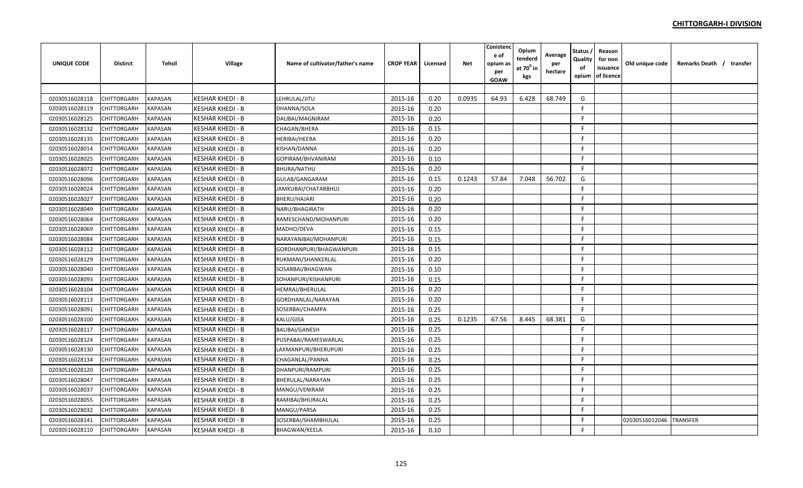| <b>UNIQUE CODE</b> | <b>Distirct</b> | <b>Tehsil</b>  | Village                 | Name of cultivator/father's name | <b>CROP YEAR</b> | Licensed | <b>Net</b> | Conistenc<br>e of<br>opium as<br>per<br><b>GOAW</b> | Opium<br>tenderd<br>at $70^0$ in<br>kgs | Average<br>per<br>hectare | Status<br>Quality<br>of<br>opium | Reason<br>for non<br>issuance<br>of licence | Old unique code | Remarks Death / transfer |
|--------------------|-----------------|----------------|-------------------------|----------------------------------|------------------|----------|------------|-----------------------------------------------------|-----------------------------------------|---------------------------|----------------------------------|---------------------------------------------|-----------------|--------------------------|
|                    |                 |                |                         |                                  |                  |          |            |                                                     |                                         |                           |                                  |                                             |                 |                          |
| 02030516028118     | CHITTORGARH     | <b>KAPASAN</b> | <b>KESHAR KHEDI - B</b> | LEHRULAL/JITU                    | 2015-16          | 0.20     | 0.0935     | 64.93                                               | 6.428                                   | 68.749                    | G                                |                                             |                 |                          |
| 02030516028119     | CHITTORGARH     | <b>KAPASAN</b> | <b>KESHAR KHEDI - B</b> | DHANNA/SOLA                      | 2015-16          | 0.20     |            |                                                     |                                         |                           | -F                               |                                             |                 |                          |
| 02030516028125     | CHITTORGARH     | <b>KAPASAN</b> | <b>KESHAR KHEDI - B</b> | DALIBAI/MAGNIRAM                 | 2015-16          | 0.20     |            |                                                     |                                         |                           | F                                |                                             |                 |                          |
| 02030516028132     | CHITTORGARH     | <b>KAPASAN</b> | <b>KESHAR KHEDI - B</b> | <b>CHAGAN/BHERA</b>              | 2015-16          | 0.15     |            |                                                     |                                         |                           | -F                               |                                             |                 |                          |
| 02030516028135     | CHITTORGARH     | KAPASAN        | <b>KESHAR KHEDI - B</b> | <b>HERIBAI/HEERA</b>             | 2015-16          | 0.20     |            |                                                     |                                         |                           | -F                               |                                             |                 |                          |
| 02030516028014     | CHITTORGARH     | <b>KAPASAN</b> | KESHAR KHEDI - B        | KISHAN/DANNA                     | 2015-16          | 0.20     |            |                                                     |                                         |                           | F.                               |                                             |                 |                          |
| 02030516028025     | CHITTORGARH     | <b>KAPASAN</b> | KESHAR KHEDI - B        | GOPIRAM/BHVANIRAM                | 2015-16          | 0.10     |            |                                                     |                                         |                           | -F                               |                                             |                 |                          |
| 02030516028072     | CHITTORGARH     | <b>KAPASAN</b> | <b>KESHAR KHEDI - B</b> | BHURA/NATHU                      | 2015-16          | 0.20     |            |                                                     |                                         |                           | -F                               |                                             |                 |                          |
| 02030516028096     | CHITTORGARH     | <b>KAPASAN</b> | <b>KESHAR KHEDI - B</b> | GULAB/GANGARAM                   | 2015-16          | 0.15     | 0.1243     | 57.84                                               | 7.048                                   | 56.702                    | G                                |                                             |                 |                          |
| 02030516028024     | CHITTORGARH     | <b>KAPASAN</b> | <b>KESHAR KHEDI - B</b> | JAMKUBAI/CHATARBHUJ              | 2015-16          | 0.20     |            |                                                     |                                         |                           | F.                               |                                             |                 |                          |
| 02030516028027     | CHITTORGARH     | <b>KAPASAN</b> | <b>KESHAR KHEDI - B</b> | <b>BHERU/HAJARI</b>              | 2015-16          | 0.20     |            |                                                     |                                         |                           | $\mathsf{F}$                     |                                             |                 |                          |
| 02030516028049     | CHITTORGARH     | <b>KAPASAN</b> | <b>KESHAR KHEDI - B</b> | NARU/BHAGIRATH                   | 2015-16          | 0.20     |            |                                                     |                                         |                           | F.                               |                                             |                 |                          |
| 02030516028064     | CHITTORGARH     | <b>KAPASAN</b> | KESHAR KHEDI - B        | RAMESCHAND/MOHANPURI             | 2015-16          | 0.20     |            |                                                     |                                         |                           | -F                               |                                             |                 |                          |
| 02030516028069     | CHITTORGARH     | <b>KAPASAN</b> | <b>KESHAR KHEDI - B</b> | MADHO/DEVA                       | 2015-16          | 0.15     |            |                                                     |                                         |                           | -F                               |                                             |                 |                          |
| 02030516028084     | CHITTORGARH     | <b>KAPASAN</b> | <b>KESHAR KHEDI - B</b> | NARAYANIBAI/MOHANPURI            | 2015-16          | 0.15     |            |                                                     |                                         |                           | -F                               |                                             |                 |                          |
| 02030516028112     | CHITTORGARH     | <b>KAPASAN</b> | <b>KESHAR KHEDI - B</b> | GORDHANPURI/BHAGWANPURI          | 2015-16          | 0.15     |            |                                                     |                                         |                           | -F                               |                                             |                 |                          |
| 02030516028129     | CHITTORGARH     | KAPASAN        | <b>KESHAR KHEDI - B</b> | RUKMANI/SHANKERLAL               | 2015-16          | 0.20     |            |                                                     |                                         |                           | -F                               |                                             |                 |                          |
| 02030516028040     | CHITTORGARH     | KAPASAN        | KESHAR KHEDI - B        | SOSARBAI/BHAGWAN                 | 2015-16          | 0.10     |            |                                                     |                                         |                           | F.                               |                                             |                 |                          |
| 02030516028093     | CHITTORGARH     | <b>KAPASAN</b> | KESHAR KHEDI - B        | SOHANPURI/KISHANPURI             | 2015-16          | 0.15     |            |                                                     |                                         |                           | -F                               |                                             |                 |                          |
| 02030516028104     | CHITTORGARH     | <b>KAPASAN</b> | <b>KESHAR KHEDI - B</b> | <b>HEMRAJ/BHERULAL</b>           | 2015-16          | 0.20     |            |                                                     |                                         |                           | -F                               |                                             |                 |                          |
| 02030516028113     | CHITTORGARH     | <b>KAPASAN</b> | <b>KESHAR KHEDI - B</b> | GORDHANLAL/NARAYAN               | 2015-16          | 0.20     |            |                                                     |                                         |                           | $\mathsf{F}$                     |                                             |                 |                          |
| 02030516028091     | CHITTORGARH     | <b>KAPASAN</b> | <b>KESHAR KHEDI - B</b> | SOSERBAI/CHAMPA                  | 2015-16          | 0.25     |            |                                                     |                                         |                           | F                                |                                             |                 |                          |
| 02030516028100     | CHITTORGARH     | <b>KAPASAN</b> | <b>KESHAR KHEDI - B</b> | KALU/GISA                        | 2015-16          | 0.25     | 0.1235     | 67.56                                               | 8.445                                   | 68.381                    | G                                |                                             |                 |                          |
| 02030516028117     | CHITTORGARH     | <b>KAPASAN</b> | <b>KESHAR KHEDI - B</b> | <b>BALIBAI/GANESH</b>            | 2015-16          | 0.25     |            |                                                     |                                         |                           | F.                               |                                             |                 |                          |
| 02030516028124     | CHITTORGARH     | <b>KAPASAN</b> | <b>KESHAR KHEDI - B</b> | PUSPABAI/RAMESWARLAL             | 2015-16          | 0.25     |            |                                                     |                                         |                           | -F                               |                                             |                 |                          |
| 02030516028130     | CHITTORGARH     | <b>KAPASAN</b> | <b>KESHAR KHEDI - B</b> | LAXMANPURI/BHERUPURI             | 2015-16          | 0.25     |            |                                                     |                                         |                           | F                                |                                             |                 |                          |
| 02030516028134     | CHITTORGARH     | <b>KAPASAN</b> | <b>KESHAR KHEDI - B</b> | CHAGANLAL/PANNA                  | 2015-16          | 0.25     |            |                                                     |                                         |                           | -F                               |                                             |                 |                          |
| 02030516028120     | CHITTORGARH     | KAPASAN        | <b>KESHAR KHEDI - B</b> | DHANPURI/RAMPURI                 | 2015-16          | 0.25     |            |                                                     |                                         |                           | F.                               |                                             |                 |                          |
| 02030516028047     | CHITTORGARH     | <b>KAPASAN</b> | <b>KESHAR KHEDI - B</b> | BHERULAL/NARAYAN                 | 2015-16          | 0.25     |            |                                                     |                                         |                           | F.                               |                                             |                 |                          |
| 02030516028037     | CHITTORGARH     | KAPASAN        | KESHAR KHEDI - B        | MANGU/VENIRAM                    | 2015-16          | 0.25     |            |                                                     |                                         |                           | -F                               |                                             |                 |                          |
| 02030516028055     | CHITTORGARH     | <b>KAPASAN</b> | KESHAR KHEDI - B        | RAMIBAI/BHURALAL                 | 2015-16          | 0.25     |            |                                                     |                                         |                           | F                                |                                             |                 |                          |
| 02030516028032     | CHITTORGARH     | <b>KAPASAN</b> | <b>KESHAR KHEDI - B</b> | MANGU/PARSA                      | 2015-16          | 0.25     |            |                                                     |                                         |                           | F                                |                                             |                 |                          |
| 02030516028141     | CHITTORGARH     | <b>KAPASAN</b> | <b>KESHAR KHEDI - B</b> | SOSERBAI/SHAMBHULAL              | 2015-16          | 0.25     |            |                                                     |                                         |                           | -F                               |                                             | 02030516012046  | <b>TRANSFER</b>          |
| 02030516028110     | CHITTORGARH     | <b>KAPASAN</b> | <b>KESHAR KHEDI - B</b> | <b>BHAGWAN/KEELA</b>             | 2015-16          | 0.10     |            |                                                     |                                         |                           | E                                |                                             |                 |                          |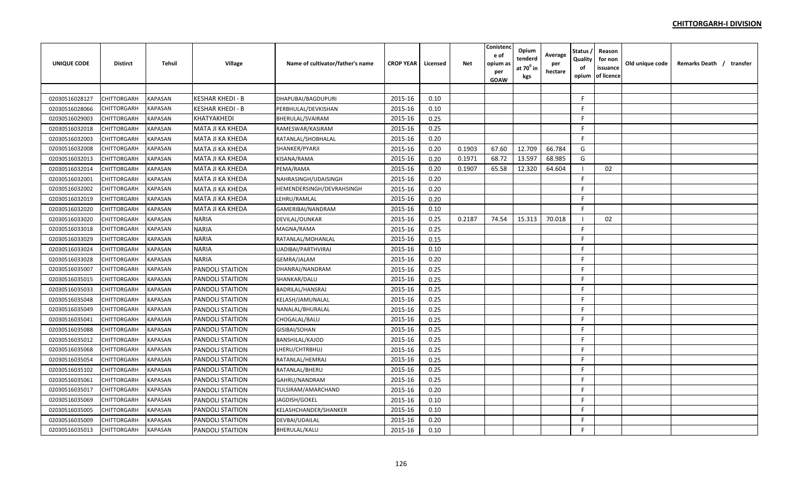| <b>UNIQUE CODE</b> | <b>Distirct</b> | <b>Tehsil</b>  | Village                 | Name of cultivator/father's name | <b>CROP YEAR</b> | Licensed | <b>Net</b> | Conistenc<br>e of<br>opium as<br>per<br><b>GOAW</b> | Opium<br>tenderd<br>at $70^0$ in<br>kgs | Average<br>per<br>hectare | Status<br>Quality<br>of<br>opium | Reason<br>for non<br>issuance<br>of licence | Old unique code | Remarks Death / transfer |  |
|--------------------|-----------------|----------------|-------------------------|----------------------------------|------------------|----------|------------|-----------------------------------------------------|-----------------------------------------|---------------------------|----------------------------------|---------------------------------------------|-----------------|--------------------------|--|
|                    |                 |                |                         |                                  |                  |          |            |                                                     |                                         |                           |                                  |                                             |                 |                          |  |
| 02030516028127     | CHITTORGARH     | <b>KAPASAN</b> | <b>KESHAR KHEDI - B</b> | DHAPUBAI/BAGDUPURI               | 2015-16          | 0.10     |            |                                                     |                                         |                           | -F                               |                                             |                 |                          |  |
| 02030516028066     | CHITTORGARH     | <b>KAPASAN</b> | <b>KESHAR KHEDI - B</b> | PERBHULAL/DEVKISHAN              | 2015-16          | 0.10     |            |                                                     |                                         |                           | -F                               |                                             |                 |                          |  |
| 02030516029003     | CHITTORGARH     | <b>KAPASAN</b> | KHATYAKHEDI             | <b>BHERULAL/SVAIRAM</b>          | 2015-16          | 0.25     |            |                                                     |                                         |                           | -F                               |                                             |                 |                          |  |
| 02030516032018     | CHITTORGARH     | <b>KAPASAN</b> | MATA JI KA KHEDA        | RAMESWAR/KASIRAM                 | 2015-16          | 0.25     |            |                                                     |                                         |                           | F                                |                                             |                 |                          |  |
| 02030516032003     | CHITTORGARH     | <b>KAPASAN</b> | MATA JI KA KHEDA        | RATANLAL/SHOBHALAL               | 2015-16          | 0.20     |            |                                                     |                                         |                           | F                                |                                             |                 |                          |  |
| 02030516032008     | CHITTORGARH     | KAPASAN        | MATA JI KA KHEDA        | SHANKER/PYARJI                   | 2015-16          | 0.20     | 0.1903     | 67.60                                               | 12.709                                  | 66.784                    | G                                |                                             |                 |                          |  |
| 02030516032013     | CHITTORGARH     | <b>KAPASAN</b> | MATA JI KA KHEDA        | KISANA/RAMA                      | 2015-16          | 0.20     | 0.1971     | 68.72                                               | 13.597                                  | 68.985                    | G                                |                                             |                 |                          |  |
| 02030516032014     | CHITTORGARH     | <b>KAPASAN</b> | MATA JI KA KHEDA        | PEMA/RAMA                        | 2015-16          | 0.20     | 0.1907     | 65.58                                               | 12.320                                  | 64.604                    |                                  | 02                                          |                 |                          |  |
| 02030516032001     | CHITTORGARH     | <b>KAPASAN</b> | MATA JI KA KHEDA        | NAHRASINGH/UDAISINGH             | 2015-16          | 0.20     |            |                                                     |                                         |                           | F.                               |                                             |                 |                          |  |
| 02030516032002     | CHITTORGARH     | KAPASAN        | MATA JI KA KHEDA        | HEMENDERSINGH/DEVRAHSINGH        | 2015-16          | 0.20     |            |                                                     |                                         |                           | F.                               |                                             |                 |                          |  |
| 02030516032019     | CHITTORGARH     | <b>KAPASAN</b> | MATA JI KA KHEDA        | LEHRU/RAMLAL                     | 2015-16          | 0.20     |            |                                                     |                                         |                           | F                                |                                             |                 |                          |  |
| 02030516032020     | CHITTORGARH     | <b>KAPASAN</b> | <b>MATA JI KA KHEDA</b> | GAMERIBAI/NANDRAM                | 2015-16          | 0.10     |            |                                                     |                                         |                           | F                                |                                             |                 |                          |  |
| 02030516033020     | CHITTORGARH     | <b>KAPASAN</b> | <b>NARIA</b>            | DEVILAL/OUNKAR                   | 2015-16          | 0.25     | 0.2187     | 74.54                                               | 15.313                                  | 70.018                    |                                  | 02                                          |                 |                          |  |
| 02030516033018     | CHITTORGARH     | <b>KAPASAN</b> | <b>NARIA</b>            | MAGNA/RAMA                       | 2015-16          | 0.25     |            |                                                     |                                         |                           | $\mathsf{F}$                     |                                             |                 |                          |  |
| 02030516033029     | CHITTORGARH     | <b>KAPASAN</b> | <b>NARIA</b>            | RATANLAL/MOHANLAL                | 2015-16          | 0.15     |            |                                                     |                                         |                           | -F                               |                                             |                 |                          |  |
| 02030516033024     | CHITTORGARH     | <b>KAPASAN</b> | <b>NARIA</b>            | UADIBAI/PARTHVIRAJ               | 2015-16          | 0.10     |            |                                                     |                                         |                           | F                                |                                             |                 |                          |  |
| 02030516033028     | CHITTORGARH     | <b>KAPASAN</b> | <b>NARIA</b>            | GEMRA/JALAM                      | 2015-16          | 0.20     |            |                                                     |                                         |                           | F                                |                                             |                 |                          |  |
| 02030516035007     | CHITTORGARH     | KAPASAN        | PANDOLI STAITION        | DHANRAJ/NANDRAM                  | 2015-16          | 0.25     |            |                                                     |                                         |                           | F                                |                                             |                 |                          |  |
| 02030516035015     | CHITTORGARH     | <b>KAPASAN</b> | PANDOLI STAITION        | SHANKAR/DALU                     | 2015-16          | 0.25     |            |                                                     |                                         |                           | F.                               |                                             |                 |                          |  |
| 02030516035033     | CHITTORGARH     | <b>KAPASAN</b> | PANDOLI STAITION        | BADRILAL/HANSRAJ                 | 2015-16          | 0.25     |            |                                                     |                                         |                           | -F                               |                                             |                 |                          |  |
| 02030516035048     | CHITTORGARH     | <b>KAPASAN</b> | <b>PANDOLI STAITION</b> | KELASH/JAMUNALAL                 | 2015-16          | 0.25     |            |                                                     |                                         |                           | F                                |                                             |                 |                          |  |
| 02030516035049     | CHITTORGARH     | <b>KAPASAN</b> | <b>PANDOLI STAITION</b> | NANALAL/BHURALAL                 | 2015-16          | 0.25     |            |                                                     |                                         |                           | -F                               |                                             |                 |                          |  |
| 02030516035041     | CHITTORGARH     | <b>KAPASAN</b> | <b>PANDOLI STAITION</b> | CHOGALAL/BALU                    | 2015-16          | 0.25     |            |                                                     |                                         |                           | F                                |                                             |                 |                          |  |
| 02030516035088     | CHITTORGARH     | <b>KAPASAN</b> | <b>PANDOLI STAITION</b> | <b>GISIBAI/SOHAN</b>             | 2015-16          | 0.25     |            |                                                     |                                         |                           | F.                               |                                             |                 |                          |  |
| 02030516035012     | CHITTORGARH     | <b>KAPASAN</b> | <b>PANDOLI STAITION</b> | <b>BANSHILAL/KAJOD</b>           | 2015-16          | 0.25     |            |                                                     |                                         |                           | F                                |                                             |                 |                          |  |
| 02030516035068     | CHITTORGARH     | <b>KAPASAN</b> | <b>PANDOLI STAITION</b> | LHERU/CHTRBHUJ                   | 2015-16          | 0.25     |            |                                                     |                                         |                           | -F                               |                                             |                 |                          |  |
| 02030516035054     | CHITTORGARH     | <b>KAPASAN</b> | PANDOLI STAITION        | RATANLAL/HEMRAJ                  | 2015-16          | 0.25     |            |                                                     |                                         |                           | -F                               |                                             |                 |                          |  |
| 02030516035102     | CHITTORGARH     | <b>KAPASAN</b> | <b>PANDOLI STAITION</b> | RATANLAL/BHERU                   | 2015-16          | 0.25     |            |                                                     |                                         |                           | F.                               |                                             |                 |                          |  |
| 02030516035061     | CHITTORGARH     | KAPASAN        | <b>PANDOLI STAITION</b> | GAHRU/NANDRAM                    | 2015-16          | 0.25     |            |                                                     |                                         |                           | F                                |                                             |                 |                          |  |
| 02030516035017     | CHITTORGARH     | KAPASAN        | PANDOLI STAITION        | TULSIRAM/AMARCHAND               | 2015-16          | 0.20     |            |                                                     |                                         |                           | F                                |                                             |                 |                          |  |
| 02030516035069     | CHITTORGARH     | <b>KAPASAN</b> | PANDOLI STAITION        | JAGDISH/GOKEL                    | 2015-16          | 0.10     |            |                                                     |                                         |                           | F.                               |                                             |                 |                          |  |
| 02030516035005     | CHITTORGARH     | <b>KAPASAN</b> | PANDOLI STAITION        | KELASHCHANDER/SHANKER            | 2015-16          | 0.10     |            |                                                     |                                         |                           | $\mathsf{F}$                     |                                             |                 |                          |  |
| 02030516035009     | CHITTORGARH     | <b>KAPASAN</b> | PANDOLI STAITION        | DEVBAI/UDAILAL                   | 2015-16          | 0.20     |            |                                                     |                                         |                           | -F                               |                                             |                 |                          |  |
| 02030516035013     | CHITTORGARH     | <b>KAPASAN</b> | <b>PANDOLI STAITION</b> | <b>BHERULAL/KALU</b>             | 2015-16          | 0.10     |            |                                                     |                                         |                           | F                                |                                             |                 |                          |  |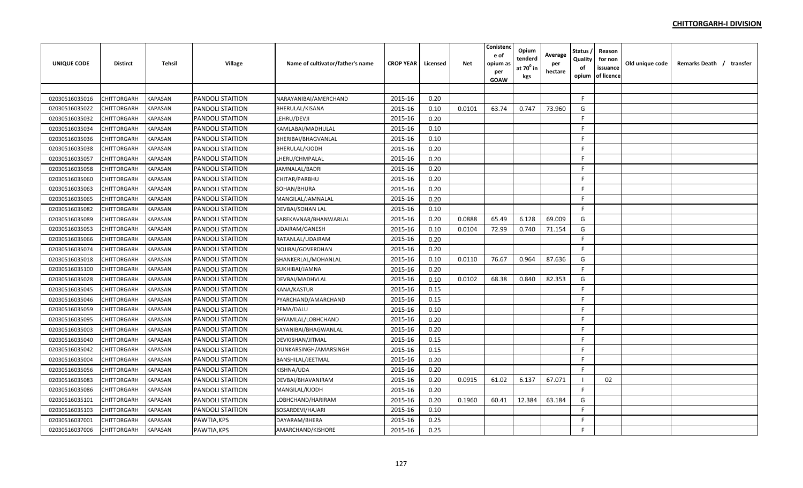| <b>UNIQUE CODE</b> | <b>Distirct</b>    | <b>Tehsil</b>  | <b>Village</b>          | Name of cultivator/father's name | <b>CROP YEAR</b> | Licensed | <b>Net</b> | Conistenc<br>e of<br>opium as<br>per<br>GOAW | Opium<br>tenderd<br>at 70 <sup>°</sup> in<br>kgs | Average<br>per<br>hectare | Status<br>Quality<br>of<br>opium | Reason<br>for non<br>issuance<br>of licence | Old unique code | Remarks Death / transfer |  |
|--------------------|--------------------|----------------|-------------------------|----------------------------------|------------------|----------|------------|----------------------------------------------|--------------------------------------------------|---------------------------|----------------------------------|---------------------------------------------|-----------------|--------------------------|--|
|                    |                    |                |                         |                                  |                  |          |            |                                              |                                                  |                           |                                  |                                             |                 |                          |  |
| 02030516035016     | CHITTORGARH        | <b>KAPASAN</b> | <b>PANDOLI STAITION</b> | NARAYANIBAI/AMERCHAND            | 2015-16          | 0.20     |            |                                              |                                                  |                           | F                                |                                             |                 |                          |  |
| 02030516035022     | CHITTORGARH        | <b>KAPASAN</b> | PANDOLI STAITION        | <b>BHERULAL/KISANA</b>           | 2015-16          | 0.10     | 0.0101     | 63.74                                        | 0.747                                            | 73.960                    | G                                |                                             |                 |                          |  |
| 02030516035032     | CHITTORGARH        | KAPASAN        | PANDOLI STAITION        | LEHRU/DEVJI                      | 2015-16          | 0.20     |            |                                              |                                                  |                           | F                                |                                             |                 |                          |  |
| 02030516035034     | CHITTORGARH        | KAPASAN        | <b>PANDOLI STAITION</b> | KAMLABAI/MADHULAL                | 2015-16          | 0.10     |            |                                              |                                                  |                           | -F                               |                                             |                 |                          |  |
| 02030516035036     | <b>CHITTORGARH</b> | KAPASAN        | PANDOLI STAITION        | BHERIBAI/BHAGVANLAL              | 2015-16          | 0.10     |            |                                              |                                                  |                           | E                                |                                             |                 |                          |  |
| 02030516035038     | CHITTORGARH        | KAPASAN        | PANDOLI STAITION        | <b>BHERULAL/KJODH</b>            | 2015-16          | 0.20     |            |                                              |                                                  |                           | F.                               |                                             |                 |                          |  |
| 02030516035057     | CHITTORGARH        | KAPASAN        | PANDOLI STAITION        | LHERU/CHMPALAL                   | 2015-16          | 0.20     |            |                                              |                                                  |                           | F.                               |                                             |                 |                          |  |
| 02030516035058     | CHITTORGARH        | <b>KAPASAN</b> | PANDOLI STAITION        | JAMNALAL/BADRI                   | 2015-16          | 0.20     |            |                                              |                                                  |                           | F.                               |                                             |                 |                          |  |
| 02030516035060     | CHITTORGARH        | <b>KAPASAN</b> | PANDOLI STAITION        | CHITAR/PARBHU                    | 2015-16          | 0.20     |            |                                              |                                                  |                           | F                                |                                             |                 |                          |  |
| 02030516035063     | CHITTORGARH        | <b>KAPASAN</b> | <b>PANDOLI STAITION</b> | SOHAN/BHURA                      | 2015-16          | 0.20     |            |                                              |                                                  |                           | F.                               |                                             |                 |                          |  |
| 02030516035065     | <b>CHITTORGARH</b> | <b>KAPASAN</b> | <b>PANDOLI STAITION</b> | MANGILAL/JAMNALAL                | 2015-16          | 0.20     |            |                                              |                                                  |                           | E                                |                                             |                 |                          |  |
| 02030516035082     | CHITTORGARH        | <b>KAPASAN</b> | PANDOLI STAITION        | DEVBAI/SOHAN LAL                 | 2015-16          | 0.10     |            |                                              |                                                  |                           | F.                               |                                             |                 |                          |  |
| 02030516035089     | CHITTORGARH        | <b>KAPASAN</b> | PANDOLI STAITION        | SAREKAVNAR/BHANWARLAL            | 2015-16          | 0.20     | 0.0888     | 65.49                                        | 6.128                                            | 69.009                    | G                                |                                             |                 |                          |  |
| 02030516035053     | CHITTORGARH        | <b>KAPASAN</b> | <b>PANDOLI STAITION</b> | <b>UDAIRAM/GANESH</b>            | 2015-16          | 0.10     | 0.0104     | 72.99                                        | 0.740                                            | 71.154                    | G                                |                                             |                 |                          |  |
| 02030516035066     | CHITTORGARH        | KAPASAN        | PANDOLI STAITION        | RATANLAL/UDAIRAM                 | 2015-16          | 0.20     |            |                                              |                                                  |                           | F                                |                                             |                 |                          |  |
| 02030516035074     | <b>CHITTORGARH</b> | KAPASAN        | PANDOLI STAITION        | NOJIBAI/GOVERDHAN                | 2015-16          | 0.20     |            |                                              |                                                  |                           | F.                               |                                             |                 |                          |  |
| 02030516035018     | CHITTORGARH        | KAPASAN        | PANDOLI STAITION        | SHANKERLAL/MOHANLAL              | 2015-16          | 0.10     | 0.0110     | 76.67                                        | 0.964                                            | 87.636                    | G                                |                                             |                 |                          |  |
| 02030516035100     | CHITTORGARH        | KAPASAN        | PANDOLI STAITION        | SUKHIBAI/JAMNA                   | 2015-16          | 0.20     |            |                                              |                                                  |                           | F.                               |                                             |                 |                          |  |
| 02030516035028     | CHITTORGARH        | KAPASAN        | PANDOLI STAITION        | DEVBAI/MADHVLAL                  | 2015-16          | 0.10     | 0.0102     | 68.38                                        | 0.840                                            | 82.353                    | G                                |                                             |                 |                          |  |
| 02030516035045     | CHITTORGARH        | <b>KAPASAN</b> | PANDOLI STAITION        | KANA/KASTUR                      | 2015-16          | 0.15     |            |                                              |                                                  |                           | F                                |                                             |                 |                          |  |
| 02030516035046     | CHITTORGARH        | <b>KAPASAN</b> | <b>PANDOLI STAITION</b> | PYARCHAND/AMARCHAND              | 2015-16          | 0.15     |            |                                              |                                                  |                           | F.                               |                                             |                 |                          |  |
| 02030516035059     | <b>CHITTORGARH</b> | <b>KAPASAN</b> | <b>PANDOLI STAITION</b> | PEMA/DALU                        | 2015-16          | 0.10     |            |                                              |                                                  |                           | F.                               |                                             |                 |                          |  |
| 02030516035095     | CHITTORGARH        | <b>KAPASAN</b> | <b>PANDOLI STAITION</b> | SHYAMLAL/LOBHCHAND               | 2015-16          | 0.20     |            |                                              |                                                  |                           | F.                               |                                             |                 |                          |  |
| 02030516035003     | CHITTORGARH        | <b>KAPASAN</b> | PANDOLI STAITION        | SAYANIBAI/BHAGWANLAL             | 2015-16          | 0.20     |            |                                              |                                                  |                           | -F                               |                                             |                 |                          |  |
| 02030516035040     | CHITTORGARH        | <b>KAPASAN</b> | <b>PANDOLI STAITION</b> | DEVKISHAN/JITMAL                 | 2015-16          | 0.15     |            |                                              |                                                  |                           | -F                               |                                             |                 |                          |  |
| 02030516035042     | CHITTORGARH        | <b>KAPASAN</b> | PANDOLI STAITION        | OUNKARSINGH/AMARSINGH            | 2015-16          | 0.15     |            |                                              |                                                  |                           | F                                |                                             |                 |                          |  |
| 02030516035004     | CHITTORGARH        | KAPASAN        | PANDOLI STAITION        | BANSHILAL/JEETMAL                | 2015-16          | 0.20     |            |                                              |                                                  |                           | F.                               |                                             |                 |                          |  |
| 02030516035056     | CHITTORGARH        | KAPASAN        | PANDOLI STAITION        | KISHNA/UDA                       | 2015-16          | 0.20     |            |                                              |                                                  |                           | F.                               |                                             |                 |                          |  |
| 02030516035083     | CHITTORGARH        | KAPASAN        | PANDOLI STAITION        | DEVBAI/BHAVANIRAM                | 2015-16          | 0.20     | 0.0915     | 61.02                                        | 6.137                                            | 67.071                    |                                  | 02                                          |                 |                          |  |
| 02030516035086     | CHITTORGARH        | KAPASAN        | PANDOLI STAITION        | MANGILAL/KJODH                   | 2015-16          | 0.20     |            |                                              |                                                  |                           | -F                               |                                             |                 |                          |  |
| 02030516035101     | CHITTORGARH        | <b>KAPASAN</b> | PANDOLI STAITION        | LOBHCHAND/HARIRAM                | 2015-16          | 0.20     | 0.1960     | 60.41                                        | 12.384                                           | 63.184                    | G                                |                                             |                 |                          |  |
| 02030516035103     | CHITTORGARH        | KAPASAN        | PANDOLI STAITION        | SOSARDEVI/HAJARI                 | 2015-16          | 0.10     |            |                                              |                                                  |                           | E                                |                                             |                 |                          |  |
| 02030516037001     | CHITTORGARH        | <b>KAPASAN</b> | PAWTIA, KPS             | DAYARAM/BHERA                    | 2015-16          | 0.25     |            |                                              |                                                  |                           | F                                |                                             |                 |                          |  |
| 02030516037006     | <b>CHITTORGARH</b> | <b>KAPASAN</b> | PAWTIA, KPS             | AMARCHAND/KISHORE                | 2015-16          | 0.25     |            |                                              |                                                  |                           | F                                |                                             |                 |                          |  |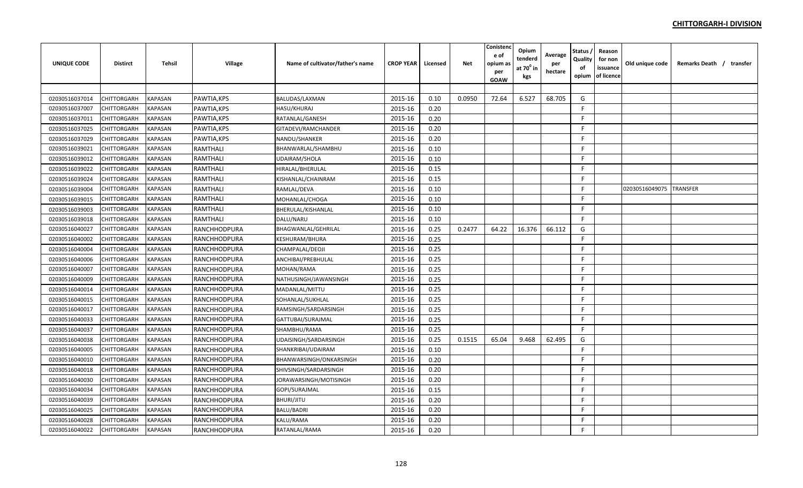| <b>UNIQUE CODE</b> | <b>Distirct</b>    | <b>Tehsil</b>  | Village         | Name of cultivator/father's name | <b>CROP YEAR</b> | Licensed | <b>Net</b> | Conistenc<br>e of<br>opium as<br>per<br><b>GOAW</b> | Opium<br>tenderd<br>at $70^0$ in<br>kgs | Average<br>per<br>hectare | Status<br>Quality<br>of<br>opium | Reason<br>for non<br>issuance<br>of licence | Old unique code | Remarks Death / transfer |
|--------------------|--------------------|----------------|-----------------|----------------------------------|------------------|----------|------------|-----------------------------------------------------|-----------------------------------------|---------------------------|----------------------------------|---------------------------------------------|-----------------|--------------------------|
|                    |                    |                |                 |                                  |                  |          |            |                                                     |                                         |                           |                                  |                                             |                 |                          |
| 02030516037014     | CHITTORGARH        | <b>KAPASAN</b> | PAWTIA, KPS     | <b>BALUDAS/LAXMAN</b>            | 2015-16          | 0.10     | 0.0950     | 72.64                                               | 6.527                                   | 68.705                    | G                                |                                             |                 |                          |
| 02030516037007     | CHITTORGARH        | <b>KAPASAN</b> | PAWTIA, KPS     | <b>HASU/KHURAJ</b>               | 2015-16          | 0.20     |            |                                                     |                                         |                           | F.                               |                                             |                 |                          |
| 02030516037011     | CHITTORGARH        | <b>KAPASAN</b> | PAWTIA, KPS     | RATANLAL/GANESH                  | 2015-16          | 0.20     |            |                                                     |                                         |                           | F                                |                                             |                 |                          |
| 02030516037025     | CHITTORGARH        | KAPASAN        | PAWTIA, KPS     | GITADEVI/RAMCHANDER              | 2015-16          | 0.20     |            |                                                     |                                         |                           | F.                               |                                             |                 |                          |
| 02030516037029     | <b>CHITTORGARH</b> | KAPASAN        | PAWTIA, KPS     | NANDU/SHANKER                    | 2015-16          | 0.20     |            |                                                     |                                         |                           | F                                |                                             |                 |                          |
| 02030516039021     | CHITTORGARH        | KAPASAN        | RAMTHALI        | BHANWARLAL/SHAMBHU               | 2015-16          | 0.10     |            |                                                     |                                         |                           | F.                               |                                             |                 |                          |
| 02030516039012     | CHITTORGARH        | KAPASAN        | RAMTHALI        | UDAIRAM/SHOLA                    | 2015-16          | 0.10     |            |                                                     |                                         |                           | E                                |                                             |                 |                          |
| 02030516039022     | CHITTORGARH        | KAPASAN        | <b>RAMTHALI</b> | HIRALAL/BHERULAL                 | 2015-16          | 0.15     |            |                                                     |                                         |                           | E                                |                                             |                 |                          |
| 02030516039024     | <b>CHITTORGARH</b> | <b>KAPASAN</b> | RAMTHALI        | KISHANLAL/CHAINRAM               | 2015-16          | 0.15     |            |                                                     |                                         |                           | F                                |                                             |                 |                          |
| 02030516039004     | CHITTORGARH        | KAPASAN        | RAMTHALI        | RAMLAL/DEVA                      | 2015-16          | 0.10     |            |                                                     |                                         |                           | F.                               |                                             | 02030516049075  | <b>TRANSFER</b>          |
| 02030516039015     | <b>CHITTORGARH</b> | <b>KAPASAN</b> | <b>RAMTHALI</b> | MOHANLAL/CHOGA                   | 2015-16          | 0.10     |            |                                                     |                                         |                           | F                                |                                             |                 |                          |
| 02030516039003     | CHITTORGARH        | <b>KAPASAN</b> | RAMTHALI        | BHERULAL/KISHANLAL               | 2015-16          | 0.10     |            |                                                     |                                         |                           | F                                |                                             |                 |                          |
| 02030516039018     | CHITTORGARH        | <b>KAPASAN</b> | RAMTHALI        | DALU/NARU                        | 2015-16          | 0.10     |            |                                                     |                                         |                           | F.                               |                                             |                 |                          |
| 02030516040027     | CHITTORGARH        | <b>KAPASAN</b> | RANCHHODPURA    | BHAGWANLAL/GEHRILAL              | 2015-16          | 0.25     | 0.2477     | 64.22                                               | 16.376                                  | 66.112                    | G                                |                                             |                 |                          |
| 02030516040002     | CHITTORGARH        | KAPASAN        | RANCHHODPURA    | <b>KESHURAM/BHURA</b>            | 2015-16          | 0.25     |            |                                                     |                                         |                           | F                                |                                             |                 |                          |
| 02030516040004     | CHITTORGARH        | KAPASAN        | RANCHHODPURA    | CHAMPALAL/DEOJI                  | 2015-16          | 0.25     |            |                                                     |                                         |                           | F                                |                                             |                 |                          |
| 02030516040006     | <b>CHITTORGARH</b> | KAPASAN        | RANCHHODPURA    | ANCHIBAI/PREBHULAL               | 2015-16          | 0.25     |            |                                                     |                                         |                           | F.                               |                                             |                 |                          |
| 02030516040007     | CHITTORGARH        | KAPASAN        | RANCHHODPURA    | MOHAN/RAMA                       | 2015-16          | 0.25     |            |                                                     |                                         |                           | F                                |                                             |                 |                          |
| 02030516040009     | CHITTORGARH        | KAPASAN        | RANCHHODPURA    | NATHUSINGH/JAWANSINGH            | 2015-16          | 0.25     |            |                                                     |                                         |                           | E                                |                                             |                 |                          |
| 02030516040014     | CHITTORGARH        | KAPASAN        | RANCHHODPURA    | MADANLAL/MITTU                   | 2015-16          | 0.25     |            |                                                     |                                         |                           | F.                               |                                             |                 |                          |
| 02030516040015     | <b>CHITTORGARH</b> | KAPASAN        | RANCHHODPURA    | SOHANLAL/SUKHLAL                 | 2015-16          | 0.25     |            |                                                     |                                         |                           | E                                |                                             |                 |                          |
| 02030516040017     | CHITTORGARH        | KAPASAN        | RANCHHODPURA    | RAMSINGH/SARDARSINGH             | 2015-16          | 0.25     |            |                                                     |                                         |                           | F                                |                                             |                 |                          |
| 02030516040033     | <b>CHITTORGARH</b> | <b>KAPASAN</b> | RANCHHODPURA    | GATTUBAI/SURAJMAL                | 2015-16          | 0.25     |            |                                                     |                                         |                           | F.                               |                                             |                 |                          |
| 02030516040037     | CHITTORGARH        | <b>KAPASAN</b> | RANCHHODPURA    | SHAMBHU/RAMA                     | 2015-16          | 0.25     |            |                                                     |                                         |                           | F                                |                                             |                 |                          |
| 02030516040038     | CHITTORGARH        | <b>KAPASAN</b> | RANCHHODPURA    | UDAISINGH/SARDARSINGH            | 2015-16          | 0.25     | 0.1515     | 65.04                                               | 9.468                                   | 62.495                    | G                                |                                             |                 |                          |
| 02030516040005     | CHITTORGARH        | <b>KAPASAN</b> | RANCHHODPURA    | SHANKRIBAI/UDAIRAM               | 2015-16          | 0.10     |            |                                                     |                                         |                           | F                                |                                             |                 |                          |
| 02030516040010     | CHITTORGARH        | KAPASAN        | RANCHHODPURA    | BHANWARSINGH/ONKARSINGH          | 2015-16          | 0.20     |            |                                                     |                                         |                           | F                                |                                             |                 |                          |
| 02030516040018     | CHITTORGARH        | KAPASAN        | RANCHHODPURA    | SHIVSINGH/SARDARSINGH            | 2015-16          | 0.20     |            |                                                     |                                         |                           | F.                               |                                             |                 |                          |
| 02030516040030     | <b>CHITTORGARH</b> | KAPASAN        | RANCHHODPURA    | JORAWARSINGH/MOTISINGH           | 2015-16          | 0.20     |            |                                                     |                                         |                           | F                                |                                             |                 |                          |
| 02030516040034     | CHITTORGARH        | KAPASAN        | RANCHHODPURA    | GOPI/SURAJMAL                    | 2015-16          | 0.15     |            |                                                     |                                         |                           | F.                               |                                             |                 |                          |
| 02030516040039     | CHITTORGARH        | KAPASAN        | RANCHHODPURA    | <b>BHURI/JITU</b>                | 2015-16          | 0.20     |            |                                                     |                                         |                           | F.                               |                                             |                 |                          |
| 02030516040025     | CHITTORGARH        | KAPASAN        | RANCHHODPURA    | <b>BALU/BADRI</b>                | 2015-16          | 0.20     |            |                                                     |                                         |                           | F                                |                                             |                 |                          |
| 02030516040028     | CHITTORGARH        | KAPASAN        | RANCHHODPURA    | KALU/RAMA                        | 2015-16          | 0.20     |            |                                                     |                                         |                           | F                                |                                             |                 |                          |
| 02030516040022     | <b>CHITTORGARH</b> | <b>KAPASAN</b> | RANCHHODPURA    | RATANLAL/RAMA                    | 2015-16          | 0.20     |            |                                                     |                                         |                           | F                                |                                             |                 |                          |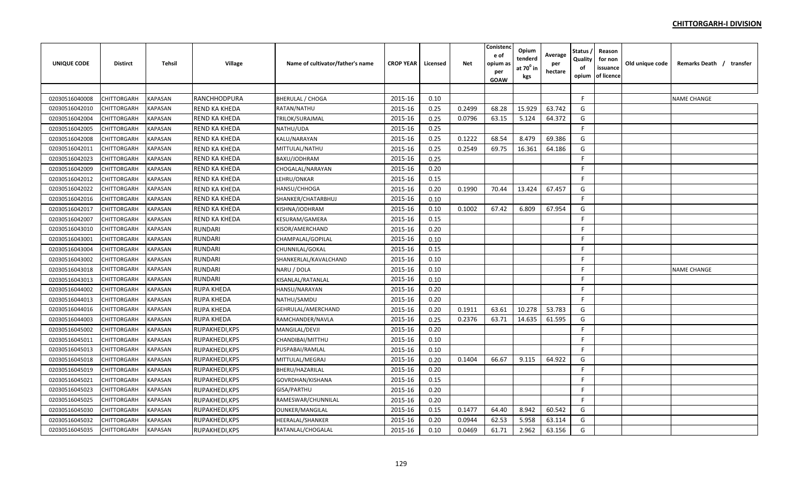| <b>UNIQUE CODE</b> | <b>Distirct</b>    | <b>Tehsil</b>  | Village              | Name of cultivator/father's name | <b>CROP YEAR</b> | Licensed | <b>Net</b> | Conistenc<br>e of<br>opium as<br>per<br><b>GOAW</b> | Opium<br>tenderd<br>at 70 <sup>°</sup> in<br>kgs | Average<br>per<br>hectare | Status<br>Quality<br>of<br>opium | Reason<br>for non<br>issuance<br>of licence | Old unique code | Remarks Death / transfer |  |
|--------------------|--------------------|----------------|----------------------|----------------------------------|------------------|----------|------------|-----------------------------------------------------|--------------------------------------------------|---------------------------|----------------------------------|---------------------------------------------|-----------------|--------------------------|--|
|                    |                    |                |                      |                                  |                  |          |            |                                                     |                                                  |                           |                                  |                                             |                 |                          |  |
| 02030516040008     | CHITTORGARH        | <b>KAPASAN</b> | RANCHHODPURA         | <b>BHERULAL / CHOGA</b>          | 2015-16          | 0.10     |            |                                                     |                                                  |                           | F                                |                                             |                 | <b>NAME CHANGE</b>       |  |
| 02030516042010     | CHITTORGARH        | <b>KAPASAN</b> | <b>REND KA KHEDA</b> | RATAN/NATHU                      | 2015-16          | 0.25     | 0.2499     | 68.28                                               | 15.929                                           | 63.742                    | G                                |                                             |                 |                          |  |
| 02030516042004     | CHITTORGARH        | KAPASAN        | <b>REND KA KHEDA</b> | TRILOK/SURAJMAL                  | 2015-16          | 0.25     | 0.0796     | 63.15                                               | 5.124                                            | 64.372                    | G                                |                                             |                 |                          |  |
| 02030516042005     | CHITTORGARH        | KAPASAN        | <b>REND KA KHEDA</b> | NATHU/UDA                        | 2015-16          | 0.25     |            |                                                     |                                                  |                           | F                                |                                             |                 |                          |  |
| 02030516042008     | CHITTORGARH        | KAPASAN        | <b>REND KA KHEDA</b> | KALU/NARAYAN                     | 2015-16          | 0.25     | 0.1222     | 68.54                                               | 8.479                                            | 69.386                    | G                                |                                             |                 |                          |  |
| 02030516042011     | CHITTORGARH        | KAPASAN        | REND KA KHEDA        | MITTULAL/NATHU                   | 2015-16          | 0.25     | 0.2549     | 69.75                                               | 16.361                                           | 64.186                    | G                                |                                             |                 |                          |  |
| 02030516042023     | CHITTORGARH        | KAPASAN        | <b>REND KA KHEDA</b> | BAXU/JODHRAM                     | 2015-16          | 0.25     |            |                                                     |                                                  |                           | F                                |                                             |                 |                          |  |
| 02030516042009     | CHITTORGARH        | <b>KAPASAN</b> | REND KA KHEDA        | CHOGALAL/NARAYAN                 | 2015-16          | 0.20     |            |                                                     |                                                  |                           | F.                               |                                             |                 |                          |  |
| 02030516042012     | CHITTORGARH        | KAPASAN        | REND KA KHEDA        | LEHRU/ONKAR                      | 2015-16          | 0.15     |            |                                                     |                                                  |                           | F                                |                                             |                 |                          |  |
| 02030516042022     | CHITTORGARH        | <b>KAPASAN</b> | REND KA KHEDA        | HANSU/CHHOGA                     | 2015-16          | 0.20     | 0.1990     | 70.44                                               | 13.424                                           | 67.457                    | G                                |                                             |                 |                          |  |
| 02030516042016     | CHITTORGARH        | <b>KAPASAN</b> | REND KA KHEDA        | SHANKER/CHATARBHUJ               | 2015-16          | 0.10     |            |                                                     |                                                  |                           | F.                               |                                             |                 |                          |  |
| 02030516042017     | CHITTORGARH        | <b>KAPASAN</b> | REND KA KHEDA        | KISHNA/JODHRAM                   | 2015-16          | 0.10     | 0.1002     | 67.42                                               | 6.809                                            | 67.954                    | G                                |                                             |                 |                          |  |
| 02030516042007     | CHITTORGARH        | <b>KAPASAN</b> | REND KA KHEDA        | KESURAM/GAMERA                   | 2015-16          | 0.15     |            |                                                     |                                                  |                           | F                                |                                             |                 |                          |  |
| 02030516043010     | CHITTORGARH        | <b>KAPASAN</b> | <b>RUNDARI</b>       | KISOR/AMERCHAND                  | 2015-16          | 0.20     |            |                                                     |                                                  |                           | F                                |                                             |                 |                          |  |
| 02030516043001     | CHITTORGARH        | KAPASAN        | <b>RUNDARI</b>       | CHAMPALAL/GOPILAL                | 2015-16          | 0.10     |            |                                                     |                                                  |                           | F.                               |                                             |                 |                          |  |
| 02030516043004     | <b>CHITTORGARH</b> | KAPASAN        | <b>RUNDARI</b>       | CHUNNILAL/GOKAL                  | 2015-16          | 0.15     |            |                                                     |                                                  |                           | F                                |                                             |                 |                          |  |
| 02030516043002     | CHITTORGARH        | KAPASAN        | <b>RUNDARI</b>       | SHANKERLAL/KAVALCHAND            | 2015-16          | 0.10     |            |                                                     |                                                  |                           | F                                |                                             |                 |                          |  |
| 02030516043018     | CHITTORGARH        | KAPASAN        | <b>RUNDARI</b>       | NARU / DOLA                      | 2015-16          | 0.10     |            |                                                     |                                                  |                           | E                                |                                             |                 | <b>NAME CHANGE</b>       |  |
| 02030516043013     | CHITTORGARH        | KAPASAN        | <b>RUNDARI</b>       | KISANLAL/RATANLAL                | 2015-16          | 0.10     |            |                                                     |                                                  |                           | F                                |                                             |                 |                          |  |
| 02030516044002     | CHITTORGARH        | <b>KAPASAN</b> | <b>RUPA KHEDA</b>    | HANSU/NARAYAN                    | 2015-16          | 0.20     |            |                                                     |                                                  |                           | E                                |                                             |                 |                          |  |
| 02030516044013     | CHITTORGARH        | <b>KAPASAN</b> | <b>RUPA KHEDA</b>    | NATHU/SAMDU                      | 2015-16          | 0.20     |            |                                                     |                                                  |                           | F.                               |                                             |                 |                          |  |
| 02030516044016     | <b>CHITTORGARH</b> | <b>KAPASAN</b> | <b>RUPA KHEDA</b>    | GEHRULAL/AMERCHAND               | 2015-16          | 0.20     | 0.1911     | 63.61                                               | 10.278                                           | 53.783                    | G                                |                                             |                 |                          |  |
| 02030516044003     | CHITTORGARH        | <b>KAPASAN</b> | <b>RUPA KHEDA</b>    | RAMCHANDER/NAVLA                 | 2015-16          | 0.25     | 0.2376     | 63.71                                               | 14.635                                           | 61.595                    | G                                |                                             |                 |                          |  |
| 02030516045002     | CHITTORGARH        | <b>KAPASAN</b> | RUPAKHEDI, KPS       | MANGILAL/DEVJI                   | 2015-16          | 0.20     |            |                                                     |                                                  |                           | $\mathsf{F}$                     |                                             |                 |                          |  |
| 02030516045011     | CHITTORGARH        | <b>KAPASAN</b> | RUPAKHEDI, KPS       | CHANDIBAI/MITTHU                 | 2015-16          | 0.10     |            |                                                     |                                                  |                           | F                                |                                             |                 |                          |  |
| 02030516045013     | CHITTORGARH        | <b>KAPASAN</b> | RUPAKHEDI, KPS       | PUSPABAI/RAMLAL                  | 2015-16          | 0.10     |            |                                                     |                                                  |                           | -F                               |                                             |                 |                          |  |
| 02030516045018     | CHITTORGARH        | KAPASAN        | RUPAKHEDI, KPS       | MITTULAL/MEGRAJ                  | 2015-16          | 0.20     | 0.1404     | 66.67                                               | 9.115                                            | 64.922                    | G                                |                                             |                 |                          |  |
| 02030516045019     | CHITTORGARH        | KAPASAN        | RUPAKHEDI, KPS       | BHERU/HAZARILAL                  | 2015-16          | 0.20     |            |                                                     |                                                  |                           | F                                |                                             |                 |                          |  |
| 02030516045021     | CHITTORGARH        | KAPASAN        | RUPAKHEDI, KPS       | GOVRDHAN/KISHANA                 | 2015-16          | 0.15     |            |                                                     |                                                  |                           | F.                               |                                             |                 |                          |  |
| 02030516045023     | CHITTORGARH        | KAPASAN        | RUPAKHEDI, KPS       | GISA/PARTHU                      | 2015-16          | 0.20     |            |                                                     |                                                  |                           | F.                               |                                             |                 |                          |  |
| 02030516045025     | CHITTORGARH        | <b>KAPASAN</b> | RUPAKHEDI, KPS       | RAMESWAR/CHUNNILAL               | 2015-16          | 0.20     |            |                                                     |                                                  |                           | -F                               |                                             |                 |                          |  |
| 02030516045030     | CHITTORGARH        | KAPASAN        | RUPAKHEDI, KPS       | <b>OUNKER/MANGILAL</b>           | 2015-16          | 0.15     | 0.1477     | 64.40                                               | 8.942                                            | 60.542                    | G                                |                                             |                 |                          |  |
| 02030516045032     | CHITTORGARH        | <b>KAPASAN</b> | RUPAKHEDI, KPS       | HEERALAL/SHANKER                 | 2015-16          | 0.20     | 0.0944     | 62.53                                               | 5.958                                            | 63.114                    | G                                |                                             |                 |                          |  |
| 02030516045035     | <b>CHITTORGARH</b> | <b>KAPASAN</b> | RUPAKHEDI, KPS       | RATANLAL/CHOGALAL                | 2015-16          | 0.10     | 0.0469     | 61.71                                               | 2.962                                            | 63.156                    | G                                |                                             |                 |                          |  |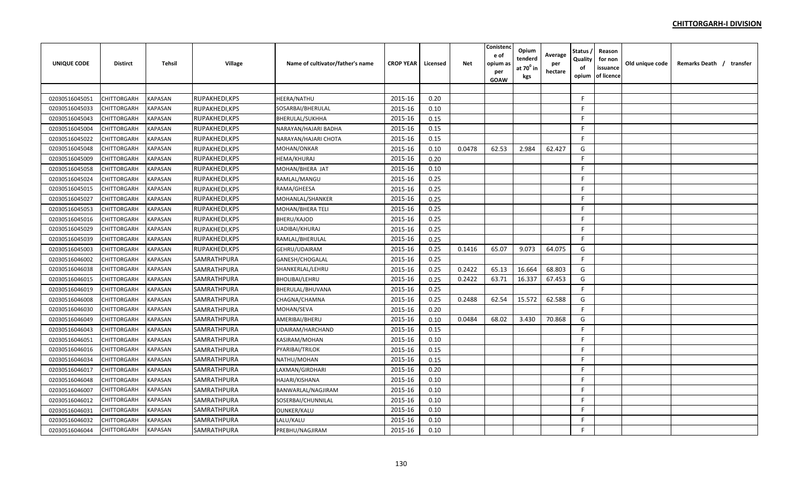| <b>UNIQUE CODE</b> | <b>Distirct</b>    | <b>Tehsil</b>  | Village        | Name of cultivator/father's name | <b>CROP YEAR</b> | Licensed | <b>Net</b> | Conistenc<br>e of<br>opium as<br>per<br><b>GOAW</b> | Opium<br>tenderd<br>at 70 <sup>°</sup> in<br>kgs | Average<br>per<br>hectare | Status<br>Quality<br>of<br>opium | Reason<br>for non<br>issuance<br>of licence | Old unique code | Remarks Death / transfer |  |
|--------------------|--------------------|----------------|----------------|----------------------------------|------------------|----------|------------|-----------------------------------------------------|--------------------------------------------------|---------------------------|----------------------------------|---------------------------------------------|-----------------|--------------------------|--|
|                    |                    |                |                |                                  |                  |          |            |                                                     |                                                  |                           |                                  |                                             |                 |                          |  |
| 02030516045051     | CHITTORGARH        | <b>KAPASAN</b> | RUPAKHEDI, KPS | <b>HEERA/NATHU</b>               | 2015-16          | 0.20     |            |                                                     |                                                  |                           | F.                               |                                             |                 |                          |  |
| 02030516045033     | CHITTORGARH        | <b>KAPASAN</b> | RUPAKHEDI, KPS | SOSARBAI/BHERULAL                | 2015-16          | 0.10     |            |                                                     |                                                  |                           | F                                |                                             |                 |                          |  |
| 02030516045043     | CHITTORGARH        | KAPASAN        | RUPAKHEDI, KPS | <b>BHERULAL/SUKHHA</b>           | 2015-16          | 0.15     |            |                                                     |                                                  |                           | F                                |                                             |                 |                          |  |
| 02030516045004     | CHITTORGARH        | KAPASAN        | RUPAKHEDI, KPS | NARAYAN/HAJARI BADHA             | 2015-16          | 0.15     |            |                                                     |                                                  |                           | F.                               |                                             |                 |                          |  |
| 02030516045022     | <b>CHITTORGARH</b> | KAPASAN        | RUPAKHEDI, KPS | NARAYAN/HAJARI CHOTA             | 2015-16          | 0.15     |            |                                                     |                                                  |                           | F.                               |                                             |                 |                          |  |
| 02030516045048     | CHITTORGARH        | KAPASAN        | RUPAKHEDI, KPS | MOHAN/ONKAR                      | 2015-16          | 0.10     | 0.0478     | 62.53                                               | 2.984                                            | 62.427                    | G                                |                                             |                 |                          |  |
| 02030516045009     | CHITTORGARH        | KAPASAN        | RUPAKHEDI, KPS | HEMA/KHURAJ                      | 2015-16          | 0.20     |            |                                                     |                                                  |                           | E                                |                                             |                 |                          |  |
| 02030516045058     | CHITTORGARH        | <b>KAPASAN</b> | RUPAKHEDI, KPS | MOHAN/BHERA JAT                  | 2015-16          | 0.10     |            |                                                     |                                                  |                           | F.                               |                                             |                 |                          |  |
| 02030516045024     | CHITTORGARH        | <b>KAPASAN</b> | RUPAKHEDI, KPS | RAMLAL/MANGU                     | 2015-16          | 0.25     |            |                                                     |                                                  |                           | F                                |                                             |                 |                          |  |
| 02030516045015     | CHITTORGARH        | <b>KAPASAN</b> | RUPAKHEDI, KPS | RAMA/GHEESA                      | 2015-16          | 0.25     |            |                                                     |                                                  |                           | F.                               |                                             |                 |                          |  |
| 02030516045027     | <b>CHITTORGARH</b> | <b>KAPASAN</b> | RUPAKHEDI, KPS | MOHANLAL/SHANKER                 | 2015-16          | 0.25     |            |                                                     |                                                  |                           | E                                |                                             |                 |                          |  |
| 02030516045053     | CHITTORGARH        | <b>KAPASAN</b> | RUPAKHEDI, KPS | <b>MOHAN/BHERA TELI</b>          | 2015-16          | 0.25     |            |                                                     |                                                  |                           | F.                               |                                             |                 |                          |  |
| 02030516045016     | CHITTORGARH        | <b>KAPASAN</b> | RUPAKHEDI, KPS | <b>BHERU/KAJOD</b>               | 2015-16          | 0.25     |            |                                                     |                                                  |                           | F                                |                                             |                 |                          |  |
| 02030516045029     | CHITTORGARH        | <b>KAPASAN</b> | RUPAKHEDI, KPS | UADIBAI/KHURAJ                   | 2015-16          | 0.25     |            |                                                     |                                                  |                           | F                                |                                             |                 |                          |  |
| 02030516045039     | CHITTORGARH        | KAPASAN        | RUPAKHEDI, KPS | RAMLAL/BHERULAL                  | 2015-16          | 0.25     |            |                                                     |                                                  |                           | F                                |                                             |                 |                          |  |
| 02030516045003     | <b>CHITTORGARH</b> | KAPASAN        | RUPAKHEDI, KPS | GEHRU/UDAIRAM                    | 2015-16          | 0.25     | 0.1416     | 65.07                                               | 9.073                                            | 64.075                    | G                                |                                             |                 |                          |  |
| 02030516046002     | CHITTORGARH        | KAPASAN        | SAMRATHPURA    | GANESH/CHOGALAL                  | 2015-16          | 0.25     |            |                                                     |                                                  |                           | E                                |                                             |                 |                          |  |
| 02030516046038     | CHITTORGARH        | KAPASAN        | SAMRATHPURA    | SHANKERLAL/LEHRU                 | 2015-16          | 0.25     | 0.2422     | 65.13                                               | 16.664                                           | 68.803                    | G                                |                                             |                 |                          |  |
| 02030516046015     | CHITTORGARH        | KAPASAN        | SAMRATHPURA    | <b>BHOLIBAI/LEHRU</b>            | 2015-16          | 0.25     | 0.2422     | 63.71                                               | 16.337                                           | 67.453                    | G                                |                                             |                 |                          |  |
| 02030516046019     | CHITTORGARH        | <b>KAPASAN</b> | SAMRATHPURA    | BHERULAL/BHUVANA                 | 2015-16          | 0.25     |            |                                                     |                                                  |                           | $\mathsf{F}$                     |                                             |                 |                          |  |
| 02030516046008     | CHITTORGARH        | <b>KAPASAN</b> | SAMRATHPURA    | CHAGNA/CHAMNA                    | 2015-16          | 0.25     | 0.2488     | 62.54                                               | 15.572                                           | 62.588                    | G                                |                                             |                 |                          |  |
| 02030516046030     | <b>CHITTORGARH</b> | <b>KAPASAN</b> | SAMRATHPURA    | MOHAN/SEVA                       | 2015-16          | 0.20     |            |                                                     |                                                  |                           | F.                               |                                             |                 |                          |  |
| 02030516046049     | CHITTORGARH        | <b>KAPASAN</b> | SAMRATHPURA    | AMERIBAI/BHERU                   | 2015-16          | 0.10     | 0.0484     | 68.02                                               | 3.430                                            | 70.868                    | G                                |                                             |                 |                          |  |
| 02030516046043     | CHITTORGARH        | <b>KAPASAN</b> | SAMRATHPURA    | UDAIRAM/HARCHAND                 | 2015-16          | 0.15     |            |                                                     |                                                  |                           | $\mathsf{F}$                     |                                             |                 |                          |  |
| 02030516046051     | CHITTORGARH        | <b>KAPASAN</b> | SAMRATHPURA    | <b>KASIRAM/MOHAN</b>             | 2015-16          | 0.10     |            |                                                     |                                                  |                           | F                                |                                             |                 |                          |  |
| 02030516046016     | CHITTORGARH        | <b>KAPASAN</b> | SAMRATHPURA    | PYARIBAI/TRILOK                  | 2015-16          | 0.15     |            |                                                     |                                                  |                           | F                                |                                             |                 |                          |  |
| 02030516046034     | CHITTORGARH        | KAPASAN        | SAMRATHPURA    | NATHU/MOHAN                      | 2015-16          | 0.15     |            |                                                     |                                                  |                           | F.                               |                                             |                 |                          |  |
| 02030516046017     | <b>CHITTORGARH</b> | KAPASAN        | SAMRATHPURA    | LAXMAN/GIRDHARI                  | 2015-16          | 0.20     |            |                                                     |                                                  |                           | F.                               |                                             |                 |                          |  |
| 02030516046048     | CHITTORGARH        | KAPASAN        | SAMRATHPURA    | <b>HAJARI/KISHANA</b>            | 2015-16          | 0.10     |            |                                                     |                                                  |                           | F.                               |                                             |                 |                          |  |
| 02030516046007     | CHITTORGARH        | KAPASAN        | SAMRATHPURA    | BANWARLAL/NAGJIRAM               | 2015-16          | 0.10     |            |                                                     |                                                  |                           | F.                               |                                             |                 |                          |  |
| 02030516046012     | CHITTORGARH        | KAPASAN        | SAMRATHPURA    | SOSERBAI/CHUNNILAL               | 2015-16          | 0.10     |            |                                                     |                                                  |                           | F.                               |                                             |                 |                          |  |
| 02030516046031     | CHITTORGARH        | KAPASAN        | SAMRATHPURA    | <b>OUNKER/KALU</b>               | 2015-16          | 0.10     |            |                                                     |                                                  |                           | F.                               |                                             |                 |                          |  |
| 02030516046032     | CHITTORGARH        | <b>KAPASAN</b> | SAMRATHPURA    | LALU/KALU                        | 2015-16          | 0.10     |            |                                                     |                                                  |                           | F                                |                                             |                 |                          |  |
| 02030516046044     | <b>CHITTORGARH</b> | <b>KAPASAN</b> | SAMRATHPURA    | PREBHU/NAGJIRAM                  | 2015-16          | 0.10     |            |                                                     |                                                  |                           | F                                |                                             |                 |                          |  |